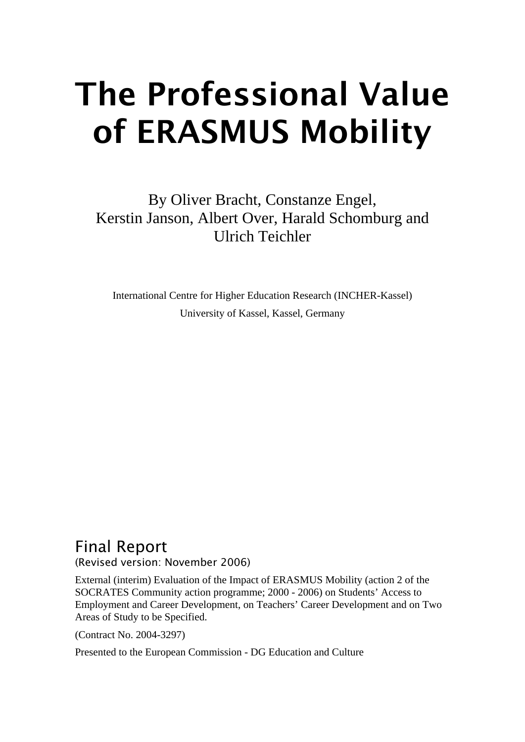# The Professional Value of ERASMUS Mobility

By Oliver Bracht, Constanze Engel, Kerstin Janson, Albert Over, Harald Schomburg and Ulrich Teichler

International Centre for Higher Education Research (INCHER-Kassel) University of Kassel, Kassel, Germany

# Final Report

(Revised version: November 2006)

External (interim) Evaluation of the Impact of ERASMUS Mobility (action 2 of the SOCRATES Community action programme; 2000 - 2006) on Students' Access to Employment and Career Development, on Teachers' Career Development and on Two Areas of Study to be Specified.

(Contract No. 2004-3297)

Presented to the European Commission - DG Education and Culture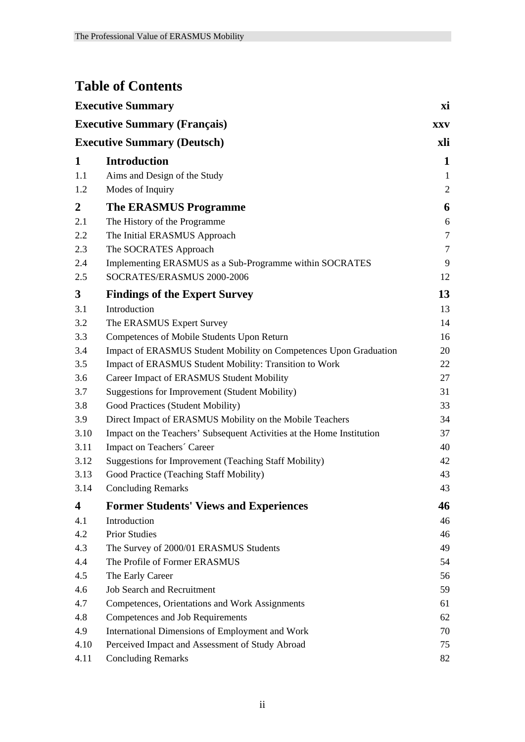# **Table of Contents**

| <b>Executive Summary</b><br><b>Executive Summary (Français)</b> |                                                                       |                |
|-----------------------------------------------------------------|-----------------------------------------------------------------------|----------------|
|                                                                 |                                                                       |                |
| 1                                                               | <b>Introduction</b>                                                   | $\mathbf{1}$   |
| 1.1                                                             | Aims and Design of the Study                                          | $\mathbf{1}$   |
| 1.2                                                             | Modes of Inquiry                                                      | $\overline{2}$ |
| $\boldsymbol{2}$                                                | <b>The ERASMUS Programme</b>                                          | 6              |
| 2.1                                                             | The History of the Programme                                          | 6              |
| 2.2                                                             | The Initial ERASMUS Approach                                          | $\tau$         |
| 2.3                                                             | The SOCRATES Approach                                                 | $\tau$         |
| 2.4                                                             | Implementing ERASMUS as a Sub-Programme within SOCRATES               | 9              |
| 2.5                                                             | SOCRATES/ERASMUS 2000-2006                                            | 12             |
| 3                                                               | <b>Findings of the Expert Survey</b>                                  | 13             |
| 3.1                                                             | Introduction                                                          | 13             |
| 3.2                                                             | The ERASMUS Expert Survey                                             | 14             |
| 3.3                                                             | Competences of Mobile Students Upon Return                            | 16             |
| 3.4                                                             | Impact of ERASMUS Student Mobility on Competences Upon Graduation     | 20             |
| 3.5                                                             | Impact of ERASMUS Student Mobility: Transition to Work                | 22             |
| 3.6                                                             | Career Impact of ERASMUS Student Mobility                             | 27             |
| 3.7                                                             | <b>Suggestions for Improvement (Student Mobility)</b>                 | 31             |
| 3.8                                                             | Good Practices (Student Mobility)                                     | 33             |
| 3.9                                                             | Direct Impact of ERASMUS Mobility on the Mobile Teachers              | 34             |
| 3.10                                                            | Impact on the Teachers' Subsequent Activities at the Home Institution | 37             |
| 3.11                                                            | Impact on Teachers' Career                                            | 40             |
| 3.12                                                            | <b>Suggestions for Improvement (Teaching Staff Mobility)</b>          | 42             |
| 3.13                                                            | Good Practice (Teaching Staff Mobility)                               | 43             |
| 3.14                                                            | <b>Concluding Remarks</b>                                             | 43             |
| 4                                                               | <b>Former Students' Views and Experiences</b>                         | 46             |
| 4.1                                                             | Introduction                                                          | 46             |
| 4.2                                                             | <b>Prior Studies</b>                                                  | 46             |
| 4.3                                                             | The Survey of 2000/01 ERASMUS Students                                | 49             |
| 4.4                                                             | The Profile of Former ERASMUS                                         | 54             |
| 4.5                                                             | The Early Career                                                      | 56             |
| 4.6                                                             | <b>Job Search and Recruitment</b>                                     | 59             |
| 4.7                                                             | Competences, Orientations and Work Assignments                        | 61             |
| 4.8                                                             | Competences and Job Requirements                                      | 62             |
| 4.9                                                             | International Dimensions of Employment and Work                       | 70             |
| 4.10                                                            | Perceived Impact and Assessment of Study Abroad                       | 75             |
| 4.11                                                            | <b>Concluding Remarks</b>                                             | 82             |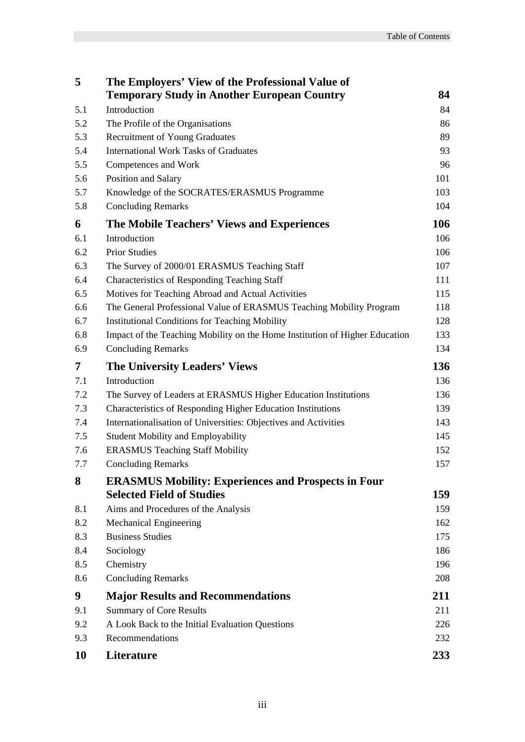| 5   | The Employers' View of the Professional Value of                            |     |
|-----|-----------------------------------------------------------------------------|-----|
|     | <b>Temporary Study in Another European Country</b>                          | 84  |
| 5.1 | Introduction                                                                | 84  |
| 5.2 | The Profile of the Organisations                                            | 86  |
| 5.3 | Recruitment of Young Graduates                                              | 89  |
| 5.4 | <b>International Work Tasks of Graduates</b>                                | 93  |
| 5.5 | Competences and Work                                                        | 96  |
| 5.6 | Position and Salary                                                         | 101 |
| 5.7 | Knowledge of the SOCRATES/ERASMUS Programme                                 | 103 |
| 5.8 | <b>Concluding Remarks</b>                                                   | 104 |
| 6   | The Mobile Teachers' Views and Experiences                                  | 106 |
| 6.1 | Introduction                                                                | 106 |
| 6.2 | <b>Prior Studies</b>                                                        | 106 |
| 6.3 | The Survey of 2000/01 ERASMUS Teaching Staff                                | 107 |
| 6.4 | <b>Characteristics of Responding Teaching Staff</b>                         | 111 |
| 6.5 | Motives for Teaching Abroad and Actual Activities                           | 115 |
| 6.6 | The General Professional Value of ERASMUS Teaching Mobility Program         | 118 |
| 6.7 | <b>Institutional Conditions for Teaching Mobility</b>                       | 128 |
| 6.8 | Impact of the Teaching Mobility on the Home Institution of Higher Education | 133 |
| 6.9 | <b>Concluding Remarks</b>                                                   | 134 |
| 7   | <b>The University Leaders' Views</b>                                        | 136 |
| 7.1 | Introduction                                                                | 136 |
| 7.2 | The Survey of Leaders at ERASMUS Higher Education Institutions              | 136 |
| 7.3 | Characteristics of Responding Higher Education Institutions                 | 139 |
| 7.4 | Internationalisation of Universities: Objectives and Activities             | 143 |
| 7.5 | <b>Student Mobility and Employability</b>                                   | 145 |
| 7.6 | <b>ERASMUS Teaching Staff Mobility</b>                                      | 152 |
| 7.7 | <b>Concluding Remarks</b>                                                   | 157 |
| 8   | <b>ERASMUS Mobility: Experiences and Prospects in Four</b>                  |     |
|     | <b>Selected Field of Studies</b>                                            | 159 |
| 8.1 | Aims and Procedures of the Analysis                                         | 159 |
| 8.2 | <b>Mechanical Engineering</b>                                               | 162 |
| 8.3 | <b>Business Studies</b>                                                     | 175 |
| 8.4 | Sociology                                                                   | 186 |
| 8.5 | Chemistry                                                                   | 196 |
| 8.6 | <b>Concluding Remarks</b>                                                   | 208 |
| 9   | <b>Major Results and Recommendations</b>                                    | 211 |
| 9.1 | <b>Summary of Core Results</b>                                              | 211 |
| 9.2 | A Look Back to the Initial Evaluation Questions                             | 226 |
| 9.3 | Recommendations                                                             | 232 |
| 10  | Literature                                                                  | 233 |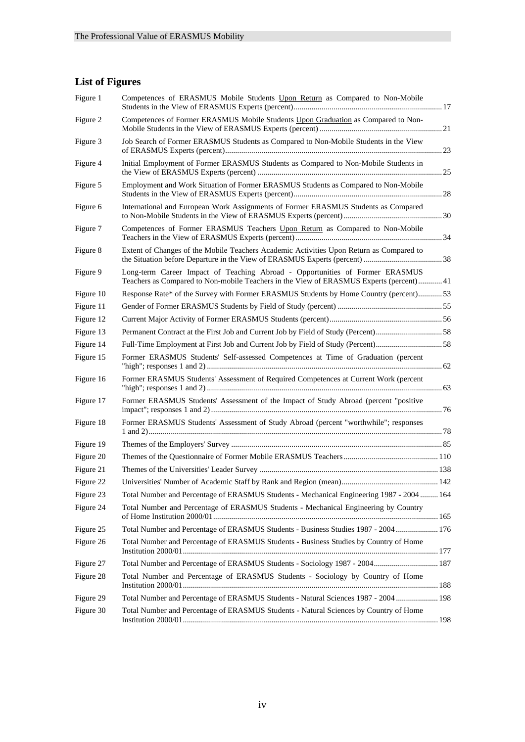#### **List of Figures**

| Figure 1  | Competences of ERASMUS Mobile Students Upon Return as Compared to Non-Mobile                                                                                            |  |
|-----------|-------------------------------------------------------------------------------------------------------------------------------------------------------------------------|--|
| Figure 2  | Competences of Former ERASMUS Mobile Students Upon Graduation as Compared to Non-                                                                                       |  |
| Figure 3  | Job Search of Former ERASMUS Students as Compared to Non-Mobile Students in the View                                                                                    |  |
| Figure 4  | Initial Employment of Former ERASMUS Students as Compared to Non-Mobile Students in                                                                                     |  |
| Figure 5  | Employment and Work Situation of Former ERASMUS Students as Compared to Non-Mobile                                                                                      |  |
| Figure 6  | International and European Work Assignments of Former ERASMUS Students as Compared                                                                                      |  |
| Figure 7  | Competences of Former ERASMUS Teachers Upon Return as Compared to Non-Mobile                                                                                            |  |
| Figure 8  | Extent of Changes of the Mobile Teachers Academic Activities Upon Return as Compared to                                                                                 |  |
| Figure 9  | Long-term Career Impact of Teaching Abroad - Opportunities of Former ERASMUS<br>Teachers as Compared to Non-mobile Teachers in the View of ERASMUS Experts (percent) 41 |  |
| Figure 10 | Response Rate* of the Survey with Former ERASMUS Students by Home Country (percent)53                                                                                   |  |
| Figure 11 |                                                                                                                                                                         |  |
| Figure 12 |                                                                                                                                                                         |  |
| Figure 13 |                                                                                                                                                                         |  |
| Figure 14 | Full-Time Employment at First Job and Current Job by Field of Study (Percent)58                                                                                         |  |
| Figure 15 | Former ERASMUS Students' Self-assessed Competences at Time of Graduation (percent                                                                                       |  |
| Figure 16 | Former ERASMUS Students' Assessment of Required Competences at Current Work (percent                                                                                    |  |
| Figure 17 | Former ERASMUS Students' Assessment of the Impact of Study Abroad (percent "positive                                                                                    |  |
| Figure 18 | Former ERASMUS Students' Assessment of Study Abroad (percent "worthwhile"; responses                                                                                    |  |
| Figure 19 |                                                                                                                                                                         |  |
| Figure 20 |                                                                                                                                                                         |  |
| Figure 21 |                                                                                                                                                                         |  |
| Figure 22 |                                                                                                                                                                         |  |
| Figure 23 | Total Number and Percentage of ERASMUS Students - Mechanical Engineering 1987 - 2004 164                                                                                |  |
| Figure 24 | Total Number and Percentage of ERASMUS Students - Mechanical Engineering by Country                                                                                     |  |
| Figure 25 | Total Number and Percentage of ERASMUS Students - Business Studies 1987 - 2004  176                                                                                     |  |
| Figure 26 | Total Number and Percentage of ERASMUS Students - Business Studies by Country of Home                                                                                   |  |
| Figure 27 | Total Number and Percentage of ERASMUS Students - Sociology 1987 - 2004 187                                                                                             |  |
| Figure 28 | Total Number and Percentage of ERASMUS Students - Sociology by Country of Home                                                                                          |  |
| Figure 29 | Total Number and Percentage of ERASMUS Students - Natural Sciences 1987 - 2004  198                                                                                     |  |
| Figure 30 | Total Number and Percentage of ERASMUS Students - Natural Sciences by Country of Home                                                                                   |  |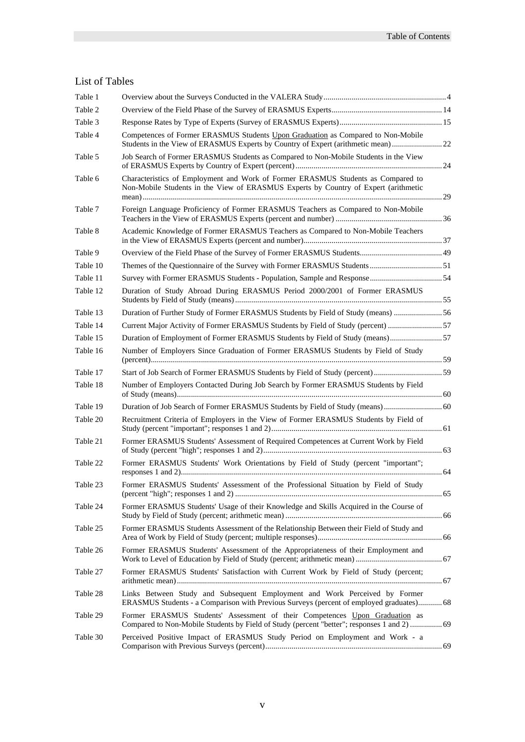#### List of Tables

| Table 1  |                                                                                                                                                                            |  |
|----------|----------------------------------------------------------------------------------------------------------------------------------------------------------------------------|--|
| Table 2  |                                                                                                                                                                            |  |
| Table 3  |                                                                                                                                                                            |  |
| Table 4  | Competences of Former ERASMUS Students Upon Graduation as Compared to Non-Mobile<br>Students in the View of ERASMUS Experts by Country of Expert (arithmetic mean) 22      |  |
| Table 5  | Job Search of Former ERASMUS Students as Compared to Non-Mobile Students in the View                                                                                       |  |
| Table 6  | Characteristics of Employment and Work of Former ERASMUS Students as Compared to<br>Non-Mobile Students in the View of ERASMUS Experts by Country of Expert (arithmetic    |  |
| Table 7  | Foreign Language Proficiency of Former ERASMUS Teachers as Compared to Non-Mobile                                                                                          |  |
| Table 8  | Academic Knowledge of Former ERASMUS Teachers as Compared to Non-Mobile Teachers                                                                                           |  |
| Table 9  |                                                                                                                                                                            |  |
| Table 10 |                                                                                                                                                                            |  |
| Table 11 |                                                                                                                                                                            |  |
| Table 12 | Duration of Study Abroad During ERASMUS Period 2000/2001 of Former ERASMUS                                                                                                 |  |
| Table 13 | Duration of Further Study of Former ERASMUS Students by Field of Study (means)  56                                                                                         |  |
| Table 14 | Current Major Activity of Former ERASMUS Students by Field of Study (percent) 57                                                                                           |  |
| Table 15 | Duration of Employment of Former ERASMUS Students by Field of Study (means) 57                                                                                             |  |
| Table 16 | Number of Employers Since Graduation of Former ERASMUS Students by Field of Study                                                                                          |  |
| Table 17 | Start of Job Search of Former ERASMUS Students by Field of Study (percent)59                                                                                               |  |
| Table 18 | Number of Employers Contacted During Job Search by Former ERASMUS Students by Field                                                                                        |  |
| Table 19 |                                                                                                                                                                            |  |
| Table 20 | Recruitment Criteria of Employers in the View of Former ERASMUS Students by Field of                                                                                       |  |
| Table 21 | Former ERASMUS Students' Assessment of Required Competences at Current Work by Field                                                                                       |  |
| Table 22 | Former ERASMUS Students' Work Orientations by Field of Study (percent "important";                                                                                         |  |
| Table 23 | Former ERASMUS Students' Assessment of the Professional Situation by Field of Study                                                                                        |  |
| Table 24 | Former ERASMUS Students' Usage of their Knowledge and Skills Acquired in the Course of                                                                                     |  |
| Table 25 | Former ERASMUS Students Assessment of the Relationship Between their Field of Study and                                                                                    |  |
| Table 26 | Former ERASMUS Students' Assessment of the Appropriateness of their Employment and                                                                                         |  |
| Table 27 | Former ERASMUS Students' Satisfaction with Current Work by Field of Study (percent;                                                                                        |  |
| Table 28 | Links Between Study and Subsequent Employment and Work Perceived by Former<br>ERASMUS Students - a Comparison with Previous Surveys (percent of employed graduates) 68     |  |
| Table 29 | Former ERASMUS Students' Assessment of their Competences Upon Graduation as<br>Compared to Non-Mobile Students by Field of Study (percent "better"; responses 1 and 2)  69 |  |
| Table 30 | Perceived Positive Impact of ERASMUS Study Period on Employment and Work - a                                                                                               |  |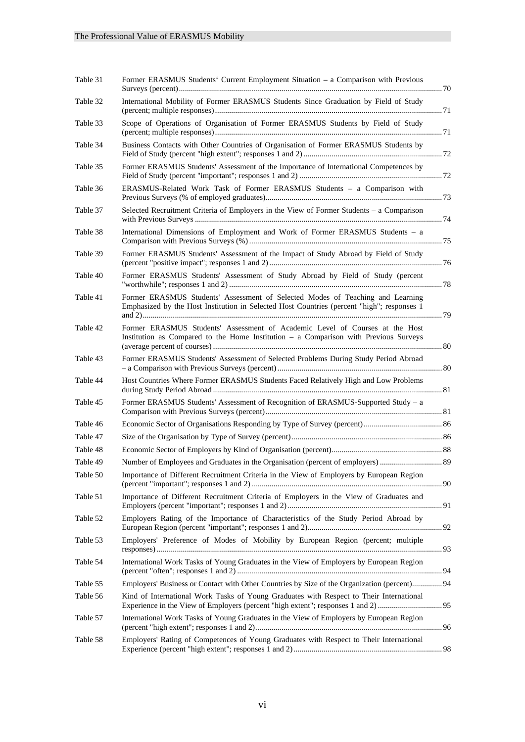| Table 31 | Former ERASMUS Students' Current Employment Situation - a Comparison with Previous                                                                                           |  |
|----------|------------------------------------------------------------------------------------------------------------------------------------------------------------------------------|--|
| Table 32 | International Mobility of Former ERASMUS Students Since Graduation by Field of Study                                                                                         |  |
| Table 33 | Scope of Operations of Organisation of Former ERASMUS Students by Field of Study                                                                                             |  |
| Table 34 | Business Contacts with Other Countries of Organisation of Former ERASMUS Students by                                                                                         |  |
| Table 35 | Former ERASMUS Students' Assessment of the Importance of International Competences by                                                                                        |  |
| Table 36 | ERASMUS-Related Work Task of Former ERASMUS Students - a Comparison with                                                                                                     |  |
| Table 37 | Selected Recruitment Criteria of Employers in the View of Former Students - a Comparison                                                                                     |  |
| Table 38 | International Dimensions of Employment and Work of Former ERASMUS Students - a                                                                                               |  |
| Table 39 | Former ERASMUS Students' Assessment of the Impact of Study Abroad by Field of Study                                                                                          |  |
| Table 40 | Former ERASMUS Students' Assessment of Study Abroad by Field of Study (percent                                                                                               |  |
| Table 41 | Former ERASMUS Students' Assessment of Selected Modes of Teaching and Learning<br>Emphasized by the Host Institution in Selected Host Countries (percent "high"; responses 1 |  |
| Table 42 | Former ERASMUS Students' Assessment of Academic Level of Courses at the Host<br>Institution as Compared to the Home Institution - a Comparison with Previous Surveys         |  |
| Table 43 | Former ERASMUS Students' Assessment of Selected Problems During Study Period Abroad                                                                                          |  |
| Table 44 | Host Countries Where Former ERASMUS Students Faced Relatively High and Low Problems                                                                                          |  |
| Table 45 | Former ERASMUS Students' Assessment of Recognition of ERASMUS-Supported Study - a                                                                                            |  |
| Table 46 |                                                                                                                                                                              |  |
| Table 47 |                                                                                                                                                                              |  |
| Table 48 |                                                                                                                                                                              |  |
| Table 49 | Number of Employees and Graduates in the Organisation (percent of employers)  89                                                                                             |  |
| Table 50 | Importance of Different Recruitment Criteria in the View of Employers by European Region                                                                                     |  |
| Table 51 | Importance of Different Recruitment Criteria of Employers in the View of Graduates and                                                                                       |  |
| Table 52 | Employers Rating of the Importance of Characteristics of the Study Period Abroad by                                                                                          |  |
| Table 53 | Employers' Preference of Modes of Mobility by European Region (percent; multiple                                                                                             |  |
| Table 54 | International Work Tasks of Young Graduates in the View of Employers by European Region                                                                                      |  |
| Table 55 | Employers' Business or Contact with Other Countries by Size of the Organization (percent) 94                                                                                 |  |
| Table 56 | Kind of International Work Tasks of Young Graduates with Respect to Their International                                                                                      |  |
| Table 57 | International Work Tasks of Young Graduates in the View of Employers by European Region                                                                                      |  |
| Table 58 | Employers' Rating of Competences of Young Graduates with Respect to Their International                                                                                      |  |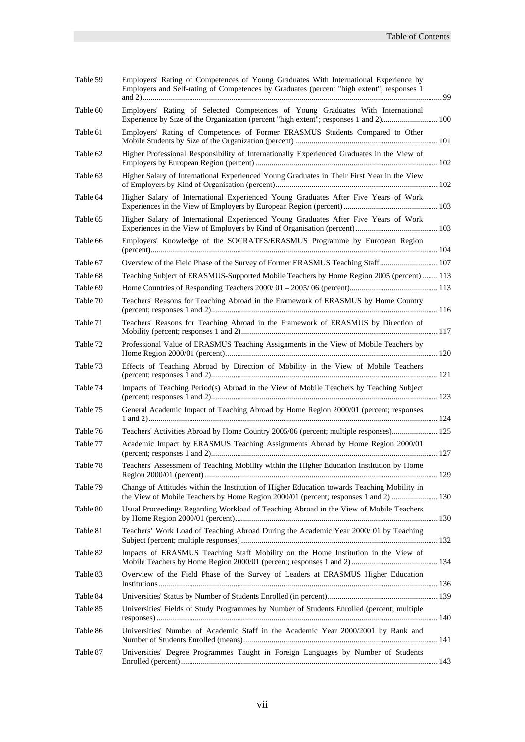| Table 59 | Employers' Rating of Competences of Young Graduates With International Experience by<br>Employers and Self-rating of Competences by Graduates (percent "high extent"; responses 1   |  |
|----------|-------------------------------------------------------------------------------------------------------------------------------------------------------------------------------------|--|
| Table 60 | Employers' Rating of Selected Competences of Young Graduates With International                                                                                                     |  |
| Table 61 | Employers' Rating of Competences of Former ERASMUS Students Compared to Other                                                                                                       |  |
| Table 62 | Higher Professional Responsibility of Internationally Experienced Graduates in the View of                                                                                          |  |
| Table 63 | Higher Salary of International Experienced Young Graduates in Their First Year in the View                                                                                          |  |
| Table 64 | Higher Salary of International Experienced Young Graduates After Five Years of Work                                                                                                 |  |
| Table 65 | Higher Salary of International Experienced Young Graduates After Five Years of Work                                                                                                 |  |
| Table 66 | Employers' Knowledge of the SOCRATES/ERASMUS Programme by European Region                                                                                                           |  |
| Table 67 | Overview of the Field Phase of the Survey of Former ERASMUS Teaching Staff 107                                                                                                      |  |
| Table 68 | Teaching Subject of ERASMUS-Supported Mobile Teachers by Home Region 2005 (percent)  113                                                                                            |  |
| Table 69 |                                                                                                                                                                                     |  |
| Table 70 | Teachers' Reasons for Teaching Abroad in the Framework of ERASMUS by Home Country                                                                                                   |  |
| Table 71 | Teachers' Reasons for Teaching Abroad in the Framework of ERASMUS by Direction of                                                                                                   |  |
| Table 72 | Professional Value of ERASMUS Teaching Assignments in the View of Mobile Teachers by                                                                                                |  |
| Table 73 | Effects of Teaching Abroad by Direction of Mobility in the View of Mobile Teachers                                                                                                  |  |
| Table 74 | Impacts of Teaching Period(s) Abroad in the View of Mobile Teachers by Teaching Subject                                                                                             |  |
| Table 75 | General Academic Impact of Teaching Abroad by Home Region 2000/01 (percent; responses                                                                                               |  |
| Table 76 | Teachers' Activities Abroad by Home Country 2005/06 (percent; multiple responses) 125                                                                                               |  |
| Table 77 | Academic Impact by ERASMUS Teaching Assignments Abroad by Home Region 2000/01                                                                                                       |  |
| Table 78 | Teachers' Assessment of Teaching Mobility within the Higher Education Institution by Home                                                                                           |  |
| Table 79 | Change of Attitudes within the Institution of Higher Education towards Teaching Mobility in<br>the View of Mobile Teachers by Home Region 2000/01 (percent; responses 1 and 2)  130 |  |
| Table 80 | Usual Proceedings Regarding Workload of Teaching Abroad in the View of Mobile Teachers                                                                                              |  |
| Table 81 | Teachers' Work Load of Teaching Abroad During the Academic Year 2000/01 by Teaching                                                                                                 |  |
| Table 82 | Impacts of ERASMUS Teaching Staff Mobility on the Home Institution in the View of                                                                                                   |  |
| Table 83 | Overview of the Field Phase of the Survey of Leaders at ERASMUS Higher Education                                                                                                    |  |
| Table 84 |                                                                                                                                                                                     |  |
| Table 85 | Universities' Fields of Study Programmes by Number of Students Enrolled (percent; multiple                                                                                          |  |
| Table 86 | Universities' Number of Academic Staff in the Academic Year 2000/2001 by Rank and                                                                                                   |  |
| Table 87 | Universities' Degree Programmes Taught in Foreign Languages by Number of Students                                                                                                   |  |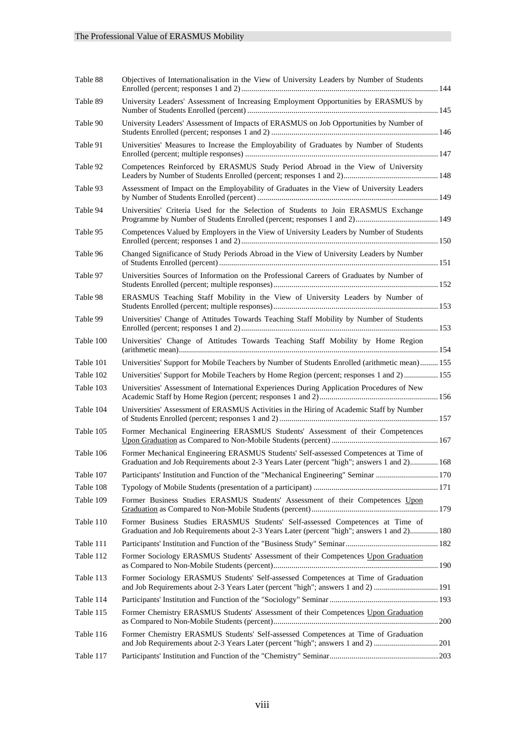| Table 88  | Objectives of Internationalisation in the View of University Leaders by Number of Students                                                                                          |  |
|-----------|-------------------------------------------------------------------------------------------------------------------------------------------------------------------------------------|--|
| Table 89  | University Leaders' Assessment of Increasing Employment Opportunities by ERASMUS by                                                                                                 |  |
| Table 90  | University Leaders' Assessment of Impacts of ERASMUS on Job Opportunities by Number of                                                                                              |  |
| Table 91  | Universities' Measures to Increase the Employability of Graduates by Number of Students                                                                                             |  |
| Table 92  | Competences Reinforced by ERASMUS Study Period Abroad in the View of University                                                                                                     |  |
| Table 93  | Assessment of Impact on the Employability of Graduates in the View of University Leaders                                                                                            |  |
| Table 94  | Universities' Criteria Used for the Selection of Students to Join ERASMUS Exchange                                                                                                  |  |
| Table 95  | Competences Valued by Employers in the View of University Leaders by Number of Students                                                                                             |  |
| Table 96  | Changed Significance of Study Periods Abroad in the View of University Leaders by Number                                                                                            |  |
| Table 97  | Universities Sources of Information on the Professional Careers of Graduates by Number of                                                                                           |  |
| Table 98  | ERASMUS Teaching Staff Mobility in the View of University Leaders by Number of                                                                                                      |  |
| Table 99  | Universities' Change of Attitudes Towards Teaching Staff Mobility by Number of Students                                                                                             |  |
| Table 100 | Universities' Change of Attitudes Towards Teaching Staff Mobility by Home Region                                                                                                    |  |
| Table 101 | Universities' Support for Mobile Teachers by Number of Students Enrolled (arithmetic mean) 155                                                                                      |  |
| Table 102 | Universities' Support for Mobile Teachers by Home Region (percent; responses 1 and 2) 155                                                                                           |  |
| Table 103 | Universities' Assessment of International Experiences During Application Procedures of New                                                                                          |  |
| Table 104 | Universities' Assessment of ERASMUS Activities in the Hiring of Academic Staff by Number                                                                                            |  |
| Table 105 | Former Mechanical Engineering ERASMUS Students' Assessment of their Competences                                                                                                     |  |
| Table 106 | Former Mechanical Engineering ERASMUS Students' Self-assessed Competences at Time of<br>Graduation and Job Requirements about 2-3 Years Later (percent "high"; answers 1 and 2) 168 |  |
| Table 107 | Participants' Institution and Function of the "Mechanical Engineering" Seminar  170                                                                                                 |  |
| Table 108 |                                                                                                                                                                                     |  |
| Table 109 | Former Business Studies ERASMUS Students' Assessment of their Competences Upon                                                                                                      |  |
| Table 110 | Former Business Studies ERASMUS Students' Self-assessed Competences at Time of<br>Graduation and Job Requirements about 2-3 Years Later (percent "high"; answers 1 and 2) 180       |  |
| Table 111 |                                                                                                                                                                                     |  |
| Table 112 | Former Sociology ERASMUS Students' Assessment of their Competences Upon Graduation                                                                                                  |  |
| Table 113 | Former Sociology ERASMUS Students' Self-assessed Competences at Time of Graduation<br>and Job Requirements about 2-3 Years Later (percent "high"; answers 1 and 2)  191             |  |
| Table 114 |                                                                                                                                                                                     |  |
| Table 115 | Former Chemistry ERASMUS Students' Assessment of their Competences Upon Graduation                                                                                                  |  |
| Table 116 | Former Chemistry ERASMUS Students' Self-assessed Competences at Time of Graduation                                                                                                  |  |
| Table 117 |                                                                                                                                                                                     |  |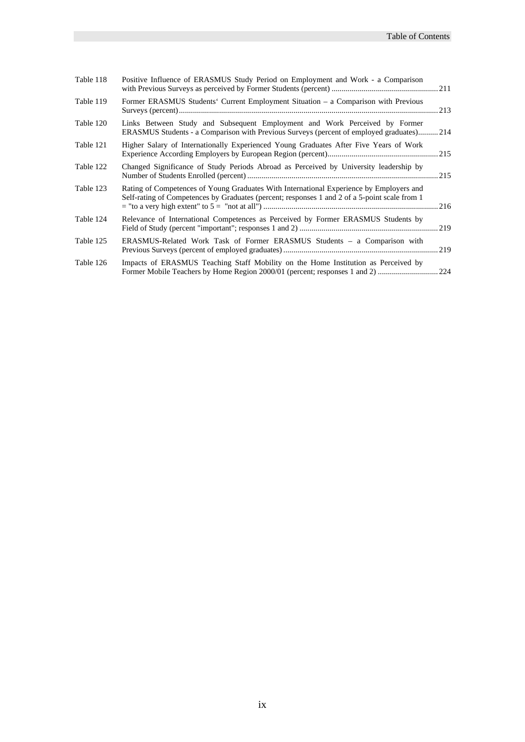| Table 118 | Positive Influence of ERASMUS Study Period on Employment and Work - a Comparison                                                                                                         |  |
|-----------|------------------------------------------------------------------------------------------------------------------------------------------------------------------------------------------|--|
| Table 119 | Former ERASMUS Students' Current Employment Situation – a Comparison with Previous                                                                                                       |  |
| Table 120 | Links Between Study and Subsequent Employment and Work Perceived by Former<br>ERASMUS Students - a Comparison with Previous Surveys (percent of employed graduates) 214                  |  |
| Table 121 | Higher Salary of Internationally Experienced Young Graduates After Five Years of Work                                                                                                    |  |
| Table 122 | Changed Significance of Study Periods Abroad as Perceived by University leadership by                                                                                                    |  |
| Table 123 | Rating of Competences of Young Graduates With International Experience by Employers and<br>Self-rating of Competences by Graduates (percent; responses 1 and 2 of a 5-point scale from 1 |  |
| Table 124 | Relevance of International Competences as Perceived by Former ERASMUS Students by                                                                                                        |  |
| Table 125 | ERASMUS-Related Work Task of Former ERASMUS Students – a Comparison with                                                                                                                 |  |
| Table 126 | Impacts of ERASMUS Teaching Staff Mobility on the Home Institution as Perceived by                                                                                                       |  |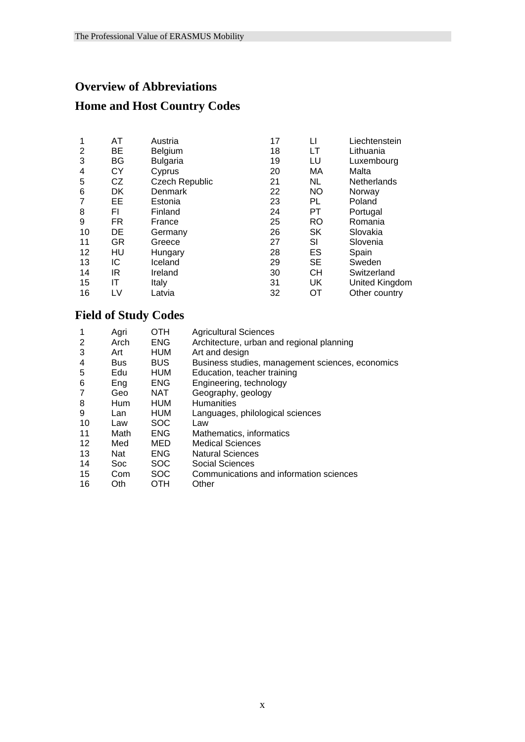#### **Overview of Abbreviations**

### **Home and Host Country Codes**

| 1  | AT        | Austria         | 17 | LI        | Liechtenstein         |
|----|-----------|-----------------|----|-----------|-----------------------|
| 2  | BE        | <b>Belgium</b>  | 18 | LT        | Lithuania             |
| 3  | BG        | <b>Bulgaria</b> | 19 | LU        | Luxembourg            |
| 4  | СY        | Cyprus          | 20 | МA        | Malta                 |
| 5  | CZ        | Czech Republic  | 21 | NL        | Netherlands           |
| 6  | DK        | Denmark         | 22 | <b>NO</b> | Norway                |
| 7  | EE.       | Estonia         | 23 | PL        | Poland                |
| 8  | FI        | Finland         | 24 | PT        | Portugal              |
| 9  | <b>FR</b> | France          | 25 | <b>RO</b> | Romania               |
| 10 | DE        | Germany         | 26 | SK        | Slovakia              |
| 11 | GR        | Greece          | 27 | SI        | Slovenia              |
| 12 | HU        | Hungary         | 28 | ES        | Spain                 |
| 13 | IС        | Iceland         | 29 | SE        | Sweden                |
| 14 | IR        | Ireland         | 30 | СH        | Switzerland           |
| 15 | ΙT        | Italy           | 31 | UK        | <b>United Kingdom</b> |
| 16 | LV        | Latvia          | 32 | OТ        | Other country         |

### **Field of Study Codes**

| 1  | Agri       | OTH        | <b>Agricultural Sciences</b>                     |
|----|------------|------------|--------------------------------------------------|
| 2  | Arch       | <b>ENG</b> | Architecture, urban and regional planning        |
| 3  | Art        | <b>HUM</b> | Art and design                                   |
| 4  | <b>Bus</b> | <b>BUS</b> | Business studies, management sciences, economics |
| 5  | Edu        | <b>HUM</b> | Education, teacher training                      |
| 6  | Eng        | <b>ENG</b> | Engineering, technology                          |
| 7  | Geo        | NAT        | Geography, geology                               |
| 8  | Hum        | <b>HUM</b> | <b>Humanities</b>                                |
| 9  | Lan        | HUM        | Languages, philological sciences                 |
| 10 | Law        | <b>SOC</b> | Law                                              |
| 11 | Math       | <b>ENG</b> | Mathematics, informatics                         |
| 12 | Med        | MED        | <b>Medical Sciences</b>                          |
| 13 | <b>Nat</b> | <b>ENG</b> | <b>Natural Sciences</b>                          |
| 14 | <b>Soc</b> | <b>SOC</b> | <b>Social Sciences</b>                           |
| 15 | Com        | <b>SOC</b> | Communications and information sciences          |
| 16 | Oth        | OTH        | Other                                            |
|    |            |            |                                                  |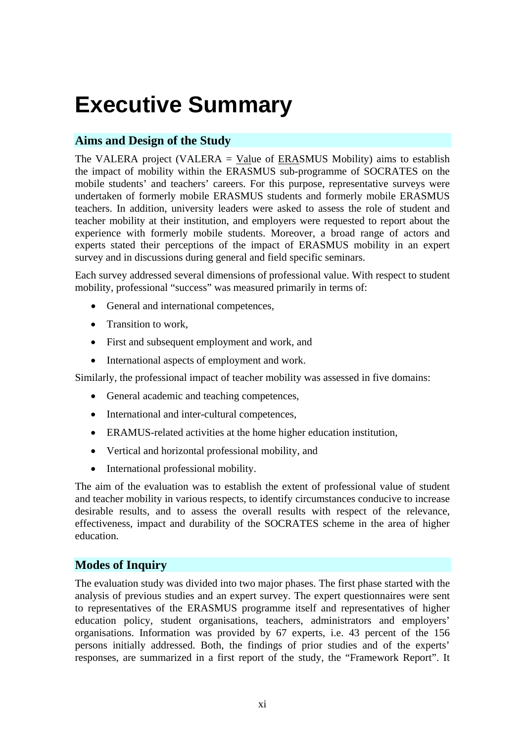# **Executive Summary**

#### **Aims and Design of the Study**

The VALERA project (VALERA = Value of ERASMUS Mobility) aims to establish the impact of mobility within the ERASMUS sub-programme of SOCRATES on the mobile students' and teachers' careers. For this purpose, representative surveys were undertaken of formerly mobile ERASMUS students and formerly mobile ERASMUS teachers. In addition, university leaders were asked to assess the role of student and teacher mobility at their institution, and employers were requested to report about the experience with formerly mobile students. Moreover, a broad range of actors and experts stated their perceptions of the impact of ERASMUS mobility in an expert survey and in discussions during general and field specific seminars.

Each survey addressed several dimensions of professional value. With respect to student mobility, professional "success" was measured primarily in terms of:

- General and international competences,
- Transition to work.
- First and subsequent employment and work, and
- International aspects of employment and work.

Similarly, the professional impact of teacher mobility was assessed in five domains:

- General academic and teaching competences,
- International and inter-cultural competences,
- ERAMUS-related activities at the home higher education institution,
- Vertical and horizontal professional mobility, and
- International professional mobility.

The aim of the evaluation was to establish the extent of professional value of student and teacher mobility in various respects, to identify circumstances conducive to increase desirable results, and to assess the overall results with respect of the relevance, effectiveness, impact and durability of the SOCRATES scheme in the area of higher education.

#### **Modes of Inquiry**

The evaluation study was divided into two major phases. The first phase started with the analysis of previous studies and an expert survey. The expert questionnaires were sent to representatives of the ERASMUS programme itself and representatives of higher education policy, student organisations, teachers, administrators and employers' organisations. Information was provided by 67 experts, i.e. 43 percent of the 156 persons initially addressed. Both, the findings of prior studies and of the experts' responses, are summarized in a first report of the study, the "Framework Report". It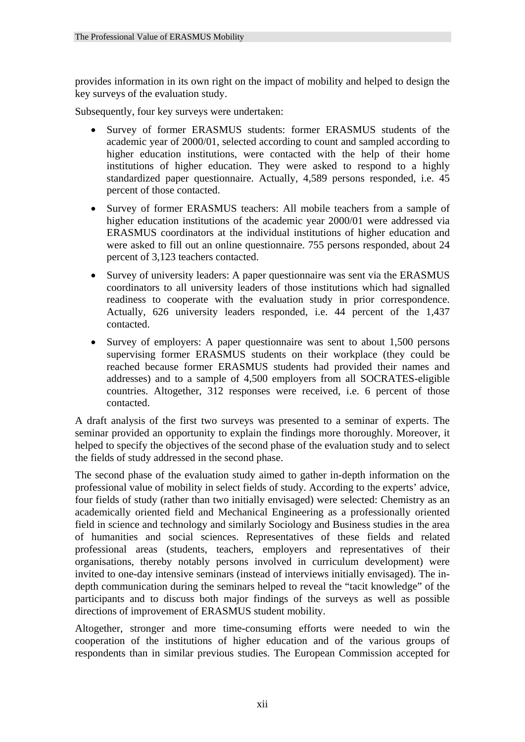provides information in its own right on the impact of mobility and helped to design the key surveys of the evaluation study.

Subsequently, four key surveys were undertaken:

- Survey of former ERASMUS students: former ERASMUS students of the academic year of 2000/01, selected according to count and sampled according to higher education institutions, were contacted with the help of their home institutions of higher education. They were asked to respond to a highly standardized paper questionnaire. Actually, 4,589 persons responded, i.e. 45 percent of those contacted.
- Survey of former ERASMUS teachers: All mobile teachers from a sample of higher education institutions of the academic year 2000/01 were addressed via ERASMUS coordinators at the individual institutions of higher education and were asked to fill out an online questionnaire. 755 persons responded, about 24 percent of 3,123 teachers contacted.
- Survey of university leaders: A paper questionnaire was sent via the ERASMUS coordinators to all university leaders of those institutions which had signalled readiness to cooperate with the evaluation study in prior correspondence. Actually, 626 university leaders responded, i.e. 44 percent of the 1,437 contacted.
- Survey of employers: A paper questionnaire was sent to about 1,500 persons supervising former ERASMUS students on their workplace (they could be reached because former ERASMUS students had provided their names and addresses) and to a sample of 4,500 employers from all SOCRATES-eligible countries. Altogether, 312 responses were received, i.e. 6 percent of those contacted.

A draft analysis of the first two surveys was presented to a seminar of experts. The seminar provided an opportunity to explain the findings more thoroughly. Moreover, it helped to specify the objectives of the second phase of the evaluation study and to select the fields of study addressed in the second phase.

The second phase of the evaluation study aimed to gather in-depth information on the professional value of mobility in select fields of study. According to the experts' advice, four fields of study (rather than two initially envisaged) were selected: Chemistry as an academically oriented field and Mechanical Engineering as a professionally oriented field in science and technology and similarly Sociology and Business studies in the area of humanities and social sciences. Representatives of these fields and related professional areas (students, teachers, employers and representatives of their organisations, thereby notably persons involved in curriculum development) were invited to one-day intensive seminars (instead of interviews initially envisaged). The indepth communication during the seminars helped to reveal the "tacit knowledge" of the participants and to discuss both major findings of the surveys as well as possible directions of improvement of ERASMUS student mobility.

Altogether, stronger and more time-consuming efforts were needed to win the cooperation of the institutions of higher education and of the various groups of respondents than in similar previous studies. The European Commission accepted for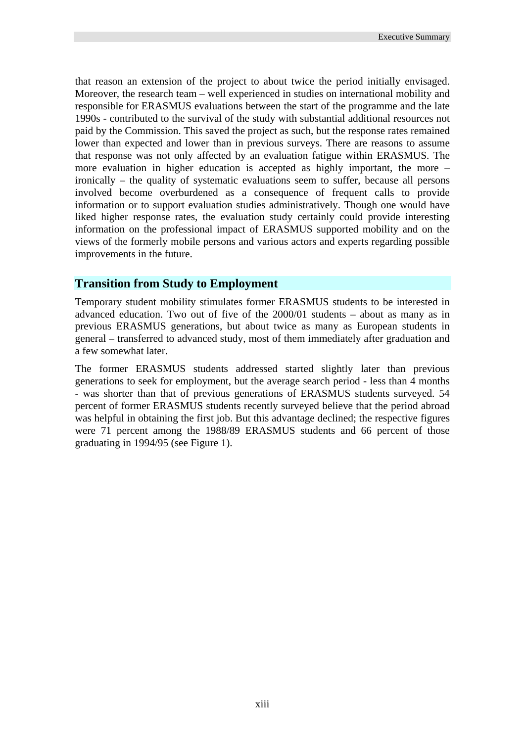that reason an extension of the project to about twice the period initially envisaged. Moreover, the research team – well experienced in studies on international mobility and responsible for ERASMUS evaluations between the start of the programme and the late 1990s - contributed to the survival of the study with substantial additional resources not paid by the Commission. This saved the project as such, but the response rates remained lower than expected and lower than in previous surveys. There are reasons to assume that response was not only affected by an evaluation fatigue within ERASMUS. The more evaluation in higher education is accepted as highly important, the more – ironically – the quality of systematic evaluations seem to suffer, because all persons involved become overburdened as a consequence of frequent calls to provide information or to support evaluation studies administratively. Though one would have liked higher response rates, the evaluation study certainly could provide interesting information on the professional impact of ERASMUS supported mobility and on the views of the formerly mobile persons and various actors and experts regarding possible improvements in the future.

#### **Transition from Study to Employment**

Temporary student mobility stimulates former ERASMUS students to be interested in advanced education. Two out of five of the 2000/01 students – about as many as in previous ERASMUS generations, but about twice as many as European students in general – transferred to advanced study, most of them immediately after graduation and a few somewhat later.

The former ERASMUS students addressed started slightly later than previous generations to seek for employment, but the average search period - less than 4 months - was shorter than that of previous generations of ERASMUS students surveyed. 54 percent of former ERASMUS students recently surveyed believe that the period abroad was helpful in obtaining the first job. But this advantage declined; the respective figures were 71 percent among the 1988/89 ERASMUS students and 66 percent of those graduating in 1994/95 (see Figure 1).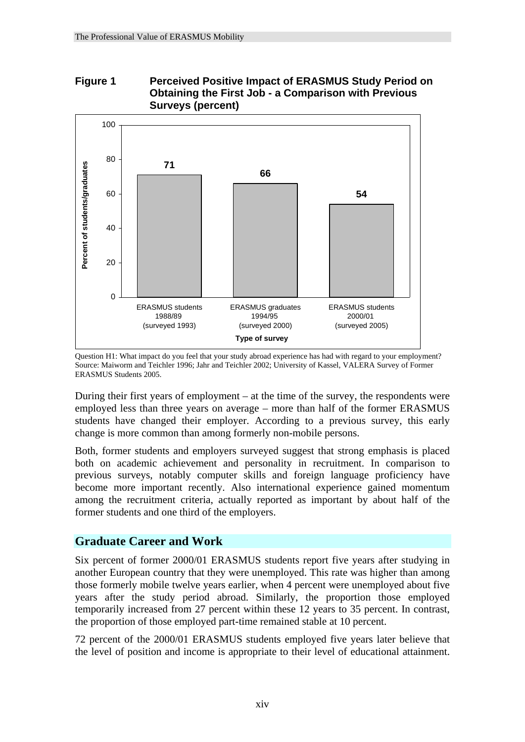



Question H1: What impact do you feel that your study abroad experience has had with regard to your employment? Source: Maiworm and Teichler 1996; Jahr and Teichler 2002; University of Kassel, VALERA Survey of Former ERASMUS Students 2005.

During their first years of employment – at the time of the survey, the respondents were employed less than three years on average – more than half of the former ERASMUS students have changed their employer. According to a previous survey, this early change is more common than among formerly non-mobile persons.

Both, former students and employers surveyed suggest that strong emphasis is placed both on academic achievement and personality in recruitment. In comparison to previous surveys, notably computer skills and foreign language proficiency have become more important recently. Also international experience gained momentum among the recruitment criteria, actually reported as important by about half of the former students and one third of the employers.

#### **Graduate Career and Work**

Six percent of former 2000/01 ERASMUS students report five years after studying in another European country that they were unemployed. This rate was higher than among those formerly mobile twelve years earlier, when 4 percent were unemployed about five years after the study period abroad. Similarly, the proportion those employed temporarily increased from 27 percent within these 12 years to 35 percent. In contrast, the proportion of those employed part-time remained stable at 10 percent.

72 percent of the 2000/01 ERASMUS students employed five years later believe that the level of position and income is appropriate to their level of educational attainment.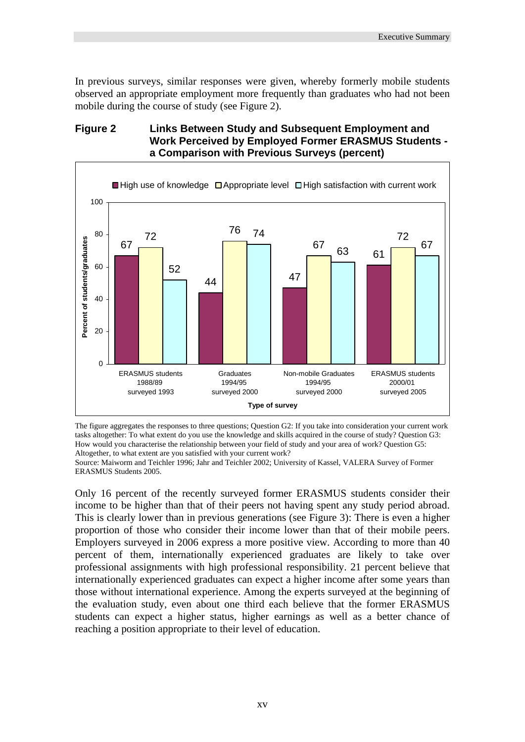In previous surveys, similar responses were given, whereby formerly mobile students observed an appropriate employment more frequently than graduates who had not been mobile during the course of study (see Figure 2).

#### **Figure 2 Links Between Study and Subsequent Employment and Work Perceived by Employed Former ERASMUS Students a Comparison with Previous Surveys (percent)**



The figure aggregates the responses to three questions; Question G2: If you take into consideration your current work tasks altogether: To what extent do you use the knowledge and skills acquired in the course of study? Question G3: How would you characterise the relationship between your field of study and your area of work? Question G5: Altogether, to what extent are you satisfied with your current work?

Source: Maiworm and Teichler 1996; Jahr and Teichler 2002; University of Kassel, VALERA Survey of Former ERASMUS Students 2005.

Only 16 percent of the recently surveyed former ERASMUS students consider their income to be higher than that of their peers not having spent any study period abroad. This is clearly lower than in previous generations (see Figure 3): There is even a higher proportion of those who consider their income lower than that of their mobile peers. Employers surveyed in 2006 express a more positive view. According to more than 40 percent of them, internationally experienced graduates are likely to take over professional assignments with high professional responsibility. 21 percent believe that internationally experienced graduates can expect a higher income after some years than those without international experience. Among the experts surveyed at the beginning of the evaluation study, even about one third each believe that the former ERASMUS students can expect a higher status, higher earnings as well as a better chance of reaching a position appropriate to their level of education.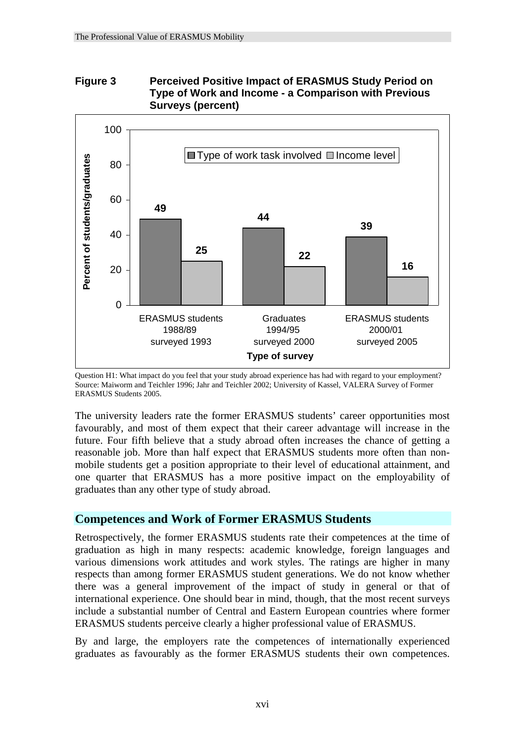#### **Figure 3 Perceived Positive Impact of ERASMUS Study Period on Type of Work and Income - a Comparison with Previous Surveys (percent)**



Question H1: What impact do you feel that your study abroad experience has had with regard to your employment? Source: Maiworm and Teichler 1996; Jahr and Teichler 2002; University of Kassel, VALERA Survey of Former ERASMUS Students 2005.

The university leaders rate the former ERASMUS students' career opportunities most favourably, and most of them expect that their career advantage will increase in the future. Four fifth believe that a study abroad often increases the chance of getting a reasonable job. More than half expect that ERASMUS students more often than nonmobile students get a position appropriate to their level of educational attainment, and one quarter that ERASMUS has a more positive impact on the employability of graduates than any other type of study abroad.

#### **Competences and Work of Former ERASMUS Students**

Retrospectively, the former ERASMUS students rate their competences at the time of graduation as high in many respects: academic knowledge, foreign languages and various dimensions work attitudes and work styles. The ratings are higher in many respects than among former ERASMUS student generations. We do not know whether there was a general improvement of the impact of study in general or that of international experience. One should bear in mind, though, that the most recent surveys include a substantial number of Central and Eastern European countries where former ERASMUS students perceive clearly a higher professional value of ERASMUS.

By and large, the employers rate the competences of internationally experienced graduates as favourably as the former ERASMUS students their own competences.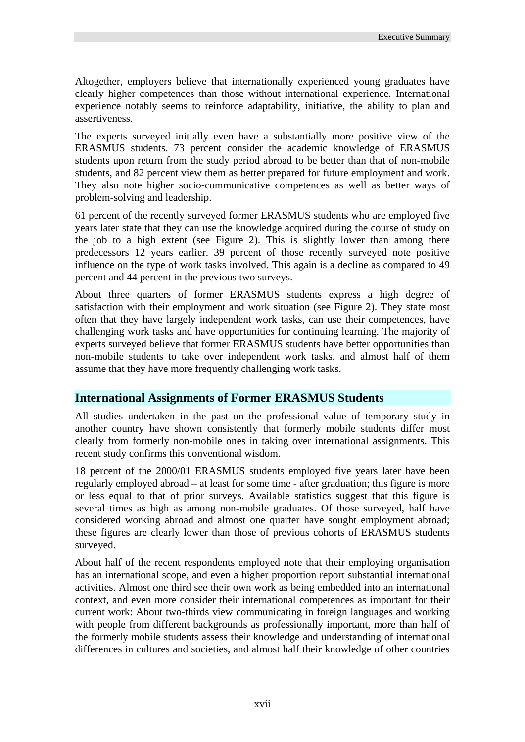Altogether, employers believe that internationally experienced young graduates have clearly higher competences than those without international experience. International experience notably seems to reinforce adaptability, initiative, the ability to plan and assertiveness.

The experts surveyed initially even have a substantially more positive view of the ERASMUS students. 73 percent consider the academic knowledge of ERASMUS students upon return from the study period abroad to be better than that of non-mobile students, and 82 percent view them as better prepared for future employment and work. They also note higher socio-communicative competences as well as better ways of problem-solving and leadership.

61 percent of the recently surveyed former ERASMUS students who are employed five years later state that they can use the knowledge acquired during the course of study on the job to a high extent (see Figure 2). This is slightly lower than among there predecessors 12 years earlier. 39 percent of those recently surveyed note positive influence on the type of work tasks involved. This again is a decline as compared to 49 percent and 44 percent in the previous two surveys.

About three quarters of former ERASMUS students express a high degree of satisfaction with their employment and work situation (see Figure 2). They state most often that they have largely independent work tasks, can use their competences, have challenging work tasks and have opportunities for continuing learning. The majority of experts surveyed believe that former ERASMUS students have better opportunities than non-mobile students to take over independent work tasks, and almost half of them assume that they have more frequently challenging work tasks.

#### **International Assignments of Former ERASMUS Students**

All studies undertaken in the past on the professional value of temporary study in another country have shown consistently that formerly mobile students differ most clearly from formerly non-mobile ones in taking over international assignments. This recent study confirms this conventional wisdom.

18 percent of the 2000/01 ERASMUS students employed five years later have been regularly employed abroad – at least for some time - after graduation; this figure is more or less equal to that of prior surveys. Available statistics suggest that this figure is several times as high as among non-mobile graduates. Of those surveyed, half have considered working abroad and almost one quarter have sought employment abroad; these figures are clearly lower than those of previous cohorts of ERASMUS students surveyed.

About half of the recent respondents employed note that their employing organisation has an international scope, and even a higher proportion report substantial international activities. Almost one third see their own work as being embedded into an international context, and even more consider their international competences as important for their current work: About two-thirds view communicating in foreign languages and working with people from different backgrounds as professionally important, more than half of the formerly mobile students assess their knowledge and understanding of international differences in cultures and societies, and almost half their knowledge of other countries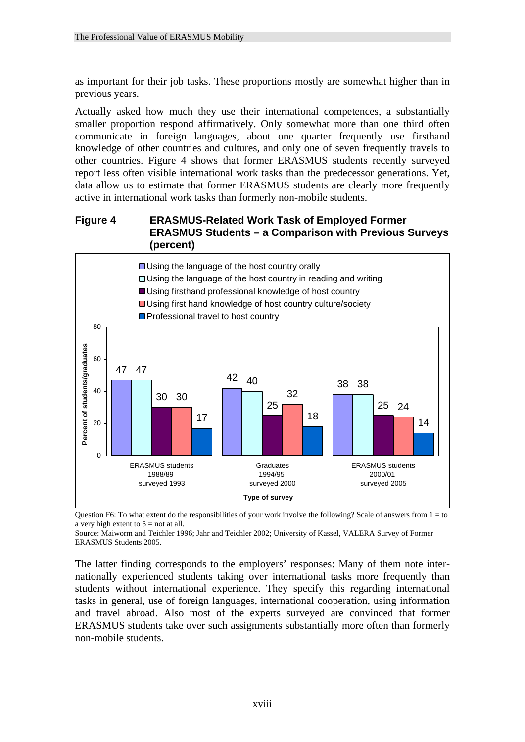as important for their job tasks. These proportions mostly are somewhat higher than in previous years.

Actually asked how much they use their international competences, a substantially smaller proportion respond affirmatively. Only somewhat more than one third often communicate in foreign languages, about one quarter frequently use firsthand knowledge of other countries and cultures, and only one of seven frequently travels to other countries. Figure 4 shows that former ERASMUS students recently surveyed report less often visible international work tasks than the predecessor generations. Yet, data allow us to estimate that former ERASMUS students are clearly more frequently active in international work tasks than formerly non-mobile students.

#### **Figure 4 ERASMUS-Related Work Task of Employed Former ERASMUS Students – a Comparison with Previous Surveys (percent)**



Question F6: To what extent do the responsibilities of your work involve the following? Scale of answers from  $1 =$  to a very high extent to  $5 =$  not at all.

Source: Maiworm and Teichler 1996; Jahr and Teichler 2002; University of Kassel, VALERA Survey of Former ERASMUS Students 2005.

The latter finding corresponds to the employers' responses: Many of them note internationally experienced students taking over international tasks more frequently than students without international experience. They specify this regarding international tasks in general, use of foreign languages, international cooperation, using information and travel abroad. Also most of the experts surveyed are convinced that former ERASMUS students take over such assignments substantially more often than formerly non-mobile students.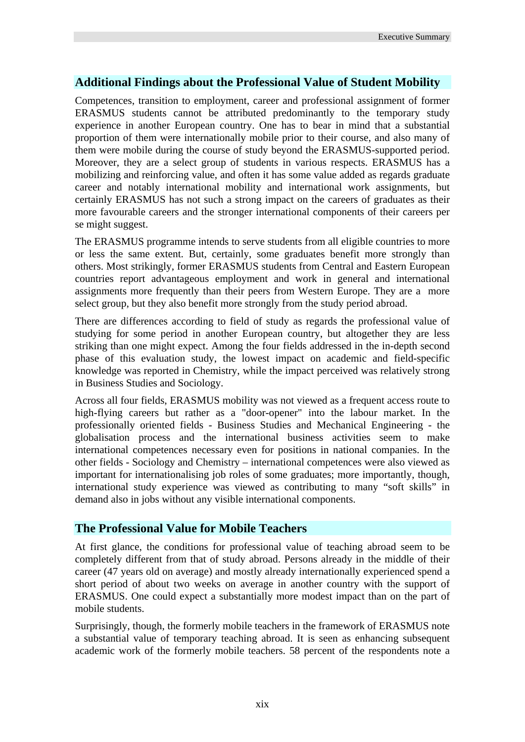#### **Additional Findings about the Professional Value of Student Mobility**

Competences, transition to employment, career and professional assignment of former ERASMUS students cannot be attributed predominantly to the temporary study experience in another European country. One has to bear in mind that a substantial proportion of them were internationally mobile prior to their course, and also many of them were mobile during the course of study beyond the ERASMUS-supported period. Moreover, they are a select group of students in various respects. ERASMUS has a mobilizing and reinforcing value, and often it has some value added as regards graduate career and notably international mobility and international work assignments, but certainly ERASMUS has not such a strong impact on the careers of graduates as their more favourable careers and the stronger international components of their careers per se might suggest.

The ERASMUS programme intends to serve students from all eligible countries to more or less the same extent. But, certainly, some graduates benefit more strongly than others. Most strikingly, former ERASMUS students from Central and Eastern European countries report advantageous employment and work in general and international assignments more frequently than their peers from Western Europe. They are a more select group, but they also benefit more strongly from the study period abroad.

There are differences according to field of study as regards the professional value of studying for some period in another European country, but altogether they are less striking than one might expect. Among the four fields addressed in the in-depth second phase of this evaluation study, the lowest impact on academic and field-specific knowledge was reported in Chemistry, while the impact perceived was relatively strong in Business Studies and Sociology.

Across all four fields, ERASMUS mobility was not viewed as a frequent access route to high-flying careers but rather as a "door-opener" into the labour market. In the professionally oriented fields - Business Studies and Mechanical Engineering - the globalisation process and the international business activities seem to make international competences necessary even for positions in national companies. In the other fields - Sociology and Chemistry – international competences were also viewed as important for internationalising job roles of some graduates; more importantly, though, international study experience was viewed as contributing to many "soft skills" in demand also in jobs without any visible international components.

#### **The Professional Value for Mobile Teachers**

At first glance, the conditions for professional value of teaching abroad seem to be completely different from that of study abroad. Persons already in the middle of their career (47 years old on average) and mostly already internationally experienced spend a short period of about two weeks on average in another country with the support of ERASMUS. One could expect a substantially more modest impact than on the part of mobile students.

Surprisingly, though, the formerly mobile teachers in the framework of ERASMUS note a substantial value of temporary teaching abroad. It is seen as enhancing subsequent academic work of the formerly mobile teachers. 58 percent of the respondents note a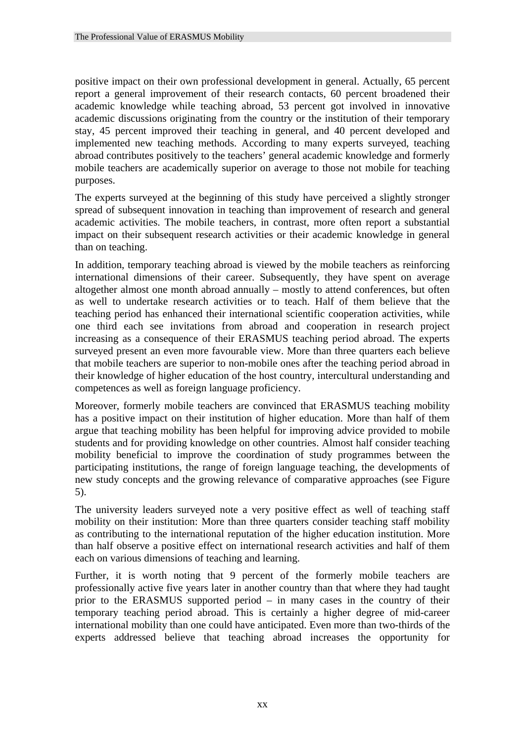positive impact on their own professional development in general. Actually, 65 percent report a general improvement of their research contacts, 60 percent broadened their academic knowledge while teaching abroad, 53 percent got involved in innovative academic discussions originating from the country or the institution of their temporary stay, 45 percent improved their teaching in general, and 40 percent developed and implemented new teaching methods. According to many experts surveyed, teaching abroad contributes positively to the teachers' general academic knowledge and formerly mobile teachers are academically superior on average to those not mobile for teaching purposes.

The experts surveyed at the beginning of this study have perceived a slightly stronger spread of subsequent innovation in teaching than improvement of research and general academic activities. The mobile teachers, in contrast, more often report a substantial impact on their subsequent research activities or their academic knowledge in general than on teaching.

In addition, temporary teaching abroad is viewed by the mobile teachers as reinforcing international dimensions of their career. Subsequently, they have spent on average altogether almost one month abroad annually – mostly to attend conferences, but often as well to undertake research activities or to teach. Half of them believe that the teaching period has enhanced their international scientific cooperation activities, while one third each see invitations from abroad and cooperation in research project increasing as a consequence of their ERASMUS teaching period abroad. The experts surveyed present an even more favourable view. More than three quarters each believe that mobile teachers are superior to non-mobile ones after the teaching period abroad in their knowledge of higher education of the host country, intercultural understanding and competences as well as foreign language proficiency.

Moreover, formerly mobile teachers are convinced that ERASMUS teaching mobility has a positive impact on their institution of higher education. More than half of them argue that teaching mobility has been helpful for improving advice provided to mobile students and for providing knowledge on other countries. Almost half consider teaching mobility beneficial to improve the coordination of study programmes between the participating institutions, the range of foreign language teaching, the developments of new study concepts and the growing relevance of comparative approaches (see Figure 5).

The university leaders surveyed note a very positive effect as well of teaching staff mobility on their institution: More than three quarters consider teaching staff mobility as contributing to the international reputation of the higher education institution. More than half observe a positive effect on international research activities and half of them each on various dimensions of teaching and learning.

Further, it is worth noting that 9 percent of the formerly mobile teachers are professionally active five years later in another country than that where they had taught prior to the ERASMUS supported period – in many cases in the country of their temporary teaching period abroad. This is certainly a higher degree of mid-career international mobility than one could have anticipated. Even more than two-thirds of the experts addressed believe that teaching abroad increases the opportunity for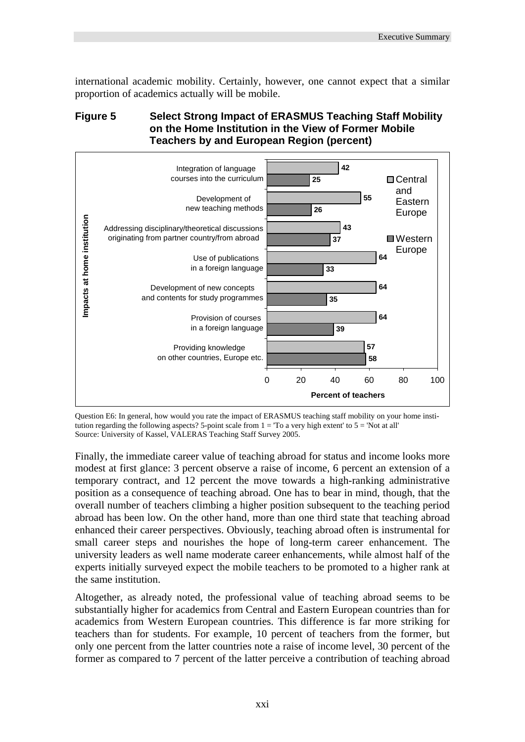international academic mobility. Certainly, however, one cannot expect that a similar proportion of academics actually will be mobile.

#### **Figure 5 Select Strong Impact of ERASMUS Teaching Staff Mobility on the Home Institution in the View of Former Mobile Teachers by and European Region (percent)**



Question E6: In general, how would you rate the impact of ERASMUS teaching staff mobility on your home institution regarding the following aspects? 5-point scale from  $1 =$  'To a very high extent' to  $5 =$  'Not at all' Source: University of Kassel, VALERAS Teaching Staff Survey 2005.

Finally, the immediate career value of teaching abroad for status and income looks more modest at first glance: 3 percent observe a raise of income, 6 percent an extension of a temporary contract, and 12 percent the move towards a high-ranking administrative position as a consequence of teaching abroad. One has to bear in mind, though, that the overall number of teachers climbing a higher position subsequent to the teaching period abroad has been low. On the other hand, more than one third state that teaching abroad enhanced their career perspectives. Obviously, teaching abroad often is instrumental for small career steps and nourishes the hope of long-term career enhancement. The university leaders as well name moderate career enhancements, while almost half of the experts initially surveyed expect the mobile teachers to be promoted to a higher rank at the same institution.

Altogether, as already noted, the professional value of teaching abroad seems to be substantially higher for academics from Central and Eastern European countries than for academics from Western European countries. This difference is far more striking for teachers than for students. For example, 10 percent of teachers from the former, but only one percent from the latter countries note a raise of income level, 30 percent of the former as compared to 7 percent of the latter perceive a contribution of teaching abroad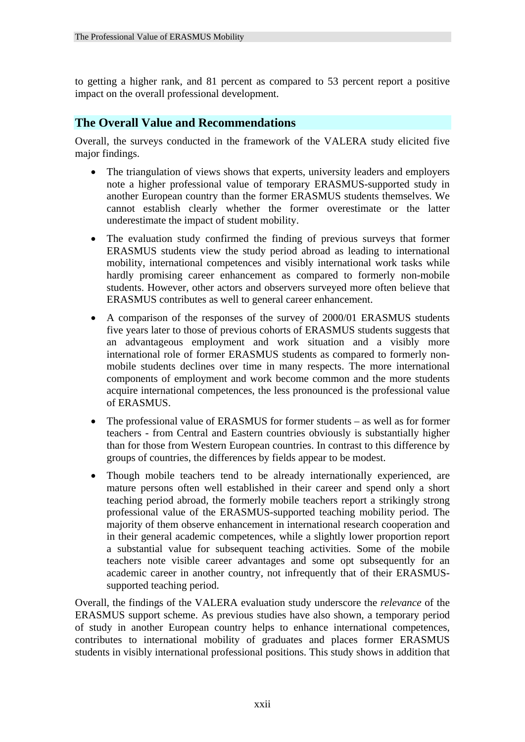to getting a higher rank, and 81 percent as compared to 53 percent report a positive impact on the overall professional development.

#### **The Overall Value and Recommendations**

Overall, the surveys conducted in the framework of the VALERA study elicited five major findings.

- The triangulation of views shows that experts, university leaders and employers note a higher professional value of temporary ERASMUS-supported study in another European country than the former ERASMUS students themselves. We cannot establish clearly whether the former overestimate or the latter underestimate the impact of student mobility.
- The evaluation study confirmed the finding of previous surveys that former ERASMUS students view the study period abroad as leading to international mobility, international competences and visibly international work tasks while hardly promising career enhancement as compared to formerly non-mobile students. However, other actors and observers surveyed more often believe that ERASMUS contributes as well to general career enhancement.
- A comparison of the responses of the survey of 2000/01 ERASMUS students five years later to those of previous cohorts of ERASMUS students suggests that an advantageous employment and work situation and a visibly more international role of former ERASMUS students as compared to formerly nonmobile students declines over time in many respects. The more international components of employment and work become common and the more students acquire international competences, the less pronounced is the professional value of ERASMUS.
- The professional value of ERASMUS for former students as well as for former teachers - from Central and Eastern countries obviously is substantially higher than for those from Western European countries. In contrast to this difference by groups of countries, the differences by fields appear to be modest.
- Though mobile teachers tend to be already internationally experienced, are mature persons often well established in their career and spend only a short teaching period abroad, the formerly mobile teachers report a strikingly strong professional value of the ERASMUS-supported teaching mobility period. The majority of them observe enhancement in international research cooperation and in their general academic competences, while a slightly lower proportion report a substantial value for subsequent teaching activities. Some of the mobile teachers note visible career advantages and some opt subsequently for an academic career in another country, not infrequently that of their ERASMUSsupported teaching period.

Overall, the findings of the VALERA evaluation study underscore the *relevance* of the ERASMUS support scheme. As previous studies have also shown, a temporary period of study in another European country helps to enhance international competences, contributes to international mobility of graduates and places former ERASMUS students in visibly international professional positions. This study shows in addition that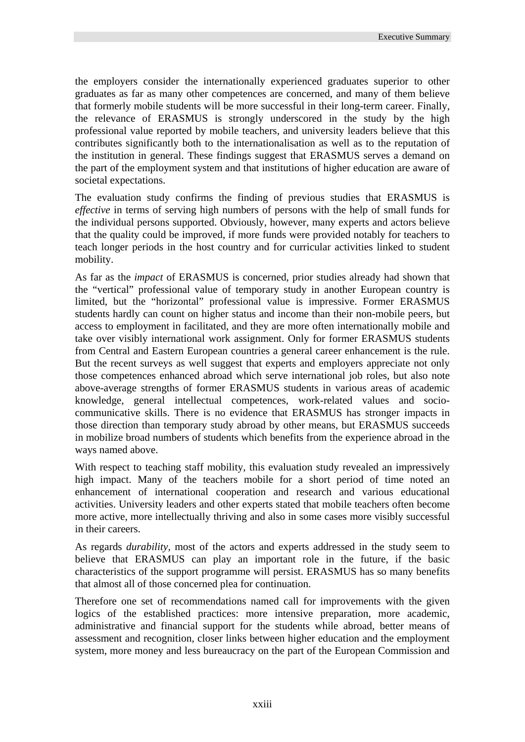the employers consider the internationally experienced graduates superior to other graduates as far as many other competences are concerned, and many of them believe that formerly mobile students will be more successful in their long-term career. Finally, the relevance of ERASMUS is strongly underscored in the study by the high professional value reported by mobile teachers, and university leaders believe that this contributes significantly both to the internationalisation as well as to the reputation of the institution in general. These findings suggest that ERASMUS serves a demand on the part of the employment system and that institutions of higher education are aware of societal expectations.

The evaluation study confirms the finding of previous studies that ERASMUS is *effective* in terms of serving high numbers of persons with the help of small funds for the individual persons supported. Obviously, however, many experts and actors believe that the quality could be improved, if more funds were provided notably for teachers to teach longer periods in the host country and for curricular activities linked to student mobility.

As far as the *impact* of ERASMUS is concerned, prior studies already had shown that the "vertical" professional value of temporary study in another European country is limited, but the "horizontal" professional value is impressive. Former ERASMUS students hardly can count on higher status and income than their non-mobile peers, but access to employment in facilitated, and they are more often internationally mobile and take over visibly international work assignment. Only for former ERASMUS students from Central and Eastern European countries a general career enhancement is the rule. But the recent surveys as well suggest that experts and employers appreciate not only those competences enhanced abroad which serve international job roles, but also note above-average strengths of former ERASMUS students in various areas of academic knowledge, general intellectual competences, work-related values and sociocommunicative skills. There is no evidence that ERASMUS has stronger impacts in those direction than temporary study abroad by other means, but ERASMUS succeeds in mobilize broad numbers of students which benefits from the experience abroad in the ways named above.

With respect to teaching staff mobility, this evaluation study revealed an impressively high impact. Many of the teachers mobile for a short period of time noted an enhancement of international cooperation and research and various educational activities. University leaders and other experts stated that mobile teachers often become more active, more intellectually thriving and also in some cases more visibly successful in their careers.

As regards *durability,* most of the actors and experts addressed in the study seem to believe that ERASMUS can play an important role in the future, if the basic characteristics of the support programme will persist. ERASMUS has so many benefits that almost all of those concerned plea for continuation.

Therefore one set of recommendations named call for improvements with the given logics of the established practices: more intensive preparation, more academic, administrative and financial support for the students while abroad, better means of assessment and recognition, closer links between higher education and the employment system, more money and less bureaucracy on the part of the European Commission and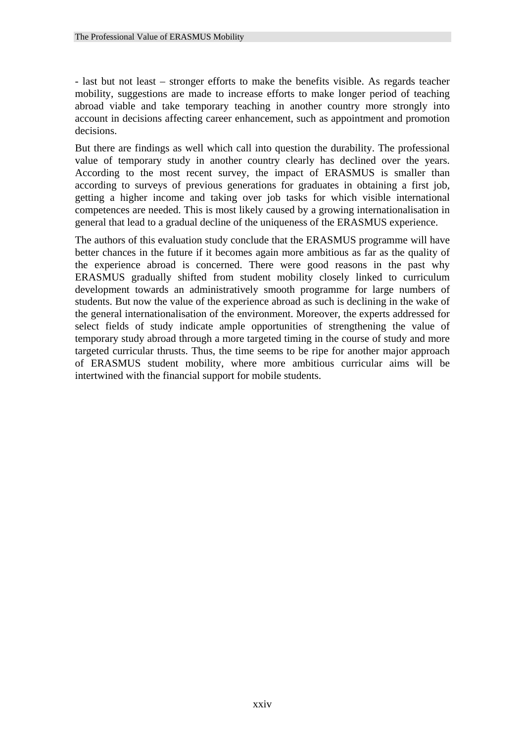- last but not least – stronger efforts to make the benefits visible. As regards teacher mobility, suggestions are made to increase efforts to make longer period of teaching abroad viable and take temporary teaching in another country more strongly into account in decisions affecting career enhancement, such as appointment and promotion decisions.

But there are findings as well which call into question the durability. The professional value of temporary study in another country clearly has declined over the years. According to the most recent survey, the impact of ERASMUS is smaller than according to surveys of previous generations for graduates in obtaining a first job, getting a higher income and taking over job tasks for which visible international competences are needed. This is most likely caused by a growing internationalisation in general that lead to a gradual decline of the uniqueness of the ERASMUS experience.

The authors of this evaluation study conclude that the ERASMUS programme will have better chances in the future if it becomes again more ambitious as far as the quality of the experience abroad is concerned. There were good reasons in the past why ERASMUS gradually shifted from student mobility closely linked to curriculum development towards an administratively smooth programme for large numbers of students. But now the value of the experience abroad as such is declining in the wake of the general internationalisation of the environment. Moreover, the experts addressed for select fields of study indicate ample opportunities of strengthening the value of temporary study abroad through a more targeted timing in the course of study and more targeted curricular thrusts. Thus, the time seems to be ripe for another major approach of ERASMUS student mobility, where more ambitious curricular aims will be intertwined with the financial support for mobile students.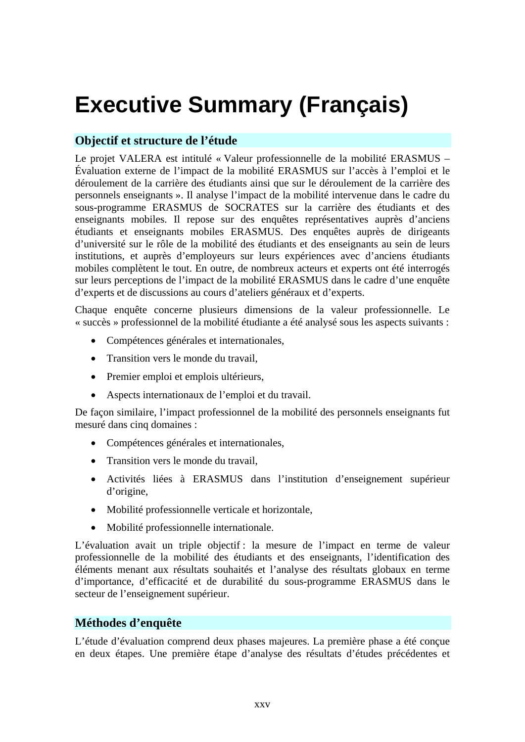# **Executive Summary (Français)**

#### **Objectif et structure de l'étude**

Le projet VALERA est intitulé « Valeur professionnelle de la mobilité ERASMUS – Évaluation externe de l'impact de la mobilité ERASMUS sur l'accès à l'emploi et le déroulement de la carrière des étudiants ainsi que sur le déroulement de la carrière des personnels enseignants ». Il analyse l'impact de la mobilité intervenue dans le cadre du sous-programme ERASMUS de SOCRATES sur la carrière des étudiants et des enseignants mobiles. Il repose sur des enquêtes représentatives auprès d'anciens étudiants et enseignants mobiles ERASMUS. Des enquêtes auprès de dirigeants d'université sur le rôle de la mobilité des étudiants et des enseignants au sein de leurs institutions, et auprès d'employeurs sur leurs expériences avec d'anciens étudiants mobiles complètent le tout. En outre, de nombreux acteurs et experts ont été interrogés sur leurs perceptions de l'impact de la mobilité ERASMUS dans le cadre d'une enquête d'experts et de discussions au cours d'ateliers généraux et d'experts.

Chaque enquête concerne plusieurs dimensions de la valeur professionnelle. Le « succès » professionnel de la mobilité étudiante a été analysé sous les aspects suivants :

- Compétences générales et internationales,
- Transition vers le monde du travail.
- Premier emploi et emplois ultérieurs,
- Aspects internationaux de l'emploi et du travail.

De façon similaire, l'impact professionnel de la mobilité des personnels enseignants fut mesuré dans cinq domaines :

- Compétences générales et internationales,
- Transition vers le monde du travail.
- Activités liées à ERASMUS dans l'institution d'enseignement supérieur d'origine,
- Mobilité professionnelle verticale et horizontale,
- Mobilité professionnelle internationale.

L'évaluation avait un triple objectif : la mesure de l'impact en terme de valeur professionnelle de la mobilité des étudiants et des enseignants, l'identification des éléments menant aux résultats souhaités et l'analyse des résultats globaux en terme d'importance, d'efficacité et de durabilité du sous-programme ERASMUS dans le secteur de l'enseignement supérieur.

#### **Méthodes d'enquête**

L'étude d'évaluation comprend deux phases majeures. La première phase a été conçue en deux étapes. Une première étape d'analyse des résultats d'études précédentes et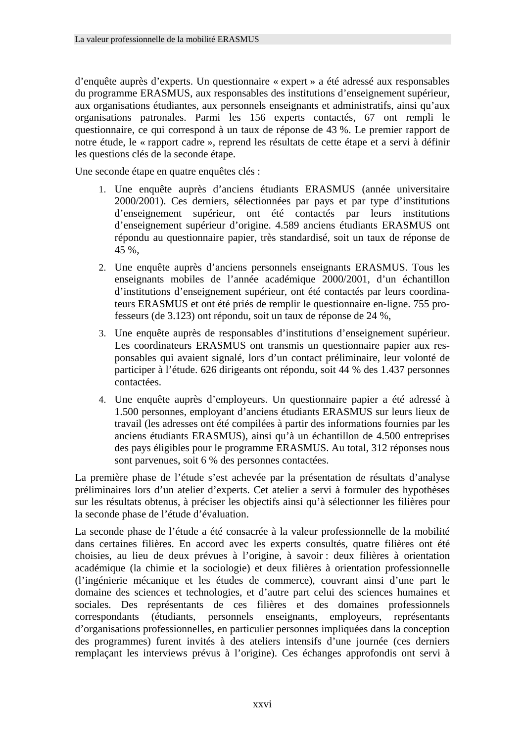d'enquête auprès d'experts. Un questionnaire « expert » a été adressé aux responsables du programme ERASMUS, aux responsables des institutions d'enseignement supérieur, aux organisations étudiantes, aux personnels enseignants et administratifs, ainsi qu'aux organisations patronales. Parmi les 156 experts contactés, 67 ont rempli le questionnaire, ce qui correspond à un taux de réponse de 43 %. Le premier rapport de notre étude, le « rapport cadre », reprend les résultats de cette étape et a servi à définir les questions clés de la seconde étape.

Une seconde étape en quatre enquêtes clés :

- 1. Une enquête auprès d'anciens étudiants ERASMUS (année universitaire 2000/2001). Ces derniers, sélectionnées par pays et par type d'institutions d'enseignement supérieur, ont été contactés par leurs institutions d'enseignement supérieur d'origine. 4.589 anciens étudiants ERASMUS ont répondu au questionnaire papier, très standardisé, soit un taux de réponse de 45 %,
- 2. Une enquête auprès d'anciens personnels enseignants ERASMUS. Tous les enseignants mobiles de l'année académique 2000/2001, d'un échantillon d'institutions d'enseignement supérieur, ont été contactés par leurs coordinateurs ERASMUS et ont été priés de remplir le questionnaire en-ligne. 755 professeurs (de 3.123) ont répondu, soit un taux de réponse de 24 %,
- 3. Une enquête auprès de responsables d'institutions d'enseignement supérieur. Les coordinateurs ERASMUS ont transmis un questionnaire papier aux responsables qui avaient signalé, lors d'un contact préliminaire, leur volonté de participer à l'étude. 626 dirigeants ont répondu, soit 44 % des 1.437 personnes contactées.
- 4. Une enquête auprès d'employeurs. Un questionnaire papier a été adressé à 1.500 personnes, employant d'anciens étudiants ERASMUS sur leurs lieux de travail (les adresses ont été compilées à partir des informations fournies par les anciens étudiants ERASMUS), ainsi qu'à un échantillon de 4.500 entreprises des pays éligibles pour le programme ERASMUS. Au total, 312 réponses nous sont parvenues, soit 6 % des personnes contactées.

La première phase de l'étude s'est achevée par la présentation de résultats d'analyse préliminaires lors d'un atelier d'experts. Cet atelier a servi à formuler des hypothèses sur les résultats obtenus, à préciser les objectifs ainsi qu'à sélectionner les filières pour la seconde phase de l'étude d'évaluation.

La seconde phase de l'étude a été consacrée à la valeur professionnelle de la mobilité dans certaines filières. En accord avec les experts consultés, quatre filières ont été choisies, au lieu de deux prévues à l'origine, à savoir : deux filières à orientation académique (la chimie et la sociologie) et deux filières à orientation professionnelle (l'ingénierie mécanique et les études de commerce), couvrant ainsi d'une part le domaine des sciences et technologies, et d'autre part celui des sciences humaines et sociales. Des représentants de ces filières et des domaines professionnels correspondants (étudiants, personnels enseignants, employeurs, représentants d'organisations professionnelles, en particulier personnes impliquées dans la conception des programmes) furent invités à des ateliers intensifs d'une journée (ces derniers remplaçant les interviews prévus à l'origine). Ces échanges approfondis ont servi à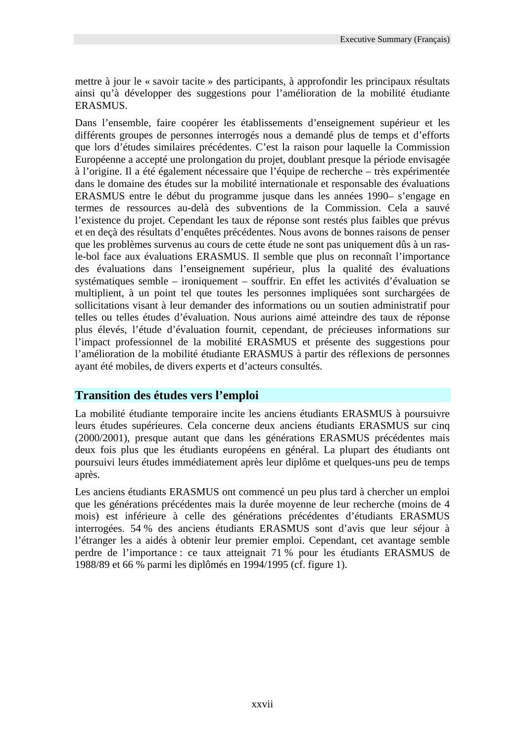mettre à jour le « savoir tacite » des participants, à approfondir les principaux résultats ainsi qu'à développer des suggestions pour l'amélioration de la mobilité étudiante ERASMUS.

Dans l'ensemble, faire coopérer les établissements d'enseignement supérieur et les différents groupes de personnes interrogés nous a demandé plus de temps et d'efforts que lors d'études similaires précédentes. C'est la raison pour laquelle la Commission Européenne a accepté une prolongation du projet, doublant presque la période envisagée à l'origine. Il a été également nécessaire que l'équipe de recherche – très expérimentée dans le domaine des études sur la mobilité internationale et responsable des évaluations ERASMUS entre le début du programme jusque dans les années 1990– s'engage en termes de ressources au-delà des subventions de la Commission. Cela a sauvé l'existence du projet. Cependant les taux de réponse sont restés plus faibles que prévus et en deçà des résultats d'enquêtes précédentes. Nous avons de bonnes raisons de penser que les problèmes survenus au cours de cette étude ne sont pas uniquement dûs à un rasle-bol face aux évaluations ERASMUS. Il semble que plus on reconnaît l'importance des évaluations dans l'enseignement supérieur, plus la qualité des évaluations systématiques semble – ironiquement – souffrir. En effet les activités d'évaluation se multiplient, à un point tel que toutes les personnes impliquées sont surchargées de sollicitations visant à leur demander des informations ou un soutien administratif pour telles ou telles études d'évaluation. Nous aurions aimé atteindre des taux de réponse plus élevés, l'étude d'évaluation fournit, cependant, de précieuses informations sur l'impact professionnel de la mobilité ERASMUS et présente des suggestions pour l'amélioration de la mobilité étudiante ERASMUS à partir des réflexions de personnes ayant été mobiles, de divers experts et d'acteurs consultés.

#### **Transition des études vers l'emploi**

La mobilité étudiante temporaire incite les anciens étudiants ERASMUS à poursuivre leurs études supérieures. Cela concerne deux anciens étudiants ERASMUS sur cinq (2000/2001), presque autant que dans les générations ERASMUS précédentes mais deux fois plus que les étudiants européens en général. La plupart des étudiants ont poursuivi leurs études immédiatement après leur diplôme et quelques-uns peu de temps après.

Les anciens étudiants ERASMUS ont commencé un peu plus tard à chercher un emploi que les générations précédentes mais la durée moyenne de leur recherche (moins de 4 mois) est inférieure à celle des générations précédentes d'étudiants ERASMUS interrogées. 54 % des anciens étudiants ERASMUS sont d'avis que leur séjour à l'étranger les a aidés à obtenir leur premier emploi. Cependant, cet avantage semble perdre de l'importance : ce taux atteignait 71 % pour les étudiants ERASMUS de 1988/89 et 66 % parmi les diplômés en 1994/1995 (cf. figure 1).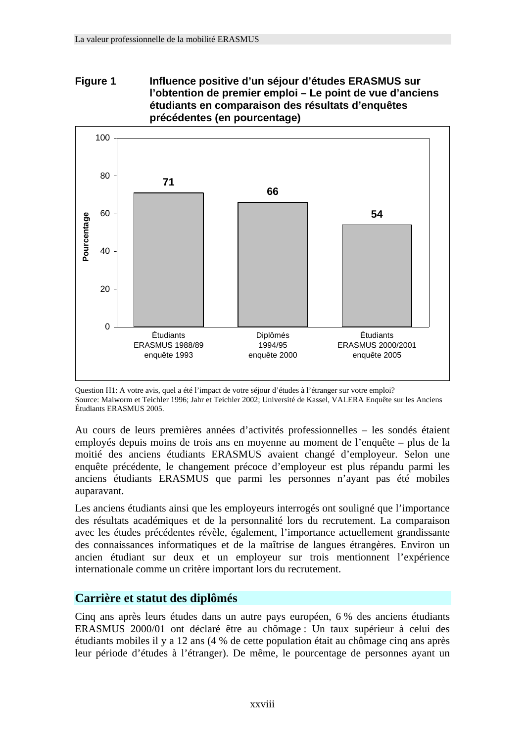#### **Figure 1 Influence positive d'un séjour d'études ERASMUS sur l'obtention de premier emploi – Le point de vue d'anciens étudiants en comparaison des résultats d'enquêtes précédentes (en pourcentage)**



Question H1: A votre avis, quel a été l'impact de votre séjour d'études à l'étranger sur votre emploi? Source: Maiworm et Teichler 1996; Jahr et Teichler 2002; Université de Kassel, VALERA Enquête sur les Anciens Étudiants ERASMUS 2005.

Au cours de leurs premières années d'activités professionnelles – les sondés étaient employés depuis moins de trois ans en moyenne au moment de l'enquête – plus de la moitié des anciens étudiants ERASMUS avaient changé d'employeur. Selon une enquête précédente, le changement précoce d'employeur est plus répandu parmi les anciens étudiants ERASMUS que parmi les personnes n'ayant pas été mobiles auparavant.

Les anciens étudiants ainsi que les employeurs interrogés ont souligné que l'importance des résultats académiques et de la personnalité lors du recrutement. La comparaison avec les études précédentes révèle, également, l'importance actuellement grandissante des connaissances informatiques et de la maîtrise de langues étrangères. Environ un ancien étudiant sur deux et un employeur sur trois mentionnent l'expérience internationale comme un critère important lors du recrutement.

#### **Carrière et statut des diplômés**

Cinq ans après leurs études dans un autre pays européen, 6 % des anciens étudiants ERASMUS 2000/01 ont déclaré être au chômage : Un taux supérieur à celui des étudiants mobiles il y a 12 ans (4 % de cette population était au chômage cinq ans après leur période d'études à l'étranger). De même, le pourcentage de personnes ayant un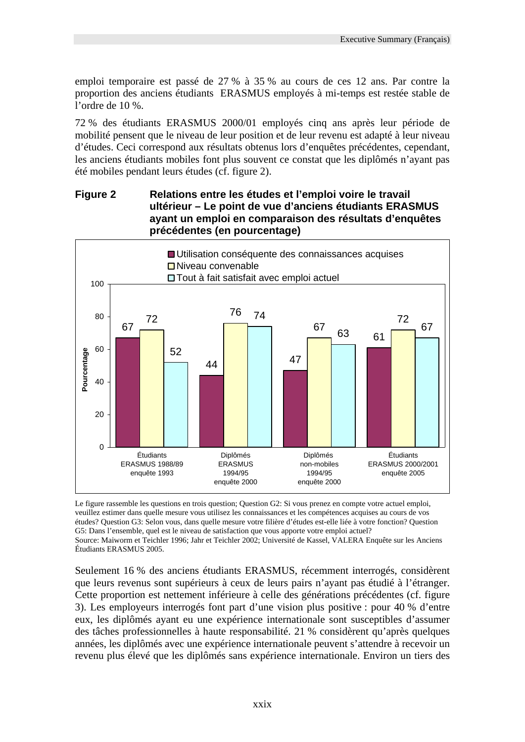emploi temporaire est passé de 27 % à 35 % au cours de ces 12 ans. Par contre la proportion des anciens étudiants ERASMUS employés à mi-temps est restée stable de l'ordre de 10 %.

72 % des étudiants ERASMUS 2000/01 employés cinq ans après leur période de mobilité pensent que le niveau de leur position et de leur revenu est adapté à leur niveau d'études. Ceci correspond aux résultats obtenus lors d'enquêtes précédentes, cependant, les anciens étudiants mobiles font plus souvent ce constat que les diplômés n'ayant pas été mobiles pendant leurs études (cf. figure 2).

#### **Figure 2 Relations entre les études et l'emploi voire le travail ultérieur – Le point de vue d'anciens étudiants ERASMUS ayant un emploi en comparaison des résultats d'enquêtes précédentes (en pourcentage)**



Le figure rassemble les questions en trois question; Question G2: Si vous prenez en compte votre actuel emploi, veuillez estimer dans quelle mesure vous utilisez les connaissances et les compétences acquises au cours de vos études? Question G3: Selon vous, dans quelle mesure votre filière d'études est-elle liée à votre fonction? Question G5: Dans l'ensemble, quel est le niveau de satisfaction que vous apporte votre emploi actuel? Source: Maiworm et Teichler 1996; Jahr et Teichler 2002; Université de Kassel, VALERA Enquête sur les Anciens Étudiants ERASMUS 2005.

Seulement 16 % des anciens étudiants ERASMUS, récemment interrogés, considèrent que leurs revenus sont supérieurs à ceux de leurs pairs n'ayant pas étudié à l'étranger. Cette proportion est nettement inférieure à celle des générations précédentes (cf. figure 3). Les employeurs interrogés font part d'une vision plus positive : pour 40 % d'entre eux, les diplômés ayant eu une expérience internationale sont susceptibles d'assumer des tâches professionnelles à haute responsabilité. 21 % considèrent qu'après quelques années, les diplômés avec une expérience internationale peuvent s'attendre à recevoir un revenu plus élevé que les diplômés sans expérience internationale. Environ un tiers des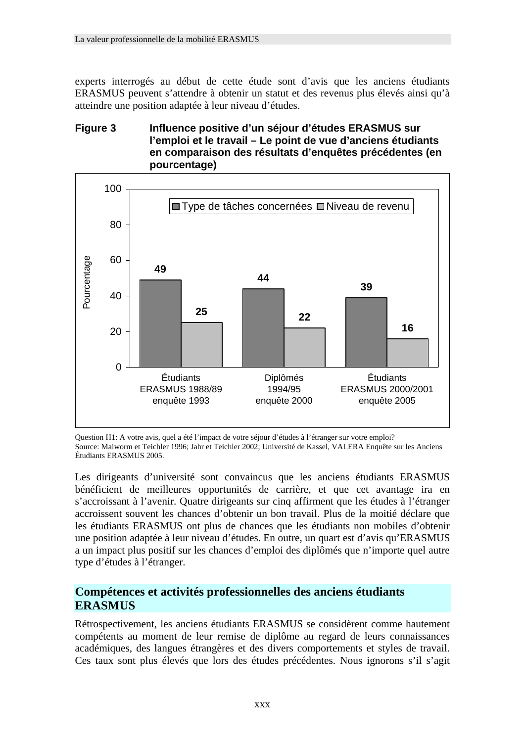experts interrogés au début de cette étude sont d'avis que les anciens étudiants ERASMUS peuvent s'attendre à obtenir un statut et des revenus plus élevés ainsi qu'à atteindre une position adaptée à leur niveau d'études.

#### **Figure 3 Influence positive d'un séjour d'études ERASMUS sur l'emploi et le travail – Le point de vue d'anciens étudiants en comparaison des résultats d'enquêtes précédentes (en pourcentage)**



Question H1: A votre avis, quel a été l'impact de votre séjour d'études à l'étranger sur votre emploi? Source: Maiworm et Teichler 1996; Jahr et Teichler 2002; Université de Kassel, VALERA Enquête sur les Anciens Étudiants ERASMUS 2005.

Les dirigeants d'université sont convaincus que les anciens étudiants ERASMUS bénéficient de meilleures opportunités de carrière, et que cet avantage ira en s'accroissant à l'avenir. Quatre dirigeants sur cinq affirment que les études à l'étranger accroissent souvent les chances d'obtenir un bon travail. Plus de la moitié déclare que les étudiants ERASMUS ont plus de chances que les étudiants non mobiles d'obtenir une position adaptée à leur niveau d'études. En outre, un quart est d'avis qu'ERASMUS a un impact plus positif sur les chances d'emploi des diplômés que n'importe quel autre type d'études à l'étranger.

#### **Compétences et activités professionnelles des anciens étudiants ERASMUS**

Rétrospectivement, les anciens étudiants ERASMUS se considèrent comme hautement compétents au moment de leur remise de diplôme au regard de leurs connaissances académiques, des langues étrangères et des divers comportements et styles de travail. Ces taux sont plus élevés que lors des études précédentes. Nous ignorons s'il s'agit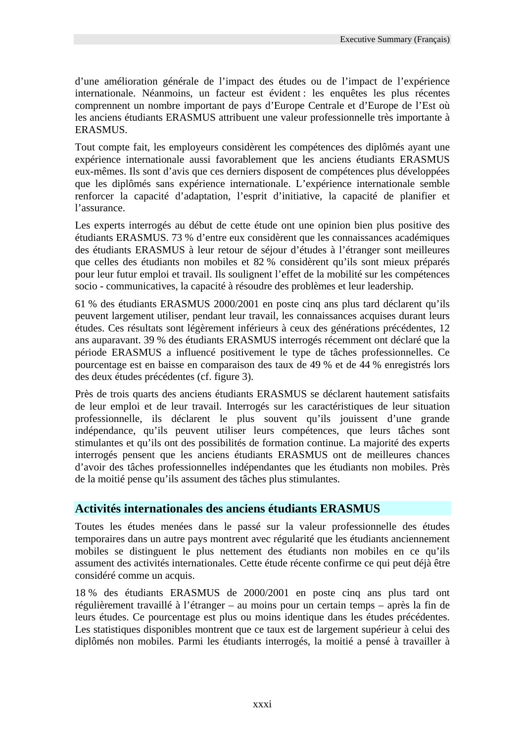d'une amélioration générale de l'impact des études ou de l'impact de l'expérience internationale. Néanmoins, un facteur est évident : les enquêtes les plus récentes comprennent un nombre important de pays d'Europe Centrale et d'Europe de l'Est où les anciens étudiants ERASMUS attribuent une valeur professionnelle très importante à ERASMUS.

Tout compte fait, les employeurs considèrent les compétences des diplômés ayant une expérience internationale aussi favorablement que les anciens étudiants ERASMUS eux-mêmes. Ils sont d'avis que ces derniers disposent de compétences plus développées que les diplômés sans expérience internationale. L'expérience internationale semble renforcer la capacité d'adaptation, l'esprit d'initiative, la capacité de planifier et l'assurance.

Les experts interrogés au début de cette étude ont une opinion bien plus positive des étudiants ERASMUS. 73 % d'entre eux considèrent que les connaissances académiques des étudiants ERASMUS à leur retour de séjour d'études à l'étranger sont meilleures que celles des étudiants non mobiles et 82 % considèrent qu'ils sont mieux préparés pour leur futur emploi et travail. Ils soulignent l'effet de la mobilité sur les compétences socio - communicatives, la capacité à résoudre des problèmes et leur leadership.

61 % des étudiants ERASMUS 2000/2001 en poste cinq ans plus tard déclarent qu'ils peuvent largement utiliser, pendant leur travail, les connaissances acquises durant leurs études. Ces résultats sont légèrement inférieurs à ceux des générations précédentes, 12 ans auparavant. 39 % des étudiants ERASMUS interrogés récemment ont déclaré que la période ERASMUS a influencé positivement le type de tâches professionnelles. Ce pourcentage est en baisse en comparaison des taux de 49 % et de 44 % enregistrés lors des deux études précédentes (cf. figure 3).

Près de trois quarts des anciens étudiants ERASMUS se déclarent hautement satisfaits de leur emploi et de leur travail. Interrogés sur les caractéristiques de leur situation professionnelle, ils déclarent le plus souvent qu'ils jouissent d'une grande indépendance, qu'ils peuvent utiliser leurs compétences, que leurs tâches sont stimulantes et qu'ils ont des possibilités de formation continue. La majorité des experts interrogés pensent que les anciens étudiants ERASMUS ont de meilleures chances d'avoir des tâches professionnelles indépendantes que les étudiants non mobiles. Près de la moitié pense qu'ils assument des tâches plus stimulantes.

#### **Activités internationales des anciens étudiants ERASMUS**

Toutes les études menées dans le passé sur la valeur professionnelle des études temporaires dans un autre pays montrent avec régularité que les étudiants anciennement mobiles se distinguent le plus nettement des étudiants non mobiles en ce qu'ils assument des activités internationales. Cette étude récente confirme ce qui peut déjà être considéré comme un acquis.

18 % des étudiants ERASMUS de 2000/2001 en poste cinq ans plus tard ont régulièrement travaillé à l'étranger – au moins pour un certain temps – après la fin de leurs études. Ce pourcentage est plus ou moins identique dans les études précédentes. Les statistiques disponibles montrent que ce taux est de largement supérieur à celui des diplômés non mobiles. Parmi les étudiants interrogés, la moitié a pensé à travailler à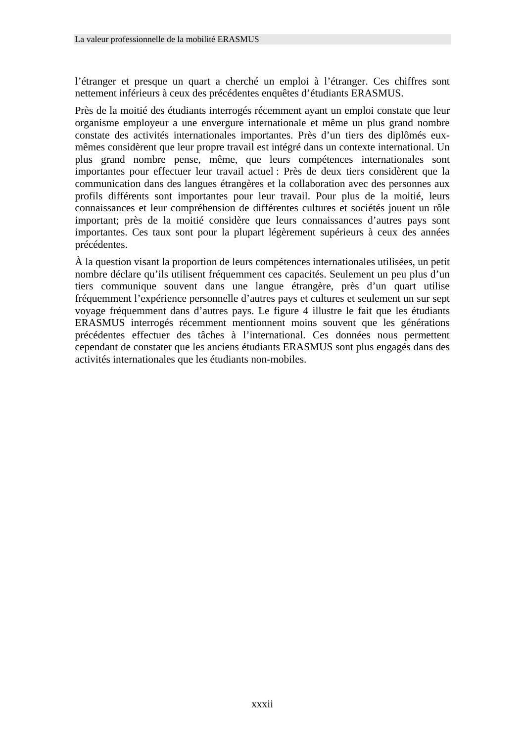l'étranger et presque un quart a cherché un emploi à l'étranger. Ces chiffres sont nettement inférieurs à ceux des précédentes enquêtes d'étudiants ERASMUS.

Près de la moitié des étudiants interrogés récemment ayant un emploi constate que leur organisme employeur a une envergure internationale et même un plus grand nombre constate des activités internationales importantes. Près d'un tiers des diplômés euxmêmes considèrent que leur propre travail est intégré dans un contexte international. Un plus grand nombre pense, même, que leurs compétences internationales sont importantes pour effectuer leur travail actuel : Près de deux tiers considèrent que la communication dans des langues étrangères et la collaboration avec des personnes aux profils différents sont importantes pour leur travail. Pour plus de la moitié, leurs connaissances et leur compréhension de différentes cultures et sociétés jouent un rôle important; près de la moitié considère que leurs connaissances d'autres pays sont importantes. Ces taux sont pour la plupart légèrement supérieurs à ceux des années précédentes.

À la question visant la proportion de leurs compétences internationales utilisées, un petit nombre déclare qu'ils utilisent fréquemment ces capacités. Seulement un peu plus d'un tiers communique souvent dans une langue étrangère, près d'un quart utilise fréquemment l'expérience personnelle d'autres pays et cultures et seulement un sur sept voyage fréquemment dans d'autres pays. Le figure 4 illustre le fait que les étudiants ERASMUS interrogés récemment mentionnent moins souvent que les générations précédentes effectuer des tâches à l'international. Ces données nous permettent cependant de constater que les anciens étudiants ERASMUS sont plus engagés dans des activités internationales que les étudiants non-mobiles.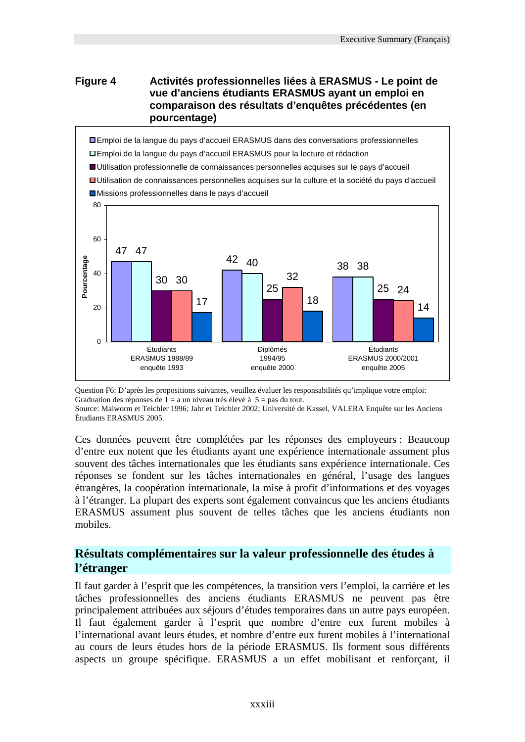#### **Figure 4 Activités professionnelles liées à ERASMUS - Le point de vue d'anciens étudiants ERASMUS ayant un emploi en comparaison des résultats d'enquêtes précédentes (en pourcentage)**



Question F6: D'après les propositions suivantes, veuillez évaluer les responsabilités qu'implique votre emploi: Graduation des réponses de  $1 = a$  un niveau très élevé à  $5 = pas$  du tout.

Source: Maiworm et Teichler 1996; Jahr et Teichler 2002; Université de Kassel, VALERA Enquête sur les Anciens Étudiants ERASMUS 2005.

Ces données peuvent être complétées par les réponses des employeurs : Beaucoup d'entre eux notent que les étudiants ayant une expérience internationale assument plus souvent des tâches internationales que les étudiants sans expérience internationale. Ces réponses se fondent sur les tâches internationales en général, l'usage des langues étrangères, la coopération internationale, la mise à profit d'informations et des voyages à l'étranger. La plupart des experts sont également convaincus que les anciens étudiants ERASMUS assument plus souvent de telles tâches que les anciens étudiants non mobiles.

#### **Résultats complémentaires sur la valeur professionnelle des études à l'étranger**

Il faut garder à l'esprit que les compétences, la transition vers l'emploi, la carrière et les tâches professionnelles des anciens étudiants ERASMUS ne peuvent pas être principalement attribuées aux séjours d'études temporaires dans un autre pays européen. Il faut également garder à l'esprit que nombre d'entre eux furent mobiles à l'international avant leurs études, et nombre d'entre eux furent mobiles à l'international au cours de leurs études hors de la période ERASMUS. Ils forment sous différents aspects un groupe spécifique. ERASMUS a un effet mobilisant et renforçant, il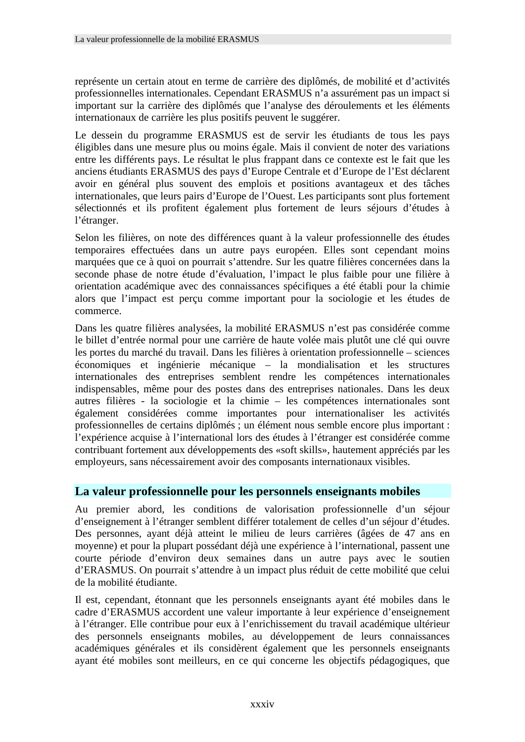représente un certain atout en terme de carrière des diplômés, de mobilité et d'activités professionnelles internationales. Cependant ERASMUS n'a assurément pas un impact si important sur la carrière des diplômés que l'analyse des déroulements et les éléments internationaux de carrière les plus positifs peuvent le suggérer.

Le dessein du programme ERASMUS est de servir les étudiants de tous les pays éligibles dans une mesure plus ou moins égale. Mais il convient de noter des variations entre les différents pays. Le résultat le plus frappant dans ce contexte est le fait que les anciens étudiants ERASMUS des pays d'Europe Centrale et d'Europe de l'Est déclarent avoir en général plus souvent des emplois et positions avantageux et des tâches internationales, que leurs pairs d'Europe de l'Ouest. Les participants sont plus fortement sélectionnés et ils profitent également plus fortement de leurs séjours d'études à l'étranger.

Selon les filières, on note des différences quant à la valeur professionnelle des études temporaires effectuées dans un autre pays européen. Elles sont cependant moins marquées que ce à quoi on pourrait s'attendre. Sur les quatre filières concernées dans la seconde phase de notre étude d'évaluation, l'impact le plus faible pour une filière à orientation académique avec des connaissances spécifiques a été établi pour la chimie alors que l'impact est perçu comme important pour la sociologie et les études de commerce.

Dans les quatre filières analysées, la mobilité ERASMUS n'est pas considérée comme le billet d'entrée normal pour une carrière de haute volée mais plutôt une clé qui ouvre les portes du marché du travail. Dans les filières à orientation professionnelle – sciences économiques et ingénierie mécanique – la mondialisation et les structures internationales des entreprises semblent rendre les compétences internationales indispensables, même pour des postes dans des entreprises nationales. Dans les deux autres filières - la sociologie et la chimie – les compétences internationales sont également considérées comme importantes pour internationaliser les activités professionnelles de certains diplômés ; un élément nous semble encore plus important : l'expérience acquise à l'international lors des études à l'étranger est considérée comme contribuant fortement aux développements des «soft skills», hautement appréciés par les employeurs, sans nécessairement avoir des composants internationaux visibles.

#### **La valeur professionnelle pour les personnels enseignants mobiles**

Au premier abord, les conditions de valorisation professionnelle d'un séjour d'enseignement à l'étranger semblent différer totalement de celles d'un séjour d'études. Des personnes, ayant déjà atteint le milieu de leurs carrières (âgées de 47 ans en moyenne) et pour la plupart possédant déjà une expérience à l'international, passent une courte période d'environ deux semaines dans un autre pays avec le soutien d'ERASMUS. On pourrait s'attendre à un impact plus réduit de cette mobilité que celui de la mobilité étudiante.

Il est, cependant, étonnant que les personnels enseignants ayant été mobiles dans le cadre d'ERASMUS accordent une valeur importante à leur expérience d'enseignement à l'étranger. Elle contribue pour eux à l'enrichissement du travail académique ultérieur des personnels enseignants mobiles, au développement de leurs connaissances académiques générales et ils considèrent également que les personnels enseignants ayant été mobiles sont meilleurs, en ce qui concerne les objectifs pédagogiques, que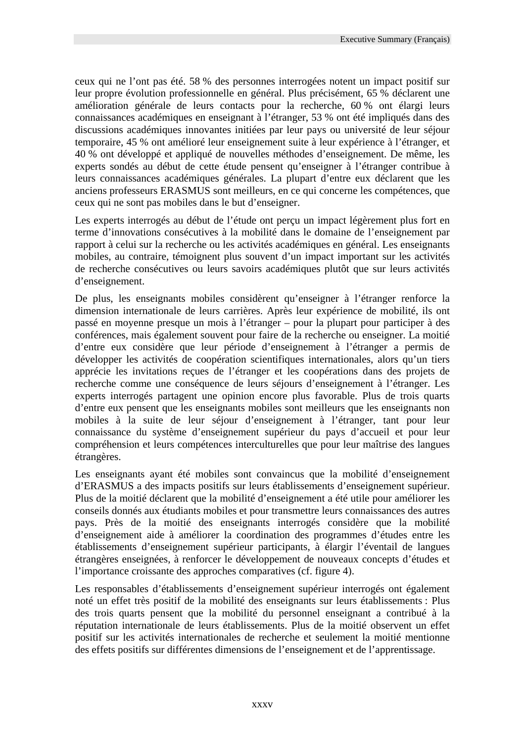ceux qui ne l'ont pas été. 58 % des personnes interrogées notent un impact positif sur leur propre évolution professionnelle en général. Plus précisément, 65 % déclarent une amélioration générale de leurs contacts pour la recherche, 60 % ont élargi leurs connaissances académiques en enseignant à l'étranger, 53 % ont été impliqués dans des discussions académiques innovantes initiées par leur pays ou université de leur séjour temporaire, 45 % ont amélioré leur enseignement suite à leur expérience à l'étranger, et 40 % ont développé et appliqué de nouvelles méthodes d'enseignement. De même, les experts sondés au début de cette étude pensent qu'enseigner à l'étranger contribue à leurs connaissances académiques générales. La plupart d'entre eux déclarent que les anciens professeurs ERASMUS sont meilleurs, en ce qui concerne les compétences, que ceux qui ne sont pas mobiles dans le but d'enseigner.

Les experts interrogés au début de l'étude ont perçu un impact légèrement plus fort en terme d'innovations consécutives à la mobilité dans le domaine de l'enseignement par rapport à celui sur la recherche ou les activités académiques en général. Les enseignants mobiles, au contraire, témoignent plus souvent d'un impact important sur les activités de recherche consécutives ou leurs savoirs académiques plutôt que sur leurs activités d'enseignement.

De plus, les enseignants mobiles considèrent qu'enseigner à l'étranger renforce la dimension internationale de leurs carrières. Après leur expérience de mobilité, ils ont passé en moyenne presque un mois à l'étranger – pour la plupart pour participer à des conférences, mais également souvent pour faire de la recherche ou enseigner. La moitié d'entre eux considère que leur période d'enseignement à l'étranger a permis de développer les activités de coopération scientifiques internationales, alors qu'un tiers apprécie les invitations reçues de l'étranger et les coopérations dans des projets de recherche comme une conséquence de leurs séjours d'enseignement à l'étranger. Les experts interrogés partagent une opinion encore plus favorable. Plus de trois quarts d'entre eux pensent que les enseignants mobiles sont meilleurs que les enseignants non mobiles à la suite de leur séjour d'enseignement à l'étranger, tant pour leur connaissance du système d'enseignement supérieur du pays d'accueil et pour leur compréhension et leurs compétences interculturelles que pour leur maîtrise des langues étrangères.

Les enseignants ayant été mobiles sont convaincus que la mobilité d'enseignement d'ERASMUS a des impacts positifs sur leurs établissements d'enseignement supérieur. Plus de la moitié déclarent que la mobilité d'enseignement a été utile pour améliorer les conseils donnés aux étudiants mobiles et pour transmettre leurs connaissances des autres pays. Près de la moitié des enseignants interrogés considère que la mobilité d'enseignement aide à améliorer la coordination des programmes d'études entre les établissements d'enseignement supérieur participants, à élargir l'éventail de langues étrangères enseignées, à renforcer le développement de nouveaux concepts d'études et l'importance croissante des approches comparatives (cf. figure 4).

Les responsables d'établissements d'enseignement supérieur interrogés ont également noté un effet très positif de la mobilité des enseignants sur leurs établissements : Plus des trois quarts pensent que la mobilité du personnel enseignant a contribué à la réputation internationale de leurs établissements. Plus de la moitié observent un effet positif sur les activités internationales de recherche et seulement la moitié mentionne des effets positifs sur différentes dimensions de l'enseignement et de l'apprentissage.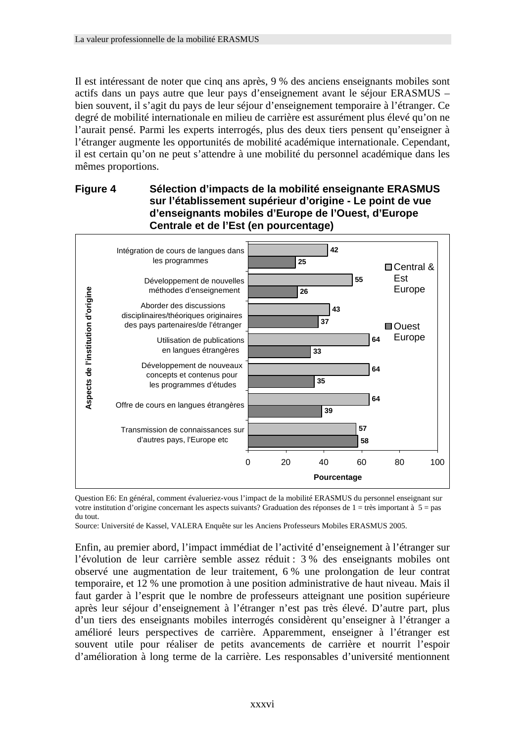Il est intéressant de noter que cinq ans après, 9 % des anciens enseignants mobiles sont actifs dans un pays autre que leur pays d'enseignement avant le séjour ERASMUS – bien souvent, il s'agit du pays de leur séjour d'enseignement temporaire à l'étranger. Ce degré de mobilité internationale en milieu de carrière est assurément plus élevé qu'on ne l'aurait pensé. Parmi les experts interrogés, plus des deux tiers pensent qu'enseigner à l'étranger augmente les opportunités de mobilité académique internationale. Cependant, il est certain qu'on ne peut s'attendre à une mobilité du personnel académique dans les mêmes proportions.

#### **Figure 4 Sélection d'impacts de la mobilité enseignante ERASMUS sur l'établissement supérieur d'origine - Le point de vue d'enseignants mobiles d'Europe de l'Ouest, d'Europe Centrale et de l'Est (en pourcentage)**



Question E6: En général, comment évalueriez-vous l'impact de la mobilité ERASMUS du personnel enseignant sur votre institution d'origine concernant les aspects suivants? Graduation des réponses de  $1 =$ très important à  $5 =$ pas du tout.

Source: Université de Kassel, VALERA Enquête sur les Anciens Professeurs Mobiles ERASMUS 2005.

Enfin, au premier abord, l'impact immédiat de l'activité d'enseignement à l'étranger sur l'évolution de leur carrière semble assez réduit : 3 % des enseignants mobiles ont observé une augmentation de leur traitement, 6 % une prolongation de leur contrat temporaire, et 12 % une promotion à une position administrative de haut niveau. Mais il faut garder à l'esprit que le nombre de professeurs atteignant une position supérieure après leur séjour d'enseignement à l'étranger n'est pas très élevé. D'autre part, plus d'un tiers des enseignants mobiles interrogés considèrent qu'enseigner à l'étranger a amélioré leurs perspectives de carrière. Apparemment, enseigner à l'étranger est souvent utile pour réaliser de petits avancements de carrière et nourrit l'espoir d'amélioration à long terme de la carrière. Les responsables d'université mentionnent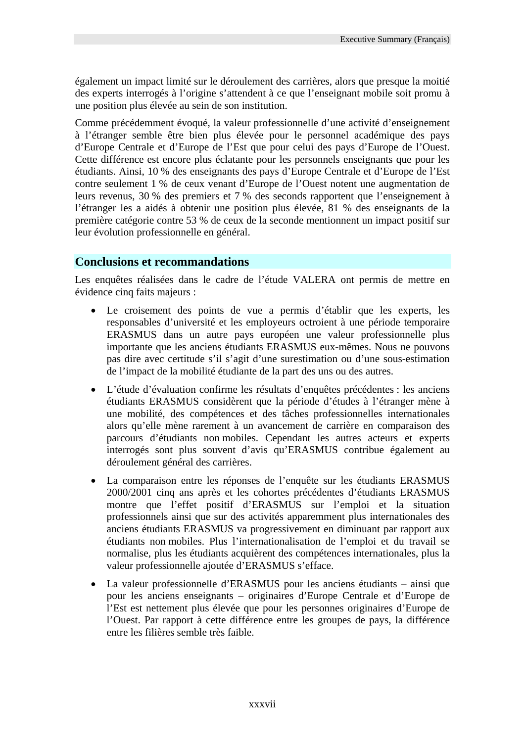également un impact limité sur le déroulement des carrières, alors que presque la moitié des experts interrogés à l'origine s'attendent à ce que l'enseignant mobile soit promu à une position plus élevée au sein de son institution.

Comme précédemment évoqué, la valeur professionnelle d'une activité d'enseignement à l'étranger semble être bien plus élevée pour le personnel académique des pays d'Europe Centrale et d'Europe de l'Est que pour celui des pays d'Europe de l'Ouest. Cette différence est encore plus éclatante pour les personnels enseignants que pour les étudiants. Ainsi, 10 % des enseignants des pays d'Europe Centrale et d'Europe de l'Est contre seulement 1 % de ceux venant d'Europe de l'Ouest notent une augmentation de leurs revenus, 30 % des premiers et 7 % des seconds rapportent que l'enseignement à l'étranger les a aidés à obtenir une position plus élevée, 81 % des enseignants de la première catégorie contre 53 % de ceux de la seconde mentionnent un impact positif sur leur évolution professionnelle en général.

### **Conclusions et recommandations**

Les enquêtes réalisées dans le cadre de l'étude VALERA ont permis de mettre en évidence cinq faits majeurs :

- Le croisement des points de vue a permis d'établir que les experts, les responsables d'université et les employeurs octroient à une période temporaire ERASMUS dans un autre pays européen une valeur professionnelle plus importante que les anciens étudiants ERASMUS eux-mêmes. Nous ne pouvons pas dire avec certitude s'il s'agit d'une surestimation ou d'une sous-estimation de l'impact de la mobilité étudiante de la part des uns ou des autres.
- L'étude d'évaluation confirme les résultats d'enquêtes précédentes : les anciens étudiants ERASMUS considèrent que la période d'études à l'étranger mène à une mobilité, des compétences et des tâches professionnelles internationales alors qu'elle mène rarement à un avancement de carrière en comparaison des parcours d'étudiants non mobiles. Cependant les autres acteurs et experts interrogés sont plus souvent d'avis qu'ERASMUS contribue également au déroulement général des carrières.
- La comparaison entre les réponses de l'enquête sur les étudiants ERASMUS 2000/2001 cinq ans après et les cohortes précédentes d'étudiants ERASMUS montre que l'effet positif d'ERASMUS sur l'emploi et la situation professionnels ainsi que sur des activités apparemment plus internationales des anciens étudiants ERASMUS va progressivement en diminuant par rapport aux étudiants non mobiles. Plus l'internationalisation de l'emploi et du travail se normalise, plus les étudiants acquièrent des compétences internationales, plus la valeur professionnelle ajoutée d'ERASMUS s'efface.
- La valeur professionnelle d'ERASMUS pour les anciens étudiants ainsi que pour les anciens enseignants – originaires d'Europe Centrale et d'Europe de l'Est est nettement plus élevée que pour les personnes originaires d'Europe de l'Ouest. Par rapport à cette différence entre les groupes de pays, la différence entre les filières semble très faible.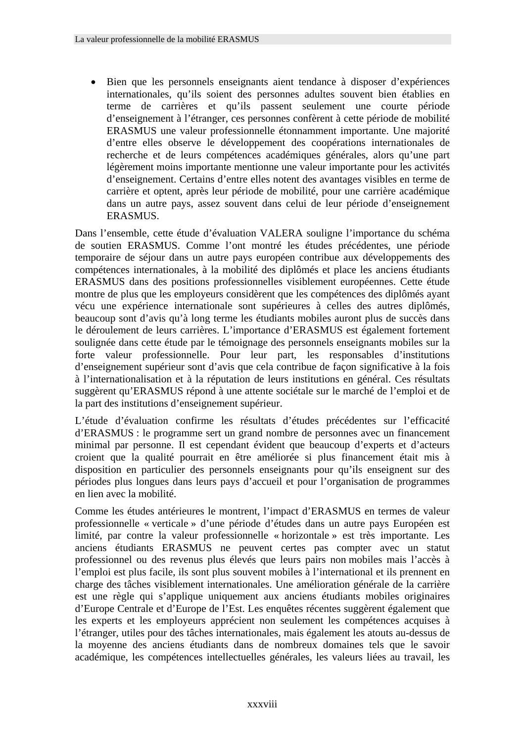• Bien que les personnels enseignants aient tendance à disposer d'expériences internationales, qu'ils soient des personnes adultes souvent bien établies en terme de carrières et qu'ils passent seulement une courte période d'enseignement à l'étranger, ces personnes confèrent à cette période de mobilité ERASMUS une valeur professionnelle étonnamment importante. Une majorité d'entre elles observe le développement des coopérations internationales de recherche et de leurs compétences académiques générales, alors qu'une part légèrement moins importante mentionne une valeur importante pour les activités d'enseignement. Certains d'entre elles notent des avantages visibles en terme de carrière et optent, après leur période de mobilité, pour une carrière académique dans un autre pays, assez souvent dans celui de leur période d'enseignement ERASMUS.

Dans l'ensemble, cette étude d'évaluation VALERA souligne l'importance du schéma de soutien ERASMUS. Comme l'ont montré les études précédentes, une période temporaire de séjour dans un autre pays européen contribue aux développements des compétences internationales, à la mobilité des diplômés et place les anciens étudiants ERASMUS dans des positions professionnelles visiblement européennes. Cette étude montre de plus que les employeurs considèrent que les compétences des diplômés ayant vécu une expérience internationale sont supérieures à celles des autres diplômés, beaucoup sont d'avis qu'à long terme les étudiants mobiles auront plus de succès dans le déroulement de leurs carrières. L'importance d'ERASMUS est également fortement soulignée dans cette étude par le témoignage des personnels enseignants mobiles sur la forte valeur professionnelle. Pour leur part, les responsables d'institutions d'enseignement supérieur sont d'avis que cela contribue de façon significative à la fois à l'internationalisation et à la réputation de leurs institutions en général. Ces résultats suggèrent qu'ERASMUS répond à une attente sociétale sur le marché de l'emploi et de la part des institutions d'enseignement supérieur.

L'étude d'évaluation confirme les résultats d'études précédentes sur l'efficacité d'ERASMUS : le programme sert un grand nombre de personnes avec un financement minimal par personne. Il est cependant évident que beaucoup d'experts et d'acteurs croient que la qualité pourrait en être améliorée si plus financement était mis à disposition en particulier des personnels enseignants pour qu'ils enseignent sur des périodes plus longues dans leurs pays d'accueil et pour l'organisation de programmes en lien avec la mobilité.

Comme les études antérieures le montrent, l'impact d'ERASMUS en termes de valeur professionnelle « verticale » d'une période d'études dans un autre pays Européen est limité, par contre la valeur professionnelle « horizontale » est très importante. Les anciens étudiants ERASMUS ne peuvent certes pas compter avec un statut professionnel ou des revenus plus élevés que leurs pairs non mobiles mais l'accès à l'emploi est plus facile, ils sont plus souvent mobiles à l'international et ils prennent en charge des tâches visiblement internationales. Une amélioration générale de la carrière est une règle qui s'applique uniquement aux anciens étudiants mobiles originaires d'Europe Centrale et d'Europe de l'Est. Les enquêtes récentes suggèrent également que les experts et les employeurs apprécient non seulement les compétences acquises à l'étranger, utiles pour des tâches internationales, mais également les atouts au-dessus de la moyenne des anciens étudiants dans de nombreux domaines tels que le savoir académique, les compétences intellectuelles générales, les valeurs liées au travail, les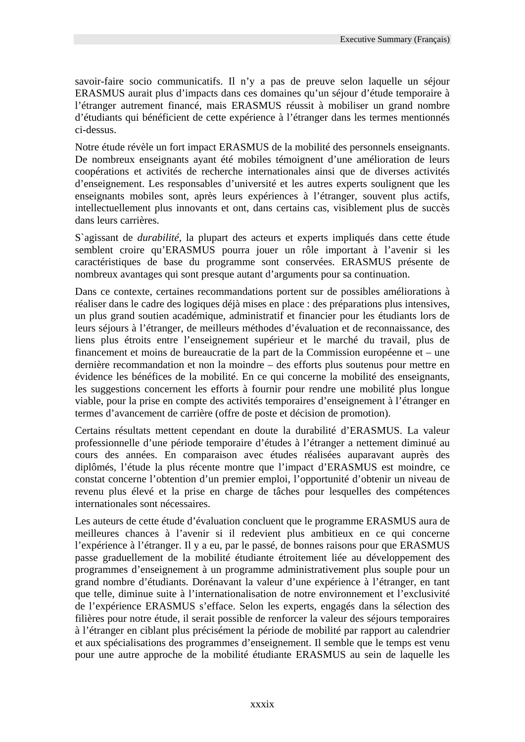savoir-faire socio communicatifs. Il n'y a pas de preuve selon laquelle un séjour ERASMUS aurait plus d'impacts dans ces domaines qu'un séjour d'étude temporaire à l'étranger autrement financé, mais ERASMUS réussit à mobiliser un grand nombre d'étudiants qui bénéficient de cette expérience à l'étranger dans les termes mentionnés ci-dessus.

Notre étude révèle un fort impact ERASMUS de la mobilité des personnels enseignants. De nombreux enseignants ayant été mobiles témoignent d'une amélioration de leurs coopérations et activités de recherche internationales ainsi que de diverses activités d'enseignement. Les responsables d'université et les autres experts soulignent que les enseignants mobiles sont, après leurs expériences à l'étranger, souvent plus actifs, intellectuellement plus innovants et ont, dans certains cas, visiblement plus de succès dans leurs carrières.

S`agissant de *durabilité*, la plupart des acteurs et experts impliqués dans cette étude semblent croire qu'ERASMUS pourra jouer un rôle important à l'avenir si les caractéristiques de base du programme sont conservées. ERASMUS présente de nombreux avantages qui sont presque autant d'arguments pour sa continuation.

Dans ce contexte, certaines recommandations portent sur de possibles améliorations à réaliser dans le cadre des logiques déjà mises en place : des préparations plus intensives, un plus grand soutien académique, administratif et financier pour les étudiants lors de leurs séjours à l'étranger, de meilleurs méthodes d'évaluation et de reconnaissance, des liens plus étroits entre l'enseignement supérieur et le marché du travail, plus de financement et moins de bureaucratie de la part de la Commission européenne et – une dernière recommandation et non la moindre – des efforts plus soutenus pour mettre en évidence les bénéfices de la mobilité. En ce qui concerne la mobilité des enseignants, les suggestions concernent les efforts à fournir pour rendre une mobilité plus longue viable, pour la prise en compte des activités temporaires d'enseignement à l'étranger en termes d'avancement de carrière (offre de poste et décision de promotion).

Certains résultats mettent cependant en doute la durabilité d'ERASMUS. La valeur professionnelle d'une période temporaire d'études à l'étranger a nettement diminué au cours des années. En comparaison avec études réalisées auparavant auprès des diplômés, l'étude la plus récente montre que l'impact d'ERASMUS est moindre, ce constat concerne l'obtention d'un premier emploi, l'opportunité d'obtenir un niveau de revenu plus élevé et la prise en charge de tâches pour lesquelles des compétences internationales sont nécessaires.

Les auteurs de cette étude d'évaluation concluent que le programme ERASMUS aura de meilleures chances à l'avenir si il redevient plus ambitieux en ce qui concerne l'expérience à l'étranger. Il y a eu, par le passé, de bonnes raisons pour que ERASMUS passe graduellement de la mobilité étudiante étroitement liée au développement des programmes d'enseignement à un programme administrativement plus souple pour un grand nombre d'étudiants. Dorénavant la valeur d'une expérience à l'étranger, en tant que telle, diminue suite à l'internationalisation de notre environnement et l'exclusivité de l'expérience ERASMUS s'efface. Selon les experts, engagés dans la sélection des filières pour notre étude, il serait possible de renforcer la valeur des séjours temporaires à l'étranger en ciblant plus précisément la période de mobilité par rapport au calendrier et aux spécialisations des programmes d'enseignement. Il semble que le temps est venu pour une autre approche de la mobilité étudiante ERASMUS au sein de laquelle les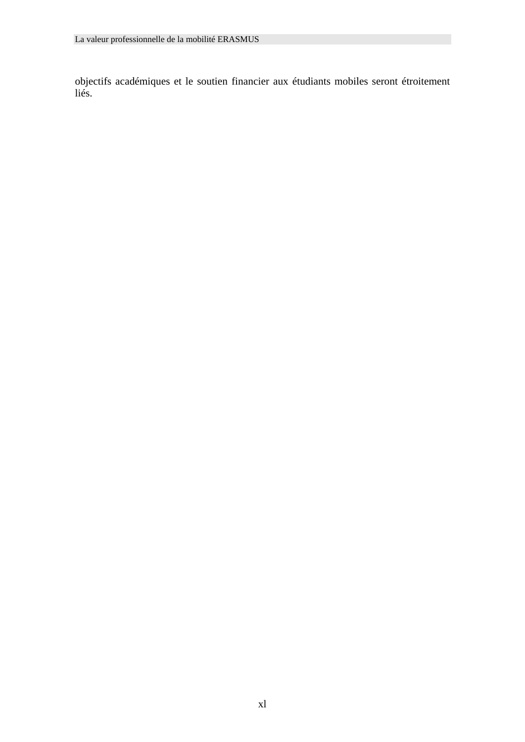objectifs académiques et le soutien financier aux étudiants mobiles seront étroitement liés.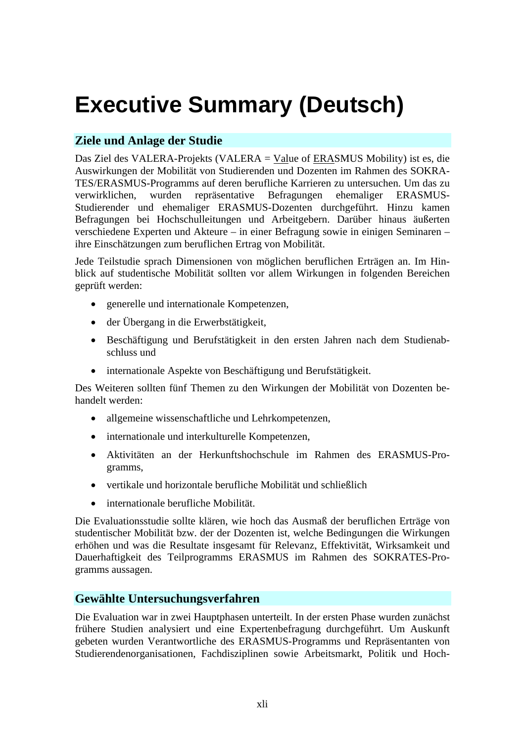# **Executive Summary (Deutsch)**

# **Ziele und Anlage der Studie**

Das Ziel des VALERA-Projekts (VALERA = Value of ERASMUS Mobility) ist es, die Auswirkungen der Mobilität von Studierenden und Dozenten im Rahmen des SOKRA-TES/ERASMUS-Programms auf deren berufliche Karrieren zu untersuchen. Um das zu verwirklichen, wurden repräsentative Befragungen ehemaliger ERASMUS-Studierender und ehemaliger ERASMUS-Dozenten durchgeführt. Hinzu kamen Befragungen bei Hochschulleitungen und Arbeitgebern. Darüber hinaus äußerten verschiedene Experten und Akteure – in einer Befragung sowie in einigen Seminaren – ihre Einschätzungen zum beruflichen Ertrag von Mobilität.

Jede Teilstudie sprach Dimensionen von möglichen beruflichen Erträgen an. Im Hinblick auf studentische Mobilität sollten vor allem Wirkungen in folgenden Bereichen geprüft werden:

- generelle und internationale Kompetenzen,
- der Übergang in die Erwerbstätigkeit,
- Beschäftigung und Berufstätigkeit in den ersten Jahren nach dem Studienabschluss und
- internationale Aspekte von Beschäftigung und Berufstätigkeit.

Des Weiteren sollten fünf Themen zu den Wirkungen der Mobilität von Dozenten behandelt werden:

- allgemeine wissenschaftliche und Lehrkompetenzen,
- internationale und interkulturelle Kompetenzen,
- Aktivitäten an der Herkunftshochschule im Rahmen des ERASMUS-Programms,
- vertikale und horizontale berufliche Mobilität und schließlich
- internationale berufliche Mobilität.

Die Evaluationsstudie sollte klären, wie hoch das Ausmaß der beruflichen Erträge von studentischer Mobilität bzw. der der Dozenten ist, welche Bedingungen die Wirkungen erhöhen und was die Resultate insgesamt für Relevanz, Effektivität, Wirksamkeit und Dauerhaftigkeit des Teilprogramms ERASMUS im Rahmen des SOKRATES-Programms aussagen.

### **Gewählte Untersuchungsverfahren**

Die Evaluation war in zwei Hauptphasen unterteilt. In der ersten Phase wurden zunächst frühere Studien analysiert und eine Expertenbefragung durchgeführt. Um Auskunft gebeten wurden Verantwortliche des ERASMUS-Programms und Repräsentanten von Studierendenorganisationen, Fachdisziplinen sowie Arbeitsmarkt, Politik und Hoch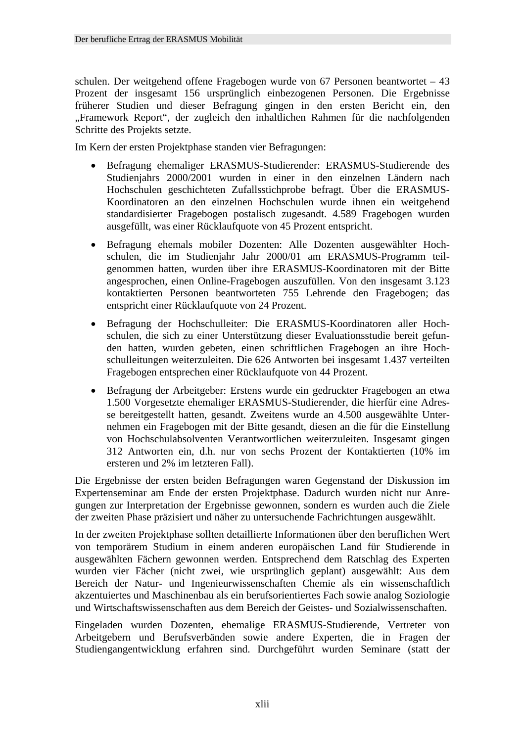schulen. Der weitgehend offene Fragebogen wurde von 67 Personen beantwortet – 43 Prozent der insgesamt 156 ursprünglich einbezogenen Personen. Die Ergebnisse früherer Studien und dieser Befragung gingen in den ersten Bericht ein, den "Framework Report", der zugleich den inhaltlichen Rahmen für die nachfolgenden Schritte des Projekts setzte.

Im Kern der ersten Projektphase standen vier Befragungen:

- Befragung ehemaliger ERASMUS-Studierender: ERASMUS-Studierende des Studienjahrs 2000/2001 wurden in einer in den einzelnen Ländern nach Hochschulen geschichteten Zufallsstichprobe befragt. Über die ERASMUS-Koordinatoren an den einzelnen Hochschulen wurde ihnen ein weitgehend standardisierter Fragebogen postalisch zugesandt. 4.589 Fragebogen wurden ausgefüllt, was einer Rücklaufquote von 45 Prozent entspricht.
- Befragung ehemals mobiler Dozenten: Alle Dozenten ausgewählter Hochschulen, die im Studienjahr Jahr 2000/01 am ERASMUS-Programm teilgenommen hatten, wurden über ihre ERASMUS-Koordinatoren mit der Bitte angesprochen, einen Online-Fragebogen auszufüllen. Von den insgesamt 3.123 kontaktierten Personen beantworteten 755 Lehrende den Fragebogen; das entspricht einer Rücklaufquote von 24 Prozent.
- Befragung der Hochschulleiter: Die ERASMUS-Koordinatoren aller Hochschulen, die sich zu einer Unterstützung dieser Evaluationsstudie bereit gefunden hatten, wurden gebeten, einen schriftlichen Fragebogen an ihre Hochschulleitungen weiterzuleiten. Die 626 Antworten bei insgesamt 1.437 verteilten Fragebogen entsprechen einer Rücklaufquote von 44 Prozent.
- Befragung der Arbeitgeber: Erstens wurde ein gedruckter Fragebogen an etwa 1.500 Vorgesetzte ehemaliger ERASMUS-Studierender, die hierfür eine Adresse bereitgestellt hatten, gesandt. Zweitens wurde an 4.500 ausgewählte Unternehmen ein Fragebogen mit der Bitte gesandt, diesen an die für die Einstellung von Hochschulabsolventen Verantwortlichen weiterzuleiten. Insgesamt gingen 312 Antworten ein, d.h. nur von sechs Prozent der Kontaktierten (10% im ersteren und 2% im letzteren Fall).

Die Ergebnisse der ersten beiden Befragungen waren Gegenstand der Diskussion im Expertenseminar am Ende der ersten Projektphase. Dadurch wurden nicht nur Anregungen zur Interpretation der Ergebnisse gewonnen, sondern es wurden auch die Ziele der zweiten Phase präzisiert und näher zu untersuchende Fachrichtungen ausgewählt.

In der zweiten Projektphase sollten detaillierte Informationen über den beruflichen Wert von temporärem Studium in einem anderen europäischen Land für Studierende in ausgewählten Fächern gewonnen werden. Entsprechend dem Ratschlag des Experten wurden vier Fächer (nicht zwei, wie ursprünglich geplant) ausgewählt: Aus dem Bereich der Natur- und Ingenieurwissenschaften Chemie als ein wissenschaftlich akzentuiertes und Maschinenbau als ein berufsorientiertes Fach sowie analog Soziologie und Wirtschaftswissenschaften aus dem Bereich der Geistes- und Sozialwissenschaften.

Eingeladen wurden Dozenten, ehemalige ERASMUS-Studierende, Vertreter von Arbeitgebern und Berufsverbänden sowie andere Experten, die in Fragen der Studiengangentwicklung erfahren sind. Durchgeführt wurden Seminare (statt der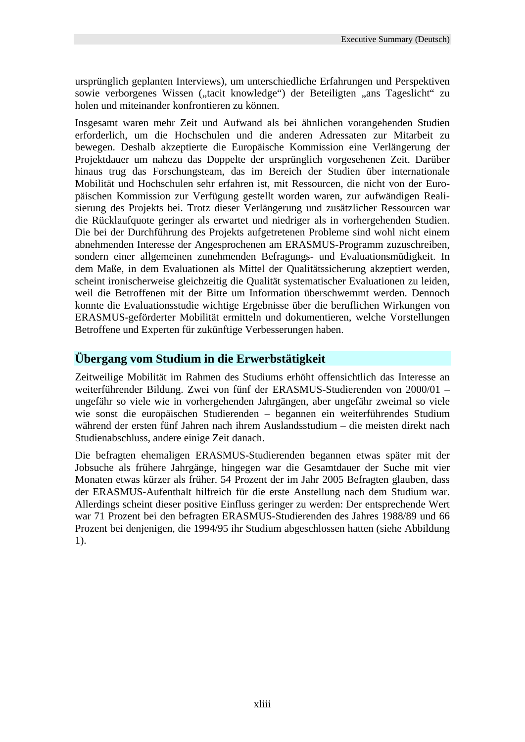ursprünglich geplanten Interviews), um unterschiedliche Erfahrungen und Perspektiven sowie verborgenes Wissen ("tacit knowledge") der Beteiligten "ans Tageslicht" zu holen und miteinander konfrontieren zu können.

Insgesamt waren mehr Zeit und Aufwand als bei ähnlichen vorangehenden Studien erforderlich, um die Hochschulen und die anderen Adressaten zur Mitarbeit zu bewegen. Deshalb akzeptierte die Europäische Kommission eine Verlängerung der Projektdauer um nahezu das Doppelte der ursprünglich vorgesehenen Zeit. Darüber hinaus trug das Forschungsteam, das im Bereich der Studien über internationale Mobilität und Hochschulen sehr erfahren ist, mit Ressourcen, die nicht von der Europäischen Kommission zur Verfügung gestellt worden waren, zur aufwändigen Realisierung des Projekts bei. Trotz dieser Verlängerung und zusätzlicher Ressourcen war die Rücklaufquote geringer als erwartet und niedriger als in vorhergehenden Studien. Die bei der Durchführung des Projekts aufgetretenen Probleme sind wohl nicht einem abnehmenden Interesse der Angesprochenen am ERASMUS-Programm zuzuschreiben, sondern einer allgemeinen zunehmenden Befragungs- und Evaluationsmüdigkeit. In dem Maße, in dem Evaluationen als Mittel der Qualitätssicherung akzeptiert werden, scheint ironischerweise gleichzeitig die Qualität systematischer Evaluationen zu leiden, weil die Betroffenen mit der Bitte um Information überschwemmt werden. Dennoch konnte die Evaluationsstudie wichtige Ergebnisse über die beruflichen Wirkungen von ERASMUS-geförderter Mobilität ermitteln und dokumentieren, welche Vorstellungen Betroffene und Experten für zukünftige Verbesserungen haben.

### **Übergang vom Studium in die Erwerbstätigkeit**

Zeitweilige Mobilität im Rahmen des Studiums erhöht offensichtlich das Interesse an weiterführender Bildung. Zwei von fünf der ERASMUS-Studierenden von 2000/01 – ungefähr so viele wie in vorhergehenden Jahrgängen, aber ungefähr zweimal so viele wie sonst die europäischen Studierenden – begannen ein weiterführendes Studium während der ersten fünf Jahren nach ihrem Auslandsstudium – die meisten direkt nach Studienabschluss, andere einige Zeit danach.

Die befragten ehemaligen ERASMUS-Studierenden begannen etwas später mit der Jobsuche als frühere Jahrgänge, hingegen war die Gesamtdauer der Suche mit vier Monaten etwas kürzer als früher. 54 Prozent der im Jahr 2005 Befragten glauben, dass der ERASMUS-Aufenthalt hilfreich für die erste Anstellung nach dem Studium war. Allerdings scheint dieser positive Einfluss geringer zu werden: Der entsprechende Wert war 71 Prozent bei den befragten ERASMUS-Studierenden des Jahres 1988/89 und 66 Prozent bei denjenigen, die 1994/95 ihr Studium abgeschlossen hatten (siehe Abbildung 1).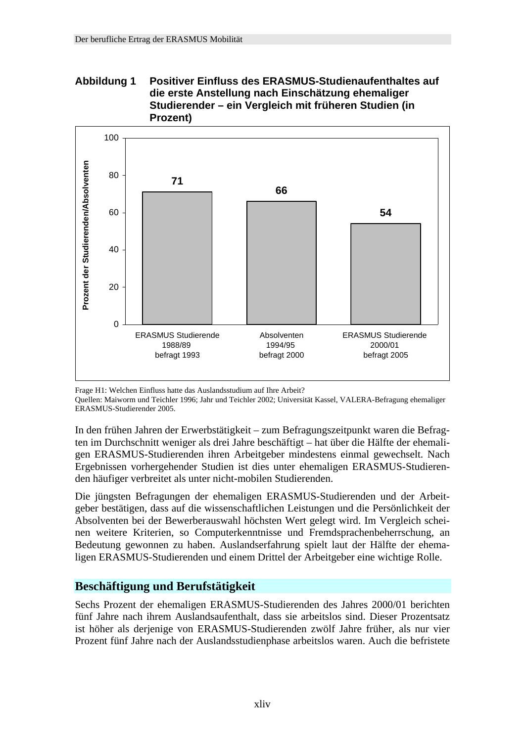#### **Abbildung 1 Positiver Einfluss des ERASMUS-Studienaufenthaltes auf die erste Anstellung nach Einschätzung ehemaliger Studierender – ein Vergleich mit früheren Studien (in Prozent)**



Frage H1: Welchen Einfluss hatte das Auslandsstudium auf Ihre Arbeit?

Quellen: Maiworm und Teichler 1996; Jahr und Teichler 2002; Universität Kassel, VALERA-Befragung ehemaliger ERASMUS-Studierender 2005.

In den frühen Jahren der Erwerbstätigkeit – zum Befragungszeitpunkt waren die Befragten im Durchschnitt weniger als drei Jahre beschäftigt – hat über die Hälfte der ehemaligen ERASMUS-Studierenden ihren Arbeitgeber mindestens einmal gewechselt. Nach Ergebnissen vorhergehender Studien ist dies unter ehemaligen ERASMUS-Studierenden häufiger verbreitet als unter nicht-mobilen Studierenden.

Die jüngsten Befragungen der ehemaligen ERASMUS-Studierenden und der Arbeitgeber bestätigen, dass auf die wissenschaftlichen Leistungen und die Persönlichkeit der Absolventen bei der Bewerberauswahl höchsten Wert gelegt wird. Im Vergleich scheinen weitere Kriterien, so Computerkenntnisse und Fremdsprachenbeherrschung, an Bedeutung gewonnen zu haben. Auslandserfahrung spielt laut der Hälfte der ehemaligen ERASMUS-Studierenden und einem Drittel der Arbeitgeber eine wichtige Rolle.

### **Beschäftigung und Berufstätigkeit**

Sechs Prozent der ehemaligen ERASMUS-Studierenden des Jahres 2000/01 berichten fünf Jahre nach ihrem Auslandsaufenthalt, dass sie arbeitslos sind. Dieser Prozentsatz ist höher als derjenige von ERASMUS-Studierenden zwölf Jahre früher, als nur vier Prozent fünf Jahre nach der Auslandsstudienphase arbeitslos waren. Auch die befristete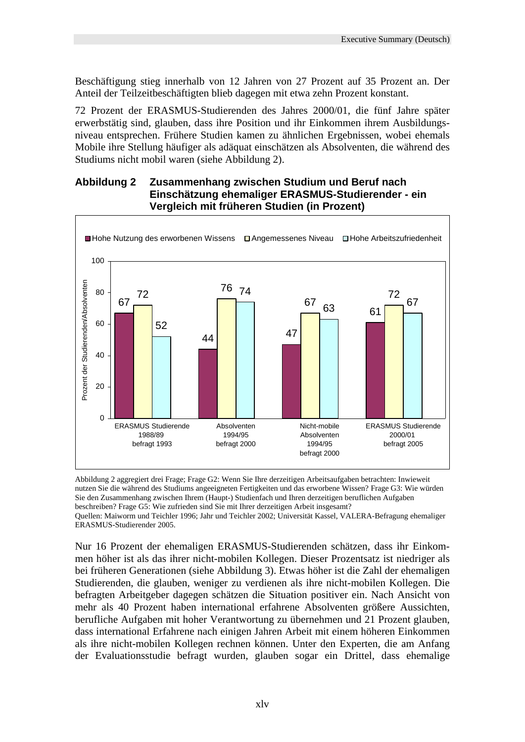Beschäftigung stieg innerhalb von 12 Jahren von 27 Prozent auf 35 Prozent an. Der Anteil der Teilzeitbeschäftigten blieb dagegen mit etwa zehn Prozent konstant.

72 Prozent der ERASMUS-Studierenden des Jahres 2000/01, die fünf Jahre später erwerbstätig sind, glauben, dass ihre Position und ihr Einkommen ihrem Ausbildungsniveau entsprechen. Frühere Studien kamen zu ähnlichen Ergebnissen, wobei ehemals Mobile ihre Stellung häufiger als adäquat einschätzen als Absolventen, die während des Studiums nicht mobil waren (siehe Abbildung 2).

#### **Abbildung 2 Zusammenhang zwischen Studium und Beruf nach Einschätzung ehemaliger ERASMUS-Studierender - ein Vergleich mit früheren Studien (in Prozent)**



Abbildung 2 aggregiert drei Frage; Frage G2: Wenn Sie Ihre derzeitigen Arbeitsaufgaben betrachten: Inwieweit nutzen Sie die während des Studiums angeeigneten Fertigkeiten und das erworbene Wissen? Frage G3: Wie würden Sie den Zusammenhang zwischen Ihrem (Haupt-) Studienfach und Ihren derzeitigen beruflichen Aufgaben beschreiben? Frage G5: Wie zufrieden sind Sie mit Ihrer derzeitigen Arbeit insgesamt?

Quellen: Maiworm und Teichler 1996; Jahr und Teichler 2002; Universität Kassel, VALERA-Befragung ehemaliger ERASMUS-Studierender 2005.

Nur 16 Prozent der ehemaligen ERASMUS-Studierenden schätzen, dass ihr Einkommen höher ist als das ihrer nicht-mobilen Kollegen. Dieser Prozentsatz ist niedriger als bei früheren Generationen (siehe Abbildung 3). Etwas höher ist die Zahl der ehemaligen Studierenden, die glauben, weniger zu verdienen als ihre nicht-mobilen Kollegen. Die befragten Arbeitgeber dagegen schätzen die Situation positiver ein. Nach Ansicht von mehr als 40 Prozent haben international erfahrene Absolventen größere Aussichten, berufliche Aufgaben mit hoher Verantwortung zu übernehmen und 21 Prozent glauben, dass international Erfahrene nach einigen Jahren Arbeit mit einem höheren Einkommen als ihre nicht-mobilen Kollegen rechnen können. Unter den Experten, die am Anfang der Evaluationsstudie befragt wurden, glauben sogar ein Drittel, dass ehemalige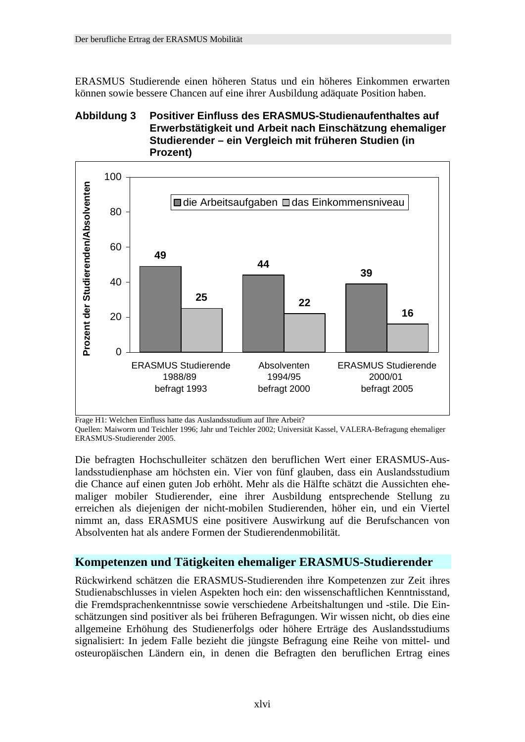ERASMUS Studierende einen höheren Status und ein höheres Einkommen erwarten können sowie bessere Chancen auf eine ihrer Ausbildung adäquate Position haben.

### **Abbildung 3 Positiver Einfluss des ERASMUS-Studienaufenthaltes auf Erwerbstätigkeit und Arbeit nach Einschätzung ehemaliger Studierender – ein Vergleich mit früheren Studien (in Prozent)**



Frage H1: Welchen Einfluss hatte das Auslandsstudium auf Ihre Arbeit?

Quellen: Maiworm und Teichler 1996; Jahr und Teichler 2002; Universität Kassel, VALERA-Befragung ehemaliger ERASMUS-Studierender 2005.

Die befragten Hochschulleiter schätzen den beruflichen Wert einer ERASMUS-Auslandsstudienphase am höchsten ein. Vier von fünf glauben, dass ein Auslandsstudium die Chance auf einen guten Job erhöht. Mehr als die Hälfte schätzt die Aussichten ehemaliger mobiler Studierender, eine ihrer Ausbildung entsprechende Stellung zu erreichen als diejenigen der nicht-mobilen Studierenden, höher ein, und ein Viertel nimmt an, dass ERASMUS eine positivere Auswirkung auf die Berufschancen von Absolventen hat als andere Formen der Studierendenmobilität.

### **Kompetenzen und Tätigkeiten ehemaliger ERASMUS-Studierender**

Rückwirkend schätzen die ERASMUS-Studierenden ihre Kompetenzen zur Zeit ihres Studienabschlusses in vielen Aspekten hoch ein: den wissenschaftlichen Kenntnisstand, die Fremdsprachenkenntnisse sowie verschiedene Arbeitshaltungen und -stile. Die Einschätzungen sind positiver als bei früheren Befragungen. Wir wissen nicht, ob dies eine allgemeine Erhöhung des Studienerfolgs oder höhere Erträge des Auslandsstudiums signalisiert: In jedem Falle bezieht die jüngste Befragung eine Reihe von mittel- und osteuropäischen Ländern ein, in denen die Befragten den beruflichen Ertrag eines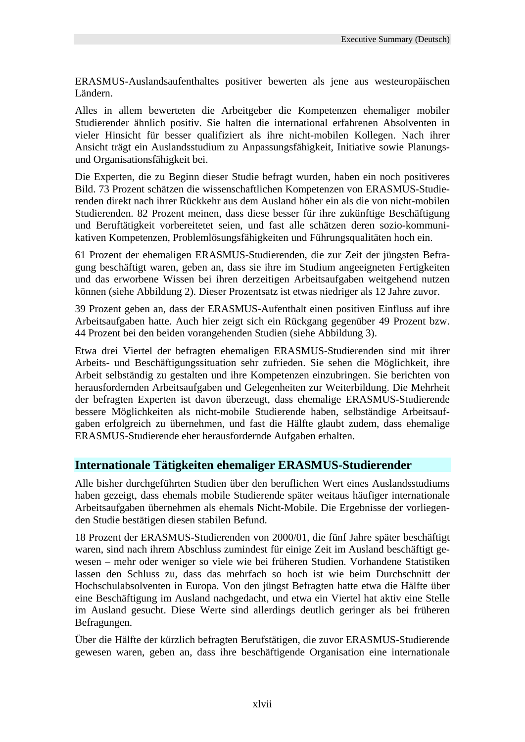ERASMUS-Auslandsaufenthaltes positiver bewerten als jene aus westeuropäischen Ländern.

Alles in allem bewerteten die Arbeitgeber die Kompetenzen ehemaliger mobiler Studierender ähnlich positiv. Sie halten die international erfahrenen Absolventen in vieler Hinsicht für besser qualifiziert als ihre nicht-mobilen Kollegen. Nach ihrer Ansicht trägt ein Auslandsstudium zu Anpassungsfähigkeit, Initiative sowie Planungsund Organisationsfähigkeit bei.

Die Experten, die zu Beginn dieser Studie befragt wurden, haben ein noch positiveres Bild. 73 Prozent schätzen die wissenschaftlichen Kompetenzen von ERASMUS-Studierenden direkt nach ihrer Rückkehr aus dem Ausland höher ein als die von nicht-mobilen Studierenden. 82 Prozent meinen, dass diese besser für ihre zukünftige Beschäftigung und Beruftätigkeit vorbereitetet seien, und fast alle schätzen deren sozio-kommunikativen Kompetenzen, Problemlösungsfähigkeiten und Führungsqualitäten hoch ein.

61 Prozent der ehemaligen ERASMUS-Studierenden, die zur Zeit der jüngsten Befragung beschäftigt waren, geben an, dass sie ihre im Studium angeeigneten Fertigkeiten und das erworbene Wissen bei ihren derzeitigen Arbeitsaufgaben weitgehend nutzen können (siehe Abbildung 2). Dieser Prozentsatz ist etwas niedriger als 12 Jahre zuvor.

39 Prozent geben an, dass der ERASMUS-Aufenthalt einen positiven Einfluss auf ihre Arbeitsaufgaben hatte. Auch hier zeigt sich ein Rückgang gegenüber 49 Prozent bzw. 44 Prozent bei den beiden vorangehenden Studien (siehe Abbildung 3).

Etwa drei Viertel der befragten ehemaligen ERASMUS-Studierenden sind mit ihrer Arbeits- und Beschäftigungssituation sehr zufrieden. Sie sehen die Möglichkeit, ihre Arbeit selbständig zu gestalten und ihre Kompetenzen einzubringen. Sie berichten von herausfordernden Arbeitsaufgaben und Gelegenheiten zur Weiterbildung. Die Mehrheit der befragten Experten ist davon überzeugt, dass ehemalige ERASMUS-Studierende bessere Möglichkeiten als nicht-mobile Studierende haben, selbständige Arbeitsaufgaben erfolgreich zu übernehmen, und fast die Hälfte glaubt zudem, dass ehemalige ERASMUS-Studierende eher herausfordernde Aufgaben erhalten.

### **Internationale Tätigkeiten ehemaliger ERASMUS-Studierender**

Alle bisher durchgeführten Studien über den beruflichen Wert eines Auslandsstudiums haben gezeigt, dass ehemals mobile Studierende später weitaus häufiger internationale Arbeitsaufgaben übernehmen als ehemals Nicht-Mobile. Die Ergebnisse der vorliegenden Studie bestätigen diesen stabilen Befund.

18 Prozent der ERASMUS-Studierenden von 2000/01, die fünf Jahre später beschäftigt waren, sind nach ihrem Abschluss zumindest für einige Zeit im Ausland beschäftigt gewesen – mehr oder weniger so viele wie bei früheren Studien. Vorhandene Statistiken lassen den Schluss zu, dass das mehrfach so hoch ist wie beim Durchschnitt der Hochschulabsolventen in Europa. Von den jüngst Befragten hatte etwa die Hälfte über eine Beschäftigung im Ausland nachgedacht, und etwa ein Viertel hat aktiv eine Stelle im Ausland gesucht. Diese Werte sind allerdings deutlich geringer als bei früheren Befragungen.

Über die Hälfte der kürzlich befragten Berufstätigen, die zuvor ERASMUS-Studierende gewesen waren, geben an, dass ihre beschäftigende Organisation eine internationale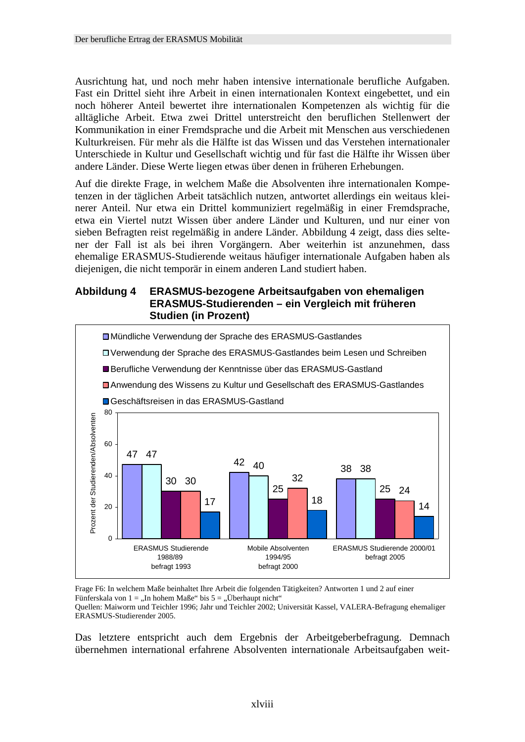Ausrichtung hat, und noch mehr haben intensive internationale berufliche Aufgaben. Fast ein Drittel sieht ihre Arbeit in einen internationalen Kontext eingebettet, und ein noch höherer Anteil bewertet ihre internationalen Kompetenzen als wichtig für die alltägliche Arbeit. Etwa zwei Drittel unterstreicht den beruflichen Stellenwert der Kommunikation in einer Fremdsprache und die Arbeit mit Menschen aus verschiedenen Kulturkreisen. Für mehr als die Hälfte ist das Wissen und das Verstehen internationaler Unterschiede in Kultur und Gesellschaft wichtig und für fast die Hälfte ihr Wissen über andere Länder. Diese Werte liegen etwas über denen in früheren Erhebungen.

Auf die direkte Frage, in welchem Maße die Absolventen ihre internationalen Kompetenzen in der täglichen Arbeit tatsächlich nutzen, antwortet allerdings ein weitaus kleinerer Anteil. Nur etwa ein Drittel kommuniziert regelmäßig in einer Fremdsprache, etwa ein Viertel nutzt Wissen über andere Länder und Kulturen, und nur einer von sieben Befragten reist regelmäßig in andere Länder. Abbildung 4 zeigt, dass dies seltener der Fall ist als bei ihren Vorgängern. Aber weiterhin ist anzunehmen, dass ehemalige ERASMUS-Studierende weitaus häufiger internationale Aufgaben haben als diejenigen, die nicht temporär in einem anderen Land studiert haben.

### **Abbildung 4 ERASMUS-bezogene Arbeitsaufgaben von ehemaligen ERASMUS-Studierenden – ein Vergleich mit früheren Studien (in Prozent)**



Frage F6: In welchem Maße beinhaltet Ihre Arbeit die folgenden Tätigkeiten? Antworten 1 und 2 auf einer Fünferskala von 1 = "In hohem Maße" bis  $5 =$  "Überhaupt nicht"

Quellen: Maiworm und Teichler 1996; Jahr und Teichler 2002; Universität Kassel, VALERA-Befragung ehemaliger ERASMUS-Studierender 2005.

Das letztere entspricht auch dem Ergebnis der Arbeitgeberbefragung. Demnach übernehmen international erfahrene Absolventen internationale Arbeitsaufgaben weit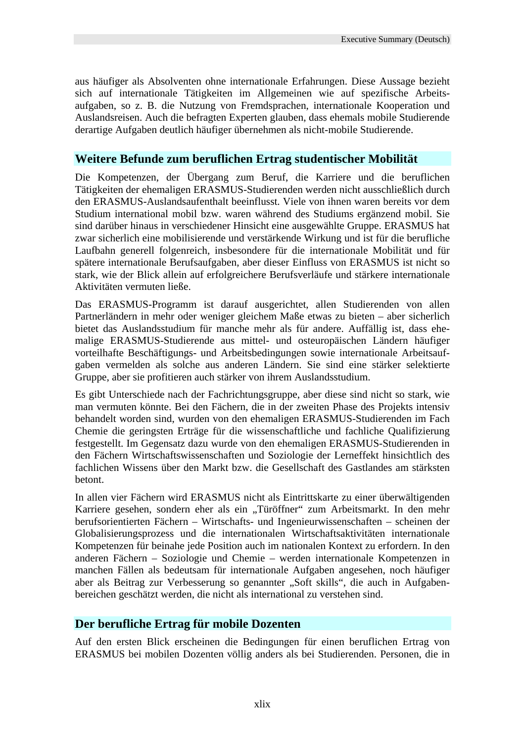aus häufiger als Absolventen ohne internationale Erfahrungen. Diese Aussage bezieht sich auf internationale Tätigkeiten im Allgemeinen wie auf spezifische Arbeitsaufgaben, so z. B. die Nutzung von Fremdsprachen, internationale Kooperation und Auslandsreisen. Auch die befragten Experten glauben, dass ehemals mobile Studierende derartige Aufgaben deutlich häufiger übernehmen als nicht-mobile Studierende.

### **Weitere Befunde zum beruflichen Ertrag studentischer Mobilität**

Die Kompetenzen, der Übergang zum Beruf, die Karriere und die beruflichen Tätigkeiten der ehemaligen ERASMUS-Studierenden werden nicht ausschließlich durch den ERASMUS-Auslandsaufenthalt beeinflusst. Viele von ihnen waren bereits vor dem Studium international mobil bzw. waren während des Studiums ergänzend mobil. Sie sind darüber hinaus in verschiedener Hinsicht eine ausgewählte Gruppe. ERASMUS hat zwar sicherlich eine mobilisierende und verstärkende Wirkung und ist für die berufliche Laufbahn generell folgenreich, insbesondere für die internationale Mobilität und für spätere internationale Berufsaufgaben, aber dieser Einfluss von ERASMUS ist nicht so stark, wie der Blick allein auf erfolgreichere Berufsverläufe und stärkere internationale Aktivitäten vermuten ließe.

Das ERASMUS-Programm ist darauf ausgerichtet, allen Studierenden von allen Partnerländern in mehr oder weniger gleichem Maße etwas zu bieten – aber sicherlich bietet das Auslandsstudium für manche mehr als für andere. Auffällig ist, dass ehemalige ERASMUS-Studierende aus mittel- und osteuropäischen Ländern häufiger vorteilhafte Beschäftigungs- und Arbeitsbedingungen sowie internationale Arbeitsaufgaben vermelden als solche aus anderen Ländern. Sie sind eine stärker selektierte Gruppe, aber sie profitieren auch stärker von ihrem Auslandsstudium.

Es gibt Unterschiede nach der Fachrichtungsgruppe, aber diese sind nicht so stark, wie man vermuten könnte. Bei den Fächern, die in der zweiten Phase des Projekts intensiv behandelt worden sind, wurden von den ehemaligen ERASMUS-Studierenden im Fach Chemie die geringsten Erträge für die wissenschaftliche und fachliche Qualifizierung festgestellt. Im Gegensatz dazu wurde von den ehemaligen ERASMUS-Studierenden in den Fächern Wirtschaftswissenschaften und Soziologie der Lerneffekt hinsichtlich des fachlichen Wissens über den Markt bzw. die Gesellschaft des Gastlandes am stärksten betont.

In allen vier Fächern wird ERASMUS nicht als Eintrittskarte zu einer überwältigenden Karriere gesehen, sondern eher als ein "Türöffner" zum Arbeitsmarkt. In den mehr berufsorientierten Fächern – Wirtschafts- und Ingenieurwissenschaften – scheinen der Globalisierungsprozess und die internationalen Wirtschaftsaktivitäten internationale Kompetenzen für beinahe jede Position auch im nationalen Kontext zu erfordern. In den anderen Fächern – Soziologie und Chemie – werden internationale Kompetenzen in manchen Fällen als bedeutsam für internationale Aufgaben angesehen, noch häufiger aber als Beitrag zur Verbesserung so genannter "Soft skills", die auch in Aufgabenbereichen geschätzt werden, die nicht als international zu verstehen sind.

### **Der berufliche Ertrag für mobile Dozenten**

Auf den ersten Blick erscheinen die Bedingungen für einen beruflichen Ertrag von ERASMUS bei mobilen Dozenten völlig anders als bei Studierenden. Personen, die in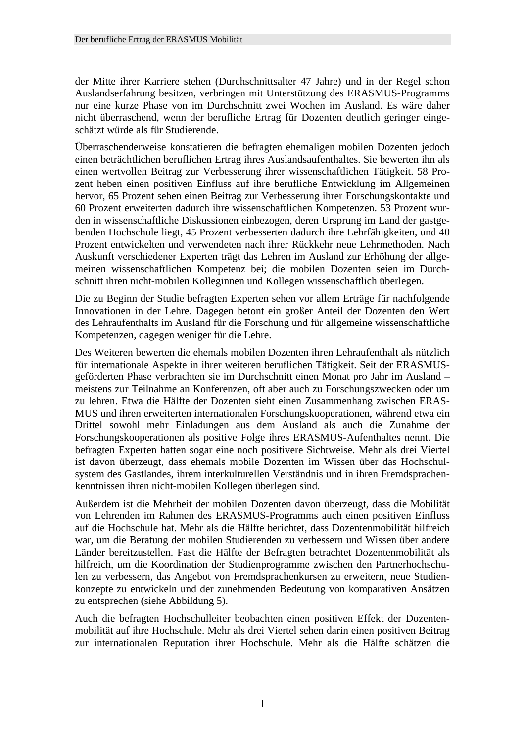der Mitte ihrer Karriere stehen (Durchschnittsalter 47 Jahre) und in der Regel schon Auslandserfahrung besitzen, verbringen mit Unterstützung des ERASMUS-Programms nur eine kurze Phase von im Durchschnitt zwei Wochen im Ausland. Es wäre daher nicht überraschend, wenn der berufliche Ertrag für Dozenten deutlich geringer eingeschätzt würde als für Studierende.

Überraschenderweise konstatieren die befragten ehemaligen mobilen Dozenten jedoch einen beträchtlichen beruflichen Ertrag ihres Auslandsaufenthaltes. Sie bewerten ihn als einen wertvollen Beitrag zur Verbesserung ihrer wissenschaftlichen Tätigkeit. 58 Prozent heben einen positiven Einfluss auf ihre berufliche Entwicklung im Allgemeinen hervor, 65 Prozent sehen einen Beitrag zur Verbesserung ihrer Forschungskontakte und 60 Prozent erweiterten dadurch ihre wissenschaftlichen Kompetenzen. 53 Prozent wurden in wissenschaftliche Diskussionen einbezogen, deren Ursprung im Land der gastgebenden Hochschule liegt, 45 Prozent verbesserten dadurch ihre Lehrfähigkeiten, und 40 Prozent entwickelten und verwendeten nach ihrer Rückkehr neue Lehrmethoden. Nach Auskunft verschiedener Experten trägt das Lehren im Ausland zur Erhöhung der allgemeinen wissenschaftlichen Kompetenz bei; die mobilen Dozenten seien im Durchschnitt ihren nicht-mobilen Kolleginnen und Kollegen wissenschaftlich überlegen.

Die zu Beginn der Studie befragten Experten sehen vor allem Erträge für nachfolgende Innovationen in der Lehre. Dagegen betont ein großer Anteil der Dozenten den Wert des Lehraufenthalts im Ausland für die Forschung und für allgemeine wissenschaftliche Kompetenzen, dagegen weniger für die Lehre.

Des Weiteren bewerten die ehemals mobilen Dozenten ihren Lehraufenthalt als nützlich für internationale Aspekte in ihrer weiteren beruflichen Tätigkeit. Seit der ERASMUSgeförderten Phase verbrachten sie im Durchschnitt einen Monat pro Jahr im Ausland – meistens zur Teilnahme an Konferenzen, oft aber auch zu Forschungszwecken oder um zu lehren. Etwa die Hälfte der Dozenten sieht einen Zusammenhang zwischen ERAS-MUS und ihren erweiterten internationalen Forschungskooperationen, während etwa ein Drittel sowohl mehr Einladungen aus dem Ausland als auch die Zunahme der Forschungskooperationen als positive Folge ihres ERASMUS-Aufenthaltes nennt. Die befragten Experten hatten sogar eine noch positivere Sichtweise. Mehr als drei Viertel ist davon überzeugt, dass ehemals mobile Dozenten im Wissen über das Hochschulsystem des Gastlandes, ihrem interkulturellen Verständnis und in ihren Fremdsprachenkenntnissen ihren nicht-mobilen Kollegen überlegen sind.

Außerdem ist die Mehrheit der mobilen Dozenten davon überzeugt, dass die Mobilität von Lehrenden im Rahmen des ERASMUS-Programms auch einen positiven Einfluss auf die Hochschule hat. Mehr als die Hälfte berichtet, dass Dozentenmobilität hilfreich war, um die Beratung der mobilen Studierenden zu verbessern und Wissen über andere Länder bereitzustellen. Fast die Hälfte der Befragten betrachtet Dozentenmobilität als hilfreich, um die Koordination der Studienprogramme zwischen den Partnerhochschulen zu verbessern, das Angebot von Fremdsprachenkursen zu erweitern, neue Studienkonzepte zu entwickeln und der zunehmenden Bedeutung von komparativen Ansätzen zu entsprechen (siehe Abbildung 5).

Auch die befragten Hochschulleiter beobachten einen positiven Effekt der Dozentenmobilität auf ihre Hochschule. Mehr als drei Viertel sehen darin einen positiven Beitrag zur internationalen Reputation ihrer Hochschule. Mehr als die Hälfte schätzen die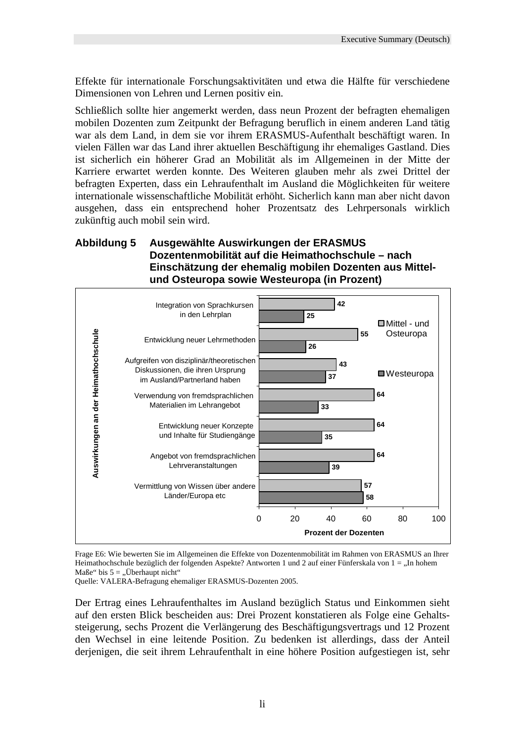Effekte für internationale Forschungsaktivitäten und etwa die Hälfte für verschiedene Dimensionen von Lehren und Lernen positiv ein.

Schließlich sollte hier angemerkt werden, dass neun Prozent der befragten ehemaligen mobilen Dozenten zum Zeitpunkt der Befragung beruflich in einem anderen Land tätig war als dem Land, in dem sie vor ihrem ERASMUS-Aufenthalt beschäftigt waren. In vielen Fällen war das Land ihrer aktuellen Beschäftigung ihr ehemaliges Gastland. Dies ist sicherlich ein höherer Grad an Mobilität als im Allgemeinen in der Mitte der Karriere erwartet werden konnte. Des Weiteren glauben mehr als zwei Drittel der befragten Experten, dass ein Lehraufenthalt im Ausland die Möglichkeiten für weitere internationale wissenschaftliche Mobilität erhöht. Sicherlich kann man aber nicht davon ausgehen, dass ein entsprechend hoher Prozentsatz des Lehrpersonals wirklich zukünftig auch mobil sein wird.

### **Abbildung 5 Ausgewählte Auswirkungen der ERASMUS Dozentenmobilität auf die Heimathochschule – nach Einschätzung der ehemalig mobilen Dozenten aus Mittelund Osteuropa sowie Westeuropa (in Prozent)**



Frage E6: Wie bewerten Sie im Allgemeinen die Effekte von Dozentenmobilität im Rahmen von ERASMUS an Ihrer Heimathochschule bezüglich der folgenden Aspekte? Antworten 1 und 2 auf einer Fünferskala von 1 = "In hohem Maße" bis  $5 = 0$ , Überhaupt nicht"

Quelle: VALERA-Befragung ehemaliger ERASMUS-Dozenten 2005.

Der Ertrag eines Lehraufenthaltes im Ausland bezüglich Status und Einkommen sieht auf den ersten Blick bescheiden aus: Drei Prozent konstatieren als Folge eine Gehaltssteigerung, sechs Prozent die Verlängerung des Beschäftigungsvertrags und 12 Prozent den Wechsel in eine leitende Position. Zu bedenken ist allerdings, dass der Anteil derjenigen, die seit ihrem Lehraufenthalt in eine höhere Position aufgestiegen ist, sehr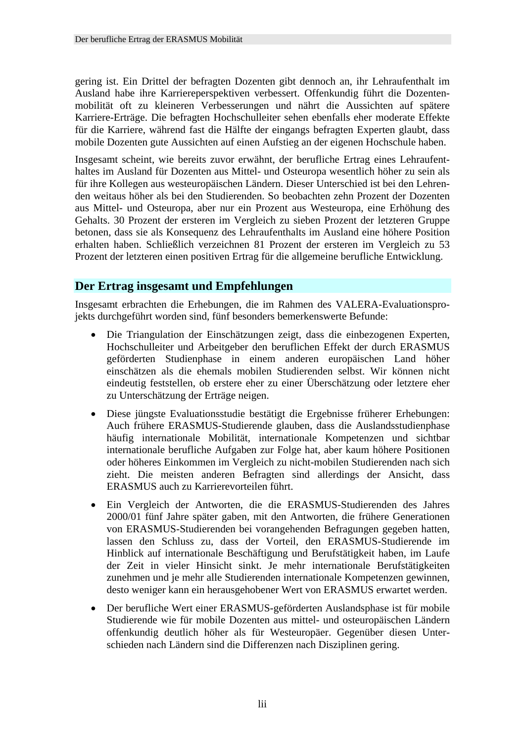gering ist. Ein Drittel der befragten Dozenten gibt dennoch an, ihr Lehraufenthalt im Ausland habe ihre Karriereperspektiven verbessert. Offenkundig führt die Dozentenmobilität oft zu kleineren Verbesserungen und nährt die Aussichten auf spätere Karriere-Erträge. Die befragten Hochschulleiter sehen ebenfalls eher moderate Effekte für die Karriere, während fast die Hälfte der eingangs befragten Experten glaubt, dass mobile Dozenten gute Aussichten auf einen Aufstieg an der eigenen Hochschule haben.

Insgesamt scheint, wie bereits zuvor erwähnt, der berufliche Ertrag eines Lehraufenthaltes im Ausland für Dozenten aus Mittel- und Osteuropa wesentlich höher zu sein als für ihre Kollegen aus westeuropäischen Ländern. Dieser Unterschied ist bei den Lehrenden weitaus höher als bei den Studierenden. So beobachten zehn Prozent der Dozenten aus Mittel- und Osteuropa, aber nur ein Prozent aus Westeuropa, eine Erhöhung des Gehalts. 30 Prozent der ersteren im Vergleich zu sieben Prozent der letzteren Gruppe betonen, dass sie als Konsequenz des Lehraufenthalts im Ausland eine höhere Position erhalten haben. Schließlich verzeichnen 81 Prozent der ersteren im Vergleich zu 53 Prozent der letzteren einen positiven Ertrag für die allgemeine berufliche Entwicklung.

# **Der Ertrag insgesamt und Empfehlungen**

Insgesamt erbrachten die Erhebungen, die im Rahmen des VALERA-Evaluationsprojekts durchgeführt worden sind, fünf besonders bemerkenswerte Befunde:

- Die Triangulation der Einschätzungen zeigt, dass die einbezogenen Experten, Hochschulleiter und Arbeitgeber den beruflichen Effekt der durch ERASMUS geförderten Studienphase in einem anderen europäischen Land höher einschätzen als die ehemals mobilen Studierenden selbst. Wir können nicht eindeutig feststellen, ob erstere eher zu einer Überschätzung oder letztere eher zu Unterschätzung der Erträge neigen.
- Diese jüngste Evaluationsstudie bestätigt die Ergebnisse früherer Erhebungen: Auch frühere ERASMUS-Studierende glauben, dass die Auslandsstudienphase häufig internationale Mobilität, internationale Kompetenzen und sichtbar internationale berufliche Aufgaben zur Folge hat, aber kaum höhere Positionen oder höheres Einkommen im Vergleich zu nicht-mobilen Studierenden nach sich zieht. Die meisten anderen Befragten sind allerdings der Ansicht, dass ERASMUS auch zu Karrierevorteilen führt.
- Ein Vergleich der Antworten, die die ERASMUS-Studierenden des Jahres 2000/01 fünf Jahre später gaben, mit den Antworten, die frühere Generationen von ERASMUS-Studierenden bei vorangehenden Befragungen gegeben hatten, lassen den Schluss zu, dass der Vorteil, den ERASMUS-Studierende im Hinblick auf internationale Beschäftigung und Berufstätigkeit haben, im Laufe der Zeit in vieler Hinsicht sinkt. Je mehr internationale Berufstätigkeiten zunehmen und je mehr alle Studierenden internationale Kompetenzen gewinnen, desto weniger kann ein herausgehobener Wert von ERASMUS erwartet werden.
- Der berufliche Wert einer ERASMUS-geförderten Auslandsphase ist für mobile Studierende wie für mobile Dozenten aus mittel- und osteuropäischen Ländern offenkundig deutlich höher als für Westeuropäer. Gegenüber diesen Unterschieden nach Ländern sind die Differenzen nach Disziplinen gering.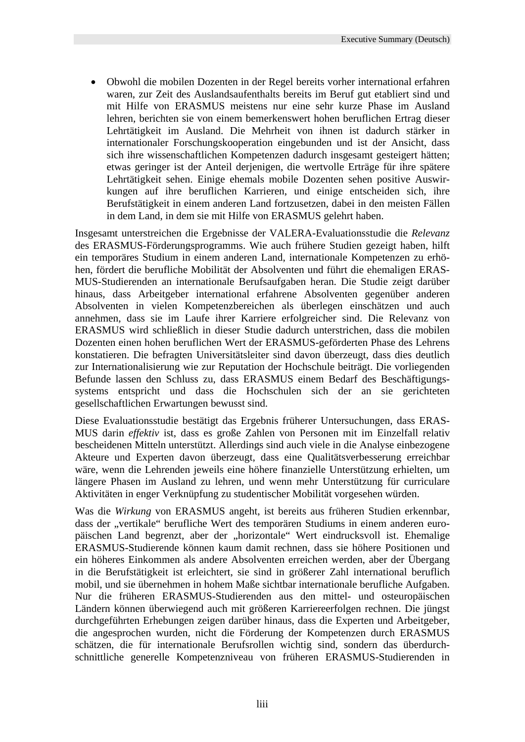• Obwohl die mobilen Dozenten in der Regel bereits vorher international erfahren waren, zur Zeit des Auslandsaufenthalts bereits im Beruf gut etabliert sind und mit Hilfe von ERASMUS meistens nur eine sehr kurze Phase im Ausland lehren, berichten sie von einem bemerkenswert hohen beruflichen Ertrag dieser Lehrtätigkeit im Ausland. Die Mehrheit von ihnen ist dadurch stärker in internationaler Forschungskooperation eingebunden und ist der Ansicht, dass sich ihre wissenschaftlichen Kompetenzen dadurch insgesamt gesteigert hätten; etwas geringer ist der Anteil derjenigen, die wertvolle Erträge für ihre spätere Lehrtätigkeit sehen. Einige ehemals mobile Dozenten sehen positive Auswirkungen auf ihre beruflichen Karrieren, und einige entscheiden sich, ihre Berufstätigkeit in einem anderen Land fortzusetzen, dabei in den meisten Fällen in dem Land, in dem sie mit Hilfe von ERASMUS gelehrt haben.

Insgesamt unterstreichen die Ergebnisse der VALERA-Evaluationsstudie die *Relevanz* des ERASMUS-Förderungsprogramms. Wie auch frühere Studien gezeigt haben, hilft ein temporäres Studium in einem anderen Land, internationale Kompetenzen zu erhöhen, fördert die berufliche Mobilität der Absolventen und führt die ehemaligen ERAS-MUS-Studierenden an internationale Berufsaufgaben heran. Die Studie zeigt darüber hinaus, dass Arbeitgeber international erfahrene Absolventen gegenüber anderen Absolventen in vielen Kompetenzbereichen als überlegen einschätzen und auch annehmen, dass sie im Laufe ihrer Karriere erfolgreicher sind. Die Relevanz von ERASMUS wird schließlich in dieser Studie dadurch unterstrichen, dass die mobilen Dozenten einen hohen beruflichen Wert der ERASMUS-geförderten Phase des Lehrens konstatieren. Die befragten Universitätsleiter sind davon überzeugt, dass dies deutlich zur Internationalisierung wie zur Reputation der Hochschule beiträgt. Die vorliegenden Befunde lassen den Schluss zu, dass ERASMUS einem Bedarf des Beschäftigungssystems entspricht und dass die Hochschulen sich der an sie gerichteten gesellschaftlichen Erwartungen bewusst sind.

Diese Evaluationsstudie bestätigt das Ergebnis früherer Untersuchungen, dass ERAS-MUS darin *effektiv* ist, dass es große Zahlen von Personen mit im Einzelfall relativ bescheidenen Mitteln unterstützt. Allerdings sind auch viele in die Analyse einbezogene Akteure und Experten davon überzeugt, dass eine Qualitätsverbesserung erreichbar wäre, wenn die Lehrenden jeweils eine höhere finanzielle Unterstützung erhielten, um längere Phasen im Ausland zu lehren, und wenn mehr Unterstützung für curriculare Aktivitäten in enger Verknüpfung zu studentischer Mobilität vorgesehen würden.

Was die *Wirkung* von ERASMUS angeht, ist bereits aus früheren Studien erkennbar, dass der "vertikale" berufliche Wert des temporären Studiums in einem anderen europäischen Land begrenzt, aber der "horizontale" Wert eindrucksvoll ist. Ehemalige ERASMUS-Studierende können kaum damit rechnen, dass sie höhere Positionen und ein höheres Einkommen als andere Absolventen erreichen werden, aber der Übergang in die Berufstätigkeit ist erleichtert, sie sind in größerer Zahl international beruflich mobil, und sie übernehmen in hohem Maße sichtbar internationale berufliche Aufgaben. Nur die früheren ERASMUS-Studierenden aus den mittel- und osteuropäischen Ländern können überwiegend auch mit größeren Karriereerfolgen rechnen. Die jüngst durchgeführten Erhebungen zeigen darüber hinaus, dass die Experten und Arbeitgeber, die angesprochen wurden, nicht die Förderung der Kompetenzen durch ERASMUS schätzen, die für internationale Berufsrollen wichtig sind, sondern das überdurchschnittliche generelle Kompetenzniveau von früheren ERASMUS-Studierenden in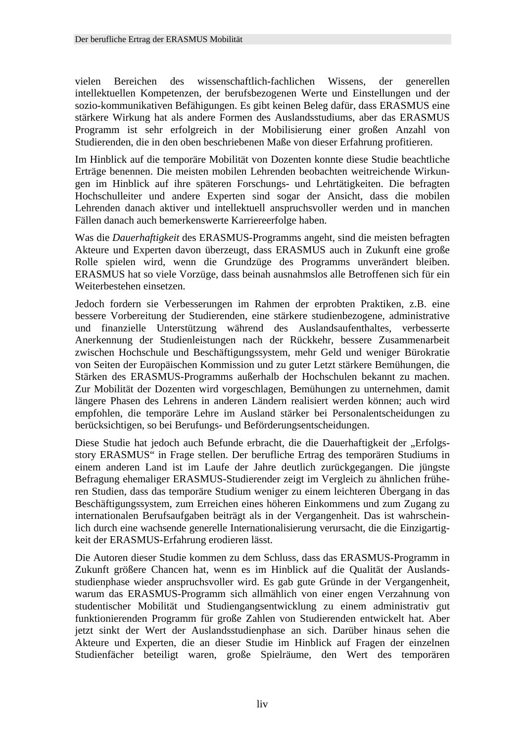vielen Bereichen des wissenschaftlich-fachlichen Wissens, der generellen intellektuellen Kompetenzen, der berufsbezogenen Werte und Einstellungen und der sozio-kommunikativen Befähigungen. Es gibt keinen Beleg dafür, dass ERASMUS eine stärkere Wirkung hat als andere Formen des Auslandsstudiums, aber das ERASMUS Programm ist sehr erfolgreich in der Mobilisierung einer großen Anzahl von Studierenden, die in den oben beschriebenen Maße von dieser Erfahrung profitieren.

Im Hinblick auf die temporäre Mobilität von Dozenten konnte diese Studie beachtliche Erträge benennen. Die meisten mobilen Lehrenden beobachten weitreichende Wirkungen im Hinblick auf ihre späteren Forschungs- und Lehrtätigkeiten. Die befragten Hochschulleiter und andere Experten sind sogar der Ansicht, dass die mobilen Lehrenden danach aktiver und intellektuell anspruchsvoller werden und in manchen Fällen danach auch bemerkenswerte Karriereerfolge haben.

Was die *Dauerhaftigkeit* des ERASMUS-Programms angeht, sind die meisten befragten Akteure und Experten davon überzeugt, dass ERASMUS auch in Zukunft eine große Rolle spielen wird, wenn die Grundzüge des Programms unverändert bleiben. ERASMUS hat so viele Vorzüge, dass beinah ausnahmslos alle Betroffenen sich für ein Weiterbestehen einsetzen.

Jedoch fordern sie Verbesserungen im Rahmen der erprobten Praktiken, z.B. eine bessere Vorbereitung der Studierenden, eine stärkere studienbezogene, administrative und finanzielle Unterstützung während des Auslandsaufenthaltes, verbesserte Anerkennung der Studienleistungen nach der Rückkehr, bessere Zusammenarbeit zwischen Hochschule und Beschäftigungssystem, mehr Geld und weniger Bürokratie von Seiten der Europäischen Kommission und zu guter Letzt stärkere Bemühungen, die Stärken des ERASMUS-Programms außerhalb der Hochschulen bekannt zu machen. Zur Mobilität der Dozenten wird vorgeschlagen, Bemühungen zu unternehmen, damit längere Phasen des Lehrens in anderen Ländern realisiert werden können; auch wird empfohlen, die temporäre Lehre im Ausland stärker bei Personalentscheidungen zu berücksichtigen, so bei Berufungs- und Beförderungsentscheidungen.

Diese Studie hat jedoch auch Befunde erbracht, die die Dauerhaftigkeit der "Erfolgsstory ERASMUS" in Frage stellen. Der berufliche Ertrag des temporären Studiums in einem anderen Land ist im Laufe der Jahre deutlich zurückgegangen. Die jüngste Befragung ehemaliger ERASMUS-Studierender zeigt im Vergleich zu ähnlichen früheren Studien, dass das temporäre Studium weniger zu einem leichteren Übergang in das Beschäftigungssystem, zum Erreichen eines höheren Einkommens und zum Zugang zu internationalen Berufsaufgaben beiträgt als in der Vergangenheit. Das ist wahrscheinlich durch eine wachsende generelle Internationalisierung verursacht, die die Einzigartigkeit der ERASMUS-Erfahrung erodieren lässt.

Die Autoren dieser Studie kommen zu dem Schluss, dass das ERASMUS-Programm in Zukunft größere Chancen hat, wenn es im Hinblick auf die Qualität der Auslandsstudienphase wieder anspruchsvoller wird. Es gab gute Gründe in der Vergangenheit, warum das ERASMUS-Programm sich allmählich von einer engen Verzahnung von studentischer Mobilität und Studiengangsentwicklung zu einem administrativ gut funktionierenden Programm für große Zahlen von Studierenden entwickelt hat. Aber jetzt sinkt der Wert der Auslandsstudienphase an sich. Darüber hinaus sehen die Akteure und Experten, die an dieser Studie im Hinblick auf Fragen der einzelnen Studienfächer beteiligt waren, große Spielräume, den Wert des temporären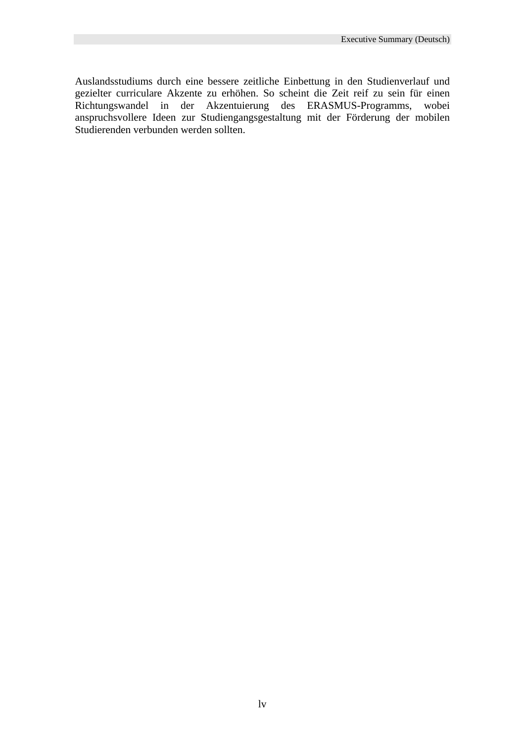Auslandsstudiums durch eine bessere zeitliche Einbettung in den Studienverlauf und gezielter curriculare Akzente zu erhöhen. So scheint die Zeit reif zu sein für einen Richtungswandel in der Akzentuierung des ERASMUS-Programms, wobei anspruchsvollere Ideen zur Studiengangsgestaltung mit der Förderung der mobilen Studierenden verbunden werden sollten.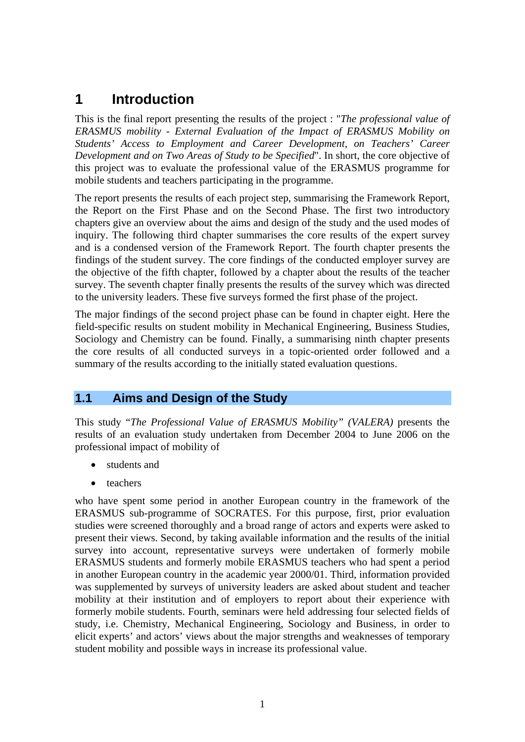# **1 Introduction**

This is the final report presenting the results of the project : "*The professional value of ERASMUS mobility - External Evaluation of the Impact of ERASMUS Mobility on Students' Access to Employment and Career Development, on Teachers' Career Development and on Two Areas of Study to be Specified*". In short, the core objective of this project was to evaluate the professional value of the ERASMUS programme for mobile students and teachers participating in the programme.

The report presents the results of each project step, summarising the Framework Report, the Report on the First Phase and on the Second Phase. The first two introductory chapters give an overview about the aims and design of the study and the used modes of inquiry. The following third chapter summarises the core results of the expert survey and is a condensed version of the Framework Report. The fourth chapter presents the findings of the student survey. The core findings of the conducted employer survey are the objective of the fifth chapter, followed by a chapter about the results of the teacher survey. The seventh chapter finally presents the results of the survey which was directed to the university leaders. These five surveys formed the first phase of the project.

The major findings of the second project phase can be found in chapter eight. Here the field-specific results on student mobility in Mechanical Engineering, Business Studies, Sociology and Chemistry can be found. Finally, a summarising ninth chapter presents the core results of all conducted surveys in a topic-oriented order followed and a summary of the results according to the initially stated evaluation questions.

# **1.1 Aims and Design of the Study**

This study "*The Professional Value of ERASMUS Mobility" (VALERA)* presents the results of an evaluation study undertaken from December 2004 to June 2006 on the professional impact of mobility of

- students and
- teachers

who have spent some period in another European country in the framework of the ERASMUS sub-programme of SOCRATES. For this purpose, first, prior evaluation studies were screened thoroughly and a broad range of actors and experts were asked to present their views. Second, by taking available information and the results of the initial survey into account, representative surveys were undertaken of formerly mobile ERASMUS students and formerly mobile ERASMUS teachers who had spent a period in another European country in the academic year 2000/01. Third, information provided was supplemented by surveys of university leaders are asked about student and teacher mobility at their institution and of employers to report about their experience with formerly mobile students. Fourth, seminars were held addressing four selected fields of study, i.e. Chemistry, Mechanical Engineering, Sociology and Business, in order to elicit experts' and actors' views about the major strengths and weaknesses of temporary student mobility and possible ways in increase its professional value.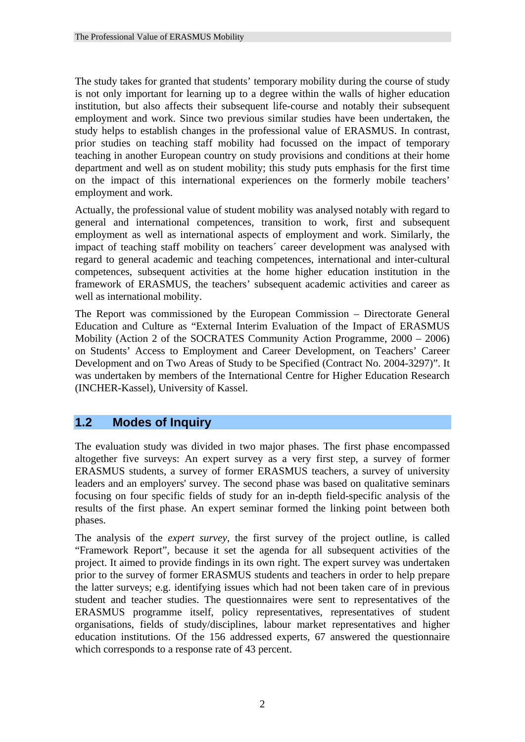The study takes for granted that students' temporary mobility during the course of study is not only important for learning up to a degree within the walls of higher education institution, but also affects their subsequent life-course and notably their subsequent employment and work. Since two previous similar studies have been undertaken, the study helps to establish changes in the professional value of ERASMUS. In contrast, prior studies on teaching staff mobility had focussed on the impact of temporary teaching in another European country on study provisions and conditions at their home department and well as on student mobility; this study puts emphasis for the first time on the impact of this international experiences on the formerly mobile teachers' employment and work.

Actually, the professional value of student mobility was analysed notably with regard to general and international competences, transition to work, first and subsequent employment as well as international aspects of employment and work. Similarly, the impact of teaching staff mobility on teachers´ career development was analysed with regard to general academic and teaching competences, international and inter-cultural competences, subsequent activities at the home higher education institution in the framework of ERASMUS, the teachers' subsequent academic activities and career as well as international mobility.

The Report was commissioned by the European Commission – Directorate General Education and Culture as "External Interim Evaluation of the Impact of ERASMUS Mobility (Action 2 of the SOCRATES Community Action Programme, 2000 – 2006) on Students' Access to Employment and Career Development, on Teachers' Career Development and on Two Areas of Study to be Specified (Contract No. 2004-3297)". It was undertaken by members of the International Centre for Higher Education Research (INCHER-Kassel), University of Kassel.

# **1.2 Modes of Inquiry**

The evaluation study was divided in two major phases. The first phase encompassed altogether five surveys: An expert survey as a very first step, a survey of former ERASMUS students, a survey of former ERASMUS teachers, a survey of university leaders and an employers' survey. The second phase was based on qualitative seminars focusing on four specific fields of study for an in-depth field-specific analysis of the results of the first phase. An expert seminar formed the linking point between both phases.

The analysis of the *expert survey*, the first survey of the project outline, is called "Framework Report", because it set the agenda for all subsequent activities of the project. It aimed to provide findings in its own right. The expert survey was undertaken prior to the survey of former ERASMUS students and teachers in order to help prepare the latter surveys; e.g. identifying issues which had not been taken care of in previous student and teacher studies. The questionnaires were sent to representatives of the ERASMUS programme itself, policy representatives, representatives of student organisations, fields of study/disciplines, labour market representatives and higher education institutions. Of the 156 addressed experts, 67 answered the questionnaire which corresponds to a response rate of 43 percent.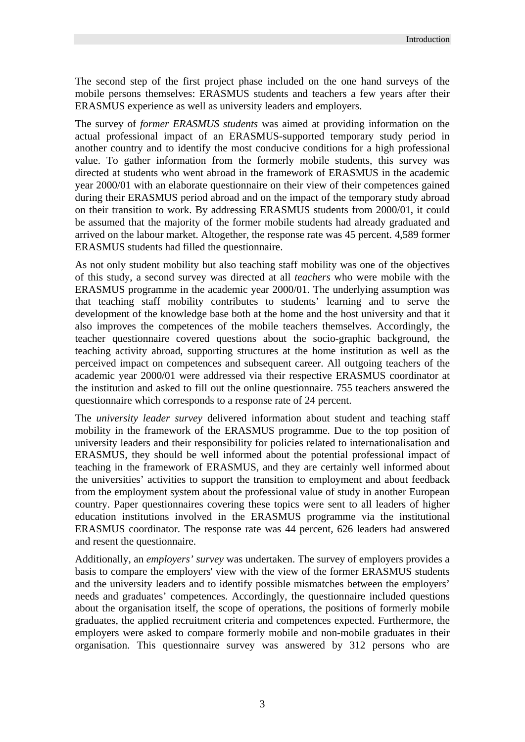The second step of the first project phase included on the one hand surveys of the mobile persons themselves: ERASMUS students and teachers a few years after their ERASMUS experience as well as university leaders and employers.

The survey of *former ERASMUS students* was aimed at providing information on the actual professional impact of an ERASMUS-supported temporary study period in another country and to identify the most conducive conditions for a high professional value. To gather information from the formerly mobile students, this survey was directed at students who went abroad in the framework of ERASMUS in the academic year 2000/01 with an elaborate questionnaire on their view of their competences gained during their ERASMUS period abroad and on the impact of the temporary study abroad on their transition to work. By addressing ERASMUS students from 2000/01, it could be assumed that the majority of the former mobile students had already graduated and arrived on the labour market. Altogether, the response rate was 45 percent. 4,589 former ERASMUS students had filled the questionnaire.

As not only student mobility but also teaching staff mobility was one of the objectives of this study, a second survey was directed at all *teachers* who were mobile with the ERASMUS programme in the academic year 2000/01. The underlying assumption was that teaching staff mobility contributes to students' learning and to serve the development of the knowledge base both at the home and the host university and that it also improves the competences of the mobile teachers themselves. Accordingly, the teacher questionnaire covered questions about the socio-graphic background, the teaching activity abroad, supporting structures at the home institution as well as the perceived impact on competences and subsequent career. All outgoing teachers of the academic year 2000/01 were addressed via their respective ERASMUS coordinator at the institution and asked to fill out the online questionnaire. 755 teachers answered the questionnaire which corresponds to a response rate of 24 percent.

The *university leader survey* delivered information about student and teaching staff mobility in the framework of the ERASMUS programme. Due to the top position of university leaders and their responsibility for policies related to internationalisation and ERASMUS, they should be well informed about the potential professional impact of teaching in the framework of ERASMUS, and they are certainly well informed about the universities' activities to support the transition to employment and about feedback from the employment system about the professional value of study in another European country. Paper questionnaires covering these topics were sent to all leaders of higher education institutions involved in the ERASMUS programme via the institutional ERASMUS coordinator. The response rate was 44 percent, 626 leaders had answered and resent the questionnaire.

Additionally, an *employers' survey* was undertaken. The survey of employers provides a basis to compare the employers' view with the view of the former ERASMUS students and the university leaders and to identify possible mismatches between the employers' needs and graduates' competences. Accordingly, the questionnaire included questions about the organisation itself, the scope of operations, the positions of formerly mobile graduates, the applied recruitment criteria and competences expected. Furthermore, the employers were asked to compare formerly mobile and non-mobile graduates in their organisation. This questionnaire survey was answered by 312 persons who are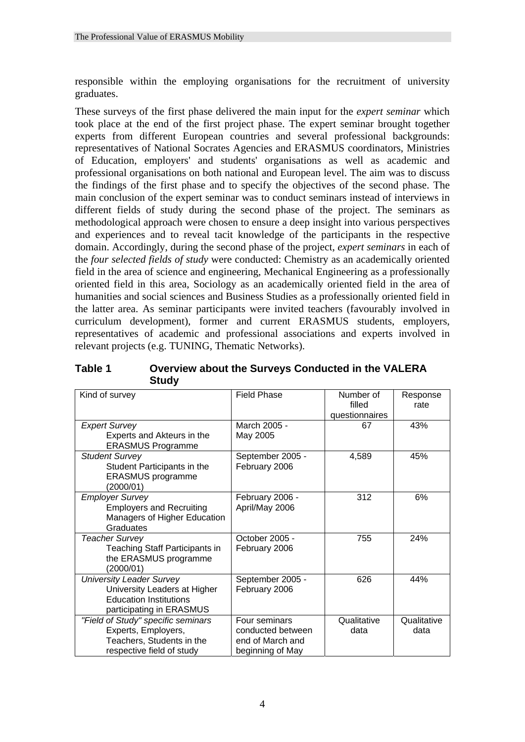responsible within the employing organisations for the recruitment of university graduates.

These surveys of the first phase delivered the main input for the *expert seminar* which took place at the end of the first project phase. The expert seminar brought together experts from different European countries and several professional backgrounds: representatives of National Socrates Agencies and ERASMUS coordinators, Ministries of Education, employers' and students' organisations as well as academic and professional organisations on both national and European level. The aim was to discuss the findings of the first phase and to specify the objectives of the second phase. The main conclusion of the expert seminar was to conduct seminars instead of interviews in different fields of study during the second phase of the project. The seminars as methodological approach were chosen to ensure a deep insight into various perspectives and experiences and to reveal tacit knowledge of the participants in the respective domain. Accordingly, during the second phase of the project, *expert seminars* in each of the *four selected fields of study* were conducted: Chemistry as an academically oriented field in the area of science and engineering, Mechanical Engineering as a professionally oriented field in this area, Sociology as an academically oriented field in the area of humanities and social sciences and Business Studies as a professionally oriented field in the latter area. As seminar participants were invited teachers (favourably involved in curriculum development), former and current ERASMUS students, employers, representatives of academic and professional associations and experts involved in relevant projects (e.g. TUNING, Thematic Networks).

| Table 1 | Overview about the Surveys Conducted in the VALERA |
|---------|----------------------------------------------------|
|         | <b>Study</b>                                       |

| Kind of survey                                                                                                               | <b>Field Phase</b>                                                         | Number of<br>filled<br>questionnaires | Response<br>rate    |
|------------------------------------------------------------------------------------------------------------------------------|----------------------------------------------------------------------------|---------------------------------------|---------------------|
| <b>Expert Survey</b><br>Experts and Akteurs in the<br><b>ERASMUS Programme</b>                                               | March 2005 -<br>May 2005                                                   | 67                                    | 43%                 |
| <b>Student Survey</b><br>Student Participants in the<br><b>ERASMUS</b> programme<br>(2000/01)                                | September 2005 -<br>February 2006                                          | 4,589                                 | 45%                 |
| <b>Employer Survey</b><br><b>Employers and Recruiting</b><br>Managers of Higher Education<br><b>Graduates</b>                | February 2006 -<br>April/May 2006                                          | 312                                   | 6%                  |
| <b>Teacher Survey</b><br><b>Teaching Staff Participants in</b><br>the ERASMUS programme<br>(2000/01)                         | October 2005 -<br>February 2006                                            | 755                                   | 24%                 |
| <b>University Leader Survey</b><br>University Leaders at Higher<br><b>Education Institutions</b><br>participating in ERASMUS | September 2005 -<br>February 2006                                          | 626                                   | 44%                 |
| "Field of Study" specific seminars<br>Experts, Employers,<br>Teachers, Students in the<br>respective field of study          | Four seminars<br>conducted between<br>end of March and<br>beginning of May | Qualitative<br>data                   | Qualitative<br>data |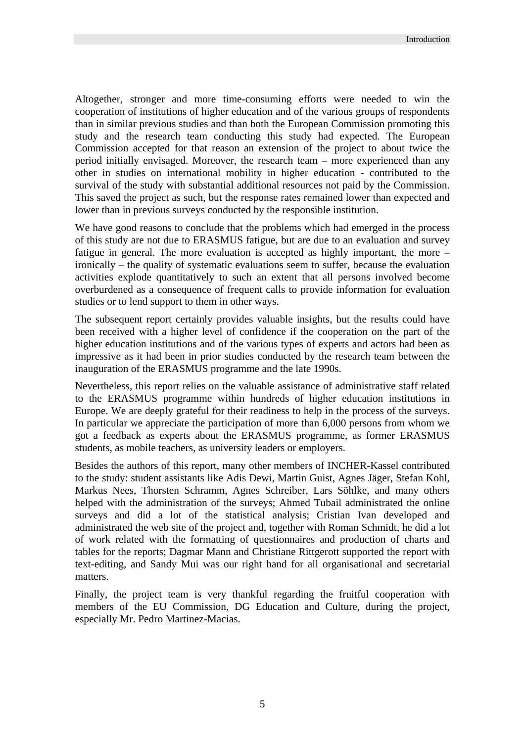Altogether, stronger and more time-consuming efforts were needed to win the cooperation of institutions of higher education and of the various groups of respondents than in similar previous studies and than both the European Commission promoting this study and the research team conducting this study had expected. The European Commission accepted for that reason an extension of the project to about twice the period initially envisaged. Moreover, the research team – more experienced than any other in studies on international mobility in higher education - contributed to the survival of the study with substantial additional resources not paid by the Commission. This saved the project as such, but the response rates remained lower than expected and lower than in previous surveys conducted by the responsible institution.

We have good reasons to conclude that the problems which had emerged in the process of this study are not due to ERASMUS fatigue, but are due to an evaluation and survey fatigue in general. The more evaluation is accepted as highly important, the more – ironically – the quality of systematic evaluations seem to suffer, because the evaluation activities explode quantitatively to such an extent that all persons involved become overburdened as a consequence of frequent calls to provide information for evaluation studies or to lend support to them in other ways.

The subsequent report certainly provides valuable insights, but the results could have been received with a higher level of confidence if the cooperation on the part of the higher education institutions and of the various types of experts and actors had been as impressive as it had been in prior studies conducted by the research team between the inauguration of the ERASMUS programme and the late 1990s.

Nevertheless, this report relies on the valuable assistance of administrative staff related to the ERASMUS programme within hundreds of higher education institutions in Europe. We are deeply grateful for their readiness to help in the process of the surveys. In particular we appreciate the participation of more than 6,000 persons from whom we got a feedback as experts about the ERASMUS programme, as former ERASMUS students, as mobile teachers, as university leaders or employers.

Besides the authors of this report, many other members of INCHER-Kassel contributed to the study: student assistants like Adis Dewi, Martin Guist, Agnes Jäger, Stefan Kohl, Markus Nees, Thorsten Schramm, Agnes Schreiber, Lars Söhlke, and many others helped with the administration of the surveys; Ahmed Tubail administrated the online surveys and did a lot of the statistical analysis; Cristian Ivan developed and administrated the web site of the project and, together with Roman Schmidt, he did a lot of work related with the formatting of questionnaires and production of charts and tables for the reports; Dagmar Mann and Christiane Rittgerott supported the report with text-editing, and Sandy Mui was our right hand for all organisational and secretarial matters.

Finally, the project team is very thankful regarding the fruitful cooperation with members of the EU Commission, DG Education and Culture, during the project, especially Mr. Pedro Martinez-Macias.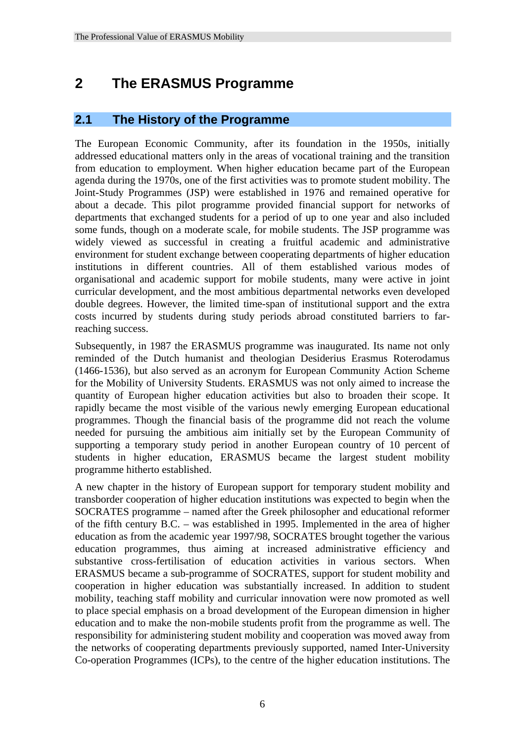# **2 The ERASMUS Programme**

# **2.1 The History of the Programme**

The European Economic Community, after its foundation in the 1950s, initially addressed educational matters only in the areas of vocational training and the transition from education to employment. When higher education became part of the European agenda during the 1970s, one of the first activities was to promote student mobility. The Joint-Study Programmes (JSP) were established in 1976 and remained operative for about a decade. This pilot programme provided financial support for networks of departments that exchanged students for a period of up to one year and also included some funds, though on a moderate scale, for mobile students. The JSP programme was widely viewed as successful in creating a fruitful academic and administrative environment for student exchange between cooperating departments of higher education institutions in different countries. All of them established various modes of organisational and academic support for mobile students, many were active in joint curricular development, and the most ambitious departmental networks even developed double degrees. However, the limited time-span of institutional support and the extra costs incurred by students during study periods abroad constituted barriers to farreaching success.

Subsequently, in 1987 the ERASMUS programme was inaugurated. Its name not only reminded of the Dutch humanist and theologian Desiderius Erasmus Roterodamus (1466-1536), but also served as an acronym for European Community Action Scheme for the Mobility of University Students. ERASMUS was not only aimed to increase the quantity of European higher education activities but also to broaden their scope. It rapidly became the most visible of the various newly emerging European educational programmes. Though the financial basis of the programme did not reach the volume needed for pursuing the ambitious aim initially set by the European Community of supporting a temporary study period in another European country of 10 percent of students in higher education, ERASMUS became the largest student mobility programme hitherto established.

A new chapter in the history of European support for temporary student mobility and transborder cooperation of higher education institutions was expected to begin when the SOCRATES programme – named after the Greek philosopher and educational reformer of the fifth century B.C. – was established in 1995. Implemented in the area of higher education as from the academic year 1997/98, SOCRATES brought together the various education programmes, thus aiming at increased administrative efficiency and substantive cross-fertilisation of education activities in various sectors. When ERASMUS became a sub-programme of SOCRATES, support for student mobility and cooperation in higher education was substantially increased. In addition to student mobility, teaching staff mobility and curricular innovation were now promoted as well to place special emphasis on a broad development of the European dimension in higher education and to make the non-mobile students profit from the programme as well. The responsibility for administering student mobility and cooperation was moved away from the networks of cooperating departments previously supported, named Inter-University Co-operation Programmes (ICPs), to the centre of the higher education institutions. The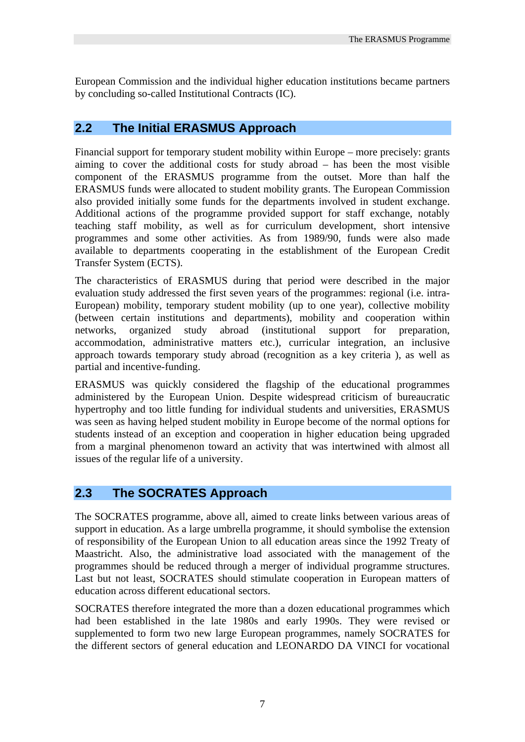European Commission and the individual higher education institutions became partners by concluding so-called Institutional Contracts (IC).

# **2.2 The Initial ERASMUS Approach**

Financial support for temporary student mobility within Europe – more precisely: grants aiming to cover the additional costs for study abroad – has been the most visible component of the ERASMUS programme from the outset. More than half the ERASMUS funds were allocated to student mobility grants. The European Commission also provided initially some funds for the departments involved in student exchange. Additional actions of the programme provided support for staff exchange, notably teaching staff mobility, as well as for curriculum development, short intensive programmes and some other activities. As from 1989/90, funds were also made available to departments cooperating in the establishment of the European Credit Transfer System (ECTS).

The characteristics of ERASMUS during that period were described in the major evaluation study addressed the first seven years of the programmes: regional (i.e. intra-European) mobility, temporary student mobility (up to one year), collective mobility (between certain institutions and departments), mobility and cooperation within networks, organized study abroad (institutional support for preparation, accommodation, administrative matters etc.), curricular integration, an inclusive approach towards temporary study abroad (recognition as a key criteria ), as well as partial and incentive-funding.

ERASMUS was quickly considered the flagship of the educational programmes administered by the European Union. Despite widespread criticism of bureaucratic hypertrophy and too little funding for individual students and universities, ERASMUS was seen as having helped student mobility in Europe become of the normal options for students instead of an exception and cooperation in higher education being upgraded from a marginal phenomenon toward an activity that was intertwined with almost all issues of the regular life of a university.

# **2.3 The SOCRATES Approach**

The SOCRATES programme, above all, aimed to create links between various areas of support in education. As a large umbrella programme, it should symbolise the extension of responsibility of the European Union to all education areas since the 1992 Treaty of Maastricht. Also, the administrative load associated with the management of the programmes should be reduced through a merger of individual programme structures. Last but not least, SOCRATES should stimulate cooperation in European matters of education across different educational sectors.

SOCRATES therefore integrated the more than a dozen educational programmes which had been established in the late 1980s and early 1990s. They were revised or supplemented to form two new large European programmes, namely SOCRATES for the different sectors of general education and LEONARDO DA VINCI for vocational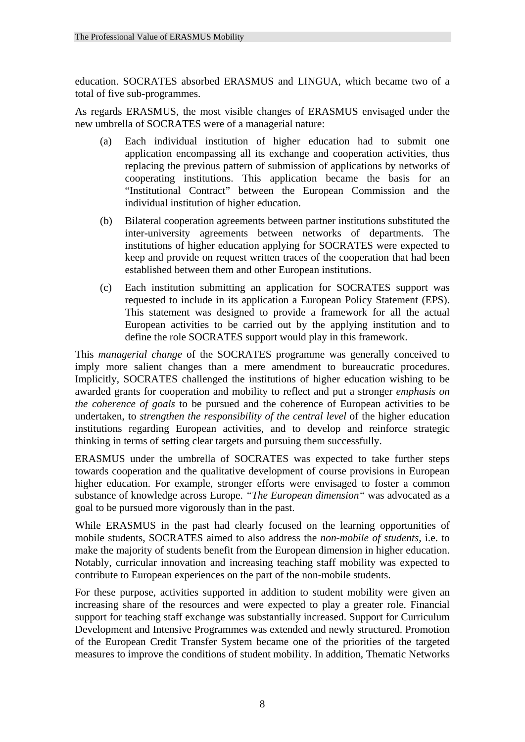education. SOCRATES absorbed ERASMUS and LINGUA, which became two of a total of five sub-programmes.

As regards ERASMUS, the most visible changes of ERASMUS envisaged under the new umbrella of SOCRATES were of a managerial nature:

- (a) Each individual institution of higher education had to submit one application encompassing all its exchange and cooperation activities, thus replacing the previous pattern of submission of applications by networks of cooperating institutions. This application became the basis for an "Institutional Contract" between the European Commission and the individual institution of higher education.
- (b) Bilateral cooperation agreements between partner institutions substituted the inter-university agreements between networks of departments. The institutions of higher education applying for SOCRATES were expected to keep and provide on request written traces of the cooperation that had been established between them and other European institutions.
- (c) Each institution submitting an application for SOCRATES support was requested to include in its application a European Policy Statement (EPS). This statement was designed to provide a framework for all the actual European activities to be carried out by the applying institution and to define the role SOCRATES support would play in this framework.

This *managerial change* of the SOCRATES programme was generally conceived to imply more salient changes than a mere amendment to bureaucratic procedures. Implicitly, SOCRATES challenged the institutions of higher education wishing to be awarded grants for cooperation and mobility to reflect and put a stronger *emphasis on the coherence of goals* to be pursued and the coherence of European activities to be undertaken, to *strengthen the responsibility of the central level* of the higher education institutions regarding European activities, and to develop and reinforce strategic thinking in terms of setting clear targets and pursuing them successfully.

ERASMUS under the umbrella of SOCRATES was expected to take further steps towards cooperation and the qualitative development of course provisions in European higher education. For example, stronger efforts were envisaged to foster a common substance of knowledge across Europe. *"The European dimension"* was advocated as a goal to be pursued more vigorously than in the past.

While ERASMUS in the past had clearly focused on the learning opportunities of mobile students, SOCRATES aimed to also address the *non-mobile of students*, i.e. to make the majority of students benefit from the European dimension in higher education. Notably, curricular innovation and increasing teaching staff mobility was expected to contribute to European experiences on the part of the non-mobile students.

For these purpose, activities supported in addition to student mobility were given an increasing share of the resources and were expected to play a greater role. Financial support for teaching staff exchange was substantially increased. Support for Curriculum Development and Intensive Programmes was extended and newly structured. Promotion of the European Credit Transfer System became one of the priorities of the targeted measures to improve the conditions of student mobility. In addition, Thematic Networks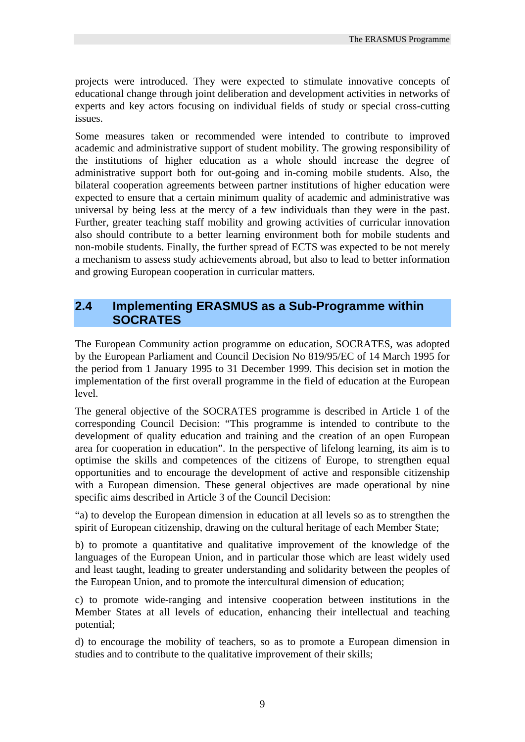projects were introduced. They were expected to stimulate innovative concepts of educational change through joint deliberation and development activities in networks of experts and key actors focusing on individual fields of study or special cross-cutting issues.

Some measures taken or recommended were intended to contribute to improved academic and administrative support of student mobility. The growing responsibility of the institutions of higher education as a whole should increase the degree of administrative support both for out-going and in-coming mobile students. Also, the bilateral cooperation agreements between partner institutions of higher education were expected to ensure that a certain minimum quality of academic and administrative was universal by being less at the mercy of a few individuals than they were in the past. Further, greater teaching staff mobility and growing activities of curricular innovation also should contribute to a better learning environment both for mobile students and non-mobile students. Finally, the further spread of ECTS was expected to be not merely a mechanism to assess study achievements abroad, but also to lead to better information and growing European cooperation in curricular matters.

### **2.4 Implementing ERASMUS as a Sub-Programme within SOCRATES**

The European Community action programme on education, SOCRATES, was adopted by the European Parliament and Council Decision No 819/95/EC of 14 March 1995 for the period from 1 January 1995 to 31 December 1999. This decision set in motion the implementation of the first overall programme in the field of education at the European level.

The general objective of the SOCRATES programme is described in Article 1 of the corresponding Council Decision: "This programme is intended to contribute to the development of quality education and training and the creation of an open European area for cooperation in education". In the perspective of lifelong learning, its aim is to optimise the skills and competences of the citizens of Europe, to strengthen equal opportunities and to encourage the development of active and responsible citizenship with a European dimension. These general objectives are made operational by nine specific aims described in Article 3 of the Council Decision:

"a) to develop the European dimension in education at all levels so as to strengthen the spirit of European citizenship, drawing on the cultural heritage of each Member State;

b) to promote a quantitative and qualitative improvement of the knowledge of the languages of the European Union, and in particular those which are least widely used and least taught, leading to greater understanding and solidarity between the peoples of the European Union, and to promote the intercultural dimension of education;

c) to promote wide-ranging and intensive cooperation between institutions in the Member States at all levels of education, enhancing their intellectual and teaching potential;

d) to encourage the mobility of teachers, so as to promote a European dimension in studies and to contribute to the qualitative improvement of their skills;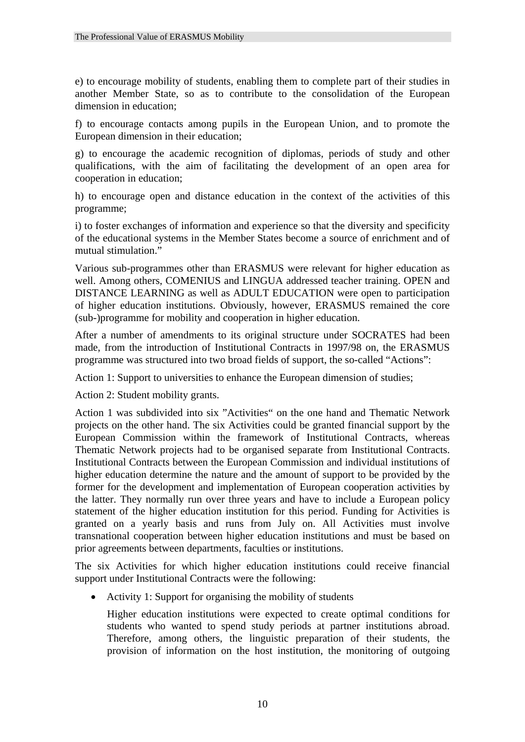e) to encourage mobility of students, enabling them to complete part of their studies in another Member State, so as to contribute to the consolidation of the European dimension in education;

f) to encourage contacts among pupils in the European Union, and to promote the European dimension in their education;

g) to encourage the academic recognition of diplomas, periods of study and other qualifications, with the aim of facilitating the development of an open area for cooperation in education;

h) to encourage open and distance education in the context of the activities of this programme;

i) to foster exchanges of information and experience so that the diversity and specificity of the educational systems in the Member States become a source of enrichment and of mutual stimulation."

Various sub-programmes other than ERASMUS were relevant for higher education as well. Among others, COMENIUS and LINGUA addressed teacher training. OPEN and DISTANCE LEARNING as well as ADULT EDUCATION were open to participation of higher education institutions. Obviously, however, ERASMUS remained the core (sub-)programme for mobility and cooperation in higher education.

After a number of amendments to its original structure under SOCRATES had been made, from the introduction of Institutional Contracts in 1997/98 on, the ERASMUS programme was structured into two broad fields of support, the so-called "Actions":

Action 1: Support to universities to enhance the European dimension of studies;

Action 2: Student mobility grants.

Action 1 was subdivided into six "Activities" on the one hand and Thematic Network projects on the other hand. The six Activities could be granted financial support by the European Commission within the framework of Institutional Contracts, whereas Thematic Network projects had to be organised separate from Institutional Contracts. Institutional Contracts between the European Commission and individual institutions of higher education determine the nature and the amount of support to be provided by the former for the development and implementation of European cooperation activities by the latter. They normally run over three years and have to include a European policy statement of the higher education institution for this period. Funding for Activities is granted on a yearly basis and runs from July on. All Activities must involve transnational cooperation between higher education institutions and must be based on prior agreements between departments, faculties or institutions.

The six Activities for which higher education institutions could receive financial support under Institutional Contracts were the following:

• Activity 1: Support for organising the mobility of students

Higher education institutions were expected to create optimal conditions for students who wanted to spend study periods at partner institutions abroad. Therefore, among others, the linguistic preparation of their students, the provision of information on the host institution, the monitoring of outgoing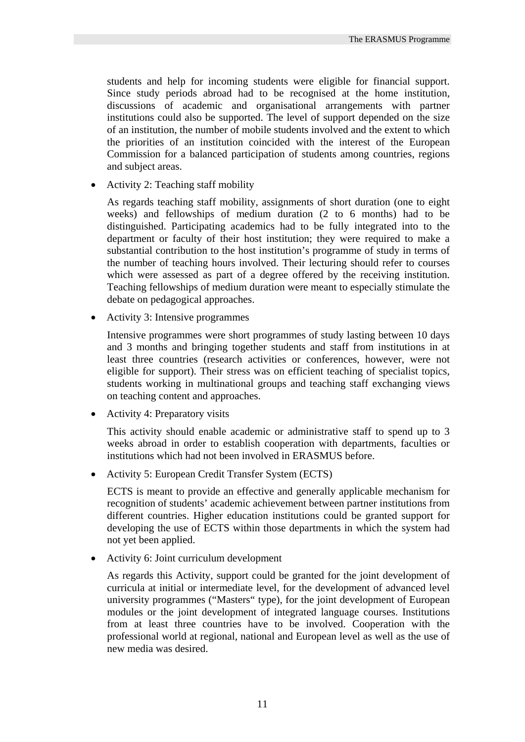students and help for incoming students were eligible for financial support. Since study periods abroad had to be recognised at the home institution, discussions of academic and organisational arrangements with partner institutions could also be supported. The level of support depended on the size of an institution, the number of mobile students involved and the extent to which the priorities of an institution coincided with the interest of the European Commission for a balanced participation of students among countries, regions and subject areas.

• Activity 2: Teaching staff mobility

As regards teaching staff mobility, assignments of short duration (one to eight weeks) and fellowships of medium duration (2 to 6 months) had to be distinguished. Participating academics had to be fully integrated into to the department or faculty of their host institution; they were required to make a substantial contribution to the host institution's programme of study in terms of the number of teaching hours involved. Their lecturing should refer to courses which were assessed as part of a degree offered by the receiving institution. Teaching fellowships of medium duration were meant to especially stimulate the debate on pedagogical approaches.

• Activity 3: Intensive programmes

Intensive programmes were short programmes of study lasting between 10 days and 3 months and bringing together students and staff from institutions in at least three countries (research activities or conferences, however, were not eligible for support). Their stress was on efficient teaching of specialist topics, students working in multinational groups and teaching staff exchanging views on teaching content and approaches.

• Activity 4: Preparatory visits

This activity should enable academic or administrative staff to spend up to 3 weeks abroad in order to establish cooperation with departments, faculties or institutions which had not been involved in ERASMUS before.

• Activity 5: European Credit Transfer System (ECTS)

ECTS is meant to provide an effective and generally applicable mechanism for recognition of students' academic achievement between partner institutions from different countries. Higher education institutions could be granted support for developing the use of ECTS within those departments in which the system had not yet been applied.

• Activity 6: Joint curriculum development

As regards this Activity, support could be granted for the joint development of curricula at initial or intermediate level, for the development of advanced level university programmes ("Masters" type), for the joint development of European modules or the joint development of integrated language courses. Institutions from at least three countries have to be involved. Cooperation with the professional world at regional, national and European level as well as the use of new media was desired.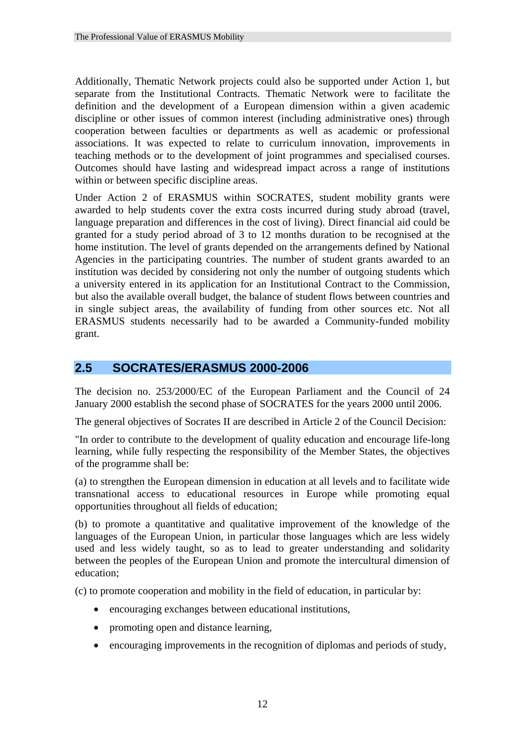Additionally, Thematic Network projects could also be supported under Action 1, but separate from the Institutional Contracts. Thematic Network were to facilitate the definition and the development of a European dimension within a given academic discipline or other issues of common interest (including administrative ones) through cooperation between faculties or departments as well as academic or professional associations. It was expected to relate to curriculum innovation, improvements in teaching methods or to the development of joint programmes and specialised courses. Outcomes should have lasting and widespread impact across a range of institutions within or between specific discipline areas.

Under Action 2 of ERASMUS within SOCRATES, student mobility grants were awarded to help students cover the extra costs incurred during study abroad (travel, language preparation and differences in the cost of living). Direct financial aid could be granted for a study period abroad of 3 to 12 months duration to be recognised at the home institution. The level of grants depended on the arrangements defined by National Agencies in the participating countries. The number of student grants awarded to an institution was decided by considering not only the number of outgoing students which a university entered in its application for an Institutional Contract to the Commission, but also the available overall budget, the balance of student flows between countries and in single subject areas, the availability of funding from other sources etc. Not all ERASMUS students necessarily had to be awarded a Community-funded mobility grant.

# **2.5 SOCRATES/ERASMUS 2000-2006**

The decision no. 253/2000/EC of the European Parliament and the Council of 24 January 2000 establish the second phase of SOCRATES for the years 2000 until 2006.

The general objectives of Socrates II are described in Article 2 of the Council Decision:

"In order to contribute to the development of quality education and encourage life-long learning, while fully respecting the responsibility of the Member States, the objectives of the programme shall be:

(a) to strengthen the European dimension in education at all levels and to facilitate wide transnational access to educational resources in Europe while promoting equal opportunities throughout all fields of education;

(b) to promote a quantitative and qualitative improvement of the knowledge of the languages of the European Union, in particular those languages which are less widely used and less widely taught, so as to lead to greater understanding and solidarity between the peoples of the European Union and promote the intercultural dimension of education;

(c) to promote cooperation and mobility in the field of education, in particular by:

- encouraging exchanges between educational institutions,
- promoting open and distance learning,
- encouraging improvements in the recognition of diplomas and periods of study,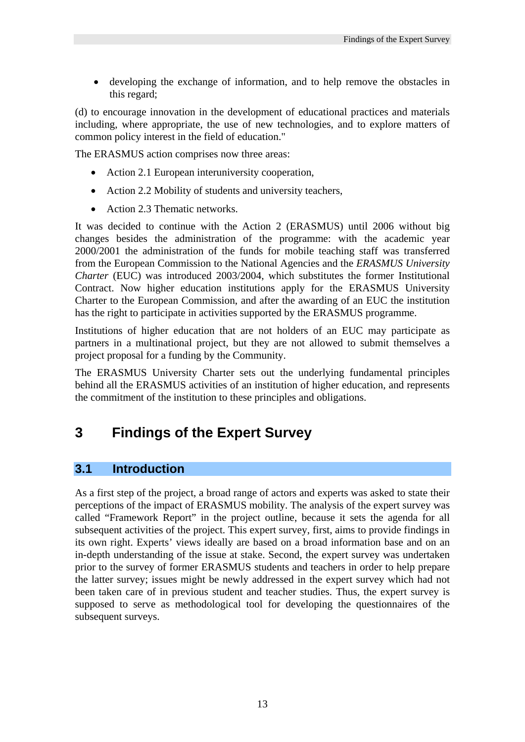• developing the exchange of information, and to help remove the obstacles in this regard;

(d) to encourage innovation in the development of educational practices and materials including, where appropriate, the use of new technologies, and to explore matters of common policy interest in the field of education."

The ERASMUS action comprises now three areas:

- Action 2.1 European interuniversity cooperation,
- Action 2.2 Mobility of students and university teachers,
- Action 2.3 Thematic networks.

It was decided to continue with the Action 2 (ERASMUS) until 2006 without big changes besides the administration of the programme: with the academic year 2000/2001 the administration of the funds for mobile teaching staff was transferred from the European Commission to the National Agencies and the *ERASMUS University Charter* (EUC) was introduced 2003/2004, which substitutes the former Institutional Contract. Now higher education institutions apply for the ERASMUS University Charter to the European Commission, and after the awarding of an EUC the institution has the right to participate in activities supported by the ERASMUS programme.

Institutions of higher education that are not holders of an EUC may participate as partners in a multinational project, but they are not allowed to submit themselves a project proposal for a funding by the Community.

The ERASMUS University Charter sets out the underlying fundamental principles behind all the ERASMUS activities of an institution of higher education, and represents the commitment of the institution to these principles and obligations.

# **3 Findings of the Expert Survey**

# **3.1 Introduction**

As a first step of the project, a broad range of actors and experts was asked to state their perceptions of the impact of ERASMUS mobility. The analysis of the expert survey was called "Framework Report" in the project outline, because it sets the agenda for all subsequent activities of the project. This expert survey, first, aims to provide findings in its own right. Experts' views ideally are based on a broad information base and on an in-depth understanding of the issue at stake. Second, the expert survey was undertaken prior to the survey of former ERASMUS students and teachers in order to help prepare the latter survey; issues might be newly addressed in the expert survey which had not been taken care of in previous student and teacher studies. Thus, the expert survey is supposed to serve as methodological tool for developing the questionnaires of the subsequent surveys.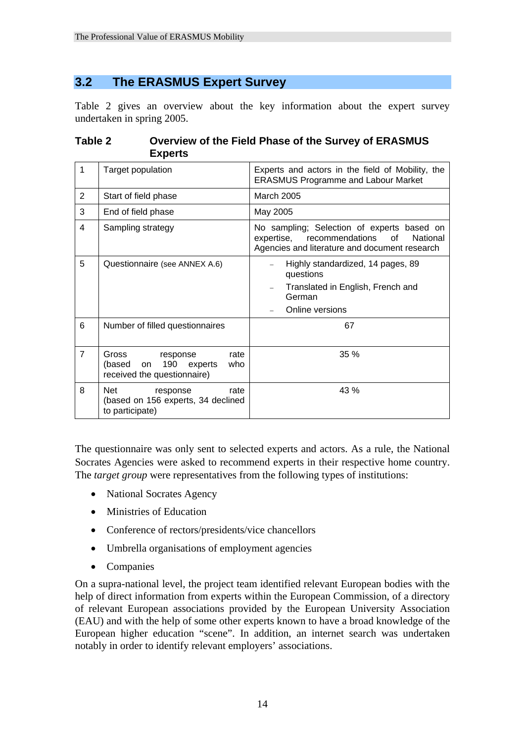# **3.2 The ERASMUS Expert Survey**

Table 2 gives an overview about the key information about the expert survey undertaken in spring 2005.

|                | Experts                                                                                           |                                                                                                                                             |
|----------------|---------------------------------------------------------------------------------------------------|---------------------------------------------------------------------------------------------------------------------------------------------|
| $\mathbf 1$    | Target population                                                                                 | Experts and actors in the field of Mobility, the<br><b>ERASMUS Programme and Labour Market</b>                                              |
| $\overline{2}$ | Start of field phase                                                                              | <b>March 2005</b>                                                                                                                           |
| 3              | End of field phase                                                                                | May 2005                                                                                                                                    |
| 4              | Sampling strategy                                                                                 | No sampling; Selection of experts based on<br>expertise, recommendations<br>of<br>National<br>Agencies and literature and document research |
| 5              | Questionnaire (see ANNEX A.6)                                                                     | Highly standardized, 14 pages, 89<br>questions<br>Translated in English, French and<br>German<br>Online versions                            |
| 6              | Number of filled questionnaires                                                                   | 67                                                                                                                                          |
| $\overline{7}$ | Gross<br>rate<br>response<br>190<br>(based<br>who<br>experts<br>on<br>received the questionnaire) | 35 %                                                                                                                                        |
| 8              | Net<br>rate<br>response<br>(based on 156 experts, 34 declined                                     | 43 %                                                                                                                                        |

### **Table 2 Overview of the Field Phase of the Survey of ERASMUS Experts**

The questionnaire was only sent to selected experts and actors. As a rule, the National Socrates Agencies were asked to recommend experts in their respective home country. The *target group* were representatives from the following types of institutions:

- National Socrates Agency
- Ministries of Education
- Conference of rectors/presidents/vice chancellors
- Umbrella organisations of employment agencies
- Companies

to participate)

On a supra-national level, the project team identified relevant European bodies with the help of direct information from experts within the European Commission, of a directory of relevant European associations provided by the European University Association (EAU) and with the help of some other experts known to have a broad knowledge of the European higher education "scene". In addition, an internet search was undertaken notably in order to identify relevant employers' associations.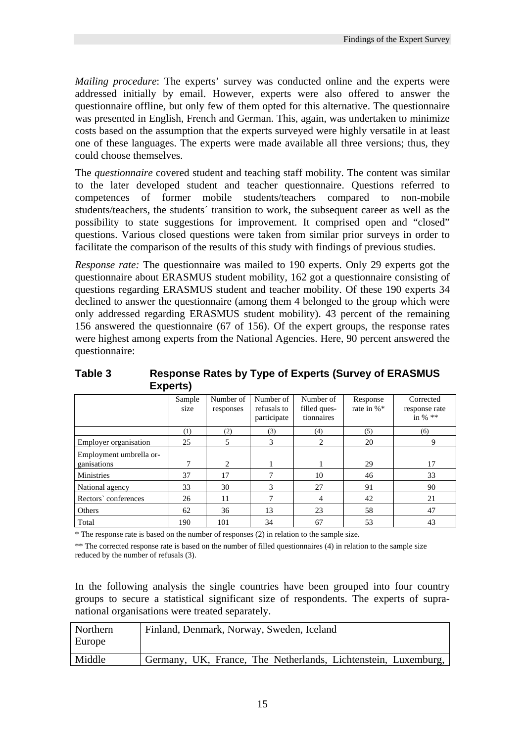*Mailing procedure*: The experts' survey was conducted online and the experts were addressed initially by email. However, experts were also offered to answer the questionnaire offline, but only few of them opted for this alternative. The questionnaire was presented in English, French and German. This, again, was undertaken to minimize costs based on the assumption that the experts surveyed were highly versatile in at least one of these languages. The experts were made available all three versions; thus, they could choose themselves.

The *questionnaire* covered student and teaching staff mobility. The content was similar to the later developed student and teacher questionnaire. Questions referred to competences of former mobile students/teachers compared to non-mobile students/teachers, the students´ transition to work, the subsequent career as well as the possibility to state suggestions for improvement. It comprised open and "closed" questions. Various closed questions were taken from similar prior surveys in order to facilitate the comparison of the results of this study with findings of previous studies.

*Response rate:* The questionnaire was mailed to 190 experts. Only 29 experts got the questionnaire about ERASMUS student mobility, 162 got a questionnaire consisting of questions regarding ERASMUS student and teacher mobility. Of these 190 experts 34 declined to answer the questionnaire (among them 4 belonged to the group which were only addressed regarding ERASMUS student mobility). 43 percent of the remaining 156 answered the questionnaire (67 of 156). Of the expert groups, the response rates were highest among experts from the National Agencies. Here, 90 percent answered the questionnaire:

|                                        | Sample<br>size | Number of<br>responses | Number of<br>refusals to<br>participate | Number of<br>filled ques-<br>tionnaires | Response<br>rate in %* | Corrected<br>response rate<br>in % $**$ |
|----------------------------------------|----------------|------------------------|-----------------------------------------|-----------------------------------------|------------------------|-----------------------------------------|
|                                        | (1)            | (2)                    | (3)                                     | (4)                                     | (5)                    | (6)                                     |
| Employer organisation                  | 25             | 5                      | 3                                       | 2                                       | 20                     | 9                                       |
| Employment umbrella or-<br>ganisations | 7              | 2                      |                                         |                                         | 29                     | 17                                      |
| <b>Ministries</b>                      | 37             | 17                     | 7                                       | 10                                      | 46                     | 33                                      |
| National agency                        | 33             | 30                     | 3                                       | 27                                      | 91                     | 90                                      |
| Rectors' conferences                   | 26             | 11                     | 7                                       | $\overline{4}$                          | 42                     | 21                                      |
| Others                                 | 62             | 36                     | 13                                      | 23                                      | 58                     | 47                                      |
| Total                                  | 190            | 101                    | 34                                      | 67                                      | 53                     | 43                                      |

**Table 3 Response Rates by Type of Experts (Survey of ERASMUS Experts)** 

\* The response rate is based on the number of responses (2) in relation to the sample size.

\*\* The corrected response rate is based on the number of filled questionnaires (4) in relation to the sample size reduced by the number of refusals (3).

In the following analysis the single countries have been grouped into four country groups to secure a statistical significant size of respondents. The experts of supranational organisations were treated separately.

| Northern<br>Europe | Finland, Denmark, Norway, Sweden, Iceland                      |
|--------------------|----------------------------------------------------------------|
| Middle             | Germany, UK, France, The Netherlands, Lichtenstein, Luxemburg, |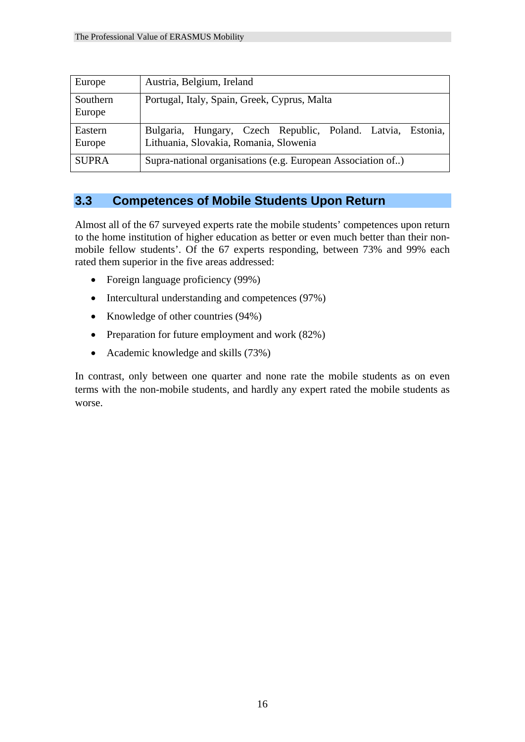| Europe             | Austria, Belgium, Ireland                                                                             |
|--------------------|-------------------------------------------------------------------------------------------------------|
| Southern<br>Europe | Portugal, Italy, Spain, Greek, Cyprus, Malta                                                          |
| Eastern<br>Europe  | Bulgaria, Hungary, Czech Republic, Poland. Latvia, Estonia,<br>Lithuania, Slovakia, Romania, Slowenia |
| <b>SUPRA</b>       | Supra-national organisations (e.g. European Association of)                                           |

### **3.3 Competences of Mobile Students Upon Return**

Almost all of the 67 surveyed experts rate the mobile students' competences upon return to the home institution of higher education as better or even much better than their nonmobile fellow students'. Of the 67 experts responding, between 73% and 99% each rated them superior in the five areas addressed:

- Foreign language proficiency (99%)
- Intercultural understanding and competences (97%)
- Knowledge of other countries (94%)
- Preparation for future employment and work (82%)
- Academic knowledge and skills (73%)

In contrast, only between one quarter and none rate the mobile students as on even terms with the non-mobile students, and hardly any expert rated the mobile students as worse.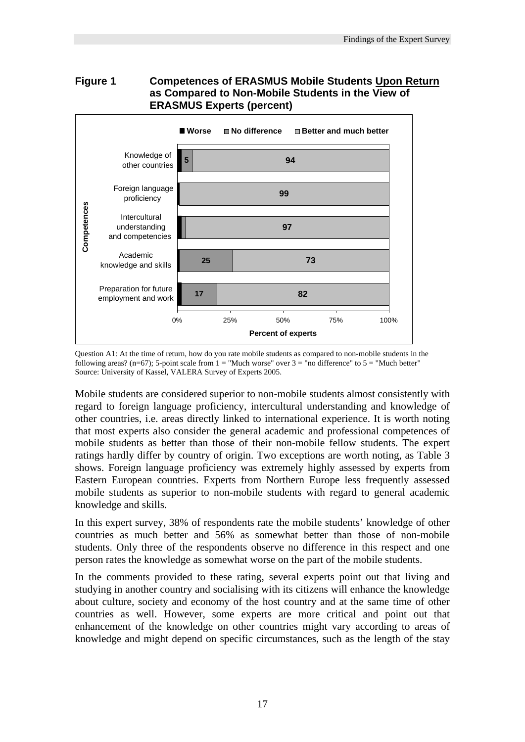

# **Figure 1 Competences of ERASMUS Mobile Students Upon Return**

Question A1: At the time of return, how do you rate mobile students as compared to non-mobile students in the following areas? (n=67); 5-point scale from  $1 =$  "Much worse" over  $3 =$  "no difference" to  $5 =$  "Much better" Source: University of Kassel, VALERA Survey of Experts 2005.

Mobile students are considered superior to non-mobile students almost consistently with regard to foreign language proficiency, intercultural understanding and knowledge of other countries, i.e. areas directly linked to international experience. It is worth noting that most experts also consider the general academic and professional competences of mobile students as better than those of their non-mobile fellow students. The expert ratings hardly differ by country of origin. Two exceptions are worth noting, as Table 3 shows. Foreign language proficiency was extremely highly assessed by experts from Eastern European countries. Experts from Northern Europe less frequently assessed mobile students as superior to non-mobile students with regard to general academic knowledge and skills.

In this expert survey, 38% of respondents rate the mobile students' knowledge of other countries as much better and 56% as somewhat better than those of non-mobile students. Only three of the respondents observe no difference in this respect and one person rates the knowledge as somewhat worse on the part of the mobile students.

In the comments provided to these rating, several experts point out that living and studying in another country and socialising with its citizens will enhance the knowledge about culture, society and economy of the host country and at the same time of other countries as well. However, some experts are more critical and point out that enhancement of the knowledge on other countries might vary according to areas of knowledge and might depend on specific circumstances, such as the length of the stay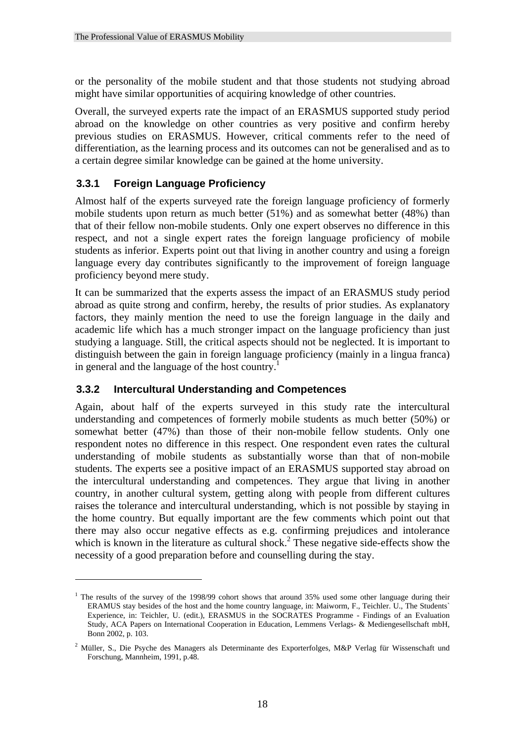or the personality of the mobile student and that those students not studying abroad might have similar opportunities of acquiring knowledge of other countries.

Overall, the surveyed experts rate the impact of an ERASMUS supported study period abroad on the knowledge on other countries as very positive and confirm hereby previous studies on ERASMUS. However, critical comments refer to the need of differentiation, as the learning process and its outcomes can not be generalised and as to a certain degree similar knowledge can be gained at the home university.

## **3.3.1 Foreign Language Proficiency**

Almost half of the experts surveyed rate the foreign language proficiency of formerly mobile students upon return as much better (51%) and as somewhat better (48%) than that of their fellow non-mobile students. Only one expert observes no difference in this respect, and not a single expert rates the foreign language proficiency of mobile students as inferior. Experts point out that living in another country and using a foreign language every day contributes significantly to the improvement of foreign language proficiency beyond mere study.

It can be summarized that the experts assess the impact of an ERASMUS study period abroad as quite strong and confirm, hereby, the results of prior studies. As explanatory factors, they mainly mention the need to use the foreign language in the daily and academic life which has a much stronger impact on the language proficiency than just studying a language. Still, the critical aspects should not be neglected. It is important to distinguish between the gain in foreign language proficiency (mainly in a lingua franca) in general and the language of the host country.<sup>1</sup>

## **3.3.2 Intercultural Understanding and Competences**

1

Again, about half of the experts surveyed in this study rate the intercultural understanding and competences of formerly mobile students as much better (50%) or somewhat better (47%) than those of their non-mobile fellow students. Only one respondent notes no difference in this respect. One respondent even rates the cultural understanding of mobile students as substantially worse than that of non-mobile students. The experts see a positive impact of an ERASMUS supported stay abroad on the intercultural understanding and competences. They argue that living in another country, in another cultural system, getting along with people from different cultures raises the tolerance and intercultural understanding, which is not possible by staying in the home country. But equally important are the few comments which point out that there may also occur negative effects as e.g. confirming prejudices and intolerance which is known in the literature as cultural shock.<sup>2</sup> These negative side-effects show the necessity of a good preparation before and counselling during the stay.

<sup>&</sup>lt;sup>1</sup> The results of the survey of the 1998/99 cohort shows that around 35% used some other language during their ERAMUS stay besides of the host and the home country language, in: Maiworm, F., Teichler. U., The Students` Experience, in: Teichler, U. (edit.), ERASMUS in the SOCRATES Programme - Findings of an Evaluation Study, ACA Papers on International Cooperation in Education, Lemmens Verlags- & Mediengesellschaft mbH, Bonn 2002, p. 103.

<sup>&</sup>lt;sup>2</sup> Müller, S., Die Psyche des Managers als Determinante des Exporterfolges, M&P Verlag für Wissenschaft und Forschung, Mannheim, 1991, p.48.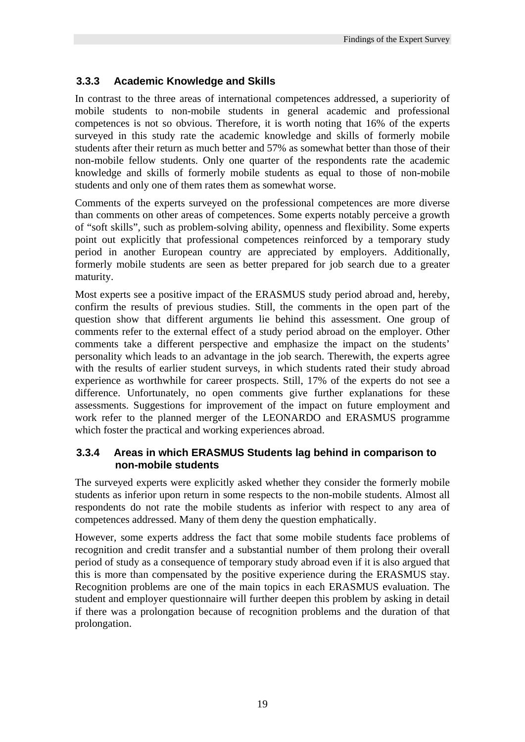## **3.3.3 Academic Knowledge and Skills**

In contrast to the three areas of international competences addressed, a superiority of mobile students to non-mobile students in general academic and professional competences is not so obvious. Therefore, it is worth noting that 16% of the experts surveyed in this study rate the academic knowledge and skills of formerly mobile students after their return as much better and 57% as somewhat better than those of their non-mobile fellow students. Only one quarter of the respondents rate the academic knowledge and skills of formerly mobile students as equal to those of non-mobile students and only one of them rates them as somewhat worse.

Comments of the experts surveyed on the professional competences are more diverse than comments on other areas of competences. Some experts notably perceive a growth of "soft skills", such as problem-solving ability, openness and flexibility. Some experts point out explicitly that professional competences reinforced by a temporary study period in another European country are appreciated by employers. Additionally, formerly mobile students are seen as better prepared for job search due to a greater maturity.

Most experts see a positive impact of the ERASMUS study period abroad and, hereby, confirm the results of previous studies. Still, the comments in the open part of the question show that different arguments lie behind this assessment. One group of comments refer to the external effect of a study period abroad on the employer. Other comments take a different perspective and emphasize the impact on the students' personality which leads to an advantage in the job search. Therewith, the experts agree with the results of earlier student surveys, in which students rated their study abroad experience as worthwhile for career prospects. Still, 17% of the experts do not see a difference. Unfortunately, no open comments give further explanations for these assessments. Suggestions for improvement of the impact on future employment and work refer to the planned merger of the LEONARDO and ERASMUS programme which foster the practical and working experiences abroad.

## **3.3.4 Areas in which ERASMUS Students lag behind in comparison to non-mobile students**

The surveyed experts were explicitly asked whether they consider the formerly mobile students as inferior upon return in some respects to the non-mobile students. Almost all respondents do not rate the mobile students as inferior with respect to any area of competences addressed. Many of them deny the question emphatically.

However, some experts address the fact that some mobile students face problems of recognition and credit transfer and a substantial number of them prolong their overall period of study as a consequence of temporary study abroad even if it is also argued that this is more than compensated by the positive experience during the ERASMUS stay. Recognition problems are one of the main topics in each ERASMUS evaluation. The student and employer questionnaire will further deepen this problem by asking in detail if there was a prolongation because of recognition problems and the duration of that prolongation.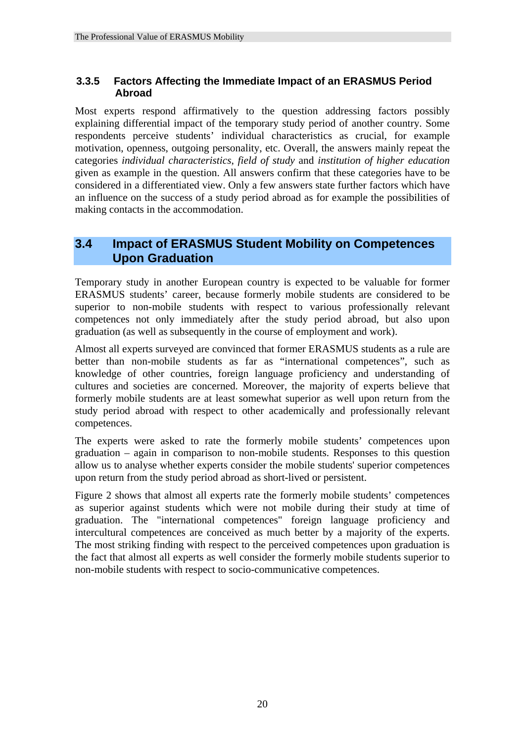## **3.3.5 Factors Affecting the Immediate Impact of an ERASMUS Period Abroad**

Most experts respond affirmatively to the question addressing factors possibly explaining differential impact of the temporary study period of another country. Some respondents perceive students' individual characteristics as crucial, for example motivation, openness, outgoing personality, etc. Overall, the answers mainly repeat the categories *individual characteristics*, *field of study* and *institution of higher education* given as example in the question. All answers confirm that these categories have to be considered in a differentiated view. Only a few answers state further factors which have an influence on the success of a study period abroad as for example the possibilities of making contacts in the accommodation.

## **3.4 Impact of ERASMUS Student Mobility on Competences Upon Graduation**

Temporary study in another European country is expected to be valuable for former ERASMUS students' career, because formerly mobile students are considered to be superior to non-mobile students with respect to various professionally relevant competences not only immediately after the study period abroad, but also upon graduation (as well as subsequently in the course of employment and work).

Almost all experts surveyed are convinced that former ERASMUS students as a rule are better than non-mobile students as far as "international competences", such as knowledge of other countries, foreign language proficiency and understanding of cultures and societies are concerned. Moreover, the majority of experts believe that formerly mobile students are at least somewhat superior as well upon return from the study period abroad with respect to other academically and professionally relevant competences.

The experts were asked to rate the formerly mobile students' competences upon graduation – again in comparison to non-mobile students. Responses to this question allow us to analyse whether experts consider the mobile students' superior competences upon return from the study period abroad as short-lived or persistent.

Figure 2 shows that almost all experts rate the formerly mobile students' competences as superior against students which were not mobile during their study at time of graduation. The "international competences" foreign language proficiency and intercultural competences are conceived as much better by a majority of the experts. The most striking finding with respect to the perceived competences upon graduation is the fact that almost all experts as well consider the formerly mobile students superior to non-mobile students with respect to socio-communicative competences.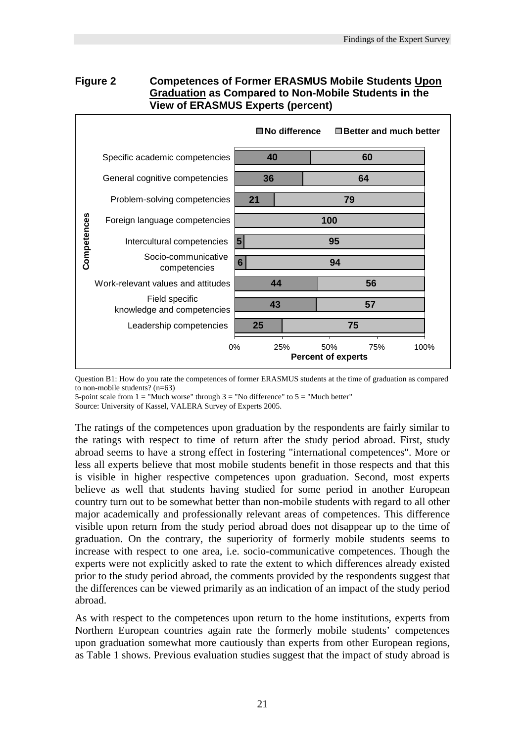## **Figure 2 Competences of Former ERASMUS Mobile Students Upon Graduation as Compared to Non-Mobile Students in the View of ERASMUS Experts (percent)**



Question B1: How do you rate the competences of former ERASMUS students at the time of graduation as compared to non-mobile students? (n=63)

5-point scale from  $1 =$  "Much worse" through  $3 =$  "No difference" to  $5 =$  "Much better"

Source: University of Kassel, VALERA Survey of Experts 2005.

The ratings of the competences upon graduation by the respondents are fairly similar to the ratings with respect to time of return after the study period abroad. First, study abroad seems to have a strong effect in fostering "international competences". More or less all experts believe that most mobile students benefit in those respects and that this is visible in higher respective competences upon graduation. Second, most experts believe as well that students having studied for some period in another European country turn out to be somewhat better than non-mobile students with regard to all other major academically and professionally relevant areas of competences. This difference visible upon return from the study period abroad does not disappear up to the time of graduation. On the contrary, the superiority of formerly mobile students seems to increase with respect to one area, i.e. socio-communicative competences. Though the experts were not explicitly asked to rate the extent to which differences already existed prior to the study period abroad, the comments provided by the respondents suggest that the differences can be viewed primarily as an indication of an impact of the study period abroad.

As with respect to the competences upon return to the home institutions, experts from Northern European countries again rate the formerly mobile students' competences upon graduation somewhat more cautiously than experts from other European regions, as Table 1 shows. Previous evaluation studies suggest that the impact of study abroad is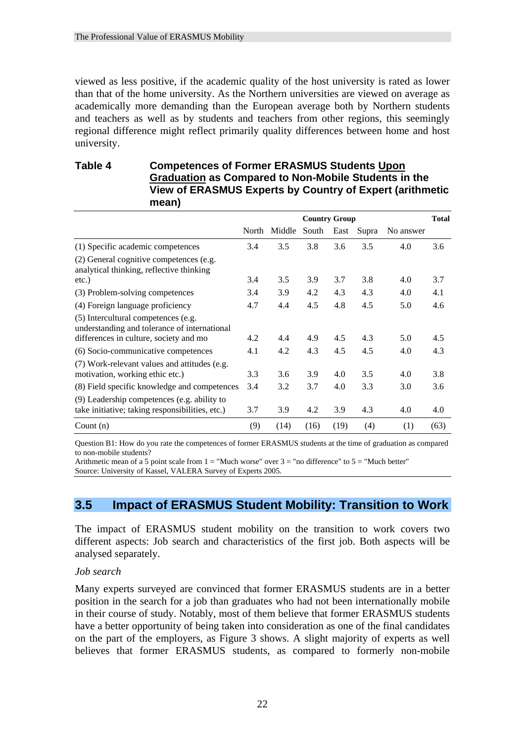viewed as less positive, if the academic quality of the host university is rated as lower than that of the home university. As the Northern universities are viewed on average as academically more demanding than the European average both by Northern students and teachers as well as by students and teachers from other regions, this seemingly regional difference might reflect primarily quality differences between home and host university.

## **Table 4 Competences of Former ERASMUS Students Upon Graduation as Compared to Non-Mobile Students in the View of ERASMUS Experts by Country of Expert (arithmetic mean)**

|                                                                                                | <b>Country Group</b> |        |       | <b>Total</b> |       |           |      |
|------------------------------------------------------------------------------------------------|----------------------|--------|-------|--------------|-------|-----------|------|
|                                                                                                | North                | Middle | South | East         | Supra | No answer |      |
| (1) Specific academic competences                                                              | 3.4                  | 3.5    | 3.8   | 3.6          | 3.5   | 4.0       | 3.6  |
| (2) General cognitive competences (e.g.<br>analytical thinking, reflective thinking            |                      |        |       |              |       |           |      |
| $etc.$ )                                                                                       | 3.4                  | 3.5    | 3.9   | 3.7          | 3.8   | 4.0       | 3.7  |
| (3) Problem-solving competences                                                                | 3.4                  | 3.9    | 4.2   | 4.3          | 4.3   | 4.0       | 4.1  |
| (4) Foreign language proficiency                                                               | 4.7                  | 4.4    | 4.5   | 4.8          | 4.5   | 5.0       | 4.6  |
| (5) Intercultural competences (e.g.<br>understanding and tolerance of international            |                      |        |       |              |       |           |      |
| differences in culture, society and mo                                                         | 4.2                  | 4.4    | 4.9   | 4.5          | 4.3   | 5.0       | 4.5  |
| (6) Socio-communicative competences                                                            | 4.1                  | 4.2    | 4.3   | 4.5          | 4.5   | 4.0       | 4.3  |
| (7) Work-relevant values and attitudes (e.g.<br>motivation, working ethic etc.)                | 3.3                  | 3.6    | 3.9   | 4.0          | 3.5   | 4.0       | 3.8  |
| (8) Field specific knowledge and competences                                                   | 3.4                  | 3.2    | 3.7   | 4.0          | 3.3   | 3.0       | 3.6  |
| (9) Leadership competences (e.g. ability to<br>take initiative; taking responsibilities, etc.) | 3.7                  | 3.9    | 4.2   | 3.9          | 4.3   | 4.0       | 4.0  |
| Count $(n)$                                                                                    | (9)                  | (14)   | (16)  | (19)         | (4)   | (1)       | (63) |

Question B1: How do you rate the competences of former ERASMUS students at the time of graduation as compared to non-mobile students?

Arithmetic mean of a 5 point scale from  $1 =$  "Much worse" over  $3 =$  "no difference" to  $5 =$  "Much better" Source: University of Kassel, VALERA Survey of Experts 2005.

## **3.5 Impact of ERASMUS Student Mobility: Transition to Work**

The impact of ERASMUS student mobility on the transition to work covers two different aspects: Job search and characteristics of the first job. Both aspects will be analysed separately.

#### *Job search*

Many experts surveyed are convinced that former ERASMUS students are in a better position in the search for a job than graduates who had not been internationally mobile in their course of study. Notably, most of them believe that former ERASMUS students have a better opportunity of being taken into consideration as one of the final candidates on the part of the employers, as Figure 3 shows. A slight majority of experts as well believes that former ERASMUS students, as compared to formerly non-mobile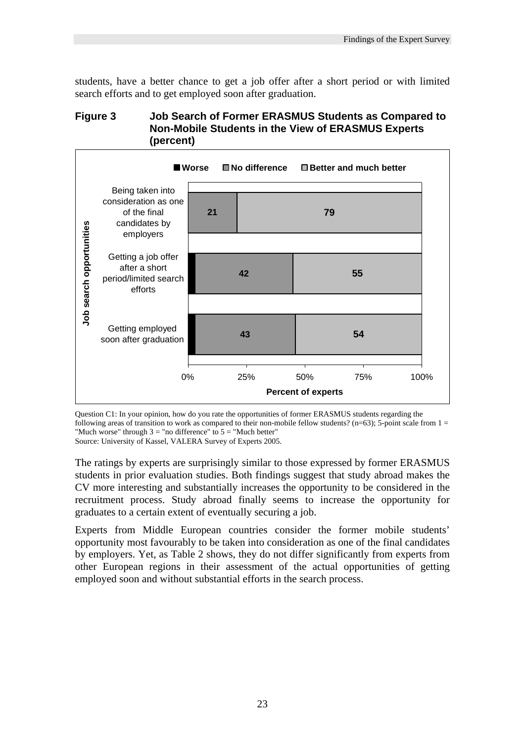students, have a better chance to get a job offer after a short period or with limited search efforts and to get employed soon after graduation.

#### **Figure 3 Job Search of Former ERASMUS Students as Compared to Non-Mobile Students in the View of ERASMUS Experts (percent)**



Question C1: In your opinion, how do you rate the opportunities of former ERASMUS students regarding the following areas of transition to work as compared to their non-mobile fellow students? (n=63); 5-point scale from  $1 =$ "Much worse" through  $3 =$  "no difference" to  $5 =$  "Much better" Source: University of Kassel, VALERA Survey of Experts 2005.

The ratings by experts are surprisingly similar to those expressed by former ERASMUS students in prior evaluation studies. Both findings suggest that study abroad makes the CV more interesting and substantially increases the opportunity to be considered in the recruitment process. Study abroad finally seems to increase the opportunity for graduates to a certain extent of eventually securing a job.

Experts from Middle European countries consider the former mobile students' opportunity most favourably to be taken into consideration as one of the final candidates by employers. Yet, as Table 2 shows, they do not differ significantly from experts from other European regions in their assessment of the actual opportunities of getting employed soon and without substantial efforts in the search process.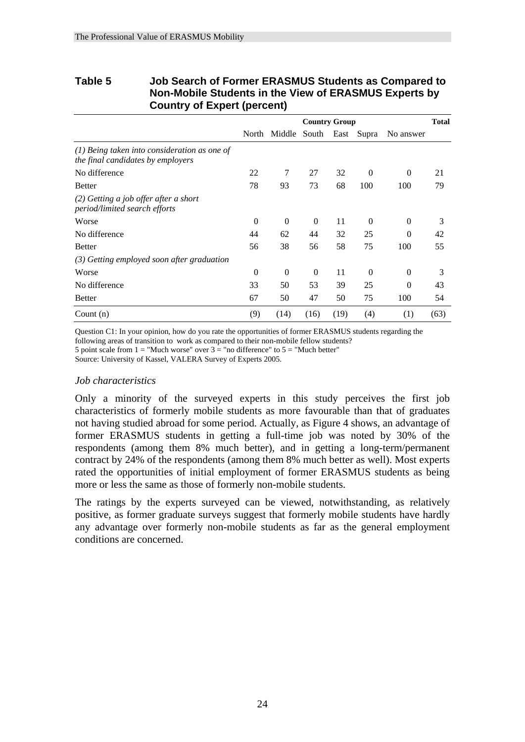| Country of Expert (percent)                                                         |                      |                         |          |      |              |           |      |
|-------------------------------------------------------------------------------------|----------------------|-------------------------|----------|------|--------------|-----------|------|
|                                                                                     | <b>Country Group</b> |                         |          |      | <b>Total</b> |           |      |
|                                                                                     | North                | Middle South East Supra |          |      |              | No answer |      |
| $(1)$ Being taken into consideration as one of<br>the final candidates by employers |                      |                         |          |      |              |           |      |
| No difference                                                                       | 22                   | 7                       | 27       | 32   | $\theta$     | $\theta$  | 21   |
| <b>Better</b>                                                                       | 78                   | 93                      | 73       | 68   | 100          | 100       | 79   |
| $(2)$ Getting a job offer after a short<br>period/limited search efforts            |                      |                         |          |      |              |           |      |
| Worse                                                                               | $\Omega$             | $\Omega$                | $\Omega$ | 11   | $\Omega$     | $\Omega$  | 3    |
| No difference                                                                       | 44                   | 62                      | 44       | 32   | 25           | $\Omega$  | 42   |
| <b>Better</b>                                                                       | 56                   | 38                      | 56       | 58   | 75           | 100       | 55   |
| $(3)$ Getting employed soon after graduation                                        |                      |                         |          |      |              |           |      |
| Worse                                                                               | $\Omega$             | $\Omega$                | $\Omega$ | 11   | $\theta$     | $\Omega$  | 3    |
| No difference                                                                       | 33                   | 50                      | 53       | 39   | 25           | $\Omega$  | 43   |
| <b>Better</b>                                                                       | 67                   | 50                      | 47       | 50   | 75           | 100       | 54   |
| Count $(n)$                                                                         | (9)                  | (14)                    | (16)     | (19) | (4)          | (1)       | (63) |

## **Table 5 Job Search of Former ERASMUS Students as Compared to Non-Mobile Students in the View of ERASMUS Experts by Country of Expert (percent)**

Question C1: In your opinion, how do you rate the opportunities of former ERASMUS students regarding the following areas of transition to work as compared to their non-mobile fellow students? 5 point scale from  $1 =$  "Much worse" over  $3 =$  "no difference" to  $5 =$  "Much better"

Source: University of Kassel, VALERA Survey of Experts 2005.

#### *Job characteristics*

Only a minority of the surveyed experts in this study perceives the first job characteristics of formerly mobile students as more favourable than that of graduates not having studied abroad for some period. Actually, as Figure 4 shows, an advantage of former ERASMUS students in getting a full-time job was noted by 30% of the respondents (among them 8% much better), and in getting a long-term/permanent contract by 24% of the respondents (among them 8% much better as well). Most experts rated the opportunities of initial employment of former ERASMUS students as being more or less the same as those of formerly non-mobile students.

The ratings by the experts surveyed can be viewed, notwithstanding, as relatively positive, as former graduate surveys suggest that formerly mobile students have hardly any advantage over formerly non-mobile students as far as the general employment conditions are concerned.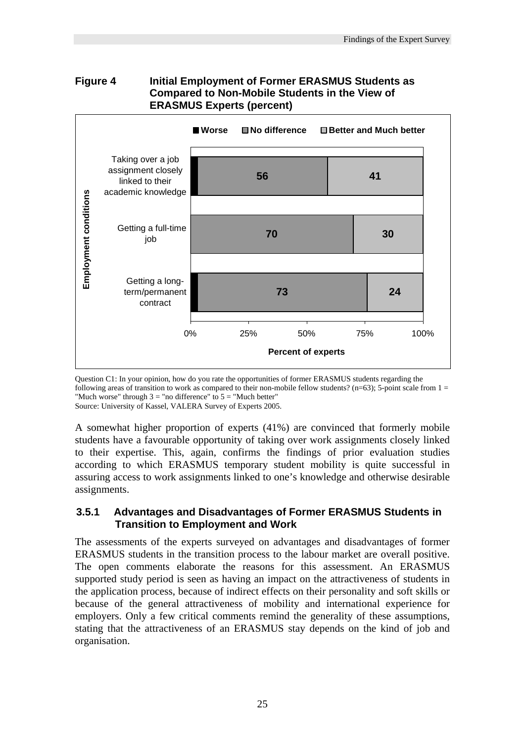

# **Figure 4 Initial Employment of Former ERASMUS Students as**

Question C1: In your opinion, how do you rate the opportunities of former ERASMUS students regarding the following areas of transition to work as compared to their non-mobile fellow students? (n=63); 5-point scale from  $1 =$ "Much worse" through  $3 =$  "no difference" to  $5 =$  "Much better" Source: University of Kassel, VALERA Survey of Experts 2005.

A somewhat higher proportion of experts (41%) are convinced that formerly mobile students have a favourable opportunity of taking over work assignments closely linked to their expertise. This, again, confirms the findings of prior evaluation studies according to which ERASMUS temporary student mobility is quite successful in assuring access to work assignments linked to one's knowledge and otherwise desirable assignments.

#### **3.5.1 Advantages and Disadvantages of Former ERASMUS Students in Transition to Employment and Work**

The assessments of the experts surveyed on advantages and disadvantages of former ERASMUS students in the transition process to the labour market are overall positive. The open comments elaborate the reasons for this assessment. An ERASMUS supported study period is seen as having an impact on the attractiveness of students in the application process, because of indirect effects on their personality and soft skills or because of the general attractiveness of mobility and international experience for employers. Only a few critical comments remind the generality of these assumptions, stating that the attractiveness of an ERASMUS stay depends on the kind of job and organisation.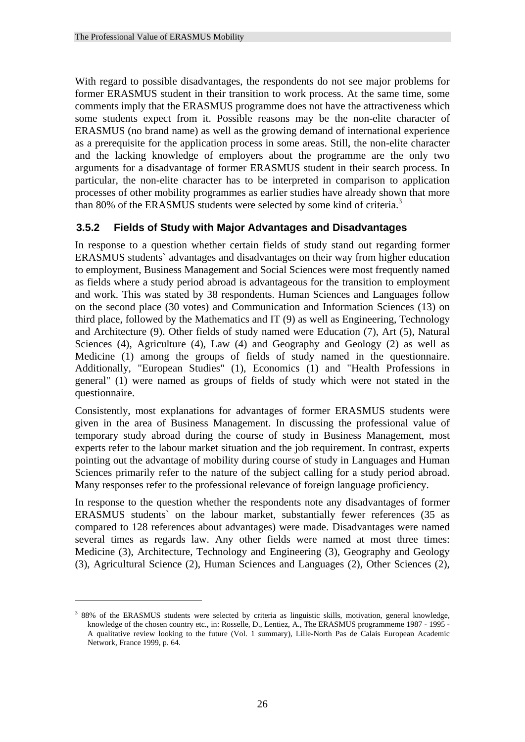With regard to possible disadvantages, the respondents do not see major problems for former ERASMUS student in their transition to work process. At the same time, some comments imply that the ERASMUS programme does not have the attractiveness which some students expect from it. Possible reasons may be the non-elite character of ERASMUS (no brand name) as well as the growing demand of international experience as a prerequisite for the application process in some areas. Still, the non-elite character and the lacking knowledge of employers about the programme are the only two arguments for a disadvantage of former ERASMUS student in their search process. In particular, the non-elite character has to be interpreted in comparison to application processes of other mobility programmes as earlier studies have already shown that more than 80% of the ERASMUS students were selected by some kind of criteria.<sup>3</sup>

## **3.5.2 Fields of Study with Major Advantages and Disadvantages**

In response to a question whether certain fields of study stand out regarding former ERASMUS students` advantages and disadvantages on their way from higher education to employment, Business Management and Social Sciences were most frequently named as fields where a study period abroad is advantageous for the transition to employment and work. This was stated by 38 respondents. Human Sciences and Languages follow on the second place (30 votes) and Communication and Information Sciences (13) on third place, followed by the Mathematics and IT (9) as well as Engineering, Technology and Architecture (9). Other fields of study named were Education (7), Art (5), Natural Sciences (4), Agriculture (4), Law (4) and Geography and Geology (2) as well as Medicine (1) among the groups of fields of study named in the questionnaire. Additionally, "European Studies" (1), Economics (1) and "Health Professions in general" (1) were named as groups of fields of study which were not stated in the questionnaire.

Consistently, most explanations for advantages of former ERASMUS students were given in the area of Business Management. In discussing the professional value of temporary study abroad during the course of study in Business Management, most experts refer to the labour market situation and the job requirement. In contrast, experts pointing out the advantage of mobility during course of study in Languages and Human Sciences primarily refer to the nature of the subject calling for a study period abroad. Many responses refer to the professional relevance of foreign language proficiency.

In response to the question whether the respondents note any disadvantages of former ERASMUS students` on the labour market, substantially fewer references (35 as compared to 128 references about advantages) were made. Disadvantages were named several times as regards law. Any other fields were named at most three times: Medicine (3), Architecture, Technology and Engineering (3), Geography and Geology (3), Agricultural Science (2), Human Sciences and Languages (2), Other Sciences (2),

1

<sup>&</sup>lt;sup>3</sup> 88% of the ERASMUS students were selected by criteria as linguistic skills, motivation, general knowledge, knowledge of the chosen country etc., in: Rosselle, D., Lentiez, A., The ERASMUS programmeme 1987 - 1995 - A qualitative review looking to the future (Vol. 1 summary), Lille-North Pas de Calais European Academic Network, France 1999, p. 64.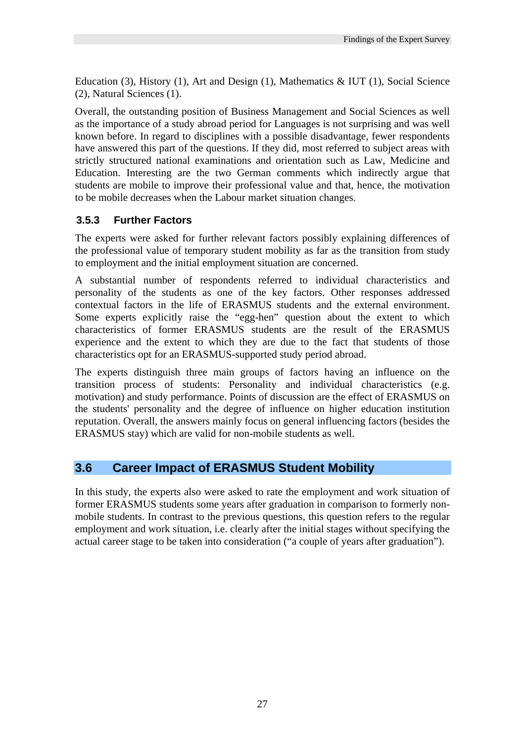Education (3), History (1), Art and Design (1), Mathematics & IUT (1), Social Science (2), Natural Sciences (1).

Overall, the outstanding position of Business Management and Social Sciences as well as the importance of a study abroad period for Languages is not surprising and was well known before. In regard to disciplines with a possible disadvantage, fewer respondents have answered this part of the questions. If they did, most referred to subject areas with strictly structured national examinations and orientation such as Law, Medicine and Education. Interesting are the two German comments which indirectly argue that students are mobile to improve their professional value and that, hence, the motivation to be mobile decreases when the Labour market situation changes.

## **3.5.3 Further Factors**

The experts were asked for further relevant factors possibly explaining differences of the professional value of temporary student mobility as far as the transition from study to employment and the initial employment situation are concerned.

A substantial number of respondents referred to individual characteristics and personality of the students as one of the key factors. Other responses addressed contextual factors in the life of ERASMUS students and the external environment. Some experts explicitly raise the "egg-hen" question about the extent to which characteristics of former ERASMUS students are the result of the ERASMUS experience and the extent to which they are due to the fact that students of those characteristics opt for an ERASMUS-supported study period abroad.

The experts distinguish three main groups of factors having an influence on the transition process of students: Personality and individual characteristics (e.g. motivation) and study performance. Points of discussion are the effect of ERASMUS on the students' personality and the degree of influence on higher education institution reputation. Overall, the answers mainly focus on general influencing factors (besides the ERASMUS stay) which are valid for non-mobile students as well.

# **3.6 Career Impact of ERASMUS Student Mobility**

In this study, the experts also were asked to rate the employment and work situation of former ERASMUS students some years after graduation in comparison to formerly nonmobile students. In contrast to the previous questions, this question refers to the regular employment and work situation, i.e. clearly after the initial stages without specifying the actual career stage to be taken into consideration ("a couple of years after graduation").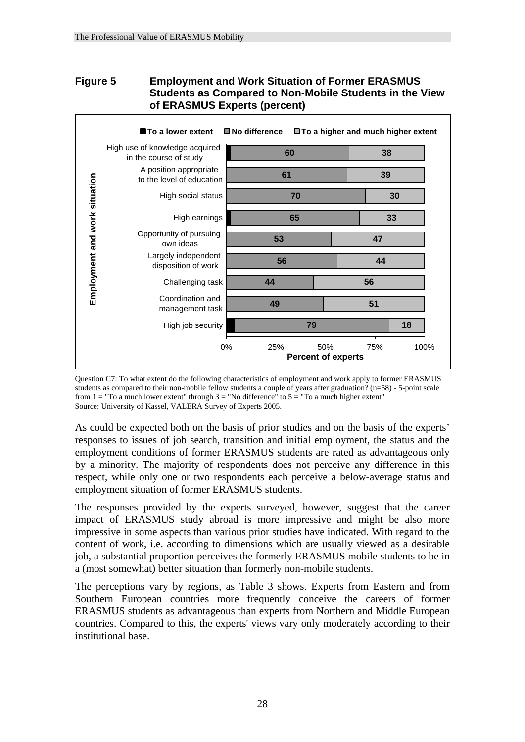## **Figure 5 Employment and Work Situation of Former ERASMUS Students as Compared to Non-Mobile Students in the View of ERASMUS Experts (percent)**



Question C7: To what extent do the following characteristics of employment and work apply to former ERASMUS students as compared to their non-mobile fellow students a couple of years after graduation? (n=58) - 5-point scale from  $1 =$  "To a much lower extent" through  $3 =$  "No difference" to  $5 =$  "To a much higher extent" Source: University of Kassel, VALERA Survey of Experts 2005.

As could be expected both on the basis of prior studies and on the basis of the experts' responses to issues of job search, transition and initial employment, the status and the employment conditions of former ERASMUS students are rated as advantageous only by a minority. The majority of respondents does not perceive any difference in this respect, while only one or two respondents each perceive a below-average status and employment situation of former ERASMUS students.

The responses provided by the experts surveyed, however, suggest that the career impact of ERASMUS study abroad is more impressive and might be also more impressive in some aspects than various prior studies have indicated. With regard to the content of work, i.e. according to dimensions which are usually viewed as a desirable job, a substantial proportion perceives the formerly ERASMUS mobile students to be in a (most somewhat) better situation than formerly non-mobile students.

The perceptions vary by regions, as Table 3 shows. Experts from Eastern and from Southern European countries more frequently conceive the careers of former ERASMUS students as advantageous than experts from Northern and Middle European countries. Compared to this, the experts' views vary only moderately according to their institutional base.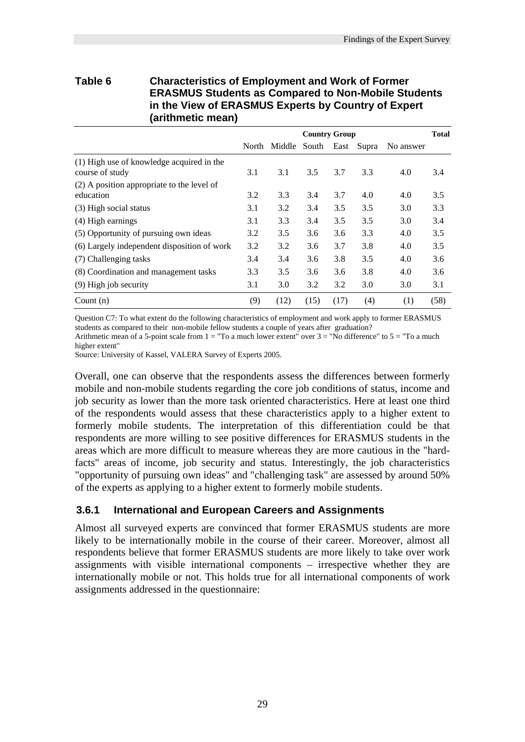#### **Table 6 Characteristics of Employment and Work of Former ERASMUS Students as Compared to Non-Mobile Students in the View of ERASMUS Experts by Country of Expert (arithmetic mean)**

|                                                              | <b>Country Group</b> |                               |      | <b>Total</b> |     |           |      |
|--------------------------------------------------------------|----------------------|-------------------------------|------|--------------|-----|-----------|------|
|                                                              |                      | North Middle South East Supra |      |              |     | No answer |      |
| (1) High use of knowledge acquired in the<br>course of study | 3.1                  | 3.1                           | 3.5  | 3.7          | 3.3 | 4.0       | 3.4  |
| $(2)$ A position appropriate to the level of<br>education    | 3.2                  | 3.3                           | 3.4  | 3.7          | 4.0 | 4.0       | 3.5  |
| (3) High social status                                       | 3.1                  | 3.2                           | 3.4  | 3.5          | 3.5 | 3.0       | 3.3  |
| (4) High earnings                                            | 3.1                  | 3.3                           | 3.4  | 3.5          | 3.5 | 3.0       | 3.4  |
| (5) Opportunity of pursuing own ideas                        | 3.2                  | 3.5                           | 3.6  | 3.6          | 3.3 | 4.0       | 3.5  |
| (6) Largely independent disposition of work                  | 3.2                  | 3.2                           | 3.6  | 3.7          | 3.8 | 4.0       | 3.5  |
| (7) Challenging tasks                                        | 3.4                  | 3.4                           | 3.6  | 3.8          | 3.5 | 4.0       | 3.6  |
| (8) Coordination and management tasks                        | 3.3                  | 3.5                           | 3.6  | 3.6          | 3.8 | 4.0       | 3.6  |
| $(9)$ High job security                                      | 3.1                  | 3.0                           | 3.2  | 3.2          | 3.0 | 3.0       | 3.1  |
| Count $(n)$                                                  | (9)                  | (12)                          | (15) | (17)         | (4) | (1)       | (58) |

Question C7: To what extent do the following characteristics of employment and work apply to former ERASMUS students as compared to their non-mobile fellow students a couple of years after graduation?

Arithmetic mean of a 5-point scale from  $1 =$  "To a much lower extent" over  $3 =$  "No difference" to  $5 =$  "To a much higher extent"

Source: University of Kassel, VALERA Survey of Experts 2005.

Overall, one can observe that the respondents assess the differences between formerly mobile and non-mobile students regarding the core job conditions of status, income and job security as lower than the more task oriented characteristics. Here at least one third of the respondents would assess that these characteristics apply to a higher extent to formerly mobile students. The interpretation of this differentiation could be that respondents are more willing to see positive differences for ERASMUS students in the areas which are more difficult to measure whereas they are more cautious in the "hardfacts" areas of income, job security and status. Interestingly, the job characteristics "opportunity of pursuing own ideas" and "challenging task" are assessed by around 50% of the experts as applying to a higher extent to formerly mobile students.

### **3.6.1 International and European Careers and Assignments**

Almost all surveyed experts are convinced that former ERASMUS students are more likely to be internationally mobile in the course of their career. Moreover, almost all respondents believe that former ERASMUS students are more likely to take over work assignments with visible international components – irrespective whether they are internationally mobile or not. This holds true for all international components of work assignments addressed in the questionnaire: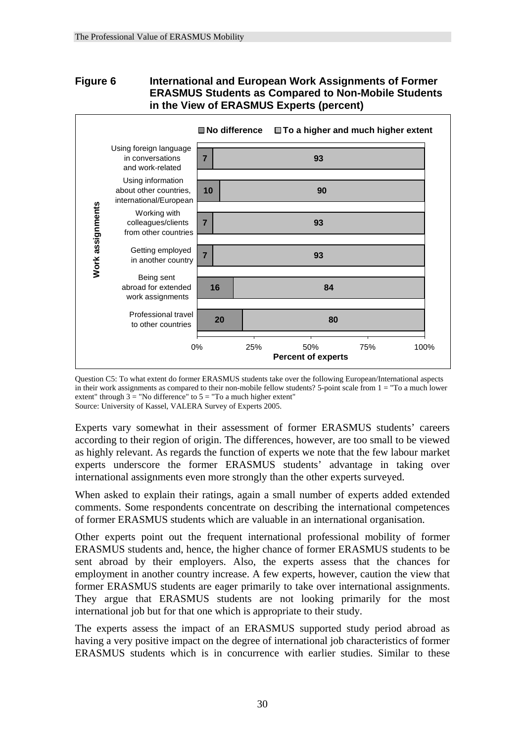### **Figure 6 International and European Work Assignments of Former ERASMUS Students as Compared to Non-Mobile Students in the View of ERASMUS Experts (percent)**



Question C5: To what extent do former ERASMUS students take over the following European/International aspects in their work assignments as compared to their non-mobile fellow students? 5-point scale from 1 = "To a much lower extent" through  $3 =$  "No difference" to  $5 =$  "To a much higher extent" Source: University of Kassel, VALERA Survey of Experts 2005.

Experts vary somewhat in their assessment of former ERASMUS students' careers according to their region of origin. The differences, however, are too small to be viewed as highly relevant. As regards the function of experts we note that the few labour market experts underscore the former ERASMUS students' advantage in taking over international assignments even more strongly than the other experts surveyed.

When asked to explain their ratings, again a small number of experts added extended comments. Some respondents concentrate on describing the international competences of former ERASMUS students which are valuable in an international organisation.

Other experts point out the frequent international professional mobility of former ERASMUS students and, hence, the higher chance of former ERASMUS students to be sent abroad by their employers. Also, the experts assess that the chances for employment in another country increase. A few experts, however, caution the view that former ERASMUS students are eager primarily to take over international assignments. They argue that ERASMUS students are not looking primarily for the most international job but for that one which is appropriate to their study.

The experts assess the impact of an ERASMUS supported study period abroad as having a very positive impact on the degree of international job characteristics of former ERASMUS students which is in concurrence with earlier studies. Similar to these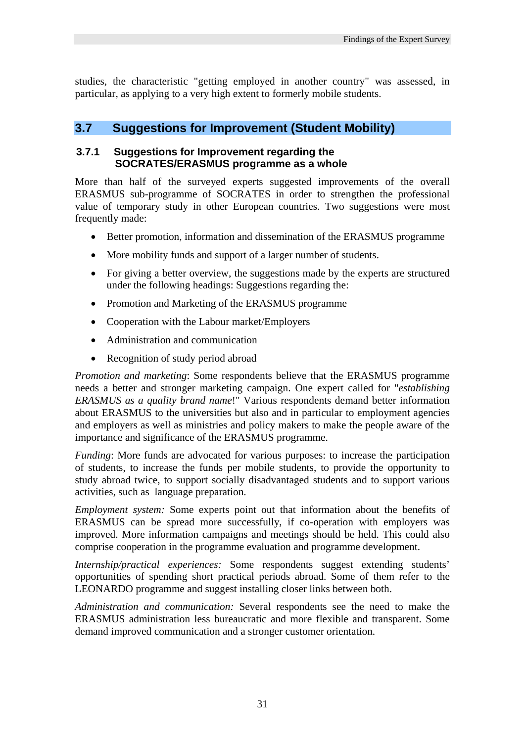studies, the characteristic "getting employed in another country" was assessed, in particular, as applying to a very high extent to formerly mobile students.

## **3.7 Suggestions for Improvement (Student Mobility)**

#### **3.7.1 Suggestions for Improvement regarding the SOCRATES/ERASMUS programme as a whole**

More than half of the surveyed experts suggested improvements of the overall ERASMUS sub-programme of SOCRATES in order to strengthen the professional value of temporary study in other European countries. Two suggestions were most frequently made:

- Better promotion, information and dissemination of the ERASMUS programme
- More mobility funds and support of a larger number of students.
- For giving a better overview, the suggestions made by the experts are structured under the following headings: Suggestions regarding the:
- Promotion and Marketing of the ERASMUS programme
- Cooperation with the Labour market/Employers
- Administration and communication
- Recognition of study period abroad

*Promotion and marketing*: Some respondents believe that the ERASMUS programme needs a better and stronger marketing campaign. One expert called for "*establishing ERASMUS as a quality brand name*!" Various respondents demand better information about ERASMUS to the universities but also and in particular to employment agencies and employers as well as ministries and policy makers to make the people aware of the importance and significance of the ERASMUS programme.

*Funding*: More funds are advocated for various purposes: to increase the participation of students, to increase the funds per mobile students, to provide the opportunity to study abroad twice, to support socially disadvantaged students and to support various activities, such as language preparation.

*Employment system:* Some experts point out that information about the benefits of ERASMUS can be spread more successfully, if co-operation with employers was improved. More information campaigns and meetings should be held. This could also comprise cooperation in the programme evaluation and programme development.

*Internship/practical experiences:* Some respondents suggest extending students' opportunities of spending short practical periods abroad. Some of them refer to the LEONARDO programme and suggest installing closer links between both.

*Administration and communication:* Several respondents see the need to make the ERASMUS administration less bureaucratic and more flexible and transparent. Some demand improved communication and a stronger customer orientation.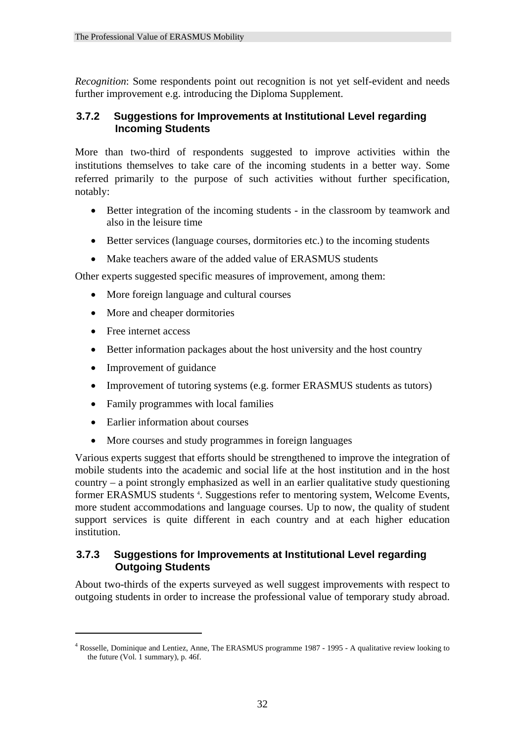*Recognition*: Some respondents point out recognition is not yet self-evident and needs further improvement e.g. introducing the Diploma Supplement.

## **3.7.2 Suggestions for Improvements at Institutional Level regarding Incoming Students**

More than two-third of respondents suggested to improve activities within the institutions themselves to take care of the incoming students in a better way. Some referred primarily to the purpose of such activities without further specification, notably:

- Better integration of the incoming students in the classroom by teamwork and also in the leisure time
- Better services (language courses, dormitories etc.) to the incoming students
- Make teachers aware of the added value of ERASMUS students

Other experts suggested specific measures of improvement, among them:

- More foreign language and cultural courses
- More and cheaper dormitories
- Free internet access

1

- Better information packages about the host university and the host country
- Improvement of guidance
- Improvement of tutoring systems (e.g. former ERASMUS students as tutors)
- Family programmes with local families
- Earlier information about courses
- More courses and study programmes in foreign languages

Various experts suggest that efforts should be strengthened to improve the integration of mobile students into the academic and social life at the host institution and in the host country – a point strongly emphasized as well in an earlier qualitative study questioning former ERASMUS students <sup>4</sup>. Suggestions refer to mentoring system, Welcome Events, more student accommodations and language courses. Up to now, the quality of student support services is quite different in each country and at each higher education institution.

## **3.7.3 Suggestions for Improvements at Institutional Level regarding Outgoing Students**

About two-thirds of the experts surveyed as well suggest improvements with respect to outgoing students in order to increase the professional value of temporary study abroad.

<sup>&</sup>lt;sup>4</sup> Rosselle, Dominique and Lentiez, Anne, The ERASMUS programme 1987 - 1995 - A qualitative review looking to the future (Vol. 1 summary), p. 46f.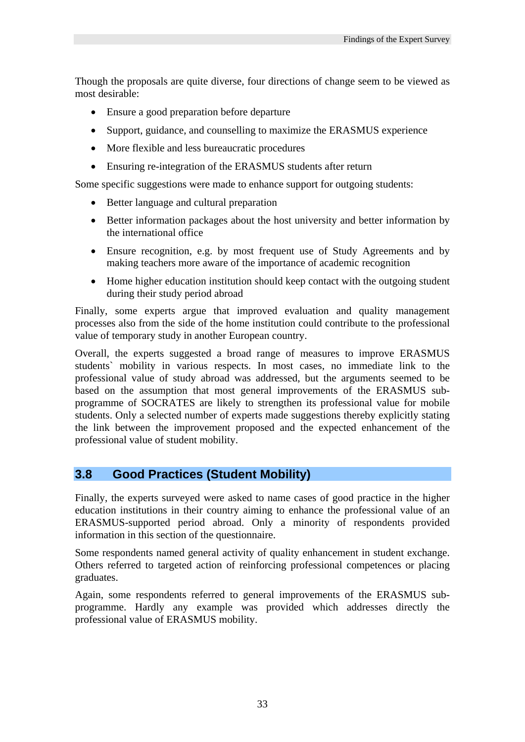Though the proposals are quite diverse, four directions of change seem to be viewed as most desirable:

- Ensure a good preparation before departure
- Support, guidance, and counselling to maximize the ERASMUS experience
- More flexible and less bureaucratic procedures
- Ensuring re-integration of the ERASMUS students after return

Some specific suggestions were made to enhance support for outgoing students:

- Better language and cultural preparation
- Better information packages about the host university and better information by the international office
- Ensure recognition, e.g. by most frequent use of Study Agreements and by making teachers more aware of the importance of academic recognition
- Home higher education institution should keep contact with the outgoing student during their study period abroad

Finally, some experts argue that improved evaluation and quality management processes also from the side of the home institution could contribute to the professional value of temporary study in another European country.

Overall, the experts suggested a broad range of measures to improve ERASMUS students` mobility in various respects. In most cases, no immediate link to the professional value of study abroad was addressed, but the arguments seemed to be based on the assumption that most general improvements of the ERASMUS subprogramme of SOCRATES are likely to strengthen its professional value for mobile students. Only a selected number of experts made suggestions thereby explicitly stating the link between the improvement proposed and the expected enhancement of the professional value of student mobility.

## **3.8 Good Practices (Student Mobility)**

Finally, the experts surveyed were asked to name cases of good practice in the higher education institutions in their country aiming to enhance the professional value of an ERASMUS-supported period abroad. Only a minority of respondents provided information in this section of the questionnaire.

Some respondents named general activity of quality enhancement in student exchange. Others referred to targeted action of reinforcing professional competences or placing graduates.

Again, some respondents referred to general improvements of the ERASMUS subprogramme. Hardly any example was provided which addresses directly the professional value of ERASMUS mobility.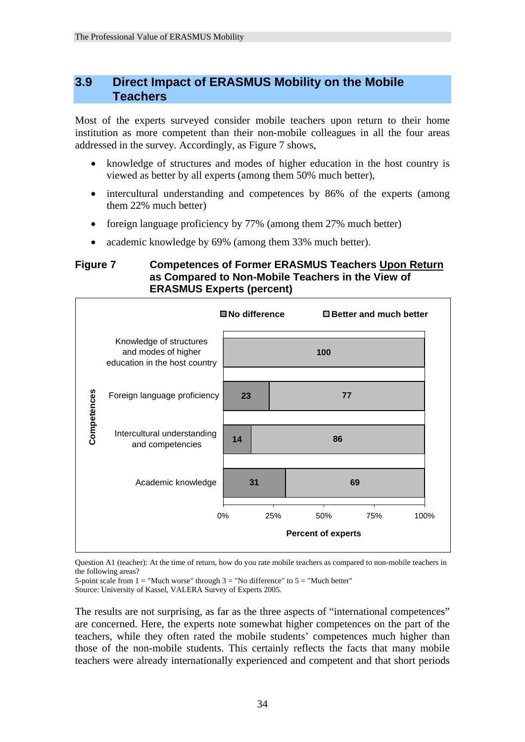## **3.9 Direct Impact of ERASMUS Mobility on the Mobile Teachers**

Most of the experts surveyed consider mobile teachers upon return to their home institution as more competent than their non-mobile colleagues in all the four areas addressed in the survey. Accordingly, as Figure 7 shows,

- knowledge of structures and modes of higher education in the host country is viewed as better by all experts (among them 50% much better),
- intercultural understanding and competences by 86% of the experts (among them 22% much better)
- foreign language proficiency by 77% (among them 27% much better)
- academic knowledge by 69% (among them 33% much better).

### **Figure 7 Competences of Former ERASMUS Teachers Upon Return as Compared to Non-Mobile Teachers in the View of ERASMUS Experts (percent)**



Question A1 (teacher): At the time of return, how do you rate mobile teachers as compared to non-mobile teachers in the following areas?

5-point scale from  $1 =$  "Much worse" through  $3 =$  "No difference" to  $5 =$  "Much better" Source: University of Kassel, VALERA Survey of Experts 2005.

The results are not surprising, as far as the three aspects of "international competences" are concerned. Here, the experts note somewhat higher competences on the part of the teachers, while they often rated the mobile students' competences much higher than those of the non-mobile students. This certainly reflects the facts that many mobile teachers were already internationally experienced and competent and that short periods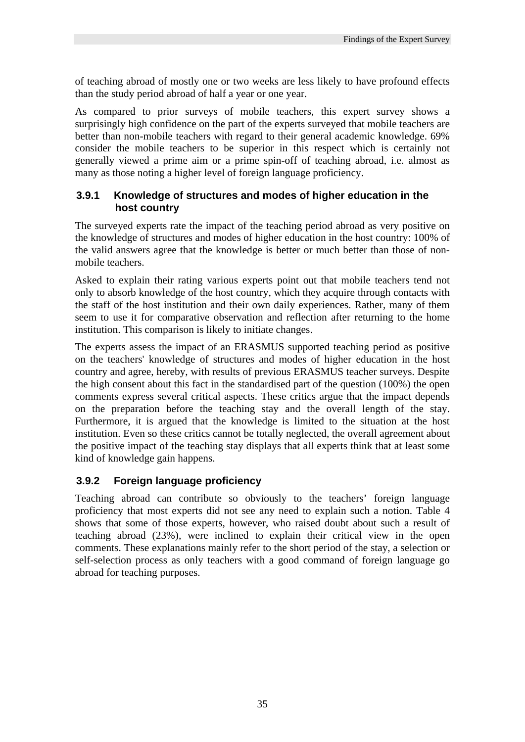of teaching abroad of mostly one or two weeks are less likely to have profound effects than the study period abroad of half a year or one year.

As compared to prior surveys of mobile teachers, this expert survey shows a surprisingly high confidence on the part of the experts surveyed that mobile teachers are better than non-mobile teachers with regard to their general academic knowledge. 69% consider the mobile teachers to be superior in this respect which is certainly not generally viewed a prime aim or a prime spin-off of teaching abroad, i.e. almost as many as those noting a higher level of foreign language proficiency.

## **3.9.1 Knowledge of structures and modes of higher education in the host country**

The surveyed experts rate the impact of the teaching period abroad as very positive on the knowledge of structures and modes of higher education in the host country: 100% of the valid answers agree that the knowledge is better or much better than those of nonmobile teachers.

Asked to explain their rating various experts point out that mobile teachers tend not only to absorb knowledge of the host country, which they acquire through contacts with the staff of the host institution and their own daily experiences. Rather, many of them seem to use it for comparative observation and reflection after returning to the home institution. This comparison is likely to initiate changes.

The experts assess the impact of an ERASMUS supported teaching period as positive on the teachers' knowledge of structures and modes of higher education in the host country and agree, hereby, with results of previous ERASMUS teacher surveys. Despite the high consent about this fact in the standardised part of the question (100%) the open comments express several critical aspects. These critics argue that the impact depends on the preparation before the teaching stay and the overall length of the stay. Furthermore, it is argued that the knowledge is limited to the situation at the host institution. Even so these critics cannot be totally neglected, the overall agreement about the positive impact of the teaching stay displays that all experts think that at least some kind of knowledge gain happens.

## **3.9.2 Foreign language proficiency**

Teaching abroad can contribute so obviously to the teachers' foreign language proficiency that most experts did not see any need to explain such a notion. Table 4 shows that some of those experts, however, who raised doubt about such a result of teaching abroad (23%), were inclined to explain their critical view in the open comments. These explanations mainly refer to the short period of the stay, a selection or self-selection process as only teachers with a good command of foreign language go abroad for teaching purposes.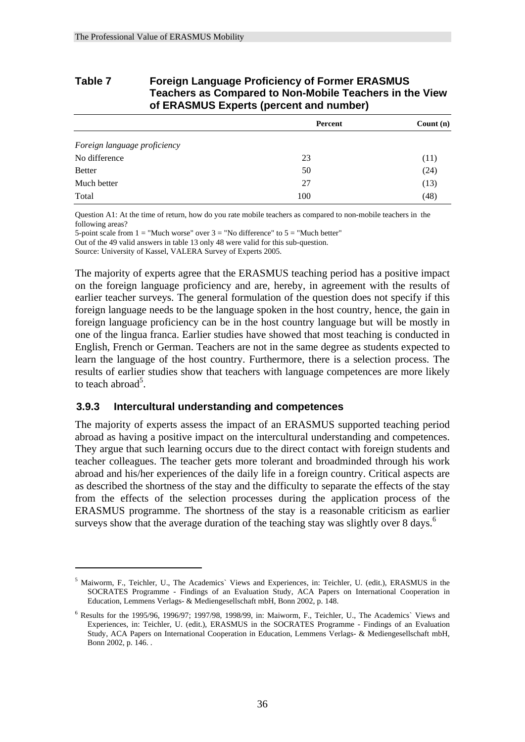| Table 7 | <b>Foreign Language Proficiency of Former ERASMUS</b>   |
|---------|---------------------------------------------------------|
|         | Teachers as Compared to Non-Mobile Teachers in the View |
|         | of ERASMUS Experts (percent and number)                 |

|                              | Percent | Count $(n)$ |
|------------------------------|---------|-------------|
| Foreign language proficiency |         |             |
| No difference                | 23      | (11)        |
| <b>Better</b>                | 50      | (24)        |
| Much better                  | 27      | (13)        |
| Total                        | 100     | (48)        |

Question A1: At the time of return, how do you rate mobile teachers as compared to non-mobile teachers in the following areas?

5-point scale from  $1 =$  "Much worse" over  $3 =$  "No difference" to  $5 =$  "Much better" Out of the 49 valid answers in table 13 only 48 were valid for this sub-question.

Source: University of Kassel, VALERA Survey of Experts 2005.

The majority of experts agree that the ERASMUS teaching period has a positive impact on the foreign language proficiency and are, hereby, in agreement with the results of earlier teacher surveys. The general formulation of the question does not specify if this foreign language needs to be the language spoken in the host country, hence, the gain in foreign language proficiency can be in the host country language but will be mostly in one of the lingua franca. Earlier studies have showed that most teaching is conducted in English, French or German. Teachers are not in the same degree as students expected to learn the language of the host country. Furthermore, there is a selection process. The results of earlier studies show that teachers with language competences are more likely to teach abroad<sup>5</sup>.

#### **3.9.3 Intercultural understanding and competences**

1

The majority of experts assess the impact of an ERASMUS supported teaching period abroad as having a positive impact on the intercultural understanding and competences. They argue that such learning occurs due to the direct contact with foreign students and teacher colleagues. The teacher gets more tolerant and broadminded through his work abroad and his/her experiences of the daily life in a foreign country. Critical aspects are as described the shortness of the stay and the difficulty to separate the effects of the stay from the effects of the selection processes during the application process of the ERASMUS programme. The shortness of the stay is a reasonable criticism as earlier surveys show that the average duration of the teaching stay was slightly over  $8 \text{ days}$ .<sup>6</sup>

<sup>&</sup>lt;sup>5</sup> Maiworm, F., Teichler, U., The Academics` Views and Experiences, in: Teichler, U. (edit.), ERASMUS in the SOCRATES Programme - Findings of an Evaluation Study, ACA Papers on International Cooperation in Education, Lemmens Verlags- & Mediengesellschaft mbH, Bonn 2002, p. 148.

<sup>6</sup> Results for the 1995/96, 1996/97; 1997/98, 1998/99, in: Maiworm, F., Teichler, U., The Academics` Views and Experiences, in: Teichler, U. (edit.), ERASMUS in the SOCRATES Programme - Findings of an Evaluation Study, ACA Papers on International Cooperation in Education, Lemmens Verlags- & Mediengesellschaft mbH, Bonn 2002, p. 146. .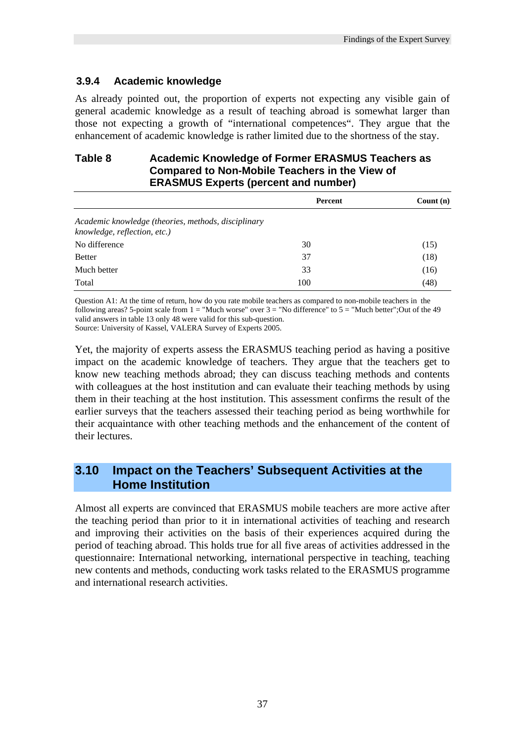## **3.9.4 Academic knowledge**

As already pointed out, the proportion of experts not expecting any visible gain of general academic knowledge as a result of teaching abroad is somewhat larger than those not expecting a growth of "international competences". They argue that the enhancement of academic knowledge is rather limited due to the shortness of the stay.

### **Table 8 Academic Knowledge of Former ERASMUS Teachers as Compared to Non-Mobile Teachers in the View of ERASMUS Experts (percent and number)**

|                                                                                     | Percent | Count $(n)$ |
|-------------------------------------------------------------------------------------|---------|-------------|
| Academic knowledge (theories, methods, disciplinary<br>knowledge, reflection, etc.) |         |             |
| No difference                                                                       | 30      | (15)        |
| <b>Better</b>                                                                       | 37      | (18)        |
| Much better                                                                         | 33      | (16)        |
| Total                                                                               | 100     | (48)        |

Question A1: At the time of return, how do you rate mobile teachers as compared to non-mobile teachers in the following areas? 5-point scale from  $1 =$  "Much worse" over  $3 =$  "No difference" to  $5 =$  "Much better";Out of the 49 valid answers in table 13 only 48 were valid for this sub-question. Source: University of Kassel, VALERA Survey of Experts 2005.

Yet, the majority of experts assess the ERASMUS teaching period as having a positive impact on the academic knowledge of teachers. They argue that the teachers get to know new teaching methods abroad; they can discuss teaching methods and contents with colleagues at the host institution and can evaluate their teaching methods by using them in their teaching at the host institution. This assessment confirms the result of the earlier surveys that the teachers assessed their teaching period as being worthwhile for their acquaintance with other teaching methods and the enhancement of the content of their lectures.

# **3.10 Impact on the Teachers' Subsequent Activities at the Home Institution**

Almost all experts are convinced that ERASMUS mobile teachers are more active after the teaching period than prior to it in international activities of teaching and research and improving their activities on the basis of their experiences acquired during the period of teaching abroad. This holds true for all five areas of activities addressed in the questionnaire: International networking, international perspective in teaching, teaching new contents and methods, conducting work tasks related to the ERASMUS programme and international research activities.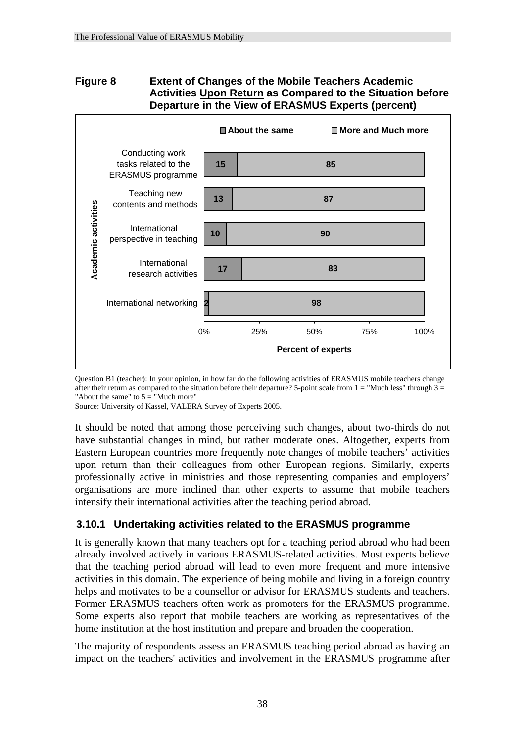## **Figure 8 Extent of Changes of the Mobile Teachers Academic Activities Upon Return as Compared to the Situation before Departure in the View of ERASMUS Experts (percent)**



Question B1 (teacher): In your opinion, in how far do the following activities of ERASMUS mobile teachers change after their return as compared to the situation before their departure? 5-point scale from  $1 = "Much less"$  through  $3 =$ "About the same" to  $5 =$  "Much more"

Source: University of Kassel, VALERA Survey of Experts 2005.

It should be noted that among those perceiving such changes, about two-thirds do not have substantial changes in mind, but rather moderate ones. Altogether, experts from Eastern European countries more frequently note changes of mobile teachers' activities upon return than their colleagues from other European regions. Similarly, experts professionally active in ministries and those representing companies and employers' organisations are more inclined than other experts to assume that mobile teachers intensify their international activities after the teaching period abroad.

### **3.10.1 Undertaking activities related to the ERASMUS programme**

It is generally known that many teachers opt for a teaching period abroad who had been already involved actively in various ERASMUS-related activities. Most experts believe that the teaching period abroad will lead to even more frequent and more intensive activities in this domain. The experience of being mobile and living in a foreign country helps and motivates to be a counsellor or advisor for ERASMUS students and teachers. Former ERASMUS teachers often work as promoters for the ERASMUS programme. Some experts also report that mobile teachers are working as representatives of the home institution at the host institution and prepare and broaden the cooperation.

The majority of respondents assess an ERASMUS teaching period abroad as having an impact on the teachers' activities and involvement in the ERASMUS programme after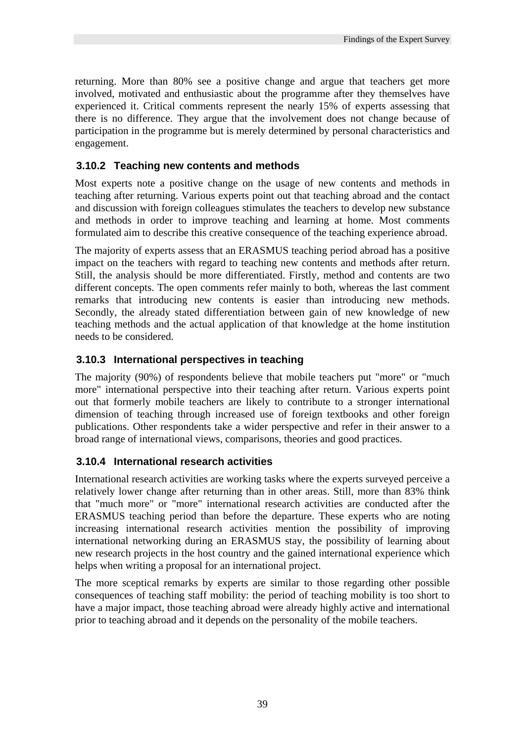returning. More than 80% see a positive change and argue that teachers get more involved, motivated and enthusiastic about the programme after they themselves have experienced it. Critical comments represent the nearly 15% of experts assessing that there is no difference. They argue that the involvement does not change because of participation in the programme but is merely determined by personal characteristics and engagement.

## **3.10.2 Teaching new contents and methods**

Most experts note a positive change on the usage of new contents and methods in teaching after returning. Various experts point out that teaching abroad and the contact and discussion with foreign colleagues stimulates the teachers to develop new substance and methods in order to improve teaching and learning at home. Most comments formulated aim to describe this creative consequence of the teaching experience abroad.

The majority of experts assess that an ERASMUS teaching period abroad has a positive impact on the teachers with regard to teaching new contents and methods after return. Still, the analysis should be more differentiated. Firstly, method and contents are two different concepts. The open comments refer mainly to both, whereas the last comment remarks that introducing new contents is easier than introducing new methods. Secondly, the already stated differentiation between gain of new knowledge of new teaching methods and the actual application of that knowledge at the home institution needs to be considered.

## **3.10.3 International perspectives in teaching**

The majority (90%) of respondents believe that mobile teachers put "more" or "much more" international perspective into their teaching after return. Various experts point out that formerly mobile teachers are likely to contribute to a stronger international dimension of teaching through increased use of foreign textbooks and other foreign publications. Other respondents take a wider perspective and refer in their answer to a broad range of international views, comparisons, theories and good practices.

## **3.10.4 International research activities**

International research activities are working tasks where the experts surveyed perceive a relatively lower change after returning than in other areas. Still, more than 83% think that "much more" or "more" international research activities are conducted after the ERASMUS teaching period than before the departure. These experts who are noting increasing international research activities mention the possibility of improving international networking during an ERASMUS stay, the possibility of learning about new research projects in the host country and the gained international experience which helps when writing a proposal for an international project.

The more sceptical remarks by experts are similar to those regarding other possible consequences of teaching staff mobility: the period of teaching mobility is too short to have a major impact, those teaching abroad were already highly active and international prior to teaching abroad and it depends on the personality of the mobile teachers.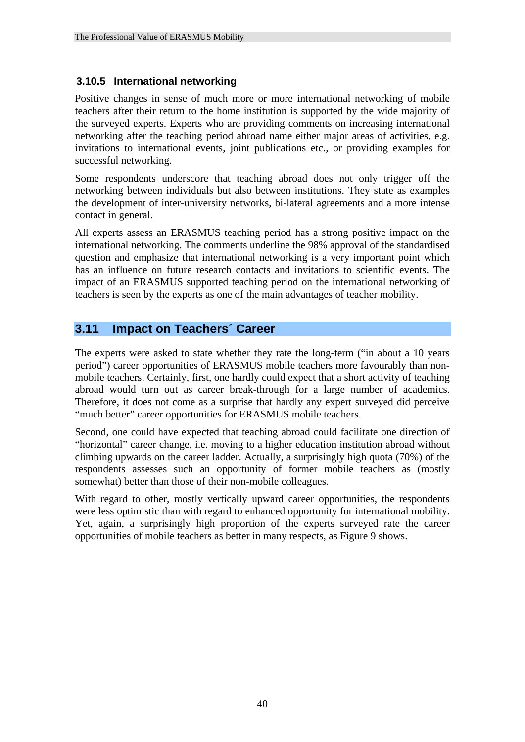## **3.10.5 International networking**

Positive changes in sense of much more or more international networking of mobile teachers after their return to the home institution is supported by the wide majority of the surveyed experts. Experts who are providing comments on increasing international networking after the teaching period abroad name either major areas of activities, e.g. invitations to international events, joint publications etc., or providing examples for successful networking.

Some respondents underscore that teaching abroad does not only trigger off the networking between individuals but also between institutions. They state as examples the development of inter-university networks, bi-lateral agreements and a more intense contact in general.

All experts assess an ERASMUS teaching period has a strong positive impact on the international networking. The comments underline the 98% approval of the standardised question and emphasize that international networking is a very important point which has an influence on future research contacts and invitations to scientific events. The impact of an ERASMUS supported teaching period on the international networking of teachers is seen by the experts as one of the main advantages of teacher mobility.

## **3.11 Impact on Teachers´ Career**

The experts were asked to state whether they rate the long-term ("in about a 10 years period") career opportunities of ERASMUS mobile teachers more favourably than nonmobile teachers. Certainly, first, one hardly could expect that a short activity of teaching abroad would turn out as career break-through for a large number of academics. Therefore, it does not come as a surprise that hardly any expert surveyed did perceive "much better" career opportunities for ERASMUS mobile teachers.

Second, one could have expected that teaching abroad could facilitate one direction of "horizontal" career change, i.e. moving to a higher education institution abroad without climbing upwards on the career ladder. Actually, a surprisingly high quota (70%) of the respondents assesses such an opportunity of former mobile teachers as (mostly somewhat) better than those of their non-mobile colleagues.

With regard to other, mostly vertically upward career opportunities, the respondents were less optimistic than with regard to enhanced opportunity for international mobility. Yet, again, a surprisingly high proportion of the experts surveyed rate the career opportunities of mobile teachers as better in many respects, as Figure 9 shows.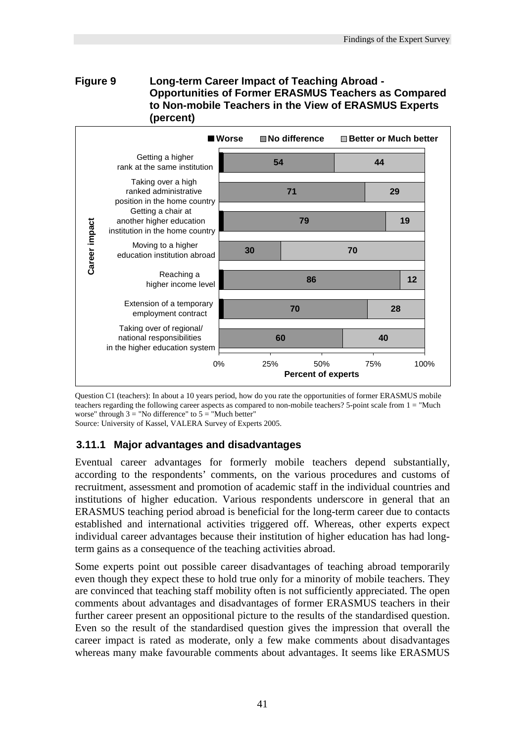#### **Figure 9 Long-term Career Impact of Teaching Abroad - Opportunities of Former ERASMUS Teachers as Compared to Non-mobile Teachers in the View of ERASMUS Experts (percent)**



Question C1 (teachers): In about a 10 years period, how do you rate the opportunities of former ERASMUS mobile teachers regarding the following career aspects as compared to non-mobile teachers? 5-point scale from 1 = "Much worse" through  $3 =$  "No difference" to  $5 =$  "Much better"

Source: University of Kassel, VALERA Survey of Experts 2005.

### **3.11.1 Major advantages and disadvantages**

Eventual career advantages for formerly mobile teachers depend substantially, according to the respondents' comments, on the various procedures and customs of recruitment, assessment and promotion of academic staff in the individual countries and institutions of higher education. Various respondents underscore in general that an ERASMUS teaching period abroad is beneficial for the long-term career due to contacts established and international activities triggered off. Whereas, other experts expect individual career advantages because their institution of higher education has had longterm gains as a consequence of the teaching activities abroad.

Some experts point out possible career disadvantages of teaching abroad temporarily even though they expect these to hold true only for a minority of mobile teachers. They are convinced that teaching staff mobility often is not sufficiently appreciated. The open comments about advantages and disadvantages of former ERASMUS teachers in their further career present an oppositional picture to the results of the standardised question. Even so the result of the standardised question gives the impression that overall the career impact is rated as moderate, only a few make comments about disadvantages whereas many make favourable comments about advantages. It seems like ERASMUS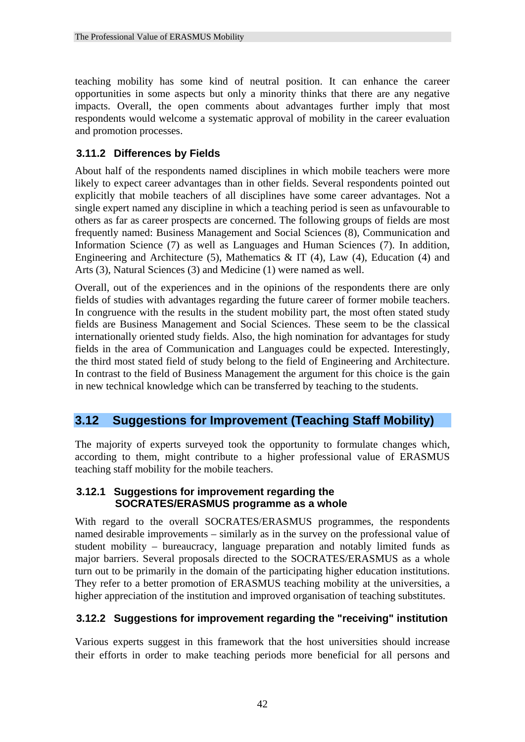teaching mobility has some kind of neutral position. It can enhance the career opportunities in some aspects but only a minority thinks that there are any negative impacts. Overall, the open comments about advantages further imply that most respondents would welcome a systematic approval of mobility in the career evaluation and promotion processes.

## **3.11.2 Differences by Fields**

About half of the respondents named disciplines in which mobile teachers were more likely to expect career advantages than in other fields. Several respondents pointed out explicitly that mobile teachers of all disciplines have some career advantages. Not a single expert named any discipline in which a teaching period is seen as unfavourable to others as far as career prospects are concerned. The following groups of fields are most frequently named: Business Management and Social Sciences (8), Communication and Information Science (7) as well as Languages and Human Sciences (7). In addition, Engineering and Architecture (5), Mathematics  $\&$  IT (4), Law (4), Education (4) and Arts (3), Natural Sciences (3) and Medicine (1) were named as well.

Overall, out of the experiences and in the opinions of the respondents there are only fields of studies with advantages regarding the future career of former mobile teachers. In congruence with the results in the student mobility part, the most often stated study fields are Business Management and Social Sciences. These seem to be the classical internationally oriented study fields. Also, the high nomination for advantages for study fields in the area of Communication and Languages could be expected. Interestingly, the third most stated field of study belong to the field of Engineering and Architecture. In contrast to the field of Business Management the argument for this choice is the gain in new technical knowledge which can be transferred by teaching to the students.

# **3.12 Suggestions for Improvement (Teaching Staff Mobility)**

The majority of experts surveyed took the opportunity to formulate changes which, according to them, might contribute to a higher professional value of ERASMUS teaching staff mobility for the mobile teachers.

#### **3.12.1 Suggestions for improvement regarding the SOCRATES/ERASMUS programme as a whole**

With regard to the overall SOCRATES/ERASMUS programmes, the respondents named desirable improvements – similarly as in the survey on the professional value of student mobility – bureaucracy, language preparation and notably limited funds as major barriers. Several proposals directed to the SOCRATES/ERASMUS as a whole turn out to be primarily in the domain of the participating higher education institutions. They refer to a better promotion of ERASMUS teaching mobility at the universities, a higher appreciation of the institution and improved organisation of teaching substitutes.

## **3.12.2 Suggestions for improvement regarding the "receiving" institution**

Various experts suggest in this framework that the host universities should increase their efforts in order to make teaching periods more beneficial for all persons and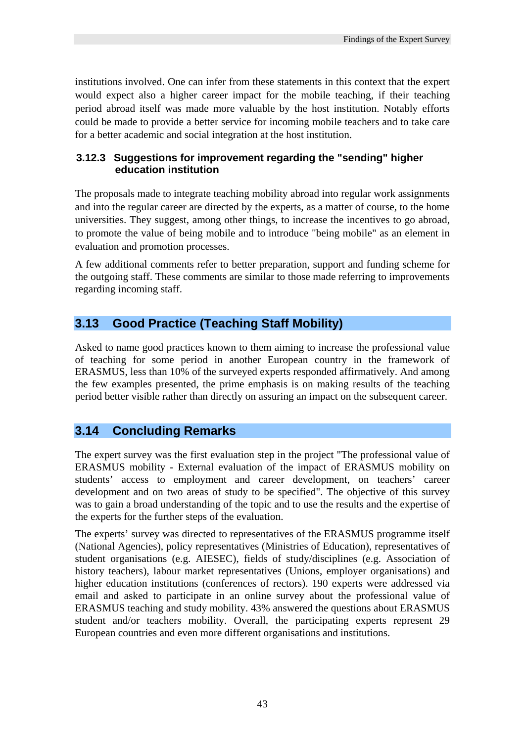institutions involved. One can infer from these statements in this context that the expert would expect also a higher career impact for the mobile teaching, if their teaching period abroad itself was made more valuable by the host institution. Notably efforts could be made to provide a better service for incoming mobile teachers and to take care for a better academic and social integration at the host institution.

## **3.12.3 Suggestions for improvement regarding the "sending" higher education institution**

The proposals made to integrate teaching mobility abroad into regular work assignments and into the regular career are directed by the experts, as a matter of course, to the home universities. They suggest, among other things, to increase the incentives to go abroad, to promote the value of being mobile and to introduce "being mobile" as an element in evaluation and promotion processes.

A few additional comments refer to better preparation, support and funding scheme for the outgoing staff. These comments are similar to those made referring to improvements regarding incoming staff.

## **3.13 Good Practice (Teaching Staff Mobility)**

Asked to name good practices known to them aiming to increase the professional value of teaching for some period in another European country in the framework of ERASMUS, less than 10% of the surveyed experts responded affirmatively. And among the few examples presented, the prime emphasis is on making results of the teaching period better visible rather than directly on assuring an impact on the subsequent career.

## **3.14 Concluding Remarks**

The expert survey was the first evaluation step in the project "The professional value of ERASMUS mobility - External evaluation of the impact of ERASMUS mobility on students' access to employment and career development, on teachers' career development and on two areas of study to be specified". The objective of this survey was to gain a broad understanding of the topic and to use the results and the expertise of the experts for the further steps of the evaluation.

The experts' survey was directed to representatives of the ERASMUS programme itself (National Agencies), policy representatives (Ministries of Education), representatives of student organisations (e.g. AIESEC), fields of study/disciplines (e.g. Association of history teachers), labour market representatives (Unions, employer organisations) and higher education institutions (conferences of rectors). 190 experts were addressed via email and asked to participate in an online survey about the professional value of ERASMUS teaching and study mobility. 43% answered the questions about ERASMUS student and/or teachers mobility. Overall, the participating experts represent 29 European countries and even more different organisations and institutions.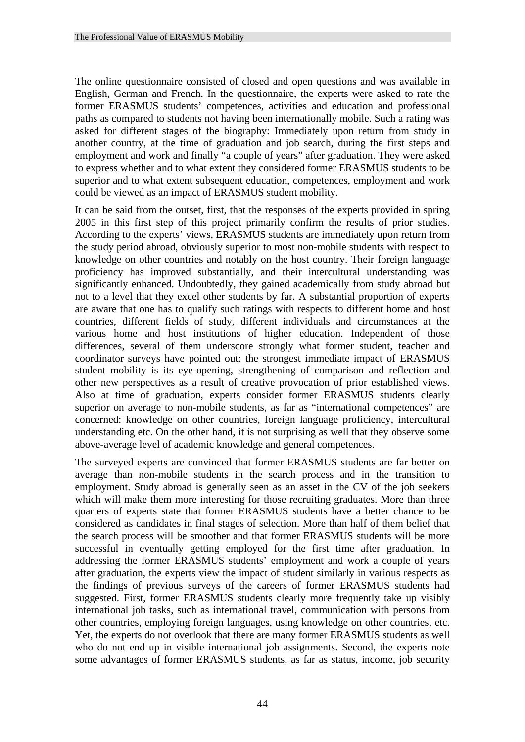The online questionnaire consisted of closed and open questions and was available in English, German and French. In the questionnaire, the experts were asked to rate the former ERASMUS students' competences, activities and education and professional paths as compared to students not having been internationally mobile. Such a rating was asked for different stages of the biography: Immediately upon return from study in another country, at the time of graduation and job search, during the first steps and employment and work and finally "a couple of years" after graduation. They were asked to express whether and to what extent they considered former ERASMUS students to be superior and to what extent subsequent education, competences, employment and work could be viewed as an impact of ERASMUS student mobility.

It can be said from the outset, first, that the responses of the experts provided in spring 2005 in this first step of this project primarily confirm the results of prior studies. According to the experts' views, ERASMUS students are immediately upon return from the study period abroad, obviously superior to most non-mobile students with respect to knowledge on other countries and notably on the host country. Their foreign language proficiency has improved substantially, and their intercultural understanding was significantly enhanced. Undoubtedly, they gained academically from study abroad but not to a level that they excel other students by far. A substantial proportion of experts are aware that one has to qualify such ratings with respects to different home and host countries, different fields of study, different individuals and circumstances at the various home and host institutions of higher education. Independent of those differences, several of them underscore strongly what former student, teacher and coordinator surveys have pointed out: the strongest immediate impact of ERASMUS student mobility is its eye-opening, strengthening of comparison and reflection and other new perspectives as a result of creative provocation of prior established views. Also at time of graduation, experts consider former ERASMUS students clearly superior on average to non-mobile students, as far as "international competences" are concerned: knowledge on other countries, foreign language proficiency, intercultural understanding etc. On the other hand, it is not surprising as well that they observe some above-average level of academic knowledge and general competences.

The surveyed experts are convinced that former ERASMUS students are far better on average than non-mobile students in the search process and in the transition to employment. Study abroad is generally seen as an asset in the CV of the job seekers which will make them more interesting for those recruiting graduates. More than three quarters of experts state that former ERASMUS students have a better chance to be considered as candidates in final stages of selection. More than half of them belief that the search process will be smoother and that former ERASMUS students will be more successful in eventually getting employed for the first time after graduation. In addressing the former ERASMUS students' employment and work a couple of years after graduation, the experts view the impact of student similarly in various respects as the findings of previous surveys of the careers of former ERASMUS students had suggested. First, former ERASMUS students clearly more frequently take up visibly international job tasks, such as international travel, communication with persons from other countries, employing foreign languages, using knowledge on other countries, etc. Yet, the experts do not overlook that there are many former ERASMUS students as well who do not end up in visible international job assignments. Second, the experts note some advantages of former ERASMUS students, as far as status, income, job security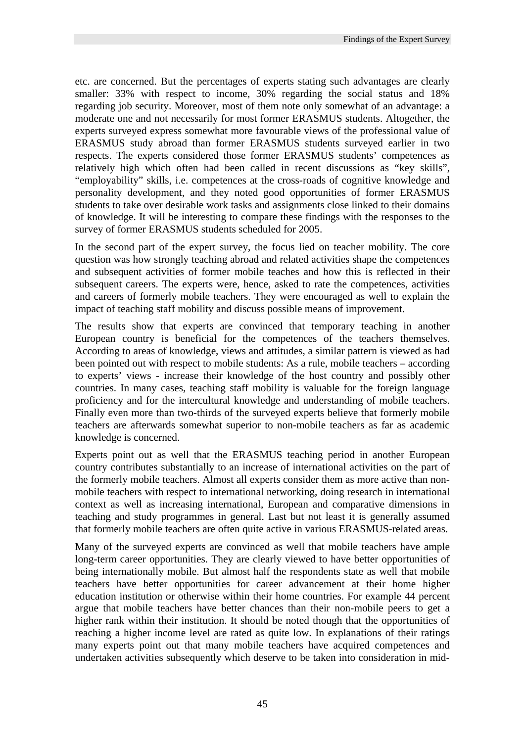etc. are concerned. But the percentages of experts stating such advantages are clearly smaller: 33% with respect to income, 30% regarding the social status and 18% regarding job security. Moreover, most of them note only somewhat of an advantage: a moderate one and not necessarily for most former ERASMUS students. Altogether, the experts surveyed express somewhat more favourable views of the professional value of ERASMUS study abroad than former ERASMUS students surveyed earlier in two respects. The experts considered those former ERASMUS students' competences as relatively high which often had been called in recent discussions as "key skills", "employability" skills, i.e. competences at the cross-roads of cognitive knowledge and personality development, and they noted good opportunities of former ERASMUS students to take over desirable work tasks and assignments close linked to their domains of knowledge. It will be interesting to compare these findings with the responses to the survey of former ERASMUS students scheduled for 2005.

In the second part of the expert survey, the focus lied on teacher mobility. The core question was how strongly teaching abroad and related activities shape the competences and subsequent activities of former mobile teaches and how this is reflected in their subsequent careers. The experts were, hence, asked to rate the competences, activities and careers of formerly mobile teachers. They were encouraged as well to explain the impact of teaching staff mobility and discuss possible means of improvement.

The results show that experts are convinced that temporary teaching in another European country is beneficial for the competences of the teachers themselves. According to areas of knowledge, views and attitudes, a similar pattern is viewed as had been pointed out with respect to mobile students: As a rule, mobile teachers – according to experts' views - increase their knowledge of the host country and possibly other countries. In many cases, teaching staff mobility is valuable for the foreign language proficiency and for the intercultural knowledge and understanding of mobile teachers. Finally even more than two-thirds of the surveyed experts believe that formerly mobile teachers are afterwards somewhat superior to non-mobile teachers as far as academic knowledge is concerned.

Experts point out as well that the ERASMUS teaching period in another European country contributes substantially to an increase of international activities on the part of the formerly mobile teachers. Almost all experts consider them as more active than nonmobile teachers with respect to international networking, doing research in international context as well as increasing international, European and comparative dimensions in teaching and study programmes in general. Last but not least it is generally assumed that formerly mobile teachers are often quite active in various ERASMUS-related areas.

Many of the surveyed experts are convinced as well that mobile teachers have ample long-term career opportunities. They are clearly viewed to have better opportunities of being internationally mobile. But almost half the respondents state as well that mobile teachers have better opportunities for career advancement at their home higher education institution or otherwise within their home countries. For example 44 percent argue that mobile teachers have better chances than their non-mobile peers to get a higher rank within their institution. It should be noted though that the opportunities of reaching a higher income level are rated as quite low. In explanations of their ratings many experts point out that many mobile teachers have acquired competences and undertaken activities subsequently which deserve to be taken into consideration in mid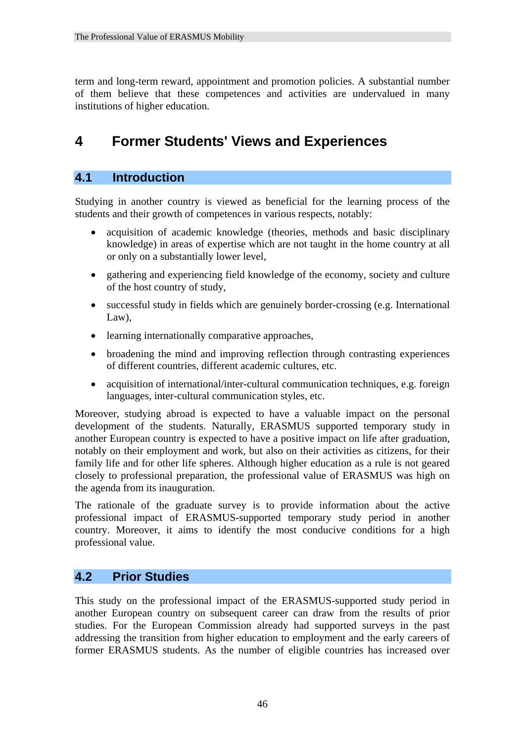term and long-term reward, appointment and promotion policies. A substantial number of them believe that these competences and activities are undervalued in many institutions of higher education.

# **4 Former Students' Views and Experiences**

## **4.1 Introduction**

Studying in another country is viewed as beneficial for the learning process of the students and their growth of competences in various respects, notably:

- acquisition of academic knowledge (theories, methods and basic disciplinary knowledge) in areas of expertise which are not taught in the home country at all or only on a substantially lower level,
- gathering and experiencing field knowledge of the economy, society and culture of the host country of study,
- successful study in fields which are genuinely border-crossing (e.g. International Law),
- learning internationally comparative approaches,
- broadening the mind and improving reflection through contrasting experiences of different countries, different academic cultures, etc.
- acquisition of international/inter-cultural communication techniques, e.g. foreign languages, inter-cultural communication styles, etc.

Moreover, studying abroad is expected to have a valuable impact on the personal development of the students. Naturally, ERASMUS supported temporary study in another European country is expected to have a positive impact on life after graduation, notably on their employment and work, but also on their activities as citizens, for their family life and for other life spheres. Although higher education as a rule is not geared closely to professional preparation, the professional value of ERASMUS was high on the agenda from its inauguration.

The rationale of the graduate survey is to provide information about the active professional impact of ERASMUS-supported temporary study period in another country. Moreover, it aims to identify the most conducive conditions for a high professional value.

## **4.2 Prior Studies**

This study on the professional impact of the ERASMUS-supported study period in another European country on subsequent career can draw from the results of prior studies. For the European Commission already had supported surveys in the past addressing the transition from higher education to employment and the early careers of former ERASMUS students. As the number of eligible countries has increased over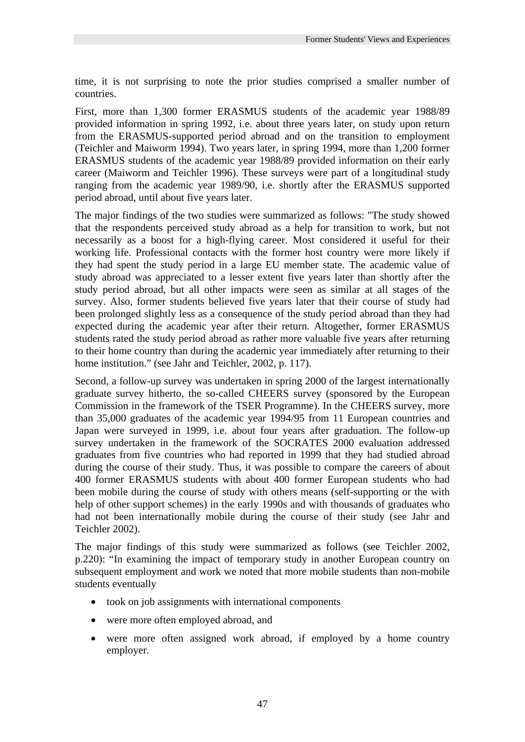time, it is not surprising to note the prior studies comprised a smaller number of countries.

First, more than 1,300 former ERASMUS students of the academic year 1988/89 provided information in spring 1992, i.e. about three years later, on study upon return from the ERASMUS-supported period abroad and on the transition to employment (Teichler and Maiworm 1994). Two years later, in spring 1994, more than 1,200 former ERASMUS students of the academic year 1988/89 provided information on their early career (Maiworm and Teichler 1996). These surveys were part of a longitudinal study ranging from the academic year 1989/90, i.e. shortly after the ERASMUS supported period abroad, until about five years later.

The major findings of the two studies were summarized as follows: "The study showed that the respondents perceived study abroad as a help for transition to work, but not necessarily as a boost for a high-flying career. Most considered it useful for their working life. Professional contacts with the former host country were more likely if they had spent the study period in a large EU member state. The academic value of study abroad was appreciated to a lesser extent five years later than shortly after the study period abroad, but all other impacts were seen as similar at all stages of the survey. Also, former students believed five years later that their course of study had been prolonged slightly less as a consequence of the study period abroad than they had expected during the academic year after their return. Altogether, former ERASMUS students rated the study period abroad as rather more valuable five years after returning to their home country than during the academic year immediately after returning to their home institution." (see Jahr and Teichler, 2002, p. 117).

Second, a follow-up survey was undertaken in spring 2000 of the largest internationally graduate survey hitherto, the so-called CHEERS survey (sponsored by the European Commission in the framework of the TSER Programme). In the CHEERS survey, more than 35,000 graduates of the academic year 1994/95 from 11 European countries and Japan were surveyed in 1999, i.e. about four years after graduation. The follow-up survey undertaken in the framework of the SOCRATES 2000 evaluation addressed graduates from five countries who had reported in 1999 that they had studied abroad during the course of their study. Thus, it was possible to compare the careers of about 400 former ERASMUS students with about 400 former European students who had been mobile during the course of study with others means (self-supporting or the with help of other support schemes) in the early 1990s and with thousands of graduates who had not been internationally mobile during the course of their study (see Jahr and Teichler 2002).

The major findings of this study were summarized as follows (see Teichler 2002, p.220): "In examining the impact of temporary study in another European country on subsequent employment and work we noted that more mobile students than non-mobile students eventually

- took on job assignments with international components
- were more often employed abroad, and
- were more often assigned work abroad, if employed by a home country employer.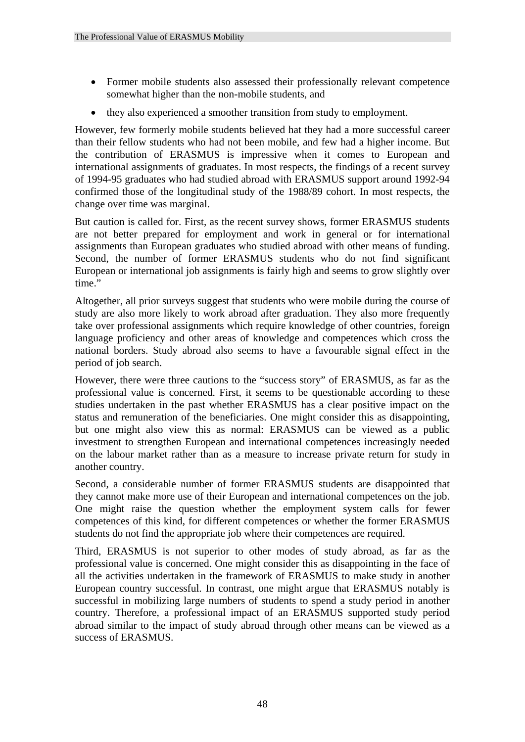- Former mobile students also assessed their professionally relevant competence somewhat higher than the non-mobile students, and
- they also experienced a smoother transition from study to employment.

However, few formerly mobile students believed hat they had a more successful career than their fellow students who had not been mobile, and few had a higher income. But the contribution of ERASMUS is impressive when it comes to European and international assignments of graduates. In most respects, the findings of a recent survey of 1994-95 graduates who had studied abroad with ERASMUS support around 1992-94 confirmed those of the longitudinal study of the 1988/89 cohort. In most respects, the change over time was marginal.

But caution is called for. First, as the recent survey shows, former ERASMUS students are not better prepared for employment and work in general or for international assignments than European graduates who studied abroad with other means of funding. Second, the number of former ERASMUS students who do not find significant European or international job assignments is fairly high and seems to grow slightly over time."

Altogether, all prior surveys suggest that students who were mobile during the course of study are also more likely to work abroad after graduation. They also more frequently take over professional assignments which require knowledge of other countries, foreign language proficiency and other areas of knowledge and competences which cross the national borders. Study abroad also seems to have a favourable signal effect in the period of job search.

However, there were three cautions to the "success story" of ERASMUS, as far as the professional value is concerned. First, it seems to be questionable according to these studies undertaken in the past whether ERASMUS has a clear positive impact on the status and remuneration of the beneficiaries. One might consider this as disappointing, but one might also view this as normal: ERASMUS can be viewed as a public investment to strengthen European and international competences increasingly needed on the labour market rather than as a measure to increase private return for study in another country.

Second, a considerable number of former ERASMUS students are disappointed that they cannot make more use of their European and international competences on the job. One might raise the question whether the employment system calls for fewer competences of this kind, for different competences or whether the former ERASMUS students do not find the appropriate job where their competences are required.

Third, ERASMUS is not superior to other modes of study abroad, as far as the professional value is concerned. One might consider this as disappointing in the face of all the activities undertaken in the framework of ERASMUS to make study in another European country successful. In contrast, one might argue that ERASMUS notably is successful in mobilizing large numbers of students to spend a study period in another country. Therefore, a professional impact of an ERASMUS supported study period abroad similar to the impact of study abroad through other means can be viewed as a success of ERASMUS.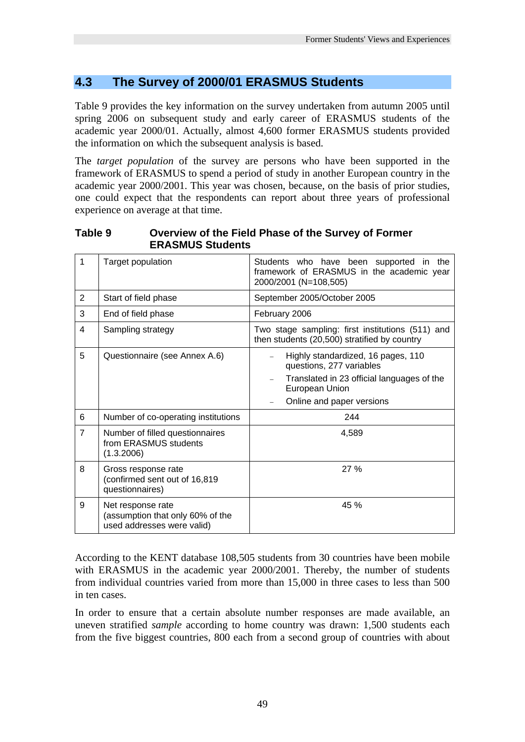# **4.3 The Survey of 2000/01 ERASMUS Students**

Table 9 provides the key information on the survey undertaken from autumn 2005 until spring 2006 on subsequent study and early career of ERASMUS students of the academic year 2000/01. Actually, almost 4,600 former ERASMUS students provided the information on which the subsequent analysis is based.

The *target population* of the survey are persons who have been supported in the framework of ERASMUS to spend a period of study in another European country in the academic year 2000/2001. This year was chosen, because, on the basis of prior studies, one could expect that the respondents can report about three years of professional experience on average at that time.

**Table 9 Overview of the Field Phase of the Survey of Former ERASMUS Students** 

| 1              | Target population                                                                   | Students who have been supported in the<br>framework of ERASMUS in the academic year<br>2000/2001 (N=108,505)                                               |  |  |
|----------------|-------------------------------------------------------------------------------------|-------------------------------------------------------------------------------------------------------------------------------------------------------------|--|--|
| 2              | Start of field phase                                                                | September 2005/October 2005                                                                                                                                 |  |  |
| 3              | End of field phase                                                                  | February 2006                                                                                                                                               |  |  |
| 4              | Sampling strategy                                                                   | Two stage sampling: first institutions (511) and<br>then students (20,500) stratified by country                                                            |  |  |
| 5              | Questionnaire (see Annex A.6)                                                       | Highly standardized, 16 pages, 110<br>questions, 277 variables<br>Translated in 23 official languages of the<br>European Union<br>Online and paper versions |  |  |
| 6              | Number of co-operating institutions                                                 | 244                                                                                                                                                         |  |  |
| $\overline{7}$ | Number of filled questionnaires<br>from ERASMUS students<br>(1.3.2006)              | 4,589                                                                                                                                                       |  |  |
| 8              | Gross response rate<br>(confirmed sent out of 16,819<br>questionnaires)             | 27%                                                                                                                                                         |  |  |
| 9              | Net response rate<br>(assumption that only 60% of the<br>used addresses were valid) | 45 %                                                                                                                                                        |  |  |

According to the KENT database 108,505 students from 30 countries have been mobile with ERASMUS in the academic year 2000/2001. Thereby, the number of students from individual countries varied from more than 15,000 in three cases to less than 500 in ten cases.

In order to ensure that a certain absolute number responses are made available, an uneven stratified *sample* according to home country was drawn: 1,500 students each from the five biggest countries, 800 each from a second group of countries with about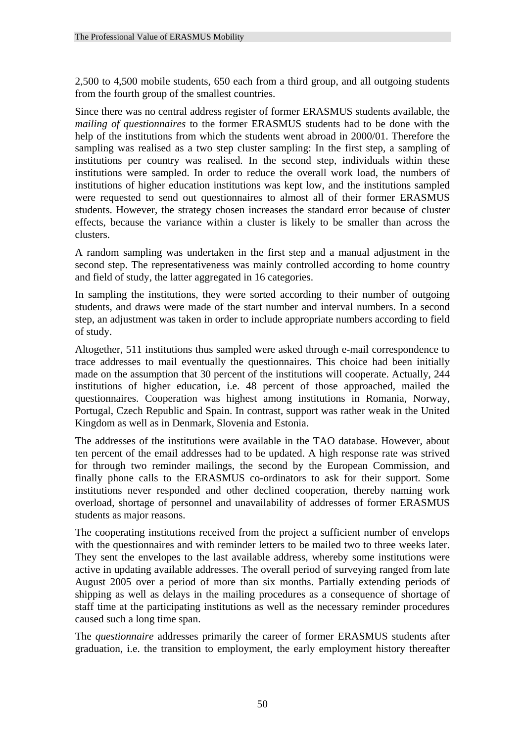2,500 to 4,500 mobile students, 650 each from a third group, and all outgoing students from the fourth group of the smallest countries.

Since there was no central address register of former ERASMUS students available, the *mailing of questionnaires* to the former ERASMUS students had to be done with the help of the institutions from which the students went abroad in 2000/01. Therefore the sampling was realised as a two step cluster sampling: In the first step, a sampling of institutions per country was realised. In the second step, individuals within these institutions were sampled. In order to reduce the overall work load, the numbers of institutions of higher education institutions was kept low, and the institutions sampled were requested to send out questionnaires to almost all of their former ERASMUS students. However, the strategy chosen increases the standard error because of cluster effects, because the variance within a cluster is likely to be smaller than across the clusters.

A random sampling was undertaken in the first step and a manual adjustment in the second step. The representativeness was mainly controlled according to home country and field of study, the latter aggregated in 16 categories.

In sampling the institutions, they were sorted according to their number of outgoing students, and draws were made of the start number and interval numbers. In a second step, an adjustment was taken in order to include appropriate numbers according to field of study.

Altogether, 511 institutions thus sampled were asked through e-mail correspondence to trace addresses to mail eventually the questionnaires. This choice had been initially made on the assumption that 30 percent of the institutions will cooperate. Actually, 244 institutions of higher education, i.e. 48 percent of those approached, mailed the questionnaires. Cooperation was highest among institutions in Romania, Norway, Portugal, Czech Republic and Spain. In contrast, support was rather weak in the United Kingdom as well as in Denmark, Slovenia and Estonia.

The addresses of the institutions were available in the TAO database. However, about ten percent of the email addresses had to be updated. A high response rate was strived for through two reminder mailings, the second by the European Commission, and finally phone calls to the ERASMUS co-ordinators to ask for their support. Some institutions never responded and other declined cooperation, thereby naming work overload, shortage of personnel and unavailability of addresses of former ERASMUS students as major reasons.

The cooperating institutions received from the project a sufficient number of envelops with the questionnaires and with reminder letters to be mailed two to three weeks later. They sent the envelopes to the last available address, whereby some institutions were active in updating available addresses. The overall period of surveying ranged from late August 2005 over a period of more than six months. Partially extending periods of shipping as well as delays in the mailing procedures as a consequence of shortage of staff time at the participating institutions as well as the necessary reminder procedures caused such a long time span.

The *questionnaire* addresses primarily the career of former ERASMUS students after graduation, i.e. the transition to employment, the early employment history thereafter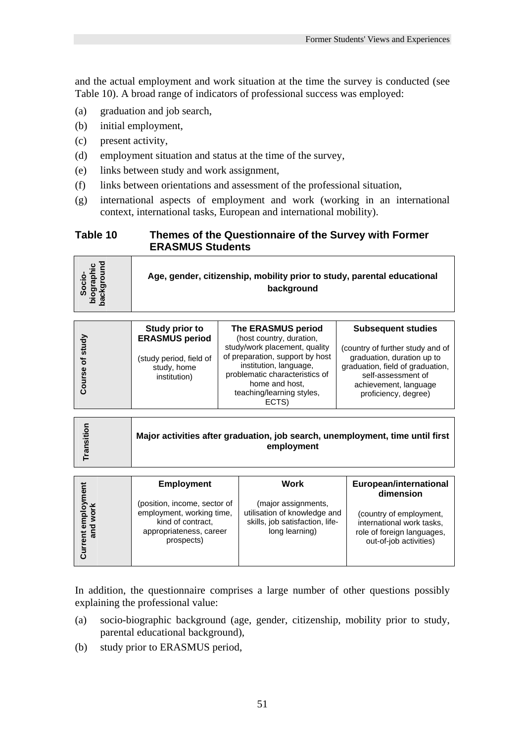and the actual employment and work situation at the time the survey is conducted (see Table 10). A broad range of indicators of professional success was employed:

- (a) graduation and job search,
- (b) initial employment,
- (c) present activity,
- (d) employment situation and status at the time of the survey,
- (e) links between study and work assignment,
- (f) links between orientations and assessment of the professional situation,
- (g) international aspects of employment and work (working in an international context, international tasks, European and international mobility).

#### **Table 10 Themes of the Questionnaire of the Survey with Former ERASMUS Students**

| cio-<br>raphic<br><del>r</del> round<br>Age, gender, citizenship, mobility prior to study, parental educational<br>packgl<br>biogra<br>backgl<br>background |  |
|-------------------------------------------------------------------------------------------------------------------------------------------------------------|--|
|-------------------------------------------------------------------------------------------------------------------------------------------------------------|--|

| ਨੂੰ<br>₹u<br>৳<br>9S<br>ō | Study prior to<br><b>ERASMUS period</b><br>(study period, field of<br>study, home<br>institution) | The ERASMUS period<br>(host country, duration,<br>study/work placement, quality<br>of preparation, support by host<br>institution, language,<br>problematic characteristics of<br>home and host.<br>teaching/learning styles,<br>ECTS) | <b>Subsequent studies</b><br>(country of further study and of<br>graduation, duration up to<br>graduation, field of graduation,<br>self-assessment of<br>achievement, language<br>proficiency, degree) |
|---------------------------|---------------------------------------------------------------------------------------------------|----------------------------------------------------------------------------------------------------------------------------------------------------------------------------------------------------------------------------------------|--------------------------------------------------------------------------------------------------------------------------------------------------------------------------------------------------------|
|---------------------------|---------------------------------------------------------------------------------------------------|----------------------------------------------------------------------------------------------------------------------------------------------------------------------------------------------------------------------------------------|--------------------------------------------------------------------------------------------------------------------------------------------------------------------------------------------------------|

| sitio<br>Major activities after graduation, job search, unemployment, time until first<br>employment |  |
|------------------------------------------------------------------------------------------------------|--|
|------------------------------------------------------------------------------------------------------|--|

|                                | <b>Employment</b>                                                                                                       | Work                                                                                                     | European/international<br>dimension                                                                          |
|--------------------------------|-------------------------------------------------------------------------------------------------------------------------|----------------------------------------------------------------------------------------------------------|--------------------------------------------------------------------------------------------------------------|
| mploy<br>work<br>ᅙᅙ<br>Ξ.<br>ត | (position, income, sector of<br>employment, working time,<br>kind of contract,<br>appropriateness, career<br>prospects) | (major assignments,<br>utilisation of knowledge and<br>skills, job satisfaction, life-<br>long learning) | (country of employment,<br>international work tasks,<br>role of foreign languages,<br>out-of-job activities) |

In addition, the questionnaire comprises a large number of other questions possibly explaining the professional value:

- (a) socio-biographic background (age, gender, citizenship, mobility prior to study, parental educational background),
- (b) study prior to ERASMUS period,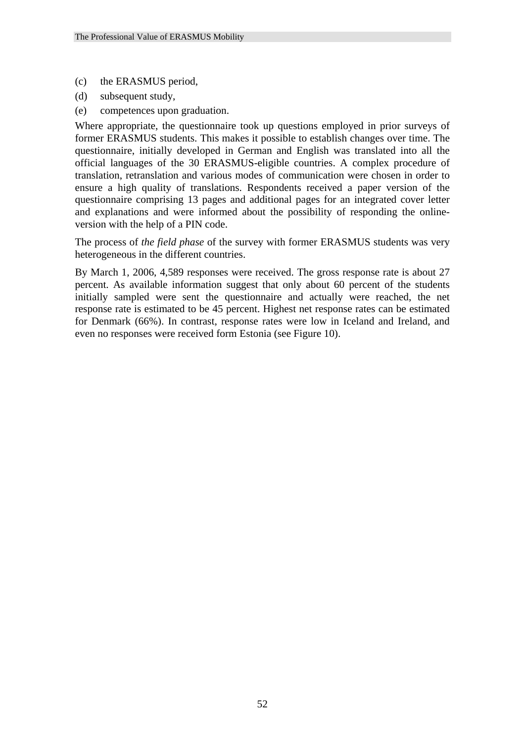- (c) the ERASMUS period,
- (d) subsequent study,
- (e) competences upon graduation.

Where appropriate, the questionnaire took up questions employed in prior surveys of former ERASMUS students. This makes it possible to establish changes over time. The questionnaire, initially developed in German and English was translated into all the official languages of the 30 ERASMUS-eligible countries. A complex procedure of translation, retranslation and various modes of communication were chosen in order to ensure a high quality of translations. Respondents received a paper version of the questionnaire comprising 13 pages and additional pages for an integrated cover letter and explanations and were informed about the possibility of responding the onlineversion with the help of a PIN code.

The process of *the field phase* of the survey with former ERASMUS students was very heterogeneous in the different countries.

By March 1, 2006, 4,589 responses were received. The gross response rate is about 27 percent. As available information suggest that only about 60 percent of the students initially sampled were sent the questionnaire and actually were reached, the net response rate is estimated to be 45 percent. Highest net response rates can be estimated for Denmark (66%). In contrast, response rates were low in Iceland and Ireland, and even no responses were received form Estonia (see Figure 10).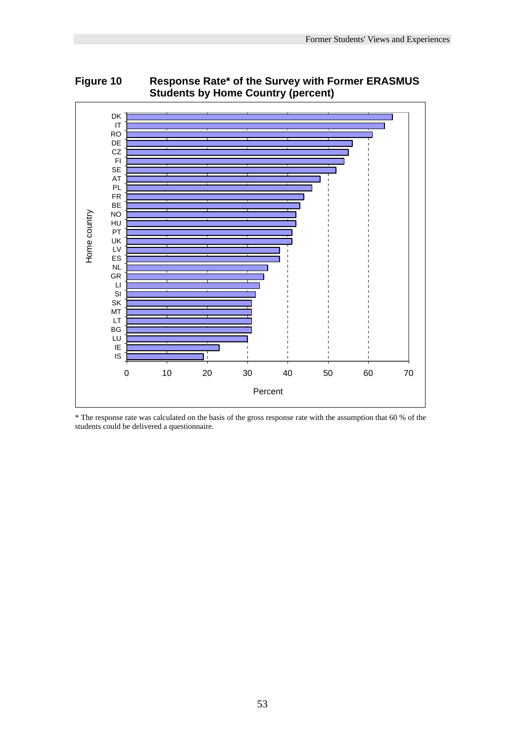

**Figure 10 Response Rate\* of the Survey with Former ERASMUS Students by Home Country (percent)** 

\* The response rate was calculated on the basis of the gross response rate with the assumption that 60 % of the students could be delivered a questionnaire.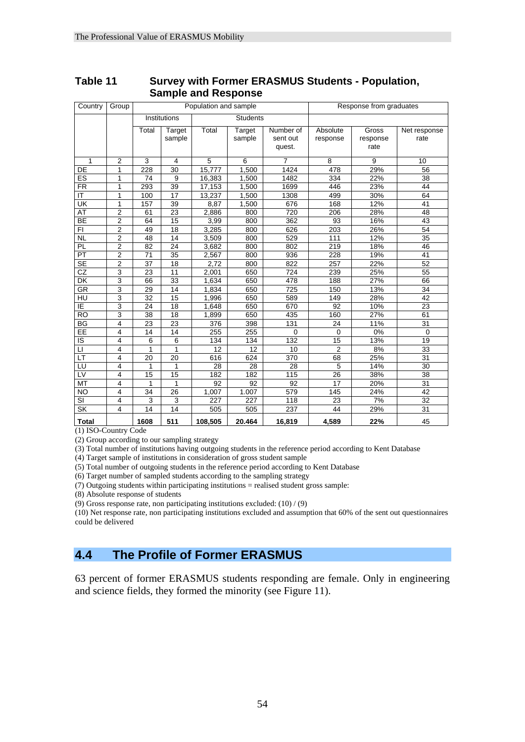| Country                                               | Group                   |                 |                 | Population and sample |               |                | Response from graduates |          |                 |  |
|-------------------------------------------------------|-------------------------|-----------------|-----------------|-----------------------|---------------|----------------|-------------------------|----------|-----------------|--|
|                                                       |                         |                 | Institutions    |                       | Students      |                |                         |          |                 |  |
|                                                       |                         | Total           | Target          | Total                 | <b>Target</b> | Number of      | Absolute                | Gross    | Net response    |  |
|                                                       |                         |                 | sample          |                       | sample        | sent out       | response                | response | rate            |  |
|                                                       |                         |                 |                 |                       |               | quest.         |                         | rate     |                 |  |
| 1                                                     | 2                       | 3               | $\overline{4}$  | 5                     | 6             | $\overline{7}$ | 8                       | 9        | 10              |  |
| DE                                                    | 1                       | 228             | 30              | 15,777                | 1,500         | 1424           | 478                     | 29%      | 56              |  |
| ES                                                    | 1                       | 74              | 9               | 16,383                | 1,500         | 1482           | 334                     | 22%      | 38              |  |
| <b>FR</b>                                             | 1                       | 293             | 39              | 17,153                | 1,500         | 1699           | 446                     | 23%      | 44              |  |
| IT                                                    | 1                       | 100             | 17              | 13,237                | 1,500         | 1308           | 499                     | 30%      | 64              |  |
| UK                                                    | 1                       | 157             | 39              | 8,87                  | 1,500         | 676            | 168                     | 12%      | 41              |  |
| AT                                                    | $\overline{\mathbf{c}}$ | 61              | 23              | 2,886                 | 800           | 720            | 206                     | 28%      | 48              |  |
| <b>BE</b>                                             | 2                       | 64              | 15              | 3,99                  | 800           | 362            | 93                      | 16%      | 43              |  |
| FI                                                    | $\overline{2}$          | 49              | 18              | 3,285                 | 800           | 626            | 203                     | 26%      | 54              |  |
| <b>NL</b>                                             | $\overline{2}$          | 48              | 14              | 3,509                 | 800           | 529            | 111                     | 12%      | 35              |  |
| $\overline{PL}$                                       | $\overline{2}$          | 82              | 24              | 3,682                 | 800           | 802            | $\overline{219}$        | 18%      | 46              |  |
| PT                                                    | $\overline{2}$          | 71              | 35              | 2,567                 | 800           | 936            | 228                     | 19%      | 41              |  |
| $\overline{\mathsf{SE}}$                              | $\overline{2}$          | $\overline{37}$ | $\overline{18}$ | 2,72                  | 800           | 822            | 257                     | 22%      | $\overline{52}$ |  |
| CZ                                                    | 3                       | 23              | 11              | 2,001                 | 650           | 724            | 239                     | 25%      | 55              |  |
| DK                                                    | 3                       | 66              | 33              | 1,634                 | 650           | 478            | 188                     | 27%      | 66              |  |
| <b>GR</b>                                             | 3                       | 29              | 14              | 1,834                 | 650           | 725            | 150                     | 13%      | 34              |  |
| HU                                                    | 3                       | 32              | 15              | 1,996                 | 650           | 589            | 149                     | 28%      | 42              |  |
| ΙĒ                                                    | 3                       | 24              | 18              | 1.648                 | 650           | 670            | 92                      | 10%      | 23              |  |
| <b>RO</b>                                             | 3                       | 38              | 18              | 1,899                 | 650           | 435            | 160                     | 27%      | 61              |  |
| $\overline{\mathsf{B}\mathsf{G}}$                     | 4                       | 23              | 23              | 376                   | 398           | 131            | 24                      | 11%      | 31              |  |
| EE                                                    | 4                       | 14              | 14              | 255                   | 255           | $\Omega$       | $\mathbf 0$             | 0%       | $\mathbf 0$     |  |
| ΙS                                                    | 4                       | 6               | 6               | 134                   | 134           | 132            | 15                      | 13%      | 19              |  |
| П                                                     | 4                       | 1               | 1               | 12                    | 12            | 10             | $\overline{2}$          | 8%       | 33              |  |
| LT                                                    | 4                       | 20              | 20              | 616                   | 624           | 370            | 68                      | 25%      | 31              |  |
| LU                                                    | 4                       | 1               | 1               | 28                    | 28            | 28             | 5                       | 14%      | 30              |  |
| LV                                                    | 4                       | 15              | 15              | 182                   | 182           | 115            | 26                      | 38%      | 38              |  |
| <b>MT</b>                                             | 4                       | 1               | 1               | 92                    | 92            | 92             | 17                      | 20%      | 31              |  |
| <b>NO</b>                                             | 4                       | 34              | 26              | 1,007                 | 1.007         | 579            | 145                     | 24%      | 42              |  |
| $\overline{\mathsf{S}}$                               | 4                       | 3               | 3               | 227                   | 227           | 118            | 23                      | 7%       | 32              |  |
| SK                                                    | 4                       | 14              | 14              | 505                   | 505           | 237            | 44                      | 29%      | 31              |  |
| Total<br>$\mathbf{r} \cap \mathbf{r} \cap \mathbf{r}$ |                         | 1608            | 511             | 108,505               | 20.464        | 16,819         | 4,589                   | 22%      | 45              |  |

### **Table 11 Survey with Former ERASMUS Students - Population, Sample and Response**

(1) ISO-Country Code

(2) Group according to our sampling strategy

(3) Total number of institutions having outgoing students in the reference period according to Kent Database

(4) Target sample of institutions in consideration of gross student sample

(5) Total number of outgoing students in the reference period according to Kent Database

(6) Target number of sampled students according to the sampling strategy

(7) Outgoing students within participating institutions = realised student gross sample:

(8) Absolute response of students

(9) Gross response rate, non participating institutions excluded: (10) / (9)

(10) Net response rate, non participating institutions excluded and assumption that 60% of the sent out questionnaires could be delivered

## **4.4 The Profile of Former ERASMUS**

63 percent of former ERASMUS students responding are female. Only in engineering and science fields, they formed the minority (see Figure 11).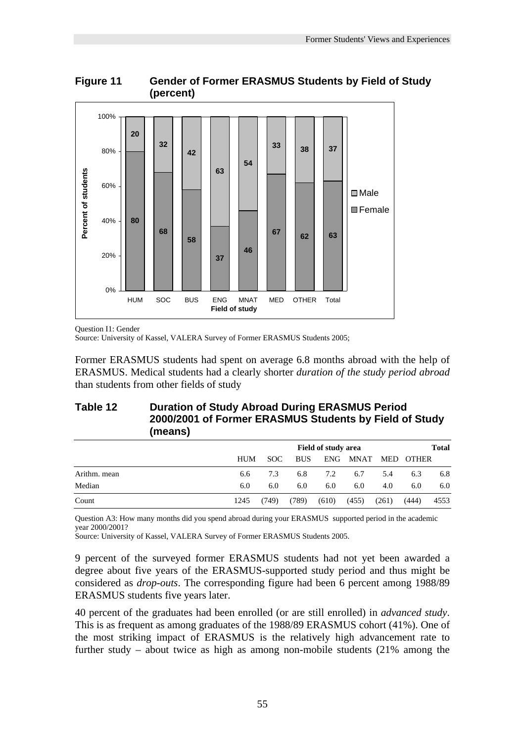



Question I1: Gender

Source: University of Kassel, VALERA Survey of Former ERASMUS Students 2005;

Former ERASMUS students had spent on average 6.8 months abroad with the help of ERASMUS. Medical students had a clearly shorter *duration of the study period abroad* than students from other fields of study

## **Table 12 Duration of Study Abroad During ERASMUS Period 2000/2001 of Former ERASMUS Students by Field of Study (means)**

|              |            | <b>Field of study area</b> |            |       |       |       |           | <b>Total</b> |  |  |
|--------------|------------|----------------------------|------------|-------|-------|-------|-----------|--------------|--|--|
|              | <b>HUM</b> | SOC.                       | <b>BUS</b> | ENG.  | MNAT  |       | MED OTHER |              |  |  |
| Arithm. mean | 6.6        | 7.3                        | 6.8        | 7.2   | 6.7   | 5.4   | 6.3       | 6.8          |  |  |
| Median       | 6.0        | 6.0                        | 6.0        | 6.0   | 6.0   | 4.0   | 6.0       | 6.0          |  |  |
| Count        | 1245       | (749)                      | (789)      | (610) | (455) | (261) | (444)     | 4553         |  |  |

Question A3: How many months did you spend abroad during your ERASMUS supported period in the academic year 2000/2001?

Source: University of Kassel, VALERA Survey of Former ERASMUS Students 2005.

9 percent of the surveyed former ERASMUS students had not yet been awarded a degree about five years of the ERASMUS-supported study period and thus might be considered as *drop-outs*. The corresponding figure had been 6 percent among 1988/89 ERASMUS students five years later.

40 percent of the graduates had been enrolled (or are still enrolled) in *advanced study*. This is as frequent as among graduates of the 1988/89 ERASMUS cohort (41%). One of the most striking impact of ERASMUS is the relatively high advancement rate to further study – about twice as high as among non-mobile students (21% among the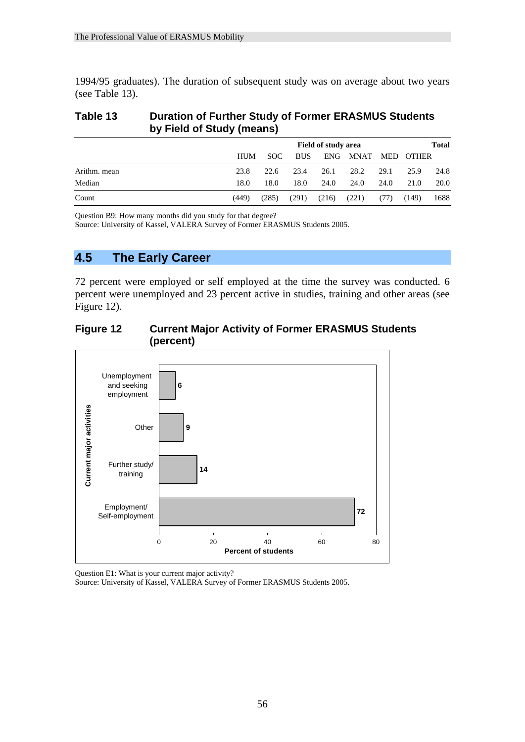1994/95 graduates). The duration of subsequent study was on average about two years (see Table 13).

#### **Table 13 Duration of Further Study of Former ERASMUS Students by Field of Study (means)**

|              |            | Field of study area<br><b>Total</b> |            |       |             |            |       |      |  |
|--------------|------------|-------------------------------------|------------|-------|-------------|------------|-------|------|--|
|              | <b>HUM</b> | SOC.                                | <b>BUS</b> | ENG.  | <b>MNAT</b> | <b>MED</b> | OTHER |      |  |
| Arithm. mean | 23.8       | 22.6                                | 23.4       | 26.1  | 28.2        | 29.1       | 25.9  | 24.8 |  |
| Median       | 18.0       | 18.0                                | 18.0       | 24.0  | 24.0        | 24.0       | 21.0  | 20.0 |  |
| Count        | (449)      | (285)                               | (291)      | (216) | (221)       | (77)       | (149) | 1688 |  |

Question B9: How many months did you study for that degree?

Source: University of Kassel, VALERA Survey of Former ERASMUS Students 2005.

## **4.5 The Early Career**

72 percent were employed or self employed at the time the survey was conducted. 6 percent were unemployed and 23 percent active in studies, training and other areas (see Figure 12).

## **Figure 12 Current Major Activity of Former ERASMUS Students (percent)**



Question E1: What is your current major activity?

Source: University of Kassel, VALERA Survey of Former ERASMUS Students 2005.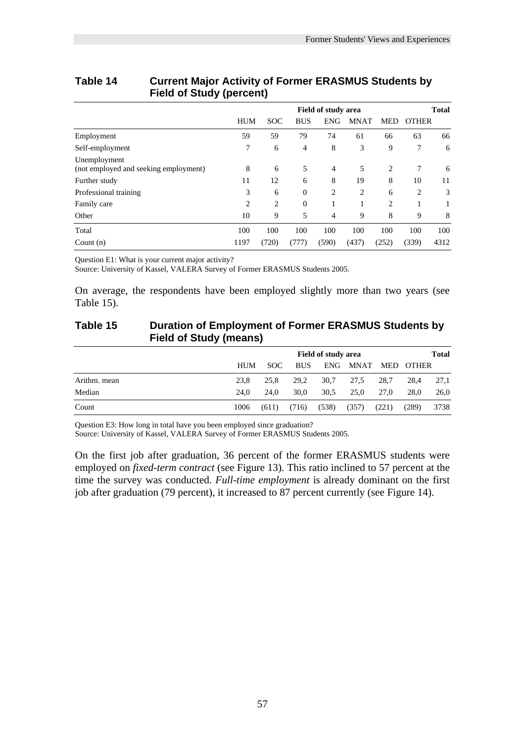|                                                       | <b>Field of study area</b> |            |              |                |             |                | <b>Total</b> |      |  |
|-------------------------------------------------------|----------------------------|------------|--------------|----------------|-------------|----------------|--------------|------|--|
|                                                       | <b>HUM</b>                 | <b>SOC</b> | <b>BUS</b>   | <b>ENG</b>     | <b>MNAT</b> | <b>MED</b>     | <b>OTHER</b> |      |  |
| Employment                                            | 59                         | 59         | 79           | 74             | 61          | 66             | 63           | 66   |  |
| Self-employment                                       | 7                          | 6          | 4            | 8              | 3           | 9              | 7            | 6    |  |
| Unemployment<br>(not employed and seeking employment) | 8                          | 6          | 5            | $\overline{4}$ | 5           | 2              | 7            | 6    |  |
| Further study                                         | 11                         | 12         | 6            | 8              | 19          | 8              | 10           | 11   |  |
| Professional training                                 | 3                          | 6          | $\theta$     | 2              | 2           | 6              | 2            | 3    |  |
| Family care                                           | 2                          | 2          | $\mathbf{0}$ | 1              |             | $\overline{2}$ |              |      |  |
| Other                                                 | 10                         | 9          | 5            | $\overline{4}$ | 9           | 8              | 9            | 8    |  |
| Total                                                 | 100                        | 100        | 100          | 100            | 100         | 100            | 100          | 100  |  |
| Count $(n)$                                           | 1197                       | (720)      | (777)        | (590)          | (437)       | (252)          | (339)        | 4312 |  |

## **Table 14 Current Major Activity of Former ERASMUS Students by Field of Study (percent)**

Question E1: What is your current major activity?

Source: University of Kassel, VALERA Survey of Former ERASMUS Students 2005.

On average, the respondents have been employed slightly more than two years (see Table 15).

## **Table 15 Duration of Employment of Former ERASMUS Students by Field of Study (means)**

|              |            | <b>Total</b><br><b>Field of study area</b> |            |       |             |       |       |      |  |
|--------------|------------|--------------------------------------------|------------|-------|-------------|-------|-------|------|--|
|              | <b>HUM</b> | SOC.                                       | <b>BUS</b> | ENG.  | <b>MNAT</b> | MED   | OTHER |      |  |
| Arithm. mean | 23.8       | 25.8                                       | 29.2       | 30.7  | 27.5        | 28.7  | 28.4  | 27,1 |  |
| Median       | 24.0       | 24.0                                       | 30.0       | 30,5  | 25,0        | 27.0  | 28.0  | 26,0 |  |
| Count        | 1006       | (611)                                      | (716)      | (538) | (357)       | (221) | (289) | 3738 |  |

Question E3: How long in total have you been employed since graduation?

Source: University of Kassel, VALERA Survey of Former ERASMUS Students 2005.

On the first job after graduation, 36 percent of the former ERASMUS students were employed on *fixed-term contract* (see Figure 13). This ratio inclined to 57 percent at the time the survey was conducted. *Full-time employment* is already dominant on the first job after graduation (79 percent), it increased to 87 percent currently (see Figure 14).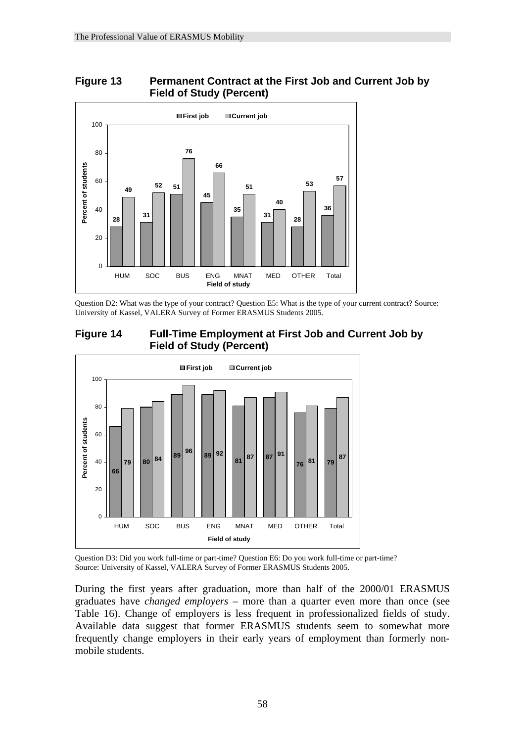



Question D2: What was the type of your contract? Question E5: What is the type of your current contract? Source: University of Kassel, VALERA Survey of Former ERASMUS Students 2005.





Question D3: Did you work full-time or part-time? Question E6: Do you work full-time or part-time? Source: University of Kassel, VALERA Survey of Former ERASMUS Students 2005.

During the first years after graduation, more than half of the 2000/01 ERASMUS graduates have *changed employers* – more than a quarter even more than once (see Table 16). Change of employers is less frequent in professionalized fields of study. Available data suggest that former ERASMUS students seem to somewhat more frequently change employers in their early years of employment than formerly nonmobile students.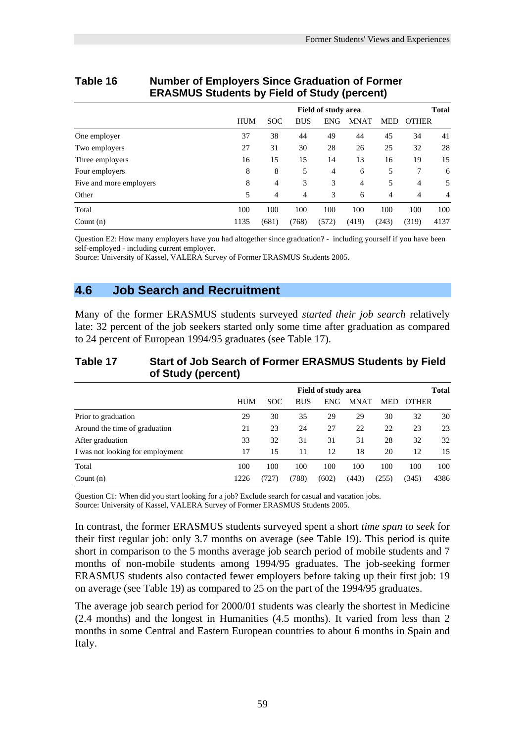|                         |            |                            |            |            | --             |            |              |              |
|-------------------------|------------|----------------------------|------------|------------|----------------|------------|--------------|--------------|
|                         |            | <b>Field of study area</b> |            |            |                |            |              | <b>Total</b> |
|                         | <b>HUM</b> | <b>SOC</b>                 | <b>BUS</b> | <b>ENG</b> | <b>MNAT</b>    | <b>MED</b> | <b>OTHER</b> |              |
| One employer            | 37         | 38                         | 44         | 49         | 44             | 45         | 34           | 41           |
| Two employers           | 27         | 31                         | 30         | 28         | 26             | 25         | 32           | 28           |
| Three employers         | 16         | 15                         | 15         | 14         | 13             | 16         | 19           | 15           |
| Four employers          | 8          | 8                          | 5          | 4          | 6              | 5          | 7            | 6            |
| Five and more employers | 8          | $\overline{4}$             | 3          | 3          | $\overline{4}$ | 5          | 4            | 5            |
| Other                   | 5          | 4                          | 4          | 3          | 6              | 4          | 4            | 4            |
| Total                   | 100        | 100                        | 100        | 100        | 100            | 100        | 100          | 100          |
| Count $(n)$             | 1135       | (681)                      | (768)      | (572)      | (419)          | (243)      | (319)        | 4137         |

## **Table 16 Number of Employers Since Graduation of Former ERASMUS Students by Field of Study (percent)**

Question E2: How many employers have you had altogether since graduation? - including yourself if you have been self-employed - including current employer.

Source: University of Kassel, VALERA Survey of Former ERASMUS Students 2005.

## **4.6 Job Search and Recruitment**

Many of the former ERASMUS students surveyed *started their job search* relatively late: 32 percent of the job seekers started only some time after graduation as compared to 24 percent of European 1994/95 graduates (see Table 17).

#### **Table 17 Start of Job Search of Former ERASMUS Students by Field of Study (percent)**

|                                  |            | Field of study area<br><b>Total</b> |            |            |             |            |              |      |  |
|----------------------------------|------------|-------------------------------------|------------|------------|-------------|------------|--------------|------|--|
|                                  | <b>HUM</b> | <b>SOC</b>                          | <b>BUS</b> | <b>ENG</b> | <b>MNAT</b> | <b>MED</b> | <b>OTHER</b> |      |  |
| Prior to graduation              | 29         | 30                                  | 35         | 29         | 29          | 30         | 32           | 30   |  |
| Around the time of graduation    | 21         | 23                                  | 24         | 27         | 22          | 22         | 23           | 23   |  |
| After graduation                 | 33         | 32                                  | 31         | 31         | 31          | 28         | 32           | 32   |  |
| I was not looking for employment | 17         | 15                                  | 11         | 12         | 18          | 20         | 12           | 15   |  |
| Total                            | 100        | 100                                 | 100        | 100        | 100         | 100        | 100          | 100  |  |
| Count $(n)$                      | 1226       | 727)                                | (788)      | (602)      | (443)       | (255)      | (345)        | 4386 |  |

Question C1: When did you start looking for a job? Exclude search for casual and vacation jobs. Source: University of Kassel, VALERA Survey of Former ERASMUS Students 2005.

In contrast, the former ERASMUS students surveyed spent a short *time span to seek* for their first regular job: only 3.7 months on average (see Table 19). This period is quite short in comparison to the 5 months average job search period of mobile students and 7 months of non-mobile students among 1994/95 graduates. The job-seeking former ERASMUS students also contacted fewer employers before taking up their first job: 19 on average (see Table 19) as compared to 25 on the part of the 1994/95 graduates.

The average job search period for 2000/01 students was clearly the shortest in Medicine (2.4 months) and the longest in Humanities (4.5 months). It varied from less than 2 months in some Central and Eastern European countries to about 6 months in Spain and Italy.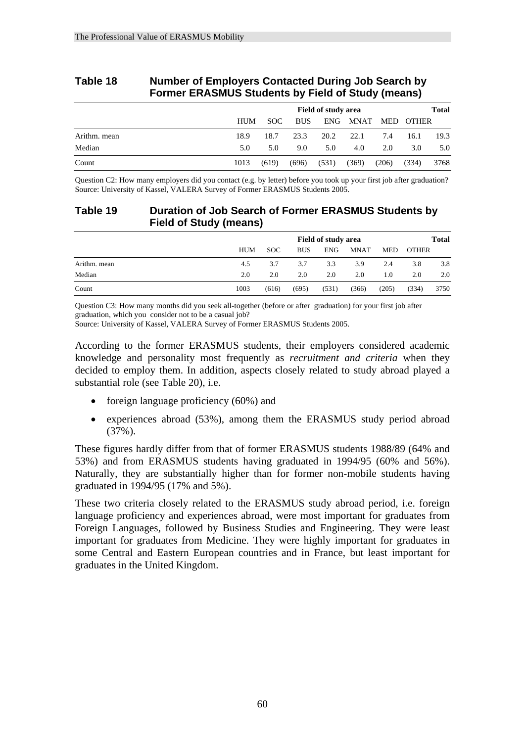|              | <b>Former ERASMUS Students by Field of Study (means)</b> |                              |       |            |       |             |            |              |      |  |
|--------------|----------------------------------------------------------|------------------------------|-------|------------|-------|-------------|------------|--------------|------|--|
|              |                                                          | Field of study area<br>Total |       |            |       |             |            |              |      |  |
|              |                                                          | HUM                          | SOC.  | <b>BUS</b> | ENG-  | <b>MNAT</b> | <b>MED</b> | <b>OTHER</b> |      |  |
| Arithm. mean |                                                          | 18.9                         | 18.7  | 23.3       | 20.2  | 22.1        | 7.4        | 16.1         | 19.3 |  |
| Median       |                                                          | 5.0                          | 5.0   | 9.0        | 5.0   | 4.0         | 2.0        | 3.0          | 5.0  |  |
| Count        |                                                          | 1013                         | (619) | (696)      | (531) | (369)       | (206)      | (334)        | 3768 |  |

## **Table 18 Number of Employers Contacted During Job Search by Former ERASMUS Students by Field of Study (means)**

Question C2: How many employers did you contact (e.g. by letter) before you took up your first job after graduation? Source: University of Kassel, VALERA Survey of Former ERASMUS Students 2005.

## **Table 19 Duration of Job Search of Former ERASMUS Students by Field of Study (means)**

|              |            | Field of study area |            |            |             |            |              | Total |
|--------------|------------|---------------------|------------|------------|-------------|------------|--------------|-------|
|              | <b>HUM</b> | <b>SOC</b>          | <b>BUS</b> | <b>ENG</b> | <b>MNAT</b> | <b>MED</b> | <b>OTHER</b> |       |
| Arithm. mean | 4.5        | 3.7                 | 3.7        | 3.3        | 3.9         | 2.4        | 3.8          | 3.8   |
| Median       | 2.0        | 2.0                 | 2.0        | 2.0        | 2.0         | 1.0        | 2.0          | 2.0   |
| Count        | 1003       | (616)               | (695)      | (531)      | (366)       | (205)      | (334)        | 3750  |

Question C3: How many months did you seek all-together (before or after graduation) for your first job after graduation, which you consider not to be a casual job?

Source: University of Kassel, VALERA Survey of Former ERASMUS Students 2005.

According to the former ERASMUS students, their employers considered academic knowledge and personality most frequently as *recruitment and criteria* when they decided to employ them. In addition, aspects closely related to study abroad played a substantial role (see Table 20), i.e.

- foreign language proficiency (60%) and
- experiences abroad (53%), among them the ERASMUS study period abroad (37%).

These figures hardly differ from that of former ERASMUS students 1988/89 (64% and 53%) and from ERASMUS students having graduated in 1994/95 (60% and 56%). Naturally, they are substantially higher than for former non-mobile students having graduated in 1994/95 (17% and 5%).

These two criteria closely related to the ERASMUS study abroad period, i.e. foreign language proficiency and experiences abroad, were most important for graduates from Foreign Languages, followed by Business Studies and Engineering. They were least important for graduates from Medicine. They were highly important for graduates in some Central and Eastern European countries and in France, but least important for graduates in the United Kingdom.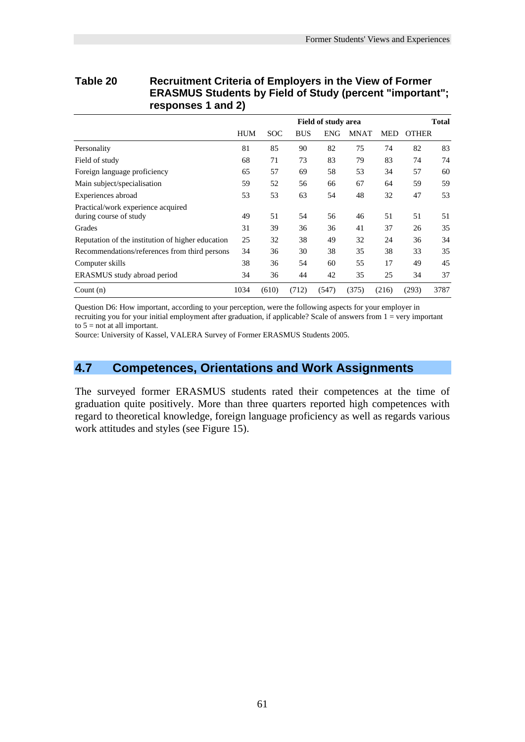|                                                              |            |       |            | <b>Field of study area</b> |             |       |              | <b>Total</b> |
|--------------------------------------------------------------|------------|-------|------------|----------------------------|-------------|-------|--------------|--------------|
|                                                              | <b>HUM</b> | SOC   | <b>BUS</b> | <b>ENG</b>                 | <b>MNAT</b> | MED   | <b>OTHER</b> |              |
| Personality                                                  | 81         | 85    | 90         | 82                         | 75          | 74    | 82           | 83           |
| Field of study                                               | 68         | 71    | 73         | 83                         | 79          | 83    | 74           | 74           |
| Foreign language proficiency                                 | 65         | 57    | 69         | 58                         | 53          | 34    | 57           | 60           |
| Main subject/specialisation                                  | 59         | 52    | 56         | 66                         | 67          | 64    | 59           | 59           |
| Experiences abroad                                           | 53         | 53    | 63         | 54                         | 48          | 32    | 47           | 53           |
| Practical/work experience acquired<br>during course of study | 49         | 51    | 54         | 56                         | 46          | 51    | 51           | 51           |
| Grades                                                       | 31         | 39    | 36         | 36                         | 41          | 37    | 26           | 35           |
| Reputation of the institution of higher education            | 25         | 32    | 38         | 49                         | 32          | 24    | 36           | 34           |
| Recommendations/references from third persons                | 34         | 36    | 30         | 38                         | 35          | 38    | 33           | 35           |
| Computer skills                                              | 38         | 36    | 54         | 60                         | 55          | 17    | 49           | 45           |
| ERASMUS study abroad period                                  | 34         | 36    | 44         | 42                         | 35          | 25    | 34           | 37           |
| Count $(n)$                                                  | 1034       | (610) | (712)      | (547)                      | (375)       | (216) | (293)        | 3787         |

## **Table 20 Recruitment Criteria of Employers in the View of Former ERASMUS Students by Field of Study (percent "important"; responses 1 and 2)**

Question D6: How important, according to your perception, were the following aspects for your employer in recruiting you for your initial employment after graduation, if applicable? Scale of answers from 1 = very important to  $5 = not$  at all important.

Source: University of Kassel, VALERA Survey of Former ERASMUS Students 2005.

## **4.7 Competences, Orientations and Work Assignments**

The surveyed former ERASMUS students rated their competences at the time of graduation quite positively. More than three quarters reported high competences with regard to theoretical knowledge, foreign language proficiency as well as regards various work attitudes and styles (see Figure 15).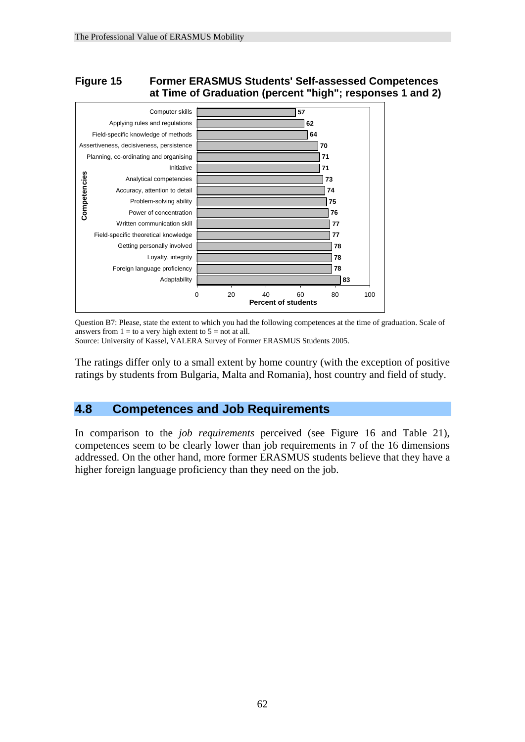## **Figure 15 Former ERASMUS Students' Self-assessed Competences at Time of Graduation (percent "high"; responses 1 and 2)**



Question B7: Please, state the extent to which you had the following competences at the time of graduation. Scale of answers from  $1 =$  to a very high extent to  $5 =$  not at all.

Source: University of Kassel, VALERA Survey of Former ERASMUS Students 2005.

The ratings differ only to a small extent by home country (with the exception of positive ratings by students from Bulgaria, Malta and Romania), host country and field of study.

## **4.8 Competences and Job Requirements**

In comparison to the *job requirements* perceived (see Figure 16 and Table 21), competences seem to be clearly lower than job requirements in 7 of the 16 dimensions addressed. On the other hand, more former ERASMUS students believe that they have a higher foreign language proficiency than they need on the job.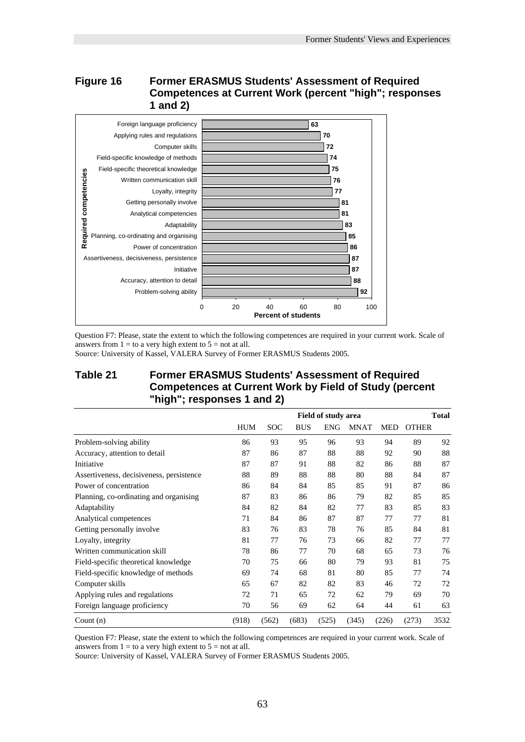## **Figure 16 Former ERASMUS Students' Assessment of Required Competences at Current Work (percent "high"; responses 1 and 2)**



Question F7: Please, state the extent to which the following competences are required in your current work. Scale of answers from  $1 =$  to a very high extent to  $5 =$  not at all.

Source: University of Kassel, VALERA Survey of Former ERASMUS Students 2005.

## **Table 21 Former ERASMUS Students' Assessment of Required Competences at Current Work by Field of Study (percent "high"; responses 1 and 2)**

|                                          |            |            |            | <b>Field of study area</b> |             |            |              | <b>Total</b> |
|------------------------------------------|------------|------------|------------|----------------------------|-------------|------------|--------------|--------------|
|                                          | <b>HUM</b> | <b>SOC</b> | <b>BUS</b> | <b>ENG</b>                 | <b>MNAT</b> | <b>MED</b> | <b>OTHER</b> |              |
| Problem-solving ability                  | 86         | 93         | 95         | 96                         | 93          | 94         | 89           | 92           |
| Accuracy, attention to detail            | 87         | 86         | 87         | 88                         | 88          | 92         | 90           | 88           |
| Initiative                               | 87         | 87         | 91         | 88                         | 82          | 86         | 88           | 87           |
| Assertiveness, decisiveness, persistence | 88         | 89         | 88         | 88                         | 80          | 88         | 84           | 87           |
| Power of concentration                   | 86         | 84         | 84         | 85                         | 85          | 91         | 87           | 86           |
| Planning, co-ordinating and organising   | 87         | 83         | 86         | 86                         | 79          | 82         | 85           | 85           |
| Adaptability                             | 84         | 82         | 84         | 82                         | 77          | 83         | 85           | 83           |
| Analytical competences                   | 71         | 84         | 86         | 87                         | 87          | 77         | 77           | 81           |
| Getting personally involve               | 83         | 76         | 83         | 78                         | 76          | 85         | 84           | 81           |
| Loyalty, integrity                       | 81         | 77         | 76         | 73                         | 66          | 82         | 77           | 77           |
| Written communication skill              | 78         | 86         | 77         | 70                         | 68          | 65         | 73           | 76           |
| Field-specific theoretical knowledge     | 70         | 75         | 66         | 80                         | 79          | 93         | 81           | 75           |
| Field-specific knowledge of methods      | 69         | 74         | 68         | 81                         | 80          | 85         | 77           | 74           |
| Computer skills                          | 65         | 67         | 82         | 82                         | 83          | 46         | 72           | 72           |
| Applying rules and regulations           | 72         | 71         | 65         | 72                         | 62          | 79         | 69           | 70           |
| Foreign language proficiency             | 70         | 56         | 69         | 62                         | 64          | 44         | 61           | 63           |
| Count $(n)$                              | (918)      | (562)      | (683)      | (525)                      | (345)       | (226)      | (273)        | 3532         |

Question F7: Please, state the extent to which the following competences are required in your current work. Scale of answers from  $1 =$  to a very high extent to  $5 =$  not at all.

Source: University of Kassel, VALERA Survey of Former ERASMUS Students 2005.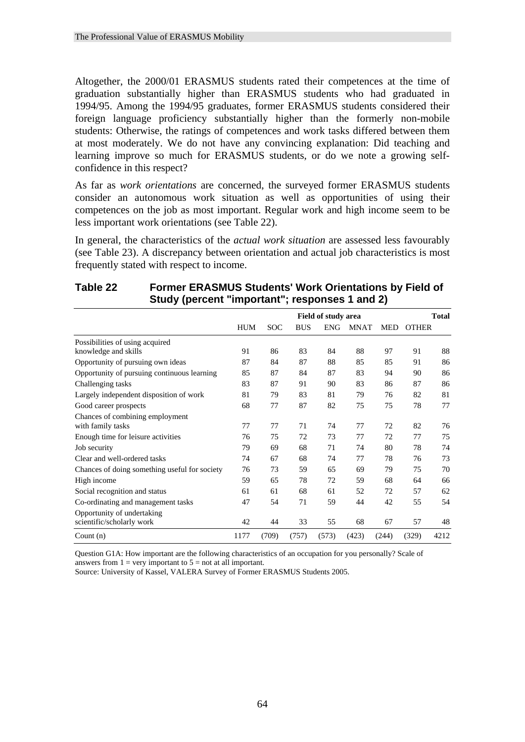Altogether, the 2000/01 ERASMUS students rated their competences at the time of graduation substantially higher than ERASMUS students who had graduated in 1994/95. Among the 1994/95 graduates, former ERASMUS students considered their foreign language proficiency substantially higher than the formerly non-mobile students: Otherwise, the ratings of competences and work tasks differed between them at most moderately. We do not have any convincing explanation: Did teaching and learning improve so much for ERASMUS students, or do we note a growing selfconfidence in this respect?

As far as *work orientations* are concerned, the surveyed former ERASMUS students consider an autonomous work situation as well as opportunities of using their competences on the job as most important. Regular work and high income seem to be less important work orientations (see Table 22).

In general, the characteristics of the *actual work situation* are assessed less favourably (see Table 23). A discrepancy between orientation and actual job characteristics is most frequently stated with respect to income.

| $\frac{1}{2}$ or $\frac{1}{2}$ is the control of $\frac{1}{2}$ in $\frac{1}{2}$ is the control of $\frac{1}{2}$ |            |            |            |                            |             |            |              |              |
|-----------------------------------------------------------------------------------------------------------------|------------|------------|------------|----------------------------|-------------|------------|--------------|--------------|
|                                                                                                                 |            |            |            | <b>Field of study area</b> |             |            |              | <b>Total</b> |
|                                                                                                                 | <b>HUM</b> | <b>SOC</b> | <b>BUS</b> | <b>ENG</b>                 | <b>MNAT</b> | <b>MED</b> | <b>OTHER</b> |              |
| Possibilities of using acquired                                                                                 |            |            |            |                            |             |            |              |              |
| knowledge and skills                                                                                            | 91         | 86         | 83         | 84                         | 88          | 97         | 91           | 88           |
| Opportunity of pursuing own ideas                                                                               | 87         | 84         | 87         | 88                         | 85          | 85         | 91           | 86           |
| Opportunity of pursuing continuous learning                                                                     | 85         | 87         | 84         | 87                         | 83          | 94         | 90           | 86           |
| Challenging tasks                                                                                               | 83         | 87         | 91         | 90                         | 83          | 86         | 87           | 86           |
| Largely independent disposition of work                                                                         | 81         | 79         | 83         | 81                         | 79          | 76         | 82           | 81           |
| Good career prospects                                                                                           | 68         | 77         | 87         | 82                         | 75          | 75         | 78           | 77           |
| Chances of combining employment<br>with family tasks                                                            | 77         | 77         | 71         | 74                         | 77          | 72         | 82           | 76           |
| Enough time for leisure activities                                                                              | 76         | 75         | 72         | 73                         | 77          | 72         | 77           | 75           |
| Job security                                                                                                    | 79         | 69         | 68         | 71                         | 74          | 80         | 78           | 74           |
| Clear and well-ordered tasks                                                                                    | 74         | 67         | 68         | 74                         | 77          | 78         | 76           | 73           |
| Chances of doing something useful for society                                                                   | 76         | 73         | 59         | 65                         | 69          | 79         | 75           | 70           |
| High income                                                                                                     | 59         | 65         | 78         | 72                         | 59          | 68         | 64           | 66           |
| Social recognition and status                                                                                   | 61         | 61         | 68         | 61                         | 52          | 72         | 57           | 62           |
| Co-ordinating and management tasks                                                                              | 47         | 54         | 71         | 59                         | 44          | 42         | 55           | 54           |
| Opportunity of undertaking<br>scientific/scholarly work                                                         | 42         | 44         | 33         | 55                         | 68          | 67         | 57           | 48           |
| Count $(n)$                                                                                                     | 1177       | (709)      | (757)      | (573)                      | (423)       | (244)      | (329)        | 4212         |

## **Table 22 Former ERASMUS Students' Work Orientations by Field of Study (percent "important"; responses 1 and 2)**

Question G1A: How important are the following characteristics of an occupation for you personally? Scale of answers from  $1 = \text{very important to } 5 = \text{not at all important.}$ 

Source: University of Kassel, VALERA Survey of Former ERASMUS Students 2005.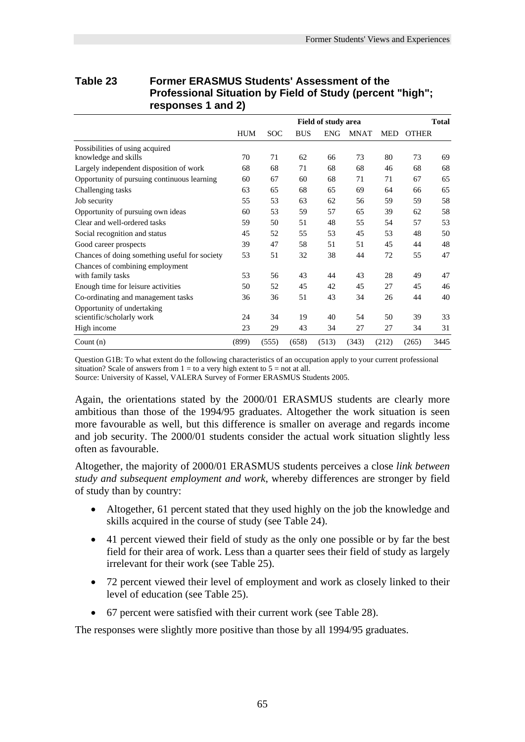|                                               | <b>THOICSSIONAL ORGANOM BY THOICE OF ORGAY (POTCOM</b><br>шун ,<br>responses 1 and 2) |            |            |                     |             |            |              |              |  |  |  |  |  |
|-----------------------------------------------|---------------------------------------------------------------------------------------|------------|------------|---------------------|-------------|------------|--------------|--------------|--|--|--|--|--|
|                                               |                                                                                       |            |            | Field of study area |             |            |              | <b>Total</b> |  |  |  |  |  |
|                                               | <b>HUM</b>                                                                            | <b>SOC</b> | <b>BUS</b> | <b>ENG</b>          | <b>MNAT</b> | <b>MED</b> | <b>OTHER</b> |              |  |  |  |  |  |
| Possibilities of using acquired               |                                                                                       |            |            |                     |             |            |              |              |  |  |  |  |  |
| knowledge and skills                          | 70                                                                                    | 71         | 62         | 66                  | 73          | 80         | 73           | 69           |  |  |  |  |  |
| Largely independent disposition of work       | 68                                                                                    | 68         | 71         | 68                  | 68          | 46         | 68           | 68           |  |  |  |  |  |
| Opportunity of pursuing continuous learning   | 60                                                                                    | 67         | 60         | 68                  | 71          | 71         | 67           | 65           |  |  |  |  |  |
| Challenging tasks                             | 63                                                                                    | 65         | 68         | 65                  | 69          | 64         | 66           | 65           |  |  |  |  |  |
| Job security                                  | 55                                                                                    | 53         | 63         | 62                  | 56          | 59         | 59           | 58           |  |  |  |  |  |
| Opportunity of pursuing own ideas             | 60                                                                                    | 53         | 59         | 57                  | 65          | 39         | 62           | 58           |  |  |  |  |  |
| Clear and well-ordered tasks                  | 59                                                                                    | 50         | 51         | 48                  | 55          | 54         | 57           | 53           |  |  |  |  |  |
| Social recognition and status                 | 45                                                                                    | 52         | 55         | 53                  | 45          | 53         | 48           | 50           |  |  |  |  |  |
| Good career prospects                         | 39                                                                                    | 47         | 58         | 51                  | 51          | 45         | 44           | 48           |  |  |  |  |  |
| Chances of doing something useful for society | 53                                                                                    | 51         | 32         | 38                  | 44          | 72         | 55           | 47           |  |  |  |  |  |
| Chances of combining employment               |                                                                                       |            |            |                     |             |            |              |              |  |  |  |  |  |
| with family tasks                             | 53                                                                                    | 56         | 43         | 44                  | 43          | 28         | 49           | 47           |  |  |  |  |  |
| Enough time for leisure activities            | 50                                                                                    | 52         | 45         | 42                  | 45          | 27         | 45           | 46           |  |  |  |  |  |
| Co-ordinating and management tasks            | 36                                                                                    | 36         | 51         | 43                  | 34          | 26         | 44           | 40           |  |  |  |  |  |
| Opportunity of undertaking                    |                                                                                       |            |            |                     |             |            |              |              |  |  |  |  |  |
| scientific/scholarly work                     | 24                                                                                    | 34         | 19         | 40                  | 54          | 50         | 39           | 33           |  |  |  |  |  |
| High income                                   | 23                                                                                    | 29         | 43         | 34                  | 27          | 27         | 34           | 31           |  |  |  |  |  |
| Count $(n)$                                   | (899)                                                                                 | (555)      | (658)      | (513)               | (343)       | (212)      | (265)        | 3445         |  |  |  |  |  |

## **Table 23 Former ERASMUS Students' Assessment of the Professional Situation by Field of Study (percent "high";**

Question G1B: To what extent do the following characteristics of an occupation apply to your current professional situation? Scale of answers from  $1 =$  to a very high extent to  $5 =$  not at all.

Source: University of Kassel, VALERA Survey of Former ERASMUS Students 2005.

Again, the orientations stated by the 2000/01 ERASMUS students are clearly more ambitious than those of the 1994/95 graduates. Altogether the work situation is seen more favourable as well, but this difference is smaller on average and regards income and job security. The 2000/01 students consider the actual work situation slightly less often as favourable.

Altogether, the majority of 2000/01 ERASMUS students perceives a close *link between study and subsequent employment and work*, whereby differences are stronger by field of study than by country:

- Altogether, 61 percent stated that they used highly on the job the knowledge and skills acquired in the course of study (see Table 24).
- 41 percent viewed their field of study as the only one possible or by far the best field for their area of work. Less than a quarter sees their field of study as largely irrelevant for their work (see Table 25).
- 72 percent viewed their level of employment and work as closely linked to their level of education (see Table 25).
- 67 percent were satisfied with their current work (see Table 28).

The responses were slightly more positive than those by all 1994/95 graduates.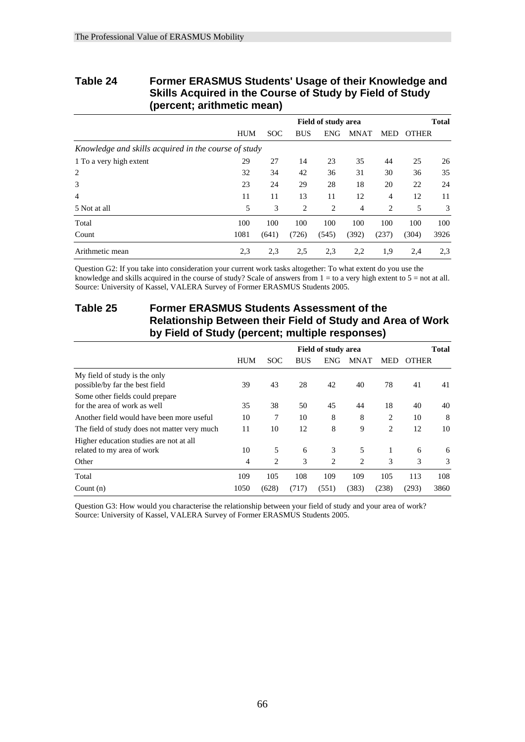## **Table 24 Former ERASMUS Students' Usage of their Knowledge and Skills Acquired in the Course of Study by Field of Study (percent; arithmetic mean)**

|                                                      |            | <b>Field of study area</b> |            |                |             |       |              | <b>Total</b> |
|------------------------------------------------------|------------|----------------------------|------------|----------------|-------------|-------|--------------|--------------|
|                                                      | <b>HUM</b> | <b>SOC</b>                 | <b>BUS</b> | <b>ENG</b>     | <b>MNAT</b> | MED   | <b>OTHER</b> |              |
| Knowledge and skills acquired in the course of study |            |                            |            |                |             |       |              |              |
| 1 To a very high extent                              | 29         | 27                         | 14         | 23             | 35          | 44    | 25           | 26           |
| 2                                                    | 32         | 34                         | 42         | 36             | 31          | 30    | 36           | 35           |
| 3                                                    | 23         | 24                         | 29         | 28             | 18          | 20    | 22           | 24           |
| $\overline{4}$                                       | 11         | 11                         | 13         | 11             | 12          | 4     | 12           | 11           |
| 5 Not at all                                         | 5          | 3                          | 2          | $\overline{2}$ | 4           | 2     | 5            | 3            |
| Total                                                | 100        | 100                        | 100        | 100            | 100         | 100   | 100          | 100          |
| Count                                                | 1081       | (641)                      | (726)      | (545)          | (392)       | (237) | (304)        | 3926         |
| Arithmetic mean                                      | 2.3        | 2.3                        | 2.5        | 2.3            | 2,2         | 1,9   | 2,4          | 2.3          |

Question G2: If you take into consideration your current work tasks altogether: To what extent do you use the knowledge and skills acquired in the course of study? Scale of answers from  $1 =$  to a very high extent to  $5 =$  not at all. Source: University of Kassel, VALERA Survey of Former ERASMUS Students 2005.

## **Table 25 Former ERASMUS Students Assessment of the Relationship Between their Field of Study and Area of Work by Field of Study (percent; multiple responses)**

|                                                                       | <b>Field of study area</b> |            |            |            |             |                | <b>Total</b> |      |  |
|-----------------------------------------------------------------------|----------------------------|------------|------------|------------|-------------|----------------|--------------|------|--|
|                                                                       | <b>HUM</b>                 | <b>SOC</b> | <b>BUS</b> | <b>ENG</b> | <b>MNAT</b> | MED            | <b>OTHER</b> |      |  |
| My field of study is the only<br>possible/by far the best field       | 39                         | 43         | 28         | 42         | 40          | 78             | 41           | 41   |  |
| Some other fields could prepare<br>for the area of work as well       | 35                         | 38         | 50         | 45         | 44          | 18             | 40           | 40   |  |
| Another field would have been more useful                             | 10                         | 7          | 10         | 8          | 8           | $\overline{c}$ | 10           | 8    |  |
| The field of study does not matter very much                          | 11                         | 10         | 12         | 8          | 9           | $\overline{c}$ | 12           | 10   |  |
| Higher education studies are not at all<br>related to my area of work | 10                         | 5          | 6          | 3          | 5           | 1              | 6            | 6    |  |
| Other                                                                 | 4                          | 2          | 3          | 2          | 2           | 3              | 3            | 3    |  |
| Total                                                                 | 109                        | 105        | 108        | 109        | 109         | 105            | 113          | 108  |  |
| Count $(n)$                                                           | 1050                       | (628)      | (717)      | (551)      | (383)       | (238)          | (293)        | 3860 |  |

Question G3: How would you characterise the relationship between your field of study and your area of work? Source: University of Kassel, VALERA Survey of Former ERASMUS Students 2005.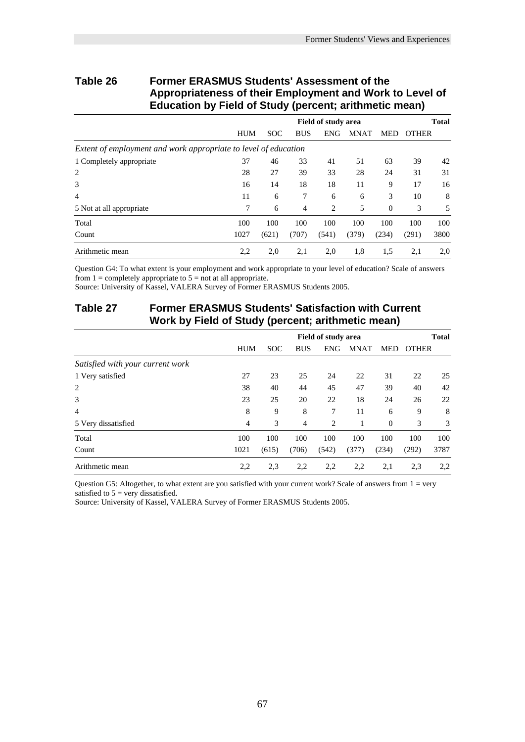## **Table 26 Former ERASMUS Students' Assessment of the Appropriateness of their Employment and Work to Level of Education by Field of Study (percent; arithmetic mean)**

|                                                                 | <b>Field of study area</b> |            |            |            |             |              | <b>Total</b> |      |  |
|-----------------------------------------------------------------|----------------------------|------------|------------|------------|-------------|--------------|--------------|------|--|
|                                                                 | <b>HUM</b>                 | <b>SOC</b> | <b>BUS</b> | <b>ENG</b> | <b>MNAT</b> | <b>MED</b>   | <b>OTHER</b> |      |  |
| Extent of employment and work appropriate to level of education |                            |            |            |            |             |              |              |      |  |
| 1 Completely appropriate                                        | 37                         | 46         | 33         | 41         | 51          | 63           | 39           | 42   |  |
| 2                                                               | 28                         | 27         | 39         | 33         | 28          | 24           | 31           | 31   |  |
| 3                                                               | 16                         | 14         | 18         | 18         | 11          | 9            | 17           | 16   |  |
| $\overline{4}$                                                  | 11                         | 6          | 7          | 6          | 6           | 3            | 10           | 8    |  |
| 5 Not at all appropriate                                        | 7                          | 6          | 4          | 2          | 5           | $\mathbf{0}$ | 3            | 5    |  |
| Total                                                           | 100                        | 100        | 100        | 100        | 100         | 100          | 100          | 100  |  |
| Count                                                           | 1027                       | (621)      | (707)      | (541)      | (379)       | (234)        | (291)        | 3800 |  |
| Arithmetic mean                                                 | 2,2                        | 2,0        | 2,1        | 2,0        | 1,8         | 1,5          | 2,1          | 2,0  |  |

Question G4: To what extent is your employment and work appropriate to your level of education? Scale of answers from  $1 =$  completely appropriate to  $5 =$  not at all appropriate.

Source: University of Kassel, VALERA Survey of Former ERASMUS Students 2005.

## **Table 27 Former ERASMUS Students' Satisfaction with Current Work by Field of Study (percent; arithmetic mean)**

|                                  |                | <b>Field of study area</b> |            |            |             |            |              | <b>Total</b> |  |
|----------------------------------|----------------|----------------------------|------------|------------|-------------|------------|--------------|--------------|--|
|                                  | <b>HUM</b>     | <b>SOC</b>                 | <b>BUS</b> | <b>ENG</b> | <b>MNAT</b> | <b>MED</b> | <b>OTHER</b> |              |  |
| Satisfied with your current work |                |                            |            |            |             |            |              |              |  |
| 1 Very satisfied                 | 27             | 23                         | 25         | 24         | 22          | 31         | 22           | 25           |  |
| $\overline{2}$                   | 38             | 40                         | 44         | 45         | 47          | 39         | 40           | 42           |  |
| 3                                | 23             | 25                         | 20         | 22         | 18          | 24         | 26           | 22           |  |
| 4                                | 8              | 9                          | 8          | 7          | 11          | 6          | 9            | 8            |  |
| 5 Very dissatisfied              | $\overline{4}$ | 3                          | 4          | 2          |             | $\theta$   | 3            | 3            |  |
| Total                            | 100            | 100                        | 100        | 100        | 100         | 100        | 100          | 100          |  |
| Count                            | 1021           | (615)                      | (706)      | (542)      | (377)       | (234)      | (292)        | 3787         |  |
| Arithmetic mean                  | 2,2            | 2,3                        | 2,2        | 2,2        | 2,2         | 2,1        | 2.3          | 2,2          |  |

Question G5: Altogether, to what extent are you satisfied with your current work? Scale of answers from 1 = very satisfied to  $5 = \text{very dissatisfied}$ .

Source: University of Kassel, VALERA Survey of Former ERASMUS Students 2005.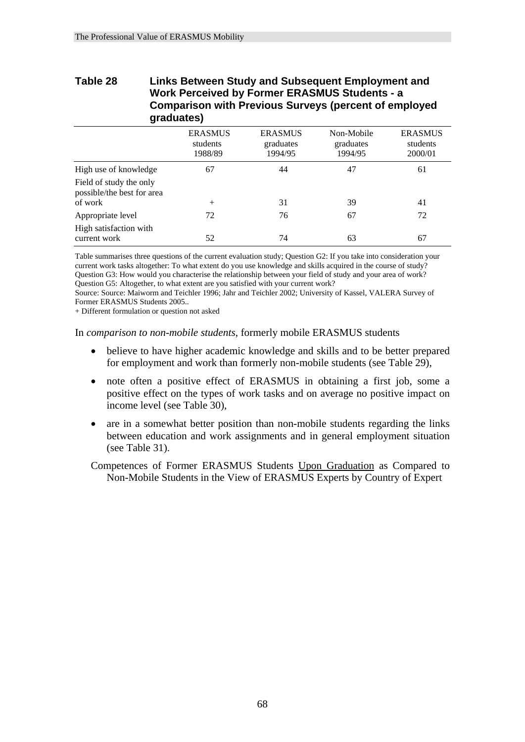## **Table 28 Links Between Study and Subsequent Employment and Work Perceived by Former ERASMUS Students - a Comparison with Previous Surveys (percent of employed graduates)**

|                                                       | <b>ERASMUS</b><br>students<br>1988/89 | <b>ERASMUS</b><br>graduates<br>1994/95 | Non-Mobile<br>graduates<br>1994/95 | <b>ERASMUS</b><br>students<br>2000/01 |
|-------------------------------------------------------|---------------------------------------|----------------------------------------|------------------------------------|---------------------------------------|
| High use of knowledge                                 | 67                                    | 44                                     | 47                                 | 61                                    |
| Field of study the only<br>possible/the best for area |                                       |                                        |                                    |                                       |
| of work                                               | $^+$                                  | 31                                     | 39                                 | 41                                    |
| Appropriate level                                     | 72                                    | 76                                     | 67                                 | 72                                    |
| High satisfaction with<br>current work                | 52                                    | 74                                     | 63                                 | 67                                    |

Table summarises three questions of the current evaluation study; Question G2: If you take into consideration your current work tasks altogether: To what extent do you use knowledge and skills acquired in the course of study? Question G3: How would you characterise the relationship between your field of study and your area of work? Question G5: Altogether, to what extent are you satisfied with your current work?

Source: Source: Maiworm and Teichler 1996; Jahr and Teichler 2002; University of Kassel, VALERA Survey of Former ERASMUS Students 2005..

+ Different formulation or question not asked

In *comparison to non-mobile students*, formerly mobile ERASMUS students

- believe to have higher academic knowledge and skills and to be better prepared for employment and work than formerly non-mobile students (see Table 29),
- note often a positive effect of ERASMUS in obtaining a first job, some a positive effect on the types of work tasks and on average no positive impact on income level (see Table 30),
- are in a somewhat better position than non-mobile students regarding the links between education and work assignments and in general employment situation (see Table 31).

Competences of Former ERASMUS Students Upon Graduation as Compared to Non-Mobile Students in the View of ERASMUS Experts by Country of Expert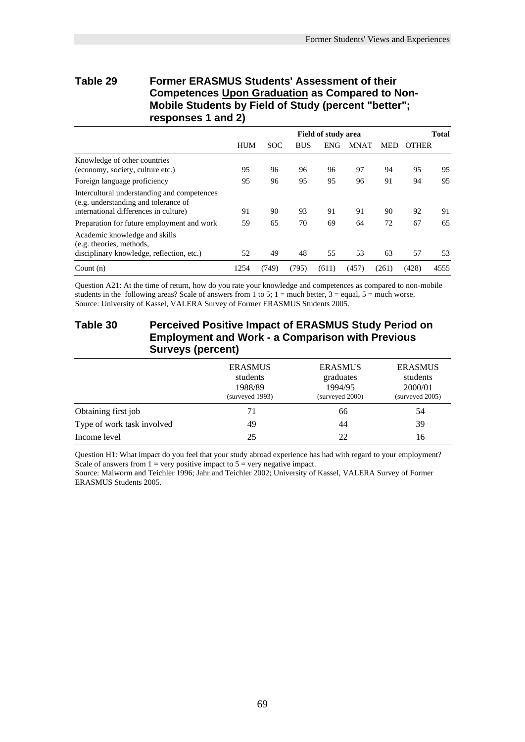## **Table 29 Former ERASMUS Students' Assessment of their Competences Upon Graduation as Compared to Non-Mobile Students by Field of Study (percent "better"; responses 1 and 2)**

|                                                                                                                              | <b>Field of study area</b> |            |            |            |             |            | <b>Total</b> |      |
|------------------------------------------------------------------------------------------------------------------------------|----------------------------|------------|------------|------------|-------------|------------|--------------|------|
|                                                                                                                              | <b>HUM</b>                 | <b>SOC</b> | <b>BUS</b> | <b>ENG</b> | <b>MNAT</b> | <b>MED</b> | <b>OTHER</b> |      |
| Knowledge of other countries<br>(economy, society, culture etc.)                                                             | 95                         | 96         | 96         | 96         | 97          | 94         | 95           | 95   |
| Foreign language proficiency                                                                                                 | 95                         | 96         | 95         | 95         | 96          | 91         | 94           | 95   |
| Intercultural understanding and competences<br>(e.g. understanding and tolerance of<br>international differences in culture) | 91                         | 90         | 93         | 91         | 91          | 90         | 92           | 91   |
| Preparation for future employment and work                                                                                   | 59                         | 65         | 70         | 69         | 64          | 72         | 67           | 65   |
| Academic knowledge and skills<br>(e.g. theories, methods,<br>disciplinary knowledge, reflection, etc.)                       | 52                         | 49         | 48         | 55         | 53          | 63         | 57           | 53   |
| Count $(n)$                                                                                                                  | 1254                       | (749)      | (795)      | (611)      | (457)       | (261)      | (428)        | 4555 |

Question A21: At the time of return, how do you rate your knowledge and competences as compared to non-mobile students in the following areas? Scale of answers from 1 to 5;  $1 =$  much better,  $3 =$  equal,  $5 =$  much worse. Source: University of Kassel, VALERA Survey of Former ERASMUS Students 2005.

## **Table 30 Perceived Positive Impact of ERASMUS Study Period on Employment and Work - a Comparison with Previous Surveys (percent)**

|                            | <b>ERASMUS</b><br>students<br>1988/89<br>(surveved 1993) | <b>ERASMUS</b><br>graduates<br>1994/95<br>(surveyed 2000) | <b>ERASMUS</b><br>students<br>2000/01<br>(surveved 2005) |
|----------------------------|----------------------------------------------------------|-----------------------------------------------------------|----------------------------------------------------------|
| Obtaining first job        | 71                                                       | 66                                                        | 54                                                       |
| Type of work task involved | 49                                                       | 44                                                        | 39                                                       |
| Income level               | 25                                                       | 22                                                        | 16                                                       |

Question H1: What impact do you feel that your study abroad experience has had with regard to your employment? Scale of answers from  $1 = \text{very positive impact}$  to  $5 = \text{very negative impact}$ .

Source: Maiworm and Teichler 1996; Jahr and Teichler 2002; University of Kassel, VALERA Survey of Former ERASMUS Students 2005.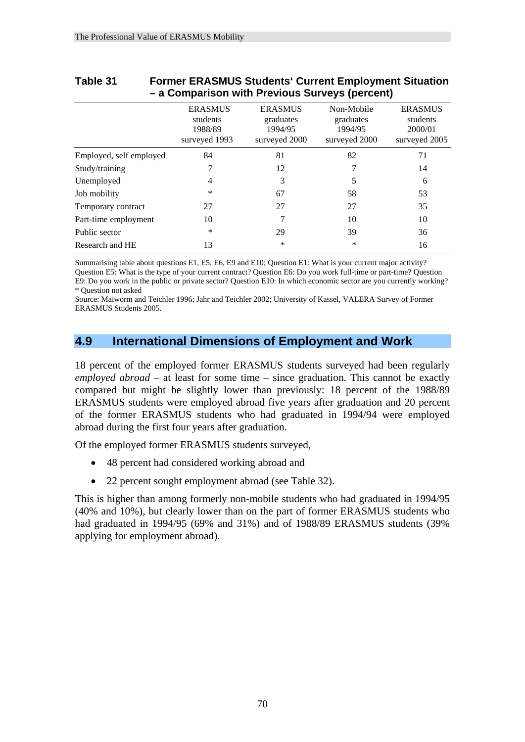|                         |                                                        | – a Companson with Previous Surveys (percent)           |                                                     |                                                        |
|-------------------------|--------------------------------------------------------|---------------------------------------------------------|-----------------------------------------------------|--------------------------------------------------------|
|                         | <b>ERASMUS</b><br>students<br>1988/89<br>surveyed 1993 | <b>ERASMUS</b><br>graduates<br>1994/95<br>surveyed 2000 | Non-Mobile<br>graduates<br>1994/95<br>surveyed 2000 | <b>ERASMUS</b><br>students<br>2000/01<br>surveyed 2005 |
| Employed, self employed | 84                                                     | 81                                                      | 82                                                  | 71                                                     |
| Study/training          |                                                        | 12                                                      |                                                     | 14                                                     |
| Unemployed              | 4                                                      | 3                                                       | 5                                                   | 6                                                      |
| Job mobility            | *                                                      | 67                                                      | 58                                                  | 53                                                     |
| Temporary contract      | 27                                                     | 27                                                      | 27                                                  | 35                                                     |
| Part-time employment    | 10                                                     |                                                         | 10                                                  | 10                                                     |
| Public sector           | *                                                      | 29                                                      | 39                                                  | 36                                                     |
| Research and HE         | 13                                                     | $\ast$                                                  | *                                                   | 16                                                     |

## **Table 31 Former ERASMUS Students' Current Employment Situation – a Comparison with Previous Surveys (percent)**

Summarising table about questions E1, E5, E6, E9 and E10; Question E1: What is your current major activity? Question E5: What is the type of your current contract? Question E6: Do you work full-time or part-time? Question E9: Do you work in the public or private sector? Question E10: In which economic sector are you currently working? \* Question not asked

Source: Maiworm and Teichler 1996; Jahr and Teichler 2002; University of Kassel, VALERA Survey of Former ERASMUS Students 2005.

## **4.9 International Dimensions of Employment and Work**

18 percent of the employed former ERASMUS students surveyed had been regularly *employed abroad* – at least for some time – since graduation. This cannot be exactly compared but might be slightly lower than previously: 18 percent of the 1988/89 ERASMUS students were employed abroad five years after graduation and 20 percent of the former ERASMUS students who had graduated in 1994/94 were employed abroad during the first four years after graduation.

Of the employed former ERASMUS students surveyed,

- 48 percent had considered working abroad and
- 22 percent sought employment abroad (see Table 32).

This is higher than among formerly non-mobile students who had graduated in 1994/95 (40% and 10%), but clearly lower than on the part of former ERASMUS students who had graduated in 1994/95 (69% and 31%) and of 1988/89 ERASMUS students (39% applying for employment abroad).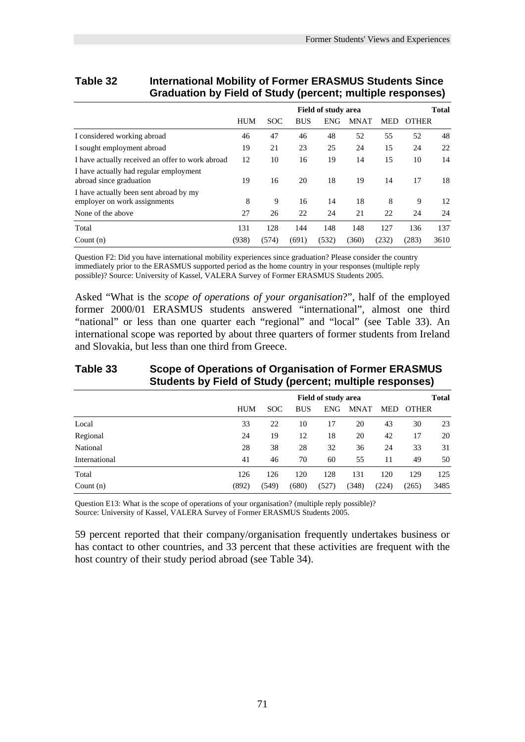|                                                                        | J AF<br>,                                  |            |            |            |             |            |              |      |  |  |
|------------------------------------------------------------------------|--------------------------------------------|------------|------------|------------|-------------|------------|--------------|------|--|--|
|                                                                        | <b>Total</b><br><b>Field of study area</b> |            |            |            |             |            |              |      |  |  |
|                                                                        | <b>HUM</b>                                 | <b>SOC</b> | <b>BUS</b> | <b>ENG</b> | <b>MNAT</b> | <b>MED</b> | <b>OTHER</b> |      |  |  |
| I considered working abroad                                            | 46                                         | 47         | 46         | 48         | 52          | 55         | 52           | 48   |  |  |
| I sought employment abroad                                             | 19                                         | 21         | 23         | 25         | 24          | 15         | 24           | 22   |  |  |
| I have actually received an offer to work abroad                       | 12                                         | 10         | 16         | 19         | 14          | 15         | 10           | 14   |  |  |
| I have actually had regular employment<br>abroad since graduation      | 19                                         | 16         | 20         | 18         | 19          | 14         | 17           | 18   |  |  |
| I have actually been sent abroad by my<br>employer on work assignments | 8                                          | 9          | 16         | 14         | 18          | 8          | 9            | 12   |  |  |
| None of the above                                                      | 27                                         | 26         | 22         | 24         | 21          | 22         | 24           | 24   |  |  |
| Total                                                                  | 131                                        | 128        | 144        | 148        | 148         | 127        | 136          | 137  |  |  |
| Count $(n)$                                                            | (938)                                      | (574)      | (691)      | (532)      | (360)       | (232)      | (283)        | 3610 |  |  |

## **Table 32 International Mobility of Former ERASMUS Students Since Graduation by Field of Study (percent; multiple responses)**

Question F2: Did you have international mobility experiences since graduation? Please consider the country immediately prior to the ERASMUS supported period as the home country in your responses (multiple reply possible)? Source: University of Kassel, VALERA Survey of Former ERASMUS Students 2005.

Asked "What is the *scope of operations of your organisation*?", half of the employed former 2000/01 ERASMUS students answered "international", almost one third "national" or less than one quarter each "regional" and "local" (see Table 33). An international scope was reported by about three quarters of former students from Ireland and Slovakia, but less than one third from Greece.

## **Table 33 Scope of Operations of Organisation of Former ERASMUS Students by Field of Study (percent; multiple responses)**

|               |            | <b>Field of study area</b> |            |            |             |       |              |      |
|---------------|------------|----------------------------|------------|------------|-------------|-------|--------------|------|
|               | <b>HUM</b> | <b>SOC</b>                 | <b>BUS</b> | <b>ENG</b> | <b>MNAT</b> | MED   | <b>OTHER</b> |      |
| Local         | 33         | 22                         | 10         | 17         | 20          | 43    | 30           | 23   |
| Regional      | 24         | 19                         | 12         | 18         | 20          | 42    | 17           | 20   |
| National      | 28         | 38                         | 28         | 32         | 36          | 24    | 33           | 31   |
| International | 41         | 46                         | 70         | 60         | 55          | 11    | 49           | 50   |
| Total         | 126        | 126                        | 120        | 128        | 131         | 120   | 129          | 125  |
| Count $(n)$   | (892)      | (549)                      | (680)      | (527)      | (348)       | (224) | (265)        | 3485 |

Question E13: What is the scope of operations of your organisation? (multiple reply possible)? Source: University of Kassel, VALERA Survey of Former ERASMUS Students 2005.

59 percent reported that their company/organisation frequently undertakes business or has contact to other countries, and 33 percent that these activities are frequent with the host country of their study period abroad (see Table 34).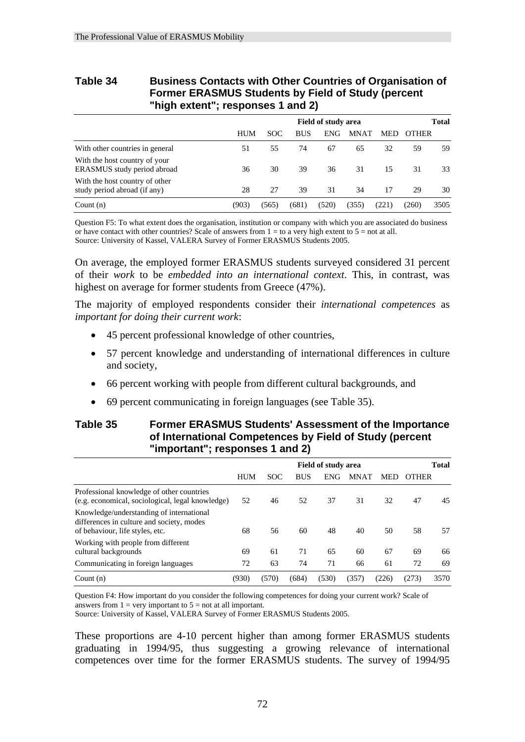## **Table 34 Business Contacts with Other Countries of Organisation of Former ERASMUS Students by Field of Study (percent "high extent"; responses 1 and 2)**

|                                                                |            | <b>Field of study area</b> |            |            |             |            |              |      |
|----------------------------------------------------------------|------------|----------------------------|------------|------------|-------------|------------|--------------|------|
|                                                                | <b>HUM</b> | SOC                        | <b>BUS</b> | <b>ENG</b> | <b>MNAT</b> | <b>MED</b> | <b>OTHER</b> |      |
| With other countries in general                                | 51         | 55                         | 74         | 67         | 65          | 32         | 59           | 59   |
| With the host country of your<br>ERASMUS study period abroad   | 36         | 30                         | 39         | 36         | 31          | 15         | 31           | 33   |
| With the host country of other<br>study period abroad (if any) | 28         | 27                         | 39         | 31         | 34          | 17         | 29           | 30   |
| Count $(n)$                                                    | (903)      | (565)                      | (681)      | (520)      | (355)       | (221)      | (260)        | 3505 |

Question F5: To what extent does the organisation, institution or company with which you are associated do business or have contact with other countries? Scale of answers from  $1 =$  to a very high extent to  $5 =$  not at all. Source: University of Kassel, VALERA Survey of Former ERASMUS Students 2005.

On average, the employed former ERASMUS students surveyed considered 31 percent of their *work* to be *embedded into an international context*. This, in contrast, was highest on average for former students from Greece (47%).

The majority of employed respondents consider their *international competences* as *important for doing their current work*:

- 45 percent professional knowledge of other countries,
- 57 percent knowledge and understanding of international differences in culture and society,
- 66 percent working with people from different cultural backgrounds, and
- 69 percent communicating in foreign languages (see Table 35).

## **Table 35 Former ERASMUS Students' Assessment of the Importance of International Competences by Field of Study (percent "important"; responses 1 and 2)**

|                                                                                                                          | <b>Field of study area</b> |            |            |            | <b>Total</b> |            |              |      |
|--------------------------------------------------------------------------------------------------------------------------|----------------------------|------------|------------|------------|--------------|------------|--------------|------|
|                                                                                                                          | <b>HUM</b>                 | <b>SOC</b> | <b>BUS</b> | <b>ENG</b> | <b>MNAT</b>  | <b>MED</b> | <b>OTHER</b> |      |
| Professional knowledge of other countries<br>(e.g. economical, sociological, legal knowledge)                            | 52                         | 46         | 52         | 37         | 31           | 32         | 47           | 45   |
| Knowledge/understanding of international<br>differences in culture and society, modes<br>of behaviour, life styles, etc. | 68                         | 56         | 60         | 48         | 40           | 50         | 58           | 57   |
| Working with people from different<br>cultural backgrounds                                                               | 69                         | 61         | 71         | 65         | 60           | 67         | 69           | 66   |
| Communicating in foreign languages                                                                                       | 72                         | 63         | 74         | 71         | 66           | 61         | 72           | 69   |
| Count $(n)$                                                                                                              | (930)                      | (570)      | (684)      | (530)      | (357)        | (226)      | (273)        | 3570 |

Question F4: How important do you consider the following competences for doing your current work? Scale of answers from  $1 = \text{very important to } 5 = \text{not at all important.}$ 

Source: University of Kassel, VALERA Survey of Former ERASMUS Students 2005.

These proportions are 4-10 percent higher than among former ERASMUS students graduating in 1994/95, thus suggesting a growing relevance of international competences over time for the former ERASMUS students. The survey of 1994/95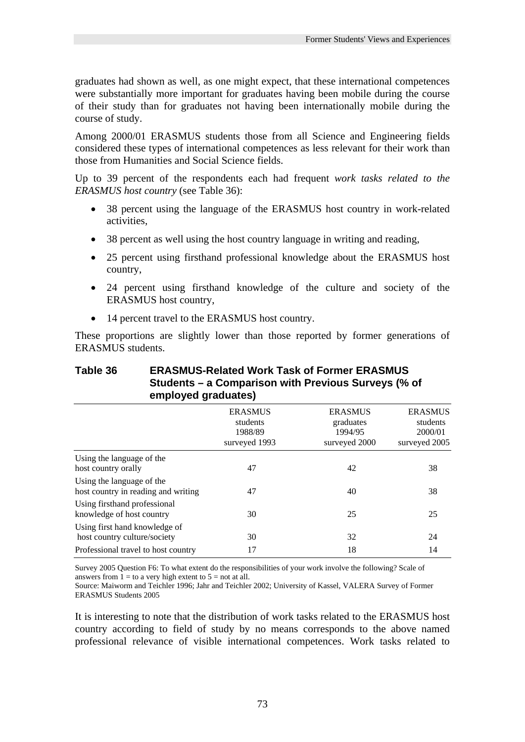graduates had shown as well, as one might expect, that these international competences were substantially more important for graduates having been mobile during the course of their study than for graduates not having been internationally mobile during the course of study.

Among 2000/01 ERASMUS students those from all Science and Engineering fields considered these types of international competences as less relevant for their work than those from Humanities and Social Science fields.

Up to 39 percent of the respondents each had frequent *work tasks related to the ERASMUS host country* (see Table 36):

- 38 percent using the language of the ERASMUS host country in work-related activities,
- 38 percent as well using the host country language in writing and reading,
- 25 percent using firsthand professional knowledge about the ERASMUS host country,
- 24 percent using firsthand knowledge of the culture and society of the ERASMUS host country,
- 14 percent travel to the ERASMUS host country.

These proportions are slightly lower than those reported by former generations of ERASMUS students.

| employed graduates)                                              |                                                        |                                                         |                                                        |
|------------------------------------------------------------------|--------------------------------------------------------|---------------------------------------------------------|--------------------------------------------------------|
|                                                                  | <b>ERASMUS</b><br>students<br>1988/89<br>surveyed 1993 | <b>ERASMUS</b><br>graduates<br>1994/95<br>surveyed 2000 | <b>ERASMUS</b><br>students<br>2000/01<br>surveyed 2005 |
| Using the language of the<br>host country orally                 | 47                                                     | 42                                                      | 38                                                     |
| Using the language of the<br>host country in reading and writing | 47                                                     | 40                                                      | 38                                                     |
| Using firsthand professional<br>knowledge of host country        | 30                                                     | 25                                                      | 25                                                     |
| Using first hand knowledge of<br>host country culture/society    | 30                                                     | 32                                                      | 24                                                     |
| Professional travel to host country                              | 17                                                     | 18                                                      | 14                                                     |

## **Table 36 ERASMUS-Related Work Task of Former ERASMUS Students – a Comparison with Previous Surveys (% of employed graduates)**

Survey 2005 Question F6: To what extent do the responsibilities of your work involve the following? Scale of answers from  $1 =$  to a very high extent to  $5 =$  not at all.

Source: Maiworm and Teichler 1996; Jahr and Teichler 2002; University of Kassel, VALERA Survey of Former ERASMUS Students 2005

It is interesting to note that the distribution of work tasks related to the ERASMUS host country according to field of study by no means corresponds to the above named professional relevance of visible international competences. Work tasks related to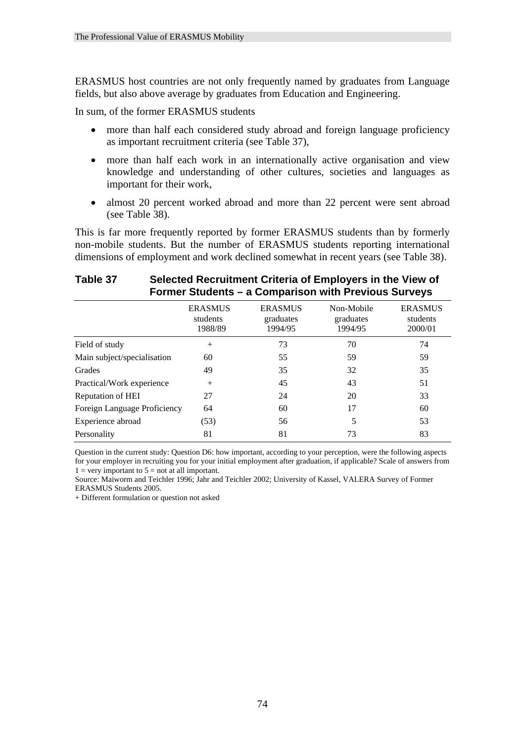ERASMUS host countries are not only frequently named by graduates from Language fields, but also above average by graduates from Education and Engineering.

In sum, of the former ERASMUS students

- more than half each considered study abroad and foreign language proficiency as important recruitment criteria (see Table 37),
- more than half each work in an internationally active organisation and view knowledge and understanding of other cultures, societies and languages as important for their work,
- almost 20 percent worked abroad and more than 22 percent were sent abroad (see Table 38).

This is far more frequently reported by former ERASMUS students than by formerly non-mobile students. But the number of ERASMUS students reporting international dimensions of employment and work declined somewhat in recent years (see Table 38).

| FUTTIBLE STUDENTS - a COMPAITS ON WILL FIEVIOUS SUIVEYS |                                       |                                        |                                    |                                       |  |  |  |
|---------------------------------------------------------|---------------------------------------|----------------------------------------|------------------------------------|---------------------------------------|--|--|--|
|                                                         | <b>ERASMUS</b><br>students<br>1988/89 | <b>ERASMUS</b><br>graduates<br>1994/95 | Non-Mobile<br>graduates<br>1994/95 | <b>ERASMUS</b><br>students<br>2000/01 |  |  |  |
| Field of study                                          | $^{+}$                                | 73                                     | 70                                 | 74                                    |  |  |  |
| Main subject/specialisation                             | 60                                    | 55                                     | 59                                 | 59                                    |  |  |  |
| Grades                                                  | 49                                    | 35                                     | 32                                 | 35                                    |  |  |  |
| Practical/Work experience                               | $^{+}$                                | 45                                     | 43                                 | 51                                    |  |  |  |
| Reputation of HEI                                       | 27                                    | 24                                     | 20                                 | 33                                    |  |  |  |
| Foreign Language Proficiency                            | 64                                    | 60                                     | 17                                 | 60                                    |  |  |  |
| Experience abroad                                       | (53)                                  | 56                                     |                                    | 53                                    |  |  |  |
| Personality                                             | 81                                    | 81                                     | 73                                 | 83                                    |  |  |  |

## **Table 37 Selected Recruitment Criteria of Employers in the View of Former Students – a Comparison with Previous Surveys**

Question in the current study: Question D6: how important, according to your perception, were the following aspects for your employer in recruiting you for your initial employment after graduation, if applicable? Scale of answers from  $1 =$  very important to  $5 =$  not at all important.

Source: Maiworm and Teichler 1996; Jahr and Teichler 2002; University of Kassel, VALERA Survey of Former ERASMUS Students 2005.

+ Different formulation or question not asked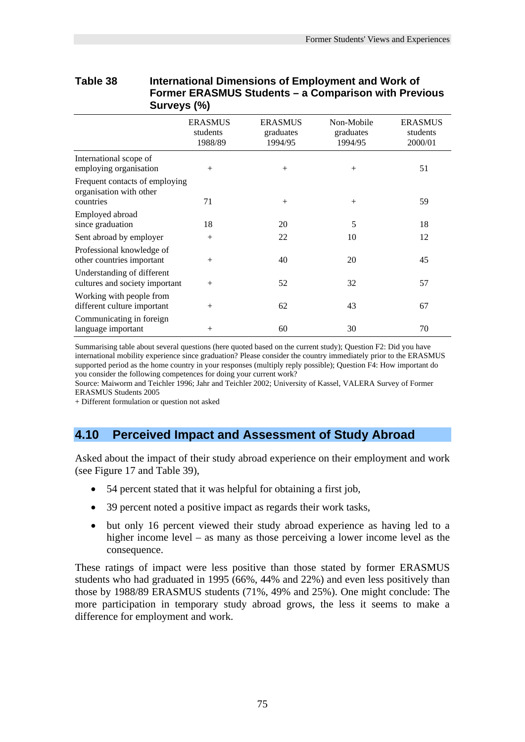| Former ERASMUS Students – a Comparison with Previous<br>Surveys (%)    |                                       |                                        |                                    |                                       |  |  |
|------------------------------------------------------------------------|---------------------------------------|----------------------------------------|------------------------------------|---------------------------------------|--|--|
|                                                                        | <b>ERASMUS</b><br>students<br>1988/89 | <b>ERASMUS</b><br>graduates<br>1994/95 | Non-Mobile<br>graduates<br>1994/95 | <b>ERASMUS</b><br>students<br>2000/01 |  |  |
| International scope of<br>employing organisation                       | $^{+}$                                | $^{+}$                                 | $^{+}$                             | 51                                    |  |  |
| Frequent contacts of employing<br>organisation with other<br>countries | 71                                    | $^{+}$                                 | $+$                                | 59                                    |  |  |
| Employed abroad<br>since graduation                                    | 18                                    | 20                                     | 5                                  | 18                                    |  |  |
| Sent abroad by employer                                                | $^{+}$                                | 22                                     | 10                                 | 12                                    |  |  |
| Professional knowledge of<br>other countries important                 | $^{+}$                                | 40                                     | 20                                 | 45                                    |  |  |
| Understanding of different<br>cultures and society important           | $^{+}$                                | 52                                     | 32                                 | 57                                    |  |  |
| Working with people from<br>different culture important                | $^{+}$                                | 62                                     | 43                                 | 67                                    |  |  |
| Communicating in foreign<br>language important                         | $^{+}$                                | 60                                     | 30                                 | 70                                    |  |  |

# **Table 38 International Dimensions of Employment and Work of**

Summarising table about several questions (here quoted based on the current study); Question F2: Did you have international mobility experience since graduation? Please consider the country immediately prior to the ERASMUS supported period as the home country in your responses (multiply reply possible); Question F4: How important do you consider the following competences for doing your current work?

Source: Maiworm and Teichler 1996; Jahr and Teichler 2002; University of Kassel, VALERA Survey of Former ERASMUS Students 2005

+ Different formulation or question not asked

## **4.10 Perceived Impact and Assessment of Study Abroad**

Asked about the impact of their study abroad experience on their employment and work (see Figure 17 and Table 39),

- 54 percent stated that it was helpful for obtaining a first job,
- 39 percent noted a positive impact as regards their work tasks,
- but only 16 percent viewed their study abroad experience as having led to a higher income level – as many as those perceiving a lower income level as the consequence.

These ratings of impact were less positive than those stated by former ERASMUS students who had graduated in 1995 (66%, 44% and 22%) and even less positively than those by 1988/89 ERASMUS students (71%, 49% and 25%). One might conclude: The more participation in temporary study abroad grows, the less it seems to make a difference for employment and work.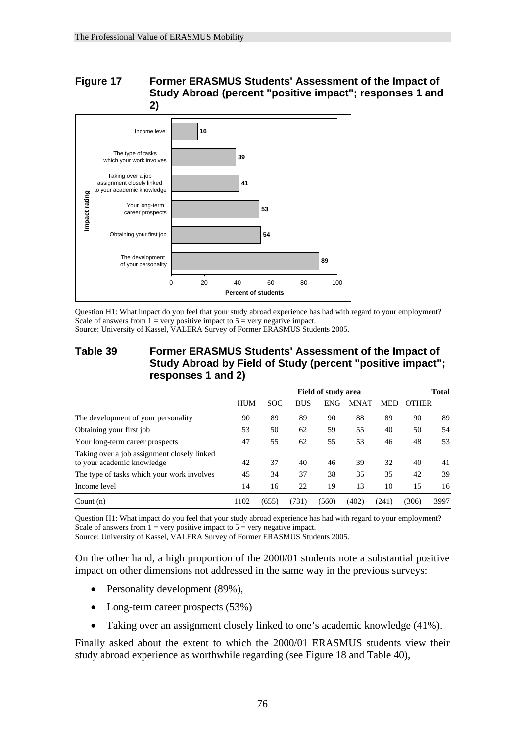## **Figure 17 Former ERASMUS Students' Assessment of the Impact of Study Abroad (percent "positive impact"; responses 1 and**



Question H1: What impact do you feel that your study abroad experience has had with regard to your employment? Scale of answers from  $1 = \text{very positive impact}$  to  $5 = \text{very negative impact}$ . Source: University of Kassel, VALERA Survey of Former ERASMUS Students 2005.

## **Table 39 Former ERASMUS Students' Assessment of the Impact of Study Abroad by Field of Study (percent "positive impact"; responses 1 and 2)**

|                                                                           | Field of study area |            |            |            | <b>Total</b> |            |       |      |
|---------------------------------------------------------------------------|---------------------|------------|------------|------------|--------------|------------|-------|------|
|                                                                           | <b>HUM</b>          | <b>SOC</b> | <b>BUS</b> | <b>ENG</b> | <b>MNAT</b>  | <b>MED</b> | OTHER |      |
| The development of your personality                                       | 90                  | 89         | 89         | 90         | 88           | 89         | 90    | 89   |
| Obtaining your first job                                                  | 53                  | 50         | 62         | 59         | 55           | 40         | 50    | 54   |
| Your long-term career prospects                                           | 47                  | 55         | 62         | 55         | 53           | 46         | 48    | 53   |
| Taking over a job assignment closely linked<br>to your academic knowledge | 42                  | 37         | 40         | 46         | 39           | 32         | 40    | 41   |
| The type of tasks which your work involves                                | 45                  | 34         | 37         | 38         | 35           | 35         | 42    | 39   |
| Income level                                                              | 14                  | 16         | 22         | 19         | 13           | 10         | 15    | 16   |
| Count $(n)$                                                               | 1102                | (655)      | (731)      | (560)      | (402)        | (241)      | 306)  | 3997 |

Question H1: What impact do you feel that your study abroad experience has had with regard to your employment? Scale of answers from  $1 = \text{very positive impact to } 5 = \text{very negative impact.}$ 

Source: University of Kassel, VALERA Survey of Former ERASMUS Students 2005.

On the other hand, a high proportion of the 2000/01 students note a substantial positive impact on other dimensions not addressed in the same way in the previous surveys:

- Personality development (89%),
- Long-term career prospects (53%)
- Taking over an assignment closely linked to one's academic knowledge (41%).

Finally asked about the extent to which the 2000/01 ERASMUS students view their study abroad experience as worthwhile regarding (see Figure 18 and Table 40),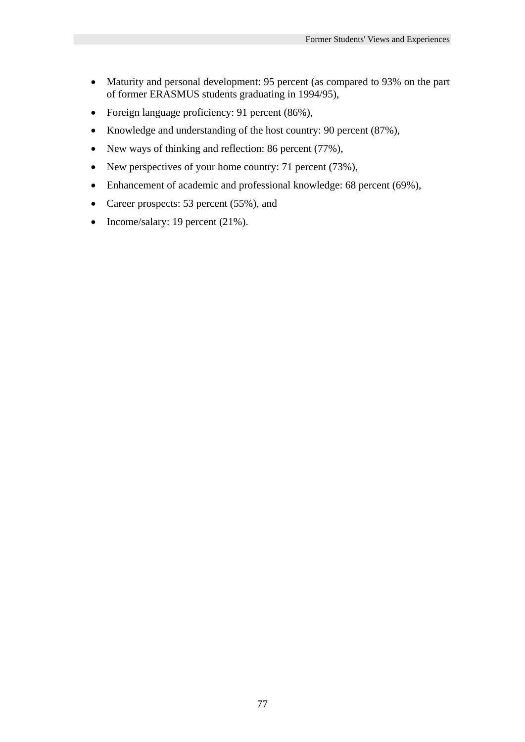- Maturity and personal development: 95 percent (as compared to 93% on the part of former ERASMUS students graduating in 1994/95),
- Foreign language proficiency: 91 percent (86%),
- Knowledge and understanding of the host country: 90 percent (87%),
- New ways of thinking and reflection: 86 percent (77%),
- New perspectives of your home country: 71 percent (73%),
- Enhancement of academic and professional knowledge: 68 percent (69%),
- Career prospects: 53 percent (55%), and
- Income/salary: 19 percent (21%).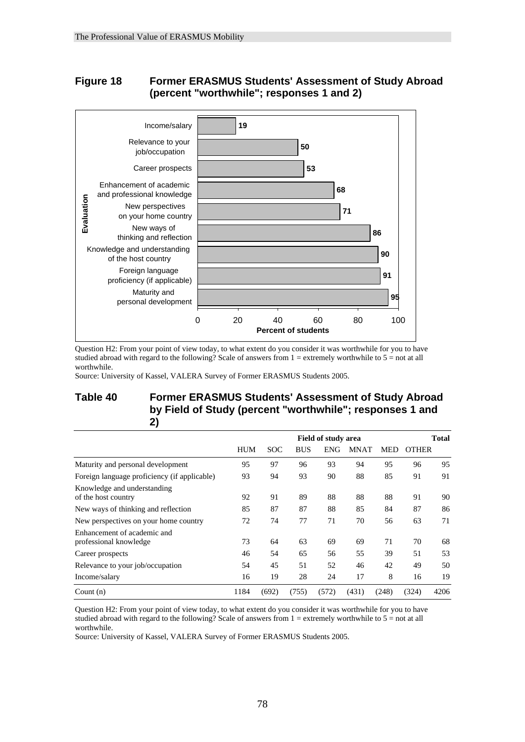## **Figure 18 Former ERASMUS Students' Assessment of Study Abroad (percent "worthwhile"; responses 1 and 2)**



Question H2: From your point of view today, to what extent do you consider it was worthwhile for you to have studied abroad with regard to the following? Scale of answers from  $1 =$  extremely worthwhile to  $5 =$  not at all worthwhile.

Source: University of Kassel, VALERA Survey of Former ERASMUS Students 2005.

## **Table 40 Former ERASMUS Students' Assessment of Study Abroad by Field of Study (percent "worthwhile"; responses 1 and 2)**

|                                                       | <b>Field of study area</b> |            |            | <b>Total</b> |             |            |              |      |
|-------------------------------------------------------|----------------------------|------------|------------|--------------|-------------|------------|--------------|------|
|                                                       | <b>HUM</b>                 | <b>SOC</b> | <b>BUS</b> | <b>ENG</b>   | <b>MNAT</b> | <b>MED</b> | <b>OTHER</b> |      |
| Maturity and personal development                     | 95                         | 97         | 96         | 93           | 94          | 95         | 96           | 95   |
| Foreign language proficiency (if applicable)          | 93                         | 94         | 93         | 90           | 88          | 85         | 91           | 91   |
| Knowledge and understanding<br>of the host country    | 92                         | 91         | 89         | 88           | 88          | 88         | 91           | 90   |
| New ways of thinking and reflection                   | 85                         | 87         | 87         | 88           | 85          | 84         | 87           | 86   |
| New perspectives on your home country                 | 72                         | 74         | 77         | 71           | 70          | 56         | 63           | 71   |
| Enhancement of academic and<br>professional knowledge | 73                         | 64         | 63         | 69           | 69          | 71         | 70           | 68   |
| Career prospects                                      | 46                         | 54         | 65         | 56           | 55          | 39         | 51           | 53   |
| Relevance to your job/occupation                      | 54                         | 45         | 51         | 52           | 46          | 42         | 49           | 50   |
| Income/salary                                         | 16                         | 19         | 28         | 24           | 17          | 8          | 16           | 19   |
| Count $(n)$                                           | 1184                       | (692)      | (755)      | (572)        | (431)       | (248)      | (324)        | 4206 |

Question H2: From your point of view today, to what extent do you consider it was worthwhile for you to have studied abroad with regard to the following? Scale of answers from  $1 =$  extremely worthwhile to  $5 =$  not at all worthwhile.

Source: University of Kassel, VALERA Survey of Former ERASMUS Students 2005.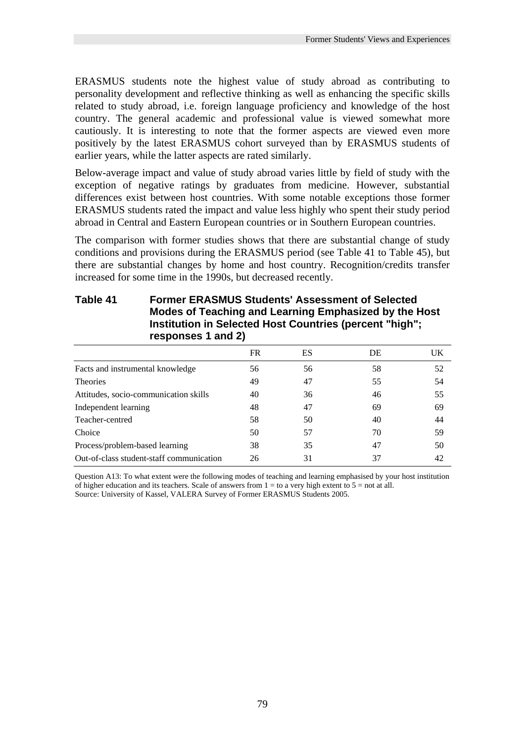ERASMUS students note the highest value of study abroad as contributing to personality development and reflective thinking as well as enhancing the specific skills related to study abroad, i.e. foreign language proficiency and knowledge of the host country. The general academic and professional value is viewed somewhat more cautiously. It is interesting to note that the former aspects are viewed even more positively by the latest ERASMUS cohort surveyed than by ERASMUS students of earlier years, while the latter aspects are rated similarly.

Below-average impact and value of study abroad varies little by field of study with the exception of negative ratings by graduates from medicine. However, substantial differences exist between host countries. With some notable exceptions those former ERASMUS students rated the impact and value less highly who spent their study period abroad in Central and Eastern European countries or in Southern European countries.

The comparison with former studies shows that there are substantial change of study conditions and provisions during the ERASMUS period (see Table 41 to Table 45), but there are substantial changes by home and host country. Recognition/credits transfer increased for some time in the 1990s, but decreased recently.

| responses 1 and 2)                       |    |    |    |    |  |
|------------------------------------------|----|----|----|----|--|
|                                          | FR | ES | DE | UK |  |
| Facts and instrumental knowledge         | 56 | 56 | 58 | 52 |  |
| <b>Theories</b>                          | 49 | 47 | 55 | 54 |  |
| Attitudes, socio-communication skills    | 40 | 36 | 46 | 55 |  |
| Independent learning                     | 48 | 47 | 69 | 69 |  |
| Teacher-centred                          | 58 | 50 | 40 | 44 |  |
| Choice                                   | 50 | 57 | 70 | 59 |  |
| Process/problem-based learning           | 38 | 35 | 47 | 50 |  |
| Out-of-class student-staff communication | 26 | 31 | 37 | 42 |  |

## **Table 41 Former ERASMUS Students' Assessment of Selected Modes of Teaching and Learning Emphasized by the Host Institution in Selected Host Countries (percent "high";**

Question A13: To what extent were the following modes of teaching and learning emphasised by your host institution of higher education and its teachers. Scale of answers from  $1 =$  to a very high extent to  $5 =$  not at all. Source: University of Kassel, VALERA Survey of Former ERASMUS Students 2005.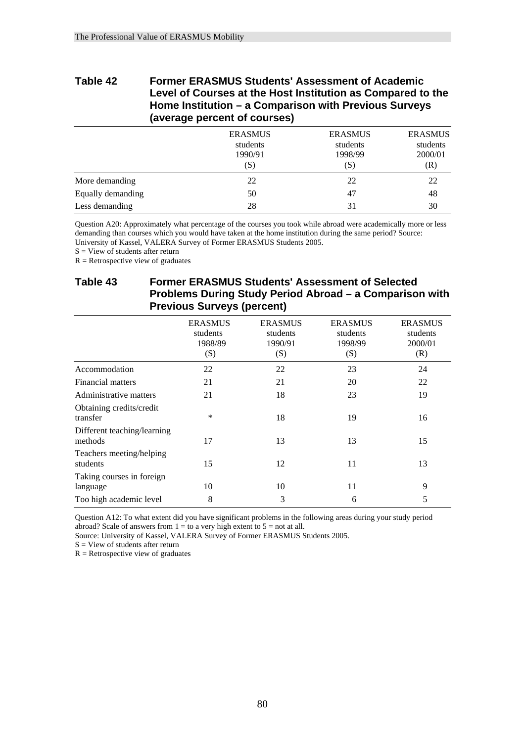## **Table 42 Former ERASMUS Students' Assessment of Academic Level of Courses at the Host Institution as Compared to the Home Institution – a Comparison with Previous Surveys (average percent of courses)**

|                   | <b>ERASMUS</b><br>students<br>1990/91<br>(S) | <b>ERASMUS</b><br>students<br>1998/99<br>(S) | <b>ERASMUS</b><br>students<br>2000/01<br>(R) |
|-------------------|----------------------------------------------|----------------------------------------------|----------------------------------------------|
| More demanding    | 22                                           | 22                                           | 22                                           |
| Equally demanding | 50                                           | 47                                           | 48                                           |
| Less demanding    | 28                                           | 31                                           | 30                                           |

Question A20: Approximately what percentage of the courses you took while abroad were academically more or less demanding than courses which you would have taken at the home institution during the same period? Source: University of Kassel, VALERA Survey of Former ERASMUS Students 2005.

 $S =$  View of students after return

 $R =$  Retrospective view of graduates

## **Table 43 Former ERASMUS Students' Assessment of Selected Problems During Study Period Abroad – a Comparison with Previous Surveys (percent)**

|                                        | <b>ERASMUS</b><br>students<br>1988/89<br>(S) | <b>ERASMUS</b><br>students<br>1990/91<br>(S) | <b>ERASMUS</b><br>students<br>1998/99<br>(S) | <b>ERASMUS</b><br>students<br>2000/01<br>(R) |
|----------------------------------------|----------------------------------------------|----------------------------------------------|----------------------------------------------|----------------------------------------------|
| Accommodation                          | 22                                           | 22                                           | 23                                           | 24                                           |
| Financial matters                      | 21                                           | 21                                           | 20                                           | 22                                           |
| Administrative matters                 | 21                                           | 18                                           | 23                                           | 19                                           |
| Obtaining credits/credit<br>transfer   | $\ast$                                       | 18                                           | 19                                           | 16                                           |
| Different teaching/learning<br>methods | 17                                           | 13                                           | 13                                           | 15                                           |
| Teachers meeting/helping<br>students   | 15                                           | 12                                           | 11                                           | 13                                           |
| Taking courses in foreign<br>language  | 10                                           | 10                                           | 11                                           | 9                                            |
| Too high academic level                | 8                                            | 3                                            | 6                                            | 5                                            |

Question A12: To what extent did you have significant problems in the following areas during your study period abroad? Scale of answers from  $1 =$  to a very high extent to  $5 =$  not at all.

Source: University of Kassel, VALERA Survey of Former ERASMUS Students 2005.

 $S =$  View of students after return

 $R =$  Retrospective view of graduates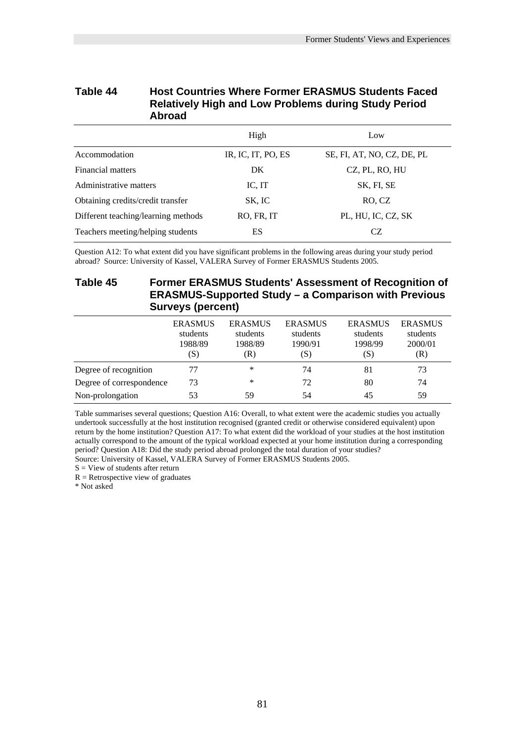### **Table 44 Host Countries Where Former ERASMUS Students Faced Relatively High and Low Problems during Study Period Abroad**

|                                     | High               | Low                        |
|-------------------------------------|--------------------|----------------------------|
| Accommodation                       | IR, IC, IT, PO, ES | SE, FI, AT, NO, CZ, DE, PL |
| Financial matters                   | DK                 | CZ, PL, RO, HU             |
| Administrative matters              | IC, IT             | SK, FI, SE                 |
| Obtaining credits/credit transfer   | SK, IC             | RO, CZ                     |
| Different teaching/learning methods | RO, FR, IT         | PL, HU, IC, CZ, SK         |
| Teachers meeting/helping students   | ES                 | CZ.                        |

Question A12: To what extent did you have significant problems in the following areas during your study period abroad? Source: University of Kassel, VALERA Survey of Former ERASMUS Students 2005.

### **Table 45 Former ERASMUS Students' Assessment of Recognition of ERASMUS-Supported Study – a Comparison with Previous Surveys (percent)**

|                          | <b>ERASMUS</b><br>students<br>1988/89<br>(S) | <b>ERASMUS</b><br>students<br>1988/89<br>(R) | <b>ERASMUS</b><br>students<br>1990/91<br>(S) | <b>ERASMUS</b><br>students<br>1998/99<br>(S) | <b>ERASMUS</b><br>students<br>2000/01<br>(R) |
|--------------------------|----------------------------------------------|----------------------------------------------|----------------------------------------------|----------------------------------------------|----------------------------------------------|
| Degree of recognition    | 77                                           | *                                            | 74                                           | 81                                           | 73                                           |
| Degree of correspondence | 73                                           | *                                            | 72                                           | 80                                           | 74                                           |
| Non-prolongation         | 53                                           | 59                                           | 54                                           | 45                                           | 59                                           |

Table summarises several questions; Question A16: Overall, to what extent were the academic studies you actually undertook successfully at the host institution recognised (granted credit or otherwise considered equivalent) upon return by the home institution? Question A17: To what extent did the workload of your studies at the host institution actually correspond to the amount of the typical workload expected at your home institution during a corresponding period? Question A18: Did the study period abroad prolonged the total duration of your studies? Source: University of Kassel, VALERA Survey of Former ERASMUS Students 2005.

 $S =$  View of students after return

 $R =$  Retrospective view of graduates

\* Not asked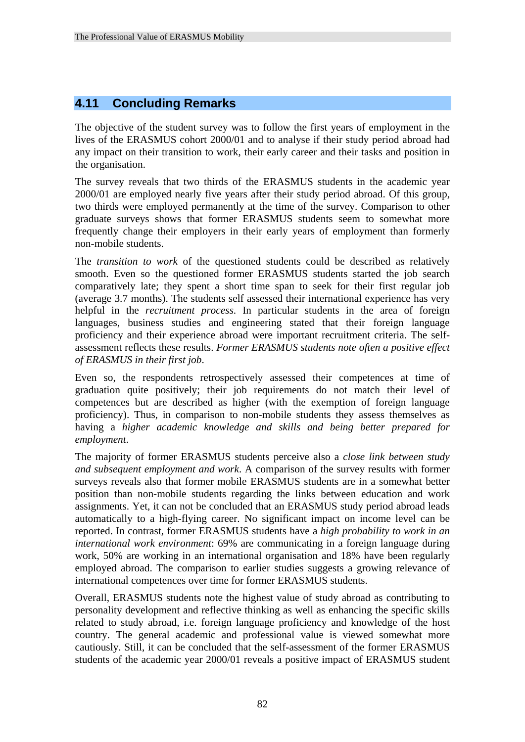## **4.11 Concluding Remarks**

The objective of the student survey was to follow the first years of employment in the lives of the ERASMUS cohort 2000/01 and to analyse if their study period abroad had any impact on their transition to work, their early career and their tasks and position in the organisation.

The survey reveals that two thirds of the ERASMUS students in the academic year 2000/01 are employed nearly five years after their study period abroad. Of this group, two thirds were employed permanently at the time of the survey. Comparison to other graduate surveys shows that former ERASMUS students seem to somewhat more frequently change their employers in their early years of employment than formerly non-mobile students.

The *transition to work* of the questioned students could be described as relatively smooth. Even so the questioned former ERASMUS students started the job search comparatively late; they spent a short time span to seek for their first regular job (average 3.7 months). The students self assessed their international experience has very helpful in the *recruitment process*. In particular students in the area of foreign languages, business studies and engineering stated that their foreign language proficiency and their experience abroad were important recruitment criteria. The selfassessment reflects these results. *Former ERASMUS students note often a positive effect of ERASMUS in their first job*.

Even so, the respondents retrospectively assessed their competences at time of graduation quite positively; their job requirements do not match their level of competences but are described as higher (with the exemption of foreign language proficiency). Thus, in comparison to non-mobile students they assess themselves as having a *higher academic knowledge and skills and being better prepared for employment*.

The majority of former ERASMUS students perceive also a *close link between study and subsequent employment and work*. A comparison of the survey results with former surveys reveals also that former mobile ERASMUS students are in a somewhat better position than non-mobile students regarding the links between education and work assignments. Yet, it can not be concluded that an ERASMUS study period abroad leads automatically to a high-flying career. No significant impact on income level can be reported. In contrast, former ERASMUS students have a *high probability to work in an international work environment*: 69% are communicating in a foreign language during work, 50% are working in an international organisation and 18% have been regularly employed abroad. The comparison to earlier studies suggests a growing relevance of international competences over time for former ERASMUS students.

Overall, ERASMUS students note the highest value of study abroad as contributing to personality development and reflective thinking as well as enhancing the specific skills related to study abroad, i.e. foreign language proficiency and knowledge of the host country. The general academic and professional value is viewed somewhat more cautiously. Still, it can be concluded that the self-assessment of the former ERASMUS students of the academic year 2000/01 reveals a positive impact of ERASMUS student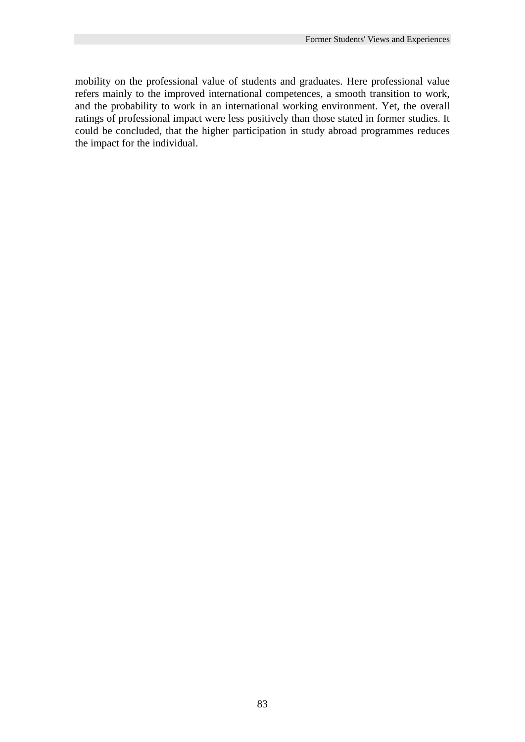mobility on the professional value of students and graduates. Here professional value refers mainly to the improved international competences, a smooth transition to work, and the probability to work in an international working environment. Yet, the overall ratings of professional impact were less positively than those stated in former studies. It could be concluded, that the higher participation in study abroad programmes reduces the impact for the individual.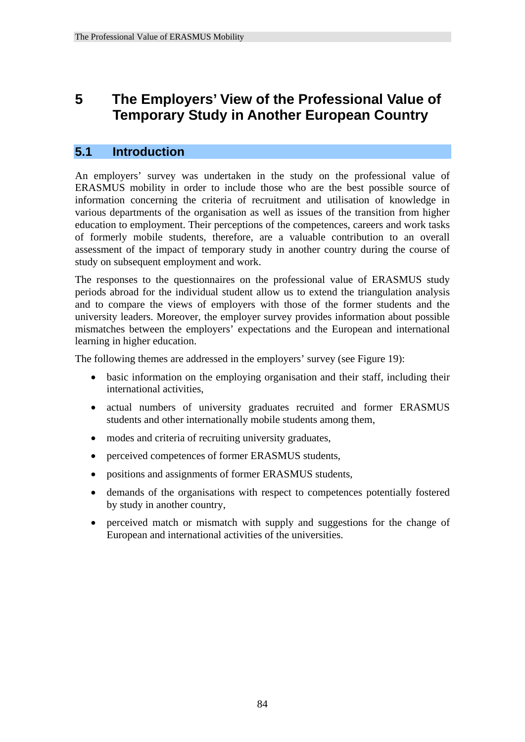## **5 The Employers' View of the Professional Value of Temporary Study in Another European Country**

## **5.1 Introduction**

An employers' survey was undertaken in the study on the professional value of ERASMUS mobility in order to include those who are the best possible source of information concerning the criteria of recruitment and utilisation of knowledge in various departments of the organisation as well as issues of the transition from higher education to employment. Their perceptions of the competences, careers and work tasks of formerly mobile students, therefore, are a valuable contribution to an overall assessment of the impact of temporary study in another country during the course of study on subsequent employment and work.

The responses to the questionnaires on the professional value of ERASMUS study periods abroad for the individual student allow us to extend the triangulation analysis and to compare the views of employers with those of the former students and the university leaders. Moreover, the employer survey provides information about possible mismatches between the employers' expectations and the European and international learning in higher education.

The following themes are addressed in the employers' survey (see Figure 19):

- basic information on the employing organisation and their staff, including their international activities,
- actual numbers of university graduates recruited and former ERASMUS students and other internationally mobile students among them,
- modes and criteria of recruiting university graduates,
- perceived competences of former ERASMUS students,
- positions and assignments of former ERASMUS students,
- demands of the organisations with respect to competences potentially fostered by study in another country,
- perceived match or mismatch with supply and suggestions for the change of European and international activities of the universities.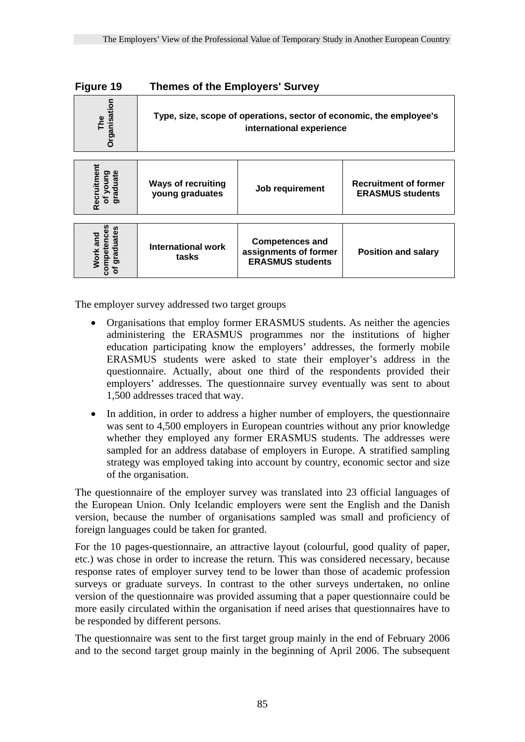| Figure 19                                         | <b>Themes of the Employers' Survey</b>                                                          |                                                                            |                                                         |  |  |  |
|---------------------------------------------------|-------------------------------------------------------------------------------------------------|----------------------------------------------------------------------------|---------------------------------------------------------|--|--|--|
| <b>Organisation</b><br>The                        | Type, size, scope of operations, sector of economic, the employee's<br>international experience |                                                                            |                                                         |  |  |  |
| Recruitment<br>graduate<br>Dunok<br>৳             | <b>Ways of recruiting</b><br>young graduates                                                    | Job requirement                                                            | <b>Recruitment of former</b><br><b>ERASMUS students</b> |  |  |  |
| mpetences<br>graduates<br>and<br><b>Work</b><br>ō | International work<br>tasks                                                                     | <b>Competences and</b><br>assignments of former<br><b>ERASMUS students</b> | <b>Position and salary</b>                              |  |  |  |

The employer survey addressed two target groups

- Organisations that employ former ERASMUS students. As neither the agencies administering the ERASMUS programmes nor the institutions of higher education participating know the employers' addresses, the formerly mobile ERASMUS students were asked to state their employer's address in the questionnaire. Actually, about one third of the respondents provided their employers' addresses. The questionnaire survey eventually was sent to about 1,500 addresses traced that way.
- In addition, in order to address a higher number of employers, the questionnaire was sent to 4,500 employers in European countries without any prior knowledge whether they employed any former ERASMUS students. The addresses were sampled for an address database of employers in Europe. A stratified sampling strategy was employed taking into account by country, economic sector and size of the organisation.

The questionnaire of the employer survey was translated into 23 official languages of the European Union. Only Icelandic employers were sent the English and the Danish version, because the number of organisations sampled was small and proficiency of foreign languages could be taken for granted.

For the 10 pages-questionnaire, an attractive layout (colourful, good quality of paper, etc.) was chose in order to increase the return. This was considered necessary, because response rates of employer survey tend to be lower than those of academic profession surveys or graduate surveys. In contrast to the other surveys undertaken, no online version of the questionnaire was provided assuming that a paper questionnaire could be more easily circulated within the organisation if need arises that questionnaires have to be responded by different persons. **EXECT THE SECONS THE SECOND MANUS STATE SECOND THE SECOND THE SECOND MANUS STATE THE SECOND MANUS STATE THE SECOND MANUS STATE THE SECOND MANUS STATE THE SURFAINING STATE THE SURFAINING STATE THE SURFAINING STATE OF A CO** 

The questionnaire was sent to the first target group mainly in the end of February 2006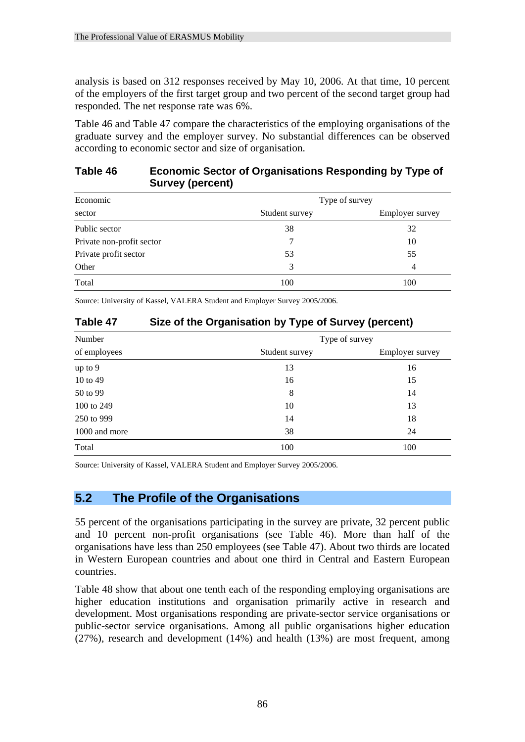analysis is based on 312 responses received by May 10, 2006. At that time, 10 percent of the employers of the first target group and two percent of the second target group had responded. The net response rate was 6%.

Table 46 and Table 47 compare the characteristics of the employing organisations of the graduate survey and the employer survey. No substantial differences can be observed according to economic sector and size of organisation.

## **Table 46 Economic Sector of Organisations Responding by Type of Survey (percent)**

| Economic                  | Type of survey |                        |  |  |
|---------------------------|----------------|------------------------|--|--|
| sector                    | Student survey | <b>Employer</b> survey |  |  |
| Public sector             | 38             | 32                     |  |  |
| Private non-profit sector |                | 10                     |  |  |
| Private profit sector     | 53             | 55                     |  |  |
| Other                     | 3              | 4                      |  |  |
| Total                     | 100            | 100                    |  |  |

Source: University of Kassel, VALERA Student and Employer Survey 2005/2006.

## **Table 47 Size of the Organisation by Type of Survey (percent)**

| Number        | Type of survey |                        |  |  |
|---------------|----------------|------------------------|--|--|
| of employees  | Student survey | <b>Employer survey</b> |  |  |
| up to 9       | 13             | 16                     |  |  |
| 10 to 49      | 16             | 15                     |  |  |
| 50 to 99      | 8              | 14                     |  |  |
| 100 to 249    | 10             | 13                     |  |  |
| 250 to 999    | 14             | 18                     |  |  |
| 1000 and more | 38             | 24                     |  |  |
| Total         | 100            | 100                    |  |  |

Source: University of Kassel, VALERA Student and Employer Survey 2005/2006.

## **5.2 The Profile of the Organisations**

55 percent of the organisations participating in the survey are private, 32 percent public and 10 percent non-profit organisations (see Table 46). More than half of the organisations have less than 250 employees (see Table 47). About two thirds are located in Western European countries and about one third in Central and Eastern European countries.

Table 48 show that about one tenth each of the responding employing organisations are higher education institutions and organisation primarily active in research and development. Most organisations responding are private-sector service organisations or public-sector service organisations. Among all public organisations higher education (27%), research and development (14%) and health (13%) are most frequent, among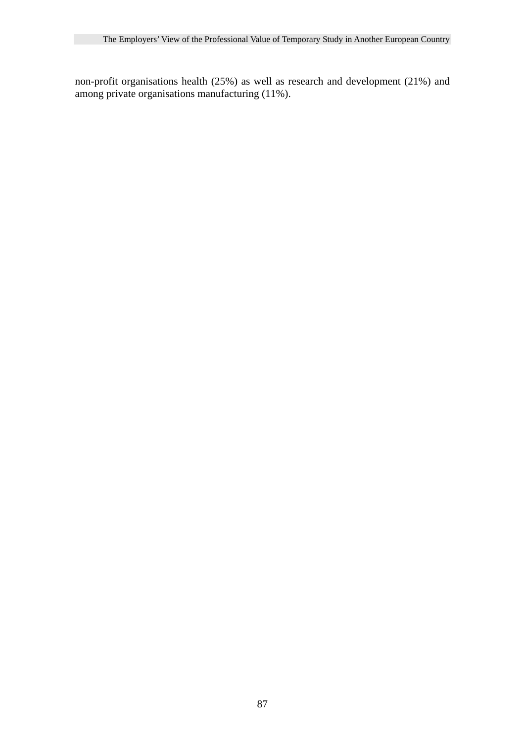non-profit organisations health (25%) as well as research and development (21%) and among private organisations manufacturing (11%).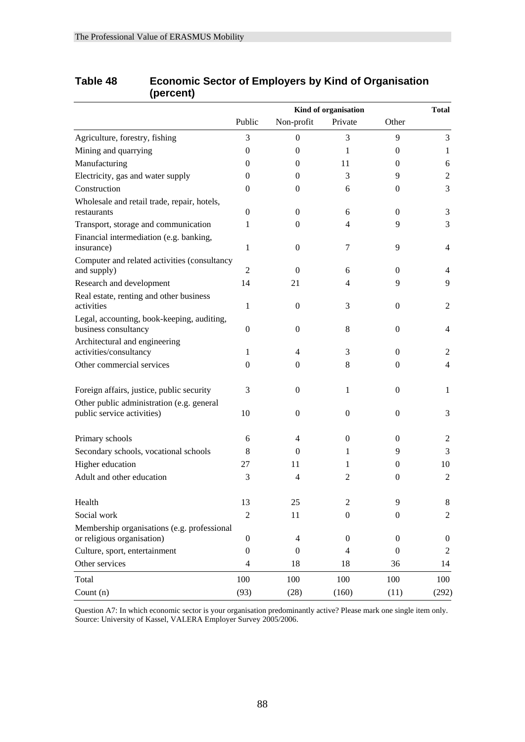|                                                                           | Kind of organisation |                  |                  | <b>Total</b>     |                  |
|---------------------------------------------------------------------------|----------------------|------------------|------------------|------------------|------------------|
|                                                                           | Public               | Non-profit       | Private          | Other            |                  |
| Agriculture, forestry, fishing                                            | 3                    | $\boldsymbol{0}$ | 3                | 9                | 3                |
| Mining and quarrying                                                      | $\mathbf{0}$         | $\mathbf{0}$     | 1                | 0                | 1                |
| Manufacturing                                                             | 0                    | 0                | 11               | 0                | 6                |
| Electricity, gas and water supply                                         | $\mathbf{0}$         | $\mathbf{0}$     | 3                | 9                | $\overline{2}$   |
| Construction                                                              | $\mathbf{0}$         | 0                | 6                | 0                | 3                |
| Wholesale and retail trade, repair, hotels,<br>restaurants                | $\theta$             | $\mathbf{0}$     | 6                | $\Omega$         | 3                |
| Transport, storage and communication                                      | 1                    | $\mathbf{0}$     | 4                | 9                | 3                |
| Financial intermediation (e.g. banking,<br>insurance)                     | $\mathbf{1}$         | $\mathbf{0}$     | 7                | 9                | $\overline{4}$   |
| Computer and related activities (consultancy<br>and supply)               | $\overline{2}$       | $\Omega$         | 6                | $\Omega$         | 4                |
| Research and development                                                  | 14                   | 21               | 4                | 9                | 9                |
| Real estate, renting and other business<br>activities                     | $\mathbf{1}$         | $\theta$         | 3                | $\overline{0}$   | 2                |
| Legal, accounting, book-keeping, auditing,<br>business consultancy        | $\boldsymbol{0}$     | $\mathbf{0}$     | 8                | $\overline{0}$   | 4                |
| Architectural and engineering<br>activities/consultancy                   | 1                    | $\overline{4}$   | 3                | $\Omega$         | 2                |
| Other commercial services                                                 | $\mathbf{0}$         | 0                | 8                | $\Omega$         | $\overline{4}$   |
| Foreign affairs, justice, public security                                 | 3                    | 0                | 1                | $\overline{0}$   | $\mathbf{1}$     |
| Other public administration (e.g. general<br>public service activities)   | 10                   | $\mathbf{0}$     | $\theta$         | $\Omega$         | 3                |
| Primary schools                                                           | 6                    | 4                | $\mathbf{0}$     | 0                | 2                |
| Secondary schools, vocational schools                                     | 8                    | $\Omega$         | 1                | 9                | 3                |
| Higher education                                                          | 27                   | 11               | 1                | 0                | 10               |
| Adult and other education                                                 | 3                    | $\overline{4}$   | $\overline{2}$   | $\mathbf{0}$     | 2                |
| Health                                                                    | 13                   | 25               | $\overline{c}$   | 9                | 8                |
| Social work                                                               | $\overline{2}$       | 11               | $\boldsymbol{0}$ | $\theta$         | 2                |
| Membership organisations (e.g. professional<br>or religious organisation) | $\boldsymbol{0}$     | $\overline{4}$   | $\boldsymbol{0}$ | $\theta$         | $\boldsymbol{0}$ |
| Culture, sport, entertainment                                             | $\boldsymbol{0}$     | $\boldsymbol{0}$ | $\overline{4}$   | $\boldsymbol{0}$ | 2                |
| Other services                                                            | 4                    | 18               | 18               | 36               | 14               |
| Total                                                                     | 100                  | 100              | 100              | 100              | 100              |
| Count $(n)$                                                               | (93)                 | (28)             | (160)            | (11)             | (292)            |

## **Table 48 Economic Sector of Employers by Kind of Organisation (percent)**

Question A7: In which economic sector is your organisation predominantly active? Please mark one single item only. Source: University of Kassel, VALERA Employer Survey 2005/2006.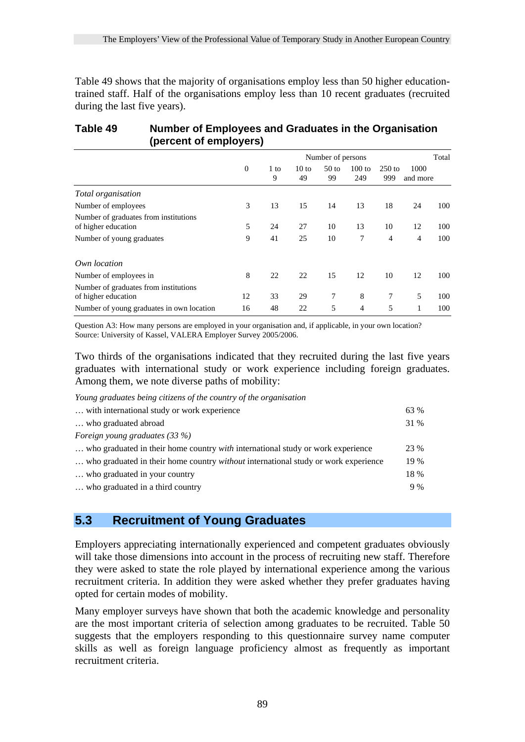Table 49 shows that the majority of organisations employ less than 50 higher educationtrained staff. Half of the organisations employ less than 10 recent graduates (recruited during the last five years).

#### **Table 49 Number of Employees and Graduates in the Organisation (percent of employers)**

|                                                              |              |           |                       | Number of persons      |                 |                 |                  | Total |
|--------------------------------------------------------------|--------------|-----------|-----------------------|------------------------|-----------------|-----------------|------------------|-------|
|                                                              | $\mathbf{0}$ | 1 to<br>9 | $10 \text{ to}$<br>49 | 50 <sub>to</sub><br>99 | $100$ to<br>249 | $250$ to<br>999 | 1000<br>and more |       |
| Total organisation                                           |              |           |                       |                        |                 |                 |                  |       |
| Number of employees                                          | 3            | 13        | 15                    | 14                     | 13              | 18              | 24               | 100   |
| Number of graduates from institutions<br>of higher education | 5            | 24        | 27                    | 10                     | 13              | 10              | 12               | 100   |
| Number of young graduates                                    | 9            | 41        | 25                    | 10                     | 7               | 4               | 4                | 100   |
| Own location                                                 |              |           |                       |                        |                 |                 |                  |       |
| Number of employees in                                       | 8            | 22        | 22                    | 15                     | 12              | 10              | 12               | 100   |
| Number of graduates from institutions<br>of higher education | 12           | 33        | 29                    | 7                      | 8               | 7               | 5                | 100   |
| Number of young graduates in own location                    | 16           | 48        | 22                    | 5                      | $\overline{4}$  | 5               | 1                | 100   |

Question A3: How many persons are employed in your organisation and, if applicable, in your own location? Source: University of Kassel, VALERA Employer Survey 2005/2006.

Two thirds of the organisations indicated that they recruited during the last five years graduates with international study or work experience including foreign graduates. Among them, we note diverse paths of mobility:

*Young graduates being citizens of the country of the organisation* 

| with international study or work experience.                                              | 63 % |
|-------------------------------------------------------------------------------------------|------|
| who graduated abroad                                                                      | 31 % |
| Foreign young graduates (33 %)                                                            |      |
| who graduated in their home country <i>with</i> international study or work experience    | 23 % |
| who graduated in their home country <i>without</i> international study or work experience | 19 % |
| who graduated in your country                                                             | 18 % |
| who graduated in a third country                                                          | 9%   |
|                                                                                           |      |

## **5.3 Recruitment of Young Graduates**

Employers appreciating internationally experienced and competent graduates obviously will take those dimensions into account in the process of recruiting new staff. Therefore they were asked to state the role played by international experience among the various recruitment criteria. In addition they were asked whether they prefer graduates having opted for certain modes of mobility.

Many employer surveys have shown that both the academic knowledge and personality are the most important criteria of selection among graduates to be recruited. Table 50 suggests that the employers responding to this questionnaire survey name computer skills as well as foreign language proficiency almost as frequently as important recruitment criteria.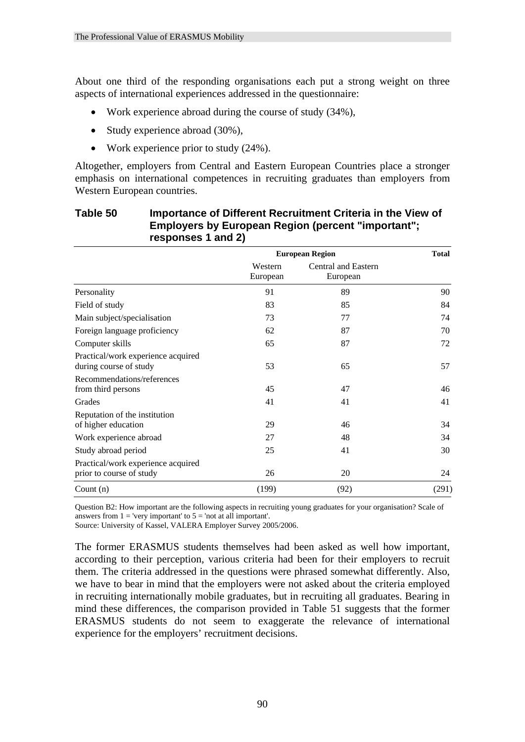About one third of the responding organisations each put a strong weight on three aspects of international experiences addressed in the questionnaire:

- Work experience abroad during the course of study (34%),
- Study experience abroad (30%),
- Work experience prior to study  $(24\%)$ .

Altogether, employers from Central and Eastern European Countries place a stronger emphasis on international competences in recruiting graduates than employers from Western European countries.

| responses 1 and 2)                                             |                     |                                 |              |
|----------------------------------------------------------------|---------------------|---------------------------------|--------------|
|                                                                |                     | <b>European Region</b>          | <b>Total</b> |
|                                                                | Western<br>European | Central and Eastern<br>European |              |
| Personality                                                    | 91                  | 89                              | 90           |
| Field of study                                                 | 83                  | 85                              | 84           |
| Main subject/specialisation                                    | 73                  | 77                              | 74           |
| Foreign language proficiency                                   | 62                  | 87                              | 70           |
| Computer skills                                                | 65                  | 87                              | 72           |
| Practical/work experience acquired<br>during course of study   | 53                  | 65                              | 57           |
| Recommendations/references<br>from third persons               | 45                  | 47                              | 46           |
| Grades                                                         | 41                  | 41                              | 41           |
| Reputation of the institution<br>of higher education           | 29                  | 46                              | 34           |
| Work experience abroad                                         | 27                  | 48                              | 34           |
| Study abroad period                                            | 25                  | 41                              | 30           |
| Practical/work experience acquired<br>prior to course of study | 26                  | 20                              | 24           |
| Count $(n)$                                                    | (199)               | (92)                            | (291)        |

## **Table 50 Importance of Different Recruitment Criteria in the View of Employers by European Region (percent "important"; responses 1 and 2)**

Question B2: How important are the following aspects in recruiting young graduates for your organisation? Scale of answers from  $1 =$  'very important' to  $5 =$  'not at all important'.

Source: University of Kassel, VALERA Employer Survey 2005/2006.

The former ERASMUS students themselves had been asked as well how important, according to their perception, various criteria had been for their employers to recruit them. The criteria addressed in the questions were phrased somewhat differently. Also, we have to bear in mind that the employers were not asked about the criteria employed in recruiting internationally mobile graduates, but in recruiting all graduates. Bearing in mind these differences, the comparison provided in Table 51 suggests that the former ERASMUS students do not seem to exaggerate the relevance of international experience for the employers' recruitment decisions.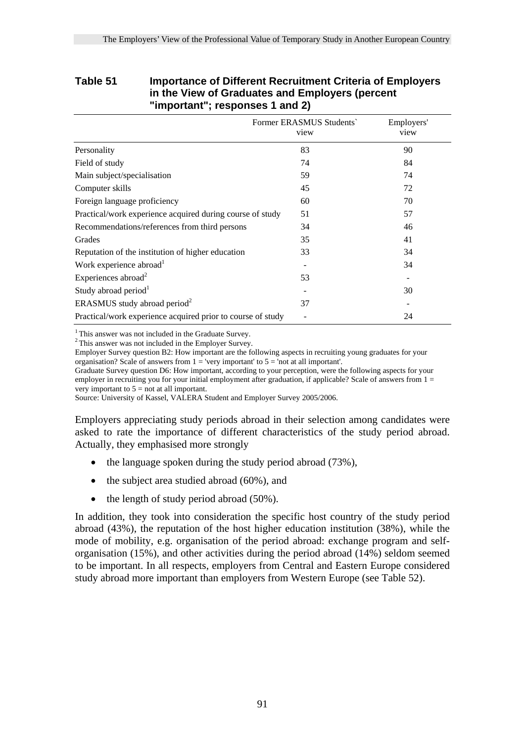#### **Table 51 Importance of Different Recruitment Criteria of Employers in the View of Graduates and Employers (percent "important"; responses 1 and 2)**

|                                                             | Former ERASMUS Students<br>view | Employers'<br>view |
|-------------------------------------------------------------|---------------------------------|--------------------|
| Personality                                                 | 83                              | 90                 |
| Field of study                                              | 74                              | 84                 |
| Main subject/specialisation                                 | 59                              | 74                 |
| Computer skills                                             | 45                              | 72                 |
| Foreign language proficiency                                | 60                              | 70                 |
| Practical/work experience acquired during course of study   | 51                              | 57                 |
| Recommendations/references from third persons               | 34                              | 46                 |
| Grades                                                      | 35                              | 41                 |
| Reputation of the institution of higher education           | 33                              | 34                 |
| Work experience abroad <sup>1</sup>                         |                                 | 34                 |
| Experiences abroad <sup>2</sup>                             | 53                              |                    |
| Study abroad period <sup>1</sup>                            |                                 | 30                 |
| ERASMUS study abroad period <sup>2</sup>                    | 37                              |                    |
| Practical/work experience acquired prior to course of study |                                 | 24                 |

<sup>1</sup> This answer was not included in the Graduate Survey.

2 This answer was not included in the Employer Survey.

Employer Survey question B2: How important are the following aspects in recruiting young graduates for your organisation? Scale of answers from  $1 =$  'very important' to  $5 =$  'not at all important'.

Graduate Survey question D6: How important, according to your perception, were the following aspects for your employer in recruiting you for your initial employment after graduation, if applicable? Scale of answers from  $1 =$ very important to  $5 =$  not at all important.

Source: University of Kassel, VALERA Student and Employer Survey 2005/2006.

Employers appreciating study periods abroad in their selection among candidates were asked to rate the importance of different characteristics of the study period abroad. Actually, they emphasised more strongly

- the language spoken during the study period abroad (73%),
- the subject area studied abroad (60%), and
- the length of study period abroad (50%).

In addition, they took into consideration the specific host country of the study period abroad (43%), the reputation of the host higher education institution (38%), while the mode of mobility, e.g. organisation of the period abroad: exchange program and selforganisation (15%), and other activities during the period abroad (14%) seldom seemed to be important. In all respects, employers from Central and Eastern Europe considered study abroad more important than employers from Western Europe (see Table 52).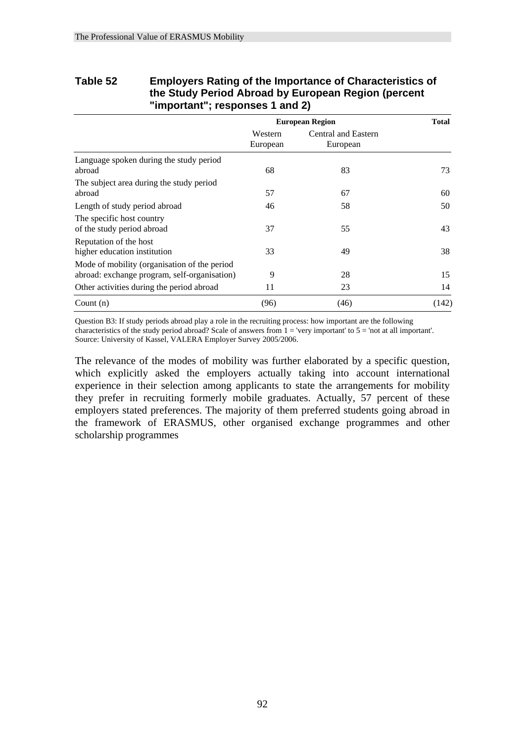#### **Table 52 Employers Rating of the Importance of Characteristics of the Study Period Abroad by European Region (percent "important"; responses 1 and 2)**

|                                                                                              |                     | <b>European Region</b>          | <b>Total</b> |
|----------------------------------------------------------------------------------------------|---------------------|---------------------------------|--------------|
|                                                                                              | Western<br>European | Central and Eastern<br>European |              |
| Language spoken during the study period<br>abroad                                            | 68                  | 83                              | 73           |
| The subject area during the study period<br>abroad                                           | 57                  | 67                              | 60           |
| Length of study period abroad                                                                | 46                  | 58                              | 50           |
| The specific host country<br>of the study period abroad                                      | 37                  | 55                              | 43           |
| Reputation of the host<br>higher education institution                                       | 33                  | 49                              | 38           |
| Mode of mobility (organisation of the period<br>abroad: exchange program, self-organisation) | 9                   | 28                              | 15           |
| Other activities during the period abroad                                                    | 11                  | 23                              | 14           |
| Count $(n)$                                                                                  | (96)                | (46)                            | (142)        |

Question B3: If study periods abroad play a role in the recruiting process: how important are the following characteristics of the study period abroad? Scale of answers from 1 = 'very important' to 5 = 'not at all important'. Source: University of Kassel, VALERA Employer Survey 2005/2006.

The relevance of the modes of mobility was further elaborated by a specific question, which explicitly asked the employers actually taking into account international experience in their selection among applicants to state the arrangements for mobility they prefer in recruiting formerly mobile graduates. Actually, 57 percent of these employers stated preferences. The majority of them preferred students going abroad in the framework of ERASMUS, other organised exchange programmes and other scholarship programmes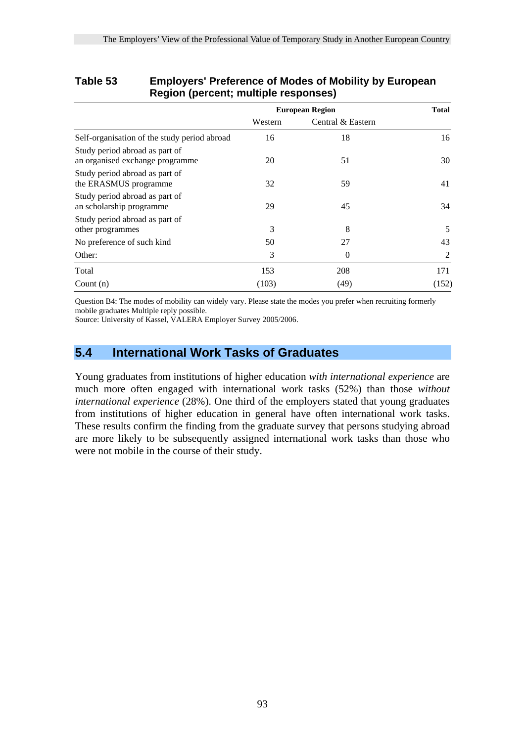|                                                                   |         | <b>European Region</b> | <b>Total</b> |
|-------------------------------------------------------------------|---------|------------------------|--------------|
|                                                                   | Western | Central & Eastern      |              |
| Self-organisation of the study period abroad                      | 16      | 18                     | 16           |
| Study period abroad as part of<br>an organised exchange programme | 20      | 51                     | 30           |
| Study period abroad as part of<br>the ERASMUS programme           | 32      | 59                     | 41           |
| Study period abroad as part of<br>an scholarship programme        | 29      | 45                     | 34           |
| Study period abroad as part of<br>other programmes                | 3       | 8                      | 5            |
| No preference of such kind                                        | 50      | 27                     | 43           |
| Other:                                                            | 3       | $\Omega$               | 2            |
| Total                                                             | 153     | 208                    | 171          |
| Count $(n)$                                                       | (103)   | (49)                   | (152)        |

### **Table 53 Employers' Preference of Modes of Mobility by European Region (percent; multiple responses)**

Question B4: The modes of mobility can widely vary. Please state the modes you prefer when recruiting formerly mobile graduates Multiple reply possible.

Source: University of Kassel, VALERA Employer Survey 2005/2006.

## **5.4 International Work Tasks of Graduates**

Young graduates from institutions of higher education *with international experience* are much more often engaged with international work tasks (52%) than those *without international experience* (28%). One third of the employers stated that young graduates from institutions of higher education in general have often international work tasks. These results confirm the finding from the graduate survey that persons studying abroad are more likely to be subsequently assigned international work tasks than those who were not mobile in the course of their study.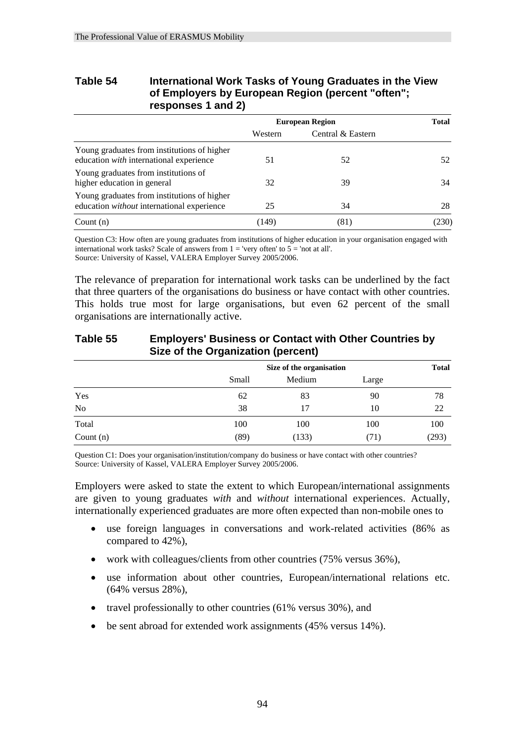| Table 54 | International Work Tasks of Young Graduates in the View |
|----------|---------------------------------------------------------|
|          | of Employers by European Region (percent "often";       |
|          | responses 1 and 2)                                      |

|                                                                                           | <b>European Region</b> |                   | <b>Total</b> |
|-------------------------------------------------------------------------------------------|------------------------|-------------------|--------------|
|                                                                                           | Western                | Central & Eastern |              |
| Young graduates from institutions of higher<br>education with international experience    | 51                     | 52                | 52           |
| Young graduates from institutions of<br>higher education in general                       | 32                     | 39                | 34           |
| Young graduates from institutions of higher<br>education without international experience | 25                     | 34                | 28           |
| Count $(n)$                                                                               | (149)                  | (81)              | (230)        |

Question C3: How often are young graduates from institutions of higher education in your organisation engaged with international work tasks? Scale of answers from  $1 =$  'very often' to  $5 =$  'not at all'. Source: University of Kassel, VALERA Employer Survey 2005/2006.

The relevance of preparation for international work tasks can be underlined by the fact that three quarters of the organisations do business or have contact with other countries. This holds true most for large organisations, but even 62 percent of the small organisations are internationally active.

|             | Size of the Organization (percent) |                          |       |       |  |
|-------------|------------------------------------|--------------------------|-------|-------|--|
|             |                                    | Size of the organisation |       |       |  |
|             | Small                              | Medium                   | Large |       |  |
| Yes         | 62                                 | 83                       | 90    | 78    |  |
| No          | 38                                 | 17                       | 10    | 22    |  |
| Total       | 100                                | 100                      | 100   | 100   |  |
| Count $(n)$ | (89                                | (133)                    | (71   | (293) |  |

# **Table 55 Employers' Business or Contact with Other Countries by**

Question C1: Does your organisation/institution/company do business or have contact with other countries? Source: University of Kassel, VALERA Employer Survey 2005/2006.

Employers were asked to state the extent to which European/international assignments are given to young graduates *with* and *without* international experiences. Actually, internationally experienced graduates are more often expected than non-mobile ones to

- use foreign languages in conversations and work-related activities (86% as compared to 42%),
- work with colleagues/clients from other countries (75% versus 36%),
- use information about other countries, European/international relations etc. (64% versus 28%),
- travel professionally to other countries (61% versus 30%), and
- be sent abroad for extended work assignments (45% versus 14%).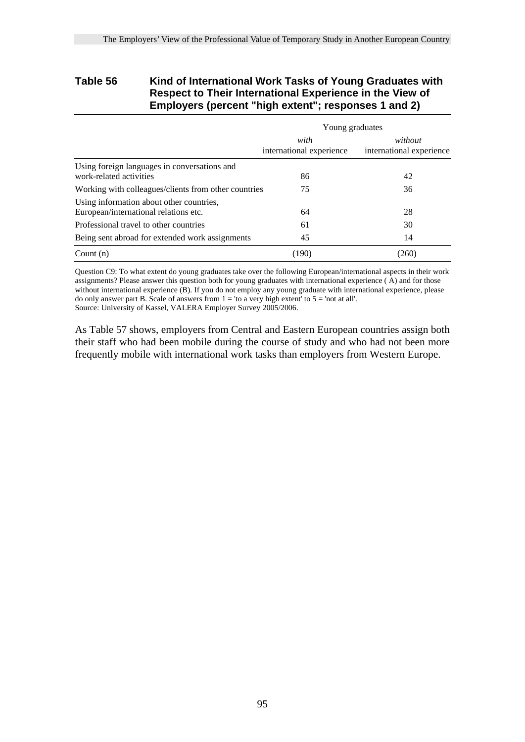#### **Table 56 Kind of International Work Tasks of Young Graduates with Respect to Their International Experience in the View of Employers (percent "high extent"; responses 1 and 2)**

|                                                                                   | Young graduates                  |                                     |  |
|-----------------------------------------------------------------------------------|----------------------------------|-------------------------------------|--|
|                                                                                   | with<br>international experience | without<br>international experience |  |
| Using foreign languages in conversations and<br>work-related activities           | 86                               | 42                                  |  |
| Working with colleagues/clients from other countries                              | 75                               | 36                                  |  |
| Using information about other countries,<br>European/international relations etc. | 64                               | 28                                  |  |
| Professional travel to other countries                                            | 61                               | 30                                  |  |
| Being sent abroad for extended work assignments                                   | 45                               | 14                                  |  |
| Count $(n)$                                                                       | (190)                            | (260)                               |  |

Question C9: To what extent do young graduates take over the following European/international aspects in their work assignments? Please answer this question both for young graduates with international experience  $(\overline{A})$  and for those without international experience (B). If you do not employ any young graduate with international experience, please do only answer part B. Scale of answers from  $1 =$  'to a very high extent' to  $5 =$  'not at all'.

Source: University of Kassel, VALERA Employer Survey 2005/2006.

As Table 57 shows, employers from Central and Eastern European countries assign both their staff who had been mobile during the course of study and who had not been more frequently mobile with international work tasks than employers from Western Europe.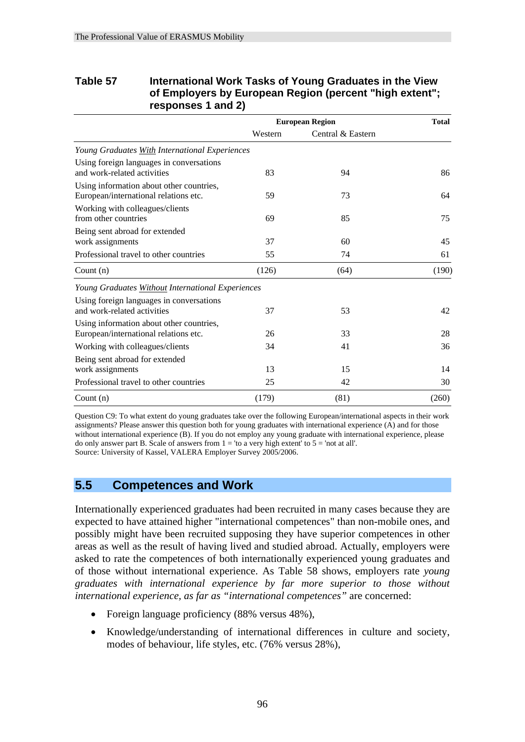| <b>Table 57</b> | International Work Tasks of Young Graduates in the View                       |
|-----------------|-------------------------------------------------------------------------------|
|                 | of Employers by European Region (percent "high extent";<br>responses 1 and 2) |

|                                                                                   | <b>European Region</b> |                   | <b>Total</b> |
|-----------------------------------------------------------------------------------|------------------------|-------------------|--------------|
|                                                                                   | Western                | Central & Eastern |              |
| Young Graduates With International Experiences                                    |                        |                   |              |
| Using foreign languages in conversations<br>and work-related activities           | 83                     | 94                | 86           |
| Using information about other countries,<br>European/international relations etc. | 59                     | 73                | 64           |
| Working with colleagues/clients<br>from other countries                           | 69                     | 85                | 75           |
| Being sent abroad for extended<br>work assignments                                | 37                     | 60                | 45           |
| Professional travel to other countries                                            | 55                     | 74                | 61           |
| Count $(n)$                                                                       | (126)                  | (64)              | (190)        |
| Young Graduates Without International Experiences                                 |                        |                   |              |
| Using foreign languages in conversations<br>and work-related activities           | 37                     | 53                | 42           |
| Using information about other countries,<br>European/international relations etc. | 26                     | 33                | 28           |
| Working with colleagues/clients                                                   | 34                     | 41                | 36           |
| Being sent abroad for extended<br>work assignments                                | 13                     | 15                | 14           |
| Professional travel to other countries                                            | 25                     | 42                | 30           |
| Count $(n)$                                                                       | (179)                  | (81)              | (260)        |

Question C9: To what extent do young graduates take over the following European/international aspects in their work assignments? Please answer this question both for young graduates with international experience (A) and for those without international experience (B). If you do not employ any young graduate with international experience, please do only answer part B. Scale of answers from  $1 = '$ to a very high extent' to  $5 = '$ not at all'. Source: University of Kassel, VALERA Employer Survey 2005/2006.

## **5.5 Competences and Work**

Internationally experienced graduates had been recruited in many cases because they are expected to have attained higher "international competences" than non-mobile ones, and possibly might have been recruited supposing they have superior competences in other areas as well as the result of having lived and studied abroad. Actually, employers were asked to rate the competences of both internationally experienced young graduates and of those without international experience. As Table 58 shows, employers rate *young graduates with international experience by far more superior to those without international experience, as far as "international competences"* are concerned:

- Foreign language proficiency (88% versus 48%).
- Knowledge/understanding of international differences in culture and society, modes of behaviour, life styles, etc. (76% versus 28%),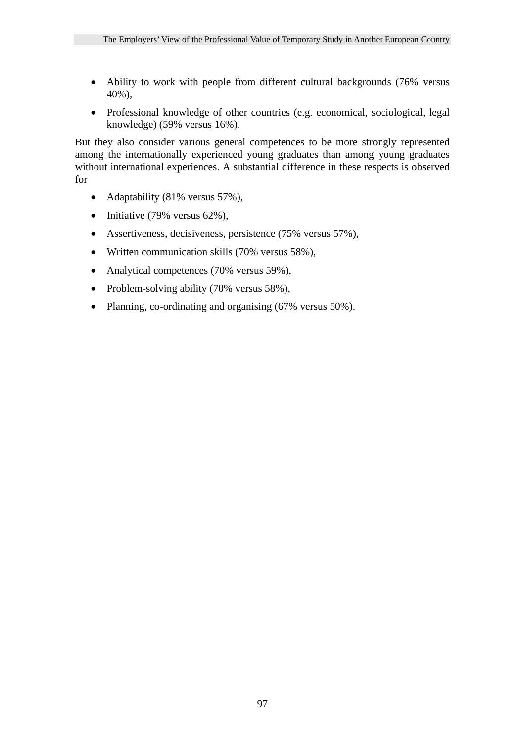- Ability to work with people from different cultural backgrounds (76% versus 40%),
- Professional knowledge of other countries (e.g. economical, sociological, legal knowledge) (59% versus 16%).

But they also consider various general competences to be more strongly represented among the internationally experienced young graduates than among young graduates without international experiences. A substantial difference in these respects is observed for

- Adaptability (81% versus 57%),
- Initiative (79% versus 62%),
- Assertiveness, decisiveness, persistence (75% versus 57%),
- Written communication skills (70% versus 58%),
- Analytical competences (70% versus 59%),
- Problem-solving ability (70% versus 58%),
- Planning, co-ordinating and organising (67% versus 50%).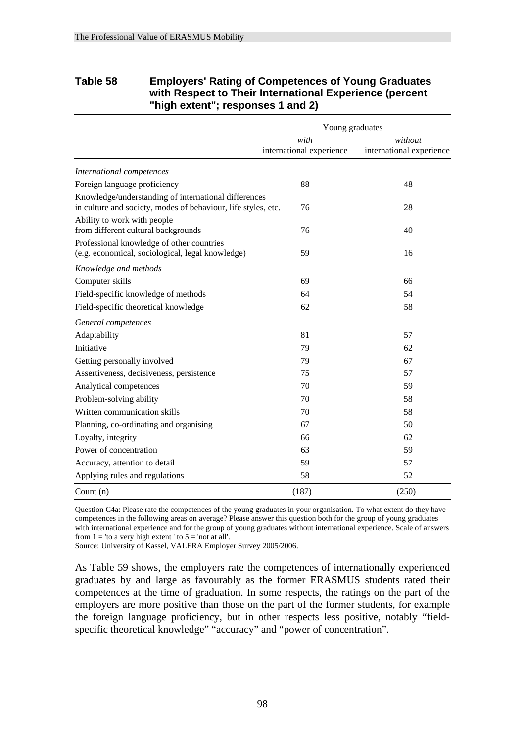#### **Table 58 Employers' Rating of Competences of Young Graduates with Respect to Their International Experience (percent "high extent"; responses 1 and 2)**

|                                                                                                                       | Young graduates                  |                                     |
|-----------------------------------------------------------------------------------------------------------------------|----------------------------------|-------------------------------------|
|                                                                                                                       | with<br>international experience | without<br>international experience |
| International competences                                                                                             |                                  |                                     |
| Foreign language proficiency                                                                                          | 88                               | 48                                  |
| Knowledge/understanding of international differences<br>in culture and society, modes of behaviour, life styles, etc. | 76                               | 28                                  |
| Ability to work with people<br>from different cultural backgrounds                                                    | 76                               | 40                                  |
| Professional knowledge of other countries<br>(e.g. economical, sociological, legal knowledge)                         | 59                               | 16                                  |
| Knowledge and methods                                                                                                 |                                  |                                     |
| Computer skills                                                                                                       | 69                               | 66                                  |
| Field-specific knowledge of methods                                                                                   | 64                               | 54                                  |
| Field-specific theoretical knowledge                                                                                  | 62                               | 58                                  |
| General competences                                                                                                   |                                  |                                     |
| Adaptability                                                                                                          | 81                               | 57                                  |
| Initiative                                                                                                            | 79                               | 62                                  |
| Getting personally involved                                                                                           | 79                               | 67                                  |
| Assertiveness, decisiveness, persistence                                                                              | 75                               | 57                                  |
| Analytical competences                                                                                                | 70                               | 59                                  |
| Problem-solving ability                                                                                               | 70                               | 58                                  |
| Written communication skills                                                                                          | 70                               | 58                                  |
| Planning, co-ordinating and organising                                                                                | 67                               | 50                                  |
| Loyalty, integrity                                                                                                    | 66                               | 62                                  |
| Power of concentration                                                                                                | 63                               | 59                                  |
| Accuracy, attention to detail                                                                                         | 59                               | 57                                  |
| Applying rules and regulations                                                                                        | 58                               | 52                                  |
| Count $(n)$                                                                                                           | (187)                            | (250)                               |

Question C4a: Please rate the competences of the young graduates in your organisation. To what extent do they have competences in the following areas on average? Please answer this question both for the group of young graduates with international experience and for the group of young graduates without international experience. Scale of answers from  $1 =$  'to a very high extent ' to  $5 =$  'not at all'.

Source: University of Kassel, VALERA Employer Survey 2005/2006.

As Table 59 shows, the employers rate the competences of internationally experienced graduates by and large as favourably as the former ERASMUS students rated their competences at the time of graduation. In some respects, the ratings on the part of the employers are more positive than those on the part of the former students, for example the foreign language proficiency, but in other respects less positive, notably "fieldspecific theoretical knowledge" "accuracy" and "power of concentration".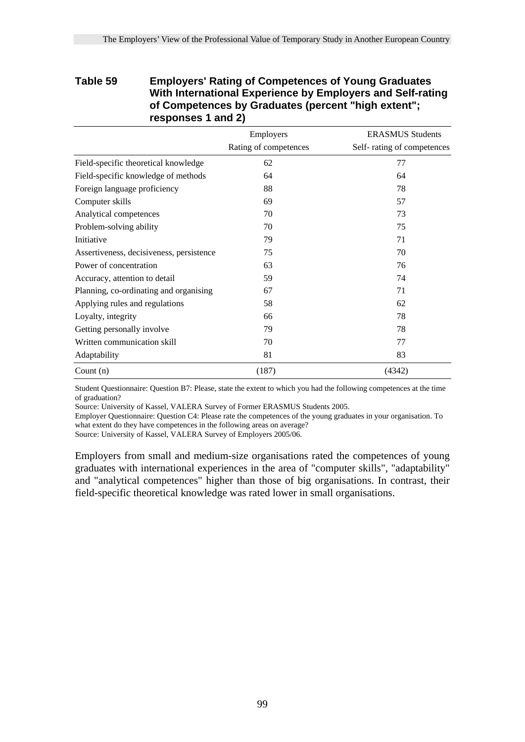### **Table 59 Employers' Rating of Competences of Young Graduates With International Experience by Employers and Self-rating of Competences by Graduates (percent "high extent"; responses 1 and 2)**

|                                          | Employers             | <b>ERASMUS Students</b>    |
|------------------------------------------|-----------------------|----------------------------|
|                                          | Rating of competences | Self-rating of competences |
| Field-specific theoretical knowledge     | 62                    | 77                         |
| Field-specific knowledge of methods      | 64                    | 64                         |
| Foreign language proficiency             | 88                    | 78                         |
| Computer skills                          | 69                    | 57                         |
| Analytical competences                   | 70                    | 73                         |
| Problem-solving ability                  | 70                    | 75                         |
| Initiative                               | 79                    | 71                         |
| Assertiveness, decisiveness, persistence | 75                    | 70                         |
| Power of concentration                   | 63                    | 76                         |
| Accuracy, attention to detail            | 59                    | 74                         |
| Planning, co-ordinating and organising   | 67                    | 71                         |
| Applying rules and regulations           | 58                    | 62                         |
| Loyalty, integrity                       | 66                    | 78                         |
| Getting personally involve               | 79                    | 78                         |
| Written communication skill              | 70                    | 77                         |
| Adaptability                             | 81                    | 83                         |
| Count $(n)$                              | (187)                 | (4342)                     |

Student Questionnaire: Question B7: Please, state the extent to which you had the following competences at the time of graduation?

Source: University of Kassel, VALERA Survey of Former ERASMUS Students 2005.

Employer Questionnaire: Question C4: Please rate the competences of the young graduates in your organisation. To what extent do they have competences in the following areas on average?

Source: University of Kassel, VALERA Survey of Employers 2005/06.

Employers from small and medium-size organisations rated the competences of young graduates with international experiences in the area of "computer skills", "adaptability" and "analytical competences" higher than those of big organisations. In contrast, their field-specific theoretical knowledge was rated lower in small organisations.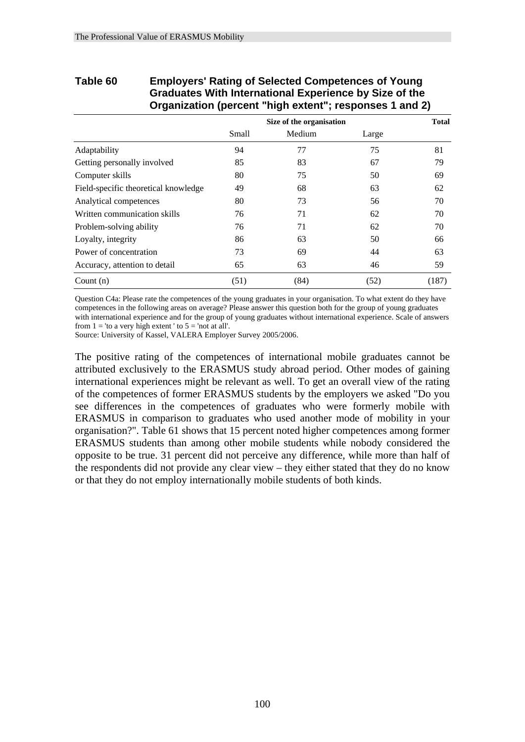|                                      | Graduates With international Experience by Size of the<br>Organization (percent "high extent"; responses 1 and 2) |                          |       |              |  |  |
|--------------------------------------|-------------------------------------------------------------------------------------------------------------------|--------------------------|-------|--------------|--|--|
|                                      |                                                                                                                   | Size of the organisation |       | <b>Total</b> |  |  |
|                                      | Small                                                                                                             | Medium                   | Large |              |  |  |
| Adaptability                         | 94                                                                                                                | 77                       | 75    | 81           |  |  |
| Getting personally involved          | 85                                                                                                                | 83                       | 67    | 79           |  |  |
| Computer skills                      | 80                                                                                                                | 75                       | 50    | 69           |  |  |
| Field-specific theoretical knowledge | 49                                                                                                                | 68                       | 63    | 62           |  |  |
| Analytical competences               | 80                                                                                                                | 73                       | 56    | 70           |  |  |
| Written communication skills         | 76                                                                                                                | 71                       | 62    | 70           |  |  |
| Problem-solving ability              | 76                                                                                                                | 71                       | 62    | 70           |  |  |
| Loyalty, integrity                   | 86                                                                                                                | 63                       | 50    | 66           |  |  |
| Power of concentration               | 73                                                                                                                | 69                       | 44    | 63           |  |  |
| Accuracy, attention to detail        | 65                                                                                                                | 63                       | 46    | 59           |  |  |
| Count $(n)$                          | (51)                                                                                                              | (84)                     | (52)  | (187)        |  |  |

## **Table 60 Employers' Rating of Selected Competences of Young Graduates With International Experience by Size of the**

Question C4a: Please rate the competences of the young graduates in your organisation. To what extent do they have competences in the following areas on average? Please answer this question both for the group of young graduates with international experience and for the group of young graduates without international experience. Scale of answers from  $1 =$  'to a very high extent' to  $5 =$  'not at all'.

Source: University of Kassel, VALERA Employer Survey 2005/2006.

The positive rating of the competences of international mobile graduates cannot be attributed exclusively to the ERASMUS study abroad period. Other modes of gaining international experiences might be relevant as well. To get an overall view of the rating of the competences of former ERASMUS students by the employers we asked "Do you see differences in the competences of graduates who were formerly mobile with ERASMUS in comparison to graduates who used another mode of mobility in your organisation?". Table 61 shows that 15 percent noted higher competences among former ERASMUS students than among other mobile students while nobody considered the opposite to be true. 31 percent did not perceive any difference, while more than half of the respondents did not provide any clear view – they either stated that they do no know or that they do not employ internationally mobile students of both kinds.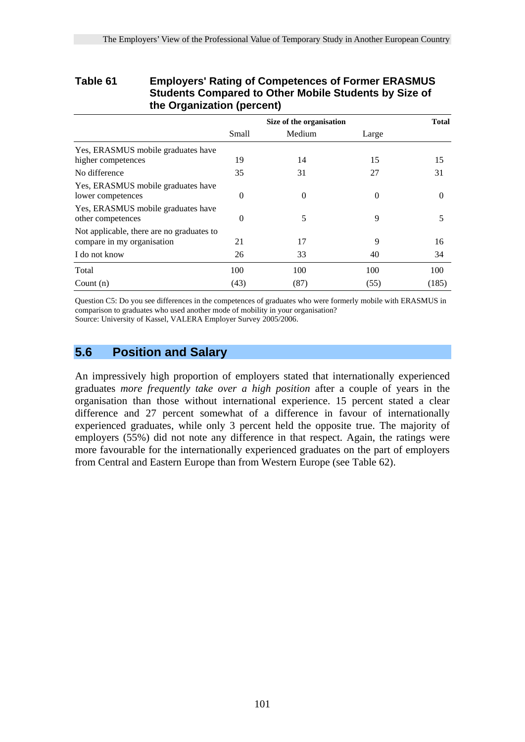### **Table 61 Employers' Rating of Competences of Former ERASMUS Students Compared to Other Mobile Students by Size of the Organization (percent)**

|                                                                         |          | Size of the organisation |          |          |
|-------------------------------------------------------------------------|----------|--------------------------|----------|----------|
|                                                                         | Small    | Medium                   | Large    |          |
| Yes, ERASMUS mobile graduates have<br>higher competences                | 19       | 14                       | 15       | 15       |
| No difference                                                           | 35       | 31                       | 27       | 31       |
| Yes, ERASMUS mobile graduates have<br>lower competences                 | $\theta$ | $\Omega$                 | $\Omega$ | $\Omega$ |
| Yes, ERASMUS mobile graduates have<br>other competences                 | $\Omega$ | 5                        | 9        | 5        |
| Not applicable, there are no graduates to<br>compare in my organisation | 21       | 17                       | 9        | 16       |
| I do not know                                                           | 26       | 33                       | 40       | 34       |
| Total                                                                   | 100      | 100                      | 100      | 100      |
| Count $(n)$                                                             | (43)     | (87)                     | (55)     | (185)    |

Question C5: Do you see differences in the competences of graduates who were formerly mobile with ERASMUS in comparison to graduates who used another mode of mobility in your organisation? Source: University of Kassel, VALERA Employer Survey 2005/2006.

## **5.6 Position and Salary**

An impressively high proportion of employers stated that internationally experienced graduates *more frequently take over a high position* after a couple of years in the organisation than those without international experience. 15 percent stated a clear difference and 27 percent somewhat of a difference in favour of internationally experienced graduates, while only 3 percent held the opposite true. The majority of employers (55%) did not note any difference in that respect. Again, the ratings were more favourable for the internationally experienced graduates on the part of employers from Central and Eastern Europe than from Western Europe (see Table 62).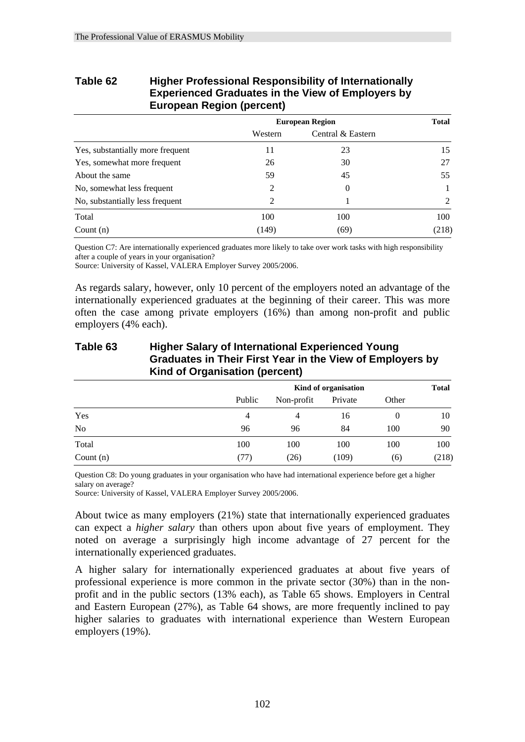| Larepour negron (personn)        |               |                        |              |  |
|----------------------------------|---------------|------------------------|--------------|--|
|                                  |               | <b>European Region</b> | <b>Total</b> |  |
|                                  | Western       | Central & Eastern      |              |  |
| Yes, substantially more frequent | 11            | 23                     | 15           |  |
| Yes, somewhat more frequent      | 26            | 30                     | 27           |  |
| About the same                   | 59            | 45                     | 55           |  |
| No, somewhat less frequent       | 2             | $\theta$               |              |  |
| No, substantially less frequent  | $\mathcal{L}$ |                        | 2            |  |
| Total                            | 100           | 100                    | 100          |  |
| Count $(n)$                      | (149)         | (69)                   | (218)        |  |

#### **Table 62 Higher Professional Responsibility of Internationally Experienced Graduates in the View of Employers by European Region (percent)**

Question C7: Are internationally experienced graduates more likely to take over work tasks with high responsibility after a couple of years in your organisation?

Source: University of Kassel, VALERA Employer Survey 2005/2006.

As regards salary, however, only 10 percent of the employers noted an advantage of the internationally experienced graduates at the beginning of their career. This was more often the case among private employers (16%) than among non-profit and public employers (4% each).

## **Table 63 Higher Salary of International Experienced Young Graduates in Their First Year in the View of Employers by Kind of Organisation (percent)**

|                |        | Kind of organisation |         |       | <b>Total</b> |
|----------------|--------|----------------------|---------|-------|--------------|
|                | Public | Non-profit           | Private | Other |              |
| Yes            | 4      | 4                    | 16      | 0     | 10           |
| N <sub>0</sub> | 96     | 96                   | 84      | 100   | 90           |
| Total          | 100    | 100                  | 100     | 100   | 100          |
| Count $(n)$    | (77)   | (26)                 | (109)   | (6)   | (218)        |

Question C8: Do young graduates in your organisation who have had international experience before get a higher salary on average?

Source: University of Kassel, VALERA Employer Survey 2005/2006.

About twice as many employers (21%) state that internationally experienced graduates can expect a *higher salary* than others upon about five years of employment. They noted on average a surprisingly high income advantage of 27 percent for the internationally experienced graduates.

A higher salary for internationally experienced graduates at about five years of professional experience is more common in the private sector (30%) than in the nonprofit and in the public sectors (13% each), as Table 65 shows. Employers in Central and Eastern European (27%), as Table 64 shows, are more frequently inclined to pay higher salaries to graduates with international experience than Western European employers (19%).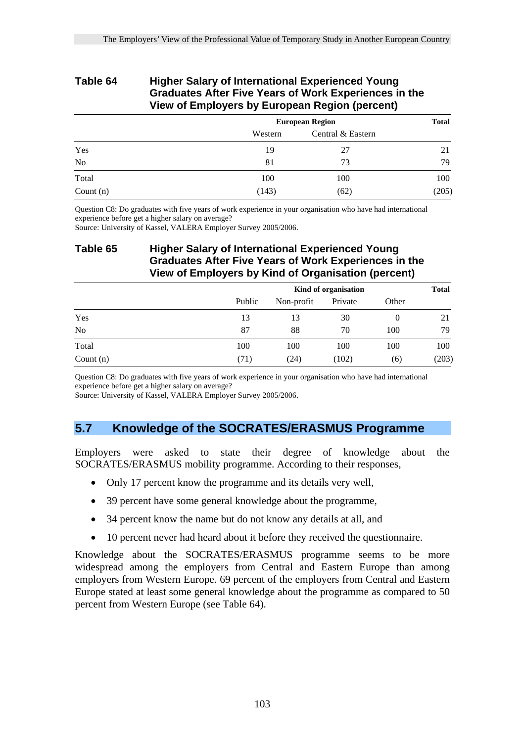### **Table 64 Higher Salary of International Experienced Young Graduates After Five Years of Work Experiences in the View of Employers by European Region (percent)**

|                | <b>European Region</b> | <b>Total</b>      |       |
|----------------|------------------------|-------------------|-------|
|                | Western                | Central & Eastern |       |
| Yes            | 19                     | 27                | 21    |
| N <sub>0</sub> | 81                     | 73                | 79    |
| Total          | 100                    | 100               | 100   |
| Count $(n)$    | (143)                  | (62)              | (205) |

Question C8: Do graduates with five years of work experience in your organisation who have had international experience before get a higher salary on average?

Source: University of Kassel, VALERA Employer Survey 2005/2006.

## **Table 65 Higher Salary of International Experienced Young Graduates After Five Years of Work Experiences in the View of Employers by Kind of Organisation (percent)**

|             |        | Kind of organisation |         |          | <b>Total</b> |
|-------------|--------|----------------------|---------|----------|--------------|
|             | Public | Non-profit           | Private | Other    |              |
| Yes         | 13     | 13                   | 30      | $\theta$ | 21           |
| No          | 87     | 88                   | 70      | 100      | 79           |
| Total       | 100    | 100                  | 100     | 100      | 100          |
| Count $(n)$ | (71)   | (24)                 | (102)   | (6)      | (203)        |

Question C8: Do graduates with five years of work experience in your organisation who have had international experience before get a higher salary on average?

Source: University of Kassel, VALERA Employer Survey 2005/2006.

## **5.7 Knowledge of the SOCRATES/ERASMUS Programme**

Employers were asked to state their degree of knowledge about the SOCRATES/ERASMUS mobility programme. According to their responses,

- Only 17 percent know the programme and its details very well,
- 39 percent have some general knowledge about the programme,
- 34 percent know the name but do not know any details at all, and
- 10 percent never had heard about it before they received the questionnaire.

Knowledge about the SOCRATES/ERASMUS programme seems to be more widespread among the employers from Central and Eastern Europe than among employers from Western Europe. 69 percent of the employers from Central and Eastern Europe stated at least some general knowledge about the programme as compared to 50 percent from Western Europe (see Table 64).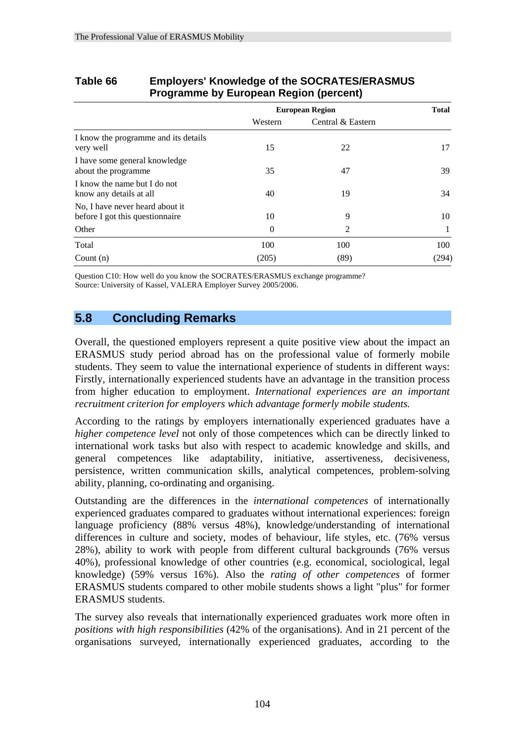|                                                                    |          | <b>European Region</b> | <b>Total</b> |
|--------------------------------------------------------------------|----------|------------------------|--------------|
|                                                                    | Western  | Central & Eastern      |              |
| I know the programme and its details<br>very well                  | 15       | 22                     | 17           |
| I have some general knowledge<br>about the programme               | 35       | 47                     | 39           |
| I know the name but I do not<br>know any details at all            | 40       | 19                     | 34           |
| No, I have never heard about it<br>before I got this questionnaire | 10       | 9                      | 10           |
| Other                                                              | $\Omega$ | 2                      | $\mathbf{I}$ |
| Total                                                              | 100      | 100                    | 100          |
| Count $(n)$                                                        | (205)    | (89)                   | (294)        |

## **Table 66 Employers' Knowledge of the SOCRATES/ERASMUS Programme by European Region (percent)**

Question C10: How well do you know the SOCRATES/ERASMUS exchange programme? Source: University of Kassel, VALERA Employer Survey 2005/2006.

## **5.8 Concluding Remarks**

Overall, the questioned employers represent a quite positive view about the impact an ERASMUS study period abroad has on the professional value of formerly mobile students. They seem to value the international experience of students in different ways: Firstly, internationally experienced students have an advantage in the transition process from higher education to employment. *International experiences are an important recruitment criterion for employers which advantage formerly mobile students.*

According to the ratings by employers internationally experienced graduates have a *higher competence level* not only of those competences which can be directly linked to international work tasks but also with respect to academic knowledge and skills, and general competences like adaptability, initiative, assertiveness, decisiveness, persistence, written communication skills, analytical competences, problem-solving ability, planning, co-ordinating and organising.

Outstanding are the differences in the *international competences* of internationally experienced graduates compared to graduates without international experiences: foreign language proficiency (88% versus 48%), knowledge/understanding of international differences in culture and society, modes of behaviour, life styles, etc. (76% versus 28%), ability to work with people from different cultural backgrounds (76% versus 40%), professional knowledge of other countries (e.g. economical, sociological, legal knowledge) (59% versus 16%). Also the *rating of other competences* of former ERASMUS students compared to other mobile students shows a light "plus" for former ERASMUS students.

The survey also reveals that internationally experienced graduates work more often in *positions with high responsibilities* (42% of the organisations). And in 21 percent of the organisations surveyed, internationally experienced graduates, according to the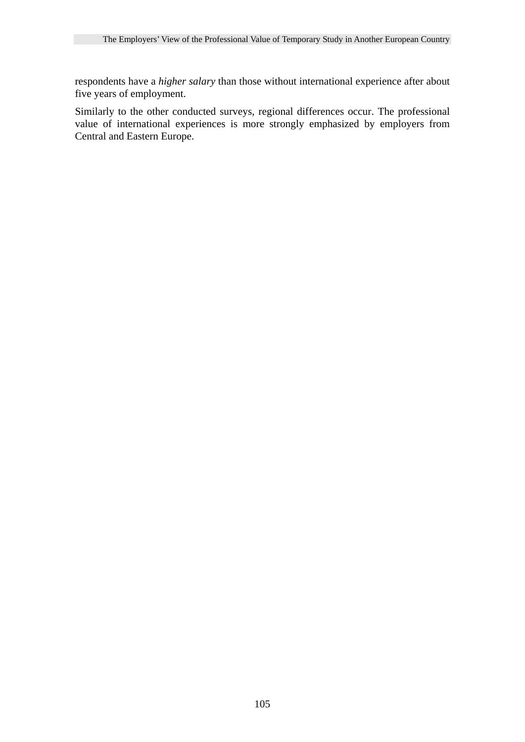respondents have a *higher salary* than those without international experience after about five years of employment.

Similarly to the other conducted surveys, regional differences occur. The professional value of international experiences is more strongly emphasized by employers from Central and Eastern Europe.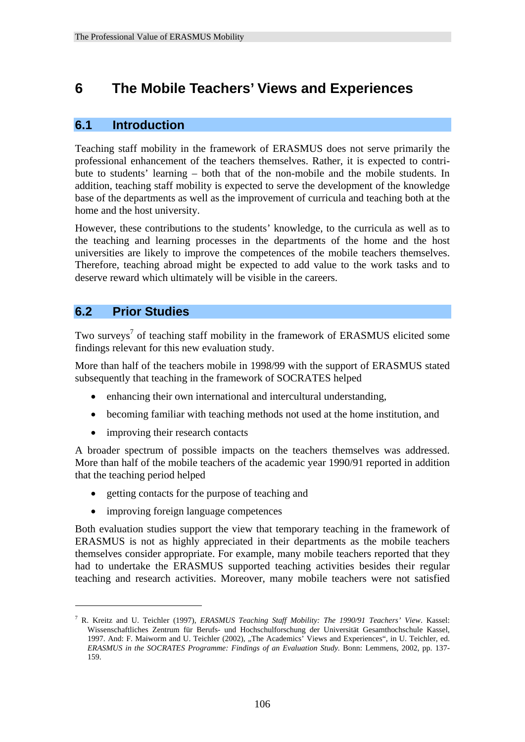## **6 The Mobile Teachers' Views and Experiences**

## **6.1 Introduction**

Teaching staff mobility in the framework of ERASMUS does not serve primarily the professional enhancement of the teachers themselves. Rather, it is expected to contribute to students' learning – both that of the non-mobile and the mobile students. In addition, teaching staff mobility is expected to serve the development of the knowledge base of the departments as well as the improvement of curricula and teaching both at the home and the host university.

However, these contributions to the students' knowledge, to the curricula as well as to the teaching and learning processes in the departments of the home and the host universities are likely to improve the competences of the mobile teachers themselves. Therefore, teaching abroad might be expected to add value to the work tasks and to deserve reward which ultimately will be visible in the careers.

## **6.2 Prior Studies**

1

Two surveys<sup>7</sup> of teaching staff mobility in the framework of ERASMUS elicited some findings relevant for this new evaluation study.

More than half of the teachers mobile in 1998/99 with the support of ERASMUS stated subsequently that teaching in the framework of SOCRATES helped

- enhancing their own international and intercultural understanding,
- becoming familiar with teaching methods not used at the home institution, and
- improving their research contacts

A broader spectrum of possible impacts on the teachers themselves was addressed. More than half of the mobile teachers of the academic year 1990/91 reported in addition that the teaching period helped

- getting contacts for the purpose of teaching and
- improving foreign language competences

Both evaluation studies support the view that temporary teaching in the framework of ERASMUS is not as highly appreciated in their departments as the mobile teachers themselves consider appropriate. For example, many mobile teachers reported that they had to undertake the ERASMUS supported teaching activities besides their regular teaching and research activities. Moreover, many mobile teachers were not satisfied

<sup>7</sup> R. Kreitz and U. Teichler (1997), *ERASMUS Teaching Staff Mobility: The 1990/91 Teachers' View*. Kassel: Wissenschaftliches Zentrum für Berufs- und Hochschulforschung der Universität Gesamthochschule Kassel, 1997. And: F. Maiworm and U. Teichler (2002), "The Academics' Views and Experiences", in U. Teichler, ed. *ERASMUS in the SOCRATES Programme: Findings of an Evaluation Study.* Bonn: Lemmens, 2002, pp. 137- 159.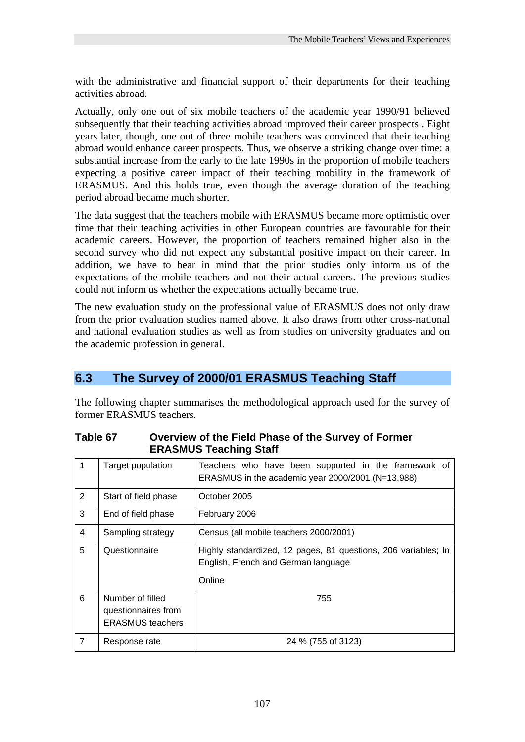with the administrative and financial support of their departments for their teaching activities abroad.

Actually, only one out of six mobile teachers of the academic year 1990/91 believed subsequently that their teaching activities abroad improved their career prospects . Eight years later, though, one out of three mobile teachers was convinced that their teaching abroad would enhance career prospects. Thus, we observe a striking change over time: a substantial increase from the early to the late 1990s in the proportion of mobile teachers expecting a positive career impact of their teaching mobility in the framework of ERASMUS. And this holds true, even though the average duration of the teaching period abroad became much shorter.

The data suggest that the teachers mobile with ERASMUS became more optimistic over time that their teaching activities in other European countries are favourable for their academic careers. However, the proportion of teachers remained higher also in the second survey who did not expect any substantial positive impact on their career. In addition, we have to bear in mind that the prior studies only inform us of the expectations of the mobile teachers and not their actual careers. The previous studies could not inform us whether the expectations actually became true.

The new evaluation study on the professional value of ERASMUS does not only draw from the prior evaluation studies named above. It also draws from other cross-national and national evaluation studies as well as from studies on university graduates and on the academic profession in general.

## **6.3 The Survey of 2000/01 ERASMUS Teaching Staff**

The following chapter summarises the methodological approach used for the survey of former ERASMUS teachers.

|                      |                                                                    | <b>ERAJMUS TEACHING STAIL</b>                                                                                   |
|----------------------|--------------------------------------------------------------------|-----------------------------------------------------------------------------------------------------------------|
| $\mathbf 1$          | Target population                                                  | Teachers who have been supported in the framework of<br>ERASMUS in the academic year 2000/2001 (N=13,988)       |
| $\mathbf{2}^{\circ}$ | Start of field phase                                               | October 2005                                                                                                    |
| 3                    | End of field phase                                                 | February 2006                                                                                                   |
| 4                    | Sampling strategy                                                  | Census (all mobile teachers 2000/2001)                                                                          |
| 5                    | Questionnaire                                                      | Highly standardized, 12 pages, 81 questions, 206 variables; In<br>English, French and German language<br>Online |
| 6                    | Number of filled<br>questionnaires from<br><b>ERASMUS</b> teachers | 755                                                                                                             |
| $\overline{7}$       | Response rate                                                      | 24 % (755 of 3123)                                                                                              |

#### **Table 67 Overview of the Field Phase of the Survey of Former ERASMUS Teaching Staff**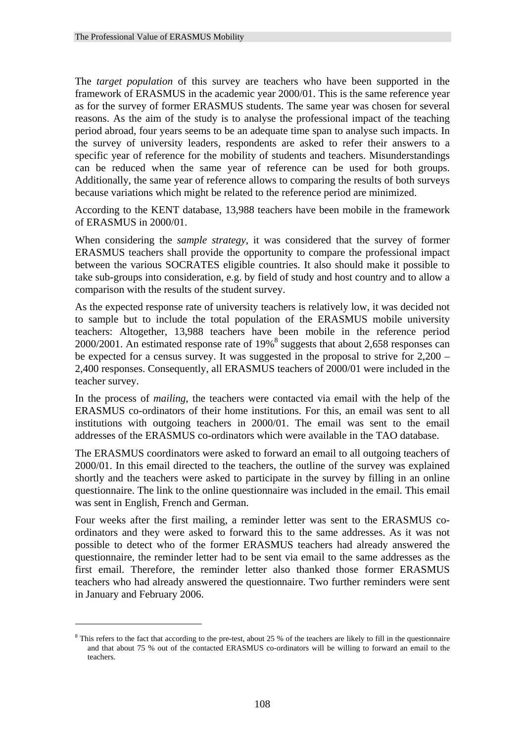The *target population* of this survey are teachers who have been supported in the framework of ERASMUS in the academic year 2000/01. This is the same reference year as for the survey of former ERASMUS students. The same year was chosen for several reasons. As the aim of the study is to analyse the professional impact of the teaching period abroad, four years seems to be an adequate time span to analyse such impacts. In the survey of university leaders, respondents are asked to refer their answers to a specific year of reference for the mobility of students and teachers. Misunderstandings can be reduced when the same year of reference can be used for both groups. Additionally, the same year of reference allows to comparing the results of both surveys because variations which might be related to the reference period are minimized.

According to the KENT database, 13,988 teachers have been mobile in the framework of ERASMUS in 2000/01.

When considering the *sample strategy*, it was considered that the survey of former ERASMUS teachers shall provide the opportunity to compare the professional impact between the various SOCRATES eligible countries. It also should make it possible to take sub-groups into consideration, e.g. by field of study and host country and to allow a comparison with the results of the student survey.

As the expected response rate of university teachers is relatively low, it was decided not to sample but to include the total population of the ERASMUS mobile university teachers: Altogether, 13,988 teachers have been mobile in the reference period 2000/2001. An estimated response rate of 19%<sup>8</sup> suggests that about 2,658 responses can be expected for a census survey. It was suggested in the proposal to strive for 2,200 – 2,400 responses. Consequently, all ERASMUS teachers of 2000/01 were included in the teacher survey.

In the process of *mailing*, the teachers were contacted via email with the help of the ERASMUS co-ordinators of their home institutions. For this, an email was sent to all institutions with outgoing teachers in 2000/01. The email was sent to the email addresses of the ERASMUS co-ordinators which were available in the TAO database.

The ERASMUS coordinators were asked to forward an email to all outgoing teachers of 2000/01. In this email directed to the teachers, the outline of the survey was explained shortly and the teachers were asked to participate in the survey by filling in an online questionnaire. The link to the online questionnaire was included in the email. This email was sent in English, French and German.

Four weeks after the first mailing, a reminder letter was sent to the ERASMUS coordinators and they were asked to forward this to the same addresses. As it was not possible to detect who of the former ERASMUS teachers had already answered the questionnaire, the reminder letter had to be sent via email to the same addresses as the first email. Therefore, the reminder letter also thanked those former ERASMUS teachers who had already answered the questionnaire. Two further reminders were sent in January and February 2006.

1

<sup>&</sup>lt;sup>8</sup> This refers to the fact that according to the pre-test, about 25 % of the teachers are likely to fill in the questionnaire and that about 75 % out of the contacted ERASMUS co-ordinators will be willing to forward an email to the teachers.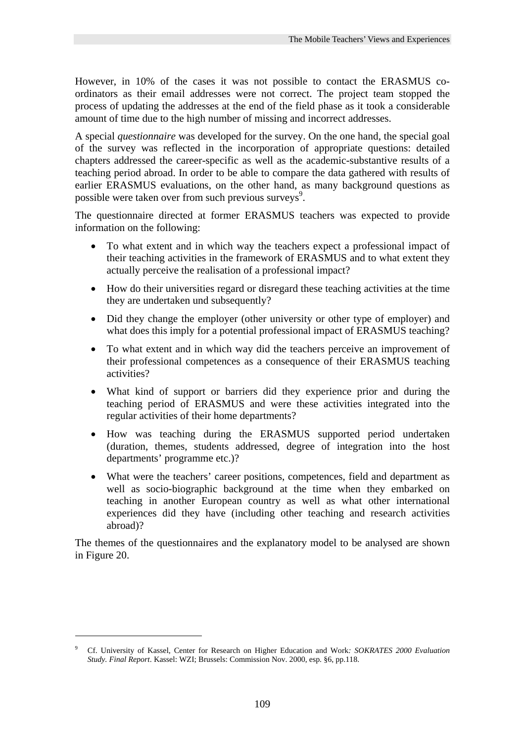However, in 10% of the cases it was not possible to contact the ERASMUS coordinators as their email addresses were not correct. The project team stopped the process of updating the addresses at the end of the field phase as it took a considerable amount of time due to the high number of missing and incorrect addresses.

A special *questionnaire* was developed for the survey. On the one hand, the special goal of the survey was reflected in the incorporation of appropriate questions: detailed chapters addressed the career-specific as well as the academic-substantive results of a teaching period abroad. In order to be able to compare the data gathered with results of earlier ERASMUS evaluations, on the other hand, as many background questions as possible were taken over from such previous surveys<sup>9</sup>.

The questionnaire directed at former ERASMUS teachers was expected to provide information on the following:

- To what extent and in which way the teachers expect a professional impact of their teaching activities in the framework of ERASMUS and to what extent they actually perceive the realisation of a professional impact?
- How do their universities regard or disregard these teaching activities at the time they are undertaken und subsequently?
- Did they change the employer (other university or other type of employer) and what does this imply for a potential professional impact of ERASMUS teaching?
- To what extent and in which way did the teachers perceive an improvement of their professional competences as a consequence of their ERASMUS teaching activities?
- What kind of support or barriers did they experience prior and during the teaching period of ERASMUS and were these activities integrated into the regular activities of their home departments?
- How was teaching during the ERASMUS supported period undertaken (duration, themes, students addressed, degree of integration into the host departments' programme etc.)?
- What were the teachers' career positions, competences, field and department as well as socio-biographic background at the time when they embarked on teaching in another European country as well as what other international experiences did they have (including other teaching and research activities abroad)?

The themes of the questionnaires and the explanatory model to be analysed are shown in Figure 20.

1

<sup>9</sup> Cf. University of Kassel, Center for Research on Higher Education and Work*: SOKRATES 2000 Evaluation Study. Final Report*. Kassel: WZI; Brussels: Commission Nov. 2000, esp. §6, pp.118.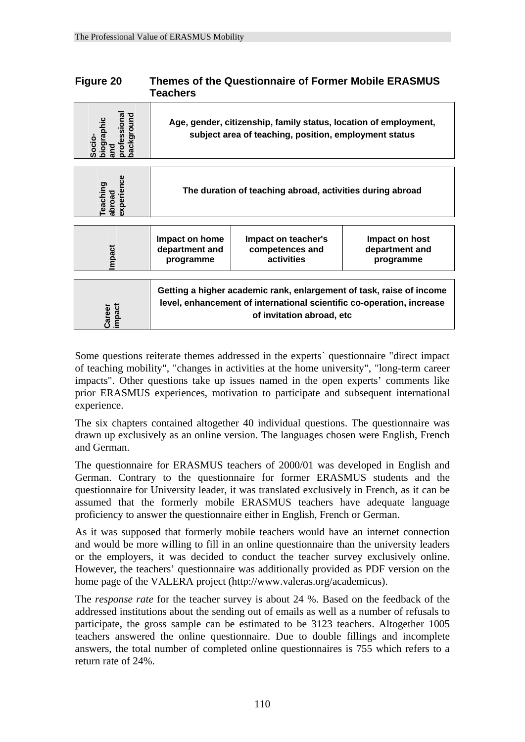| Figure 20                                        | <b>Teachers</b>                                                                                                           | <b>Themes of the Questionnaire of Former Mobile ERASMUS</b>                                                                                                                |                                               |  |  |
|--------------------------------------------------|---------------------------------------------------------------------------------------------------------------------------|----------------------------------------------------------------------------------------------------------------------------------------------------------------------------|-----------------------------------------------|--|--|
| professional<br>packground<br>lde.noic<br>Socio- | Age, gender, citizenship, family status, location of employment,<br>subject area of teaching, position, employment status |                                                                                                                                                                            |                                               |  |  |
| experience<br>eaching<br>abroad                  | The duration of teaching abroad, activities during abroad                                                                 |                                                                                                                                                                            |                                               |  |  |
| mpact                                            | Impact on home<br>department and<br>programme                                                                             | Impact on teacher's<br>competences and<br>activities                                                                                                                       | Impact on host<br>department and<br>programme |  |  |
| impact<br>Career                                 |                                                                                                                           | Getting a higher academic rank, enlargement of task, raise of income<br>level, enhancement of international scientific co-operation, increase<br>of invitation abroad, etc |                                               |  |  |

Some questions reiterate themes addressed in the experts` questionnaire "direct impact of teaching mobility", "changes in activities at the home university", "long-term career impacts". Other questions take up issues named in the open experts' comments like prior ERASMUS experiences, motivation to participate and subsequent international experience.

The six chapters contained altogether 40 individual questions. The questionnaire was drawn up exclusively as an online version. The languages chosen were English, French and German.

The questionnaire for ERASMUS teachers of 2000/01 was developed in English and German. Contrary to the questionnaire for former ERASMUS students and the questionnaire for University leader, it was translated exclusively in French, as it can be assumed that the formerly mobile ERASMUS teachers have adequate language proficiency to answer the questionnaire either in English, French or German.

As it was supposed that formerly mobile teachers would have an internet connection and would be more willing to fill in an online questionnaire than the university leaders or the employers, it was decided to conduct the teacher survey exclusively online. However, the teachers' questionnaire was additionally provided as PDF version on the home page of the VALERA project (http://www.valeras.org/academicus).

The *response rate* for the teacher survey is about 24 %. Based on the feedback of the addressed institutions about the sending out of emails as well as a number of refusals to participate, the gross sample can be estimated to be 3123 teachers. Altogether 1005 teachers answered the online questionnaire. Due to double fillings and incomplete answers, the total number of completed online questionnaires is 755 which refers to a return rate of 24%.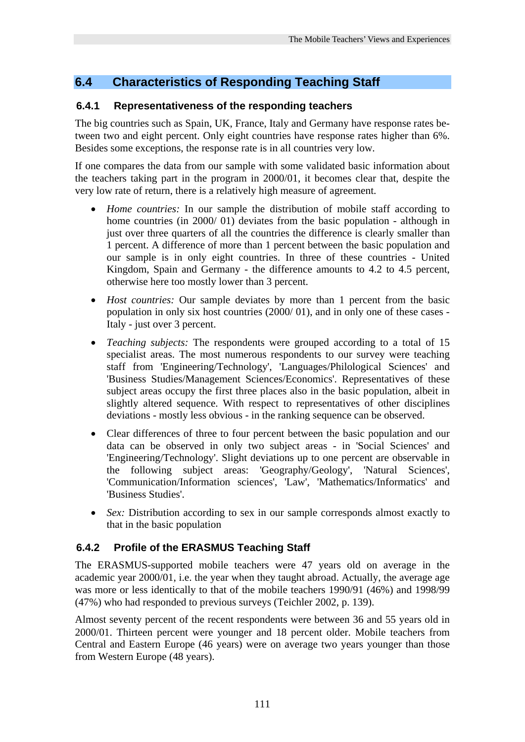## **6.4 Characteristics of Responding Teaching Staff**

## **6.4.1 Representativeness of the responding teachers**

The big countries such as Spain, UK, France, Italy and Germany have response rates between two and eight percent. Only eight countries have response rates higher than 6%. Besides some exceptions, the response rate is in all countries very low.

If one compares the data from our sample with some validated basic information about the teachers taking part in the program in 2000/01, it becomes clear that, despite the very low rate of return, there is a relatively high measure of agreement.

- *Home countries:* In our sample the distribution of mobile staff according to home countries (in 2000/ 01) deviates from the basic population - although in just over three quarters of all the countries the difference is clearly smaller than 1 percent. A difference of more than 1 percent between the basic population and our sample is in only eight countries. In three of these countries - United Kingdom, Spain and Germany - the difference amounts to 4.2 to 4.5 percent, otherwise here too mostly lower than 3 percent.
- *Host countries:* Our sample deviates by more than 1 percent from the basic population in only six host countries (2000/ 01), and in only one of these cases - Italy - just over 3 percent.
- *Teaching subjects:* The respondents were grouped according to a total of 15 specialist areas. The most numerous respondents to our survey were teaching staff from 'Engineering/Technology', 'Languages/Philological Sciences' and 'Business Studies/Management Sciences/Economics'. Representatives of these subject areas occupy the first three places also in the basic population, albeit in slightly altered sequence. With respect to representatives of other disciplines deviations - mostly less obvious - in the ranking sequence can be observed.
- Clear differences of three to four percent between the basic population and our data can be observed in only two subject areas - in 'Social Sciences' and 'Engineering/Technology'. Slight deviations up to one percent are observable in the following subject areas: 'Geography/Geology', 'Natural Sciences', 'Communication/Information sciences', 'Law', 'Mathematics/Informatics' and 'Business Studies'.
- *Sex:* Distribution according to sex in our sample corresponds almost exactly to that in the basic population

## **6.4.2 Profile of the ERASMUS Teaching Staff**

The ERASMUS-supported mobile teachers were 47 years old on average in the academic year 2000/01, i.e. the year when they taught abroad. Actually, the average age was more or less identically to that of the mobile teachers 1990/91 (46%) and 1998/99 (47%) who had responded to previous surveys (Teichler 2002, p. 139).

Almost seventy percent of the recent respondents were between 36 and 55 years old in 2000/01. Thirteen percent were younger and 18 percent older. Mobile teachers from Central and Eastern Europe (46 years) were on average two years younger than those from Western Europe (48 years).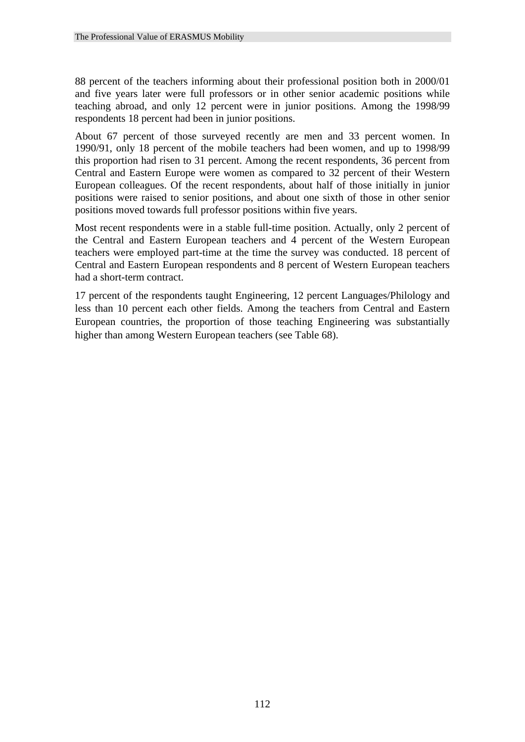88 percent of the teachers informing about their professional position both in 2000/01 and five years later were full professors or in other senior academic positions while teaching abroad, and only 12 percent were in junior positions. Among the 1998/99 respondents 18 percent had been in junior positions.

About 67 percent of those surveyed recently are men and 33 percent women. In 1990/91, only 18 percent of the mobile teachers had been women, and up to 1998/99 this proportion had risen to 31 percent. Among the recent respondents, 36 percent from Central and Eastern Europe were women as compared to 32 percent of their Western European colleagues. Of the recent respondents, about half of those initially in junior positions were raised to senior positions, and about one sixth of those in other senior positions moved towards full professor positions within five years.

Most recent respondents were in a stable full-time position. Actually, only 2 percent of the Central and Eastern European teachers and 4 percent of the Western European teachers were employed part-time at the time the survey was conducted. 18 percent of Central and Eastern European respondents and 8 percent of Western European teachers had a short-term contract.

17 percent of the respondents taught Engineering, 12 percent Languages/Philology and less than 10 percent each other fields. Among the teachers from Central and Eastern European countries, the proportion of those teaching Engineering was substantially higher than among Western European teachers (see Table 68).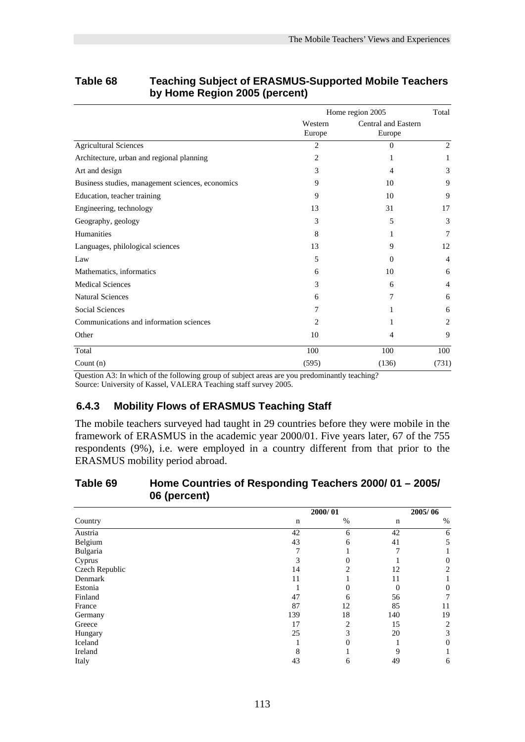|                                                             | Home region 2005  |                               | Total          |
|-------------------------------------------------------------|-------------------|-------------------------------|----------------|
|                                                             | Western<br>Europe | Central and Eastern<br>Europe |                |
| <b>Agricultural Sciences</b>                                | $\overline{c}$    | $\Omega$                      | 2              |
| Architecture, urban and regional planning                   | 2                 | 1                             | 1              |
| Art and design                                              | 3                 | 4                             | 3              |
| Business studies, management sciences, economics            | 9                 | 10                            | 9              |
| Education, teacher training                                 | 9                 | 10                            | 9              |
| Engineering, technology                                     | 13                | 31                            | 17             |
| Geography, geology                                          | 3                 | 5                             | 3              |
| Humanities                                                  | 8                 | 1                             | $\tau$         |
| Languages, philological sciences                            | 13                | 9                             | 12             |
| Law                                                         | 5                 | $\Omega$                      | $\overline{4}$ |
| Mathematics, informatics                                    | 6                 | 10                            | 6              |
| <b>Medical Sciences</b>                                     | 3                 | 6                             | 4              |
| <b>Natural Sciences</b>                                     | 6                 | 7                             | 6              |
| <b>Social Sciences</b>                                      | 7                 | 1                             | 6              |
| Communications and information sciences                     | 2                 |                               | 2              |
| Other                                                       | 10                | 4                             | 9              |
| Total                                                       | 100               | 100                           | 100            |
| Count $(n)$<br>$\cdots$ $\cdots$<br>$\sim$<br>$\sim$ $\sim$ | (595)             | (136)                         | (731)          |

## **Table 68 Teaching Subject of ERASMUS-Supported Mobile Teachers by Home Region 2005 (percent)**

Question A3: In which of the following group of subject areas are you predominantly teaching? Source: University of Kassel, VALERA Teaching staff survey 2005.

## **6.4.3 Mobility Flows of ERASMUS Teaching Staff**

The mobile teachers surveyed had taught in 29 countries before they were mobile in the framework of ERASMUS in the academic year 2000/01. Five years later, 67 of the 755 respondents (9%), i.e. were employed in a country different from that prior to the ERASMUS mobility period abroad.

#### **Table 69 Home Countries of Responding Teachers 2000/ 01 – 2005/ 06 (percent)**

|                | 2000/01 |      | 2005/06 |    |  |  |
|----------------|---------|------|---------|----|--|--|
| Country        | n       | $\%$ | n       | %  |  |  |
| Austria        | 42      | 6    | 42      | 6  |  |  |
| Belgium        | 43      | 6    | 41      | 5  |  |  |
| Bulgaria       |         |      |         |    |  |  |
| Cyprus         |         |      |         | 0  |  |  |
| Czech Republic | 14      |      | 12      | 2  |  |  |
| Denmark        | 11      |      | 11      |    |  |  |
| Estonia        |         | 0    | 0       | 0  |  |  |
| Finland        | 47      | 6    | 56      |    |  |  |
| France         | 87      | 12   | 85      | 11 |  |  |
| Germany        | 139     | 18   | 140     | 19 |  |  |
| Greece         | 17      | 2    | 15      | 2  |  |  |
| Hungary        | 25      | 3    | 20      | 3  |  |  |
| Iceland        |         | 0    |         | 0  |  |  |
| Ireland        |         |      | 9       |    |  |  |
| Italy          | 43      | 6    | 49      | 6  |  |  |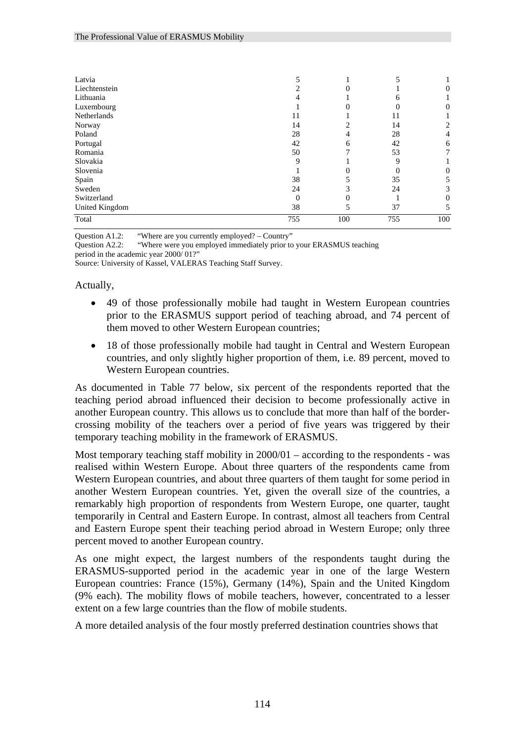| Latvia         |     |     |     |     |
|----------------|-----|-----|-----|-----|
| Liechtenstein  |     |     |     | 0   |
| Lithuania      |     |     |     |     |
| Luxembourg     |     |     |     |     |
| Netherlands    |     |     | 11  |     |
| Norway         | 14  |     | 14  |     |
| Poland         | 28  |     | 28  | 4   |
| Portugal       | 42  | h   | 42  | 6   |
| Romania        | 50  |     | 53  |     |
| Slovakia       | Q   |     | Q   |     |
| Slovenia       |     |     |     |     |
| Spain          | 38  |     | 35  |     |
| Sweden         | 24  |     | 24  |     |
| Switzerland    | 0   |     |     |     |
| United Kingdom | 38  |     | 37  |     |
| Total          | 755 | 100 | 755 | 100 |

Question A1.2: "Where are you currently employed? – Country"

Question A2.2: "Where were you employed immediately prior to your ERASMUS teaching period in the academic year 2000/ 01?"

Source: University of Kassel, VALERAS Teaching Staff Survey.

Actually,

- 49 of those professionally mobile had taught in Western European countries prior to the ERASMUS support period of teaching abroad, and 74 percent of them moved to other Western European countries;
- 18 of those professionally mobile had taught in Central and Western European countries, and only slightly higher proportion of them, i.e. 89 percent, moved to Western European countries.

As documented in Table 77 below, six percent of the respondents reported that the teaching period abroad influenced their decision to become professionally active in another European country. This allows us to conclude that more than half of the bordercrossing mobility of the teachers over a period of five years was triggered by their temporary teaching mobility in the framework of ERASMUS.

Most temporary teaching staff mobility in 2000/01 – according to the respondents - was realised within Western Europe. About three quarters of the respondents came from Western European countries, and about three quarters of them taught for some period in another Western European countries. Yet, given the overall size of the countries, a remarkably high proportion of respondents from Western Europe, one quarter, taught temporarily in Central and Eastern Europe. In contrast, almost all teachers from Central and Eastern Europe spent their teaching period abroad in Western Europe; only three percent moved to another European country.

As one might expect, the largest numbers of the respondents taught during the ERASMUS-supported period in the academic year in one of the large Western European countries: France (15%), Germany (14%), Spain and the United Kingdom (9% each). The mobility flows of mobile teachers, however, concentrated to a lesser extent on a few large countries than the flow of mobile students.

A more detailed analysis of the four mostly preferred destination countries shows that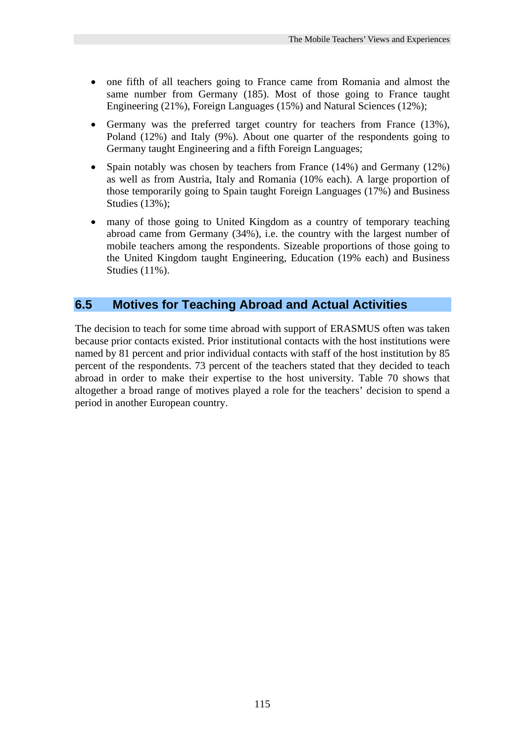- one fifth of all teachers going to France came from Romania and almost the same number from Germany (185). Most of those going to France taught Engineering (21%), Foreign Languages (15%) and Natural Sciences (12%);
- Germany was the preferred target country for teachers from France (13%), Poland (12%) and Italy (9%). About one quarter of the respondents going to Germany taught Engineering and a fifth Foreign Languages;
- Spain notably was chosen by teachers from France (14%) and Germany (12%) as well as from Austria, Italy and Romania (10% each). A large proportion of those temporarily going to Spain taught Foreign Languages (17%) and Business Studies (13%);
- many of those going to United Kingdom as a country of temporary teaching abroad came from Germany (34%), i.e. the country with the largest number of mobile teachers among the respondents. Sizeable proportions of those going to the United Kingdom taught Engineering, Education (19% each) and Business Studies (11%).

## **6.5 Motives for Teaching Abroad and Actual Activities**

The decision to teach for some time abroad with support of ERASMUS often was taken because prior contacts existed. Prior institutional contacts with the host institutions were named by 81 percent and prior individual contacts with staff of the host institution by 85 percent of the respondents. 73 percent of the teachers stated that they decided to teach abroad in order to make their expertise to the host university. Table 70 shows that altogether a broad range of motives played a role for the teachers' decision to spend a period in another European country.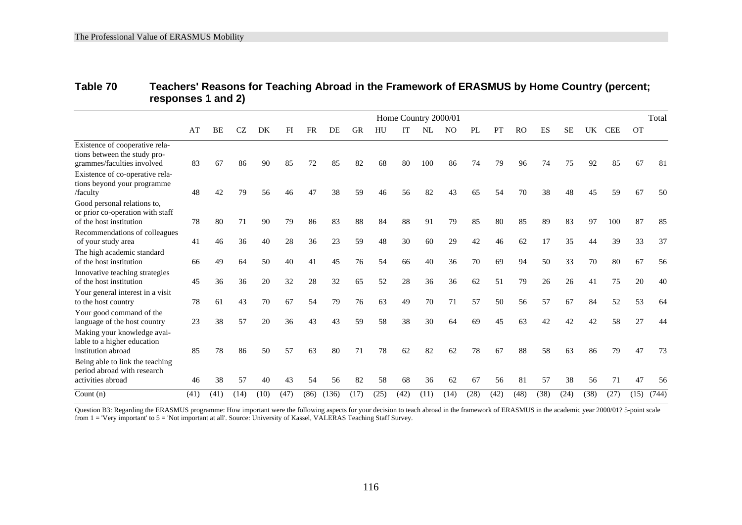| Table 70 | Teachers' Reasons for Teaching Abroad in the Framework of ERASMUS by Home Country (percent; |
|----------|---------------------------------------------------------------------------------------------|
|          | responses 1 and 2)                                                                          |

|                                                                                              |      | Home Country 2000/01 |      |      |      |      |       |           |      |      | Total |      |      |      |           |           |           |           |            |           |       |
|----------------------------------------------------------------------------------------------|------|----------------------|------|------|------|------|-------|-----------|------|------|-------|------|------|------|-----------|-----------|-----------|-----------|------------|-----------|-------|
|                                                                                              | AT   | BE                   | CZ   | DK   | FI   | FR   | DE    | <b>GR</b> | HU   |      | NL    | NΩ   | PL   | PT   | <b>RO</b> | <b>ES</b> | <b>SE</b> | <b>UK</b> | <b>CEE</b> | <b>OT</b> |       |
| Existence of cooperative rela-<br>tions between the study pro-<br>grammes/faculties involved | 83   | 67                   | 86   | 90   | 85   |      | 85    | 82        | 68   | 80   | 100   | 86   | 74   | 79   | 96        | 74        | 75        | 92        | 85         | 67        | -81   |
| Existence of co-operative rela-<br>tions beyond your programme<br>/faculty                   | 48   | 42                   | 79   | 56   |      | 47   | 38    | 59        | 46   | 56   | 82    | 43   | 65   | 54   | 70        | 38        | 48        | 45        | 59         | 67        | 50    |
| Good personal relations to,<br>or prior co-operation with staff<br>of the host institution   | 78   | 80                   | 71   | 90   | 79   | 86   | 83    | 88        | 84   | 88   | 91    | 79   | 85   | 80   | 85        | 89        | 83        | 97        | 100        | 87        | 85    |
| Recommendations of colleagues<br>of your study area                                          | 41   | 46                   | 36   | 40   | 28   | 36   | 23    | 59        | 48   | 30   | 60    | 29   | 42   | 46   | 62        | 17        | 35        | 44        | 39         | 33        | 37    |
| The high academic standard<br>of the host institution                                        | 66   | 49                   | 64   | 50   | 40   | 41   | 45    | 76        | 54   | 66   | 40    | 36   | 70   | 69   | 94        | 50        | 33        | 70        | 80         | 67        | 56    |
| Innovative teaching strategies<br>of the host institution                                    | 45   | 36                   | 36   | 20   | 32   | 28   | 32    | 65        | 52   | 28   | 36    | 36   | 62   | 51   | 79        | 26        | 26        | 41        | 75         | 20        | 40    |
| Your general interest in a visit<br>to the host country                                      | 78   | 61                   | 43   | 70   | 67   | 54   | 79    | 76        | 63   | 49   | 70    | 71   | 57   | 50   | 56        | 57        | 67        | 84        | 52         | 53        | 64    |
| Your good command of the<br>language of the host country                                     | 23   | 38                   | 57   | 20   | 36   | 43   | 43    | 59        | 58   | 38   | 30    | 64   | 69   | 45   | 63        | 42        | 42        | 42        | 58         | 27        |       |
| Making your knowledge avai-<br>lable to a higher education<br>institution abroad             | 85   | 78                   | 86   | 50   | 57   | 63   | 80    | 71        | 78   | 62   | 82    | 62   | 78   | 67   | 88        | 58        | 63        | 86        | 79         | 47        | 73    |
| Being able to link the teaching<br>period abroad with research<br>activities abroad          | 46   | 38                   | 57   | 40   | 43   | 54   | 56    | 82        | 58   | 68   | 36    | 62   | 67   | 56   | 81        | 57        | 38        | 56        | 71         | 47        | 56    |
| Count $(n)$                                                                                  | (41) | (41)                 | (14) | (10) | (47) | (86) | (136) | (17)      | (25) | (42) | (11)  | (14) | (28) | (42) | (48)      | (38)      | (24)      | (38)      | (27)       | (15)      | (744) |

Question B3: Regarding the ERASMUS programme: How important were the following aspects for your decision to teach abroad in the framework of ERASMUS in the academic year 2000/01? 5-point scale from 1 = 'Very important' to 5 = 'Not important at all'. Source: University of Kassel, VALERAS Teaching Staff Survey.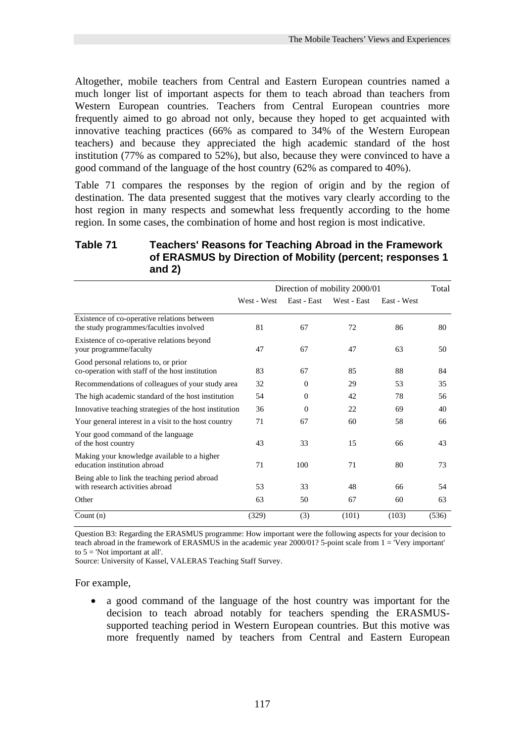Altogether, mobile teachers from Central and Eastern European countries named a much longer list of important aspects for them to teach abroad than teachers from Western European countries. Teachers from Central European countries more frequently aimed to go abroad not only, because they hoped to get acquainted with innovative teaching practices (66% as compared to 34% of the Western European teachers) and because they appreciated the high academic standard of the host institution (77% as compared to 52%), but also, because they were convinced to have a good command of the language of the host country (62% as compared to 40%).

Table 71 compares the responses by the region of origin and by the region of destination. The data presented suggest that the motives vary clearly according to the host region in many respects and somewhat less frequently according to the home region. In some cases, the combination of home and host region is most indicative.

#### **Table 71 Teachers' Reasons for Teaching Abroad in the Framework of ERASMUS by Direction of Mobility (percent; responses 1 and 2)**

|                                                                                         | Direction of mobility 2000/01 |             |             |             |       |  |  |  |
|-----------------------------------------------------------------------------------------|-------------------------------|-------------|-------------|-------------|-------|--|--|--|
|                                                                                         | West - West                   | East - East | West - East | East - West |       |  |  |  |
| Existence of co-operative relations between<br>the study programmes/faculties involved  | 81                            | 67          | 72          | 86          | 80    |  |  |  |
| Existence of co-operative relations beyond<br>your programme/faculty                    | 47                            | 67          | 47          | 63          | 50    |  |  |  |
| Good personal relations to, or prior<br>co-operation with staff of the host institution | 83                            | 67          | 85          | 88          | 84    |  |  |  |
| Recommendations of colleagues of your study area                                        | 32                            | $\Omega$    | 29          | 53          | 35    |  |  |  |
| The high academic standard of the host institution                                      | 54                            | $\Omega$    | 42          | 78          | 56    |  |  |  |
| Innovative teaching strategies of the host institution                                  | 36                            | $\Omega$    | 22          | 69          | 40    |  |  |  |
| Your general interest in a visit to the host country                                    | 71                            | 67          | 60          | 58          | 66    |  |  |  |
| Your good command of the language<br>of the host country                                | 43                            | 33          | 15          | 66          | 43    |  |  |  |
| Making your knowledge available to a higher<br>education institution abroad             | 71                            | 100         | 71          | 80          | 73    |  |  |  |
| Being able to link the teaching period abroad<br>with research activities abroad        | 53                            | 33          | 48          | 66          | 54    |  |  |  |
| Other                                                                                   | 63                            | 50          | 67          | 60          | 63    |  |  |  |
| Count $(n)$                                                                             | (329)                         | (3)         | (101)       | (103)       | (536) |  |  |  |

Question B3: Regarding the ERASMUS programme: How important were the following aspects for your decision to teach abroad in the framework of ERASMUS in the academic year 2000/01? 5-point scale from 1 = 'Very important' to  $5 =$  'Not important at all'.

Source: University of Kassel, VALERAS Teaching Staff Survey.

#### For example,

• a good command of the language of the host country was important for the decision to teach abroad notably for teachers spending the ERASMUSsupported teaching period in Western European countries. But this motive was more frequently named by teachers from Central and Eastern European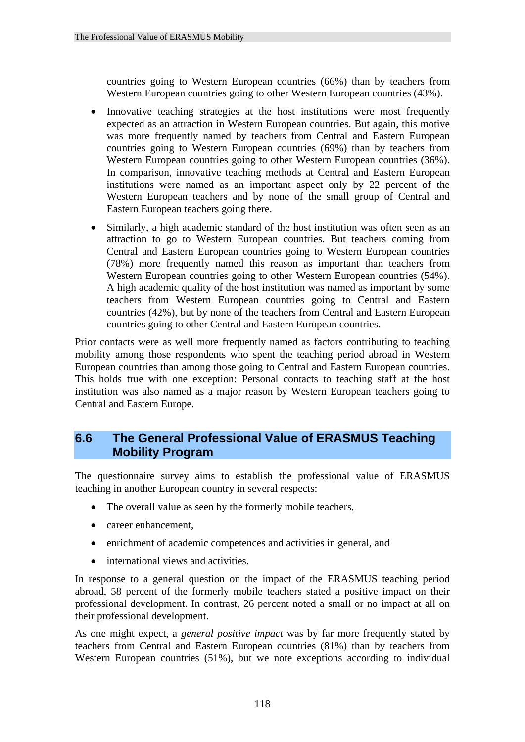countries going to Western European countries (66%) than by teachers from Western European countries going to other Western European countries (43%).

- Innovative teaching strategies at the host institutions were most frequently expected as an attraction in Western European countries. But again, this motive was more frequently named by teachers from Central and Eastern European countries going to Western European countries (69%) than by teachers from Western European countries going to other Western European countries (36%). In comparison, innovative teaching methods at Central and Eastern European institutions were named as an important aspect only by 22 percent of the Western European teachers and by none of the small group of Central and Eastern European teachers going there.
- Similarly, a high academic standard of the host institution was often seen as an attraction to go to Western European countries. But teachers coming from Central and Eastern European countries going to Western European countries (78%) more frequently named this reason as important than teachers from Western European countries going to other Western European countries (54%). A high academic quality of the host institution was named as important by some teachers from Western European countries going to Central and Eastern countries (42%), but by none of the teachers from Central and Eastern European countries going to other Central and Eastern European countries.

Prior contacts were as well more frequently named as factors contributing to teaching mobility among those respondents who spent the teaching period abroad in Western European countries than among those going to Central and Eastern European countries. This holds true with one exception: Personal contacts to teaching staff at the host institution was also named as a major reason by Western European teachers going to Central and Eastern Europe.

## **6.6 The General Professional Value of ERASMUS Teaching Mobility Program**

The questionnaire survey aims to establish the professional value of ERASMUS teaching in another European country in several respects:

- The overall value as seen by the formerly mobile teachers,
- career enhancement,
- enrichment of academic competences and activities in general, and
- international views and activities.

In response to a general question on the impact of the ERASMUS teaching period abroad, 58 percent of the formerly mobile teachers stated a positive impact on their professional development. In contrast, 26 percent noted a small or no impact at all on their professional development.

As one might expect, a *general positive impact* was by far more frequently stated by teachers from Central and Eastern European countries (81%) than by teachers from Western European countries (51%), but we note exceptions according to individual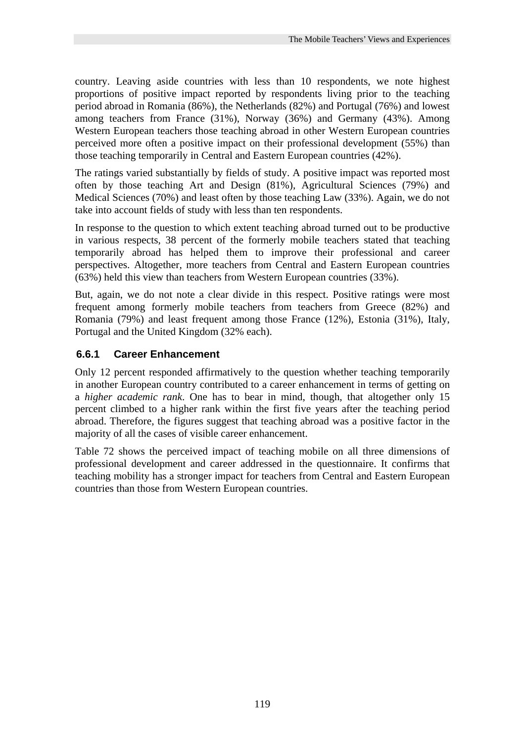country. Leaving aside countries with less than 10 respondents, we note highest proportions of positive impact reported by respondents living prior to the teaching period abroad in Romania (86%), the Netherlands (82%) and Portugal (76%) and lowest among teachers from France (31%), Norway (36%) and Germany (43%). Among Western European teachers those teaching abroad in other Western European countries perceived more often a positive impact on their professional development (55%) than those teaching temporarily in Central and Eastern European countries (42%).

The ratings varied substantially by fields of study. A positive impact was reported most often by those teaching Art and Design (81%), Agricultural Sciences (79%) and Medical Sciences (70%) and least often by those teaching Law (33%). Again, we do not take into account fields of study with less than ten respondents.

In response to the question to which extent teaching abroad turned out to be productive in various respects, 38 percent of the formerly mobile teachers stated that teaching temporarily abroad has helped them to improve their professional and career perspectives. Altogether, more teachers from Central and Eastern European countries (63%) held this view than teachers from Western European countries (33%).

But, again, we do not note a clear divide in this respect. Positive ratings were most frequent among formerly mobile teachers from teachers from Greece (82%) and Romania (79%) and least frequent among those France (12%), Estonia (31%), Italy, Portugal and the United Kingdom (32% each).

## **6.6.1 Career Enhancement**

Only 12 percent responded affirmatively to the question whether teaching temporarily in another European country contributed to a career enhancement in terms of getting on a *higher academic rank*. One has to bear in mind, though, that altogether only 15 percent climbed to a higher rank within the first five years after the teaching period abroad. Therefore, the figures suggest that teaching abroad was a positive factor in the majority of all the cases of visible career enhancement.

Table 72 shows the perceived impact of teaching mobile on all three dimensions of professional development and career addressed in the questionnaire. It confirms that teaching mobility has a stronger impact for teachers from Central and Eastern European countries than those from Western European countries.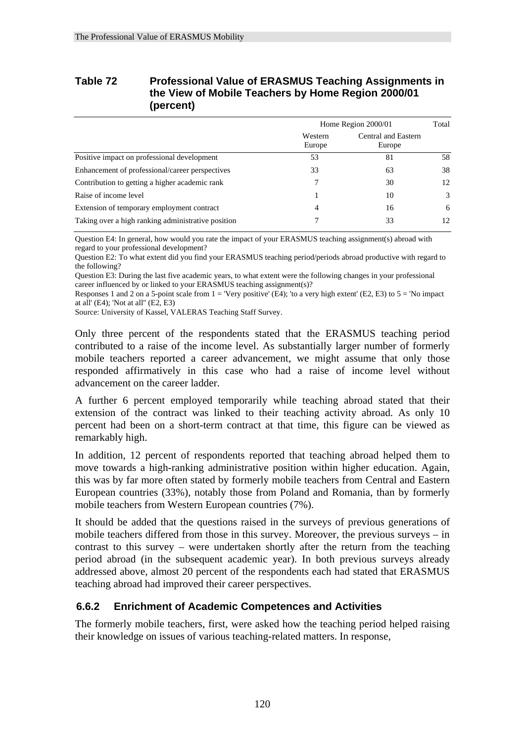#### **Table 72 Professional Value of ERASMUS Teaching Assignments in the View of Mobile Teachers by Home Region 2000/01 (percent)**

|                                                    | Home Region 2000/01 |                               |    |  |  |
|----------------------------------------------------|---------------------|-------------------------------|----|--|--|
|                                                    | Western<br>Europe   | Central and Eastern<br>Europe |    |  |  |
| Positive impact on professional development        | 53                  | 81                            | 58 |  |  |
| Enhancement of professional/career perspectives    | 33                  | 63                            | 38 |  |  |
| Contribution to getting a higher academic rank     |                     | 30                            | 12 |  |  |
| Raise of income level                              |                     | 10                            | 3  |  |  |
| Extension of temporary employment contract         | 4                   | 16                            | 6  |  |  |
| Taking over a high ranking administrative position |                     | 33                            | 12 |  |  |

Question E4: In general, how would you rate the impact of your ERASMUS teaching assignment(s) abroad with regard to your professional development?

Question E2: To what extent did you find your ERASMUS teaching period/periods abroad productive with regard to the following?

Question E3: During the last five academic years, to what extent were the following changes in your professional career influenced by or linked to your ERASMUS teaching assignment(s)?

Responses 1 and 2 on a 5-point scale from  $1 =$  'Very positive' (E4); 'to a very high extent' (E2, E3) to  $5 =$  'No impact at all' (E4); 'Not at all'' (E2, E3)

Source: University of Kassel, VALERAS Teaching Staff Survey.

Only three percent of the respondents stated that the ERASMUS teaching period contributed to a raise of the income level. As substantially larger number of formerly mobile teachers reported a career advancement, we might assume that only those responded affirmatively in this case who had a raise of income level without advancement on the career ladder.

A further 6 percent employed temporarily while teaching abroad stated that their extension of the contract was linked to their teaching activity abroad. As only 10 percent had been on a short-term contract at that time, this figure can be viewed as remarkably high.

In addition, 12 percent of respondents reported that teaching abroad helped them to move towards a high-ranking administrative position within higher education. Again, this was by far more often stated by formerly mobile teachers from Central and Eastern European countries (33%), notably those from Poland and Romania, than by formerly mobile teachers from Western European countries (7%).

It should be added that the questions raised in the surveys of previous generations of mobile teachers differed from those in this survey. Moreover, the previous surveys – in contrast to this survey – were undertaken shortly after the return from the teaching period abroad (in the subsequent academic year). In both previous surveys already addressed above, almost 20 percent of the respondents each had stated that ERASMUS teaching abroad had improved their career perspectives.

## **6.6.2 Enrichment of Academic Competences and Activities**

The formerly mobile teachers, first, were asked how the teaching period helped raising their knowledge on issues of various teaching-related matters. In response,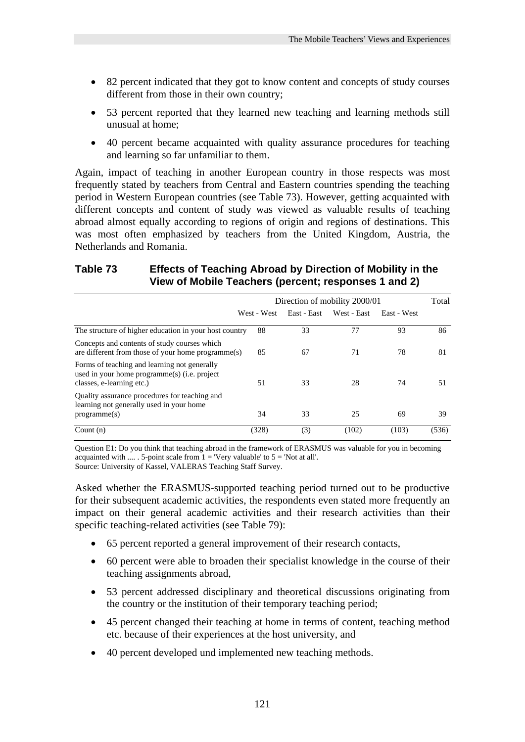- 82 percent indicated that they got to know content and concepts of study courses different from those in their own country;
- 53 percent reported that they learned new teaching and learning methods still unusual at home;
- 40 percent became acquainted with quality assurance procedures for teaching and learning so far unfamiliar to them.

Again, impact of teaching in another European country in those respects was most frequently stated by teachers from Central and Eastern countries spending the teaching period in Western European countries (see Table 73). However, getting acquainted with different concepts and content of study was viewed as valuable results of teaching abroad almost equally according to regions of origin and regions of destinations. This was most often emphasized by teachers from the United Kingdom, Austria, the Netherlands and Romania.

### **Table 73 Effects of Teaching Abroad by Direction of Mobility in the View of Mobile Teachers (percent; responses 1 and 2)**

|                                                                                                                           | Direction of mobility 2000/01 |             |             |             |       |  |  |  |
|---------------------------------------------------------------------------------------------------------------------------|-------------------------------|-------------|-------------|-------------|-------|--|--|--|
|                                                                                                                           | West - West                   | East - East | West - East | East - West |       |  |  |  |
| The structure of higher education in your host country                                                                    | 88                            | 33          | 77          | 93          | 86    |  |  |  |
| Concepts and contents of study courses which<br>are different from those of your home programme(s)                        | 85                            | 67          | 71          | 78          | 81    |  |  |  |
| Forms of teaching and learning not generally<br>used in your home programme(s) (i.e. project<br>classes, e-learning etc.) | 51                            | 33          | 28          | 74          | 51    |  |  |  |
| Quality assurance procedures for teaching and<br>learning not generally used in your home<br>programme(s)                 | 34                            | 33          | 25          | 69          | 39    |  |  |  |
| Count $(n)$                                                                                                               | (328)                         | (3)         | (102)       | (103)       | (536) |  |  |  |

Question E1: Do you think that teaching abroad in the framework of ERASMUS was valuable for you in becoming acquainted with .... . 5-point scale from  $1 =$  'Very valuable' to  $5 =$  'Not at all'. Source: University of Kassel, VALERAS Teaching Staff Survey.

Asked whether the ERASMUS-supported teaching period turned out to be productive for their subsequent academic activities, the respondents even stated more frequently an impact on their general academic activities and their research activities than their specific teaching-related activities (see Table 79):

- 65 percent reported a general improvement of their research contacts,
- 60 percent were able to broaden their specialist knowledge in the course of their teaching assignments abroad,
- 53 percent addressed disciplinary and theoretical discussions originating from the country or the institution of their temporary teaching period;
- 45 percent changed their teaching at home in terms of content, teaching method etc. because of their experiences at the host university, and
- 40 percent developed und implemented new teaching methods.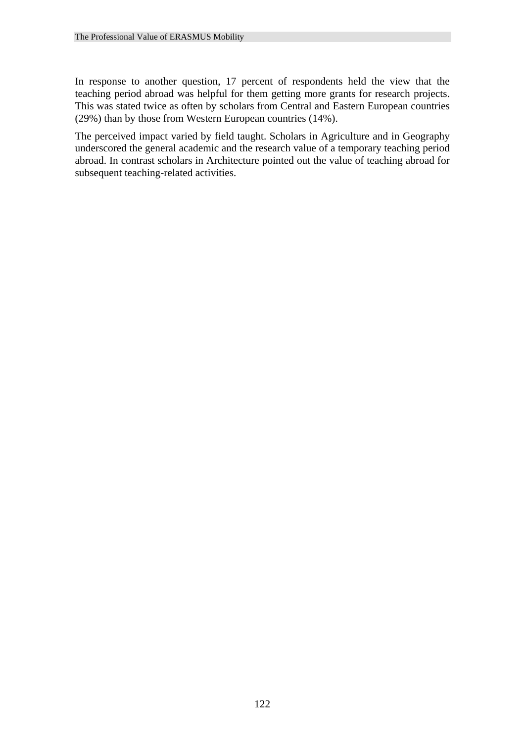In response to another question, 17 percent of respondents held the view that the teaching period abroad was helpful for them getting more grants for research projects. This was stated twice as often by scholars from Central and Eastern European countries (29%) than by those from Western European countries (14%).

The perceived impact varied by field taught. Scholars in Agriculture and in Geography underscored the general academic and the research value of a temporary teaching period abroad. In contrast scholars in Architecture pointed out the value of teaching abroad for subsequent teaching-related activities.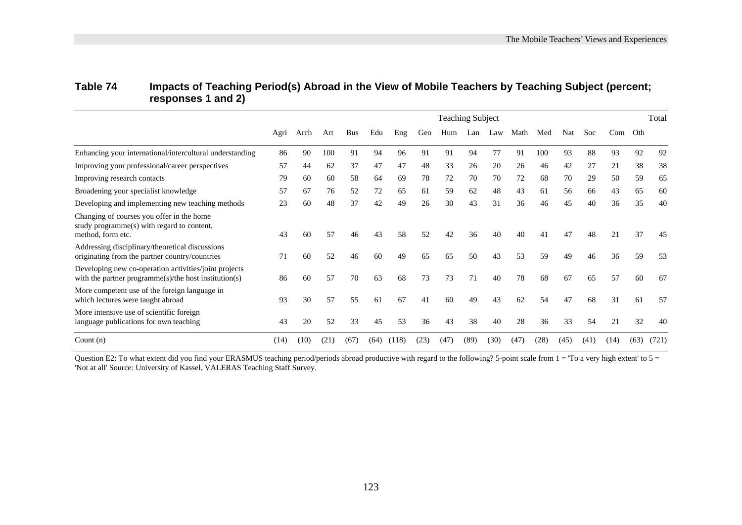|                                                                                                                       |      | <b>Teaching Subject</b> |      |            |      |       |      |      |      |      |      | Total |      |      |         |      |       |
|-----------------------------------------------------------------------------------------------------------------------|------|-------------------------|------|------------|------|-------|------|------|------|------|------|-------|------|------|---------|------|-------|
|                                                                                                                       | Agri | Arch                    | Art  | <b>Bus</b> | Edu  | Eng   | Geo  | Hum  | Lan  | Law  | Math | Med   | Nat  | Soc  | Com Oth |      |       |
| Enhancing your international/intercultural understanding                                                              | 86   | 90                      | 100  | 91         | 94   | 96    | 91   | 91   | 94   | 77   | 91   | 100   | 93   | 88   | 93      | 92   | 92    |
| Improving your professional/career perspectives                                                                       | 57   | 44                      | 62   | 37         | 47   | 47    | 48   | 33   | 26   | 20   | 26   | 46    | 42   | 27   | 21      | 38   | 38    |
| Improving research contacts                                                                                           | 79   | 60                      | 60   | 58         | 64   | 69    | 78   | 72   | 70   | 70   | 72   | 68    | 70   | 29   | 50      | 59   | 65    |
| Broadening your specialist knowledge                                                                                  | 57   | 67                      | 76   | 52         | 72   | 65    | 61   | 59   | 62   | 48   | 43   | 61    | 56   | 66   | 43      | 65   | 60    |
| Developing and implementing new teaching methods                                                                      | 23   | 60                      | 48   | 37         | 42   | 49    | 26   | 30   | 43   | 31   | 36   | 46    | 45   | 40   | 36      | 35   | 40    |
| Changing of courses you offer in the home<br>study programme(s) with regard to content,<br>method, form etc.          | 43   | 60                      | 57   | 46         | 43   | 58    | 52   | 42   | 36   | 40   | 40   | 41    | 47   | 48   | 21      | 37   | 45    |
| Addressing disciplinary/theoretical discussions<br>originating from the partner country/countries                     | 71   | 60                      | 52   | 46         | 60   | 49    | 65   | 65   | 50   | 43   | 53   | 59    | 49   | 46   | 36      | 59   | 53    |
| Developing new co-operation activities/joint projects<br>with the partner programme $(s)/$ the host institution $(s)$ | 86   | 60                      | 57   | 70         | 63   | 68    | 73   | 73   | 71   | 40   | 78   | 68    | 67   | 65   | 57      | 60   | 67    |
| More competent use of the foreign language in<br>which lectures were taught abroad                                    | 93   | 30                      | 57   | 55         | 61   | 67    | 41   | 60   | 49   | 43   | 62   | 54    | 47   | 68   | 31      | 61   | 57    |
| More intensive use of scientific foreign<br>language publications for own teaching                                    | 43   | 20                      | 52   | 33         | 45   | 53    | 36   | 43   | 38   | 40   | 28   | 36    | 33   | 54   | 21      | 32   | 40    |
| Count $(n)$                                                                                                           | (14) | (10)                    | (21) | (67)       | (64) | (118) | (23) | (47) | (89) | (30) | (47) | (28)  | (45) | (41) | (14)    | (63) | (721) |

## **Table 74 Impacts of Teaching Period(s) Abroad in the View of Mobile Teachers by Teaching Subject (percent; responses 1 and 2)**

Question E2: To what extent did you find your ERASMUS teaching period/periods abroad productive with regard to the following? 5-point scale from  $1 =$  To a very high extent' to  $5 =$ 'Not at all' Source: University of Kassel, VALERAS Teaching Staff Survey.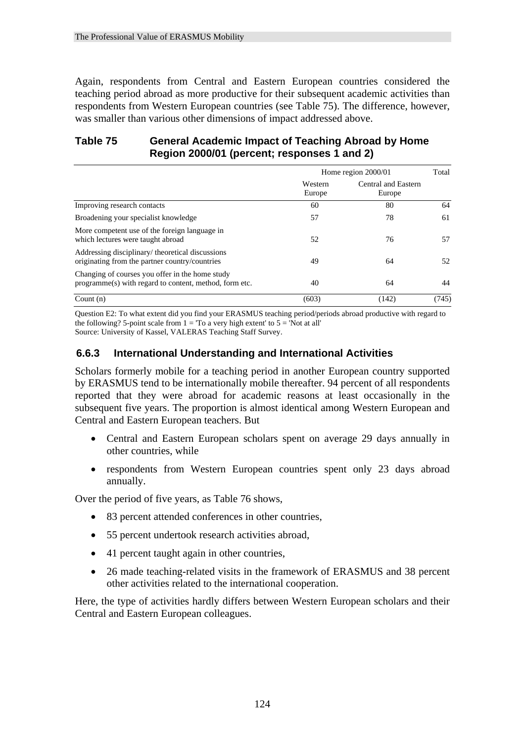Again, respondents from Central and Eastern European countries considered the teaching period abroad as more productive for their subsequent academic activities than respondents from Western European countries (see Table 75). The difference, however, was smaller than various other dimensions of impact addressed above.

## **Table 75 General Academic Impact of Teaching Abroad by Home Region 2000/01 (percent; responses 1 and 2)**

|                                                                                                           | Home region 2000/01 |                               |       |  |  |
|-----------------------------------------------------------------------------------------------------------|---------------------|-------------------------------|-------|--|--|
|                                                                                                           | Western<br>Europe   | Central and Eastern<br>Europe |       |  |  |
| Improving research contacts                                                                               | 60                  | 80                            | 64    |  |  |
| Broadening your specialist knowledge                                                                      | 57                  | 78                            | 61    |  |  |
| More competent use of the foreign language in<br>which lectures were taught abroad                        | 52                  | 76                            | 57    |  |  |
| Addressing disciplinary/theoretical discussions<br>originating from the partner country/countries         | 49                  | 64                            | 52    |  |  |
| Changing of courses you offer in the home study<br>programme(s) with regard to content, method, form etc. | 40                  | 64                            | 44    |  |  |
| Count $(n)$                                                                                               | (603)               | (142)                         | (745) |  |  |

Question E2: To what extent did you find your ERASMUS teaching period/periods abroad productive with regard to the following? 5-point scale from  $1 =$  'To a very high extent' to  $5 =$  'Not at all' Source: University of Kassel, VALERAS Teaching Staff Survey.

## **6.6.3 International Understanding and International Activities**

Scholars formerly mobile for a teaching period in another European country supported by ERASMUS tend to be internationally mobile thereafter. 94 percent of all respondents reported that they were abroad for academic reasons at least occasionally in the subsequent five years. The proportion is almost identical among Western European and Central and Eastern European teachers. But

- Central and Eastern European scholars spent on average 29 days annually in other countries, while
- respondents from Western European countries spent only 23 days abroad annually.

Over the period of five years, as Table 76 shows,

- 83 percent attended conferences in other countries,
- 55 percent undertook research activities abroad,
- 41 percent taught again in other countries,
- 26 made teaching-related visits in the framework of ERASMUS and 38 percent other activities related to the international cooperation.

Here, the type of activities hardly differs between Western European scholars and their Central and Eastern European colleagues.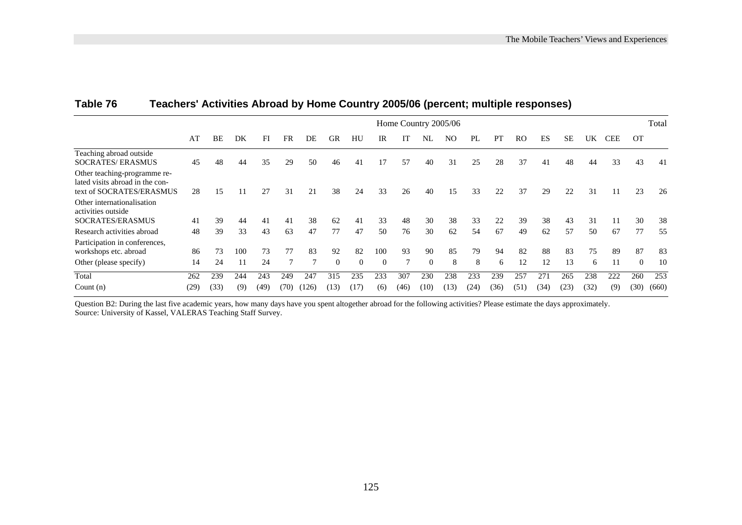|                                                                                             | Home Country 2005/06 |      |     |      |      |       |          |          |          |      |          |                | Total |      |      |      |      |      |            |           |       |
|---------------------------------------------------------------------------------------------|----------------------|------|-----|------|------|-------|----------|----------|----------|------|----------|----------------|-------|------|------|------|------|------|------------|-----------|-------|
|                                                                                             | AT                   | BE   | DK  | FI   | FR   | DE    | GR       | HU       | IR       | IT   | NL       | N <sub>O</sub> | PL    | PТ   | RO   | ES   | SЕ   | UK   | <b>CEE</b> | <b>OT</b> |       |
| Teaching abroad outside<br><b>SOCRATES/ERASMUS</b>                                          | 45                   | 48   | 44  | 35   | 29   | 50    | 46       | 41       | 17       | 57   | 40       | 31             | 25    | 28   | 37   | 41   | 48   | 44   | 33         | 43        | 41    |
| Other teaching-programme re-<br>lated visits abroad in the con-<br>text of SOCRATES/ERASMUS | 28                   | 15   |     | 27   | 31   | 21    | 38       | 24       | 33       | 26   | 40       | 15             | 33    | 22   | 37   | 29   | 22   | 31   | 11         | 23        | 26    |
| Other internationalisation<br>activities outside<br>SOCRATES/ERASMUS                        | 41                   | 39   | 44  | 41   | 41   | 38    | 62       | 41       | 33       | 48   | 30       | 38             | 33    | 22   | 39   | 38   | 43   | 31   | 11         | 30        | 38    |
| Research activities abroad                                                                  | 48                   | 39   | 33  | 43   | 63   | 47    | 77       | 47       | 50       | 76   | 30       | 62             | 54    | 67   | 49   | 62   | 57   | 50   | 67         | 77        | 55    |
| Participation in conferences,<br>workshops etc. abroad                                      | 86                   | 73   | 100 | 73   | 77   | 83    | 92       | 82       | 100      | 93   | 90       | 85             | 79    | 94   | 82   | 88   | 83   | 75   | 89         | 87        | 83    |
| Other (please specify)                                                                      | 14                   | 24   |     | 24   |      |       | $\theta$ | $\Omega$ | $\Omega$ |      | $\Omega$ | 8              | 8     | 6    | 12   | 12   | 13   | 6    | 11         | $\theta$  | 10    |
| Total                                                                                       | 262                  | 239  | 244 | 243  | 249  | 247   | 315      | 235      | 233      | 307  | 230      | 238            | 233   | 239  | 257  | 271  | 265  | 238  | 222        | 260       | 253   |
| Count $(n)$                                                                                 | (29)                 | (33) | (9) | (49) | (70) | (126) | (13)     | (17)     | (6)      | (46) | (10)     | (13)           | (24)  | (36) | (51) | (34) | (23) | (32) | (9)        | (30)      | (660) |

#### **Table 76 Teachers' Activities Abroad by Home Country 2005/06 (percent; multiple responses)**

Question B2: During the last five academic years, how many days have you spent altogether abroad for the following activities? Please estimate the days approximately. Source: University of Kassel, VALERAS Teaching Staff Survey.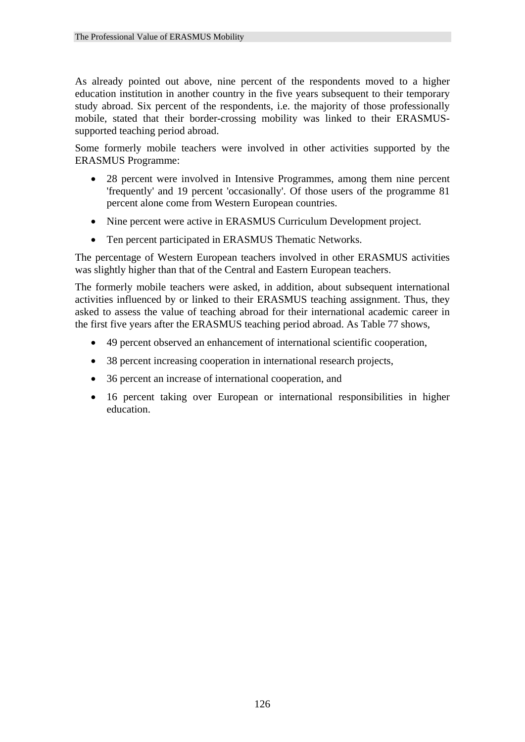As already pointed out above, nine percent of the respondents moved to a higher education institution in another country in the five years subsequent to their temporary study abroad. Six percent of the respondents, i.e. the majority of those professionally mobile, stated that their border-crossing mobility was linked to their ERASMUSsupported teaching period abroad.

Some formerly mobile teachers were involved in other activities supported by the ERASMUS Programme:

- 28 percent were involved in Intensive Programmes, among them nine percent 'frequently' and 19 percent 'occasionally'. Of those users of the programme 81 percent alone come from Western European countries.
- Nine percent were active in ERASMUS Curriculum Development project.
- Ten percent participated in ERASMUS Thematic Networks.

The percentage of Western European teachers involved in other ERASMUS activities was slightly higher than that of the Central and Eastern European teachers.

The formerly mobile teachers were asked, in addition, about subsequent international activities influenced by or linked to their ERASMUS teaching assignment. Thus, they asked to assess the value of teaching abroad for their international academic career in the first five years after the ERASMUS teaching period abroad. As Table 77 shows,

- 49 percent observed an enhancement of international scientific cooperation,
- 38 percent increasing cooperation in international research projects,
- 36 percent an increase of international cooperation, and
- 16 percent taking over European or international responsibilities in higher education.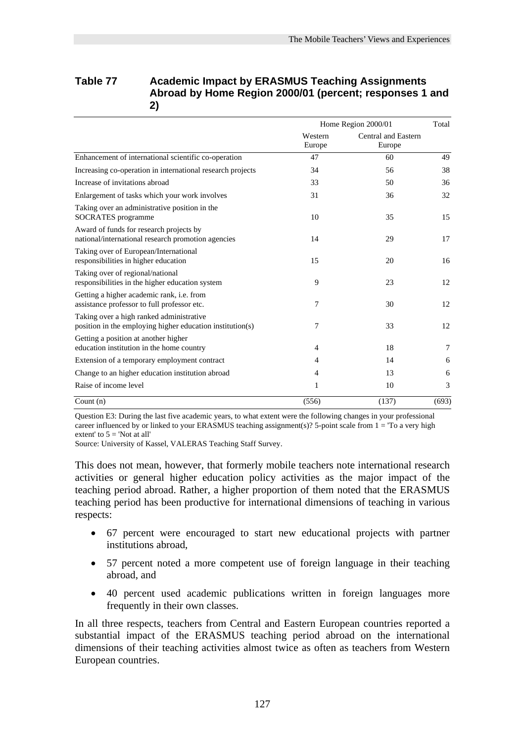| Table 77 | <b>Academic Impact by ERASMUS Teaching Assignments</b>  |
|----------|---------------------------------------------------------|
|          | Abroad by Home Region 2000/01 (percent; responses 1 and |
|          |                                                         |

|                                                                                                       |                   | Home Region 2000/01           |       |  |
|-------------------------------------------------------------------------------------------------------|-------------------|-------------------------------|-------|--|
|                                                                                                       | Western<br>Europe | Central and Eastern<br>Europe |       |  |
| Enhancement of international scientific co-operation                                                  | 47                | 60                            | 49    |  |
| Increasing co-operation in international research projects                                            | 34                | 56                            | 38    |  |
| Increase of invitations abroad                                                                        | 33                | 50                            | 36    |  |
| Enlargement of tasks which your work involves                                                         | 31                | 36                            | 32    |  |
| Taking over an administrative position in the<br><b>SOCRATES</b> programme                            | 10                | 35                            | 15    |  |
| Award of funds for research projects by<br>national/international research promotion agencies         | 14                | 29                            | 17    |  |
| Taking over of European/International<br>responsibilities in higher education                         | 15                | 20                            | 16    |  |
| Taking over of regional/national<br>responsibilities in the higher education system                   | 9                 | 23                            | 12    |  |
| Getting a higher academic rank, i.e. from<br>assistance professor to full professor etc.              | 7                 | 30                            | 12    |  |
| Taking over a high ranked administrative<br>position in the employing higher education institution(s) | 7                 | 33                            | 12    |  |
| Getting a position at another higher<br>education institution in the home country                     | 4                 | 18                            | 7     |  |
| Extension of a temporary employment contract                                                          | $\overline{4}$    | 14                            | 6     |  |
| Change to an higher education institution abroad                                                      | 4                 | 13                            | 6     |  |
| Raise of income level                                                                                 | 1                 | 10                            | 3     |  |
| Count $(n)$                                                                                           | (556)             | (137)                         | (693) |  |

Question E3: During the last five academic years, to what extent were the following changes in your professional career influenced by or linked to your ERASMUS teaching assignment(s)? 5-point scale from  $1 =$  'To a very high extent' to  $5 =$  'Not at all'

Source: University of Kassel, VALERAS Teaching Staff Survey.

This does not mean, however, that formerly mobile teachers note international research activities or general higher education policy activities as the major impact of the teaching period abroad. Rather, a higher proportion of them noted that the ERASMUS teaching period has been productive for international dimensions of teaching in various respects:

- 67 percent were encouraged to start new educational projects with partner institutions abroad,
- 57 percent noted a more competent use of foreign language in their teaching abroad, and
- 40 percent used academic publications written in foreign languages more frequently in their own classes.

In all three respects, teachers from Central and Eastern European countries reported a substantial impact of the ERASMUS teaching period abroad on the international dimensions of their teaching activities almost twice as often as teachers from Western European countries.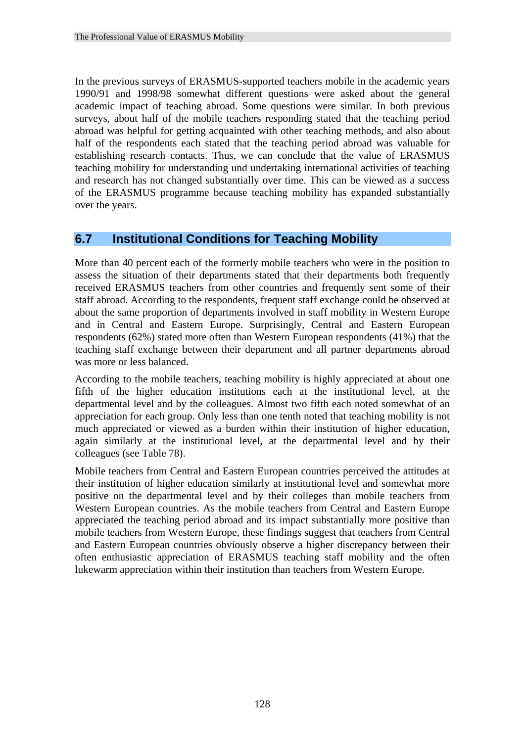In the previous surveys of ERASMUS-supported teachers mobile in the academic years 1990/91 and 1998/98 somewhat different questions were asked about the general academic impact of teaching abroad. Some questions were similar. In both previous surveys, about half of the mobile teachers responding stated that the teaching period abroad was helpful for getting acquainted with other teaching methods, and also about half of the respondents each stated that the teaching period abroad was valuable for establishing research contacts. Thus, we can conclude that the value of ERASMUS teaching mobility for understanding und undertaking international activities of teaching and research has not changed substantially over time. This can be viewed as a success of the ERASMUS programme because teaching mobility has expanded substantially over the years.

#### **6.7 Institutional Conditions for Teaching Mobility**

More than 40 percent each of the formerly mobile teachers who were in the position to assess the situation of their departments stated that their departments both frequently received ERASMUS teachers from other countries and frequently sent some of their staff abroad. According to the respondents, frequent staff exchange could be observed at about the same proportion of departments involved in staff mobility in Western Europe and in Central and Eastern Europe. Surprisingly, Central and Eastern European respondents (62%) stated more often than Western European respondents (41%) that the teaching staff exchange between their department and all partner departments abroad was more or less balanced.

According to the mobile teachers, teaching mobility is highly appreciated at about one fifth of the higher education institutions each at the institutional level, at the departmental level and by the colleagues. Almost two fifth each noted somewhat of an appreciation for each group. Only less than one tenth noted that teaching mobility is not much appreciated or viewed as a burden within their institution of higher education, again similarly at the institutional level, at the departmental level and by their colleagues (see Table 78).

Mobile teachers from Central and Eastern European countries perceived the attitudes at their institution of higher education similarly at institutional level and somewhat more positive on the departmental level and by their colleges than mobile teachers from Western European countries. As the mobile teachers from Central and Eastern Europe appreciated the teaching period abroad and its impact substantially more positive than mobile teachers from Western Europe, these findings suggest that teachers from Central and Eastern European countries obviously observe a higher discrepancy between their often enthusiastic appreciation of ERASMUS teaching staff mobility and the often lukewarm appreciation within their institution than teachers from Western Europe.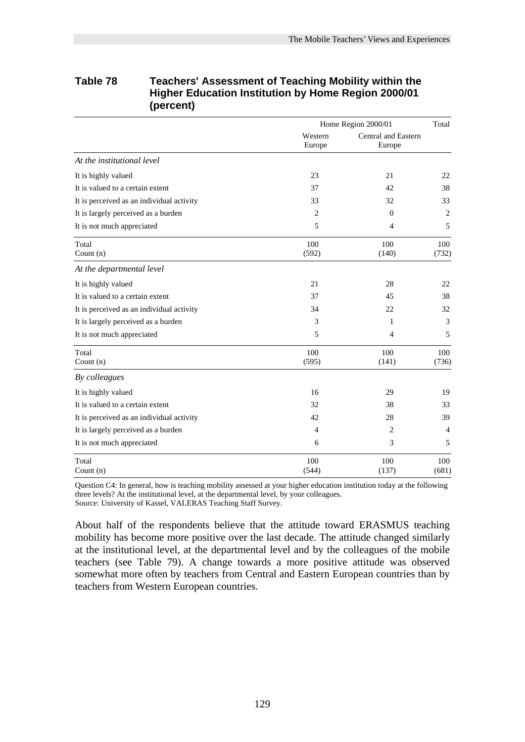|                                           |                   | Home Region 2000/01                  | Total        |  |
|-------------------------------------------|-------------------|--------------------------------------|--------------|--|
|                                           | Western<br>Europe | <b>Central and Eastern</b><br>Europe |              |  |
| At the institutional level                |                   |                                      |              |  |
| It is highly valued                       | 23                | 21                                   | 22           |  |
| It is valued to a certain extent          | 37                | 42                                   | 38           |  |
| It is perceived as an individual activity | 33                | 32                                   | 33           |  |
| It is largely perceived as a burden       | 2                 | $\Omega$                             | 2            |  |
| It is not much appreciated                | 5                 | 4                                    | 5            |  |
| Total<br>Count $(n)$                      | 100<br>(592)      | 100<br>(140)                         | 100<br>(732) |  |
| At the departmental level                 |                   |                                      |              |  |
| It is highly valued                       | 21                | 28                                   | 22           |  |
| It is valued to a certain extent          | 37                | 45                                   | 38           |  |
| It is perceived as an individual activity | 34                | 22                                   | 32           |  |
| It is largely perceived as a burden       | 3                 | 1                                    | 3            |  |
| It is not much appreciated                | 5                 | 4                                    | 5            |  |
| Total<br>Count $(n)$                      | 100<br>(595)      | 100<br>(141)                         | 100<br>(736) |  |
| By colleagues                             |                   |                                      |              |  |
| It is highly valued                       | 16                | 29                                   | 19           |  |
| It is valued to a certain extent          | 32                | 38                                   | 33           |  |
| It is perceived as an individual activity | 42                | 28                                   | 39           |  |
| It is largely perceived as a burden       | $\overline{4}$    | 2                                    | 4            |  |
| It is not much appreciated                | 6                 | 3                                    | 5            |  |
| Total<br>Count (n)                        | 100<br>(544)      | 100<br>(137)                         | 100<br>(681) |  |

#### **Table 78 Teachers' Assessment of Teaching Mobility within the Higher Education Institution by Home Region 2000/01 (percent)**

Question C4: In general, how is teaching mobility assessed at your higher education institution today at the following three levels? At the institutional level, at the departmental level, by your colleagues.

Source: University of Kassel, VALERAS Teaching Staff Survey.

About half of the respondents believe that the attitude toward ERASMUS teaching mobility has become more positive over the last decade. The attitude changed similarly at the institutional level, at the departmental level and by the colleagues of the mobile teachers (see Table 79). A change towards a more positive attitude was observed somewhat more often by teachers from Central and Eastern European countries than by teachers from Western European countries.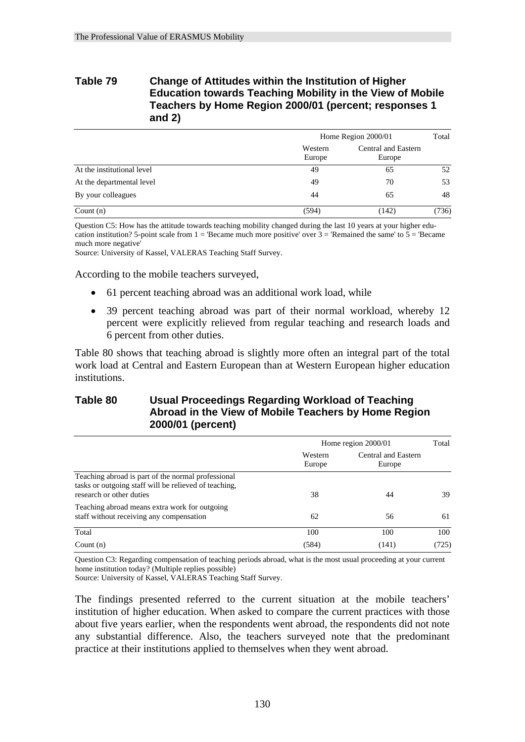#### **Table 79 Change of Attitudes within the Institution of Higher Education towards Teaching Mobility in the View of Mobile Teachers by Home Region 2000/01 (percent; responses 1 and 2)**

|                            |                   | Home Region 2000/01           |       |  |
|----------------------------|-------------------|-------------------------------|-------|--|
|                            | Western<br>Europe | Central and Eastern<br>Europe |       |  |
| At the institutional level | 49                | 65                            | 52    |  |
| At the departmental level  | 49                | 70                            | 53    |  |
| By your colleagues         | 44                | 65                            | 48    |  |
| Count $(n)$                | (594)             | (142)                         | (736) |  |

Question C5: How has the attitude towards teaching mobility changed during the last 10 years at your higher education institution? 5-point scale from  $1 =$  'Became much more positive' over  $3 =$  'Remained the same' to  $5 =$  'Became' much more negative'

Source: University of Kassel, VALERAS Teaching Staff Survey.

According to the mobile teachers surveyed,

- 61 percent teaching abroad was an additional work load, while
- 39 percent teaching abroad was part of their normal workload, whereby 12 percent were explicitly relieved from regular teaching and research loads and 6 percent from other duties.

Table 80 shows that teaching abroad is slightly more often an integral part of the total work load at Central and Eastern European than at Western European higher education institutions.

#### **Table 80 Usual Proceedings Regarding Workload of Teaching Abroad in the View of Mobile Teachers by Home Region 2000/01 (percent)**

|                                                                                                                                         |                   | Home region 2000/01           |       |  |
|-----------------------------------------------------------------------------------------------------------------------------------------|-------------------|-------------------------------|-------|--|
|                                                                                                                                         | Western<br>Europe | Central and Eastern<br>Europe |       |  |
| Teaching abroad is part of the normal professional<br>tasks or outgoing staff will be relieved of teaching.<br>research or other duties | 38                | 44                            | 39    |  |
| Teaching abroad means extra work for outgoing<br>staff without receiving any compensation                                               | 62                | 56                            | 61    |  |
| Total                                                                                                                                   | 100               | 100                           | 100   |  |
| Count $(n)$                                                                                                                             | (584)             | (141)                         | (725) |  |

Question C3: Regarding compensation of teaching periods abroad, what is the most usual proceeding at your current home institution today? (Multiple replies possible)

Source: University of Kassel, VALERAS Teaching Staff Survey.

The findings presented referred to the current situation at the mobile teachers' institution of higher education. When asked to compare the current practices with those about five years earlier, when the respondents went abroad, the respondents did not note any substantial difference. Also, the teachers surveyed note that the predominant practice at their institutions applied to themselves when they went abroad.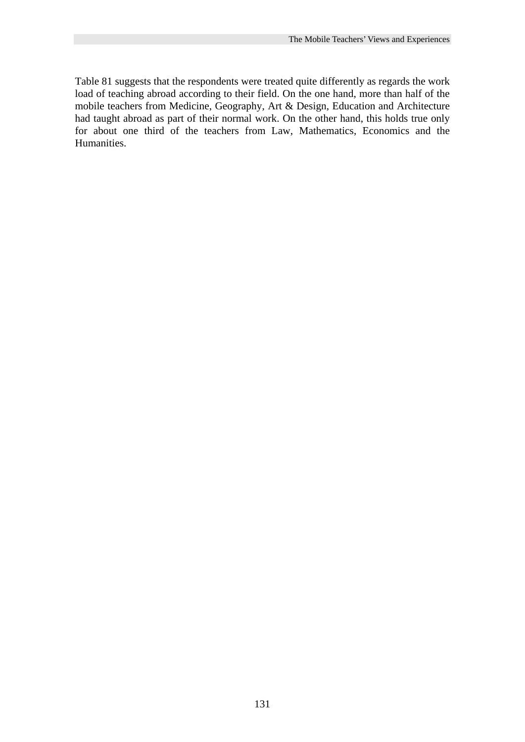Table 81 suggests that the respondents were treated quite differently as regards the work load of teaching abroad according to their field. On the one hand, more than half of the mobile teachers from Medicine, Geography, Art & Design, Education and Architecture had taught abroad as part of their normal work. On the other hand, this holds true only for about one third of the teachers from Law, Mathematics, Economics and the Humanities.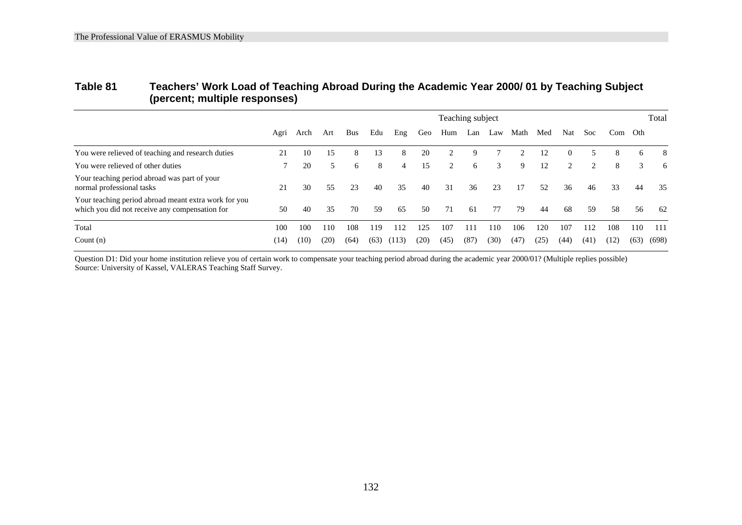#### **Table 81 Teachers' Work Load of Teaching Abroad During the Academic Year 2000/ 01 by Teaching Subject (percent; multiple responses)**

|                                                                                                        | Teaching subject |      |      |      |      |       |      |      |      | Total |      |      |          |      |      |      |       |
|--------------------------------------------------------------------------------------------------------|------------------|------|------|------|------|-------|------|------|------|-------|------|------|----------|------|------|------|-------|
|                                                                                                        | Agri             | Arch | Art  | Bus  | Edu  | Eng   | Geo  | Hum  | Lan  | Law   | Math | Med  | Nat      | Soc. | Com  | Oth  |       |
| You were relieved of teaching and research duties                                                      | 21               | 10   | 15   | 8    | 13   | 8     | 20   |      | 9    |       |      | 12   | $\Omega$ | 5    | 8    | 6    | 8     |
| You were relieved of other duties                                                                      | 7                | 20   | 5    | 6    | 8    | 4     | 15   | 2    | 6    | 3     | 9    | 12   | 2        | 2    | 8    | 3    | 6     |
| Your teaching period abroad was part of your<br>normal professional tasks                              | 21               | 30   | 55   | 23   | 40   | 35    | 40   | 31   | 36   | 23    | 17   | 52   | 36       | 46   | 33   | 44   | 35    |
| Your teaching period abroad meant extra work for you<br>which you did not receive any compensation for | 50               | 40   | 35   | 70   | 59   | 65    | 50   | 71   | 61   | 77    | 79   | 44   | 68       | .59  | 58   | 56   | 62    |
| Total                                                                                                  | 100              | 100  | 110  | 108  | 119  | 112   | 125  | 107  | 111  | 110   | 106  | 120  | 107      | 112  | 108  | 110  | 111   |
| Count $(n)$                                                                                            | (14)             | (10) | (20) | (64) | (63) | (113) | (20) | (45) | (87) | (30)  | (47) | (25) | (44)     | (41) | (12) | (63) | (698) |

Question D1: Did your home institution relieve you of certain work to compensate your teaching period abroad during the academic year 2000/01? (Multiple replies possible) Source: University of Kassel, VALERAS Teaching Staff Survey.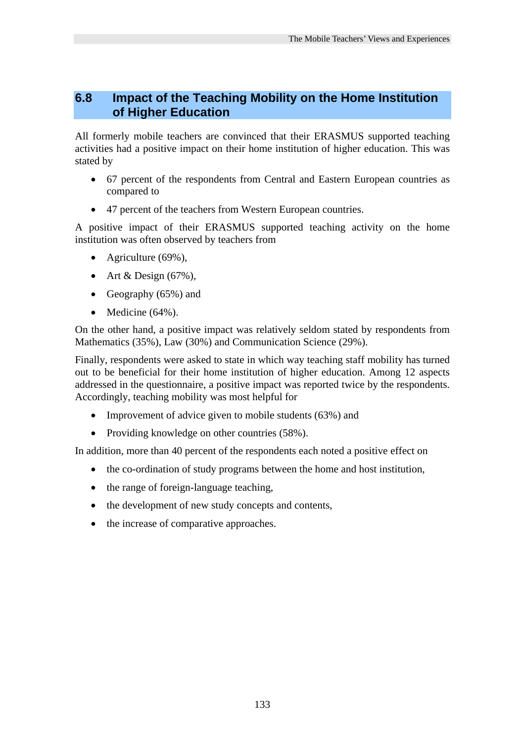#### **6.8 Impact of the Teaching Mobility on the Home Institution of Higher Education**

All formerly mobile teachers are convinced that their ERASMUS supported teaching activities had a positive impact on their home institution of higher education. This was stated by

- 67 percent of the respondents from Central and Eastern European countries as compared to
- 47 percent of the teachers from Western European countries.

A positive impact of their ERASMUS supported teaching activity on the home institution was often observed by teachers from

- Agriculture (69%),
- Art & Design  $(67\%)$ ,
- Geography (65%) and
- Medicine  $(64\%)$ .

On the other hand, a positive impact was relatively seldom stated by respondents from Mathematics (35%), Law (30%) and Communication Science (29%).

Finally, respondents were asked to state in which way teaching staff mobility has turned out to be beneficial for their home institution of higher education. Among 12 aspects addressed in the questionnaire, a positive impact was reported twice by the respondents. Accordingly, teaching mobility was most helpful for

- Improvement of advice given to mobile students (63%) and
- Providing knowledge on other countries (58%).

In addition, more than 40 percent of the respondents each noted a positive effect on

- the co-ordination of study programs between the home and host institution,
- the range of foreign-language teaching,
- the development of new study concepts and contents,
- the increase of comparative approaches.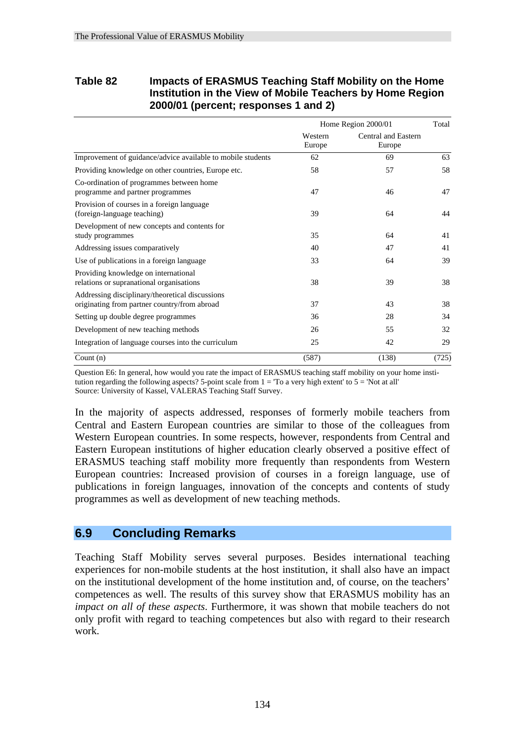#### **Table 82 Impacts of ERASMUS Teaching Staff Mobility on the Home Institution in the View of Mobile Teachers by Home Region 2000/01 (percent; responses 1 and 2)**

|                                                                                                 |                   | Home Region 2000/01           |       |  |
|-------------------------------------------------------------------------------------------------|-------------------|-------------------------------|-------|--|
|                                                                                                 | Western<br>Europe | Central and Eastern<br>Europe |       |  |
| Improvement of guidance/advice available to mobile students                                     | 62                | 69                            | 63    |  |
| Providing knowledge on other countries, Europe etc.                                             | 58                | 57                            | 58    |  |
| Co-ordination of programmes between home<br>programme and partner programmes                    | 47                | 46                            | 47    |  |
| Provision of courses in a foreign language<br>(foreign-language teaching)                       | 39                | 64                            | 44    |  |
| Development of new concepts and contents for<br>study programmes                                | 35                | 64                            | 41    |  |
| Addressing issues comparatively                                                                 | 40                | 47                            | 41    |  |
| Use of publications in a foreign language                                                       | 33                | 64                            | 39    |  |
| Providing knowledge on international<br>relations or supranational organisations                | 38                | 39                            | 38    |  |
| Addressing disciplinary/theoretical discussions<br>originating from partner country/from abroad | 37                | 43                            | 38    |  |
| Setting up double degree programmes                                                             | 36                | 28                            | 34    |  |
| Development of new teaching methods                                                             | 26                | 55                            | 32    |  |
| Integration of language courses into the curriculum                                             | 25                | 42                            | 29    |  |
| Count $(n)$                                                                                     | (587)             | (138)                         | (725) |  |

Question E6: In general, how would you rate the impact of ERASMUS teaching staff mobility on your home institution regarding the following aspects? 5-point scale from  $1 = T_0$  a very high extent' to  $5 = N_0$  at all' Source: University of Kassel, VALERAS Teaching Staff Survey.

In the majority of aspects addressed, responses of formerly mobile teachers from Central and Eastern European countries are similar to those of the colleagues from Western European countries. In some respects, however, respondents from Central and Eastern European institutions of higher education clearly observed a positive effect of ERASMUS teaching staff mobility more frequently than respondents from Western European countries: Increased provision of courses in a foreign language, use of publications in foreign languages, innovation of the concepts and contents of study programmes as well as development of new teaching methods.

#### **6.9 Concluding Remarks**

Teaching Staff Mobility serves several purposes. Besides international teaching experiences for non-mobile students at the host institution, it shall also have an impact on the institutional development of the home institution and, of course, on the teachers' competences as well. The results of this survey show that ERASMUS mobility has an *impact on all of these aspects*. Furthermore, it was shown that mobile teachers do not only profit with regard to teaching competences but also with regard to their research work.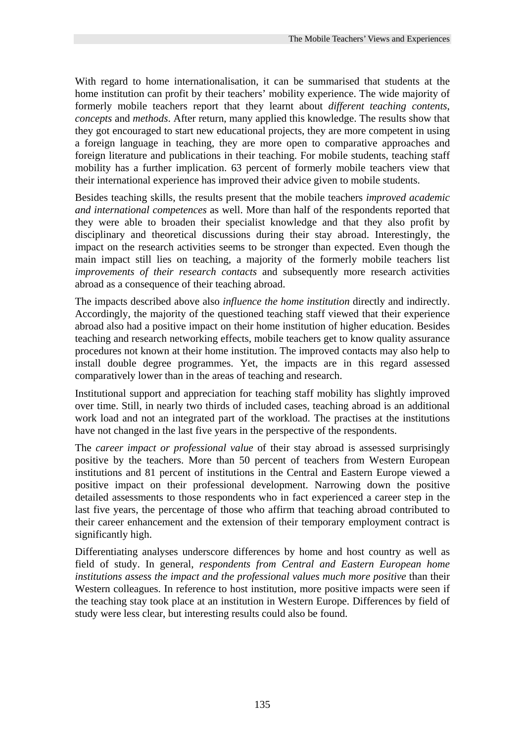With regard to home internationalisation, it can be summarised that students at the home institution can profit by their teachers' mobility experience. The wide majority of formerly mobile teachers report that they learnt about *different teaching contents*, *concepts* and *methods*. After return, many applied this knowledge. The results show that they got encouraged to start new educational projects, they are more competent in using a foreign language in teaching, they are more open to comparative approaches and foreign literature and publications in their teaching. For mobile students, teaching staff mobility has a further implication. 63 percent of formerly mobile teachers view that their international experience has improved their advice given to mobile students.

Besides teaching skills, the results present that the mobile teachers *improved academic and international competences* as well. More than half of the respondents reported that they were able to broaden their specialist knowledge and that they also profit by disciplinary and theoretical discussions during their stay abroad. Interestingly, the impact on the research activities seems to be stronger than expected. Even though the main impact still lies on teaching, a majority of the formerly mobile teachers list *improvements of their research contacts* and subsequently more research activities abroad as a consequence of their teaching abroad.

The impacts described above also *influence the home institution* directly and indirectly. Accordingly, the majority of the questioned teaching staff viewed that their experience abroad also had a positive impact on their home institution of higher education. Besides teaching and research networking effects, mobile teachers get to know quality assurance procedures not known at their home institution. The improved contacts may also help to install double degree programmes. Yet, the impacts are in this regard assessed comparatively lower than in the areas of teaching and research.

Institutional support and appreciation for teaching staff mobility has slightly improved over time. Still, in nearly two thirds of included cases, teaching abroad is an additional work load and not an integrated part of the workload. The practises at the institutions have not changed in the last five years in the perspective of the respondents.

The *career impact or professional value* of their stay abroad is assessed surprisingly positive by the teachers. More than 50 percent of teachers from Western European institutions and 81 percent of institutions in the Central and Eastern Europe viewed a positive impact on their professional development. Narrowing down the positive detailed assessments to those respondents who in fact experienced a career step in the last five years, the percentage of those who affirm that teaching abroad contributed to their career enhancement and the extension of their temporary employment contract is significantly high.

Differentiating analyses underscore differences by home and host country as well as field of study. In general, *respondents from Central and Eastern European home institutions assess the impact and the professional values much more positive* than their Western colleagues. In reference to host institution, more positive impacts were seen if the teaching stay took place at an institution in Western Europe. Differences by field of study were less clear, but interesting results could also be found.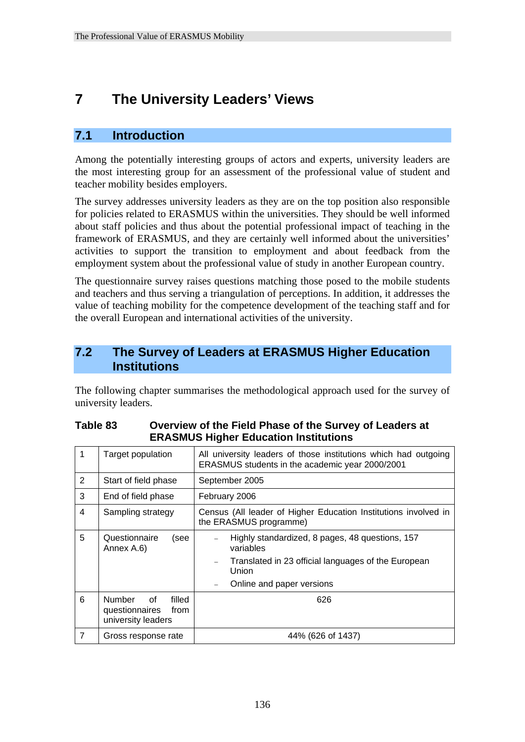## **7 The University Leaders' Views**

#### **7.1 Introduction**

Among the potentially interesting groups of actors and experts, university leaders are the most interesting group for an assessment of the professional value of student and teacher mobility besides employers.

The survey addresses university leaders as they are on the top position also responsible for policies related to ERASMUS within the universities. They should be well informed about staff policies and thus about the potential professional impact of teaching in the framework of ERASMUS, and they are certainly well informed about the universities' activities to support the transition to employment and about feedback from the employment system about the professional value of study in another European country.

The questionnaire survey raises questions matching those posed to the mobile students and teachers and thus serving a triangulation of perceptions. In addition, it addresses the value of teaching mobility for the competence development of the teaching staff and for the overall European and international activities of the university.

#### **7.2 The Survey of Leaders at ERASMUS Higher Education Institutions**

The following chapter summarises the methodological approach used for the survey of university leaders.

| 1              | Target population                                                             | All university leaders of those institutions which had outgoing<br>ERASMUS students in the academic year 2000/2001                                        |  |  |  |  |  |
|----------------|-------------------------------------------------------------------------------|-----------------------------------------------------------------------------------------------------------------------------------------------------------|--|--|--|--|--|
| 2              | Start of field phase                                                          | September 2005                                                                                                                                            |  |  |  |  |  |
| 3              | End of field phase                                                            | February 2006                                                                                                                                             |  |  |  |  |  |
| 4              | Sampling strategy                                                             | Census (All leader of Higher Education Institutions involved in<br>the ERASMUS programme)                                                                 |  |  |  |  |  |
| 5              | Questionnaire<br>(see<br>Annex A.6)                                           | Highly standardized, 8 pages, 48 questions, 157<br>variables<br>Translated in 23 official languages of the European<br>Union<br>Online and paper versions |  |  |  |  |  |
| 6              | filled<br><b>Number</b><br>0f<br>questionnaires<br>from<br>university leaders | 626                                                                                                                                                       |  |  |  |  |  |
| $\overline{7}$ | Gross response rate                                                           | 44% (626 of 1437)                                                                                                                                         |  |  |  |  |  |

#### **Table 83 Overview of the Field Phase of the Survey of Leaders at ERASMUS Higher Education Institutions**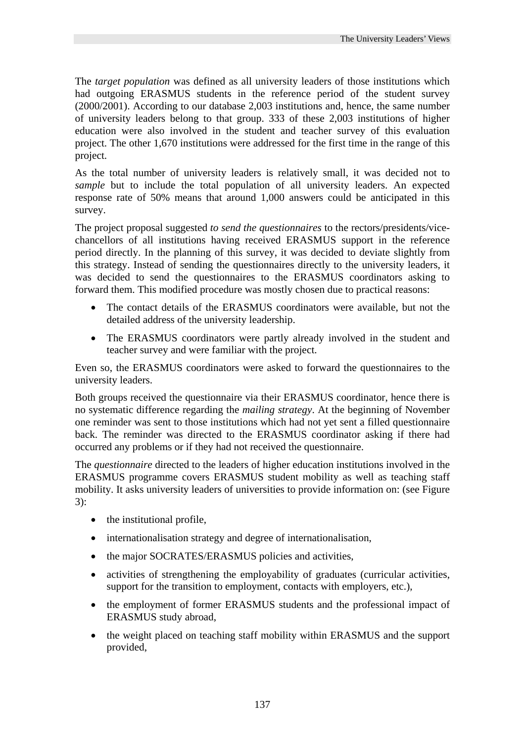The *target population* was defined as all university leaders of those institutions which had outgoing ERASMUS students in the reference period of the student survey (2000/2001). According to our database 2,003 institutions and, hence, the same number of university leaders belong to that group. 333 of these 2,003 institutions of higher education were also involved in the student and teacher survey of this evaluation project. The other 1,670 institutions were addressed for the first time in the range of this project.

As the total number of university leaders is relatively small, it was decided not to *sample* but to include the total population of all university leaders. An expected response rate of 50% means that around 1,000 answers could be anticipated in this survey.

The project proposal suggested *to send the questionnaires* to the rectors/presidents/vicechancellors of all institutions having received ERASMUS support in the reference period directly. In the planning of this survey, it was decided to deviate slightly from this strategy. Instead of sending the questionnaires directly to the university leaders, it was decided to send the questionnaires to the ERASMUS coordinators asking to forward them. This modified procedure was mostly chosen due to practical reasons:

- The contact details of the ERASMUS coordinators were available, but not the detailed address of the university leadership.
- The ERASMUS coordinators were partly already involved in the student and teacher survey and were familiar with the project.

Even so, the ERASMUS coordinators were asked to forward the questionnaires to the university leaders.

Both groups received the questionnaire via their ERASMUS coordinator, hence there is no systematic difference regarding the *mailing strategy*. At the beginning of November one reminder was sent to those institutions which had not yet sent a filled questionnaire back. The reminder was directed to the ERASMUS coordinator asking if there had occurred any problems or if they had not received the questionnaire.

The *questionnaire* directed to the leaders of higher education institutions involved in the ERASMUS programme covers ERASMUS student mobility as well as teaching staff mobility. It asks university leaders of universities to provide information on: (see Figure 3):

- the institutional profile,
- internationalisation strategy and degree of internationalisation,
- the major SOCRATES/ERASMUS policies and activities,
- activities of strengthening the employability of graduates (curricular activities, support for the transition to employment, contacts with employers, etc.),
- the employment of former ERASMUS students and the professional impact of ERASMUS study abroad,
- the weight placed on teaching staff mobility within ERASMUS and the support provided,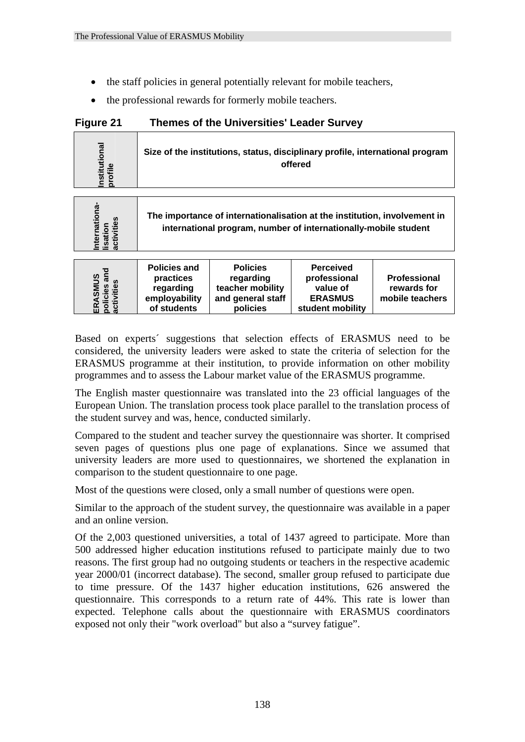- the staff policies in general potentially relevant for mobile teachers,
- the professional rewards for formerly mobile teachers.

| Figure 21 | <b>Themes of the Universities' Leader Survey</b> |
|-----------|--------------------------------------------------|
|-----------|--------------------------------------------------|

| $\overline{a}$<br>tio<br>stitut<br>ofile | Size of the institutions, status, disciplinary profile, international program<br>offered |
|------------------------------------------|------------------------------------------------------------------------------------------|
|                                          |                                                                                          |
|                                          |                                                                                          |

| ω<br>nation<br>nternatio<br>isation<br>activities |  | The importance of internationalisation at the institution, involvement in<br>international program, number of internationally-mobile student |  |
|---------------------------------------------------|--|----------------------------------------------------------------------------------------------------------------------------------------------|--|
|                                                   |  |                                                                                                                                              |  |
|                                                   |  |                                                                                                                                              |  |

|                                       | <b>Policies and</b> | <b>Policies</b>   | <b>Perceived</b> |                 |
|---------------------------------------|---------------------|-------------------|------------------|-----------------|
|                                       | practices           | regarding         | professional     | Professional    |
|                                       | regarding           | teacher mobility  | value of         | rewards for     |
|                                       | employability       | and general staff | <b>ERASMUS</b>   | mobile teachers |
| ERASMUS<br>policies and<br>activities | of students         | policies          | student mobility |                 |

Based on experts´ suggestions that selection effects of ERASMUS need to be considered, the university leaders were asked to state the criteria of selection for the ERASMUS programme at their institution, to provide information on other mobility programmes and to assess the Labour market value of the ERASMUS programme.

The English master questionnaire was translated into the 23 official languages of the European Union. The translation process took place parallel to the translation process of the student survey and was, hence, conducted similarly.

Compared to the student and teacher survey the questionnaire was shorter. It comprised seven pages of questions plus one page of explanations. Since we assumed that university leaders are more used to questionnaires, we shortened the explanation in comparison to the student questionnaire to one page.

Most of the questions were closed, only a small number of questions were open.

Similar to the approach of the student survey, the questionnaire was available in a paper and an online version.

Of the 2,003 questioned universities, a total of 1437 agreed to participate. More than 500 addressed higher education institutions refused to participate mainly due to two reasons. The first group had no outgoing students or teachers in the respective academic year 2000/01 (incorrect database). The second, smaller group refused to participate due to time pressure. Of the 1437 higher education institutions, 626 answered the questionnaire. This corresponds to a return rate of 44%. This rate is lower than expected. Telephone calls about the questionnaire with ERASMUS coordinators exposed on expertises and policies and policies regarding the professional regarding the considered not only the exponential of student mobility and general star only the exponential of students and policies survey in the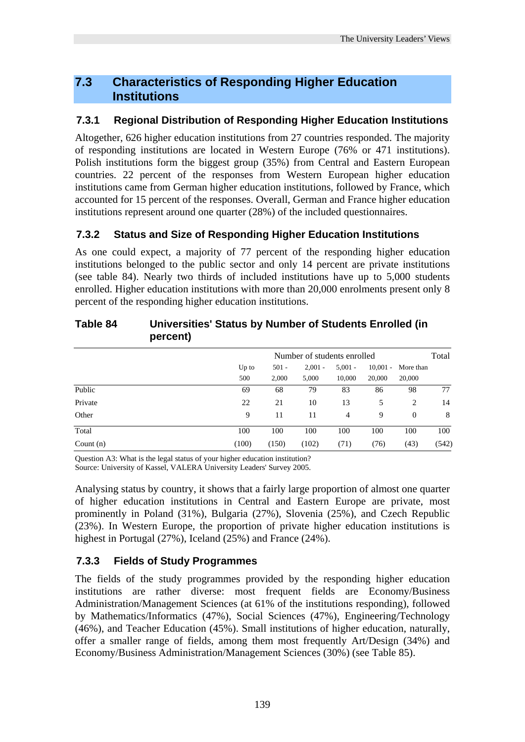#### **7.3 Characteristics of Responding Higher Education Institutions**

#### **7.3.1 Regional Distribution of Responding Higher Education Institutions**

Altogether, 626 higher education institutions from 27 countries responded. The majority of responding institutions are located in Western Europe (76% or 471 institutions). Polish institutions form the biggest group (35%) from Central and Eastern European countries. 22 percent of the responses from Western European higher education institutions came from German higher education institutions, followed by France, which accounted for 15 percent of the responses. Overall, German and France higher education institutions represent around one quarter (28%) of the included questionnaires.

#### **7.3.2 Status and Size of Responding Higher Education Institutions**

As one could expect, a majority of 77 percent of the responding higher education institutions belonged to the public sector and only 14 percent are private institutions (see table 84). Nearly two thirds of included institutions have up to 5,000 students enrolled. Higher education institutions with more than 20,000 enrolments present only 8 percent of the responding higher education institutions.

|             | percent) |                             |         |           |                |            | .         |       |  |  |
|-------------|----------|-----------------------------|---------|-----------|----------------|------------|-----------|-------|--|--|
|             |          | Number of students enrolled |         |           |                |            |           |       |  |  |
|             |          | Up to                       | $501 -$ | $2.001 -$ | $5.001 -$      | $10.001 -$ | More than |       |  |  |
|             |          | 500                         | 2,000   | 5,000     | 10,000         | 20,000     | 20,000    |       |  |  |
| Public      |          | 69                          | 68      | 79        | 83             | 86         | 98        | 77    |  |  |
| Private     |          | 22                          | 21      | 10        | 13             | 5          | 2         | 14    |  |  |
| Other       |          | 9                           | 11      | 11        | $\overline{4}$ | 9          | $\theta$  | 8     |  |  |
| Total       |          | 100                         | 100     | 100       | 100            | 100        | 100       | 100   |  |  |
| Count $(n)$ |          | (100)                       | (150)   | (102)     | (71)           | (76)       | (43)      | (542) |  |  |

# **Table 84 Universities' Status by Number of Students Enrolled (in**

Question A3: What is the legal status of your higher education institution?

Source: University of Kassel, VALERA University Leaders' Survey 2005.

Analysing status by country, it shows that a fairly large proportion of almost one quarter of higher education institutions in Central and Eastern Europe are private, most prominently in Poland (31%), Bulgaria (27%), Slovenia (25%), and Czech Republic (23%). In Western Europe, the proportion of private higher education institutions is highest in Portugal (27%), Iceland (25%) and France (24%).

#### **7.3.3 Fields of Study Programmes**

The fields of the study programmes provided by the responding higher education institutions are rather diverse: most frequent fields are Economy/Business Administration/Management Sciences (at 61% of the institutions responding), followed by Mathematics/Informatics (47%), Social Sciences (47%), Engineering/Technology (46%), and Teacher Education (45%). Small institutions of higher education, naturally, offer a smaller range of fields, among them most frequently Art/Design (34%) and Economy/Business Administration/Management Sciences (30%) (see Table 85).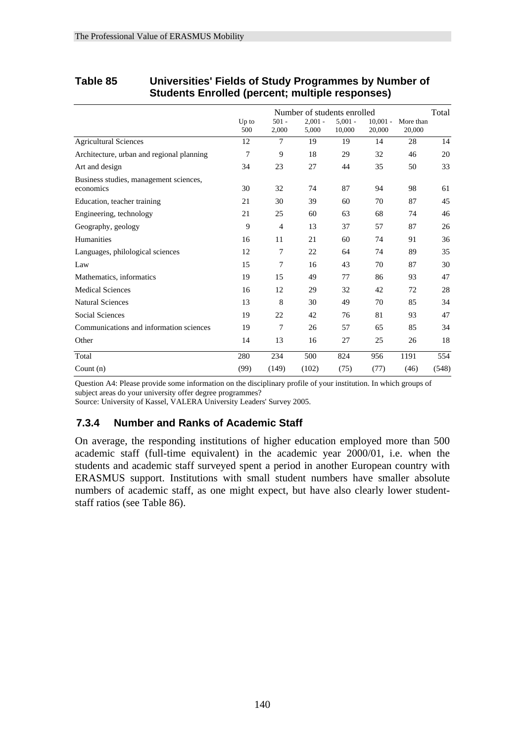|                                                     |                |                  | Number of students enrolled |                     |                      |                     | Total |
|-----------------------------------------------------|----------------|------------------|-----------------------------|---------------------|----------------------|---------------------|-------|
|                                                     | $Up$ to<br>500 | $501 -$<br>2,000 | $2.001 -$<br>5,000          | $5.001 -$<br>10,000 | $10,001 -$<br>20,000 | More than<br>20,000 |       |
| <b>Agricultural Sciences</b>                        | 12             | 7                | 19                          | 19                  | 14                   | 28                  | 14    |
| Architecture, urban and regional planning           | 7              | 9                | 18                          | 29                  | 32                   | 46                  | 20    |
| Art and design                                      | 34             | 23               | 27                          | 44                  | 35                   | 50                  | 33    |
| Business studies, management sciences,<br>economics | 30             | 32               | 74                          | 87                  | 94                   | 98                  | 61    |
| Education, teacher training                         | 21             | 30               | 39                          | 60                  | 70                   | 87                  | 45    |
| Engineering, technology                             | 21             | 25               | 60                          | 63                  | 68                   | 74                  | 46    |
| Geography, geology                                  | 9              | $\overline{4}$   | 13                          | 37                  | 57                   | 87                  | 26    |
| Humanities                                          | 16             | 11               | 21                          | 60                  | 74                   | 91                  | 36    |
| Languages, philological sciences                    | 12             | 7                | 22                          | 64                  | 74                   | 89                  | 35    |
| Law                                                 | 15             | 7                | 16                          | 43                  | 70                   | 87                  | 30    |
| Mathematics, informatics                            | 19             | 15               | 49                          | 77                  | 86                   | 93                  | 47    |
| <b>Medical Sciences</b>                             | 16             | 12               | 29                          | 32                  | 42                   | 72                  | 28    |
| <b>Natural Sciences</b>                             | 13             | 8                | 30                          | 49                  | 70                   | 85                  | 34    |
| <b>Social Sciences</b>                              | 19             | 22               | 42                          | 76                  | 81                   | 93                  | 47    |
| Communications and information sciences             | 19             | 7                | 26                          | 57                  | 65                   | 85                  | 34    |
| Other                                               | 14             | 13               | 16                          | 27                  | 25                   | 26                  | 18    |
| Total                                               | 280            | 234              | 500                         | 824                 | 956                  | 1191                | 554   |
| Count $(n)$                                         | (99)           | (149)            | (102)                       | (75)                | (77)                 | (46)                | (548) |

#### **Table 85 Universities' Fields of Study Programmes by Number of Students Enrolled (percent; multiple responses)**

Question A4: Please provide some information on the disciplinary profile of your institution. In which groups of subject areas do your university offer degree programmes?

Source: University of Kassel, VALERA University Leaders' Survey 2005.

#### **7.3.4 Number and Ranks of Academic Staff**

On average, the responding institutions of higher education employed more than 500 academic staff (full-time equivalent) in the academic year 2000/01, i.e. when the students and academic staff surveyed spent a period in another European country with ERASMUS support. Institutions with small student numbers have smaller absolute numbers of academic staff, as one might expect, but have also clearly lower studentstaff ratios (see Table 86).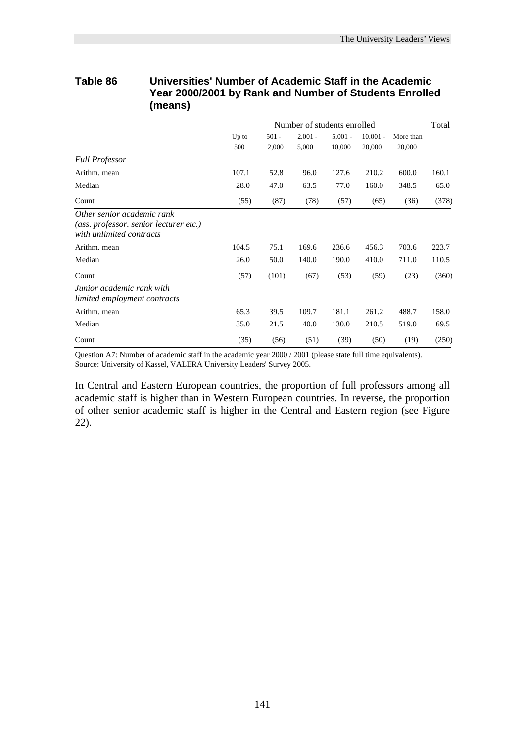| <b>I CAI ZUUVZUUT DY KAIIN AIIU NUITIDEL OF JUUGHUS LIII UIIGU</b><br>(means)                    |                |                  |                             |                     |                      |                     |       |  |  |  |
|--------------------------------------------------------------------------------------------------|----------------|------------------|-----------------------------|---------------------|----------------------|---------------------|-------|--|--|--|
|                                                                                                  |                |                  | Number of students enrolled |                     |                      |                     | Total |  |  |  |
|                                                                                                  | $Up$ to<br>500 | $501 -$<br>2,000 | $2,001 -$<br>5,000          | $5,001 -$<br>10,000 | $10,001 -$<br>20,000 | More than<br>20,000 |       |  |  |  |
| <b>Full Professor</b>                                                                            |                |                  |                             |                     |                      |                     |       |  |  |  |
| Arithm. mean                                                                                     | 107.1          | 52.8             | 96.0                        | 127.6               | 210.2                | 600.0               | 160.1 |  |  |  |
| Median                                                                                           | 28.0           | 47.0             | 63.5                        | 77.0                | 160.0                | 348.5               | 65.0  |  |  |  |
| Count                                                                                            | (55)           | (87)             | (78)                        | (57)                | (65)                 | (36)                | (378) |  |  |  |
| Other senior academic rank<br>(ass. professor. senior lecturer etc.)<br>with unlimited contracts |                |                  |                             |                     |                      |                     |       |  |  |  |
| Arithm. mean                                                                                     | 104.5          | 75.1             | 169.6                       | 236.6               | 456.3                | 703.6               | 223.7 |  |  |  |
| Median                                                                                           | 26.0           | 50.0             | 140.0                       | 190.0               | 410.0                | 711.0               | 110.5 |  |  |  |
| Count                                                                                            | (57)           | (101)            | (67)                        | (53)                | (59)                 | (23)                | (360) |  |  |  |
| Junior academic rank with<br>limited employment contracts                                        |                |                  |                             |                     |                      |                     |       |  |  |  |
| Arithm. mean                                                                                     | 65.3           | 39.5             | 109.7                       | 181.1               | 261.2                | 488.7               | 158.0 |  |  |  |
| Median                                                                                           | 35.0           | 21.5             | 40.0                        | 130.0               | 210.5                | 519.0               | 69.5  |  |  |  |
| Count                                                                                            | (35)           | (56)             | (51)                        | (39)                | (50)                 | (19)                | (250) |  |  |  |

# **Table 86 Universities' Number of Academic Staff in the Academic Year 2000/2001 by Rank and Number of Students Enrolled**

Question A7: Number of academic staff in the academic year 2000 / 2001 (please state full time equivalents). Source: University of Kassel, VALERA University Leaders' Survey 2005.

In Central and Eastern European countries, the proportion of full professors among all academic staff is higher than in Western European countries. In reverse, the proportion of other senior academic staff is higher in the Central and Eastern region (see Figure 22).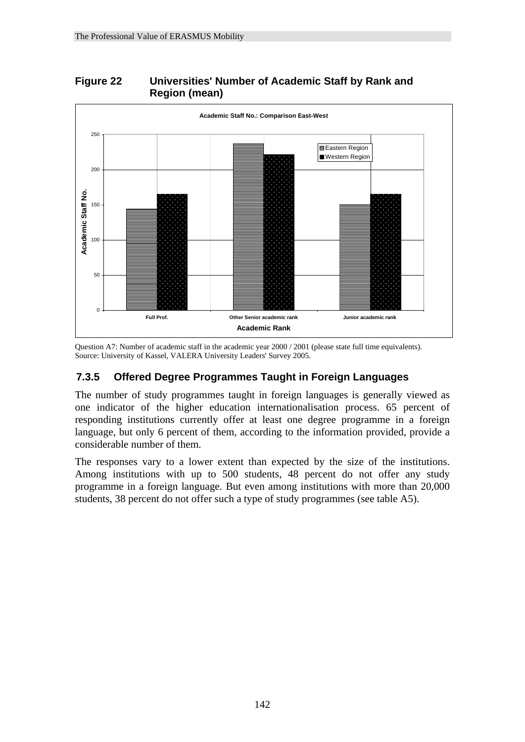#### **Figure 22 Universities' Number of Academic Staff by Rank and Region (mean)**



Question A7: Number of academic staff in the academic year 2000 / 2001 (please state full time equivalents). Source: University of Kassel, VALERA University Leaders' Survey 2005.

#### **7.3.5 Offered Degree Programmes Taught in Foreign Languages**

The number of study programmes taught in foreign languages is generally viewed as one indicator of the higher education internationalisation process. 65 percent of responding institutions currently offer at least one degree programme in a foreign language, but only 6 percent of them, according to the information provided, provide a considerable number of them.

The responses vary to a lower extent than expected by the size of the institutions. Among institutions with up to 500 students, 48 percent do not offer any study programme in a foreign language. But even among institutions with more than 20,000 students, 38 percent do not offer such a type of study programmes (see table A5).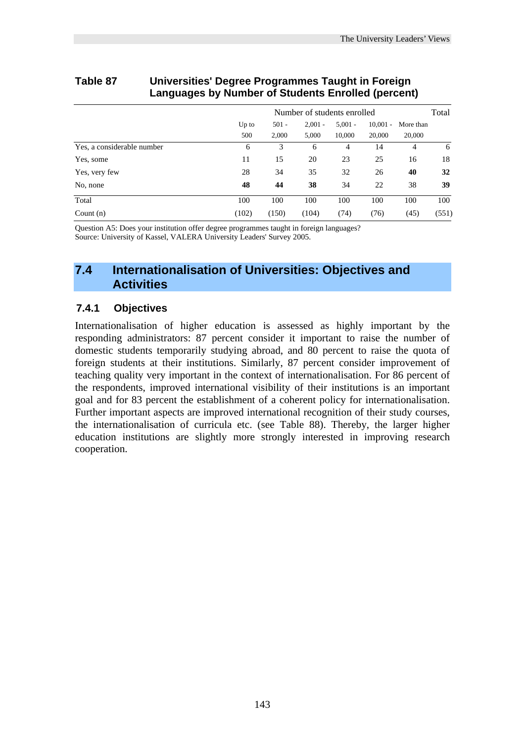| Languages by number or otauchts Linolled (percent) |                             |                  |                    |                     |                      |                     |       |  |  |
|----------------------------------------------------|-----------------------------|------------------|--------------------|---------------------|----------------------|---------------------|-------|--|--|
|                                                    | Number of students enrolled |                  |                    |                     |                      |                     |       |  |  |
|                                                    | $Up$ to<br>500              | $501 -$<br>2,000 | $2.001 -$<br>5,000 | $5.001 -$<br>10,000 | $10,001 -$<br>20,000 | More than<br>20,000 |       |  |  |
| Yes, a considerable number                         | 6                           | 3                | 6                  | $\overline{4}$      | 14                   | 4                   | 6     |  |  |
| Yes, some                                          | 11                          | 15               | 20                 | 23                  | 25                   | 16                  | 18    |  |  |
| Yes, very few                                      | 28                          | 34               | 35                 | 32                  | 26                   | 40                  | 32    |  |  |
| No, none                                           | 48                          | 44               | 38                 | 34                  | 22                   | 38                  | 39    |  |  |
| Total                                              | 100                         | 100              | 100                | 100                 | 100                  | 100                 | 100   |  |  |
| Count $(n)$                                        | (102)                       | (150)            | (104)              | (74)                | (76)                 | (45)                | (551) |  |  |

#### **Table 87 Universities' Degree Programmes Taught in Foreign Languages by Number of Students Enrolled (percent)**

Question A5: Does your institution offer degree programmes taught in foreign languages? Source: University of Kassel, VALERA University Leaders' Survey 2005.

#### **7.4 Internationalisation of Universities: Objectives and Activities**

#### **7.4.1 Objectives**

Internationalisation of higher education is assessed as highly important by the responding administrators: 87 percent consider it important to raise the number of domestic students temporarily studying abroad, and 80 percent to raise the quota of foreign students at their institutions. Similarly, 87 percent consider improvement of teaching quality very important in the context of internationalisation. For 86 percent of the respondents, improved international visibility of their institutions is an important goal and for 83 percent the establishment of a coherent policy for internationalisation. Further important aspects are improved international recognition of their study courses, the internationalisation of curricula etc. (see Table 88). Thereby, the larger higher education institutions are slightly more strongly interested in improving research cooperation.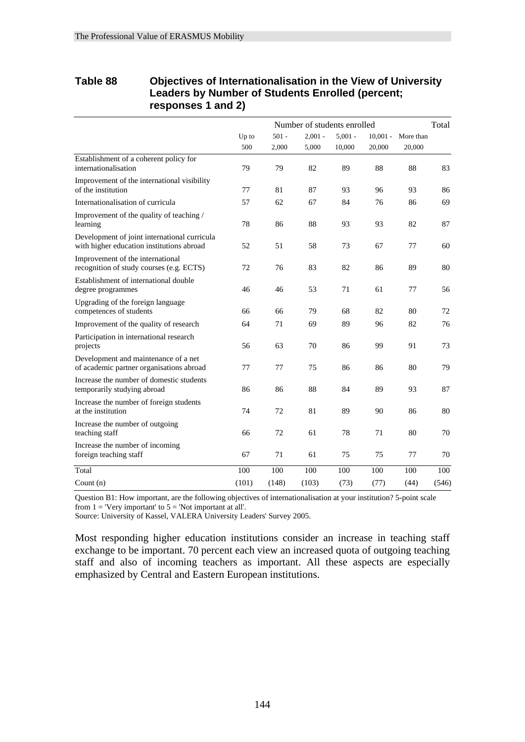| Table 88 | Objectives of Internationalisation in the View of University<br>Leaders by Number of Students Enrolled (percent;<br>responses 1 and 2) |                             |         |           |           |        |                      |  |  |  |  |
|----------|----------------------------------------------------------------------------------------------------------------------------------------|-----------------------------|---------|-----------|-----------|--------|----------------------|--|--|--|--|
|          |                                                                                                                                        | Number of students enrolled |         |           |           |        |                      |  |  |  |  |
|          |                                                                                                                                        | $Up$ to                     | $501 -$ | $2.001 -$ | $5.001 -$ |        | $10.001 -$ More than |  |  |  |  |
|          |                                                                                                                                        | 500                         | 2.000   | 5.000     | 10,000    | 20,000 | 20,000               |  |  |  |  |
|          | Establishment of a coherent policy for                                                                                                 |                             |         |           |           |        |                      |  |  |  |  |

# **Table 88 Objectives of Internationalisation in the View of University**

| Count $(n)$                                                                               | (101) | (148) | (103) | (73) | (77) | (44) | (546) |
|-------------------------------------------------------------------------------------------|-------|-------|-------|------|------|------|-------|
| Total                                                                                     | 100   | 100   | 100   | 100  | 100  | 100  | 100   |
| Increase the number of incoming<br>foreign teaching staff                                 | 67    | 71    | 61    | 75   | 75   | 77   | 70    |
| Increase the number of outgoing<br>teaching staff                                         | 66    | 72    | 61    | 78   | 71   | 80   | 70    |
| Increase the number of foreign students<br>at the institution                             | 74    | 72    | 81    | 89   | 90   | 86   | 80    |
| Increase the number of domestic students<br>temporarily studying abroad                   | 86    | 86    | 88    | 84   | 89   | 93   | 87    |
| Development and maintenance of a net<br>of academic partner organisations abroad          | 77    | 77    | 75    | 86   | 86   | 80   | 79    |
| Participation in international research<br>projects                                       | 56    | 63    | 70    | 86   | 99   | 91   | 73    |
| Improvement of the quality of research                                                    | 64    | 71    | 69    | 89   | 96   | 82   | 76    |
| Upgrading of the foreign language<br>competences of students                              | 66    | 66    | 79    | 68   | 82   | 80   | 72    |
| Establishment of international double<br>degree programmes                                | 46    | 46    | 53    | 71   | 61   | 77   | 56    |
| Improvement of the international<br>recognition of study courses (e.g. ECTS)              | 72    | 76    | 83    | 82   | 86   | 89   | 80    |
| Development of joint international curricula<br>with higher education institutions abroad | 52    | 51    | 58    | 73   | 67   | 77   | 60    |
| Improvement of the quality of teaching /<br>learning                                      | 78    | 86    | 88    | 93   | 93   | 82   | 87    |
| Internationalisation of curricula                                                         | 57    | 62    | 67    | 84   | 76   | 86   | 69    |
| Improvement of the international visibility<br>of the institution                         | 77    | 81    | 87    | 93   | 96   | 93   | 86    |
| Establishment of a coherent policy for<br>internationalisation                            | 79    | 79    | 82    | 89   | 88   | 88   | 83    |

Question B1: How important, are the following objectives of internationalisation at your institution? 5-point scale from  $1 =$  'Very important' to  $5 =$  'Not important at all'.

Source: University of Kassel, VALERA University Leaders' Survey 2005.

Most responding higher education institutions consider an increase in teaching staff exchange to be important. 70 percent each view an increased quota of outgoing teaching staff and also of incoming teachers as important. All these aspects are especially emphasized by Central and Eastern European institutions.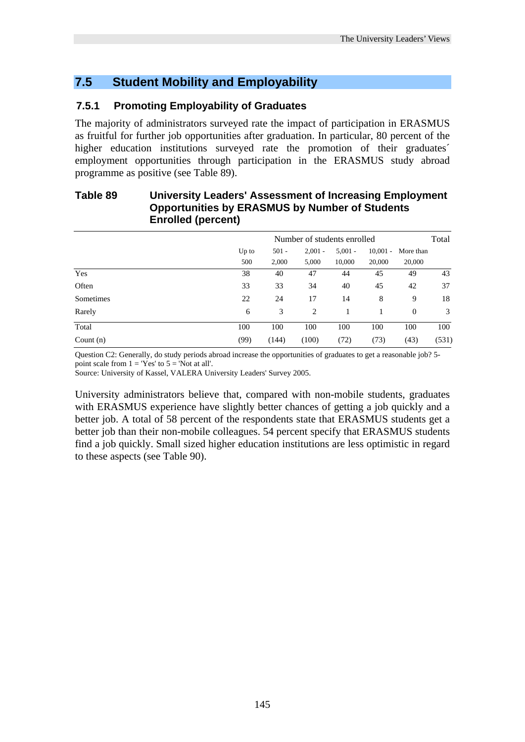#### **7.5 Student Mobility and Employability**

#### **7.5.1 Promoting Employability of Graduates**

The majority of administrators surveyed rate the impact of participation in ERASMUS as fruitful for further job opportunities after graduation. In particular, 80 percent of the higher education institutions surveyed rate the promotion of their graduates<sup>'</sup> employment opportunities through participation in the ERASMUS study abroad programme as positive (see Table 89).

#### **Table 89 University Leaders' Assessment of Increasing Employment Opportunities by ERASMUS by Number of Students Enrolled (percent)**

|             | Number of students enrolled |         |           |           |            |           |       |  |
|-------------|-----------------------------|---------|-----------|-----------|------------|-----------|-------|--|
|             | Up to                       | $501 -$ | $2,001 -$ | $5,001 -$ | $10,001 -$ | More than |       |  |
|             | 500                         | 2,000   | 5,000     | 10,000    | 20,000     | 20,000    |       |  |
| Yes         | 38                          | 40      | 47        | 44        | 45         | 49        | 43    |  |
| Often       | 33                          | 33      | 34        | 40        | 45         | 42        | 37    |  |
| Sometimes   | 22                          | 24      | 17        | 14        | 8          | 9         | 18    |  |
| Rarely      | 6                           | 3       | 2         |           |            | $\theta$  | 3     |  |
| Total       | 100                         | 100     | 100       | 100       | 100        | 100       | 100   |  |
| Count $(n)$ | (99)                        | (144)   | (100)     | (72)      | (73)       | (43)      | (531) |  |

Question C2: Generally, do study periods abroad increase the opportunities of graduates to get a reasonable job? 5 point scale from  $1 = 'Yes'$  to  $5 = 'Not$  at all'.

Source: University of Kassel, VALERA University Leaders' Survey 2005.

University administrators believe that, compared with non-mobile students, graduates with ERASMUS experience have slightly better chances of getting a job quickly and a better job. A total of 58 percent of the respondents state that ERASMUS students get a better job than their non-mobile colleagues. 54 percent specify that ERASMUS students find a job quickly. Small sized higher education institutions are less optimistic in regard to these aspects (see Table 90).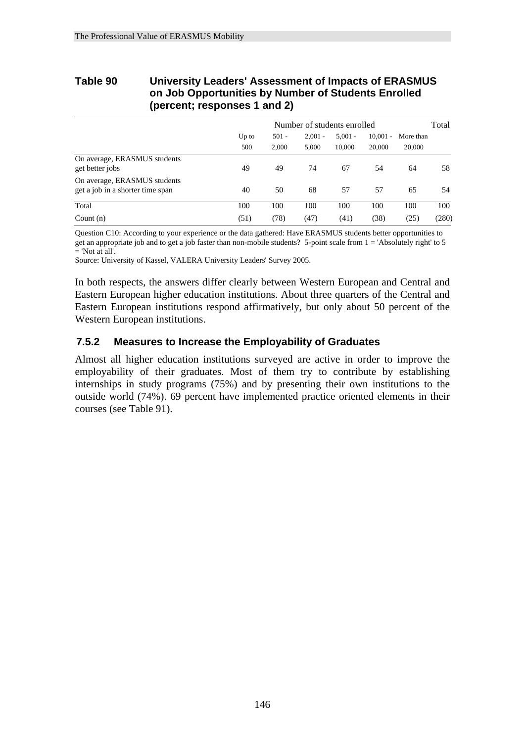#### **Table 90 University Leaders' Assessment of Impacts of ERASMUS on Job Opportunities by Number of Students Enrolled (percent; responses 1 and 2)**

|                                                                  | Number of students enrolled |                  |                    |                     |                      |                     |       |  |
|------------------------------------------------------------------|-----------------------------|------------------|--------------------|---------------------|----------------------|---------------------|-------|--|
|                                                                  | Up to<br>500                | $501 -$<br>2.000 | $2.001 -$<br>5,000 | $5.001 -$<br>10,000 | $10.001 -$<br>20,000 | More than<br>20,000 |       |  |
| On average, ERASMUS students<br>get better jobs                  | 49                          | 49               | 74                 | 67                  | 54                   | 64                  | 58    |  |
| On average, ERASMUS students<br>get a job in a shorter time span | 40                          | 50               | 68                 | 57                  | 57                   | 65                  | 54    |  |
| Total                                                            | 100                         | 100              | 100                | 100                 | 100                  | 100                 | 100   |  |
| Count $(n)$                                                      | (51)                        | (78)             | (47)               | (41)                | (38)                 | (25)                | (280) |  |

Question C10: According to your experience or the data gathered: Have ERASMUS students better opportunities to get an appropriate job and to get a job faster than non-mobile students? 5-point scale from  $1 =$ 'Absolutely right' to 5 = 'Not at all'.

Source: University of Kassel, VALERA University Leaders' Survey 2005.

In both respects, the answers differ clearly between Western European and Central and Eastern European higher education institutions. About three quarters of the Central and Eastern European institutions respond affirmatively, but only about 50 percent of the Western European institutions.

#### **7.5.2 Measures to Increase the Employability of Graduates**

Almost all higher education institutions surveyed are active in order to improve the employability of their graduates. Most of them try to contribute by establishing internships in study programs (75%) and by presenting their own institutions to the outside world (74%). 69 percent have implemented practice oriented elements in their courses (see Table 91).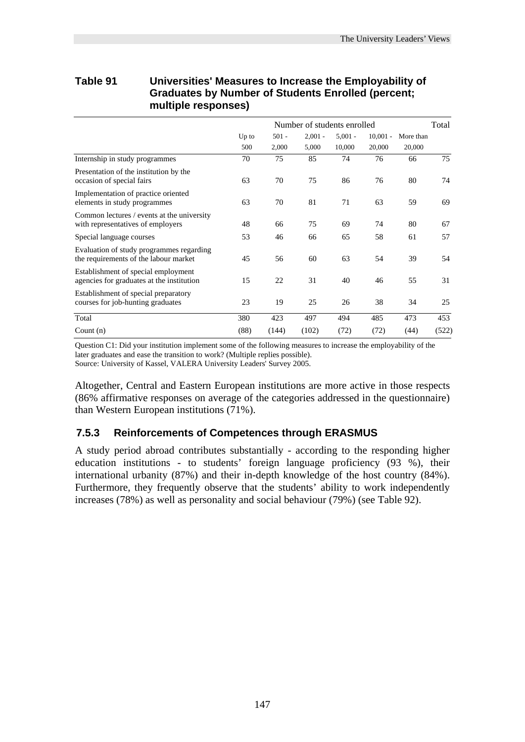| <b>Graduates by Number of Students Enrolled (percent;</b><br>multiple responses)  |                             |                  |                    |                     |                      |                     |     |
|-----------------------------------------------------------------------------------|-----------------------------|------------------|--------------------|---------------------|----------------------|---------------------|-----|
|                                                                                   | Number of students enrolled |                  |                    |                     |                      |                     |     |
|                                                                                   | $Up$ to<br>500              | $501 -$<br>2,000 | $2,001 -$<br>5,000 | $5.001 -$<br>10,000 | $10,001 -$<br>20,000 | More than<br>20,000 |     |
| Internship in study programmes                                                    | 70                          | 75               | 85                 | 74                  | 76                   | 66                  | 75  |
| Presentation of the institution by the<br>occasion of special fairs               | 63                          | 70               | 75                 | 86                  | 76                   | 80                  | 74  |
| Implementation of practice oriented<br>elements in study programmes               | 63                          | 70               | 81                 | 71                  | 63                   | 59                  | 69  |
| Common lectures / events at the university<br>with representatives of employers   | 48                          | 66               | 75                 | 69                  | 74                   | 80                  | 67  |
| Special language courses                                                          | 53                          | 46               | 66                 | 65                  | 58                   | 61                  | 57  |
| Evaluation of study programmes regarding<br>the requirements of the labour market | 45                          | 56               | 60                 | 63                  | 54                   | 39                  | 54  |
| Establishment of special employment<br>agencies for graduates at the institution  | 15                          | 22               | 31                 | 40                  | 46                   | 55                  | 31  |
| Establishment of special preparatory<br>courses for job-hunting graduates         | 23                          | 19               | 25                 | 26                  | 38                   | 34                  | 25  |
| Total                                                                             | 380                         | 423              | 497                | 494                 | 485                  | 473                 | 453 |

# **Table 91 Universities' Measures to Increase the Employability of**

Question C1: Did your institution implement some of the following measures to increase the employability of the later graduates and ease the transition to work? (Multiple replies possible). Source: University of Kassel, VALERA University Leaders' Survey 2005.

Count (n) (88) (144) (102) (72) (72) (44) (522)

Altogether, Central and Eastern European institutions are more active in those respects (86% affirmative responses on average of the categories addressed in the questionnaire) than Western European institutions (71%).

#### **7.5.3 Reinforcements of Competences through ERASMUS**

A study period abroad contributes substantially - according to the responding higher education institutions - to students' foreign language proficiency (93 %), their international urbanity (87%) and their in-depth knowledge of the host country (84%). Furthermore, they frequently observe that the students' ability to work independently increases (78%) as well as personality and social behaviour (79%) (see Table 92).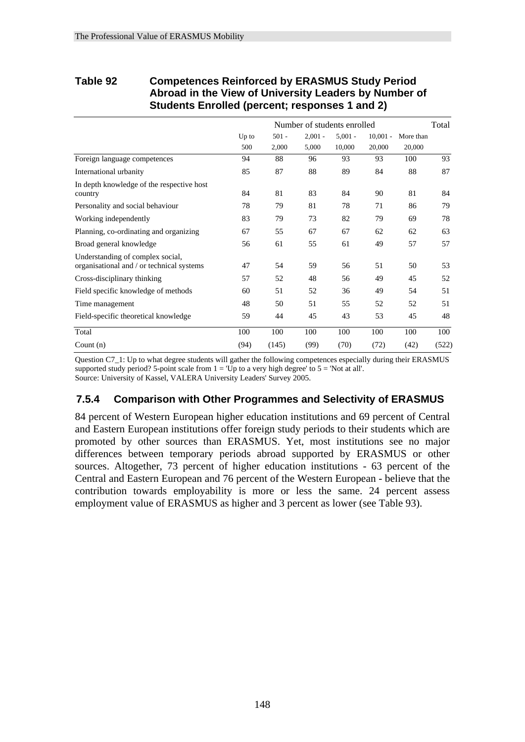#### **Table 92 Competences Reinforced by ERASMUS Study Period Abroad in the View of University Leaders by Number of Students Enrolled (percent; responses 1 and 2)**

|                                                                               |              |                  | Number of students enrolled |                     |                      |                     | Total |
|-------------------------------------------------------------------------------|--------------|------------------|-----------------------------|---------------------|----------------------|---------------------|-------|
|                                                                               | Up to<br>500 | $501 -$<br>2,000 | $2,001 -$<br>5,000          | $5,001 -$<br>10,000 | $10,001 -$<br>20,000 | More than<br>20,000 |       |
| Foreign language competences                                                  | 94           | 88               | 96                          | 93                  | 93                   | 100                 | 93    |
| International urbanity                                                        | 85           | 87               | 88                          | 89                  | 84                   | 88                  | 87    |
| In depth knowledge of the respective host<br>country                          | 84           | 81               | 83                          | 84                  | 90                   | 81                  | 84    |
| Personality and social behaviour                                              | 78           | 79               | 81                          | 78                  | 71                   | 86                  | 79    |
| Working independently                                                         | 83           | 79               | 73                          | 82                  | 79                   | 69                  | 78    |
| Planning, co-ordinating and organizing                                        | 67           | 55               | 67                          | 67                  | 62                   | 62                  | 63    |
| Broad general knowledge                                                       | 56           | 61               | 55                          | 61                  | 49                   | 57                  | 57    |
| Understanding of complex social,<br>organisational and / or technical systems | 47           | 54               | 59                          | 56                  | 51                   | 50                  | 53    |
| Cross-disciplinary thinking                                                   | 57           | 52               | 48                          | 56                  | 49                   | 45                  | 52    |
| Field specific knowledge of methods                                           | 60           | 51               | 52                          | 36                  | 49                   | 54                  | 51    |
| Time management                                                               | 48           | 50               | 51                          | 55                  | 52                   | 52                  | 51    |
| Field-specific theoretical knowledge                                          | 59           | 44               | 45                          | 43                  | 53                   | 45                  | 48    |
| Total                                                                         | 100          | 100              | 100                         | 100                 | 100                  | 100                 | 100   |
| Count $(n)$                                                                   | (94)         | (145)            | (99)                        | (70)                | (72)                 | (42)                | (522) |

Question C7\_1: Up to what degree students will gather the following competences especially during their ERASMUS supported study period? 5-point scale from  $1 = \overline{Up}$  to a very high degree' to  $5 = \overline{Not}$  at all'. Source: University of Kassel, VALERA University Leaders' Survey 2005.

#### **7.5.4 Comparison with Other Programmes and Selectivity of ERASMUS**

84 percent of Western European higher education institutions and 69 percent of Central and Eastern European institutions offer foreign study periods to their students which are promoted by other sources than ERASMUS. Yet, most institutions see no major differences between temporary periods abroad supported by ERASMUS or other sources. Altogether, 73 percent of higher education institutions - 63 percent of the Central and Eastern European and 76 percent of the Western European - believe that the contribution towards employability is more or less the same. 24 percent assess employment value of ERASMUS as higher and 3 percent as lower (see Table 93).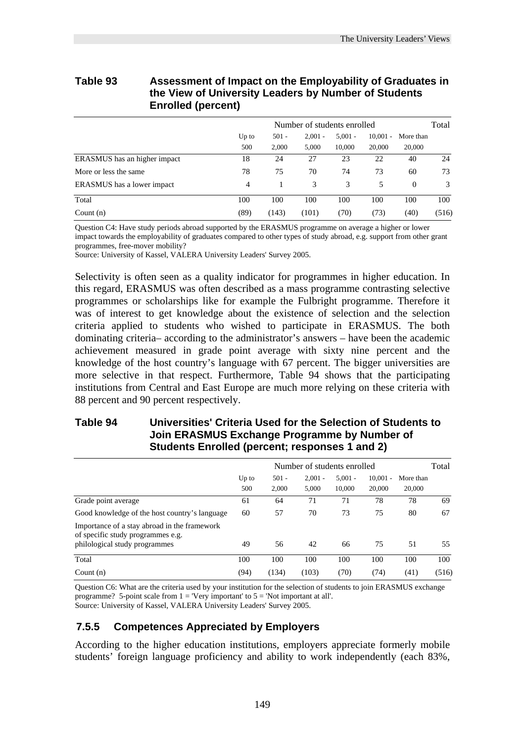| the view of University Leaders by Number of Students<br><b>Enrolled (percent)</b> |                             |                  |                    |                     |                      |                     |               |  |  |
|-----------------------------------------------------------------------------------|-----------------------------|------------------|--------------------|---------------------|----------------------|---------------------|---------------|--|--|
|                                                                                   | Number of students enrolled |                  |                    |                     |                      |                     |               |  |  |
|                                                                                   | Up to<br>500                | $501 -$<br>2.000 | $2.001 -$<br>5.000 | $5.001 -$<br>10,000 | $10,001 -$<br>20,000 | More than<br>20,000 |               |  |  |
| ERASMUS has an higher impact                                                      | 18                          | 24               | 27                 | 23                  | 22                   | 40                  | 24            |  |  |
| More or less the same                                                             | 78                          | 75               | 70                 | 74                  | 73                   | 60                  | 73            |  |  |
| <b>ERASMUS</b> has a lower impact                                                 | 4                           |                  | 3                  | 3                   | 5                    | $\Omega$            | $\mathcal{F}$ |  |  |
| Total                                                                             | 100                         | 100              | 100                | 100                 | 100                  | 100                 | 100           |  |  |

## **Table 93 Assessment of Impact on the Employability of Graduates in the View of University Leaders by Number of Students**

Question C4: Have study periods abroad supported by the ERASMUS programme on average a higher or lower impact towards the employability of graduates compared to other types of study abroad, e.g. support from other grant programmes, free-mover mobility?

Count (n) (89) (143) (101) (70) (73) (40) (516)

Source: University of Kassel, VALERA University Leaders' Survey 2005.

Selectivity is often seen as a quality indicator for programmes in higher education. In this regard, ERASMUS was often described as a mass programme contrasting selective programmes or scholarships like for example the Fulbright programme. Therefore it was of interest to get knowledge about the existence of selection and the selection criteria applied to students who wished to participate in ERASMUS. The both dominating criteria– according to the administrator's answers – have been the academic achievement measured in grade point average with sixty nine percent and the knowledge of the host country's language with 67 percent. The bigger universities are more selective in that respect. Furthermore, Table 94 shows that the participating institutions from Central and East Europe are much more relying on these criteria with 88 percent and 90 percent respectively.

#### **Table 94 Universities' Criteria Used for the Selection of Students to Join ERASMUS Exchange Programme by Number of Students Enrolled (percent; responses 1 and 2)**

|                                                                                                                    | Number of students enrolled |                  |                    |                     |                      |                     | Total |
|--------------------------------------------------------------------------------------------------------------------|-----------------------------|------------------|--------------------|---------------------|----------------------|---------------------|-------|
|                                                                                                                    | $Up$ to<br>500              | $501 -$<br>2.000 | $2.001 -$<br>5.000 | $5.001 -$<br>10.000 | $10,001 -$<br>20,000 | More than<br>20,000 |       |
| Grade point average                                                                                                | 61                          | 64               | 71                 | 71                  | 78                   | 78                  | 69    |
| Good knowledge of the host country's language                                                                      | 60                          | 57               | 70                 | 73                  | 75                   | 80                  | 67    |
| Importance of a stay abroad in the framework<br>of specific study programmes e.g.<br>philological study programmes | 49                          | 56               | 42                 | 66                  | 75                   | 51                  | 55    |
| Total                                                                                                              | 100                         | 100              | 100                | 100                 | 100                  | 100                 | 100   |
| Count $(n)$                                                                                                        | (94)                        | (134)            | (103)              | (70)                | (74)                 | (41)                | (516) |

Question C6: What are the criteria used by your institution for the selection of students to join ERASMUS exchange programme? 5-point scale from  $1 =$  'Very important' to  $5 =$  'Not important at all'. Source: University of Kassel, VALERA University Leaders' Survey 2005.

#### **7.5.5 Competences Appreciated by Employers**

According to the higher education institutions, employers appreciate formerly mobile students' foreign language proficiency and ability to work independently (each 83%,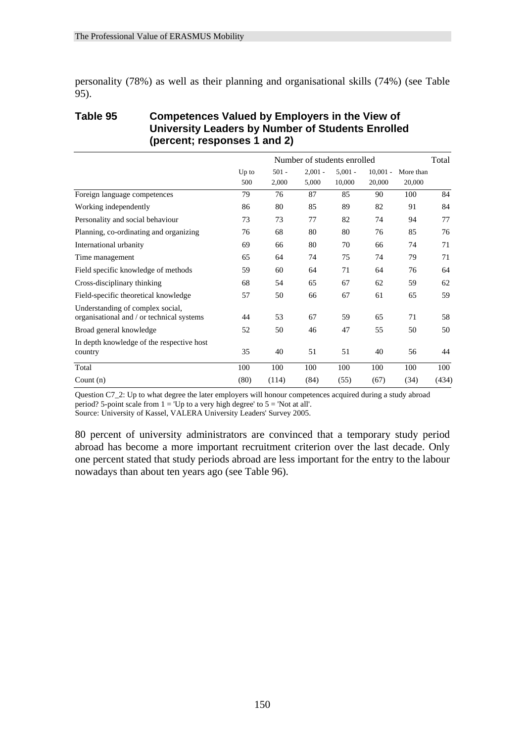personality (78%) as well as their planning and organisational skills (74%) (see Table 95).

#### **Table 95 Competences Valued by Employers in the View of University Leaders by Number of Students Enrolled (percent; responses 1 and 2)**

|                                                                               |              |                  | Number of students enrolled |                     |                      |                     | Total |
|-------------------------------------------------------------------------------|--------------|------------------|-----------------------------|---------------------|----------------------|---------------------|-------|
|                                                                               | Up to<br>500 | $501 -$<br>2,000 | $2,001 -$<br>5,000          | $5,001 -$<br>10,000 | $10,001 -$<br>20,000 | More than<br>20,000 |       |
| Foreign language competences                                                  | 79           | 76               | 87                          | 85                  | 90                   | 100                 | 84    |
| Working independently                                                         | 86           | 80               | 85                          | 89                  | 82                   | 91                  | 84    |
| Personality and social behaviour                                              | 73           | 73               | 77                          | 82                  | 74                   | 94                  | 77    |
| Planning, co-ordinating and organizing                                        | 76           | 68               | 80                          | 80                  | 76                   | 85                  | 76    |
| International urbanity                                                        | 69           | 66               | 80                          | 70                  | 66                   | 74                  | 71    |
| Time management                                                               | 65           | 64               | 74                          | 75                  | 74                   | 79                  | 71    |
| Field specific knowledge of methods                                           | 59           | 60               | 64                          | 71                  | 64                   | 76                  | 64    |
| Cross-disciplinary thinking                                                   | 68           | 54               | 65                          | 67                  | 62                   | 59                  | 62    |
| Field-specific theoretical knowledge                                          | 57           | 50               | 66                          | 67                  | 61                   | 65                  | 59    |
| Understanding of complex social,<br>organisational and / or technical systems | 44           | 53               | 67                          | 59                  | 65                   | 71                  | 58    |
| Broad general knowledge                                                       | 52           | 50               | 46                          | 47                  | 55                   | 50                  | 50    |
| In depth knowledge of the respective host<br>country                          | 35           | 40               | 51                          | 51                  | 40                   | 56                  | 44    |
| Total                                                                         | 100          | 100              | 100                         | 100                 | 100                  | 100                 | 100   |
| Count $(n)$                                                                   | (80)         | (114)            | (84)                        | (55)                | (67)                 | (34)                | (434) |

Question C7\_2: Up to what degree the later employers will honour competences acquired during a study abroad period? 5-point scale from  $1 =$  Up to a very high degree' to  $5 =$  'Not at all'.

Source: University of Kassel, VALERA University Leaders' Survey 2005.

80 percent of university administrators are convinced that a temporary study period abroad has become a more important recruitment criterion over the last decade. Only one percent stated that study periods abroad are less important for the entry to the labour nowadays than about ten years ago (see Table 96).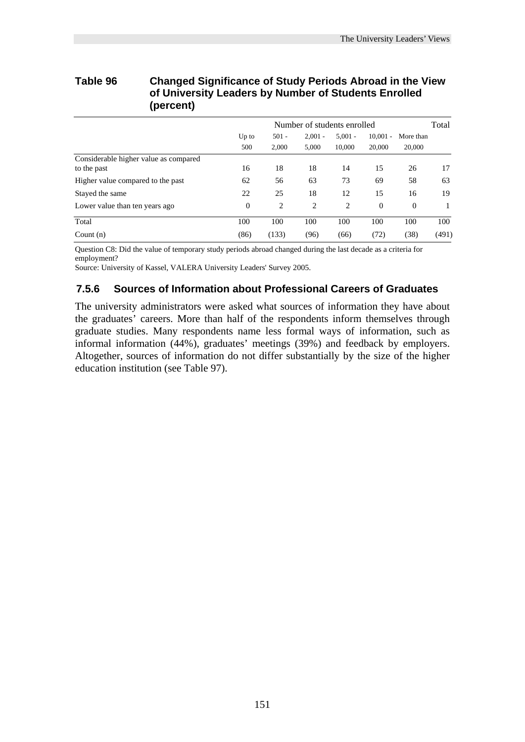#### **Table 96 Changed Significance of Study Periods Abroad in the View of University Leaders by Number of Students Enrolled (percent)**

|                                       | Number of students enrolled |                  |                    |                     |                      | Total               |       |
|---------------------------------------|-----------------------------|------------------|--------------------|---------------------|----------------------|---------------------|-------|
|                                       | $Up$ to<br>500              | $501 -$<br>2,000 | $2.001 -$<br>5,000 | $5.001 -$<br>10,000 | $10,001 -$<br>20,000 | More than<br>20,000 |       |
| Considerable higher value as compared |                             |                  |                    |                     |                      |                     |       |
| to the past                           | 16                          | 18               | 18                 | 14                  | 15                   | 26                  | 17    |
| Higher value compared to the past     | 62                          | 56               | 63                 | 73                  | 69                   | 58                  | 63    |
| Stayed the same                       | 22                          | 25               | 18                 | 12                  | 15                   | 16                  | 19    |
| Lower value than ten years ago        | $\overline{0}$              | $\overline{c}$   | $\overline{2}$     | 2                   | $\theta$             | $\theta$            |       |
| Total                                 | 100                         | 100              | 100                | 100                 | 100                  | 100                 | 100   |
| Count $(n)$                           | (86)                        | (133)            | (96)               | (66)                | (72)                 | (38)                | (491) |

Question C8: Did the value of temporary study periods abroad changed during the last decade as a criteria for employment?

Source: University of Kassel, VALERA University Leaders' Survey 2005.

#### **7.5.6 Sources of Information about Professional Careers of Graduates**

The university administrators were asked what sources of information they have about the graduates' careers. More than half of the respondents inform themselves through graduate studies. Many respondents name less formal ways of information, such as informal information (44%), graduates' meetings (39%) and feedback by employers. Altogether, sources of information do not differ substantially by the size of the higher education institution (see Table 97).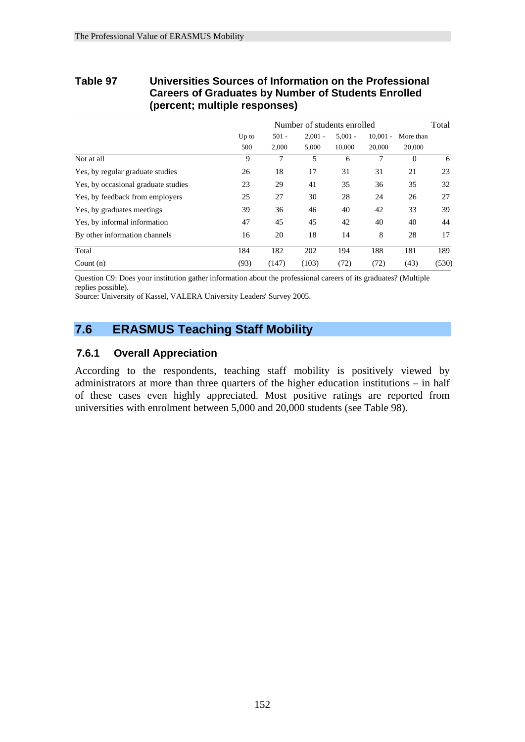#### **Table 97 Universities Sources of Information on the Professional Careers of Graduates by Number of Students Enrolled (percent; multiple responses)**

|                                     | Number of students enrolled |                  |                    |                     |                      |                     |       |
|-------------------------------------|-----------------------------|------------------|--------------------|---------------------|----------------------|---------------------|-------|
|                                     | $Up$ to<br>500              | $501 -$<br>2,000 | $2,001 -$<br>5,000 | $5,001 -$<br>10,000 | $10.001 -$<br>20,000 | More than<br>20,000 |       |
| Not at all                          | 9                           | 7                | 5                  | 6                   | 7                    | $\Omega$            | 6     |
| Yes, by regular graduate studies    | 26                          | 18               | 17                 | 31                  | 31                   | 21                  | 23    |
| Yes, by occasional graduate studies | 23                          | 29               | 41                 | 35                  | 36                   | 35                  | 32    |
| Yes, by feedback from employers     | 25                          | 27               | 30                 | 28                  | 24                   | 26                  | 27    |
| Yes, by graduates meetings          | 39                          | 36               | 46                 | 40                  | 42                   | 33                  | 39    |
| Yes, by informal information        | 47                          | 45               | 45                 | 42                  | 40                   | 40                  | 44    |
| By other information channels       | 16                          | 20               | 18                 | 14                  | 8                    | 28                  | 17    |
| Total                               | 184                         | 182              | 202                | 194                 | 188                  | 181                 | 189   |
| Count $(n)$                         | (93)                        | (147)            | (103)              | (72)                | (72)                 | (43)                | (530) |

Question C9: Does your institution gather information about the professional careers of its graduates? (Multiple replies possible).

Source: University of Kassel, VALERA University Leaders' Survey 2005.

#### **7.6 ERASMUS Teaching Staff Mobility**

#### **7.6.1 Overall Appreciation**

According to the respondents, teaching staff mobility is positively viewed by administrators at more than three quarters of the higher education institutions – in half of these cases even highly appreciated. Most positive ratings are reported from universities with enrolment between 5,000 and 20,000 students (see Table 98).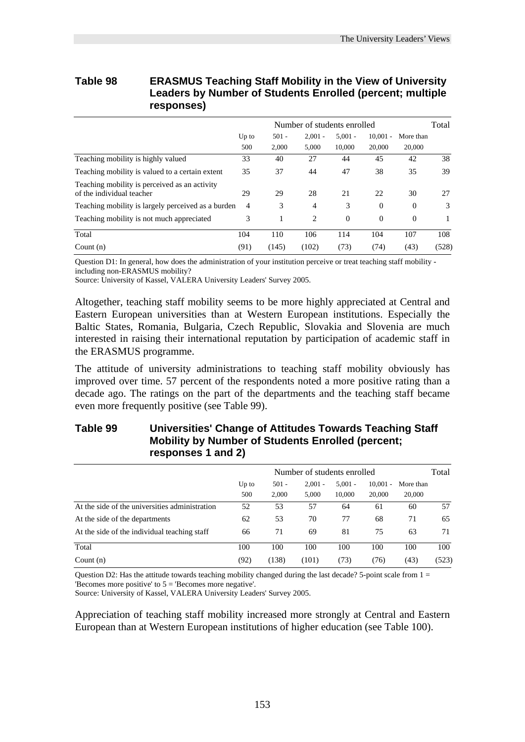#### **Table 98 ERASMUS Teaching Staff Mobility in the View of University Leaders by Number of Students Enrolled (percent; multiple responses)**

|                                                                            | Number of students enrolled |                  |                    |                     |                      |                     |       |
|----------------------------------------------------------------------------|-----------------------------|------------------|--------------------|---------------------|----------------------|---------------------|-------|
|                                                                            | $Up$ to<br>500              | $501 -$<br>2,000 | $2.001 -$<br>5,000 | $5.001 -$<br>10.000 | $10.001 -$<br>20,000 | More than<br>20,000 |       |
| Teaching mobility is highly valued                                         | 33                          | 40               | 27                 | 44                  | 45                   | 42                  | 38    |
| Teaching mobility is valued to a certain extent                            | 35                          | 37               | 44                 | 47                  | 38                   | 35                  | 39    |
| Teaching mobility is perceived as an activity<br>of the individual teacher | 29                          | 29               | 28                 | 21                  | 22                   | 30                  | 27    |
| Teaching mobility is largely perceived as a burden                         | $\overline{4}$              | 3                | $\overline{4}$     | 3                   | $\theta$             | $\Omega$            | 3     |
| Teaching mobility is not much appreciated                                  | 3                           | 1                | $\overline{2}$     | $\Omega$            | $\theta$             | $\Omega$            |       |
| Total                                                                      | 104                         | 110              | 106                | 114                 | 104                  | 107                 | 108   |
| Count $(n)$                                                                | (91)                        | (145)            | (102)              | (73)                | (74)                 | (43)                | (528) |

Question D1: In general, how does the administration of your institution perceive or treat teaching staff mobility including non-ERASMUS mobility?

Source: University of Kassel, VALERA University Leaders' Survey 2005.

Altogether, teaching staff mobility seems to be more highly appreciated at Central and Eastern European universities than at Western European institutions. Especially the Baltic States, Romania, Bulgaria, Czech Republic, Slovakia and Slovenia are much interested in raising their international reputation by participation of academic staff in the ERASMUS programme.

The attitude of university administrations to teaching staff mobility obviously has improved over time. 57 percent of the respondents noted a more positive rating than a decade ago. The ratings on the part of the departments and the teaching staff became even more frequently positive (see Table 99).

#### **Table 99 Universities' Change of Attitudes Towards Teaching Staff Mobility by Number of Students Enrolled (percent; responses 1 and 2)**

|                                                | Number of students enrolled |                  |                    |                     |                      |                     | Total |
|------------------------------------------------|-----------------------------|------------------|--------------------|---------------------|----------------------|---------------------|-------|
|                                                | Up to<br>500                | $501 -$<br>2.000 | $2.001 -$<br>5,000 | $5.001 -$<br>10,000 | $10.001 -$<br>20,000 | More than<br>20,000 |       |
| At the side of the universities administration | 52                          | 53               | 57                 | 64                  | 61                   | 60                  | 57    |
| At the side of the departments                 | 62                          | 53               | 70                 | 77                  | 68                   | 71                  | 65    |
| At the side of the individual teaching staff   | 66                          | 71               | 69                 | 81                  | 75                   | 63                  | 71    |
| Total                                          | 100                         | 100              | 100                | 100                 | 100                  | 100                 | 100   |
| Count $(n)$                                    | (92)                        | (138)            | (101)              | (73)                | (76)                 | (43)                | (523) |

Question D2: Has the attitude towards teaching mobility changed during the last decade? 5-point scale from  $1 =$ 'Becomes more positive' to 5 = 'Becomes more negative'.

Source: University of Kassel, VALERA University Leaders' Survey 2005.

Appreciation of teaching staff mobility increased more strongly at Central and Eastern European than at Western European institutions of higher education (see Table 100).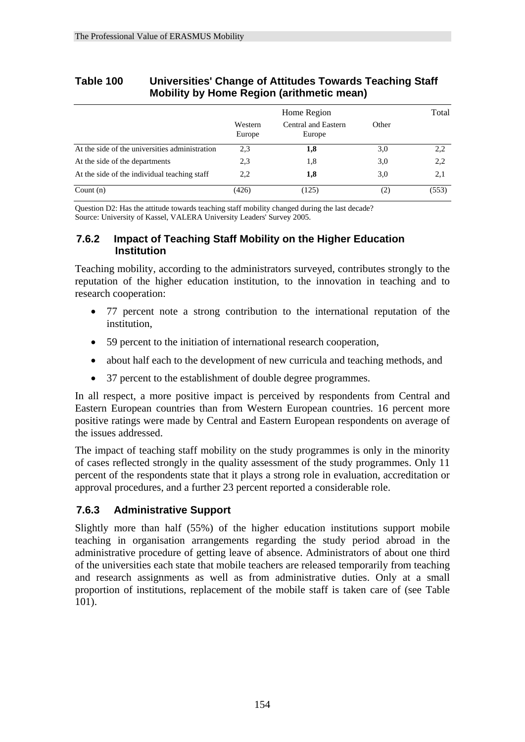| <b>MODILITY by HOME Region (arithmetic mean)</b> |                   |                               |       |       |  |  |  |  |  |
|--------------------------------------------------|-------------------|-------------------------------|-------|-------|--|--|--|--|--|
|                                                  |                   | Home Region                   |       | Total |  |  |  |  |  |
|                                                  | Western<br>Europe | Central and Eastern<br>Europe | Other |       |  |  |  |  |  |
| At the side of the universities administration   | 2.3               | 1,8                           | 3,0   | 2,2   |  |  |  |  |  |
| At the side of the departments                   | 2.3               | 1,8                           | 3,0   | 2,2   |  |  |  |  |  |
| At the side of the individual teaching staff     | 2,2               | 1,8                           | 3,0   | 2,1   |  |  |  |  |  |
| Count $(n)$                                      | (426)             | (125)                         | (2)   | (553) |  |  |  |  |  |

#### **Table 100 Universities' Change of Attitudes Towards Teaching Staff Mobility by Home Region (arithmetic mean)**

Question D2: Has the attitude towards teaching staff mobility changed during the last decade? Source: University of Kassel, VALERA University Leaders' Survey 2005.

#### **7.6.2 Impact of Teaching Staff Mobility on the Higher Education Institution**

Teaching mobility, according to the administrators surveyed, contributes strongly to the reputation of the higher education institution, to the innovation in teaching and to research cooperation:

- 77 percent note a strong contribution to the international reputation of the institution,
- 59 percent to the initiation of international research cooperation,
- about half each to the development of new curricula and teaching methods, and
- 37 percent to the establishment of double degree programmes.

In all respect, a more positive impact is perceived by respondents from Central and Eastern European countries than from Western European countries. 16 percent more positive ratings were made by Central and Eastern European respondents on average of the issues addressed.

The impact of teaching staff mobility on the study programmes is only in the minority of cases reflected strongly in the quality assessment of the study programmes. Only 11 percent of the respondents state that it plays a strong role in evaluation, accreditation or approval procedures, and a further 23 percent reported a considerable role.

#### **7.6.3 Administrative Support**

Slightly more than half (55%) of the higher education institutions support mobile teaching in organisation arrangements regarding the study period abroad in the administrative procedure of getting leave of absence. Administrators of about one third of the universities each state that mobile teachers are released temporarily from teaching and research assignments as well as from administrative duties. Only at a small proportion of institutions, replacement of the mobile staff is taken care of (see Table 101).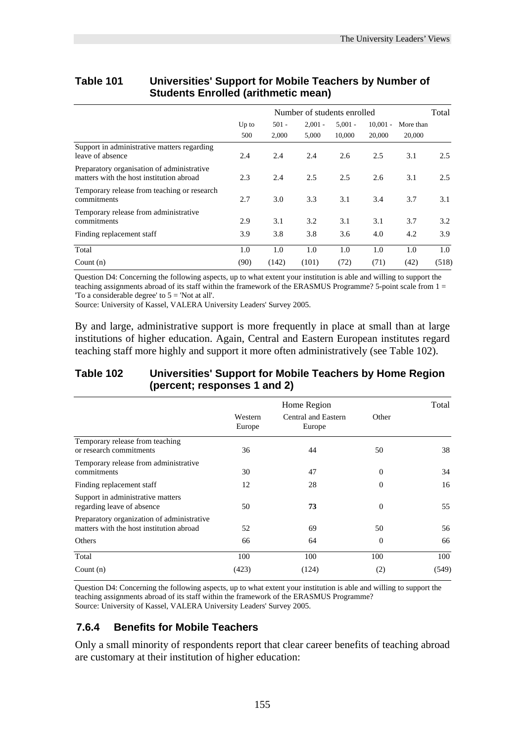| <u>UNUSTING ETHOLICA (UNINHICHO MICAN)</u>                                             |                             |                  |                    |                     |                      |                     |       |
|----------------------------------------------------------------------------------------|-----------------------------|------------------|--------------------|---------------------|----------------------|---------------------|-------|
|                                                                                        | Number of students enrolled |                  |                    |                     |                      |                     |       |
|                                                                                        | Up to<br>500                | $501 -$<br>2,000 | $2,001 -$<br>5,000 | $5,001 -$<br>10,000 | $10,001 -$<br>20,000 | More than<br>20,000 |       |
| Support in administrative matters regarding<br>leave of absence                        | 2.4                         | 2.4              | 2.4                | 2.6                 | 2.5                  | 3.1                 | 2.5   |
| Preparatory organisation of administrative<br>matters with the host institution abroad | 2.3                         | 2.4              | 2.5                | 2.5                 | 2.6                  | 3.1                 | 2.5   |
| Temporary release from teaching or research<br>commitments                             | 2.7                         | 3.0              | 3.3                | 3.1                 | 3.4                  | 3.7                 | 3.1   |
| Temporary release from administrative<br>commitments                                   | 2.9                         | 3.1              | 3.2                | 3.1                 | 3.1                  | 3.7                 | 3.2   |
| Finding replacement staff                                                              | 3.9                         | 3.8              | 3.8                | 3.6                 | 4.0                  | 4.2                 | 3.9   |
| Total                                                                                  | 1.0                         | 1.0              | 1.0                | 1.0                 | 1.0                  | 1.0                 | 1.0   |
| Count $(n)$                                                                            | (90)                        | (142)            | (101)              | (72)                | (71)                 | (42)                | (518) |

#### **Table 101 Universities' Support for Mobile Teachers by Number of Students Enrolled (arithmetic mean)**

Question D4: Concerning the following aspects, up to what extent your institution is able and willing to support the teaching assignments abroad of its staff within the framework of the ERASMUS Programme? 5-point scale from  $1 =$ 'To a considerable degree' to 5 = 'Not at all'.

Source: University of Kassel, VALERA University Leaders' Survey 2005.

By and large, administrative support is more frequently in place at small than at large institutions of higher education. Again, Central and Eastern European institutes regard teaching staff more highly and support it more often administratively (see Table 102).

#### **Table 102 Universities' Support for Mobile Teachers by Home Region (percent; responses 1 and 2)**

|                                                                                        |                   | Home Region                   |                | Total |
|----------------------------------------------------------------------------------------|-------------------|-------------------------------|----------------|-------|
|                                                                                        | Western<br>Europe | Central and Eastern<br>Europe | Other          |       |
| Temporary release from teaching<br>or research commitments                             | 36                | 44                            | 50             | 38    |
| Temporary release from administrative<br>commitments                                   | 30                | 47                            | $\overline{0}$ | 34    |
| Finding replacement staff                                                              | 12                | 28                            | $\Omega$       | 16    |
| Support in administrative matters<br>regarding leave of absence                        | 50                | 73                            | $\overline{0}$ | 55    |
| Preparatory organization of administrative<br>matters with the host institution abroad | 52                | 69                            | 50             | 56    |
| Others                                                                                 | 66                | 64                            | $\Omega$       | 66    |
| Total                                                                                  | 100               | 100                           | 100            | 100   |
| Count $(n)$                                                                            | (423)             | (124)                         | (2)            | (549) |

Question D4: Concerning the following aspects, up to what extent your institution is able and willing to support the teaching assignments abroad of its staff within the framework of the ERASMUS Programme? Source: University of Kassel, VALERA University Leaders' Survey 2005.

#### **7.6.4 Benefits for Mobile Teachers**

Only a small minority of respondents report that clear career benefits of teaching abroad are customary at their institution of higher education: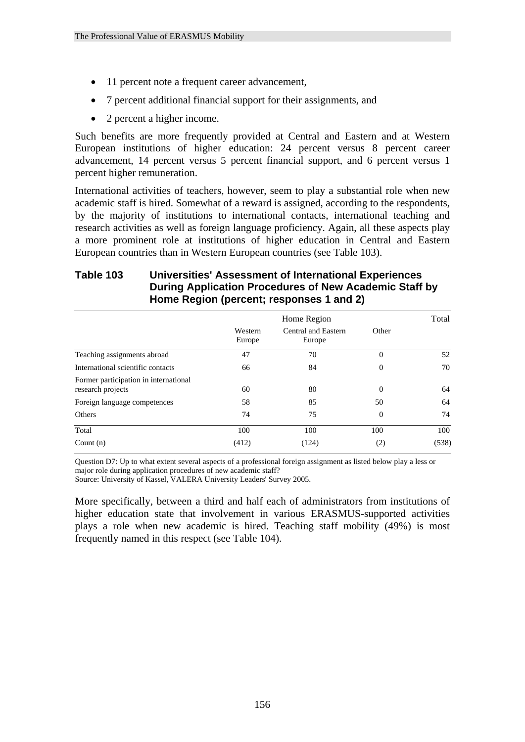- 11 percent note a frequent career advancement,
- 7 percent additional financial support for their assignments, and
- 2 percent a higher income.

Such benefits are more frequently provided at Central and Eastern and at Western European institutions of higher education: 24 percent versus 8 percent career advancement, 14 percent versus 5 percent financial support, and 6 percent versus 1 percent higher remuneration.

International activities of teachers, however, seem to play a substantial role when new academic staff is hired. Somewhat of a reward is assigned, according to the respondents, by the majority of institutions to international contacts, international teaching and research activities as well as foreign language proficiency. Again, all these aspects play a more prominent role at institutions of higher education in Central and Eastern European countries than in Western European countries (see Table 103).

#### **Table 103 Universities' Assessment of International Experiences During Application Procedures of New Academic Staff by Home Region (percent; responses 1 and 2)**

|                                                            |                   | Home Region                   |              | Total |
|------------------------------------------------------------|-------------------|-------------------------------|--------------|-------|
|                                                            | Western<br>Europe | Central and Eastern<br>Europe | Other        |       |
| Teaching assignments abroad                                | 47                | 70                            | $\theta$     | 52    |
| International scientific contacts                          | 66                | 84                            | $\mathbf{0}$ | 70    |
| Former participation in international<br>research projects | 60                | 80                            | $\theta$     | 64    |
| Foreign language competences                               | 58                | 85                            | 50           | 64    |
| Others                                                     | 74                | 75                            | $\mathbf{0}$ | 74    |
| Total                                                      | 100               | 100                           | 100          | 100   |
| Count $(n)$                                                | (412)             | (124)                         | (2)          | (538) |

Question D7: Up to what extent several aspects of a professional foreign assignment as listed below play a less or major role during application procedures of new academic staff?

Source: University of Kassel, VALERA University Leaders' Survey 2005.

More specifically, between a third and half each of administrators from institutions of higher education state that involvement in various ERASMUS-supported activities plays a role when new academic is hired. Teaching staff mobility (49%) is most frequently named in this respect (see Table 104).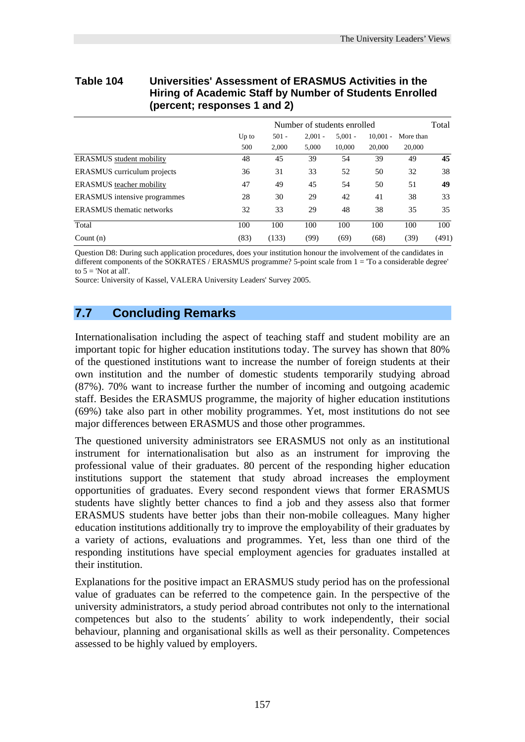#### **Table 104 Universities' Assessment of ERASMUS Activities in the Hiring of Academic Staff by Number of Students Enrolled (percent; responses 1 and 2)**

|                                     | Number of students enrolled |                  |                    |                     |                      |                     | Total |
|-------------------------------------|-----------------------------|------------------|--------------------|---------------------|----------------------|---------------------|-------|
|                                     | Up to<br>500                | $501 -$<br>2.000 | $2.001 -$<br>5.000 | $5.001 -$<br>10.000 | $10,001 -$<br>20,000 | More than<br>20,000 |       |
| ERASMUS student mobility            | 48                          | 45               | 39                 | 54                  | 39                   | 49                  | 45    |
| ERASMUS curriculum projects         | 36                          | 31               | 33                 | 52                  | 50                   | 32                  | 38    |
| ERASMUS teacher mobility            | 47                          | 49               | 45                 | 54                  | 50                   | 51                  | 49    |
| <b>ERASMUS</b> intensive programmes | 28                          | 30               | 29                 | 42                  | 41                   | 38                  | 33    |
| ERASMUS thematic networks           | 32                          | 33               | 29                 | 48                  | 38                   | 35                  | 35    |
| Total                               | 100                         | 100              | 100                | 100                 | 100                  | 100                 | 100   |
| Count $(n)$                         | (83)                        | (133)            | (99)               | (69)                | (68)                 | (39)                | (491) |

Question D8: During such application procedures, does your institution honour the involvement of the candidates in different components of the SOKRATES / ERASMUS programme? 5-point scale from 1 = 'To a considerable degree' to  $5 =$  'Not at all'.

Source: University of Kassel, VALERA University Leaders' Survey 2005.

#### **7.7 Concluding Remarks**

Internationalisation including the aspect of teaching staff and student mobility are an important topic for higher education institutions today. The survey has shown that 80% of the questioned institutions want to increase the number of foreign students at their own institution and the number of domestic students temporarily studying abroad (87%). 70% want to increase further the number of incoming and outgoing academic staff. Besides the ERASMUS programme, the majority of higher education institutions (69%) take also part in other mobility programmes. Yet, most institutions do not see major differences between ERASMUS and those other programmes.

The questioned university administrators see ERASMUS not only as an institutional instrument for internationalisation but also as an instrument for improving the professional value of their graduates. 80 percent of the responding higher education institutions support the statement that study abroad increases the employment opportunities of graduates. Every second respondent views that former ERASMUS students have slightly better chances to find a job and they assess also that former ERASMUS students have better jobs than their non-mobile colleagues. Many higher education institutions additionally try to improve the employability of their graduates by a variety of actions, evaluations and programmes. Yet, less than one third of the responding institutions have special employment agencies for graduates installed at their institution.

Explanations for the positive impact an ERASMUS study period has on the professional value of graduates can be referred to the competence gain. In the perspective of the university administrators, a study period abroad contributes not only to the international competences but also to the students´ ability to work independently, their social behaviour, planning and organisational skills as well as their personality. Competences assessed to be highly valued by employers.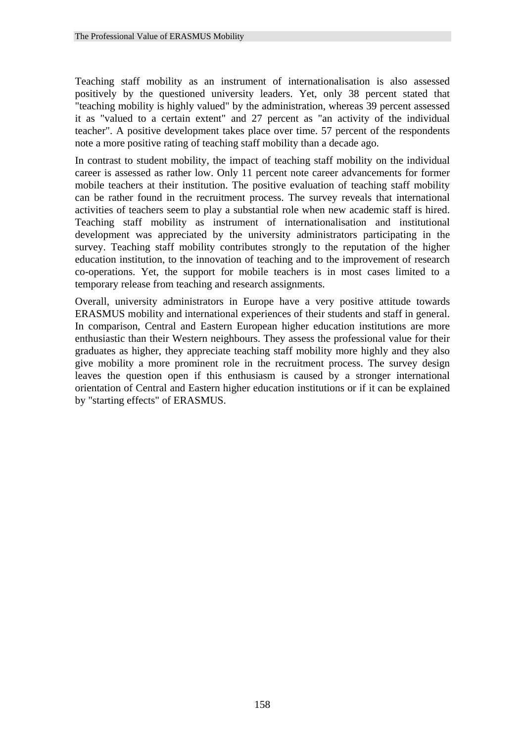Teaching staff mobility as an instrument of internationalisation is also assessed positively by the questioned university leaders. Yet, only 38 percent stated that "teaching mobility is highly valued" by the administration, whereas 39 percent assessed it as "valued to a certain extent" and 27 percent as "an activity of the individual teacher". A positive development takes place over time. 57 percent of the respondents note a more positive rating of teaching staff mobility than a decade ago.

In contrast to student mobility, the impact of teaching staff mobility on the individual career is assessed as rather low. Only 11 percent note career advancements for former mobile teachers at their institution. The positive evaluation of teaching staff mobility can be rather found in the recruitment process. The survey reveals that international activities of teachers seem to play a substantial role when new academic staff is hired. Teaching staff mobility as instrument of internationalisation and institutional development was appreciated by the university administrators participating in the survey. Teaching staff mobility contributes strongly to the reputation of the higher education institution, to the innovation of teaching and to the improvement of research co-operations. Yet, the support for mobile teachers is in most cases limited to a temporary release from teaching and research assignments.

Overall, university administrators in Europe have a very positive attitude towards ERASMUS mobility and international experiences of their students and staff in general. In comparison, Central and Eastern European higher education institutions are more enthusiastic than their Western neighbours. They assess the professional value for their graduates as higher, they appreciate teaching staff mobility more highly and they also give mobility a more prominent role in the recruitment process. The survey design leaves the question open if this enthusiasm is caused by a stronger international orientation of Central and Eastern higher education institutions or if it can be explained by "starting effects" of ERASMUS.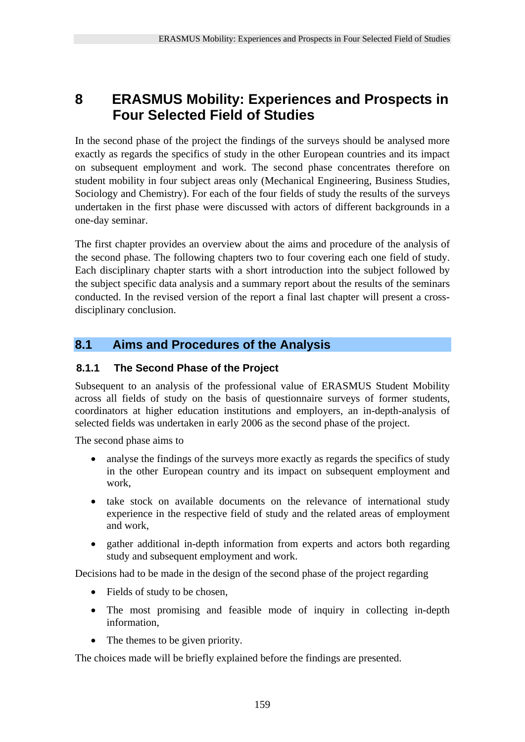### **8 ERASMUS Mobility: Experiences and Prospects in Four Selected Field of Studies**

In the second phase of the project the findings of the surveys should be analysed more exactly as regards the specifics of study in the other European countries and its impact on subsequent employment and work. The second phase concentrates therefore on student mobility in four subject areas only (Mechanical Engineering, Business Studies, Sociology and Chemistry). For each of the four fields of study the results of the surveys undertaken in the first phase were discussed with actors of different backgrounds in a one-day seminar.

The first chapter provides an overview about the aims and procedure of the analysis of the second phase. The following chapters two to four covering each one field of study. Each disciplinary chapter starts with a short introduction into the subject followed by the subject specific data analysis and a summary report about the results of the seminars conducted. In the revised version of the report a final last chapter will present a crossdisciplinary conclusion.

#### **8.1 Aims and Procedures of the Analysis**

#### **8.1.1 The Second Phase of the Project**

Subsequent to an analysis of the professional value of ERASMUS Student Mobility across all fields of study on the basis of questionnaire surveys of former students, coordinators at higher education institutions and employers, an in-depth-analysis of selected fields was undertaken in early 2006 as the second phase of the project.

The second phase aims to

- analyse the findings of the surveys more exactly as regards the specifics of study in the other European country and its impact on subsequent employment and work,
- take stock on available documents on the relevance of international study experience in the respective field of study and the related areas of employment and work,
- gather additional in-depth information from experts and actors both regarding study and subsequent employment and work.

Decisions had to be made in the design of the second phase of the project regarding

- Fields of study to be chosen,
- The most promising and feasible mode of inquiry in collecting in-depth information,
- The themes to be given priority.

The choices made will be briefly explained before the findings are presented.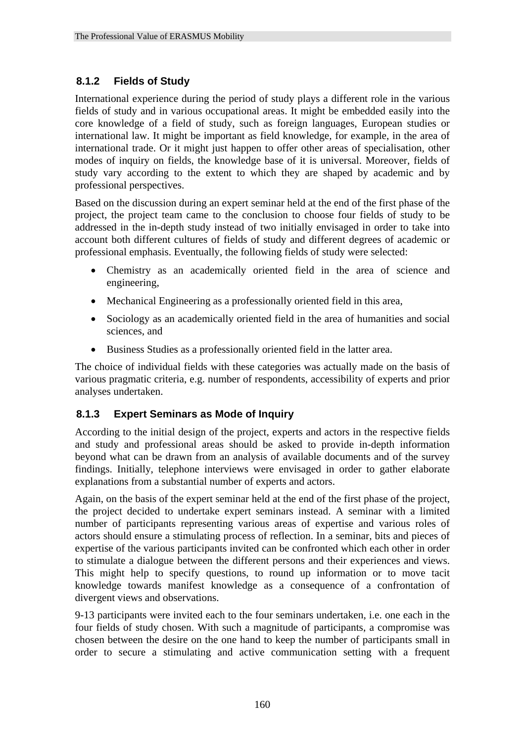#### **8.1.2 Fields of Study**

International experience during the period of study plays a different role in the various fields of study and in various occupational areas. It might be embedded easily into the core knowledge of a field of study, such as foreign languages, European studies or international law. It might be important as field knowledge, for example, in the area of international trade. Or it might just happen to offer other areas of specialisation, other modes of inquiry on fields, the knowledge base of it is universal. Moreover, fields of study vary according to the extent to which they are shaped by academic and by professional perspectives.

Based on the discussion during an expert seminar held at the end of the first phase of the project, the project team came to the conclusion to choose four fields of study to be addressed in the in-depth study instead of two initially envisaged in order to take into account both different cultures of fields of study and different degrees of academic or professional emphasis. Eventually, the following fields of study were selected:

- Chemistry as an academically oriented field in the area of science and engineering,
- Mechanical Engineering as a professionally oriented field in this area,
- Sociology as an academically oriented field in the area of humanities and social sciences, and
- Business Studies as a professionally oriented field in the latter area.

The choice of individual fields with these categories was actually made on the basis of various pragmatic criteria, e.g. number of respondents, accessibility of experts and prior analyses undertaken.

#### **8.1.3 Expert Seminars as Mode of Inquiry**

According to the initial design of the project, experts and actors in the respective fields and study and professional areas should be asked to provide in-depth information beyond what can be drawn from an analysis of available documents and of the survey findings. Initially, telephone interviews were envisaged in order to gather elaborate explanations from a substantial number of experts and actors.

Again, on the basis of the expert seminar held at the end of the first phase of the project, the project decided to undertake expert seminars instead. A seminar with a limited number of participants representing various areas of expertise and various roles of actors should ensure a stimulating process of reflection. In a seminar, bits and pieces of expertise of the various participants invited can be confronted which each other in order to stimulate a dialogue between the different persons and their experiences and views. This might help to specify questions, to round up information or to move tacit knowledge towards manifest knowledge as a consequence of a confrontation of divergent views and observations.

9-13 participants were invited each to the four seminars undertaken, i.e. one each in the four fields of study chosen. With such a magnitude of participants, a compromise was chosen between the desire on the one hand to keep the number of participants small in order to secure a stimulating and active communication setting with a frequent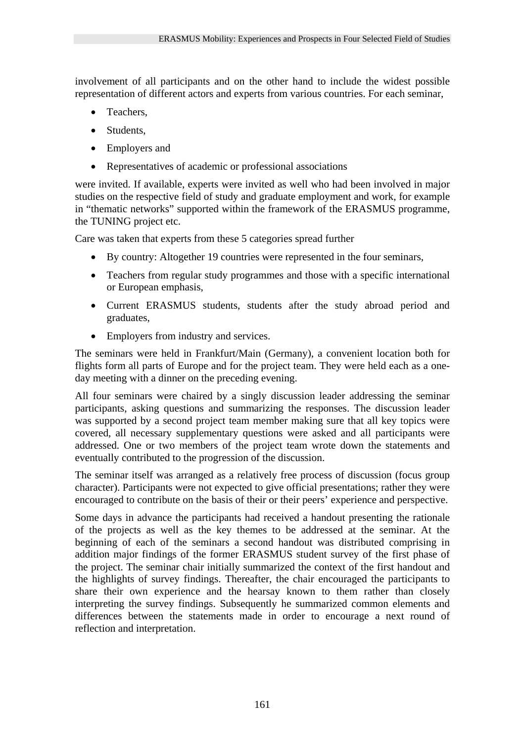involvement of all participants and on the other hand to include the widest possible representation of different actors and experts from various countries. For each seminar,

- Teachers.
- Students.
- Employers and
- Representatives of academic or professional associations

were invited. If available, experts were invited as well who had been involved in major studies on the respective field of study and graduate employment and work, for example in "thematic networks" supported within the framework of the ERASMUS programme, the TUNING project etc.

Care was taken that experts from these 5 categories spread further

- By country: Altogether 19 countries were represented in the four seminars,
- Teachers from regular study programmes and those with a specific international or European emphasis,
- Current ERASMUS students, students after the study abroad period and graduates,
- Employers from industry and services.

The seminars were held in Frankfurt/Main (Germany), a convenient location both for flights form all parts of Europe and for the project team. They were held each as a oneday meeting with a dinner on the preceding evening.

All four seminars were chaired by a singly discussion leader addressing the seminar participants, asking questions and summarizing the responses. The discussion leader was supported by a second project team member making sure that all key topics were covered, all necessary supplementary questions were asked and all participants were addressed. One or two members of the project team wrote down the statements and eventually contributed to the progression of the discussion.

The seminar itself was arranged as a relatively free process of discussion (focus group character). Participants were not expected to give official presentations; rather they were encouraged to contribute on the basis of their or their peers' experience and perspective.

Some days in advance the participants had received a handout presenting the rationale of the projects as well as the key themes to be addressed at the seminar. At the beginning of each of the seminars a second handout was distributed comprising in addition major findings of the former ERASMUS student survey of the first phase of the project. The seminar chair initially summarized the context of the first handout and the highlights of survey findings. Thereafter, the chair encouraged the participants to share their own experience and the hearsay known to them rather than closely interpreting the survey findings. Subsequently he summarized common elements and differences between the statements made in order to encourage a next round of reflection and interpretation.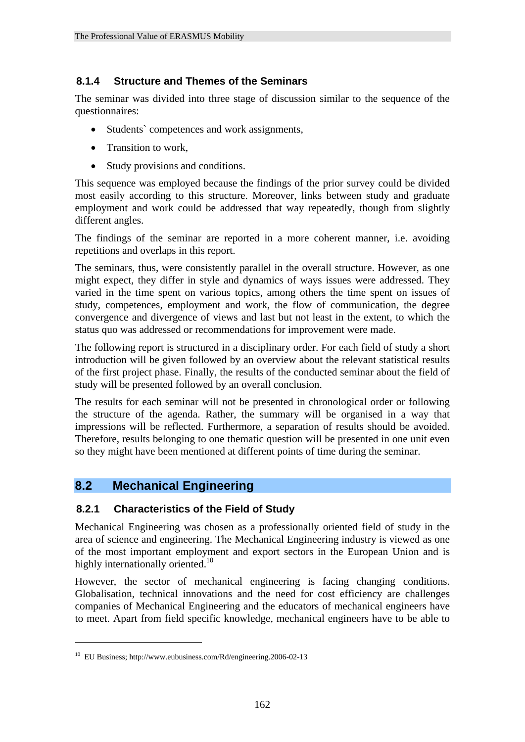# **8.1.4 Structure and Themes of the Seminars**

The seminar was divided into three stage of discussion similar to the sequence of the questionnaires:

- Students' competences and work assignments,
- Transition to work,
- Study provisions and conditions.

This sequence was employed because the findings of the prior survey could be divided most easily according to this structure. Moreover, links between study and graduate employment and work could be addressed that way repeatedly, though from slightly different angles.

The findings of the seminar are reported in a more coherent manner, i.e. avoiding repetitions and overlaps in this report.

The seminars, thus, were consistently parallel in the overall structure. However, as one might expect, they differ in style and dynamics of ways issues were addressed. They varied in the time spent on various topics, among others the time spent on issues of study, competences, employment and work, the flow of communication, the degree convergence and divergence of views and last but not least in the extent, to which the status quo was addressed or recommendations for improvement were made.

The following report is structured in a disciplinary order. For each field of study a short introduction will be given followed by an overview about the relevant statistical results of the first project phase. Finally, the results of the conducted seminar about the field of study will be presented followed by an overall conclusion.

The results for each seminar will not be presented in chronological order or following the structure of the agenda. Rather, the summary will be organised in a way that impressions will be reflected. Furthermore, a separation of results should be avoided. Therefore, results belonging to one thematic question will be presented in one unit even so they might have been mentioned at different points of time during the seminar.

# **8.2 Mechanical Engineering**

# **8.2.1 Characteristics of the Field of Study**

Mechanical Engineering was chosen as a professionally oriented field of study in the area of science and engineering. The Mechanical Engineering industry is viewed as one of the most important employment and export sectors in the European Union and is highly internationally oriented.<sup>10</sup>

However, the sector of mechanical engineering is facing changing conditions. Globalisation, technical innovations and the need for cost efficiency are challenges companies of Mechanical Engineering and the educators of mechanical engineers have to meet. Apart from field specific knowledge, mechanical engineers have to be able to

<u>.</u>

<sup>10</sup> EU Business; http://www.eubusiness.com/Rd/engineering.2006-02-13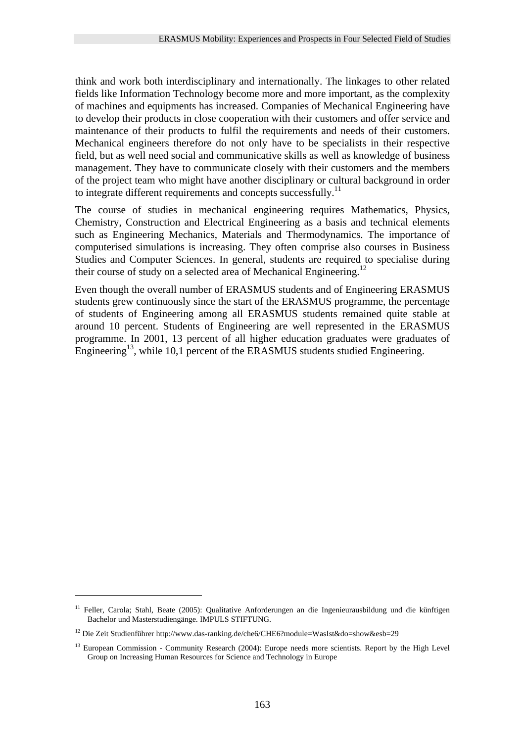think and work both interdisciplinary and internationally. The linkages to other related fields like Information Technology become more and more important, as the complexity of machines and equipments has increased. Companies of Mechanical Engineering have to develop their products in close cooperation with their customers and offer service and maintenance of their products to fulfil the requirements and needs of their customers. Mechanical engineers therefore do not only have to be specialists in their respective field, but as well need social and communicative skills as well as knowledge of business management. They have to communicate closely with their customers and the members of the project team who might have another disciplinary or cultural background in order to integrate different requirements and concepts successfully.<sup>11</sup>

The course of studies in mechanical engineering requires Mathematics, Physics, Chemistry, Construction and Electrical Engineering as a basis and technical elements such as Engineering Mechanics, Materials and Thermodynamics. The importance of computerised simulations is increasing. They often comprise also courses in Business Studies and Computer Sciences. In general, students are required to specialise during their course of study on a selected area of Mechanical Engineering.<sup>12</sup>

Even though the overall number of ERASMUS students and of Engineering ERASMUS students grew continuously since the start of the ERASMUS programme, the percentage of students of Engineering among all ERASMUS students remained quite stable at around 10 percent. Students of Engineering are well represented in the ERASMUS programme. In 2001, 13 percent of all higher education graduates were graduates of Engineering<sup>13</sup>, while 10,1 percent of the ERASMUS students studied Engineering.

1

<sup>&</sup>lt;sup>11</sup> Feller, Carola; Stahl, Beate (2005): Qualitative Anforderungen an die Ingenieurausbildung und die künftigen Bachelor und Masterstudiengänge. IMPULS STIFTUNG.

<sup>12</sup> Die Zeit Studienführer http://www.das-ranking.de/che6/CHE6?module=WasIst&do=show&esb=29

<sup>&</sup>lt;sup>13</sup> European Commission - Community Research (2004): Europe needs more scientists. Report by the High Level Group on Increasing Human Resources for Science and Technology in Europe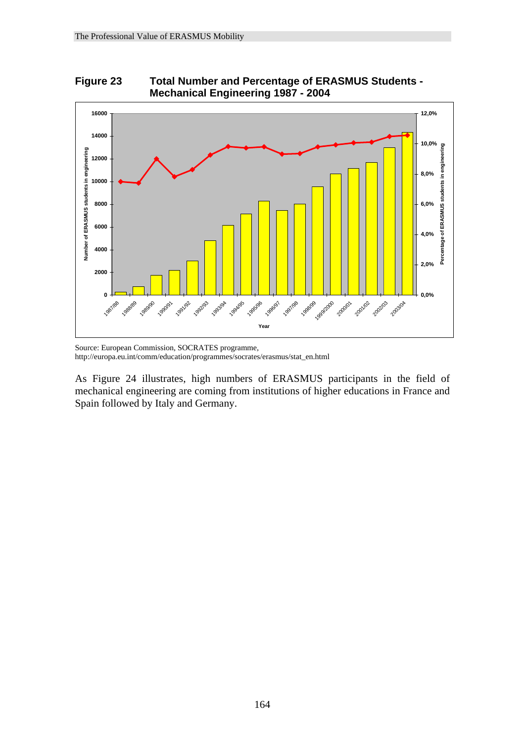



Source: European Commission, SOCRATES programme, http://europa.eu.int/comm/education/programmes/socrates/erasmus/stat\_en.html

As Figure 24 illustrates, high numbers of ERASMUS participants in the field of mechanical engineering are coming from institutions of higher educations in France and Spain followed by Italy and Germany.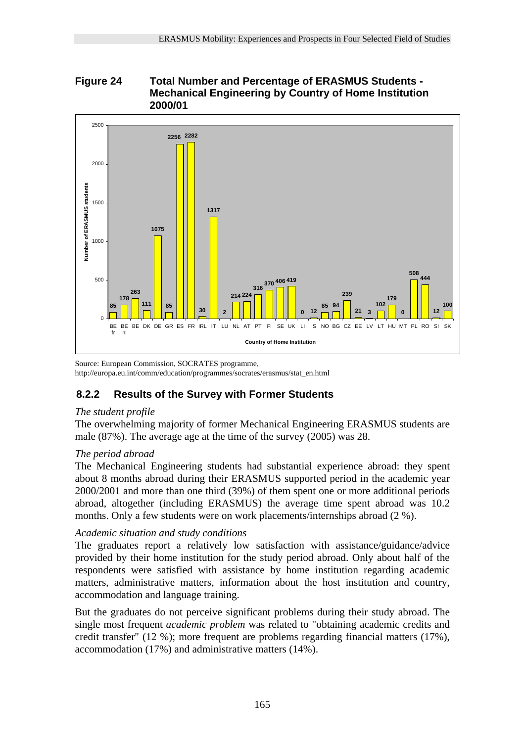# **Figure 24 Total Number and Percentage of ERASMUS Students - Mechanical Engineering by Country of Home Institution 2000/01**



Source: European Commission, SOCRATES programme, http://europa.eu.int/comm/education/programmes/socrates/erasmus/stat\_en.html

# **8.2.2 Results of the Survey with Former Students**

# *The student profile*

The overwhelming majority of former Mechanical Engineering ERASMUS students are male (87%). The average age at the time of the survey (2005) was 28.

# *The period abroad*

The Mechanical Engineering students had substantial experience abroad: they spent about 8 months abroad during their ERASMUS supported period in the academic year 2000/2001 and more than one third (39%) of them spent one or more additional periods abroad, altogether (including ERASMUS) the average time spent abroad was 10.2 months. Only a few students were on work placements/internships abroad (2 %).

# *Academic situation and study conditions*

The graduates report a relatively low satisfaction with assistance/guidance/advice provided by their home institution for the study period abroad. Only about half of the respondents were satisfied with assistance by home institution regarding academic matters, administrative matters, information about the host institution and country, accommodation and language training.

But the graduates do not perceive significant problems during their study abroad. The single most frequent *academic problem* was related to "obtaining academic credits and credit transfer" (12 %); more frequent are problems regarding financial matters (17%), accommodation (17%) and administrative matters (14%).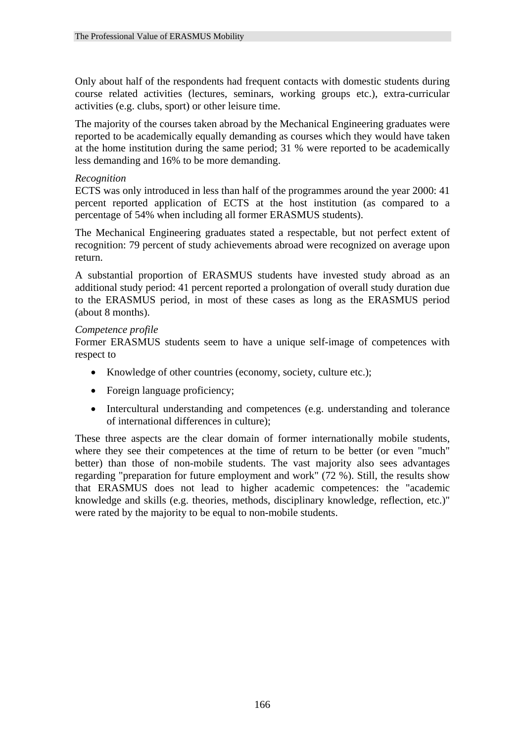Only about half of the respondents had frequent contacts with domestic students during course related activities (lectures, seminars, working groups etc.), extra-curricular activities (e.g. clubs, sport) or other leisure time.

The majority of the courses taken abroad by the Mechanical Engineering graduates were reported to be academically equally demanding as courses which they would have taken at the home institution during the same period; 31 % were reported to be academically less demanding and 16% to be more demanding.

#### *Recognition*

ECTS was only introduced in less than half of the programmes around the year 2000: 41 percent reported application of ECTS at the host institution (as compared to a percentage of 54% when including all former ERASMUS students).

The Mechanical Engineering graduates stated a respectable, but not perfect extent of recognition: 79 percent of study achievements abroad were recognized on average upon return.

A substantial proportion of ERASMUS students have invested study abroad as an additional study period: 41 percent reported a prolongation of overall study duration due to the ERASMUS period, in most of these cases as long as the ERASMUS period (about 8 months).

#### *Competence profile*

Former ERASMUS students seem to have a unique self-image of competences with respect to

- Knowledge of other countries (economy, society, culture etc.);
- Foreign language proficiency;
- Intercultural understanding and competences (e.g. understanding and tolerance of international differences in culture);

These three aspects are the clear domain of former internationally mobile students, where they see their competences at the time of return to be better (or even "much" better) than those of non-mobile students. The vast majority also sees advantages regarding "preparation for future employment and work" (72 %). Still, the results show that ERASMUS does not lead to higher academic competences: the "academic knowledge and skills (e.g. theories, methods, disciplinary knowledge, reflection, etc.)" were rated by the majority to be equal to non-mobile students.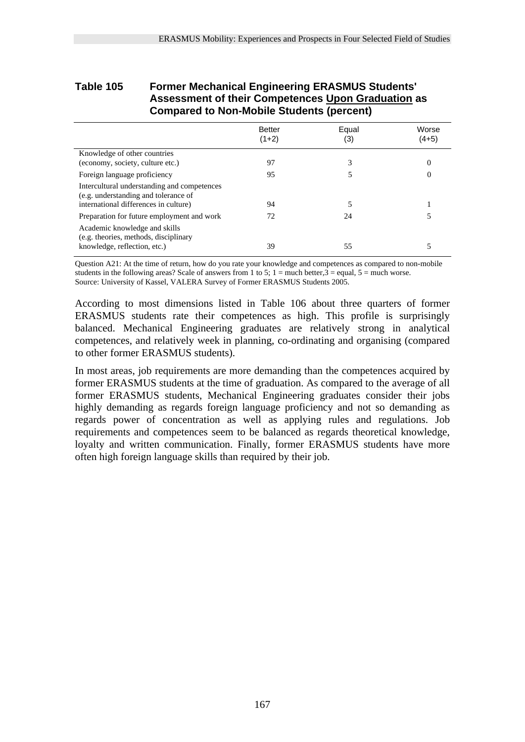### **Table 105 Former Mechanical Engineering ERASMUS Students' Assessment of their Competences Upon Graduation as Compared to Non-Mobile Students (percent)**

|                                                                                                                              | <b>Better</b><br>$(1+2)$ | Equal<br>(3) | Worse<br>$(4+5)$ |
|------------------------------------------------------------------------------------------------------------------------------|--------------------------|--------------|------------------|
| Knowledge of other countries<br>(economy, society, culture etc.)                                                             | 97                       |              | $\Omega$         |
| Foreign language proficiency                                                                                                 | 95                       |              | 0                |
| Intercultural understanding and competences<br>(e.g. understanding and tolerance of<br>international differences in culture) | 94                       |              |                  |
| Preparation for future employment and work                                                                                   | 72                       | 24           |                  |
| Academic knowledge and skills<br>(e.g. theories, methods, disciplinary<br>knowledge, reflection, etc.)                       | 39                       | 55           |                  |

Question A21: At the time of return, how do you rate your knowledge and competences as compared to non-mobile students in the following areas? Scale of answers from 1 to 5;  $1 =$  much better,  $3 =$  equal,  $5 =$  much worse. Source: University of Kassel, VALERA Survey of Former ERASMUS Students 2005.

According to most dimensions listed in Table 106 about three quarters of former ERASMUS students rate their competences as high. This profile is surprisingly balanced. Mechanical Engineering graduates are relatively strong in analytical competences, and relatively week in planning, co-ordinating and organising (compared to other former ERASMUS students).

In most areas, job requirements are more demanding than the competences acquired by former ERASMUS students at the time of graduation. As compared to the average of all former ERASMUS students, Mechanical Engineering graduates consider their jobs highly demanding as regards foreign language proficiency and not so demanding as regards power of concentration as well as applying rules and regulations. Job requirements and competences seem to be balanced as regards theoretical knowledge, loyalty and written communication. Finally, former ERASMUS students have more often high foreign language skills than required by their job.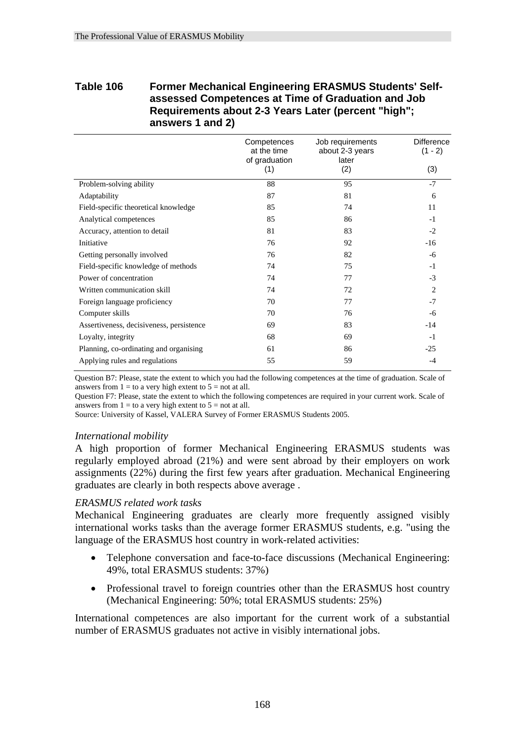# **Table 106 Former Mechanical Engineering ERASMUS Students' Selfassessed Competences at Time of Graduation and Job Requirements about 2-3 Years Later (percent "high"; answers 1 and 2)**

|                                          | Competences<br>at the time<br>of graduation<br>(1) | Job requirements<br>about 2-3 years<br>later<br>(2) | <b>Difference</b><br>$(1 - 2)$<br>(3) |
|------------------------------------------|----------------------------------------------------|-----------------------------------------------------|---------------------------------------|
| Problem-solving ability                  | 88                                                 | 95                                                  | $-7$                                  |
| Adaptability                             | 87                                                 | 81                                                  | 6                                     |
| Field-specific theoretical knowledge     | 85                                                 | 74                                                  | 11                                    |
| Analytical competences                   | 85                                                 | 86                                                  | $-1$                                  |
| Accuracy, attention to detail            | 81                                                 | 83                                                  | $-2$                                  |
| Initiative                               | 76                                                 | 92                                                  | -16                                   |
| Getting personally involved              | 76                                                 | 82                                                  | -6                                    |
| Field-specific knowledge of methods      | 74                                                 | 75                                                  | $-1$                                  |
| Power of concentration                   | 74                                                 | 77                                                  | $-3$                                  |
| Written communication skill              | 74                                                 | 72                                                  | $\overline{c}$                        |
| Foreign language proficiency             | 70                                                 | 77                                                  | $-7$                                  |
| Computer skills                          | 70                                                 | 76                                                  | -6                                    |
| Assertiveness, decisiveness, persistence | 69                                                 | 83                                                  | $-14$                                 |
| Loyalty, integrity                       | 68                                                 | 69                                                  | $-1$                                  |
| Planning, co-ordinating and organising   | 61                                                 | 86                                                  | $-25$                                 |
| Applying rules and regulations           | 55                                                 | 59                                                  | $-4$                                  |

Question B7: Please, state the extent to which you had the following competences at the time of graduation. Scale of answers from  $1 =$  to a very high extent to  $5 =$  not at all.

Question F7: Please, state the extent to which the following competences are required in your current work. Scale of answers from  $1 =$  to a very high extent to  $5 =$  not at all.

Source: University of Kassel, VALERA Survey of Former ERASMUS Students 2005.

#### *International mobility*

A high proportion of former Mechanical Engineering ERASMUS students was regularly employed abroad (21%) and were sent abroad by their employers on work assignments (22%) during the first few years after graduation. Mechanical Engineering graduates are clearly in both respects above average .

#### *ERASMUS related work tasks*

Mechanical Engineering graduates are clearly more frequently assigned visibly international works tasks than the average former ERASMUS students, e.g. "using the language of the ERASMUS host country in work-related activities:

- Telephone conversation and face-to-face discussions (Mechanical Engineering: 49%, total ERASMUS students: 37%)
- Professional travel to foreign countries other than the ERASMUS host country (Mechanical Engineering: 50%; total ERASMUS students: 25%)

International competences are also important for the current work of a substantial number of ERASMUS graduates not active in visibly international jobs.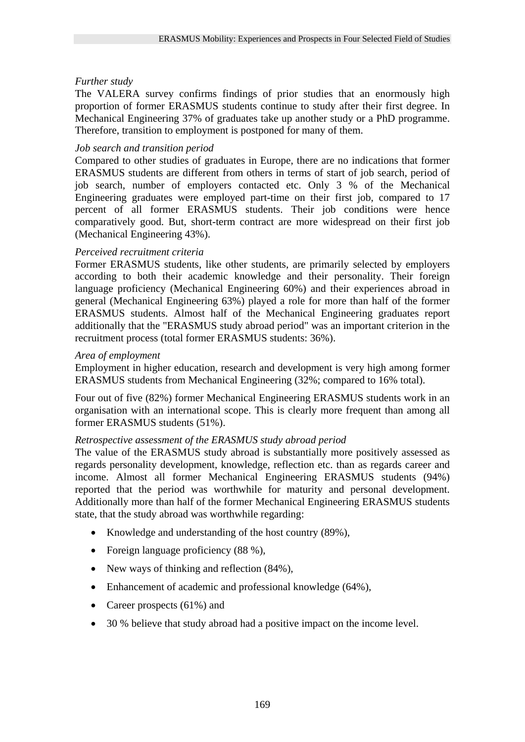## *Further study*

The VALERA survey confirms findings of prior studies that an enormously high proportion of former ERASMUS students continue to study after their first degree. In Mechanical Engineering 37% of graduates take up another study or a PhD programme. Therefore, transition to employment is postponed for many of them.

### *Job search and transition period*

Compared to other studies of graduates in Europe, there are no indications that former ERASMUS students are different from others in terms of start of job search, period of job search, number of employers contacted etc. Only 3 % of the Mechanical Engineering graduates were employed part-time on their first job, compared to 17 percent of all former ERASMUS students. Their job conditions were hence comparatively good. But, short-term contract are more widespread on their first job (Mechanical Engineering 43%).

### *Perceived recruitment criteria*

Former ERASMUS students, like other students, are primarily selected by employers according to both their academic knowledge and their personality. Their foreign language proficiency (Mechanical Engineering 60%) and their experiences abroad in general (Mechanical Engineering 63%) played a role for more than half of the former ERASMUS students. Almost half of the Mechanical Engineering graduates report additionally that the "ERASMUS study abroad period" was an important criterion in the recruitment process (total former ERASMUS students: 36%).

#### *Area of employment*

Employment in higher education, research and development is very high among former ERASMUS students from Mechanical Engineering (32%; compared to 16% total).

Four out of five (82%) former Mechanical Engineering ERASMUS students work in an organisation with an international scope. This is clearly more frequent than among all former ERASMUS students (51%).

#### *Retrospective assessment of the ERASMUS study abroad period*

The value of the ERASMUS study abroad is substantially more positively assessed as regards personality development, knowledge, reflection etc. than as regards career and income. Almost all former Mechanical Engineering ERASMUS students (94%) reported that the period was worthwhile for maturity and personal development. Additionally more than half of the former Mechanical Engineering ERASMUS students state, that the study abroad was worthwhile regarding:

- Knowledge and understanding of the host country (89%),
- Foreign language proficiency (88 %),
- New ways of thinking and reflection  $(84\%)$ ,
- Enhancement of academic and professional knowledge (64%),
- Career prospects (61%) and
- 30 % believe that study abroad had a positive impact on the income level.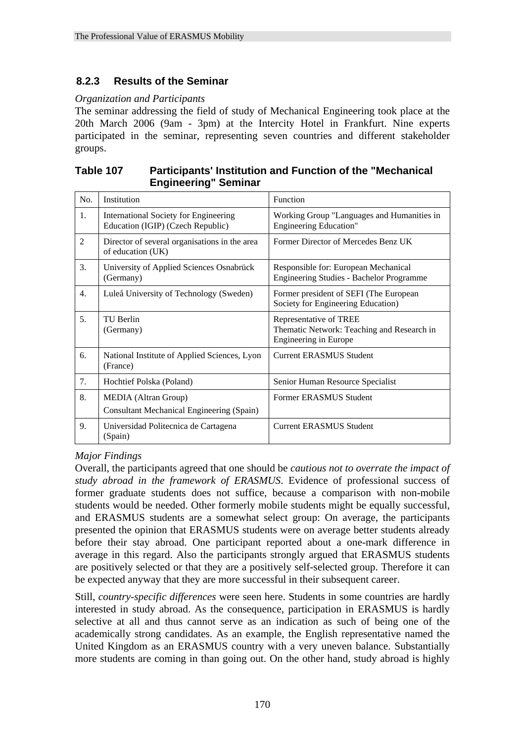# **8.2.3 Results of the Seminar**

#### *Organization and Participants*

The seminar addressing the field of study of Mechanical Engineering took place at the 20th March 2006 (9am - 3pm) at the Intercity Hotel in Frankfurt. Nine experts participated in the seminar, representing seven countries and different stakeholder groups.

| Table 107 | <b>Participants' Institution and Function of the "Mechanical</b> |
|-----------|------------------------------------------------------------------|
|           | <b>Engineering" Seminar</b>                                      |

| No. | Institution                                                                     | Function                                                                                             |
|-----|---------------------------------------------------------------------------------|------------------------------------------------------------------------------------------------------|
| 1.  | International Society for Engineering<br>Education (IGIP) (Czech Republic)      | Working Group "Languages and Humanities in<br><b>Engineering Education"</b>                          |
| 2   | Director of several organisations in the area<br>of education (UK)              | Former Director of Mercedes Benz UK                                                                  |
| 3.  | University of Applied Sciences Osnabrück<br>(Germany)                           | Responsible for: European Mechanical<br><b>Engineering Studies - Bachelor Programme</b>              |
| 4.  | Luleå University of Technology (Sweden)                                         | Former president of SEFI (The European<br>Society for Engineering Education)                         |
| 5.  | TU Berlin<br>(Germany)                                                          | Representative of TREE<br>Thematic Network: Teaching and Research in<br><b>Engineering in Europe</b> |
| 6.  | National Institute of Applied Sciences, Lyon<br>(France)                        | <b>Current ERASMUS Student</b>                                                                       |
| 7.  | Hochtief Polska (Poland)                                                        | Senior Human Resource Specialist                                                                     |
| 8.  | <b>MEDIA</b> (Altran Group)<br><b>Consultant Mechanical Engineering (Spain)</b> | Former ERASMUS Student                                                                               |
| 9.  | Universidad Politecnica de Cartagena<br>(Spain)                                 | <b>Current ERASMUS Student</b>                                                                       |

#### *Major Findings*

Overall, the participants agreed that one should be *cautious not to overrate the impact of study abroad in the framework of ERASMUS*. Evidence of professional success of former graduate students does not suffice, because a comparison with non-mobile students would be needed. Other formerly mobile students might be equally successful, and ERASMUS students are a somewhat select group: On average, the participants presented the opinion that ERASMUS students were on average better students already before their stay abroad. One participant reported about a one-mark difference in average in this regard. Also the participants strongly argued that ERASMUS students are positively selected or that they are a positively self-selected group. Therefore it can be expected anyway that they are more successful in their subsequent career.

Still, *country-specific differences* were seen here. Students in some countries are hardly interested in study abroad. As the consequence, participation in ERASMUS is hardly selective at all and thus cannot serve as an indication as such of being one of the academically strong candidates. As an example, the English representative named the United Kingdom as an ERASMUS country with a very uneven balance. Substantially more students are coming in than going out. On the other hand, study abroad is highly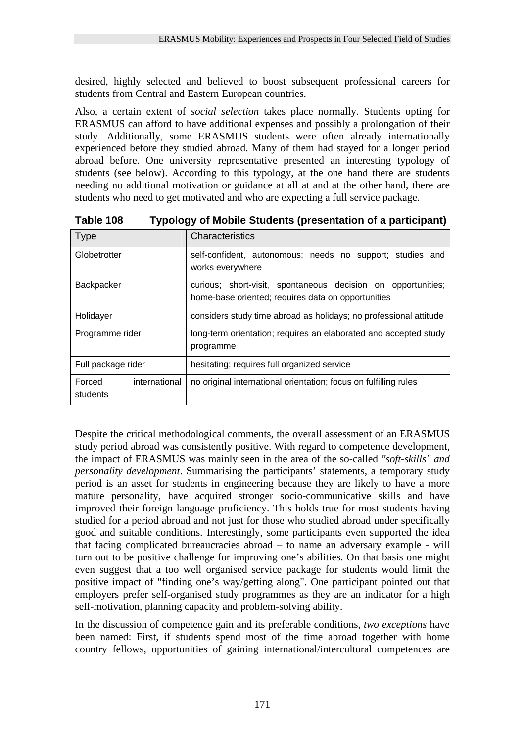desired, highly selected and believed to boost subsequent professional careers for students from Central and Eastern European countries.

Also, a certain extent of *social selection* takes place normally. Students opting for ERASMUS can afford to have additional expenses and possibly a prolongation of their study. Additionally, some ERASMUS students were often already internationally experienced before they studied abroad. Many of them had stayed for a longer period abroad before. One university representative presented an interesting typology of students (see below). According to this typology, at the one hand there are students needing no additional motivation or guidance at all at and at the other hand, there are students who need to get motivated and who are expecting a full service package.

| <b>Type</b>                                                                                                                      | Characteristics                                                               |  |
|----------------------------------------------------------------------------------------------------------------------------------|-------------------------------------------------------------------------------|--|
| Globetrotter                                                                                                                     | self-confident, autonomous; needs no support; studies and<br>works everywhere |  |
| Backpacker<br>curious; short-visit, spontaneous decision on opportunities;<br>home-base oriented; requires data on opportunities |                                                                               |  |
| Holidayer                                                                                                                        | considers study time abroad as holidays; no professional attitude             |  |
| long-term orientation; requires an elaborated and accepted study<br>Programme rider<br>programme                                 |                                                                               |  |
| Full package rider                                                                                                               | hesitating; requires full organized service                                   |  |
| Forced<br>international<br>students                                                                                              | no original international orientation; focus on fulfilling rules              |  |

**Table 108 Typology of Mobile Students (presentation of a participant)** 

Despite the critical methodological comments, the overall assessment of an ERASMUS study period abroad was consistently positive. With regard to competence development, the impact of ERASMUS was mainly seen in the area of the so-called *"soft-skills" and personality development*. Summarising the participants' statements, a temporary study period is an asset for students in engineering because they are likely to have a more mature personality, have acquired stronger socio-communicative skills and have improved their foreign language proficiency. This holds true for most students having studied for a period abroad and not just for those who studied abroad under specifically good and suitable conditions. Interestingly, some participants even supported the idea that facing complicated bureaucracies abroad – to name an adversary example - will turn out to be positive challenge for improving one's abilities. On that basis one might even suggest that a too well organised service package for students would limit the positive impact of "finding one's way/getting along". One participant pointed out that employers prefer self-organised study programmes as they are an indicator for a high self-motivation, planning capacity and problem-solving ability.

In the discussion of competence gain and its preferable conditions, *two exceptions* have been named: First, if students spend most of the time abroad together with home country fellows, opportunities of gaining international/intercultural competences are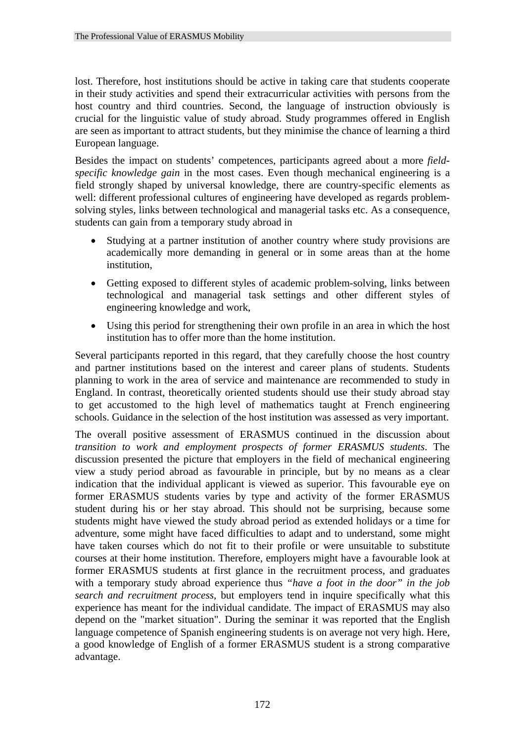lost. Therefore, host institutions should be active in taking care that students cooperate in their study activities and spend their extracurricular activities with persons from the host country and third countries. Second, the language of instruction obviously is crucial for the linguistic value of study abroad. Study programmes offered in English are seen as important to attract students, but they minimise the chance of learning a third European language.

Besides the impact on students' competences, participants agreed about a more *fieldspecific knowledge gain* in the most cases. Even though mechanical engineering is a field strongly shaped by universal knowledge, there are country-specific elements as well: different professional cultures of engineering have developed as regards problemsolving styles, links between technological and managerial tasks etc. As a consequence, students can gain from a temporary study abroad in

- Studying at a partner institution of another country where study provisions are academically more demanding in general or in some areas than at the home institution,
- Getting exposed to different styles of academic problem-solving, links between technological and managerial task settings and other different styles of engineering knowledge and work,
- Using this period for strengthening their own profile in an area in which the host institution has to offer more than the home institution.

Several participants reported in this regard, that they carefully choose the host country and partner institutions based on the interest and career plans of students. Students planning to work in the area of service and maintenance are recommended to study in England. In contrast, theoretically oriented students should use their study abroad stay to get accustomed to the high level of mathematics taught at French engineering schools. Guidance in the selection of the host institution was assessed as very important.

The overall positive assessment of ERASMUS continued in the discussion about *transition to work and employment prospects of former ERASMUS students*. The discussion presented the picture that employers in the field of mechanical engineering view a study period abroad as favourable in principle, but by no means as a clear indication that the individual applicant is viewed as superior. This favourable eye on former ERASMUS students varies by type and activity of the former ERASMUS student during his or her stay abroad. This should not be surprising, because some students might have viewed the study abroad period as extended holidays or a time for adventure, some might have faced difficulties to adapt and to understand, some might have taken courses which do not fit to their profile or were unsuitable to substitute courses at their home institution. Therefore, employers might have a favourable look at former ERASMUS students at first glance in the recruitment process, and graduates with a temporary study abroad experience thus *"have a foot in the door" in the job search and recruitment process*, but employers tend in inquire specifically what this experience has meant for the individual candidate. The impact of ERASMUS may also depend on the "market situation". During the seminar it was reported that the English language competence of Spanish engineering students is on average not very high. Here, a good knowledge of English of a former ERASMUS student is a strong comparative advantage.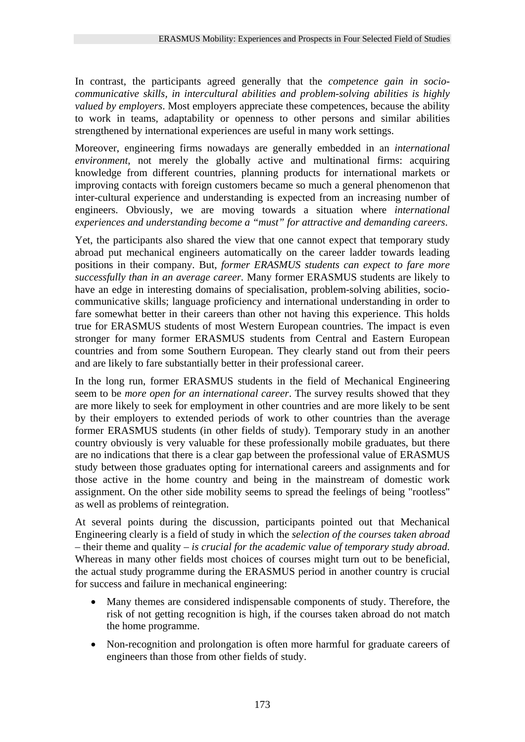In contrast, the participants agreed generally that the *competence gain in sociocommunicative skills, in intercultural abilities and problem-solving abilities is highly valued by employers*. Most employers appreciate these competences, because the ability to work in teams, adaptability or openness to other persons and similar abilities strengthened by international experiences are useful in many work settings.

Moreover, engineering firms nowadays are generally embedded in an *international environment*, not merely the globally active and multinational firms: acquiring knowledge from different countries, planning products for international markets or improving contacts with foreign customers became so much a general phenomenon that inter-cultural experience and understanding is expected from an increasing number of engineers. Obviously, we are moving towards a situation where *international experiences and understanding become a "must" for attractive and demanding careers*.

Yet, the participants also shared the view that one cannot expect that temporary study abroad put mechanical engineers automatically on the career ladder towards leading positions in their company. But, *former ERASMUS students can expect to fare more successfully than in an average career.* Many former ERASMUS students are likely to have an edge in interesting domains of specialisation, problem-solving abilities, sociocommunicative skills; language proficiency and international understanding in order to fare somewhat better in their careers than other not having this experience. This holds true for ERASMUS students of most Western European countries. The impact is even stronger for many former ERASMUS students from Central and Eastern European countries and from some Southern European. They clearly stand out from their peers and are likely to fare substantially better in their professional career.

In the long run, former ERASMUS students in the field of Mechanical Engineering seem to be *more open for an international career*. The survey results showed that they are more likely to seek for employment in other countries and are more likely to be sent by their employers to extended periods of work to other countries than the average former ERASMUS students (in other fields of study). Temporary study in an another country obviously is very valuable for these professionally mobile graduates, but there are no indications that there is a clear gap between the professional value of ERASMUS study between those graduates opting for international careers and assignments and for those active in the home country and being in the mainstream of domestic work assignment. On the other side mobility seems to spread the feelings of being "rootless" as well as problems of reintegration.

At several points during the discussion, participants pointed out that Mechanical Engineering clearly is a field of study in which the *selection of the courses taken abroad* – their theme and quality – *is crucial for the academic value of temporary study abroad*. Whereas in many other fields most choices of courses might turn out to be beneficial, the actual study programme during the ERASMUS period in another country is crucial for success and failure in mechanical engineering:

- Many themes are considered indispensable components of study. Therefore, the risk of not getting recognition is high, if the courses taken abroad do not match the home programme.
- Non-recognition and prolongation is often more harmful for graduate careers of engineers than those from other fields of study.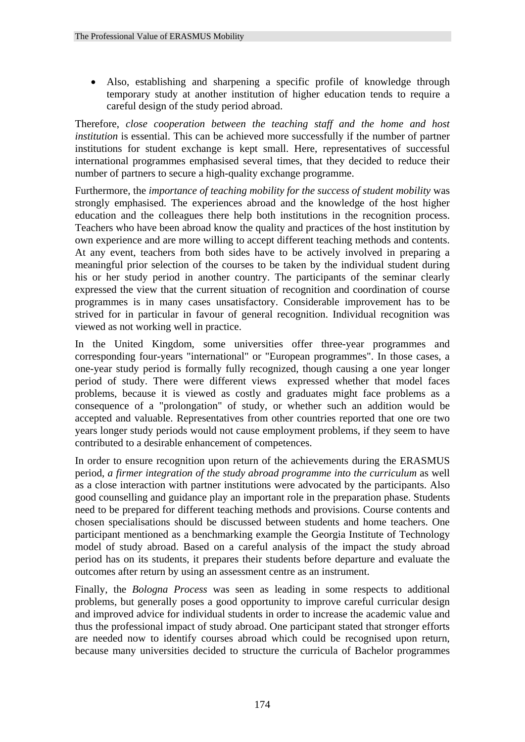• Also, establishing and sharpening a specific profile of knowledge through temporary study at another institution of higher education tends to require a careful design of the study period abroad.

Therefore, *close cooperation between the teaching staff and the home and host institution* is essential. This can be achieved more successfully if the number of partner institutions for student exchange is kept small. Here, representatives of successful international programmes emphasised several times, that they decided to reduce their number of partners to secure a high-quality exchange programme.

Furthermore, the *importance of teaching mobility for the success of student mobility* was strongly emphasised. The experiences abroad and the knowledge of the host higher education and the colleagues there help both institutions in the recognition process. Teachers who have been abroad know the quality and practices of the host institution by own experience and are more willing to accept different teaching methods and contents. At any event, teachers from both sides have to be actively involved in preparing a meaningful prior selection of the courses to be taken by the individual student during his or her study period in another country. The participants of the seminar clearly expressed the view that the current situation of recognition and coordination of course programmes is in many cases unsatisfactory. Considerable improvement has to be strived for in particular in favour of general recognition. Individual recognition was viewed as not working well in practice.

In the United Kingdom, some universities offer three-year programmes and corresponding four-years "international" or "European programmes". In those cases, a one-year study period is formally fully recognized, though causing a one year longer period of study. There were different views expressed whether that model faces problems, because it is viewed as costly and graduates might face problems as a consequence of a "prolongation" of study, or whether such an addition would be accepted and valuable. Representatives from other countries reported that one ore two years longer study periods would not cause employment problems, if they seem to have contributed to a desirable enhancement of competences.

In order to ensure recognition upon return of the achievements during the ERASMUS period, *a firmer integration of the study abroad programme into the curriculum* as well as a close interaction with partner institutions were advocated by the participants. Also good counselling and guidance play an important role in the preparation phase. Students need to be prepared for different teaching methods and provisions. Course contents and chosen specialisations should be discussed between students and home teachers. One participant mentioned as a benchmarking example the Georgia Institute of Technology model of study abroad. Based on a careful analysis of the impact the study abroad period has on its students, it prepares their students before departure and evaluate the outcomes after return by using an assessment centre as an instrument.

Finally, the *Bologna Process* was seen as leading in some respects to additional problems, but generally poses a good opportunity to improve careful curricular design and improved advice for individual students in order to increase the academic value and thus the professional impact of study abroad. One participant stated that stronger efforts are needed now to identify courses abroad which could be recognised upon return, because many universities decided to structure the curricula of Bachelor programmes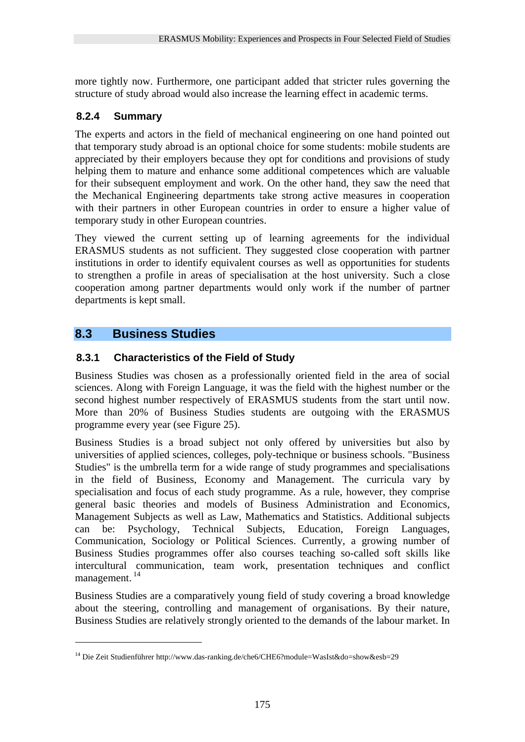more tightly now. Furthermore, one participant added that stricter rules governing the structure of study abroad would also increase the learning effect in academic terms.

# **8.2.4 Summary**

The experts and actors in the field of mechanical engineering on one hand pointed out that temporary study abroad is an optional choice for some students: mobile students are appreciated by their employers because they opt for conditions and provisions of study helping them to mature and enhance some additional competences which are valuable for their subsequent employment and work. On the other hand, they saw the need that the Mechanical Engineering departments take strong active measures in cooperation with their partners in other European countries in order to ensure a higher value of temporary study in other European countries.

They viewed the current setting up of learning agreements for the individual ERASMUS students as not sufficient. They suggested close cooperation with partner institutions in order to identify equivalent courses as well as opportunities for students to strengthen a profile in areas of specialisation at the host university. Such a close cooperation among partner departments would only work if the number of partner departments is kept small.

# **8.3 Business Studies**

<u>.</u>

# **8.3.1 Characteristics of the Field of Study**

Business Studies was chosen as a professionally oriented field in the area of social sciences. Along with Foreign Language, it was the field with the highest number or the second highest number respectively of ERASMUS students from the start until now. More than 20% of Business Studies students are outgoing with the ERASMUS programme every year (see Figure 25).

Business Studies is a broad subject not only offered by universities but also by universities of applied sciences, colleges, poly-technique or business schools. "Business Studies" is the umbrella term for a wide range of study programmes and specialisations in the field of Business, Economy and Management. The curricula vary by specialisation and focus of each study programme. As a rule, however, they comprise general basic theories and models of Business Administration and Economics, Management Subjects as well as Law, Mathematics and Statistics. Additional subjects can be: Psychology, Technical Subjects, Education, Foreign Languages, Communication, Sociology or Political Sciences. Currently, a growing number of Business Studies programmes offer also courses teaching so-called soft skills like intercultural communication, team work, presentation techniques and conflict management. 14

Business Studies are a comparatively young field of study covering a broad knowledge about the steering, controlling and management of organisations. By their nature, Business Studies are relatively strongly oriented to the demands of the labour market. In

<sup>14</sup> Die Zeit Studienführer http://www.das-ranking.de/che6/CHE6?module=WasIst&do=show&esb=29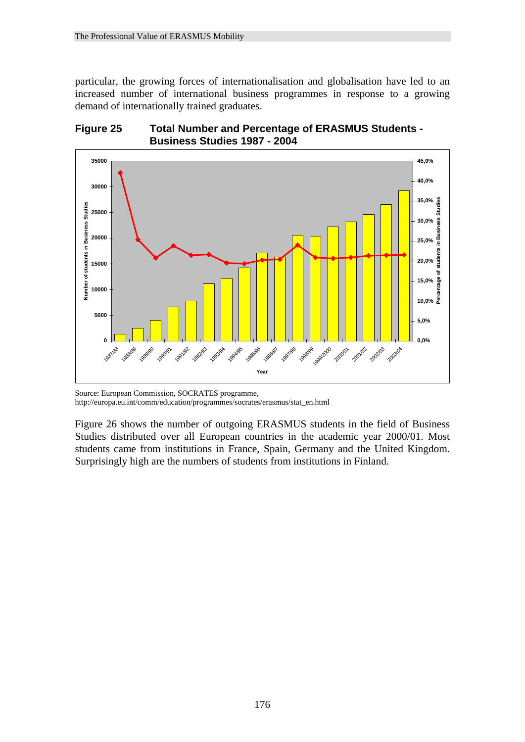particular, the growing forces of internationalisation and globalisation have led to an increased number of international business programmes in response to a growing demand of internationally trained graduates.





Source: European Commission, SOCRATES programme, http://europa.eu.int/comm/education/programmes/socrates/erasmus/stat\_en.html

Figure 26 shows the number of outgoing ERASMUS students in the field of Business Studies distributed over all European countries in the academic year 2000/01. Most students came from institutions in France, Spain, Germany and the United Kingdom. Surprisingly high are the numbers of students from institutions in Finland.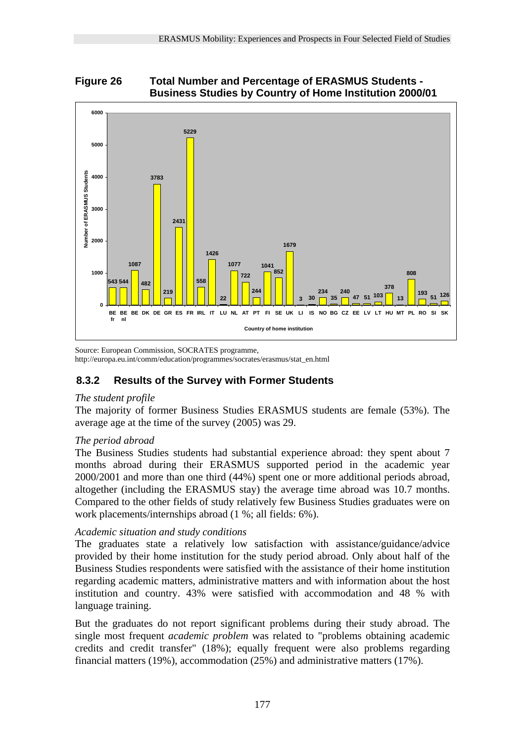# **Figure 26 Total Number and Percentage of ERASMUS Students - Business Studies by Country of Home Institution 2000/01**



Source: European Commission, SOCRATES programme, http://europa.eu.int/comm/education/programmes/socrates/erasmus/stat\_en.html

# **8.3.2 Results of the Survey with Former Students**

## *The student profile*

The majority of former Business Studies ERASMUS students are female (53%). The average age at the time of the survey (2005) was 29.

## *The period abroad*

The Business Studies students had substantial experience abroad: they spent about 7 months abroad during their ERASMUS supported period in the academic year 2000/2001 and more than one third (44%) spent one or more additional periods abroad, altogether (including the ERASMUS stay) the average time abroad was 10.7 months. Compared to the other fields of study relatively few Business Studies graduates were on work placements/internships abroad (1 %; all fields: 6%).

## *Academic situation and study conditions*

The graduates state a relatively low satisfaction with assistance/guidance/advice provided by their home institution for the study period abroad. Only about half of the Business Studies respondents were satisfied with the assistance of their home institution regarding academic matters, administrative matters and with information about the host institution and country. 43% were satisfied with accommodation and 48 % with language training.

But the graduates do not report significant problems during their study abroad. The single most frequent *academic problem* was related to "problems obtaining academic credits and credit transfer" (18%); equally frequent were also problems regarding financial matters (19%), accommodation (25%) and administrative matters (17%).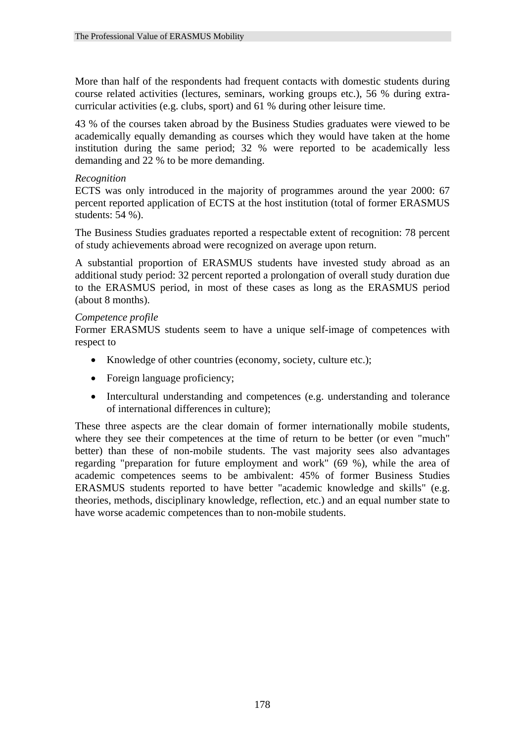More than half of the respondents had frequent contacts with domestic students during course related activities (lectures, seminars, working groups etc.), 56 % during extracurricular activities (e.g. clubs, sport) and 61 % during other leisure time.

43 % of the courses taken abroad by the Business Studies graduates were viewed to be academically equally demanding as courses which they would have taken at the home institution during the same period; 32 % were reported to be academically less demanding and 22 % to be more demanding.

#### *Recognition*

ECTS was only introduced in the majority of programmes around the year 2000: 67 percent reported application of ECTS at the host institution (total of former ERASMUS students: 54 %).

The Business Studies graduates reported a respectable extent of recognition: 78 percent of study achievements abroad were recognized on average upon return.

A substantial proportion of ERASMUS students have invested study abroad as an additional study period: 32 percent reported a prolongation of overall study duration due to the ERASMUS period, in most of these cases as long as the ERASMUS period (about 8 months).

#### *Competence profile*

Former ERASMUS students seem to have a unique self-image of competences with respect to

- Knowledge of other countries (economy, society, culture etc.);
- Foreign language proficiency;
- Intercultural understanding and competences (e.g. understanding and tolerance of international differences in culture);

These three aspects are the clear domain of former internationally mobile students, where they see their competences at the time of return to be better (or even "much" better) than these of non-mobile students. The vast majority sees also advantages regarding "preparation for future employment and work" (69 %), while the area of academic competences seems to be ambivalent: 45% of former Business Studies ERASMUS students reported to have better "academic knowledge and skills" (e.g. theories, methods, disciplinary knowledge, reflection, etc.) and an equal number state to have worse academic competences than to non-mobile students.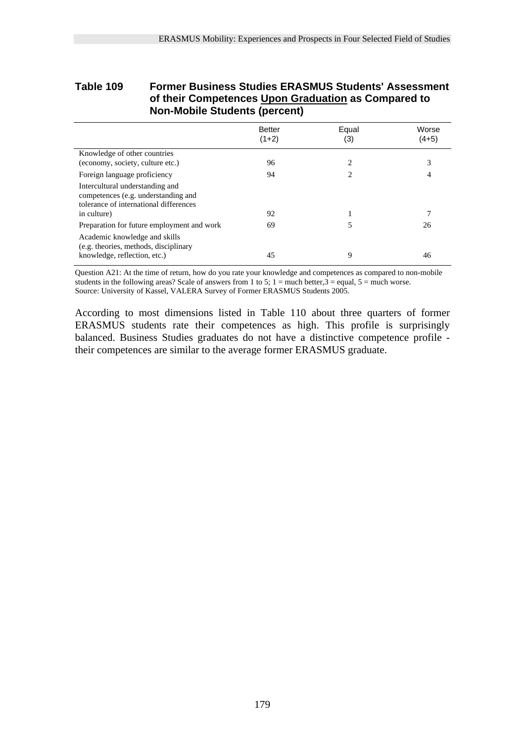### **Table 109 Former Business Studies ERASMUS Students' Assessment of their Competences Upon Graduation as Compared to Non-Mobile Students (percent)**

|                                                                                                                  | <b>Better</b><br>$(1+2)$ | Equal<br>(3) | Worse<br>$(4+5)$ |
|------------------------------------------------------------------------------------------------------------------|--------------------------|--------------|------------------|
| Knowledge of other countries                                                                                     |                          |              |                  |
| (economy, society, culture etc.)                                                                                 | 96                       | 2            | 3                |
| Foreign language proficiency                                                                                     | 94                       | 2            | 4                |
| Intercultural understanding and<br>competences (e.g. understanding and<br>tolerance of international differences |                          |              |                  |
| in culture)                                                                                                      | 92                       |              | 7                |
| Preparation for future employment and work                                                                       | 69                       |              | 26               |
| Academic knowledge and skills<br>(e.g. theories, methods, disciplinary<br>knowledge, reflection, etc.)           | 45                       | 9            | 46               |

Question A21: At the time of return, how do you rate your knowledge and competences as compared to non-mobile students in the following areas? Scale of answers from 1 to 5;  $1 =$  much better, $3 =$  equal,  $5 =$  much worse. Source: University of Kassel, VALERA Survey of Former ERASMUS Students 2005.

According to most dimensions listed in Table 110 about three quarters of former ERASMUS students rate their competences as high. This profile is surprisingly balanced. Business Studies graduates do not have a distinctive competence profile their competences are similar to the average former ERASMUS graduate.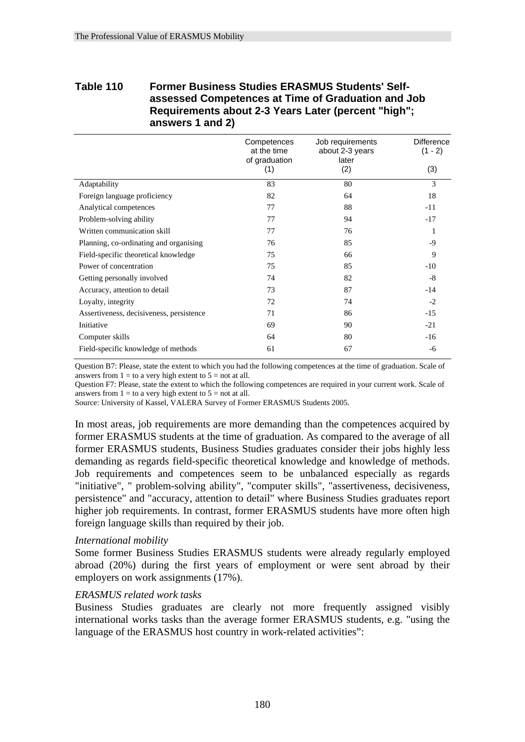# **Table 110 Former Business Studies ERASMUS Students' Selfassessed Competences at Time of Graduation and Job Requirements about 2-3 Years Later (percent "high"; answers 1 and 2)**

|                                          | Competences<br>at the time<br>of graduation | Job requirements<br>about 2-3 years<br>later | <b>Difference</b><br>$(1 - 2)$ |
|------------------------------------------|---------------------------------------------|----------------------------------------------|--------------------------------|
|                                          | (1)                                         | (2)                                          | (3)                            |
| Adaptability                             | 83                                          | 80                                           | 3                              |
| Foreign language proficiency             | 82                                          | 64                                           | 18                             |
| Analytical competences                   | 77                                          | 88                                           | $-11$                          |
| Problem-solving ability                  | 77                                          | 94                                           | $-17$                          |
| Written communication skill              | 77                                          | 76                                           | 1                              |
| Planning, co-ordinating and organising   | 76                                          | 85                                           | $-9$                           |
| Field-specific theoretical knowledge     | 75                                          | 66                                           | 9                              |
| Power of concentration                   | 75                                          | 85                                           | $-10$                          |
| Getting personally involved              | 74                                          | 82                                           | $-8$                           |
| Accuracy, attention to detail            | 73                                          | 87                                           | $-14$                          |
| Loyalty, integrity                       | 72                                          | 74                                           | $-2$                           |
| Assertiveness, decisiveness, persistence | 71                                          | 86                                           | $-15$                          |
| Initiative                               | 69                                          | 90                                           | $-21$                          |
| Computer skills                          | 64                                          | 80                                           | $-16$                          |
| Field-specific knowledge of methods      | 61                                          | 67                                           | -6                             |

Question B7: Please, state the extent to which you had the following competences at the time of graduation. Scale of answers from  $1 =$  to a very high extent to  $5 =$  not at all.

Question F7: Please, state the extent to which the following competences are required in your current work. Scale of answers from  $1 =$  to a very high extent to  $5 =$  not at all.

Source: University of Kassel, VALERA Survey of Former ERASMUS Students 2005.

In most areas, job requirements are more demanding than the competences acquired by former ERASMUS students at the time of graduation. As compared to the average of all former ERASMUS students, Business Studies graduates consider their jobs highly less demanding as regards field-specific theoretical knowledge and knowledge of methods. Job requirements and competences seem to be unbalanced especially as regards "initiative", " problem-solving ability", "computer skills", "assertiveness, decisiveness, persistence" and "accuracy, attention to detail" where Business Studies graduates report higher job requirements. In contrast, former ERASMUS students have more often high foreign language skills than required by their job.

#### *International mobility*

Some former Business Studies ERASMUS students were already regularly employed abroad (20%) during the first years of employment or were sent abroad by their employers on work assignments (17%).

#### *ERASMUS related work tasks*

Business Studies graduates are clearly not more frequently assigned visibly international works tasks than the average former ERASMUS students, e.g. "using the language of the ERASMUS host country in work-related activities":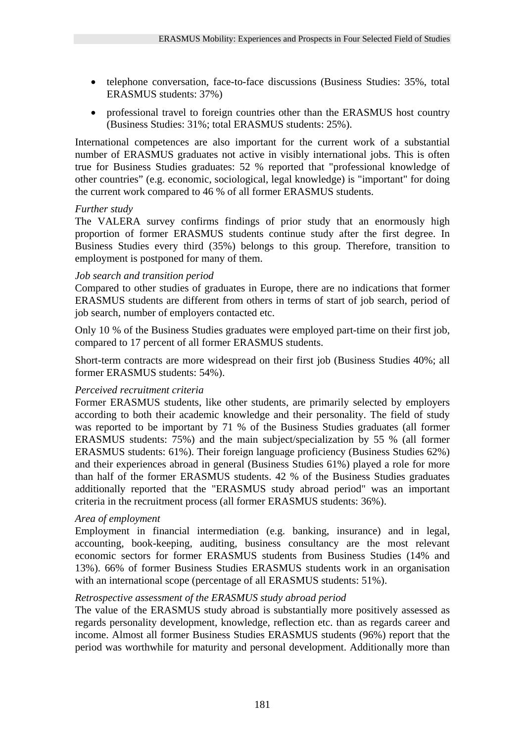- telephone conversation, face-to-face discussions (Business Studies: 35%, total ERASMUS students: 37%)
- professional travel to foreign countries other than the ERASMUS host country (Business Studies: 31%; total ERASMUS students: 25%).

International competences are also important for the current work of a substantial number of ERASMUS graduates not active in visibly international jobs. This is often true for Business Studies graduates: 52 % reported that "professional knowledge of other countries" (e.g. economic, sociological, legal knowledge) is "important" for doing the current work compared to 46 % of all former ERASMUS students.

### *Further study*

The VALERA survey confirms findings of prior study that an enormously high proportion of former ERASMUS students continue study after the first degree. In Business Studies every third (35%) belongs to this group. Therefore, transition to employment is postponed for many of them.

### *Job search and transition period*

Compared to other studies of graduates in Europe, there are no indications that former ERASMUS students are different from others in terms of start of job search, period of job search, number of employers contacted etc.

Only 10 % of the Business Studies graduates were employed part-time on their first job, compared to 17 percent of all former ERASMUS students.

Short-term contracts are more widespread on their first job (Business Studies 40%; all former ERASMUS students: 54%).

#### *Perceived recruitment criteria*

Former ERASMUS students, like other students, are primarily selected by employers according to both their academic knowledge and their personality. The field of study was reported to be important by 71 % of the Business Studies graduates (all former ERASMUS students: 75%) and the main subject/specialization by 55 % (all former ERASMUS students: 61%). Their foreign language proficiency (Business Studies 62%) and their experiences abroad in general (Business Studies 61%) played a role for more than half of the former ERASMUS students. 42 % of the Business Studies graduates additionally reported that the "ERASMUS study abroad period" was an important criteria in the recruitment process (all former ERASMUS students: 36%).

## *Area of employment*

Employment in financial intermediation (e.g. banking, insurance) and in legal, accounting, book-keeping, auditing, business consultancy are the most relevant economic sectors for former ERASMUS students from Business Studies (14% and 13%). 66% of former Business Studies ERASMUS students work in an organisation with an international scope (percentage of all ERASMUS students: 51%).

#### *Retrospective assessment of the ERASMUS study abroad period*

The value of the ERASMUS study abroad is substantially more positively assessed as regards personality development, knowledge, reflection etc. than as regards career and income. Almost all former Business Studies ERASMUS students (96%) report that the period was worthwhile for maturity and personal development. Additionally more than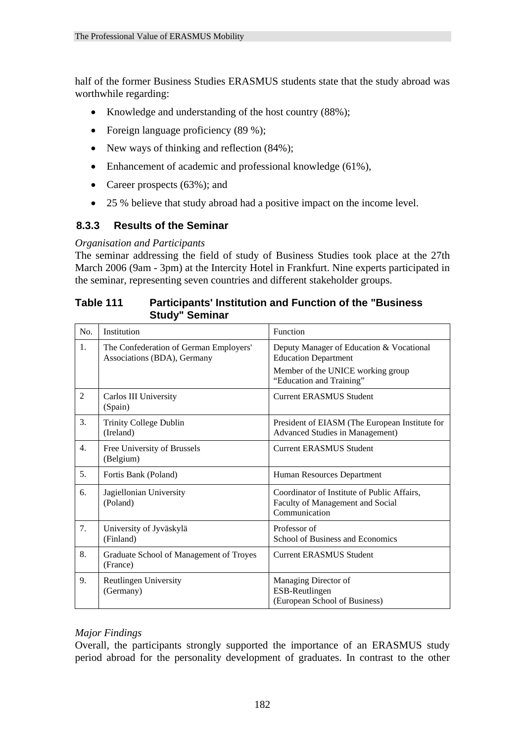half of the former Business Studies ERASMUS students state that the study abroad was worthwhile regarding:

- Knowledge and understanding of the host country (88%);
- Foreign language proficiency (89 %);
- New ways of thinking and reflection  $(84\%)$ ;
- Enhancement of academic and professional knowledge (61%),
- Career prospects (63%); and
- 25 % believe that study abroad had a positive impact on the income level.

# **8.3.3 Results of the Seminar**

### *Organisation and Participants*

The seminar addressing the field of study of Business Studies took place at the 27th March 2006 (9am - 3pm) at the Intercity Hotel in Frankfurt. Nine experts participated in the seminar, representing seven countries and different stakeholder groups.

| Table 111 | <b>Participants' Institution and Function of the "Business"</b> |
|-----------|-----------------------------------------------------------------|
|           | <b>Study" Seminar</b>                                           |

| N <sub>0</sub> | Institution                                                           | Function                                                                                         |
|----------------|-----------------------------------------------------------------------|--------------------------------------------------------------------------------------------------|
| 1.             | The Confederation of German Employers'<br>Associations (BDA), Germany | Deputy Manager of Education & Vocational<br><b>Education Department</b>                          |
|                |                                                                       | Member of the UNICE working group<br>"Education and Training"                                    |
| $\overline{2}$ | Carlos III University<br>(Spain)                                      | <b>Current ERASMUS Student</b>                                                                   |
| 3.             | Trinity College Dublin<br>(Ireland)                                   | President of EIASM (The European Institute for<br>Advanced Studies in Management)                |
| 4.             | Free University of Brussels<br>(Belgium)                              | <b>Current ERASMUS Student</b>                                                                   |
| 5.             | Fortis Bank (Poland)                                                  | Human Resources Department                                                                       |
| 6.             | Jagiellonian University<br>(Poland)                                   | Coordinator of Institute of Public Affairs,<br>Faculty of Management and Social<br>Communication |
| 7.             | University of Jyväskylä<br>(Finland)                                  | Professor of<br>School of Business and Economics                                                 |
| 8.             | Graduate School of Management of Troyes<br>(France)                   | <b>Current ERASMUS Student</b>                                                                   |
| 9.             | <b>Reutlingen University</b><br>(Germany)                             | Managing Director of<br>ESB-Reutlingen<br>(European School of Business)                          |

## *Major Findings*

Overall, the participants strongly supported the importance of an ERASMUS study period abroad for the personality development of graduates. In contrast to the other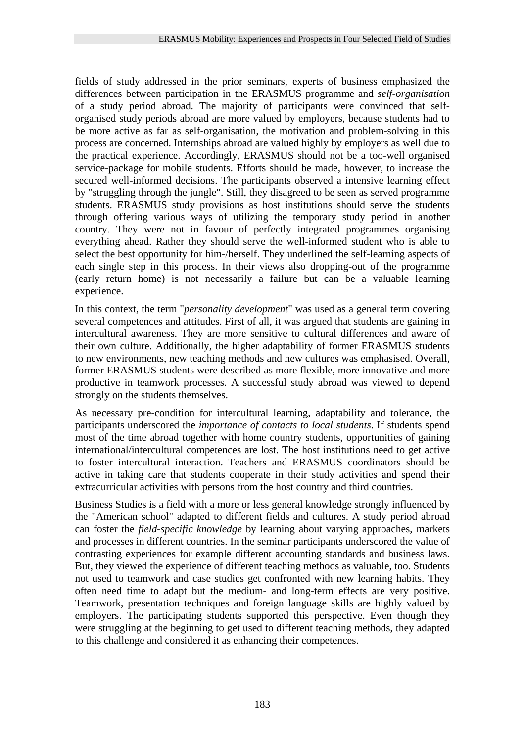fields of study addressed in the prior seminars, experts of business emphasized the differences between participation in the ERASMUS programme and *self-organisation* of a study period abroad. The majority of participants were convinced that selforganised study periods abroad are more valued by employers, because students had to be more active as far as self-organisation, the motivation and problem-solving in this process are concerned. Internships abroad are valued highly by employers as well due to the practical experience. Accordingly, ERASMUS should not be a too-well organised service-package for mobile students. Efforts should be made, however, to increase the secured well-informed decisions. The participants observed a intensive learning effect by "struggling through the jungle". Still, they disagreed to be seen as served programme students. ERASMUS study provisions as host institutions should serve the students through offering various ways of utilizing the temporary study period in another country. They were not in favour of perfectly integrated programmes organising everything ahead. Rather they should serve the well-informed student who is able to select the best opportunity for him-/herself. They underlined the self-learning aspects of each single step in this process. In their views also dropping-out of the programme (early return home) is not necessarily a failure but can be a valuable learning experience.

In this context, the term "*personality development*" was used as a general term covering several competences and attitudes. First of all, it was argued that students are gaining in intercultural awareness. They are more sensitive to cultural differences and aware of their own culture. Additionally, the higher adaptability of former ERASMUS students to new environments, new teaching methods and new cultures was emphasised. Overall, former ERASMUS students were described as more flexible, more innovative and more productive in teamwork processes. A successful study abroad was viewed to depend strongly on the students themselves.

As necessary pre-condition for intercultural learning, adaptability and tolerance, the participants underscored the *importance of contacts to local students*. If students spend most of the time abroad together with home country students, opportunities of gaining international/intercultural competences are lost. The host institutions need to get active to foster intercultural interaction. Teachers and ERASMUS coordinators should be active in taking care that students cooperate in their study activities and spend their extracurricular activities with persons from the host country and third countries.

Business Studies is a field with a more or less general knowledge strongly influenced by the "American school" adapted to different fields and cultures. A study period abroad can foster the *field-specific knowledge* by learning about varying approaches, markets and processes in different countries. In the seminar participants underscored the value of contrasting experiences for example different accounting standards and business laws. But, they viewed the experience of different teaching methods as valuable, too. Students not used to teamwork and case studies get confronted with new learning habits. They often need time to adapt but the medium- and long-term effects are very positive. Teamwork, presentation techniques and foreign language skills are highly valued by employers. The participating students supported this perspective. Even though they were struggling at the beginning to get used to different teaching methods, they adapted to this challenge and considered it as enhancing their competences.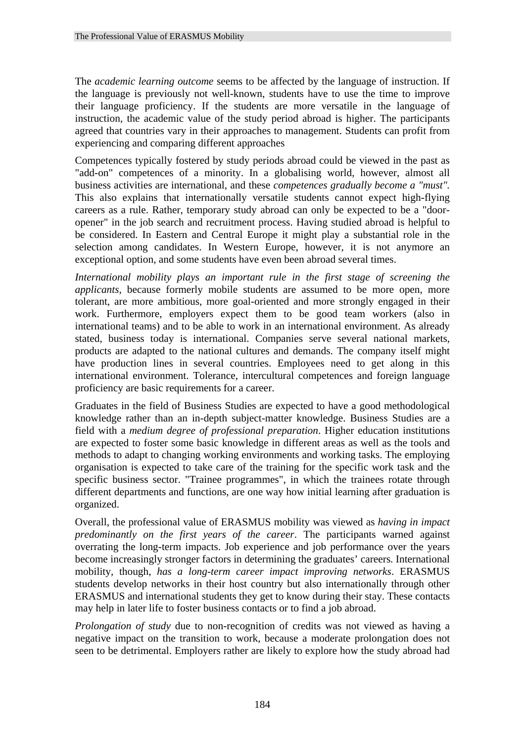The *academic learning outcome* seems to be affected by the language of instruction. If the language is previously not well-known, students have to use the time to improve their language proficiency. If the students are more versatile in the language of instruction, the academic value of the study period abroad is higher. The participants agreed that countries vary in their approaches to management. Students can profit from experiencing and comparing different approaches

Competences typically fostered by study periods abroad could be viewed in the past as "add-on" competences of a minority. In a globalising world, however, almost all business activities are international, and these *competences gradually become a "must".* This also explains that internationally versatile students cannot expect high-flying careers as a rule. Rather, temporary study abroad can only be expected to be a "dooropener" in the job search and recruitment process. Having studied abroad is helpful to be considered. In Eastern and Central Europe it might play a substantial role in the selection among candidates. In Western Europe, however, it is not anymore an exceptional option, and some students have even been abroad several times.

*International mobility plays an important rule in the first stage of screening the applicants,* because formerly mobile students are assumed to be more open, more tolerant, are more ambitious, more goal-oriented and more strongly engaged in their work. Furthermore, employers expect them to be good team workers (also in international teams) and to be able to work in an international environment. As already stated, business today is international. Companies serve several national markets, products are adapted to the national cultures and demands. The company itself might have production lines in several countries. Employees need to get along in this international environment. Tolerance, intercultural competences and foreign language proficiency are basic requirements for a career.

Graduates in the field of Business Studies are expected to have a good methodological knowledge rather than an in-depth subject-matter knowledge. Business Studies are a field with a *medium degree of professional preparation*. Higher education institutions are expected to foster some basic knowledge in different areas as well as the tools and methods to adapt to changing working environments and working tasks. The employing organisation is expected to take care of the training for the specific work task and the specific business sector. "Trainee programmes", in which the trainees rotate through different departments and functions, are one way how initial learning after graduation is organized.

Overall, the professional value of ERASMUS mobility was viewed as *having in impact predominantly on the first years of the career*. The participants warned against overrating the long-term impacts. Job experience and job performance over the years become increasingly stronger factors in determining the graduates' careers. International mobility, though, *has a long-term career impact improving networks*. ERASMUS students develop networks in their host country but also internationally through other ERASMUS and international students they get to know during their stay. These contacts may help in later life to foster business contacts or to find a job abroad.

*Prolongation of study* due to non-recognition of credits was not viewed as having a negative impact on the transition to work, because a moderate prolongation does not seen to be detrimental. Employers rather are likely to explore how the study abroad had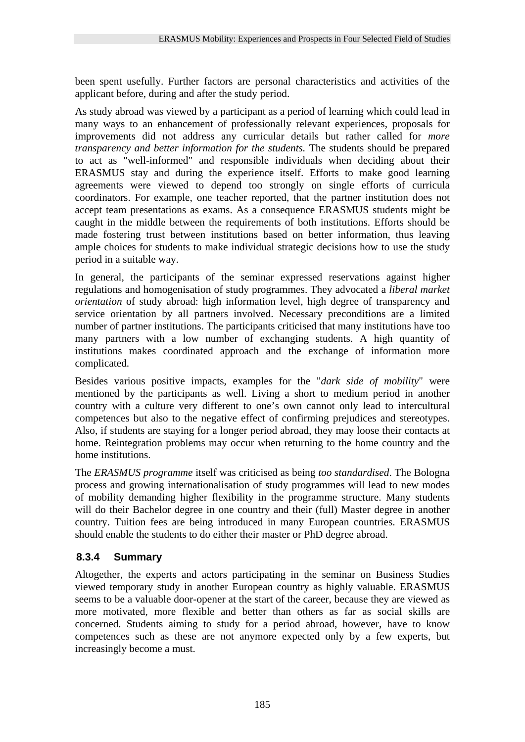been spent usefully. Further factors are personal characteristics and activities of the applicant before, during and after the study period.

As study abroad was viewed by a participant as a period of learning which could lead in many ways to an enhancement of professionally relevant experiences, proposals for improvements did not address any curricular details but rather called for *more transparency and better information for the students.* The students should be prepared to act as "well-informed" and responsible individuals when deciding about their ERASMUS stay and during the experience itself. Efforts to make good learning agreements were viewed to depend too strongly on single efforts of curricula coordinators. For example, one teacher reported, that the partner institution does not accept team presentations as exams. As a consequence ERASMUS students might be caught in the middle between the requirements of both institutions. Efforts should be made fostering trust between institutions based on better information, thus leaving ample choices for students to make individual strategic decisions how to use the study period in a suitable way.

In general, the participants of the seminar expressed reservations against higher regulations and homogenisation of study programmes. They advocated a *liberal market orientation* of study abroad: high information level, high degree of transparency and service orientation by all partners involved. Necessary preconditions are a limited number of partner institutions. The participants criticised that many institutions have too many partners with a low number of exchanging students. A high quantity of institutions makes coordinated approach and the exchange of information more complicated.

Besides various positive impacts, examples for the "*dark side of mobility*" were mentioned by the participants as well. Living a short to medium period in another country with a culture very different to one's own cannot only lead to intercultural competences but also to the negative effect of confirming prejudices and stereotypes. Also, if students are staying for a longer period abroad, they may loose their contacts at home. Reintegration problems may occur when returning to the home country and the home institutions.

The *ERASMUS programme* itself was criticised as being *too standardised*. The Bologna process and growing internationalisation of study programmes will lead to new modes of mobility demanding higher flexibility in the programme structure. Many students will do their Bachelor degree in one country and their (full) Master degree in another country. Tuition fees are being introduced in many European countries. ERASMUS should enable the students to do either their master or PhD degree abroad.

# **8.3.4 Summary**

Altogether, the experts and actors participating in the seminar on Business Studies viewed temporary study in another European country as highly valuable. ERASMUS seems to be a valuable door-opener at the start of the career, because they are viewed as more motivated, more flexible and better than others as far as social skills are concerned. Students aiming to study for a period abroad, however, have to know competences such as these are not anymore expected only by a few experts, but increasingly become a must.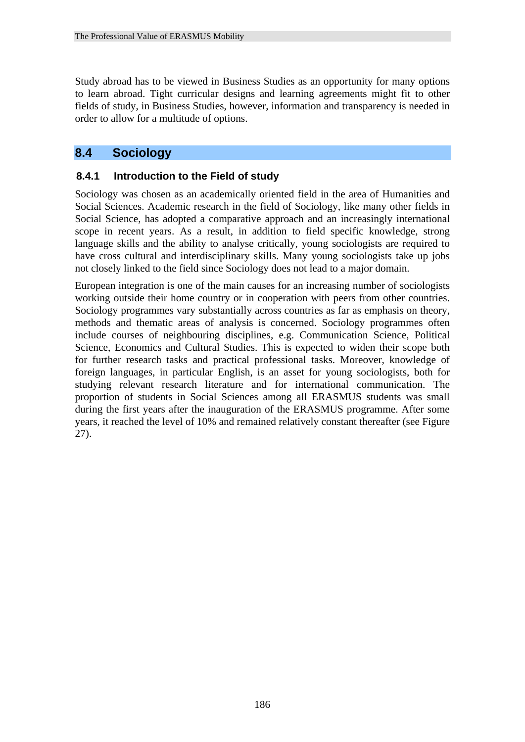Study abroad has to be viewed in Business Studies as an opportunity for many options to learn abroad. Tight curricular designs and learning agreements might fit to other fields of study, in Business Studies, however, information and transparency is needed in order to allow for a multitude of options.

# **8.4 Sociology**

## **8.4.1 Introduction to the Field of study**

Sociology was chosen as an academically oriented field in the area of Humanities and Social Sciences. Academic research in the field of Sociology, like many other fields in Social Science, has adopted a comparative approach and an increasingly international scope in recent years. As a result, in addition to field specific knowledge, strong language skills and the ability to analyse critically, young sociologists are required to have cross cultural and interdisciplinary skills. Many young sociologists take up jobs not closely linked to the field since Sociology does not lead to a major domain.

European integration is one of the main causes for an increasing number of sociologists working outside their home country or in cooperation with peers from other countries. Sociology programmes vary substantially across countries as far as emphasis on theory, methods and thematic areas of analysis is concerned. Sociology programmes often include courses of neighbouring disciplines, e.g. Communication Science, Political Science, Economics and Cultural Studies. This is expected to widen their scope both for further research tasks and practical professional tasks. Moreover, knowledge of foreign languages, in particular English, is an asset for young sociologists, both for studying relevant research literature and for international communication. The proportion of students in Social Sciences among all ERASMUS students was small during the first years after the inauguration of the ERASMUS programme. After some years, it reached the level of 10% and remained relatively constant thereafter (see Figure 27).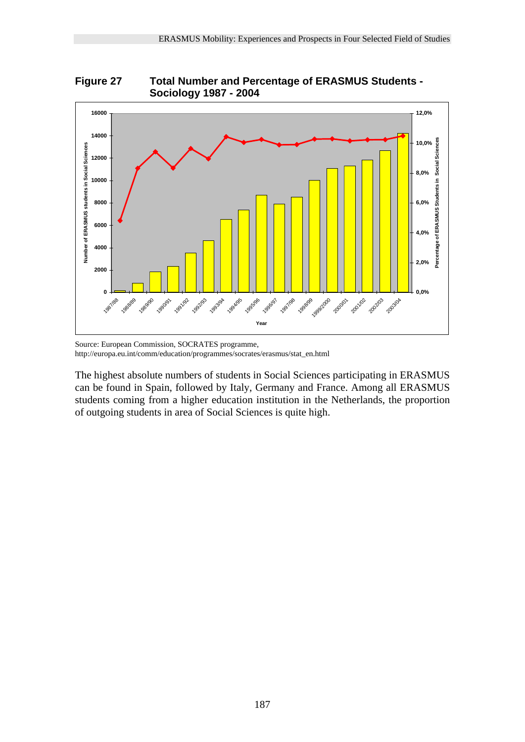



Source: European Commission, SOCRATES programme, http://europa.eu.int/comm/education/programmes/socrates/erasmus/stat\_en.html

The highest absolute numbers of students in Social Sciences participating in ERASMUS can be found in Spain, followed by Italy, Germany and France. Among all ERASMUS students coming from a higher education institution in the Netherlands, the proportion of outgoing students in area of Social Sciences is quite high.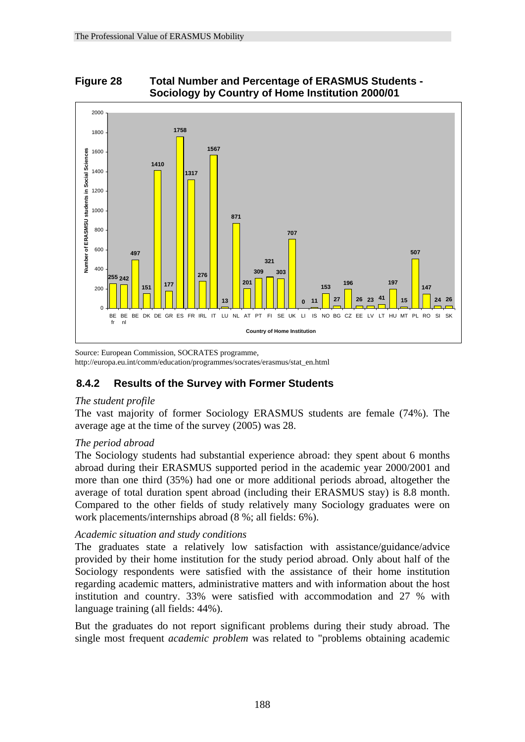# **Figure 28 Total Number and Percentage of ERASMUS Students - Sociology by Country of Home Institution 2000/01**



Source: European Commission, SOCRATES programme, http://europa.eu.int/comm/education/programmes/socrates/erasmus/stat\_en.html

# **8.4.2 Results of the Survey with Former Students**

#### *The student profile*

The vast majority of former Sociology ERASMUS students are female (74%). The average age at the time of the survey (2005) was 28.

#### *The period abroad*

The Sociology students had substantial experience abroad: they spent about 6 months abroad during their ERASMUS supported period in the academic year 2000/2001 and more than one third (35%) had one or more additional periods abroad, altogether the average of total duration spent abroad (including their ERASMUS stay) is 8.8 month. Compared to the other fields of study relatively many Sociology graduates were on work placements/internships abroad (8 %; all fields: 6%).

## *Academic situation and study conditions*

The graduates state a relatively low satisfaction with assistance/guidance/advice provided by their home institution for the study period abroad. Only about half of the Sociology respondents were satisfied with the assistance of their home institution regarding academic matters, administrative matters and with information about the host institution and country. 33% were satisfied with accommodation and 27 % with language training (all fields: 44%).

But the graduates do not report significant problems during their study abroad. The single most frequent *academic problem* was related to "problems obtaining academic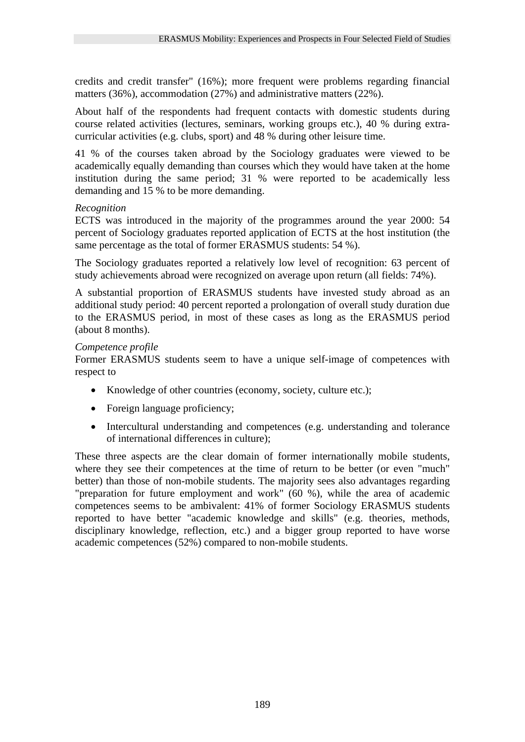credits and credit transfer" (16%); more frequent were problems regarding financial matters (36%), accommodation (27%) and administrative matters (22%).

About half of the respondents had frequent contacts with domestic students during course related activities (lectures, seminars, working groups etc.), 40 % during extracurricular activities (e.g. clubs, sport) and 48 % during other leisure time.

41 % of the courses taken abroad by the Sociology graduates were viewed to be academically equally demanding than courses which they would have taken at the home institution during the same period; 31 % were reported to be academically less demanding and 15 % to be more demanding.

### *Recognition*

ECTS was introduced in the majority of the programmes around the year 2000: 54 percent of Sociology graduates reported application of ECTS at the host institution (the same percentage as the total of former ERASMUS students: 54 %).

The Sociology graduates reported a relatively low level of recognition: 63 percent of study achievements abroad were recognized on average upon return (all fields: 74%).

A substantial proportion of ERASMUS students have invested study abroad as an additional study period: 40 percent reported a prolongation of overall study duration due to the ERASMUS period, in most of these cases as long as the ERASMUS period (about 8 months).

### *Competence profile*

Former ERASMUS students seem to have a unique self-image of competences with respect to

- Knowledge of other countries (economy, society, culture etc.);
- Foreign language proficiency;
- Intercultural understanding and competences (e.g. understanding and tolerance of international differences in culture);

These three aspects are the clear domain of former internationally mobile students, where they see their competences at the time of return to be better (or even "much" better) than those of non-mobile students. The majority sees also advantages regarding "preparation for future employment and work" (60 %), while the area of academic competences seems to be ambivalent: 41% of former Sociology ERASMUS students reported to have better "academic knowledge and skills" (e.g. theories, methods, disciplinary knowledge, reflection, etc.) and a bigger group reported to have worse academic competences (52%) compared to non-mobile students.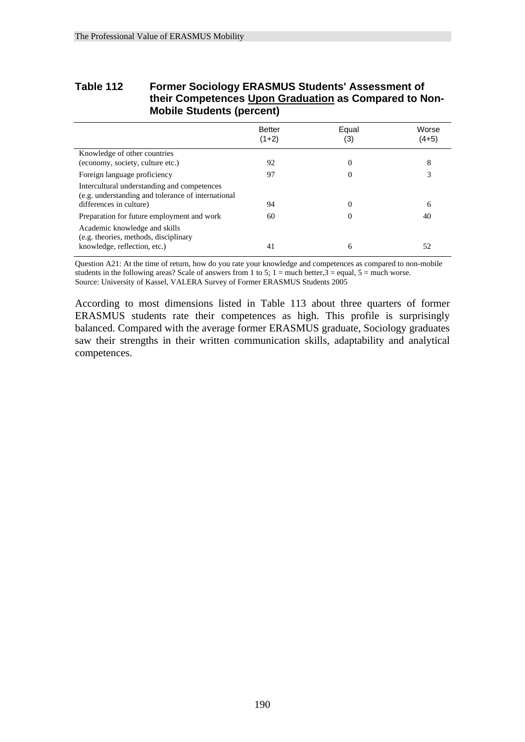# **Table 112 Former Sociology ERASMUS Students' Assessment of their Competences Upon Graduation as Compared to Non- Mobile Students (percent)**

|                                                                                                                              | <b>Better</b><br>$(1+2)$ | Equal<br>(3) | Worse<br>$(4+5)$ |
|------------------------------------------------------------------------------------------------------------------------------|--------------------------|--------------|------------------|
| Knowledge of other countries                                                                                                 |                          |              |                  |
| (economy, society, culture etc.)                                                                                             | 92                       | $\Omega$     | 8                |
| Foreign language proficiency                                                                                                 | 97                       | $\Omega$     | 3                |
| Intercultural understanding and competences<br>(e.g. understanding and tolerance of international<br>differences in culture) | 94                       |              | 6                |
| Preparation for future employment and work                                                                                   | 60                       | $\Omega$     | 40               |
| Academic knowledge and skills<br>(e.g. theories, methods, disciplinary                                                       |                          |              |                  |
| knowledge, reflection, etc.)                                                                                                 | 41                       | 6            | 52               |

Question A21: At the time of return, how do you rate your knowledge and competences as compared to non-mobile students in the following areas? Scale of answers from 1 to 5;  $1 =$  much better, $3 =$  equal,  $5 =$  much worse. Source: University of Kassel, VALERA Survey of Former ERASMUS Students 2005

According to most dimensions listed in Table 113 about three quarters of former ERASMUS students rate their competences as high. This profile is surprisingly balanced. Compared with the average former ERASMUS graduate, Sociology graduates saw their strengths in their written communication skills, adaptability and analytical competences.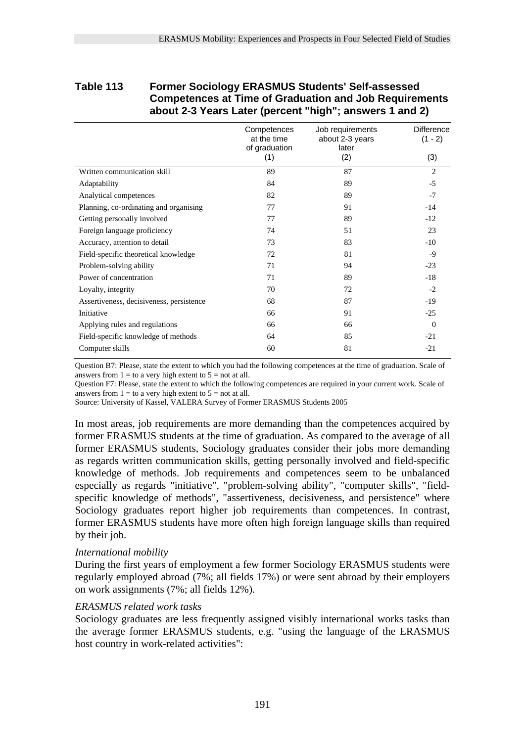### **Table 113 Former Sociology ERASMUS Students' Self-assessed Competences at Time of Graduation and Job Requirements about 2-3 Years Later (percent "high"; answers 1 and 2)**

|                                          | Competences<br>at the time<br>of graduation | Job requirements<br>about 2-3 years<br>later | <b>Difference</b><br>$(1 - 2)$ |
|------------------------------------------|---------------------------------------------|----------------------------------------------|--------------------------------|
|                                          | (1)                                         | (2)                                          | (3)                            |
| Written communication skill              | 89                                          | 87                                           | $\overline{2}$                 |
| Adaptability                             | 84                                          | 89                                           | $-5$                           |
| Analytical competences                   | 82                                          | 89                                           | $-7$                           |
| Planning, co-ordinating and organising   | 77                                          | 91                                           | $-14$                          |
| Getting personally involved              | 77                                          | 89                                           | $-12$                          |
| Foreign language proficiency             | 74                                          | 51                                           | 23                             |
| Accuracy, attention to detail            | 73                                          | 83                                           | $-10$                          |
| Field-specific theoretical knowledge     | 72                                          | 81                                           | -9                             |
| Problem-solving ability                  | 71                                          | 94                                           | $-23$                          |
| Power of concentration                   | 71                                          | 89                                           | $-18$                          |
| Loyalty, integrity                       | 70                                          | 72                                           | $-2$                           |
| Assertiveness, decisiveness, persistence | 68                                          | 87                                           | $-19$                          |
| Initiative                               | 66                                          | 91                                           | $-25$                          |
| Applying rules and regulations           | 66                                          | 66                                           | $\Omega$                       |
| Field-specific knowledge of methods      | 64                                          | 85                                           | $-21$                          |
| Computer skills                          | 60                                          | 81                                           | $-21$                          |

Question B7: Please, state the extent to which you had the following competences at the time of graduation. Scale of answers from  $1 =$  to a very high extent to  $5 =$  not at all.

Question F7: Please, state the extent to which the following competences are required in your current work. Scale of answers from  $1 =$  to a very high extent to  $5 =$  not at all.

Source: University of Kassel, VALERA Survey of Former ERASMUS Students 2005

In most areas, job requirements are more demanding than the competences acquired by former ERASMUS students at the time of graduation. As compared to the average of all former ERASMUS students, Sociology graduates consider their jobs more demanding as regards written communication skills, getting personally involved and field-specific knowledge of methods. Job requirements and competences seem to be unbalanced especially as regards "initiative", "problem-solving ability", "computer skills", "fieldspecific knowledge of methods", "assertiveness, decisiveness, and persistence" where Sociology graduates report higher job requirements than competences. In contrast, former ERASMUS students have more often high foreign language skills than required by their job.

#### *International mobility*

During the first years of employment a few former Sociology ERASMUS students were regularly employed abroad (7%; all fields 17%) or were sent abroad by their employers on work assignments (7%; all fields 12%).

#### *ERASMUS related work tasks*

Sociology graduates are less frequently assigned visibly international works tasks than the average former ERASMUS students, e.g. "using the language of the ERASMUS host country in work-related activities":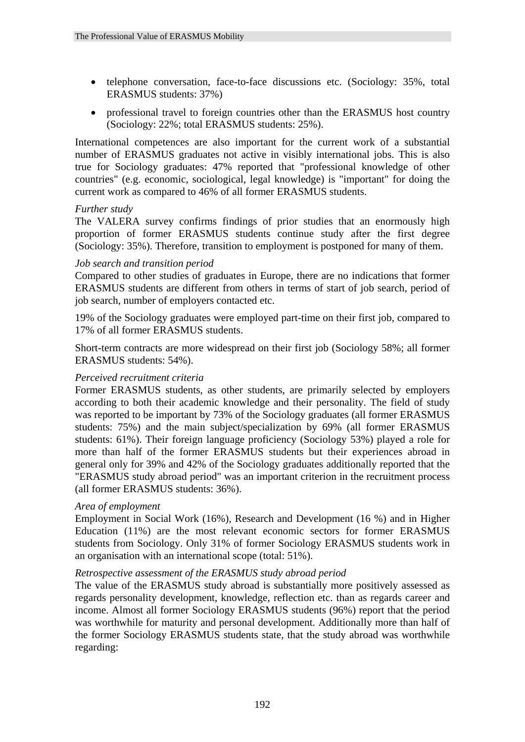- telephone conversation, face-to-face discussions etc. (Sociology: 35%, total ERASMUS students: 37%)
- professional travel to foreign countries other than the ERASMUS host country (Sociology: 22%; total ERASMUS students: 25%).

International competences are also important for the current work of a substantial number of ERASMUS graduates not active in visibly international jobs. This is also true for Sociology graduates: 47% reported that "professional knowledge of other countries" (e.g. economic, sociological, legal knowledge) is "important" for doing the current work as compared to 46% of all former ERASMUS students.

#### *Further study*

The VALERA survey confirms findings of prior studies that an enormously high proportion of former ERASMUS students continue study after the first degree (Sociology: 35%). Therefore, transition to employment is postponed for many of them.

#### *Job search and transition period*

Compared to other studies of graduates in Europe, there are no indications that former ERASMUS students are different from others in terms of start of job search, period of job search, number of employers contacted etc.

19% of the Sociology graduates were employed part-time on their first job, compared to 17% of all former ERASMUS students.

Short-term contracts are more widespread on their first job (Sociology 58%; all former ERASMUS students: 54%).

#### *Perceived recruitment criteria*

Former ERASMUS students, as other students, are primarily selected by employers according to both their academic knowledge and their personality. The field of study was reported to be important by 73% of the Sociology graduates (all former ERASMUS students: 75%) and the main subject/specialization by 69% (all former ERASMUS students: 61%). Their foreign language proficiency (Sociology 53%) played a role for more than half of the former ERASMUS students but their experiences abroad in general only for 39% and 42% of the Sociology graduates additionally reported that the "ERASMUS study abroad period" was an important criterion in the recruitment process (all former ERASMUS students: 36%).

#### *Area of employment*

Employment in Social Work (16%), Research and Development (16 %) and in Higher Education (11%) are the most relevant economic sectors for former ERASMUS students from Sociology. Only 31% of former Sociology ERASMUS students work in an organisation with an international scope (total: 51%).

#### *Retrospective assessment of the ERASMUS study abroad period*

The value of the ERASMUS study abroad is substantially more positively assessed as regards personality development, knowledge, reflection etc. than as regards career and income. Almost all former Sociology ERASMUS students (96%) report that the period was worthwhile for maturity and personal development. Additionally more than half of the former Sociology ERASMUS students state, that the study abroad was worthwhile regarding: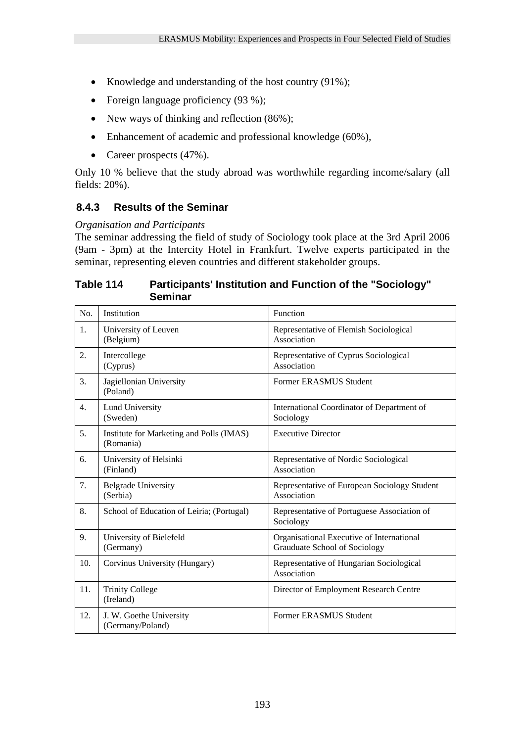- Knowledge and understanding of the host country (91%);
- Foreign language proficiency (93 %);
- New ways of thinking and reflection (86%);
- Enhancement of academic and professional knowledge (60%),
- Career prospects  $(47%)$ .

Only 10 % believe that the study abroad was worthwhile regarding income/salary (all fields: 20%).

# **8.4.3 Results of the Seminar**

### *Organisation and Participants*

The seminar addressing the field of study of Sociology took place at the 3rd April 2006 (9am - 3pm) at the Intercity Hotel in Frankfurt. Twelve experts participated in the seminar, representing eleven countries and different stakeholder groups.

# **Table 114 Participants' Institution and Function of the "Sociology" Seminar**

| No. | Institution                                           | Function                                                                   |
|-----|-------------------------------------------------------|----------------------------------------------------------------------------|
| 1.  | University of Leuven<br>(Belgium)                     | Representative of Flemish Sociological<br>Association                      |
| 2.  | Intercollege<br>(Cyprus)                              | Representative of Cyprus Sociological<br>Association                       |
| 3.  | Jagiellonian University<br>(Poland)                   | Former ERASMUS Student                                                     |
| 4.  | <b>Lund University</b><br>(Sweden)                    | International Coordinator of Department of<br>Sociology                    |
| 5.  | Institute for Marketing and Polls (IMAS)<br>(Romania) | <b>Executive Director</b>                                                  |
| 6.  | University of Helsinki<br>(Finland)                   | Representative of Nordic Sociological<br>Association                       |
| 7.  | <b>Belgrade University</b><br>(Serbia)                | Representative of European Sociology Student<br>Association                |
| 8.  | School of Education of Leiria; (Portugal)             | Representative of Portuguese Association of<br>Sociology                   |
| 9.  | University of Bielefeld<br>(Germany)                  | Organisational Executive of International<br>Grauduate School of Sociology |
| 10. | Corvinus University (Hungary)                         | Representative of Hungarian Sociological<br>Association                    |
| 11. | <b>Trinity College</b><br>(Ireland)                   | Director of Employment Research Centre                                     |
| 12. | J. W. Goethe University<br>(Germany/Poland)           | Former ERASMUS Student                                                     |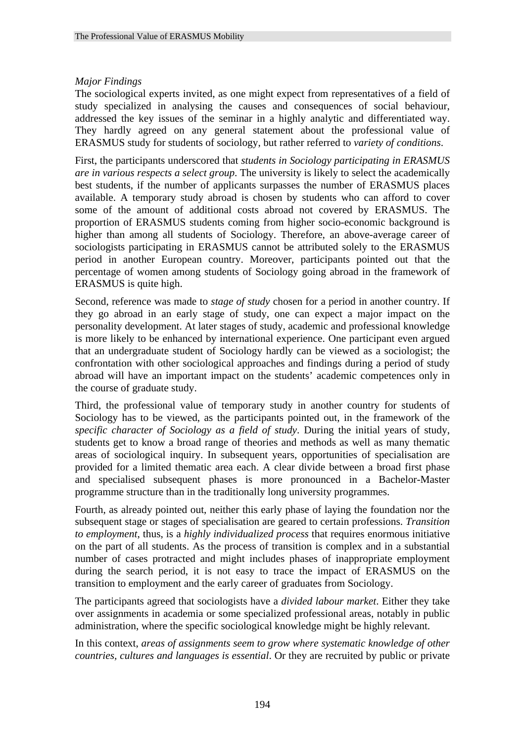### *Major Findings*

The sociological experts invited, as one might expect from representatives of a field of study specialized in analysing the causes and consequences of social behaviour, addressed the key issues of the seminar in a highly analytic and differentiated way. They hardly agreed on any general statement about the professional value of ERASMUS study for students of sociology, but rather referred to *variety of conditions*.

First, the participants underscored that *students in Sociology participating in ERASMUS are in various respects a select group*. The university is likely to select the academically best students, if the number of applicants surpasses the number of ERASMUS places available. A temporary study abroad is chosen by students who can afford to cover some of the amount of additional costs abroad not covered by ERASMUS. The proportion of ERASMUS students coming from higher socio-economic background is higher than among all students of Sociology. Therefore, an above-average career of sociologists participating in ERASMUS cannot be attributed solely to the ERASMUS period in another European country. Moreover, participants pointed out that the percentage of women among students of Sociology going abroad in the framework of ERASMUS is quite high.

Second, reference was made to *stage of study* chosen for a period in another country. If they go abroad in an early stage of study, one can expect a major impact on the personality development. At later stages of study, academic and professional knowledge is more likely to be enhanced by international experience. One participant even argued that an undergraduate student of Sociology hardly can be viewed as a sociologist; the confrontation with other sociological approaches and findings during a period of study abroad will have an important impact on the students' academic competences only in the course of graduate study.

Third, the professional value of temporary study in another country for students of Sociology has to be viewed, as the participants pointed out, in the framework of the *specific character of Sociology as a field of study*. During the initial years of study, students get to know a broad range of theories and methods as well as many thematic areas of sociological inquiry. In subsequent years, opportunities of specialisation are provided for a limited thematic area each. A clear divide between a broad first phase and specialised subsequent phases is more pronounced in a Bachelor-Master programme structure than in the traditionally long university programmes.

Fourth, as already pointed out, neither this early phase of laying the foundation nor the subsequent stage or stages of specialisation are geared to certain professions. *Transition to employment*, thus, is a *highly individualized process* that requires enormous initiative on the part of all students. As the process of transition is complex and in a substantial number of cases protracted and might includes phases of inappropriate employment during the search period, it is not easy to trace the impact of ERASMUS on the transition to employment and the early career of graduates from Sociology.

The participants agreed that sociologists have a *divided labour market*. Either they take over assignments in academia or some specialized professional areas, notably in public administration, where the specific sociological knowledge might be highly relevant.

In this context, *areas of assignments seem to grow where systematic knowledge of other countries, cultures and languages is essential*. Or they are recruited by public or private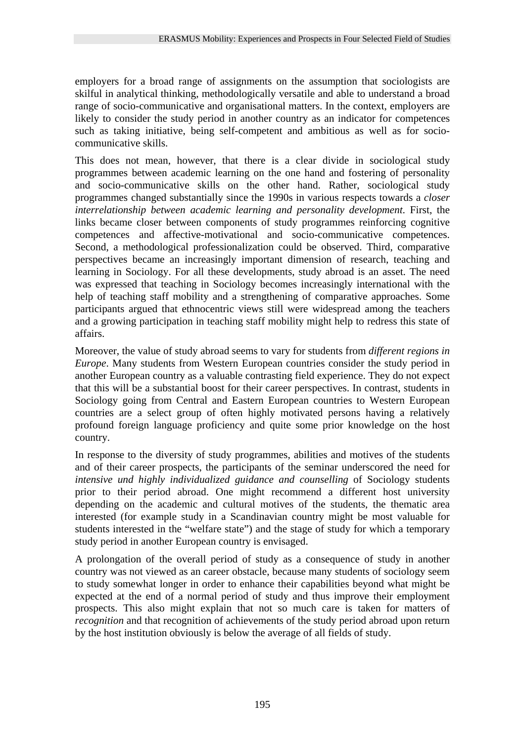employers for a broad range of assignments on the assumption that sociologists are skilful in analytical thinking, methodologically versatile and able to understand a broad range of socio-communicative and organisational matters. In the context, employers are likely to consider the study period in another country as an indicator for competences such as taking initiative, being self-competent and ambitious as well as for sociocommunicative skills.

This does not mean, however, that there is a clear divide in sociological study programmes between academic learning on the one hand and fostering of personality and socio-communicative skills on the other hand. Rather, sociological study programmes changed substantially since the 1990s in various respects towards a *closer interrelationship between academic learning and personality development*. First, the links became closer between components of study programmes reinforcing cognitive competences and affective-motivational and socio-communicative competences. Second, a methodological professionalization could be observed. Third, comparative perspectives became an increasingly important dimension of research, teaching and learning in Sociology. For all these developments, study abroad is an asset. The need was expressed that teaching in Sociology becomes increasingly international with the help of teaching staff mobility and a strengthening of comparative approaches. Some participants argued that ethnocentric views still were widespread among the teachers and a growing participation in teaching staff mobility might help to redress this state of affairs.

Moreover, the value of study abroad seems to vary for students from *different regions in Europe*. Many students from Western European countries consider the study period in another European country as a valuable contrasting field experience. They do not expect that this will be a substantial boost for their career perspectives. In contrast, students in Sociology going from Central and Eastern European countries to Western European countries are a select group of often highly motivated persons having a relatively profound foreign language proficiency and quite some prior knowledge on the host country.

In response to the diversity of study programmes, abilities and motives of the students and of their career prospects, the participants of the seminar underscored the need for *intensive und highly individualized guidance and counselling* of Sociology students prior to their period abroad. One might recommend a different host university depending on the academic and cultural motives of the students, the thematic area interested (for example study in a Scandinavian country might be most valuable for students interested in the "welfare state") and the stage of study for which a temporary study period in another European country is envisaged.

A prolongation of the overall period of study as a consequence of study in another country was not viewed as an career obstacle, because many students of sociology seem to study somewhat longer in order to enhance their capabilities beyond what might be expected at the end of a normal period of study and thus improve their employment prospects. This also might explain that not so much care is taken for matters of *recognition* and that recognition of achievements of the study period abroad upon return by the host institution obviously is below the average of all fields of study.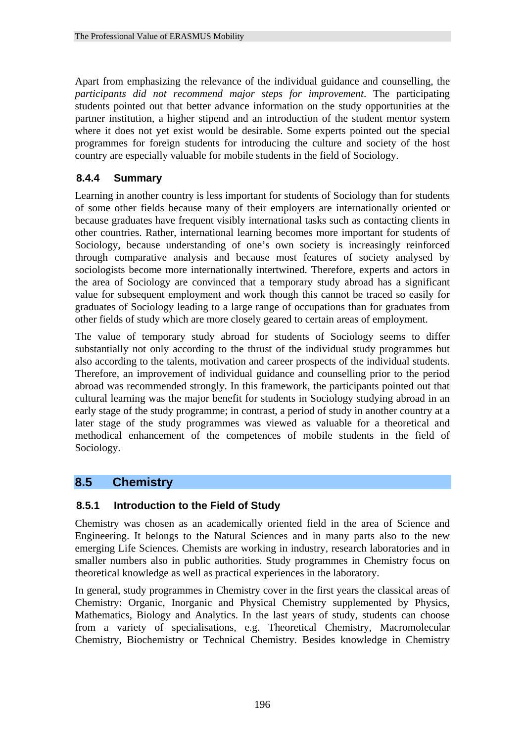Apart from emphasizing the relevance of the individual guidance and counselling, the *participants did not recommend major steps for improvement*. The participating students pointed out that better advance information on the study opportunities at the partner institution, a higher stipend and an introduction of the student mentor system where it does not yet exist would be desirable. Some experts pointed out the special programmes for foreign students for introducing the culture and society of the host country are especially valuable for mobile students in the field of Sociology.

# **8.4.4 Summary**

Learning in another country is less important for students of Sociology than for students of some other fields because many of their employers are internationally oriented or because graduates have frequent visibly international tasks such as contacting clients in other countries. Rather, international learning becomes more important for students of Sociology, because understanding of one's own society is increasingly reinforced through comparative analysis and because most features of society analysed by sociologists become more internationally intertwined. Therefore, experts and actors in the area of Sociology are convinced that a temporary study abroad has a significant value for subsequent employment and work though this cannot be traced so easily for graduates of Sociology leading to a large range of occupations than for graduates from other fields of study which are more closely geared to certain areas of employment.

The value of temporary study abroad for students of Sociology seems to differ substantially not only according to the thrust of the individual study programmes but also according to the talents, motivation and career prospects of the individual students. Therefore, an improvement of individual guidance and counselling prior to the period abroad was recommended strongly. In this framework, the participants pointed out that cultural learning was the major benefit for students in Sociology studying abroad in an early stage of the study programme; in contrast, a period of study in another country at a later stage of the study programmes was viewed as valuable for a theoretical and methodical enhancement of the competences of mobile students in the field of Sociology.

# **8.5 Chemistry**

## **8.5.1 Introduction to the Field of Study**

Chemistry was chosen as an academically oriented field in the area of Science and Engineering. It belongs to the Natural Sciences and in many parts also to the new emerging Life Sciences. Chemists are working in industry, research laboratories and in smaller numbers also in public authorities. Study programmes in Chemistry focus on theoretical knowledge as well as practical experiences in the laboratory.

In general, study programmes in Chemistry cover in the first years the classical areas of Chemistry: Organic, Inorganic and Physical Chemistry supplemented by Physics, Mathematics, Biology and Analytics. In the last years of study, students can choose from a variety of specialisations, e.g. Theoretical Chemistry, Macromolecular Chemistry, Biochemistry or Technical Chemistry. Besides knowledge in Chemistry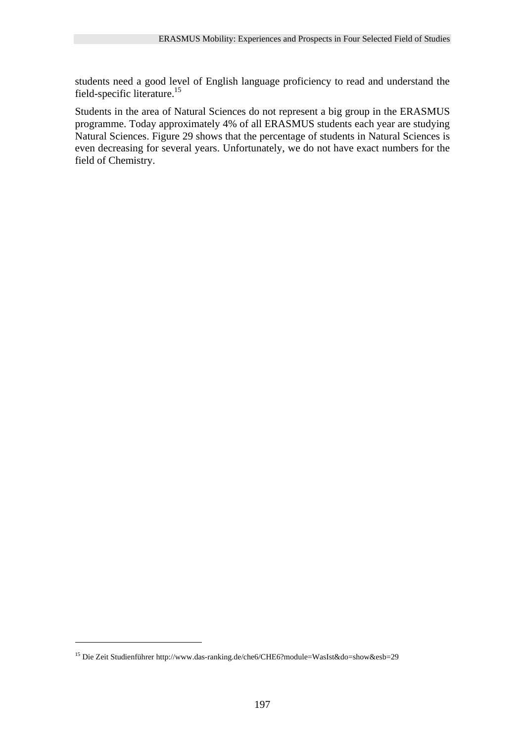students need a good level of English language proficiency to read and understand the field-specific literature.<sup>15</sup>

Students in the area of Natural Sciences do not represent a big group in the ERASMUS programme. Today approximately 4% of all ERASMUS students each year are studying Natural Sciences. Figure 29 shows that the percentage of students in Natural Sciences is even decreasing for several years. Unfortunately, we do not have exact numbers for the field of Chemistry.

<u>.</u>

<sup>15</sup> Die Zeit Studienführer http://www.das-ranking.de/che6/CHE6?module=WasIst&do=show&esb=29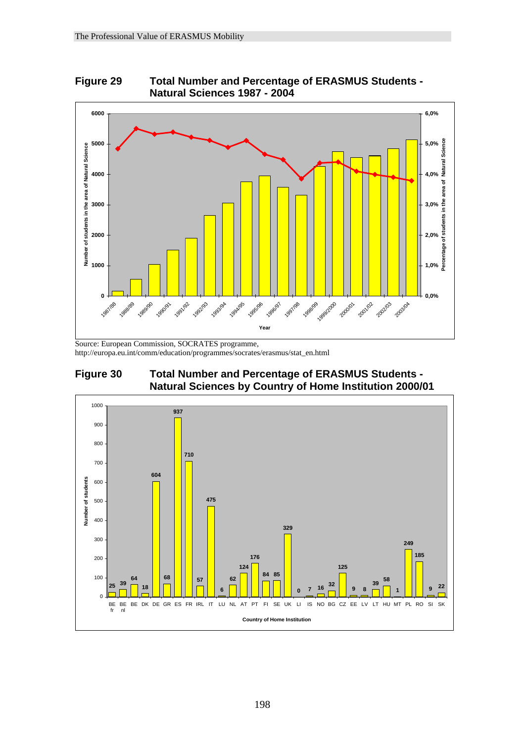



Source: European Commission, SOCRATES programme, http://europa.eu.int/comm/education/programmes/socrates/erasmus/stat\_en.html



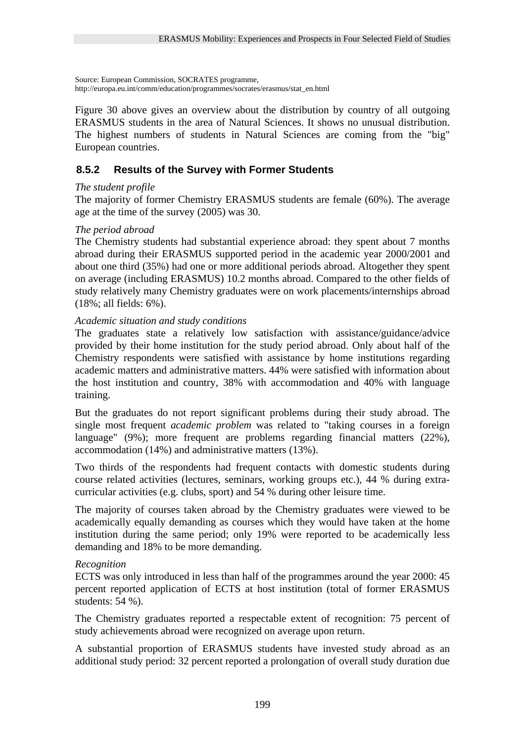Source: European Commission, SOCRATES programme, http://europa.eu.int/comm/education/programmes/socrates/erasmus/stat\_en.html

Figure 30 above gives an overview about the distribution by country of all outgoing ERASMUS students in the area of Natural Sciences. It shows no unusual distribution. The highest numbers of students in Natural Sciences are coming from the "big" European countries.

# **8.5.2 Results of the Survey with Former Students**

#### *The student profile*

The majority of former Chemistry ERASMUS students are female (60%). The average age at the time of the survey (2005) was 30.

#### *The period abroad*

The Chemistry students had substantial experience abroad: they spent about 7 months abroad during their ERASMUS supported period in the academic year 2000/2001 and about one third (35%) had one or more additional periods abroad. Altogether they spent on average (including ERASMUS) 10.2 months abroad. Compared to the other fields of study relatively many Chemistry graduates were on work placements/internships abroad (18%; all fields: 6%).

#### *Academic situation and study conditions*

The graduates state a relatively low satisfaction with assistance/guidance/advice provided by their home institution for the study period abroad. Only about half of the Chemistry respondents were satisfied with assistance by home institutions regarding academic matters and administrative matters. 44% were satisfied with information about the host institution and country, 38% with accommodation and 40% with language training.

But the graduates do not report significant problems during their study abroad. The single most frequent *academic problem* was related to "taking courses in a foreign language" (9%); more frequent are problems regarding financial matters (22%), accommodation (14%) and administrative matters (13%).

Two thirds of the respondents had frequent contacts with domestic students during course related activities (lectures, seminars, working groups etc.), 44 % during extracurricular activities (e.g. clubs, sport) and 54 % during other leisure time.

The majority of courses taken abroad by the Chemistry graduates were viewed to be academically equally demanding as courses which they would have taken at the home institution during the same period; only 19% were reported to be academically less demanding and 18% to be more demanding.

#### *Recognition*

ECTS was only introduced in less than half of the programmes around the year 2000: 45 percent reported application of ECTS at host institution (total of former ERASMUS students: 54 %).

The Chemistry graduates reported a respectable extent of recognition: 75 percent of study achievements abroad were recognized on average upon return.

A substantial proportion of ERASMUS students have invested study abroad as an additional study period: 32 percent reported a prolongation of overall study duration due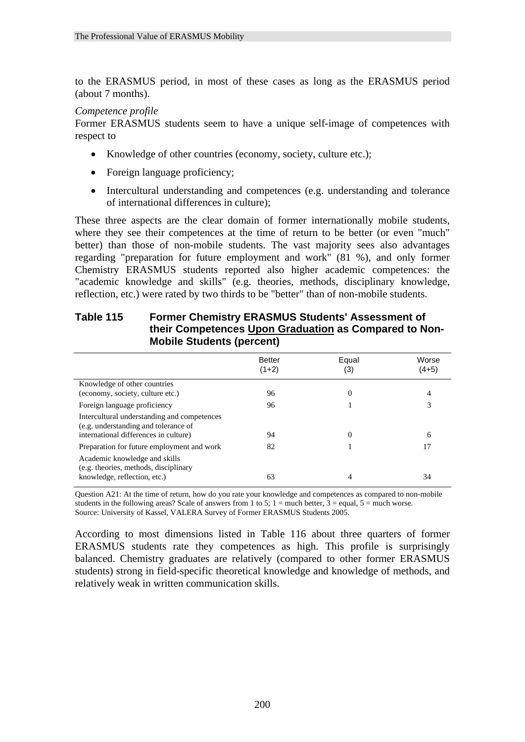to the ERASMUS period, in most of these cases as long as the ERASMUS period (about 7 months).

#### *Competence profile*

Former ERASMUS students seem to have a unique self-image of competences with respect to

- Knowledge of other countries (economy, society, culture etc.);
- Foreign language proficiency;

Intercultural understanding and competences (e.g. understanding and tolerance of

Academic knowledge and skills (e.g. theories, methods, disciplinary

• Intercultural understanding and competences (e.g. understanding and tolerance of international differences in culture);

These three aspects are the clear domain of former internationally mobile students, where they see their competences at the time of return to be better (or even "much" better) than those of non-mobile students. The vast majority sees also advantages regarding "preparation for future employment and work" (81 %), and only former Chemistry ERASMUS students reported also higher academic competences: the "academic knowledge and skills" (e.g. theories, methods, disciplinary knowledge, reflection, etc.) were rated by two thirds to be "better" than of non-mobile students.

| their Competences Upon Graduation as Compared to Non-<br><b>Mobile Students (percent)</b> |                          |              |                  |
|-------------------------------------------------------------------------------------------|--------------------------|--------------|------------------|
|                                                                                           | <b>Better</b><br>$(1+2)$ | Equal<br>(3) | Worse<br>$(4+5)$ |
| Knowledge of other countries<br>(economy, society, culture etc.)                          | 96                       |              | 4                |
| Foreign language proficiency                                                              | 96                       |              |                  |

# **Table 115 Former Chemistry ERASMUS Students' Assessment of their Competences Upon Graduation as Compared to Non-**

Question A21: At the time of return, how do you rate your knowledge and competences as compared to non-mobile students in the following areas? Scale of answers from 1 to 5;  $1 =$  much better,  $3 =$  equal,  $5 =$  much worse. Source: University of Kassel, VALERA Survey of Former ERASMUS Students 2005.

international differences in culture) 94 0 6 Preparation for future employment and work 82 1 17 17

knowledge, reflection, etc.) 63 4 34

According to most dimensions listed in Table 116 about three quarters of former ERASMUS students rate they competences as high. This profile is surprisingly balanced. Chemistry graduates are relatively (compared to other former ERASMUS students) strong in field-specific theoretical knowledge and knowledge of methods, and relatively weak in written communication skills.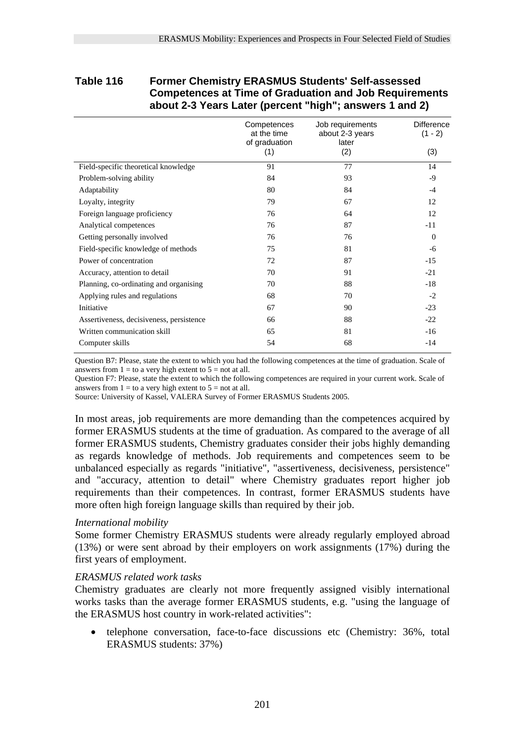#### **Table 116 Former Chemistry ERASMUS Students' Self-assessed Competences at Time of Graduation and Job Requirements about 2-3 Years Later (percent "high"; answers 1 and 2)**

|                                          | Competences<br>at the time<br>of graduation | Job requirements<br>about 2-3 years<br>later | Difference<br>$(1 - 2)$ |
|------------------------------------------|---------------------------------------------|----------------------------------------------|-------------------------|
|                                          | (1)                                         | (2)                                          | (3)                     |
| Field-specific theoretical knowledge     | 91                                          | 77                                           | 14                      |
| Problem-solving ability                  | 84                                          | 93                                           | -9                      |
| Adaptability                             | 80                                          | 84                                           | $-4$                    |
| Loyalty, integrity                       | 79                                          | 67                                           | 12                      |
| Foreign language proficiency             | 76                                          | 64                                           | 12                      |
| Analytical competences                   | 76                                          | 87                                           | -11                     |
| Getting personally involved              | 76                                          | 76                                           | $\Omega$                |
| Field-specific knowledge of methods      | 75                                          | 81                                           | -6                      |
| Power of concentration                   | 72                                          | 87                                           | $-15$                   |
| Accuracy, attention to detail            | 70                                          | 91                                           | $-21$                   |
| Planning, co-ordinating and organising   | 70                                          | 88                                           | $-18$                   |
| Applying rules and regulations           | 68                                          | 70                                           | $-2$                    |
| Initiative                               | 67                                          | 90                                           | $-23$                   |
| Assertiveness, decisiveness, persistence | 66                                          | 88                                           | $-22$                   |
| Written communication skill              | 65                                          | 81                                           | $-16$                   |
| Computer skills                          | 54                                          | 68                                           | $-14$                   |

Question B7: Please, state the extent to which you had the following competences at the time of graduation. Scale of answers from  $1 =$  to a very high extent to  $5 =$  not at all.

Question F7: Please, state the extent to which the following competences are required in your current work. Scale of answers from  $1 =$  to a very high extent to  $5 =$  not at all.

Source: University of Kassel, VALERA Survey of Former ERASMUS Students 2005.

In most areas, job requirements are more demanding than the competences acquired by former ERASMUS students at the time of graduation. As compared to the average of all former ERASMUS students, Chemistry graduates consider their jobs highly demanding as regards knowledge of methods. Job requirements and competences seem to be unbalanced especially as regards "initiative", "assertiveness, decisiveness, persistence" and "accuracy, attention to detail" where Chemistry graduates report higher job requirements than their competences. In contrast, former ERASMUS students have more often high foreign language skills than required by their job.

#### *International mobility*

Some former Chemistry ERASMUS students were already regularly employed abroad (13%) or were sent abroad by their employers on work assignments (17%) during the first years of employment.

#### *ERASMUS related work tasks*

Chemistry graduates are clearly not more frequently assigned visibly international works tasks than the average former ERASMUS students, e.g. "using the language of the ERASMUS host country in work-related activities":

• telephone conversation, face-to-face discussions etc (Chemistry: 36%, total ERASMUS students: 37%)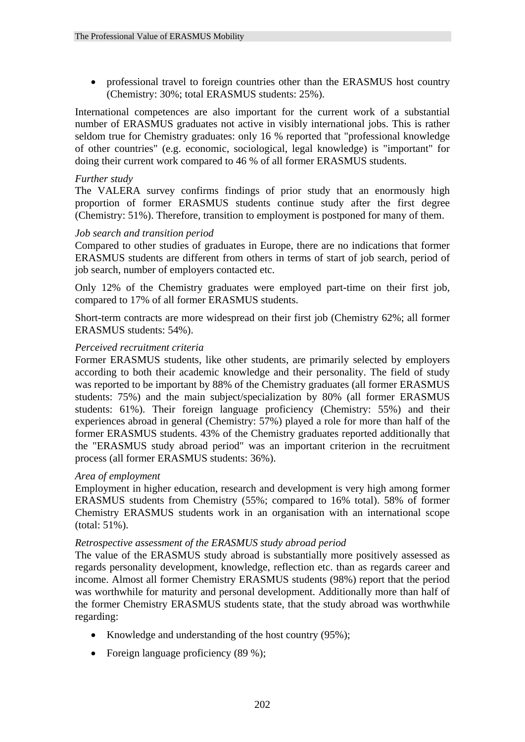• professional travel to foreign countries other than the ERASMUS host country (Chemistry: 30%; total ERASMUS students: 25%).

International competences are also important for the current work of a substantial number of ERASMUS graduates not active in visibly international jobs. This is rather seldom true for Chemistry graduates: only 16 % reported that "professional knowledge of other countries" (e.g. economic, sociological, legal knowledge) is "important" for doing their current work compared to 46 % of all former ERASMUS students.

#### *Further study*

The VALERA survey confirms findings of prior study that an enormously high proportion of former ERASMUS students continue study after the first degree (Chemistry: 51%). Therefore, transition to employment is postponed for many of them.

#### *Job search and transition period*

Compared to other studies of graduates in Europe, there are no indications that former ERASMUS students are different from others in terms of start of job search, period of job search, number of employers contacted etc.

Only 12% of the Chemistry graduates were employed part-time on their first job, compared to 17% of all former ERASMUS students.

Short-term contracts are more widespread on their first job (Chemistry 62%; all former ERASMUS students: 54%).

## *Perceived recruitment criteria*

Former ERASMUS students, like other students, are primarily selected by employers according to both their academic knowledge and their personality. The field of study was reported to be important by 88% of the Chemistry graduates (all former ERASMUS students: 75%) and the main subject/specialization by 80% (all former ERASMUS students: 61%). Their foreign language proficiency (Chemistry: 55%) and their experiences abroad in general (Chemistry: 57%) played a role for more than half of the former ERASMUS students. 43% of the Chemistry graduates reported additionally that the "ERASMUS study abroad period" was an important criterion in the recruitment process (all former ERASMUS students: 36%).

#### *Area of employment*

Employment in higher education, research and development is very high among former ERASMUS students from Chemistry (55%; compared to 16% total). 58% of former Chemistry ERASMUS students work in an organisation with an international scope (total: 51%).

#### *Retrospective assessment of the ERASMUS study abroad period*

The value of the ERASMUS study abroad is substantially more positively assessed as regards personality development, knowledge, reflection etc. than as regards career and income. Almost all former Chemistry ERASMUS students (98%) report that the period was worthwhile for maturity and personal development. Additionally more than half of the former Chemistry ERASMUS students state, that the study abroad was worthwhile regarding:

- Knowledge and understanding of the host country (95%);
- Foreign language proficiency (89 %);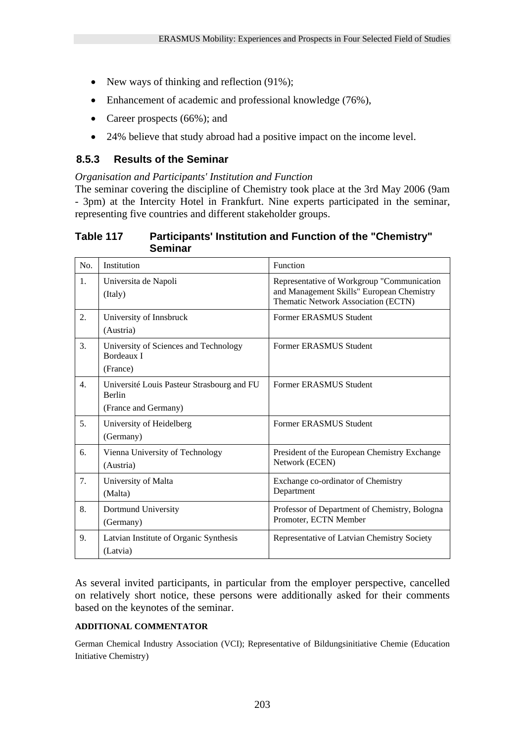- New ways of thinking and reflection (91%);
- Enhancement of academic and professional knowledge (76%),
- Career prospects (66%); and
- 24% believe that study abroad had a positive impact on the income level.

# **8.5.3 Results of the Seminar**

*Organisation and Participants' Institution and Function* 

The seminar covering the discipline of Chemistry took place at the 3rd May 2006 (9am - 3pm) at the Intercity Hotel in Frankfurt. Nine experts participated in the seminar, representing five countries and different stakeholder groups.

# **Table 117 Participants' Institution and Function of the "Chemistry" Seminar**

| No.              | Institution                                                                  | Function                                                                                                                       |
|------------------|------------------------------------------------------------------------------|--------------------------------------------------------------------------------------------------------------------------------|
| 1.               | Universita de Napoli<br>(Italy)                                              | Representative of Workgroup "Communication<br>and Management Skills" European Chemistry<br>Thematic Network Association (ECTN) |
| 2.               | University of Innsbruck<br>(Austria)                                         | Former ERASMUS Student                                                                                                         |
| 3.               | University of Sciences and Technology<br><b>Bordeaux I</b><br>(France)       | Former ERASMUS Student                                                                                                         |
| $\overline{4}$ . | Université Louis Pasteur Strasbourg and FU<br>Berlin<br>(France and Germany) | Former ERASMUS Student                                                                                                         |
| 5.               | University of Heidelberg<br>(Germany)                                        | Former ERASMUS Student                                                                                                         |
| 6.               | Vienna University of Technology<br>(Austria)                                 | President of the European Chemistry Exchange<br>Network (ECEN)                                                                 |
| 7.               | University of Malta<br>(Malta)                                               | Exchange co-ordinator of Chemistry<br>Department                                                                               |
| 8.               | Dortmund University<br>(Germany)                                             | Professor of Department of Chemistry, Bologna<br>Promoter, ECTN Member                                                         |
| 9.               | Latvian Institute of Organic Synthesis<br>(Latvia)                           | Representative of Latvian Chemistry Society                                                                                    |

As several invited participants, in particular from the employer perspective, cancelled on relatively short notice, these persons were additionally asked for their comments based on the keynotes of the seminar.

# **ADDITIONAL COMMENTATOR**

German Chemical Industry Association (VCI); Representative of Bildungsinitiative Chemie (Education Initiative Chemistry)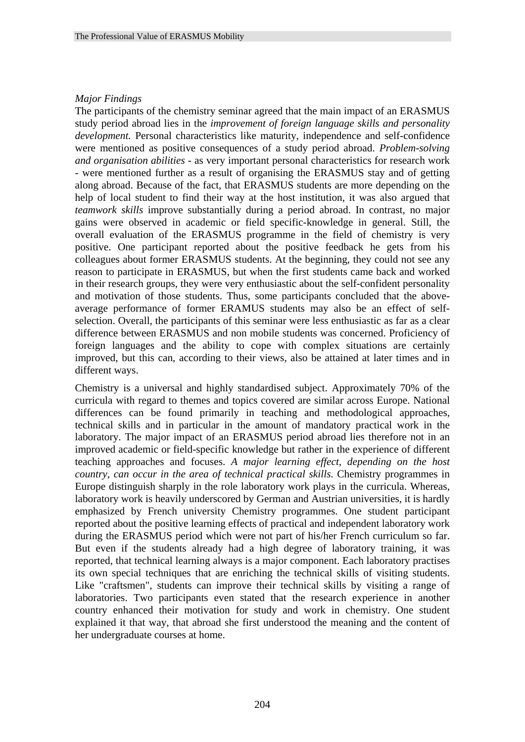#### *Major Findings*

The participants of the chemistry seminar agreed that the main impact of an ERASMUS study period abroad lies in the *improvement of foreign language skills and personality development.* Personal characteristics like maturity, independence and self-confidence were mentioned as positive consequences of a study period abroad. *Problem-solving and organisation abilities* - as very important personal characteristics for research work - were mentioned further as a result of organising the ERASMUS stay and of getting along abroad. Because of the fact, that ERASMUS students are more depending on the help of local student to find their way at the host institution, it was also argued that *teamwork skills* improve substantially during a period abroad. In contrast, no major gains were observed in academic or field specific-knowledge in general. Still, the overall evaluation of the ERASMUS programme in the field of chemistry is very positive. One participant reported about the positive feedback he gets from his colleagues about former ERASMUS students. At the beginning, they could not see any reason to participate in ERASMUS, but when the first students came back and worked in their research groups, they were very enthusiastic about the self-confident personality and motivation of those students. Thus, some participants concluded that the aboveaverage performance of former ERAMUS students may also be an effect of selfselection. Overall, the participants of this seminar were less enthusiastic as far as a clear difference between ERASMUS and non mobile students was concerned. Proficiency of foreign languages and the ability to cope with complex situations are certainly improved, but this can, according to their views, also be attained at later times and in different ways.

Chemistry is a universal and highly standardised subject. Approximately 70% of the curricula with regard to themes and topics covered are similar across Europe. National differences can be found primarily in teaching and methodological approaches, technical skills and in particular in the amount of mandatory practical work in the laboratory. The major impact of an ERASMUS period abroad lies therefore not in an improved academic or field-specific knowledge but rather in the experience of different teaching approaches and focuses. *A major learning effect, depending on the host country, can occur in the area of technical practical skills*. Chemistry programmes in Europe distinguish sharply in the role laboratory work plays in the curricula. Whereas, laboratory work is heavily underscored by German and Austrian universities, it is hardly emphasized by French university Chemistry programmes. One student participant reported about the positive learning effects of practical and independent laboratory work during the ERASMUS period which were not part of his/her French curriculum so far. But even if the students already had a high degree of laboratory training, it was reported, that technical learning always is a major component. Each laboratory practises its own special techniques that are enriching the technical skills of visiting students. Like "craftsmen", students can improve their technical skills by visiting a range of laboratories. Two participants even stated that the research experience in another country enhanced their motivation for study and work in chemistry. One student explained it that way, that abroad she first understood the meaning and the content of her undergraduate courses at home.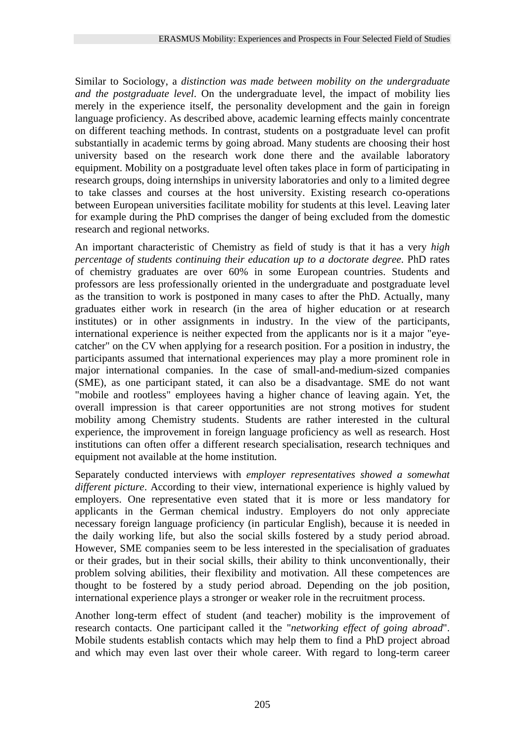Similar to Sociology, a *distinction was made between mobility on the undergraduate and the postgraduate level*. On the undergraduate level, the impact of mobility lies merely in the experience itself, the personality development and the gain in foreign language proficiency. As described above, academic learning effects mainly concentrate on different teaching methods. In contrast, students on a postgraduate level can profit substantially in academic terms by going abroad. Many students are choosing their host university based on the research work done there and the available laboratory equipment. Mobility on a postgraduate level often takes place in form of participating in research groups, doing internships in university laboratories and only to a limited degree to take classes and courses at the host university. Existing research co-operations between European universities facilitate mobility for students at this level. Leaving later for example during the PhD comprises the danger of being excluded from the domestic research and regional networks.

An important characteristic of Chemistry as field of study is that it has a very *high percentage of students continuing their education up to a doctorate degree*. PhD rates of chemistry graduates are over 60% in some European countries. Students and professors are less professionally oriented in the undergraduate and postgraduate level as the transition to work is postponed in many cases to after the PhD. Actually, many graduates either work in research (in the area of higher education or at research institutes) or in other assignments in industry. In the view of the participants, international experience is neither expected from the applicants nor is it a major "eyecatcher" on the CV when applying for a research position. For a position in industry, the participants assumed that international experiences may play a more prominent role in major international companies. In the case of small-and-medium-sized companies (SME), as one participant stated, it can also be a disadvantage. SME do not want "mobile and rootless" employees having a higher chance of leaving again. Yet, the overall impression is that career opportunities are not strong motives for student mobility among Chemistry students. Students are rather interested in the cultural experience, the improvement in foreign language proficiency as well as research. Host institutions can often offer a different research specialisation, research techniques and equipment not available at the home institution.

Separately conducted interviews with *employer representatives showed a somewhat different picture*. According to their view, international experience is highly valued by employers. One representative even stated that it is more or less mandatory for applicants in the German chemical industry. Employers do not only appreciate necessary foreign language proficiency (in particular English), because it is needed in the daily working life, but also the social skills fostered by a study period abroad. However, SME companies seem to be less interested in the specialisation of graduates or their grades, but in their social skills, their ability to think unconventionally, their problem solving abilities, their flexibility and motivation. All these competences are thought to be fostered by a study period abroad. Depending on the job position, international experience plays a stronger or weaker role in the recruitment process.

Another long-term effect of student (and teacher) mobility is the improvement of research contacts. One participant called it the "*networking effect of going abroad*". Mobile students establish contacts which may help them to find a PhD project abroad and which may even last over their whole career. With regard to long-term career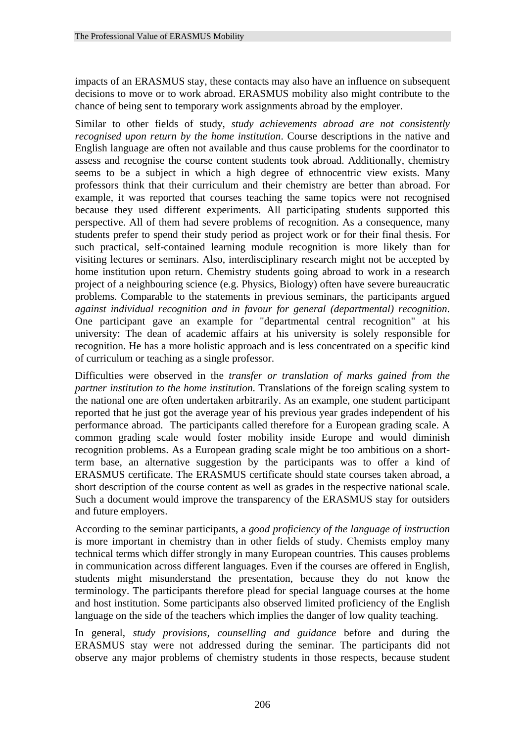impacts of an ERASMUS stay, these contacts may also have an influence on subsequent decisions to move or to work abroad. ERASMUS mobility also might contribute to the chance of being sent to temporary work assignments abroad by the employer.

Similar to other fields of study, *study achievements abroad are not consistently recognised upon return by the home institution*. Course descriptions in the native and English language are often not available and thus cause problems for the coordinator to assess and recognise the course content students took abroad. Additionally, chemistry seems to be a subject in which a high degree of ethnocentric view exists. Many professors think that their curriculum and their chemistry are better than abroad. For example, it was reported that courses teaching the same topics were not recognised because they used different experiments. All participating students supported this perspective. All of them had severe problems of recognition. As a consequence, many students prefer to spend their study period as project work or for their final thesis. For such practical, self-contained learning module recognition is more likely than for visiting lectures or seminars. Also, interdisciplinary research might not be accepted by home institution upon return. Chemistry students going abroad to work in a research project of a neighbouring science (e.g. Physics, Biology) often have severe bureaucratic problems. Comparable to the statements in previous seminars, the participants argued *against individual recognition and in favour for general (departmental) recognition*. One participant gave an example for "departmental central recognition" at his university: The dean of academic affairs at his university is solely responsible for recognition. He has a more holistic approach and is less concentrated on a specific kind of curriculum or teaching as a single professor.

Difficulties were observed in the *transfer or translation of marks gained from the partner institution to the home institution*. Translations of the foreign scaling system to the national one are often undertaken arbitrarily. As an example, one student participant reported that he just got the average year of his previous year grades independent of his performance abroad. The participants called therefore for a European grading scale. A common grading scale would foster mobility inside Europe and would diminish recognition problems. As a European grading scale might be too ambitious on a shortterm base, an alternative suggestion by the participants was to offer a kind of ERASMUS certificate. The ERASMUS certificate should state courses taken abroad, a short description of the course content as well as grades in the respective national scale. Such a document would improve the transparency of the ERASMUS stay for outsiders and future employers.

According to the seminar participants, a *good proficiency of the language of instruction* is more important in chemistry than in other fields of study. Chemists employ many technical terms which differ strongly in many European countries. This causes problems in communication across different languages. Even if the courses are offered in English, students might misunderstand the presentation, because they do not know the terminology. The participants therefore plead for special language courses at the home and host institution. Some participants also observed limited proficiency of the English language on the side of the teachers which implies the danger of low quality teaching.

In general, *study provisions, counselling and guidance* before and during the ERASMUS stay were not addressed during the seminar. The participants did not observe any major problems of chemistry students in those respects, because student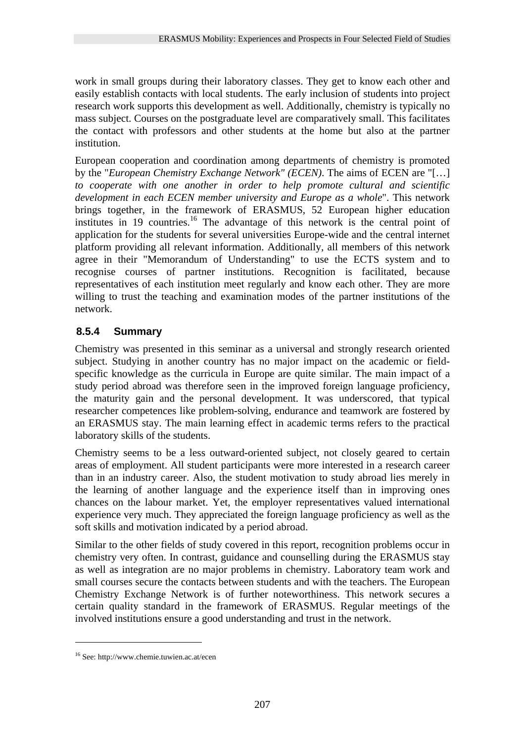work in small groups during their laboratory classes. They get to know each other and easily establish contacts with local students. The early inclusion of students into project research work supports this development as well. Additionally, chemistry is typically no mass subject. Courses on the postgraduate level are comparatively small. This facilitates the contact with professors and other students at the home but also at the partner institution.

European cooperation and coordination among departments of chemistry is promoted by the "*European Chemistry Exchange Network" (ECEN)*. The aims of ECEN are "[…] *to cooperate with one another in order to help promote cultural and scientific development in each ECEN member university and Europe as a whole*". This network brings together, in the framework of ERASMUS, 52 European higher education institutes in 19 countries.<sup>16</sup> The advantage of this network is the central point of application for the students for several universities Europe-wide and the central internet platform providing all relevant information. Additionally, all members of this network agree in their "Memorandum of Understanding" to use the ECTS system and to recognise courses of partner institutions. Recognition is facilitated, because representatives of each institution meet regularly and know each other. They are more willing to trust the teaching and examination modes of the partner institutions of the network.

# **8.5.4 Summary**

Chemistry was presented in this seminar as a universal and strongly research oriented subject. Studying in another country has no major impact on the academic or fieldspecific knowledge as the curricula in Europe are quite similar. The main impact of a study period abroad was therefore seen in the improved foreign language proficiency, the maturity gain and the personal development. It was underscored, that typical researcher competences like problem-solving, endurance and teamwork are fostered by an ERASMUS stay. The main learning effect in academic terms refers to the practical laboratory skills of the students.

Chemistry seems to be a less outward-oriented subject, not closely geared to certain areas of employment. All student participants were more interested in a research career than in an industry career. Also, the student motivation to study abroad lies merely in the learning of another language and the experience itself than in improving ones chances on the labour market. Yet, the employer representatives valued international experience very much. They appreciated the foreign language proficiency as well as the soft skills and motivation indicated by a period abroad.

Similar to the other fields of study covered in this report, recognition problems occur in chemistry very often. In contrast, guidance and counselling during the ERASMUS stay as well as integration are no major problems in chemistry. Laboratory team work and small courses secure the contacts between students and with the teachers. The European Chemistry Exchange Network is of further noteworthiness. This network secures a certain quality standard in the framework of ERASMUS. Regular meetings of the involved institutions ensure a good understanding and trust in the network.

<u>.</u>

<sup>16</sup> See: http://www.chemie.tuwien.ac.at/ecen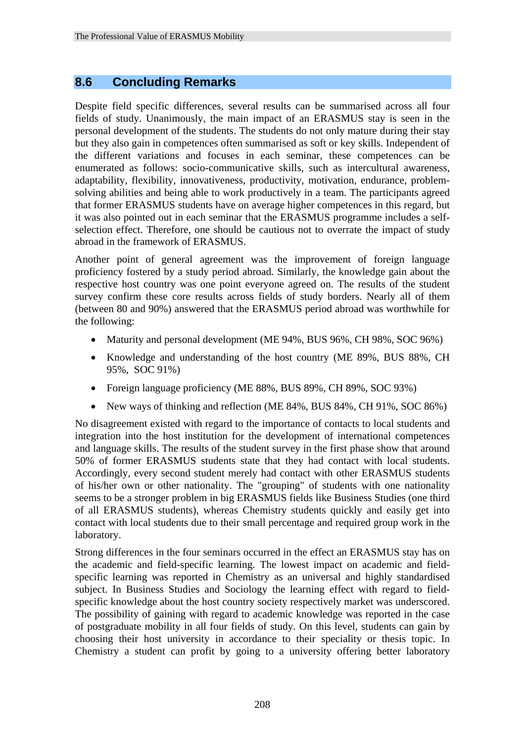# **8.6 Concluding Remarks**

Despite field specific differences, several results can be summarised across all four fields of study. Unanimously, the main impact of an ERASMUS stay is seen in the personal development of the students. The students do not only mature during their stay but they also gain in competences often summarised as soft or key skills. Independent of the different variations and focuses in each seminar, these competences can be enumerated as follows: socio-communicative skills, such as intercultural awareness, adaptability, flexibility, innovativeness, productivity, motivation, endurance, problemsolving abilities and being able to work productively in a team. The participants agreed that former ERASMUS students have on average higher competences in this regard, but it was also pointed out in each seminar that the ERASMUS programme includes a selfselection effect. Therefore, one should be cautious not to overrate the impact of study abroad in the framework of ERASMUS.

Another point of general agreement was the improvement of foreign language proficiency fostered by a study period abroad. Similarly, the knowledge gain about the respective host country was one point everyone agreed on. The results of the student survey confirm these core results across fields of study borders. Nearly all of them (between 80 and 90%) answered that the ERASMUS period abroad was worthwhile for the following:

- Maturity and personal development (ME 94%, BUS 96%, CH 98%, SOC 96%)
- Knowledge and understanding of the host country (ME 89%, BUS 88%, CH 95%, SOC 91%)
- Foreign language proficiency (ME 88%, BUS 89%, CH 89%, SOC 93%)
- New ways of thinking and reflection (ME 84%, BUS 84%, CH 91%, SOC 86%)

No disagreement existed with regard to the importance of contacts to local students and integration into the host institution for the development of international competences and language skills. The results of the student survey in the first phase show that around 50% of former ERASMUS students state that they had contact with local students. Accordingly, every second student merely had contact with other ERASMUS students of his/her own or other nationality. The "grouping" of students with one nationality seems to be a stronger problem in big ERASMUS fields like Business Studies (one third of all ERASMUS students), whereas Chemistry students quickly and easily get into contact with local students due to their small percentage and required group work in the laboratory.

Strong differences in the four seminars occurred in the effect an ERASMUS stay has on the academic and field-specific learning. The lowest impact on academic and fieldspecific learning was reported in Chemistry as an universal and highly standardised subject. In Business Studies and Sociology the learning effect with regard to fieldspecific knowledge about the host country society respectively market was underscored. The possibility of gaining with regard to academic knowledge was reported in the case of postgraduate mobility in all four fields of study. On this level, students can gain by choosing their host university in accordance to their speciality or thesis topic. In Chemistry a student can profit by going to a university offering better laboratory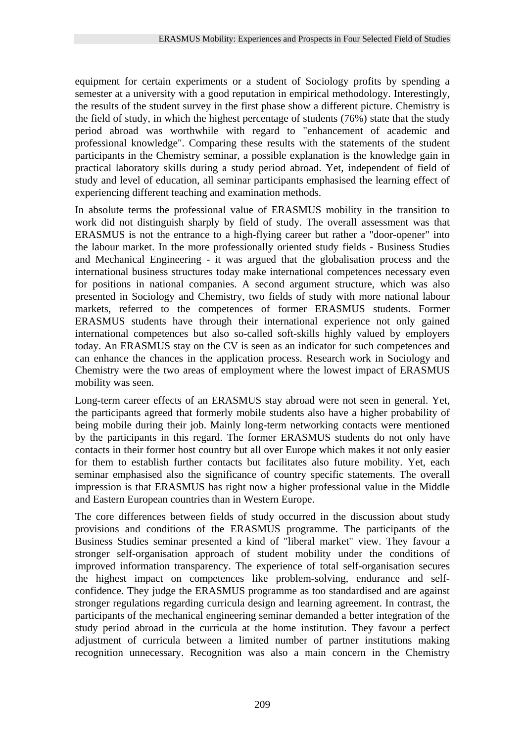equipment for certain experiments or a student of Sociology profits by spending a semester at a university with a good reputation in empirical methodology. Interestingly, the results of the student survey in the first phase show a different picture. Chemistry is the field of study, in which the highest percentage of students (76%) state that the study period abroad was worthwhile with regard to "enhancement of academic and professional knowledge". Comparing these results with the statements of the student participants in the Chemistry seminar, a possible explanation is the knowledge gain in practical laboratory skills during a study period abroad. Yet, independent of field of study and level of education, all seminar participants emphasised the learning effect of experiencing different teaching and examination methods.

In absolute terms the professional value of ERASMUS mobility in the transition to work did not distinguish sharply by field of study. The overall assessment was that ERASMUS is not the entrance to a high-flying career but rather a "door-opener" into the labour market. In the more professionally oriented study fields - Business Studies and Mechanical Engineering - it was argued that the globalisation process and the international business structures today make international competences necessary even for positions in national companies. A second argument structure, which was also presented in Sociology and Chemistry, two fields of study with more national labour markets, referred to the competences of former ERASMUS students. Former ERASMUS students have through their international experience not only gained international competences but also so-called soft-skills highly valued by employers today. An ERASMUS stay on the CV is seen as an indicator for such competences and can enhance the chances in the application process. Research work in Sociology and Chemistry were the two areas of employment where the lowest impact of ERASMUS mobility was seen.

Long-term career effects of an ERASMUS stay abroad were not seen in general. Yet, the participants agreed that formerly mobile students also have a higher probability of being mobile during their job. Mainly long-term networking contacts were mentioned by the participants in this regard. The former ERASMUS students do not only have contacts in their former host country but all over Europe which makes it not only easier for them to establish further contacts but facilitates also future mobility. Yet, each seminar emphasised also the significance of country specific statements. The overall impression is that ERASMUS has right now a higher professional value in the Middle and Eastern European countries than in Western Europe.

The core differences between fields of study occurred in the discussion about study provisions and conditions of the ERASMUS programme. The participants of the Business Studies seminar presented a kind of "liberal market" view. They favour a stronger self-organisation approach of student mobility under the conditions of improved information transparency. The experience of total self-organisation secures the highest impact on competences like problem-solving, endurance and selfconfidence. They judge the ERASMUS programme as too standardised and are against stronger regulations regarding curricula design and learning agreement. In contrast, the participants of the mechanical engineering seminar demanded a better integration of the study period abroad in the curricula at the home institution. They favour a perfect adjustment of curricula between a limited number of partner institutions making recognition unnecessary. Recognition was also a main concern in the Chemistry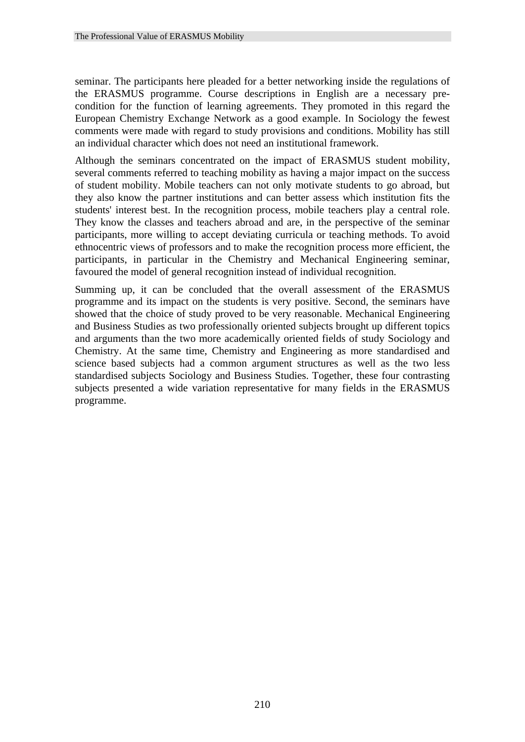seminar. The participants here pleaded for a better networking inside the regulations of the ERASMUS programme. Course descriptions in English are a necessary precondition for the function of learning agreements. They promoted in this regard the European Chemistry Exchange Network as a good example. In Sociology the fewest comments were made with regard to study provisions and conditions. Mobility has still an individual character which does not need an institutional framework.

Although the seminars concentrated on the impact of ERASMUS student mobility, several comments referred to teaching mobility as having a major impact on the success of student mobility. Mobile teachers can not only motivate students to go abroad, but they also know the partner institutions and can better assess which institution fits the students' interest best. In the recognition process, mobile teachers play a central role. They know the classes and teachers abroad and are, in the perspective of the seminar participants, more willing to accept deviating curricula or teaching methods. To avoid ethnocentric views of professors and to make the recognition process more efficient, the participants, in particular in the Chemistry and Mechanical Engineering seminar, favoured the model of general recognition instead of individual recognition.

Summing up, it can be concluded that the overall assessment of the ERASMUS programme and its impact on the students is very positive. Second, the seminars have showed that the choice of study proved to be very reasonable. Mechanical Engineering and Business Studies as two professionally oriented subjects brought up different topics and arguments than the two more academically oriented fields of study Sociology and Chemistry. At the same time, Chemistry and Engineering as more standardised and science based subjects had a common argument structures as well as the two less standardised subjects Sociology and Business Studies. Together, these four contrasting subjects presented a wide variation representative for many fields in the ERASMUS programme.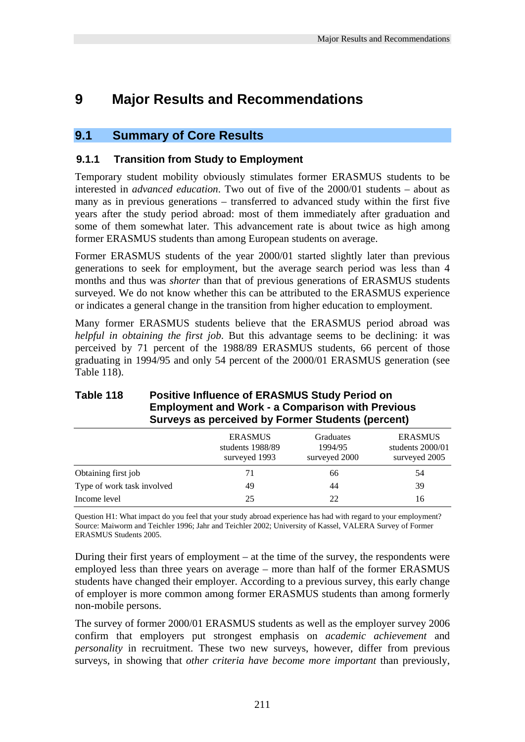# **9 Major Results and Recommendations**

# **9.1 Summary of Core Results**

# **9.1.1 Transition from Study to Employment**

Temporary student mobility obviously stimulates former ERASMUS students to be interested in *advanced education*. Two out of five of the 2000/01 students – about as many as in previous generations – transferred to advanced study within the first five years after the study period abroad: most of them immediately after graduation and some of them somewhat later. This advancement rate is about twice as high among former ERASMUS students than among European students on average.

Former ERASMUS students of the year 2000/01 started slightly later than previous generations to seek for employment, but the average search period was less than 4 months and thus was *shorter* than that of previous generations of ERASMUS students surveyed. We do not know whether this can be attributed to the ERASMUS experience or indicates a general change in the transition from higher education to employment.

Many former ERASMUS students believe that the ERASMUS period abroad was *helpful in obtaining the first job*. But this advantage seems to be declining: it was perceived by 71 percent of the 1988/89 ERASMUS students, 66 percent of those graduating in 1994/95 and only 54 percent of the 2000/01 ERASMUS generation (see Table 118).

| Surveys as perceived by Former Students (percent) |                                                     |                                       |                                                     |  |  |
|---------------------------------------------------|-----------------------------------------------------|---------------------------------------|-----------------------------------------------------|--|--|
|                                                   | <b>ERASMUS</b><br>students 1988/89<br>surveyed 1993 | Graduates<br>1994/95<br>surveyed 2000 | <b>ERASMUS</b><br>students 2000/01<br>surveyed 2005 |  |  |
| Obtaining first job                               | 71                                                  | 66                                    | 54                                                  |  |  |
| Type of work task involved                        | 49                                                  | 44                                    | 39                                                  |  |  |
| Income level                                      | 25                                                  | 22                                    | 16                                                  |  |  |

# **Table 118 Positive Influence of ERASMUS Study Period on Employment and Work - a Comparison with Previous Surveys as perceived by Former Students (percent)**

Question H1: What impact do you feel that your study abroad experience has had with regard to your employment? Source: Maiworm and Teichler 1996; Jahr and Teichler 2002; University of Kassel, VALERA Survey of Former ERASMUS Students 2005.

During their first years of employment – at the time of the survey, the respondents were employed less than three years on average – more than half of the former ERASMUS students have changed their employer. According to a previous survey, this early change of employer is more common among former ERASMUS students than among formerly non-mobile persons.

The survey of former 2000/01 ERASMUS students as well as the employer survey 2006 confirm that employers put strongest emphasis on *academic achievement* and *personality* in recruitment. These two new surveys, however, differ from previous surveys, in showing that *other criteria have become more important* than previously,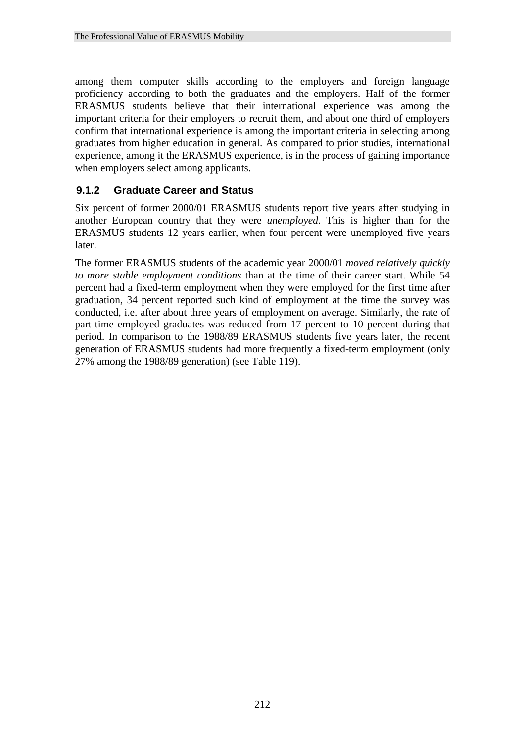among them computer skills according to the employers and foreign language proficiency according to both the graduates and the employers. Half of the former ERASMUS students believe that their international experience was among the important criteria for their employers to recruit them, and about one third of employers confirm that international experience is among the important criteria in selecting among graduates from higher education in general. As compared to prior studies, international experience, among it the ERASMUS experience, is in the process of gaining importance when employers select among applicants.

# **9.1.2 Graduate Career and Status**

Six percent of former 2000/01 ERASMUS students report five years after studying in another European country that they were *unemployed*. This is higher than for the ERASMUS students 12 years earlier, when four percent were unemployed five years later.

The former ERASMUS students of the academic year 2000/01 *moved relatively quickly to more stable employment conditions* than at the time of their career start. While 54 percent had a fixed-term employment when they were employed for the first time after graduation, 34 percent reported such kind of employment at the time the survey was conducted, i.e. after about three years of employment on average. Similarly, the rate of part-time employed graduates was reduced from 17 percent to 10 percent during that period. In comparison to the 1988/89 ERASMUS students five years later, the recent generation of ERASMUS students had more frequently a fixed-term employment (only 27% among the 1988/89 generation) (see Table 119).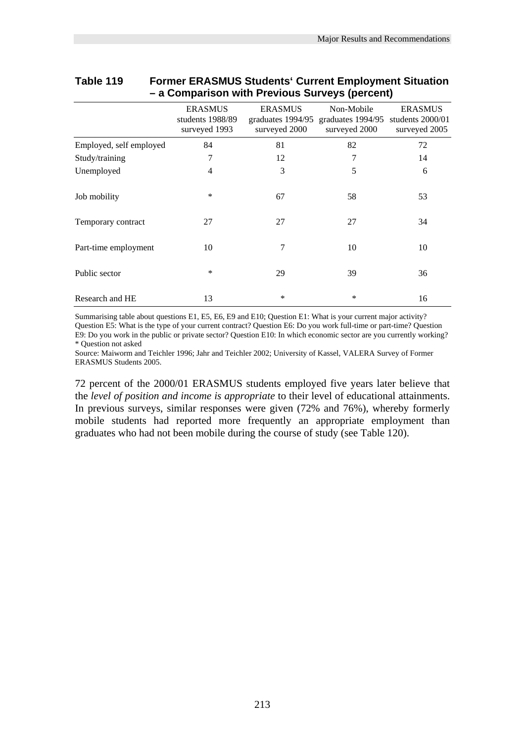|                         | <b>ERASMUS</b><br>students 1988/89<br>surveyed 1993 | <b>ERASMUS</b><br>graduates 1994/95<br>surveyed 2000 | Non-Mobile<br>graduates 1994/95<br>surveyed 2000 | <b>ERASMUS</b><br>students 2000/01<br>surveyed 2005 |
|-------------------------|-----------------------------------------------------|------------------------------------------------------|--------------------------------------------------|-----------------------------------------------------|
| Employed, self employed | 84                                                  | 81                                                   | 82                                               | 72                                                  |
| Study/training          | 7                                                   | 12                                                   | 7                                                | 14                                                  |
| Unemployed              | $\overline{4}$                                      | 3                                                    | 5                                                | 6                                                   |
| Job mobility            | $\ast$                                              | 67                                                   | 58                                               | 53                                                  |
| Temporary contract      | 27                                                  | 27                                                   | 27                                               | 34                                                  |
| Part-time employment    | 10                                                  | 7                                                    | 10                                               | 10                                                  |
| Public sector           | $\ast$                                              | 29                                                   | 39                                               | 36                                                  |
| Research and HE         | 13                                                  | $\ast$                                               | *                                                | 16                                                  |

#### **Table 119 Former ERASMUS Students' Current Employment Situation – a Comparison with Previous Surveys (percent)**

Summarising table about questions E1, E5, E6, E9 and E10; Question E1: What is your current major activity? Question E5: What is the type of your current contract? Question E6: Do you work full-time or part-time? Question E9: Do you work in the public or private sector? Question E10: In which economic sector are you currently working? \* Question not asked

Source: Maiworm and Teichler 1996; Jahr and Teichler 2002; University of Kassel, VALERA Survey of Former ERASMUS Students 2005.

72 percent of the 2000/01 ERASMUS students employed five years later believe that the *level of position and income is appropriate* to their level of educational attainments. In previous surveys, similar responses were given (72% and 76%), whereby formerly mobile students had reported more frequently an appropriate employment than graduates who had not been mobile during the course of study (see Table 120).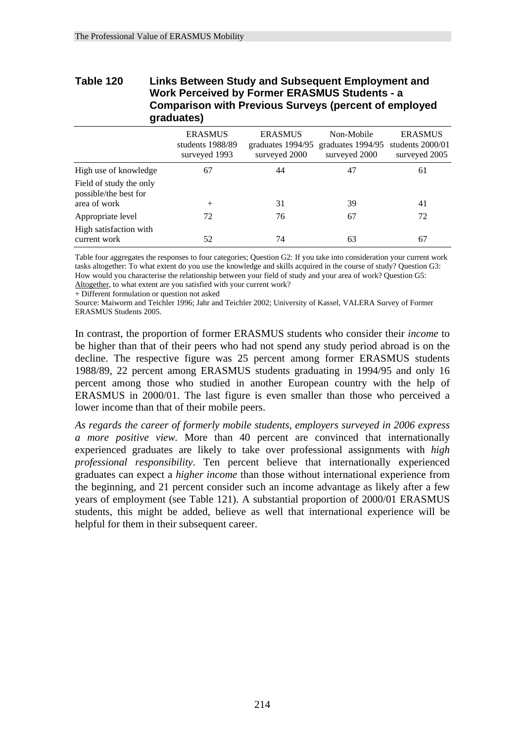# **Table 120 Links Between Study and Subsequent Employment and Work Perceived by Former ERASMUS Students - a Comparison with Previous Surveys (percent of employed graduates)**

|                                                  | <b>ERASMUS</b><br>students 1988/89<br>surveyed 1993 | <b>ERASMUS</b><br>graduates 1994/95<br>surveyed 2000 | Non-Mobile<br>graduates 1994/95<br>surveyed 2000 | <b>ERASMUS</b><br>students 2000/01<br>surveyed 2005 |
|--------------------------------------------------|-----------------------------------------------------|------------------------------------------------------|--------------------------------------------------|-----------------------------------------------------|
| High use of knowledge                            | 67                                                  | 44                                                   | 47                                               | 61                                                  |
| Field of study the only<br>possible/the best for |                                                     |                                                      |                                                  |                                                     |
| area of work                                     | $^{+}$                                              | 31                                                   | 39                                               | 41                                                  |
| Appropriate level                                | 72                                                  | 76                                                   | 67                                               | 72                                                  |
| High satisfaction with<br>current work           | 52                                                  | 74                                                   | 63                                               | 67                                                  |

Table four aggregates the responses to four categories; Question G2: If you take into consideration your current work tasks altogether: To what extent do you use the knowledge and skills acquired in the course of study? Question G3: How would you characterise the relationship between your field of study and your area of work? Question G5: Altogether, to what extent are you satisfied with your current work?

+ Different formulation or question not asked

Source: Maiworm and Teichler 1996; Jahr and Teichler 2002; University of Kassel, VALERA Survey of Former ERASMUS Students 2005.

In contrast, the proportion of former ERASMUS students who consider their *income* to be higher than that of their peers who had not spend any study period abroad is on the decline. The respective figure was 25 percent among former ERASMUS students 1988/89, 22 percent among ERASMUS students graduating in 1994/95 and only 16 percent among those who studied in another European country with the help of ERASMUS in 2000/01. The last figure is even smaller than those who perceived a lower income than that of their mobile peers.

*As regards the career of formerly mobile students, employers surveyed in 2006 express a more positive view.* More than 40 percent are convinced that internationally experienced graduates are likely to take over professional assignments with *high professional responsibility*. Ten percent believe that internationally experienced graduates can expect a *higher income* than those without international experience from the beginning, and 21 percent consider such an income advantage as likely after a few years of employment (see Table 121). A substantial proportion of 2000/01 ERASMUS students, this might be added, believe as well that international experience will be helpful for them in their subsequent career.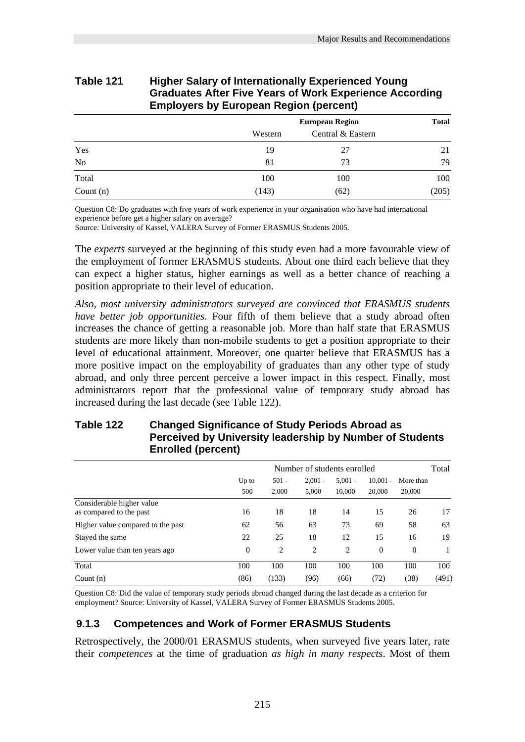| <b>Graduates After Five Years of Work Experience According</b><br><b>Employers by European Region (percent)</b> |         |                        |              |  |  |
|-----------------------------------------------------------------------------------------------------------------|---------|------------------------|--------------|--|--|
|                                                                                                                 |         | <b>European Region</b> | <b>Total</b> |  |  |
|                                                                                                                 | Western | Central & Eastern      |              |  |  |
| Yes                                                                                                             | 19      |                        |              |  |  |

No 81 73 79 Total 100 100 100 100 100 Count (n)  $(143)$   $(62)$   $(205)$ 

# **Table 121 Higher Salary of Internationally Experienced Young**

Question C8: Do graduates with five years of work experience in your organisation who have had international experience before get a higher salary on average?

Source: University of Kassel, VALERA Survey of Former ERASMUS Students 2005.

The *experts* surveyed at the beginning of this study even had a more favourable view of the employment of former ERASMUS students. About one third each believe that they can expect a higher status, higher earnings as well as a better chance of reaching a position appropriate to their level of education.

*Also, most university administrators surveyed are convinced that ERASMUS students have better job opportunities*. Four fifth of them believe that a study abroad often increases the chance of getting a reasonable job. More than half state that ERASMUS students are more likely than non-mobile students to get a position appropriate to their level of educational attainment. Moreover, one quarter believe that ERASMUS has a more positive impact on the employability of graduates than any other type of study abroad, and only three percent perceive a lower impact in this respect. Finally, most administrators report that the professional value of temporary study abroad has increased during the last decade (see Table 122).

# **Table 122 Changed Significance of Study Periods Abroad as Perceived by University leadership by Number of Students Enrolled (percent)**

|                                                      | Number of students enrolled |                  |                    |                     | Total                |                     |       |
|------------------------------------------------------|-----------------------------|------------------|--------------------|---------------------|----------------------|---------------------|-------|
|                                                      | $Up$ to<br>500              | $501 -$<br>2,000 | $2.001 -$<br>5,000 | $5.001 -$<br>10,000 | $10,001 -$<br>20,000 | More than<br>20,000 |       |
| Considerable higher value<br>as compared to the past | 16                          | 18               | 18                 | 14                  | 15                   | 26                  | 17    |
| Higher value compared to the past                    | 62                          | 56               | 63                 | 73                  | 69                   | 58                  | 63    |
| Stayed the same                                      | 22                          | 25               | 18                 | 12                  | 15                   | 16                  | 19    |
| Lower value than ten years ago                       | $\theta$                    | 2                | 2                  | 2                   | $\theta$             | $\Omega$            |       |
| Total                                                | 100                         | 100              | 100                | 100                 | 100                  | 100                 | 100   |
| Count $(n)$                                          | (86)                        | (133)            | (96)               | (66)                | (72)                 | (38)                | (491) |

Question C8: Did the value of temporary study periods abroad changed during the last decade as a criterion for employment? Source: University of Kassel, VALERA Survey of Former ERASMUS Students 2005.

# **9.1.3 Competences and Work of Former ERASMUS Students**

Retrospectively, the 2000/01 ERASMUS students, when surveyed five years later, rate their *competences* at the time of graduation *as high in many respects*. Most of them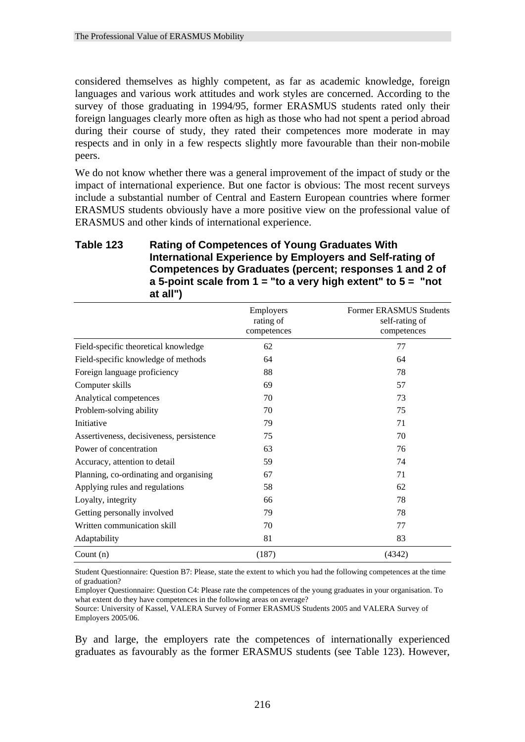considered themselves as highly competent, as far as academic knowledge, foreign languages and various work attitudes and work styles are concerned. According to the survey of those graduating in 1994/95, former ERASMUS students rated only their foreign languages clearly more often as high as those who had not spent a period abroad during their course of study, they rated their competences more moderate in may respects and in only in a few respects slightly more favourable than their non-mobile peers.

We do not know whether there was a general improvement of the impact of study or the impact of international experience. But one factor is obvious: The most recent surveys include a substantial number of Central and Eastern European countries where former ERASMUS students obviously have a more positive view on the professional value of ERASMUS and other kinds of international experience.

# **Table 123 Rating of Competences of Young Graduates With International Experience by Employers and Self-rating of Competences by Graduates (percent; responses 1 and 2 of a 5-point scale from 1 = "to a very high extent" to 5 = "not at all")**

|                                          | Employers<br>rating of<br>competences | <b>Former ERASMUS Students</b><br>self-rating of<br>competences |
|------------------------------------------|---------------------------------------|-----------------------------------------------------------------|
| Field-specific theoretical knowledge     | 62                                    | 77                                                              |
| Field-specific knowledge of methods      | 64                                    | 64                                                              |
| Foreign language proficiency             | 88                                    | 78                                                              |
| Computer skills                          | 69                                    | 57                                                              |
| Analytical competences                   | 70                                    | 73                                                              |
| Problem-solving ability                  | 70                                    | 75                                                              |
| Initiative                               | 79                                    | 71                                                              |
| Assertiveness, decisiveness, persistence | 75                                    | 70                                                              |
| Power of concentration                   | 63                                    | 76                                                              |
| Accuracy, attention to detail            | 59                                    | 74                                                              |
| Planning, co-ordinating and organising   | 67                                    | 71                                                              |
| Applying rules and regulations           | 58                                    | 62                                                              |
| Loyalty, integrity                       | 66                                    | 78                                                              |
| Getting personally involved              | 79                                    | 78                                                              |
| Written communication skill              | 70                                    | 77                                                              |
| Adaptability                             | 81                                    | 83                                                              |
| Count $(n)$                              | (187)                                 | (4342)                                                          |

Student Questionnaire: Question B7: Please, state the extent to which you had the following competences at the time of graduation?

Employer Questionnaire: Question C4: Please rate the competences of the young graduates in your organisation. To what extent do they have competences in the following areas on average?

Source: University of Kassel, VALERA Survey of Former ERASMUS Students 2005 and VALERA Survey of Employers 2005/06.

By and large, the employers rate the competences of internationally experienced graduates as favourably as the former ERASMUS students (see Table 123). However,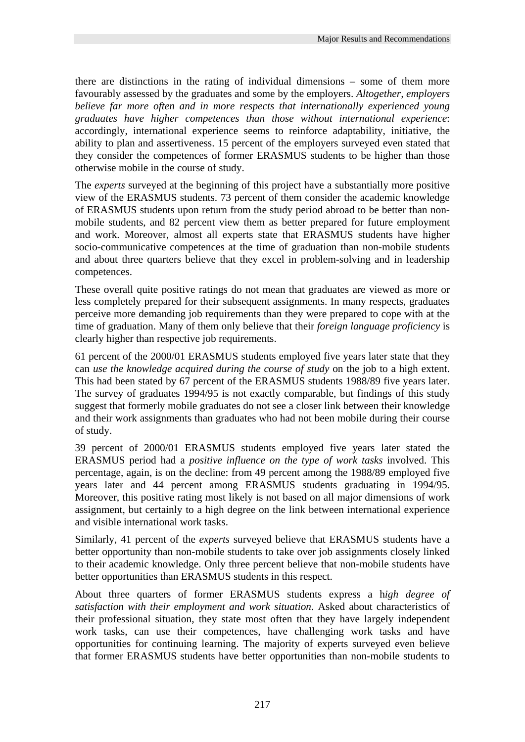there are distinctions in the rating of individual dimensions – some of them more favourably assessed by the graduates and some by the employers. *Altogether, employers believe far more often and in more respects that internationally experienced young graduates have higher competences than those without international experience*: accordingly, international experience seems to reinforce adaptability, initiative, the ability to plan and assertiveness. 15 percent of the employers surveyed even stated that they consider the competences of former ERASMUS students to be higher than those otherwise mobile in the course of study.

The *experts* surveyed at the beginning of this project have a substantially more positive view of the ERASMUS students. 73 percent of them consider the academic knowledge of ERASMUS students upon return from the study period abroad to be better than nonmobile students, and 82 percent view them as better prepared for future employment and work. Moreover, almost all experts state that ERASMUS students have higher socio-communicative competences at the time of graduation than non-mobile students and about three quarters believe that they excel in problem-solving and in leadership competences.

These overall quite positive ratings do not mean that graduates are viewed as more or less completely prepared for their subsequent assignments. In many respects, graduates perceive more demanding job requirements than they were prepared to cope with at the time of graduation. Many of them only believe that their *foreign language proficiency* is clearly higher than respective job requirements.

61 percent of the 2000/01 ERASMUS students employed five years later state that they can *use the knowledge acquired during the course of study* on the job to a high extent. This had been stated by 67 percent of the ERASMUS students 1988/89 five years later. The survey of graduates 1994/95 is not exactly comparable, but findings of this study suggest that formerly mobile graduates do not see a closer link between their knowledge and their work assignments than graduates who had not been mobile during their course of study.

39 percent of 2000/01 ERASMUS students employed five years later stated the ERASMUS period had a *positive influence on the type of work tasks* involved. This percentage, again, is on the decline: from 49 percent among the 1988/89 employed five years later and 44 percent among ERASMUS students graduating in 1994/95. Moreover, this positive rating most likely is not based on all major dimensions of work assignment, but certainly to a high degree on the link between international experience and visible international work tasks.

Similarly, 41 percent of the *experts* surveyed believe that ERASMUS students have a better opportunity than non-mobile students to take over job assignments closely linked to their academic knowledge. Only three percent believe that non-mobile students have better opportunities than ERASMUS students in this respect.

About three quarters of former ERASMUS students express a h*igh degree of satisfaction with their employment and work situation*. Asked about characteristics of their professional situation, they state most often that they have largely independent work tasks, can use their competences, have challenging work tasks and have opportunities for continuing learning. The majority of experts surveyed even believe that former ERASMUS students have better opportunities than non-mobile students to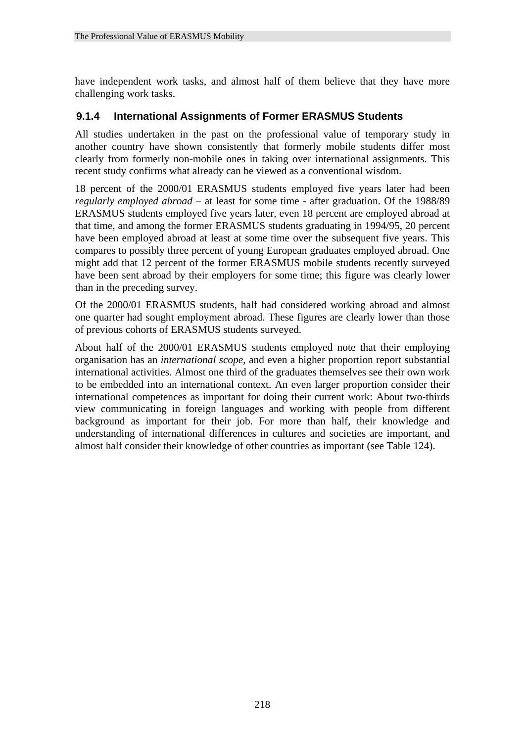have independent work tasks, and almost half of them believe that they have more challenging work tasks.

# **9.1.4 International Assignments of Former ERASMUS Students**

All studies undertaken in the past on the professional value of temporary study in another country have shown consistently that formerly mobile students differ most clearly from formerly non-mobile ones in taking over international assignments. This recent study confirms what already can be viewed as a conventional wisdom.

18 percent of the 2000/01 ERASMUS students employed five years later had been *regularly employed abroad* – at least for some time - after graduation. Of the 1988/89 ERASMUS students employed five years later, even 18 percent are employed abroad at that time, and among the former ERASMUS students graduating in 1994/95, 20 percent have been employed abroad at least at some time over the subsequent five years. This compares to possibly three percent of young European graduates employed abroad. One might add that 12 percent of the former ERASMUS mobile students recently surveyed have been sent abroad by their employers for some time; this figure was clearly lower than in the preceding survey.

Of the 2000/01 ERASMUS students, half had considered working abroad and almost one quarter had sought employment abroad. These figures are clearly lower than those of previous cohorts of ERASMUS students surveyed.

About half of the 2000/01 ERASMUS students employed note that their employing organisation has an *international scope*, and even a higher proportion report substantial international activities. Almost one third of the graduates themselves see their own work to be embedded into an international context. An even larger proportion consider their international competences as important for doing their current work: About two-thirds view communicating in foreign languages and working with people from different background as important for their job. For more than half, their knowledge and understanding of international differences in cultures and societies are important, and almost half consider their knowledge of other countries as important (see Table 124).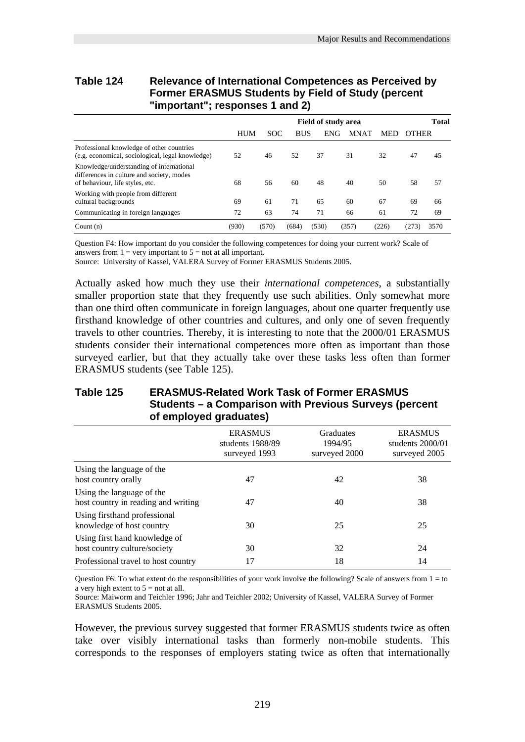# **Table 124 Relevance of International Competences as Perceived by Former ERASMUS Students by Field of Study (percent "important"; responses 1 and 2)**

|                                                                                                                          |       | <b>Field of study area</b> |            |            |             | <b>Total</b> |       |      |
|--------------------------------------------------------------------------------------------------------------------------|-------|----------------------------|------------|------------|-------------|--------------|-------|------|
|                                                                                                                          | HUM   | <b>SOC</b>                 | <b>BUS</b> | <b>ENG</b> | <b>MNAT</b> | <b>MED</b>   | OTHER |      |
| Professional knowledge of other countries<br>(e.g. economical, sociological, legal knowledge)                            | 52    | 46                         | 52         | 37         | 31          | 32           | 47    | 45   |
| Knowledge/understanding of international<br>differences in culture and society, modes<br>of behaviour, life styles, etc. | 68    | 56                         | 60         | 48         | 40          | 50           | 58    | 57   |
| Working with people from different<br>cultural backgrounds                                                               | 69    | 61                         | 71         | 65         | 60          | 67           | 69    | 66   |
| Communicating in foreign languages                                                                                       | 72    | 63                         | 74         | 71         | 66          | 61           | 72    | 69   |
| Count $(n)$                                                                                                              | (930) | (570)                      | (684)      | (530)      | (357)       | (226)        | (273) | 3570 |

Question F4: How important do you consider the following competences for doing your current work? Scale of answers from  $1 =$  very important to  $5 =$  not at all important.

Source: University of Kassel, VALERA Survey of Former ERASMUS Students 2005.

Actually asked how much they use their *international competences*, a substantially smaller proportion state that they frequently use such abilities. Only somewhat more than one third often communicate in foreign languages, about one quarter frequently use firsthand knowledge of other countries and cultures, and only one of seven frequently travels to other countries. Thereby, it is interesting to note that the 2000/01 ERASMUS students consider their international competences more often as important than those surveyed earlier, but that they actually take over these tasks less often than former ERASMUS students (see Table 125).

#### **Table 125 ERASMUS-Related Work Task of Former ERASMUS Students – a Comparison with Previous Surveys (percent of employed graduates)**

|                                                                  | <b>ERASMUS</b><br>students 1988/89<br>surveyed 1993 | <b>Graduates</b><br>1994/95<br>surveyed 2000 | <b>ERASMUS</b><br>students 2000/01<br>surveyed 2005 |
|------------------------------------------------------------------|-----------------------------------------------------|----------------------------------------------|-----------------------------------------------------|
| Using the language of the<br>host country orally                 | 47                                                  | 42                                           | 38                                                  |
| Using the language of the<br>host country in reading and writing | 47                                                  | 40                                           | 38                                                  |
| Using firsthand professional<br>knowledge of host country        | 30                                                  | 25                                           | 25                                                  |
| Using first hand knowledge of<br>host country culture/society    | 30                                                  | 32                                           | 24                                                  |
| Professional travel to host country                              | 17                                                  | 18                                           | 14                                                  |

Question F6: To what extent do the responsibilities of your work involve the following? Scale of answers from  $1 =$  to a very high extent to  $5 =$  not at all.

Source: Maiworm and Teichler 1996; Jahr and Teichler 2002; University of Kassel, VALERA Survey of Former ERASMUS Students 2005.

However, the previous survey suggested that former ERASMUS students twice as often take over visibly international tasks than formerly non-mobile students. This corresponds to the responses of employers stating twice as often that internationally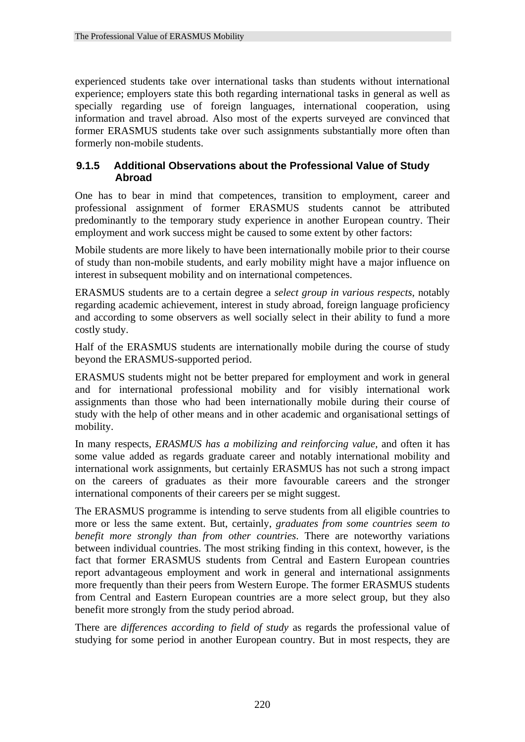experienced students take over international tasks than students without international experience; employers state this both regarding international tasks in general as well as specially regarding use of foreign languages, international cooperation, using information and travel abroad. Also most of the experts surveyed are convinced that former ERASMUS students take over such assignments substantially more often than formerly non-mobile students.

# **9.1.5 Additional Observations about the Professional Value of Study Abroad**

One has to bear in mind that competences, transition to employment, career and professional assignment of former ERASMUS students cannot be attributed predominantly to the temporary study experience in another European country. Their employment and work success might be caused to some extent by other factors:

Mobile students are more likely to have been internationally mobile prior to their course of study than non-mobile students, and early mobility might have a major influence on interest in subsequent mobility and on international competences.

ERASMUS students are to a certain degree a *select group in various respects*, notably regarding academic achievement, interest in study abroad, foreign language proficiency and according to some observers as well socially select in their ability to fund a more costly study.

Half of the ERASMUS students are internationally mobile during the course of study beyond the ERASMUS-supported period.

ERASMUS students might not be better prepared for employment and work in general and for international professional mobility and for visibly international work assignments than those who had been internationally mobile during their course of study with the help of other means and in other academic and organisational settings of mobility.

In many respects, *ERASMUS has a mobilizing and reinforcing value*, and often it has some value added as regards graduate career and notably international mobility and international work assignments, but certainly ERASMUS has not such a strong impact on the careers of graduates as their more favourable careers and the stronger international components of their careers per se might suggest.

The ERASMUS programme is intending to serve students from all eligible countries to more or less the same extent. But, certainly, *graduates from some countries seem to benefit more strongly than from other countries*. There are noteworthy variations between individual countries. The most striking finding in this context, however, is the fact that former ERASMUS students from Central and Eastern European countries report advantageous employment and work in general and international assignments more frequently than their peers from Western Europe. The former ERASMUS students from Central and Eastern European countries are a more select group, but they also benefit more strongly from the study period abroad.

There are *differences according to field of study* as regards the professional value of studying for some period in another European country. But in most respects, they are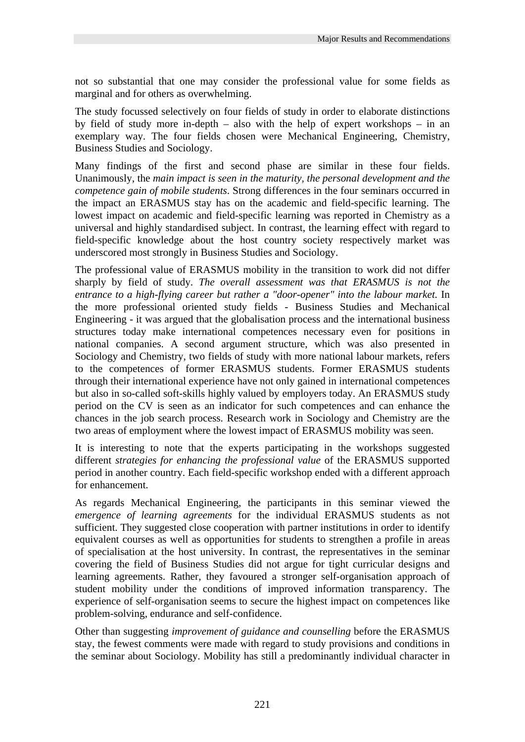not so substantial that one may consider the professional value for some fields as marginal and for others as overwhelming.

The study focussed selectively on four fields of study in order to elaborate distinctions by field of study more in-depth – also with the help of expert workshops – in an exemplary way. The four fields chosen were Mechanical Engineering, Chemistry, Business Studies and Sociology.

Many findings of the first and second phase are similar in these four fields. Unanimously, the *main impact is seen in the maturity, the personal development and the competence gain of mobile students*. Strong differences in the four seminars occurred in the impact an ERASMUS stay has on the academic and field-specific learning. The lowest impact on academic and field-specific learning was reported in Chemistry as a universal and highly standardised subject. In contrast, the learning effect with regard to field-specific knowledge about the host country society respectively market was underscored most strongly in Business Studies and Sociology.

The professional value of ERASMUS mobility in the transition to work did not differ sharply by field of study. *The overall assessment was that ERASMUS is not the entrance to a high-flying career but rather a "door-opener" into the labour market.* In the more professional oriented study fields - Business Studies and Mechanical Engineering - it was argued that the globalisation process and the international business structures today make international competences necessary even for positions in national companies. A second argument structure, which was also presented in Sociology and Chemistry, two fields of study with more national labour markets, refers to the competences of former ERASMUS students. Former ERASMUS students through their international experience have not only gained in international competences but also in so-called soft-skills highly valued by employers today. An ERASMUS study period on the CV is seen as an indicator for such competences and can enhance the chances in the job search process. Research work in Sociology and Chemistry are the two areas of employment where the lowest impact of ERASMUS mobility was seen.

It is interesting to note that the experts participating in the workshops suggested different *strategies for enhancing the professional value* of the ERASMUS supported period in another country. Each field-specific workshop ended with a different approach for enhancement.

As regards Mechanical Engineering, the participants in this seminar viewed the *emergence of learning agreements* for the individual ERASMUS students as not sufficient. They suggested close cooperation with partner institutions in order to identify equivalent courses as well as opportunities for students to strengthen a profile in areas of specialisation at the host university. In contrast, the representatives in the seminar covering the field of Business Studies did not argue for tight curricular designs and learning agreements. Rather, they favoured a stronger self-organisation approach of student mobility under the conditions of improved information transparency. The experience of self-organisation seems to secure the highest impact on competences like problem-solving, endurance and self-confidence.

Other than suggesting *improvement of guidance and counselling* before the ERASMUS stay, the fewest comments were made with regard to study provisions and conditions in the seminar about Sociology. Mobility has still a predominantly individual character in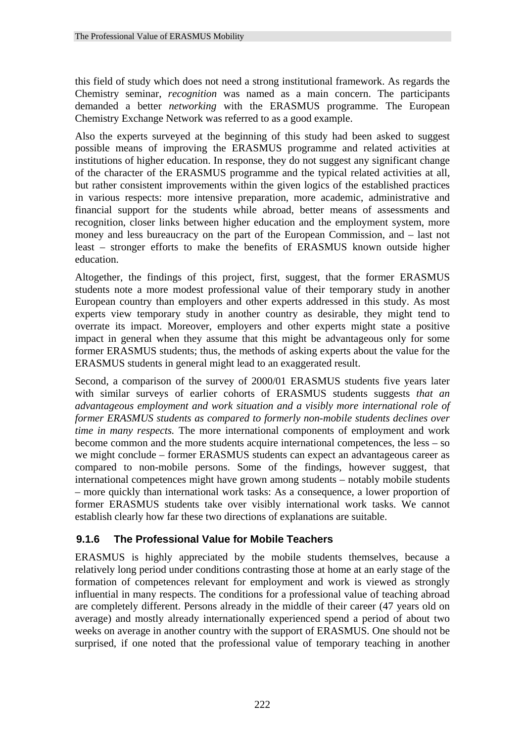this field of study which does not need a strong institutional framework. As regards the Chemistry seminar, *recognition* was named as a main concern. The participants demanded a better *networking* with the ERASMUS programme. The European Chemistry Exchange Network was referred to as a good example.

Also the experts surveyed at the beginning of this study had been asked to suggest possible means of improving the ERASMUS programme and related activities at institutions of higher education. In response, they do not suggest any significant change of the character of the ERASMUS programme and the typical related activities at all, but rather consistent improvements within the given logics of the established practices in various respects: more intensive preparation, more academic, administrative and financial support for the students while abroad, better means of assessments and recognition, closer links between higher education and the employment system, more money and less bureaucracy on the part of the European Commission, and – last not least – stronger efforts to make the benefits of ERASMUS known outside higher education.

Altogether, the findings of this project, first, suggest, that the former ERASMUS students note a more modest professional value of their temporary study in another European country than employers and other experts addressed in this study. As most experts view temporary study in another country as desirable, they might tend to overrate its impact. Moreover, employers and other experts might state a positive impact in general when they assume that this might be advantageous only for some former ERASMUS students; thus, the methods of asking experts about the value for the ERASMUS students in general might lead to an exaggerated result.

Second, a comparison of the survey of 2000/01 ERASMUS students five years later with similar surveys of earlier cohorts of ERASMUS students suggests *that an advantageous employment and work situation and a visibly more international role of former ERASMUS students as compared to formerly non-mobile students declines over time in many respects.* The more international components of employment and work become common and the more students acquire international competences, the less – so we might conclude – former ERASMUS students can expect an advantageous career as compared to non-mobile persons. Some of the findings, however suggest, that international competences might have grown among students – notably mobile students – more quickly than international work tasks: As a consequence, a lower proportion of former ERASMUS students take over visibly international work tasks. We cannot establish clearly how far these two directions of explanations are suitable.

# **9.1.6 The Professional Value for Mobile Teachers**

ERASMUS is highly appreciated by the mobile students themselves, because a relatively long period under conditions contrasting those at home at an early stage of the formation of competences relevant for employment and work is viewed as strongly influential in many respects. The conditions for a professional value of teaching abroad are completely different. Persons already in the middle of their career (47 years old on average) and mostly already internationally experienced spend a period of about two weeks on average in another country with the support of ERASMUS. One should not be surprised, if one noted that the professional value of temporary teaching in another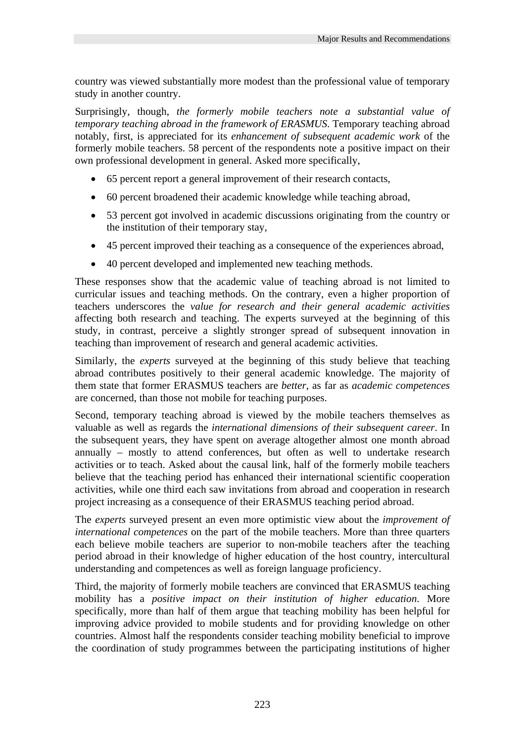country was viewed substantially more modest than the professional value of temporary study in another country.

Surprisingly, though, *the formerly mobile teachers note a substantial value of temporary teaching abroad in the framework of ERASMUS*. Temporary teaching abroad notably, first, is appreciated for its *enhancement of subsequent academic work* of the formerly mobile teachers. 58 percent of the respondents note a positive impact on their own professional development in general. Asked more specifically,

- 65 percent report a general improvement of their research contacts,
- 60 percent broadened their academic knowledge while teaching abroad,
- 53 percent got involved in academic discussions originating from the country or the institution of their temporary stay,
- 45 percent improved their teaching as a consequence of the experiences abroad,
- 40 percent developed and implemented new teaching methods.

These responses show that the academic value of teaching abroad is not limited to curricular issues and teaching methods. On the contrary, even a higher proportion of teachers underscores the *value for research and their general academic activities* affecting both research and teaching. The experts surveyed at the beginning of this study, in contrast, perceive a slightly stronger spread of subsequent innovation in teaching than improvement of research and general academic activities.

Similarly, the *experts* surveyed at the beginning of this study believe that teaching abroad contributes positively to their general academic knowledge. The majority of them state that former ERASMUS teachers are *better*, as far as *academic competences* are concerned, than those not mobile for teaching purposes.

Second, temporary teaching abroad is viewed by the mobile teachers themselves as valuable as well as regards the *international dimensions of their subsequent career*. In the subsequent years, they have spent on average altogether almost one month abroad annually – mostly to attend conferences, but often as well to undertake research activities or to teach. Asked about the causal link, half of the formerly mobile teachers believe that the teaching period has enhanced their international scientific cooperation activities, while one third each saw invitations from abroad and cooperation in research project increasing as a consequence of their ERASMUS teaching period abroad.

The *experts* surveyed present an even more optimistic view about the *improvement of international competences* on the part of the mobile teachers. More than three quarters each believe mobile teachers are superior to non-mobile teachers after the teaching period abroad in their knowledge of higher education of the host country, intercultural understanding and competences as well as foreign language proficiency.

Third, the majority of formerly mobile teachers are convinced that ERASMUS teaching mobility has a *positive impact on their institution of higher education*. More specifically, more than half of them argue that teaching mobility has been helpful for improving advice provided to mobile students and for providing knowledge on other countries. Almost half the respondents consider teaching mobility beneficial to improve the coordination of study programmes between the participating institutions of higher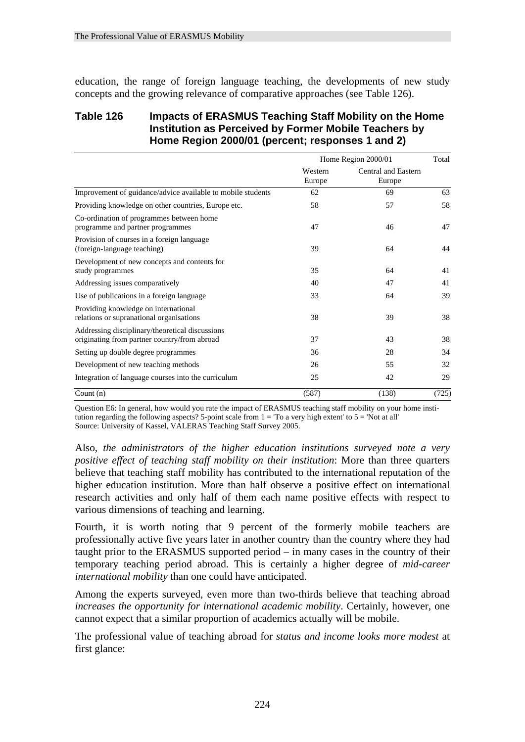education, the range of foreign language teaching, the developments of new study concepts and the growing relevance of comparative approaches (see Table 126).

#### **Table 126 Impacts of ERASMUS Teaching Staff Mobility on the Home Institution as Perceived by Former Mobile Teachers by Home Region 2000/01 (percent; responses 1 and 2)**

|                                                                                                 |                   | Home Region 2000/01           | Total |
|-------------------------------------------------------------------------------------------------|-------------------|-------------------------------|-------|
|                                                                                                 | Western<br>Europe | Central and Eastern<br>Europe |       |
| Improvement of guidance/advice available to mobile students                                     | 62                | 69                            | 63    |
| Providing knowledge on other countries, Europe etc.                                             | 58                | 57                            | 58    |
| Co-ordination of programmes between home<br>programme and partner programmes                    | 47                | 46                            | 47    |
| Provision of courses in a foreign language<br>(foreign-language teaching)                       | 39                | 64                            | 44    |
| Development of new concepts and contents for<br>study programmes                                | 35                | 64                            | 41    |
| Addressing issues comparatively                                                                 | 40                | 47                            | 41    |
| Use of publications in a foreign language                                                       | 33                | 64                            | 39    |
| Providing knowledge on international<br>relations or supranational organisations                | 38                | 39                            | 38    |
| Addressing disciplinary/theoretical discussions<br>originating from partner country/from abroad | 37                | 43                            | 38    |
| Setting up double degree programmes                                                             | 36                | 28                            | 34    |
| Development of new teaching methods                                                             | 26                | 55                            | 32    |
| Integration of language courses into the curriculum                                             | 25                | 42                            | 29    |
| Count $(n)$                                                                                     | (587)             | (138)                         | (725) |

Question E6: In general, how would you rate the impact of ERASMUS teaching staff mobility on your home institution regarding the following aspects? 5-point scale from  $1 = T_0$  a very high extent' to  $5 = N_0$  at all' Source: University of Kassel, VALERAS Teaching Staff Survey 2005.

Also, *the administrators of the higher education institutions surveyed note a very positive effect of teaching staff mobility on their institution*: More than three quarters believe that teaching staff mobility has contributed to the international reputation of the higher education institution. More than half observe a positive effect on international research activities and only half of them each name positive effects with respect to various dimensions of teaching and learning.

Fourth, it is worth noting that 9 percent of the formerly mobile teachers are professionally active five years later in another country than the country where they had taught prior to the ERASMUS supported period – in many cases in the country of their temporary teaching period abroad. This is certainly a higher degree of *mid-career international mobility* than one could have anticipated.

Among the experts surveyed, even more than two-thirds believe that teaching abroad *increases the opportunity for international academic mobility*. Certainly, however, one cannot expect that a similar proportion of academics actually will be mobile.

The professional value of teaching abroad for *status and income looks more modest* at first glance: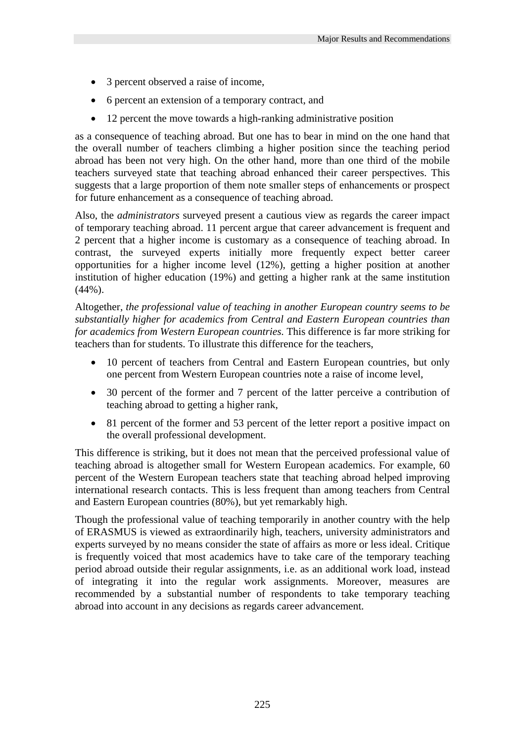- 3 percent observed a raise of income,
- 6 percent an extension of a temporary contract, and
- 12 percent the move towards a high-ranking administrative position

as a consequence of teaching abroad. But one has to bear in mind on the one hand that the overall number of teachers climbing a higher position since the teaching period abroad has been not very high. On the other hand, more than one third of the mobile teachers surveyed state that teaching abroad enhanced their career perspectives. This suggests that a large proportion of them note smaller steps of enhancements or prospect for future enhancement as a consequence of teaching abroad.

Also, the *administrators* surveyed present a cautious view as regards the career impact of temporary teaching abroad. 11 percent argue that career advancement is frequent and 2 percent that a higher income is customary as a consequence of teaching abroad. In contrast, the surveyed experts initially more frequently expect better career opportunities for a higher income level (12%), getting a higher position at another institution of higher education (19%) and getting a higher rank at the same institution  $(44\%)$ .

Altogether, *the professional value of teaching in another European country seems to be substantially higher for academics from Central and Eastern European countries than for academics from Western European countries*. This difference is far more striking for teachers than for students. To illustrate this difference for the teachers,

- 10 percent of teachers from Central and Eastern European countries, but only one percent from Western European countries note a raise of income level,
- 30 percent of the former and 7 percent of the latter perceive a contribution of teaching abroad to getting a higher rank,
- 81 percent of the former and 53 percent of the letter report a positive impact on the overall professional development.

This difference is striking, but it does not mean that the perceived professional value of teaching abroad is altogether small for Western European academics. For example, 60 percent of the Western European teachers state that teaching abroad helped improving international research contacts. This is less frequent than among teachers from Central and Eastern European countries (80%), but yet remarkably high.

Though the professional value of teaching temporarily in another country with the help of ERASMUS is viewed as extraordinarily high, teachers, university administrators and experts surveyed by no means consider the state of affairs as more or less ideal. Critique is frequently voiced that most academics have to take care of the temporary teaching period abroad outside their regular assignments, i.e. as an additional work load, instead of integrating it into the regular work assignments. Moreover, measures are recommended by a substantial number of respondents to take temporary teaching abroad into account in any decisions as regards career advancement.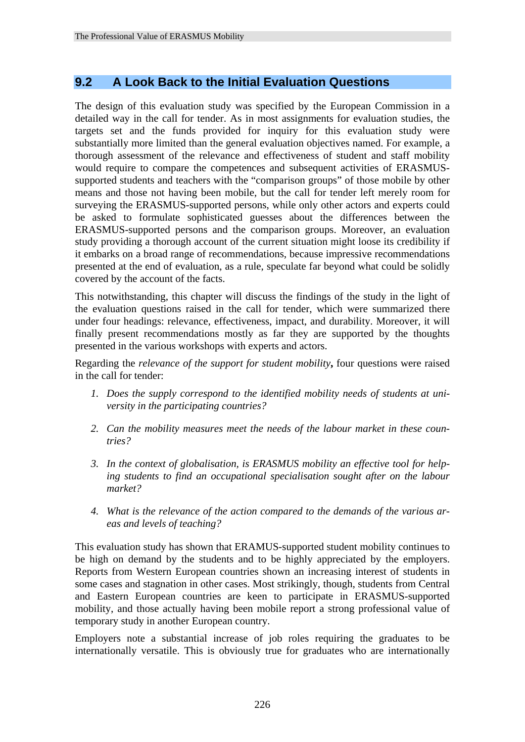# **9.2 A Look Back to the Initial Evaluation Questions**

The design of this evaluation study was specified by the European Commission in a detailed way in the call for tender. As in most assignments for evaluation studies, the targets set and the funds provided for inquiry for this evaluation study were substantially more limited than the general evaluation objectives named. For example, a thorough assessment of the relevance and effectiveness of student and staff mobility would require to compare the competences and subsequent activities of ERASMUSsupported students and teachers with the "comparison groups" of those mobile by other means and those not having been mobile, but the call for tender left merely room for surveying the ERASMUS-supported persons, while only other actors and experts could be asked to formulate sophisticated guesses about the differences between the ERASMUS-supported persons and the comparison groups. Moreover, an evaluation study providing a thorough account of the current situation might loose its credibility if it embarks on a broad range of recommendations, because impressive recommendations presented at the end of evaluation, as a rule, speculate far beyond what could be solidly covered by the account of the facts.

This notwithstanding, this chapter will discuss the findings of the study in the light of the evaluation questions raised in the call for tender, which were summarized there under four headings: relevance, effectiveness, impact, and durability. Moreover, it will finally present recommendations mostly as far they are supported by the thoughts presented in the various workshops with experts and actors.

Regarding the *relevance of the support for student mobility***,** four questions were raised in the call for tender:

- *1. Does the supply correspond to the identified mobility needs of students at university in the participating countries?*
- *2. Can the mobility measures meet the needs of the labour market in these countries?*
- *3. In the context of globalisation, is ERASMUS mobility an effective tool for helping students to find an occupational specialisation sought after on the labour market?*
- *4. What is the relevance of the action compared to the demands of the various areas and levels of teaching?*

This evaluation study has shown that ERAMUS-supported student mobility continues to be high on demand by the students and to be highly appreciated by the employers. Reports from Western European countries shown an increasing interest of students in some cases and stagnation in other cases. Most strikingly, though, students from Central and Eastern European countries are keen to participate in ERASMUS-supported mobility, and those actually having been mobile report a strong professional value of temporary study in another European country.

Employers note a substantial increase of job roles requiring the graduates to be internationally versatile. This is obviously true for graduates who are internationally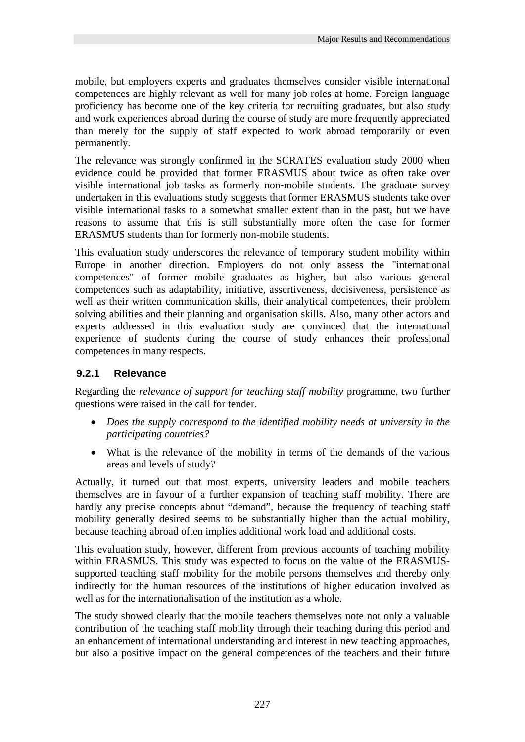mobile, but employers experts and graduates themselves consider visible international competences are highly relevant as well for many job roles at home. Foreign language proficiency has become one of the key criteria for recruiting graduates, but also study and work experiences abroad during the course of study are more frequently appreciated than merely for the supply of staff expected to work abroad temporarily or even permanently.

The relevance was strongly confirmed in the SCRATES evaluation study 2000 when evidence could be provided that former ERASMUS about twice as often take over visible international job tasks as formerly non-mobile students. The graduate survey undertaken in this evaluations study suggests that former ERASMUS students take over visible international tasks to a somewhat smaller extent than in the past, but we have reasons to assume that this is still substantially more often the case for former ERASMUS students than for formerly non-mobile students.

This evaluation study underscores the relevance of temporary student mobility within Europe in another direction. Employers do not only assess the "international competences" of former mobile graduates as higher, but also various general competences such as adaptability, initiative, assertiveness, decisiveness, persistence as well as their written communication skills, their analytical competences, their problem solving abilities and their planning and organisation skills. Also, many other actors and experts addressed in this evaluation study are convinced that the international experience of students during the course of study enhances their professional competences in many respects.

# **9.2.1 Relevance**

Regarding the *relevance of support for teaching staff mobility* programme, two further questions were raised in the call for tender.

- *Does the supply correspond to the identified mobility needs at university in the participating countries?*
- What is the relevance of the mobility in terms of the demands of the various areas and levels of study?

Actually, it turned out that most experts, university leaders and mobile teachers themselves are in favour of a further expansion of teaching staff mobility. There are hardly any precise concepts about "demand", because the frequency of teaching staff mobility generally desired seems to be substantially higher than the actual mobility, because teaching abroad often implies additional work load and additional costs.

This evaluation study, however, different from previous accounts of teaching mobility within ERASMUS. This study was expected to focus on the value of the ERASMUSsupported teaching staff mobility for the mobile persons themselves and thereby only indirectly for the human resources of the institutions of higher education involved as well as for the internationalisation of the institution as a whole.

The study showed clearly that the mobile teachers themselves note not only a valuable contribution of the teaching staff mobility through their teaching during this period and an enhancement of international understanding and interest in new teaching approaches, but also a positive impact on the general competences of the teachers and their future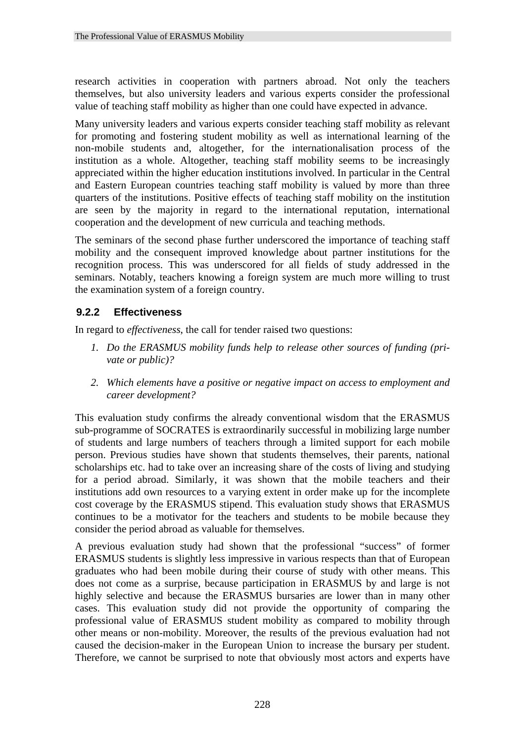research activities in cooperation with partners abroad. Not only the teachers themselves, but also university leaders and various experts consider the professional value of teaching staff mobility as higher than one could have expected in advance.

Many university leaders and various experts consider teaching staff mobility as relevant for promoting and fostering student mobility as well as international learning of the non-mobile students and, altogether, for the internationalisation process of the institution as a whole. Altogether, teaching staff mobility seems to be increasingly appreciated within the higher education institutions involved. In particular in the Central and Eastern European countries teaching staff mobility is valued by more than three quarters of the institutions. Positive effects of teaching staff mobility on the institution are seen by the majority in regard to the international reputation, international cooperation and the development of new curricula and teaching methods.

The seminars of the second phase further underscored the importance of teaching staff mobility and the consequent improved knowledge about partner institutions for the recognition process. This was underscored for all fields of study addressed in the seminars. Notably, teachers knowing a foreign system are much more willing to trust the examination system of a foreign country.

# **9.2.2 Effectiveness**

In regard to *effectiveness*, the call for tender raised two questions:

- *1. Do the ERASMUS mobility funds help to release other sources of funding (private or public)?*
- *2. Which elements have a positive or negative impact on access to employment and career development?*

This evaluation study confirms the already conventional wisdom that the ERASMUS sub-programme of SOCRATES is extraordinarily successful in mobilizing large number of students and large numbers of teachers through a limited support for each mobile person. Previous studies have shown that students themselves, their parents, national scholarships etc. had to take over an increasing share of the costs of living and studying for a period abroad. Similarly, it was shown that the mobile teachers and their institutions add own resources to a varying extent in order make up for the incomplete cost coverage by the ERASMUS stipend. This evaluation study shows that ERASMUS continues to be a motivator for the teachers and students to be mobile because they consider the period abroad as valuable for themselves.

A previous evaluation study had shown that the professional "success" of former ERASMUS students is slightly less impressive in various respects than that of European graduates who had been mobile during their course of study with other means. This does not come as a surprise, because participation in ERASMUS by and large is not highly selective and because the ERASMUS bursaries are lower than in many other cases. This evaluation study did not provide the opportunity of comparing the professional value of ERASMUS student mobility as compared to mobility through other means or non-mobility. Moreover, the results of the previous evaluation had not caused the decision-maker in the European Union to increase the bursary per student. Therefore, we cannot be surprised to note that obviously most actors and experts have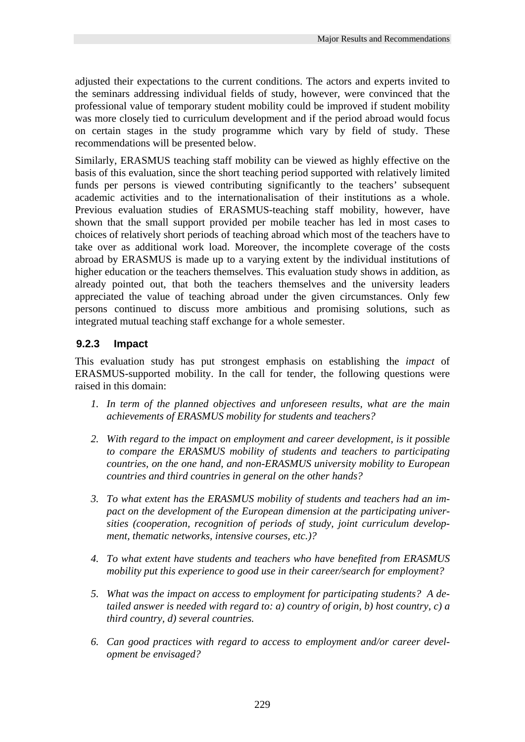adjusted their expectations to the current conditions. The actors and experts invited to the seminars addressing individual fields of study, however, were convinced that the professional value of temporary student mobility could be improved if student mobility was more closely tied to curriculum development and if the period abroad would focus on certain stages in the study programme which vary by field of study. These recommendations will be presented below.

Similarly, ERASMUS teaching staff mobility can be viewed as highly effective on the basis of this evaluation, since the short teaching period supported with relatively limited funds per persons is viewed contributing significantly to the teachers' subsequent academic activities and to the internationalisation of their institutions as a whole. Previous evaluation studies of ERASMUS-teaching staff mobility, however, have shown that the small support provided per mobile teacher has led in most cases to choices of relatively short periods of teaching abroad which most of the teachers have to take over as additional work load. Moreover, the incomplete coverage of the costs abroad by ERASMUS is made up to a varying extent by the individual institutions of higher education or the teachers themselves. This evaluation study shows in addition, as already pointed out, that both the teachers themselves and the university leaders appreciated the value of teaching abroad under the given circumstances. Only few persons continued to discuss more ambitious and promising solutions, such as integrated mutual teaching staff exchange for a whole semester.

# **9.2.3 Impact**

This evaluation study has put strongest emphasis on establishing the *impact* of ERASMUS-supported mobility. In the call for tender, the following questions were raised in this domain:

- *1. In term of the planned objectives and unforeseen results, what are the main achievements of ERASMUS mobility for students and teachers?*
- *2. With regard to the impact on employment and career development, is it possible to compare the ERASMUS mobility of students and teachers to participating countries, on the one hand, and non-ERASMUS university mobility to European countries and third countries in general on the other hands?*
- *3. To what extent has the ERASMUS mobility of students and teachers had an impact on the development of the European dimension at the participating universities (cooperation, recognition of periods of study, joint curriculum development, thematic networks, intensive courses, etc.)?*
- *4. To what extent have students and teachers who have benefited from ERASMUS mobility put this experience to good use in their career/search for employment?*
- *5. What was the impact on access to employment for participating students? A detailed answer is needed with regard to: a) country of origin, b) host country, c) a third country, d) several countries.*
- *6. Can good practices with regard to access to employment and/or career development be envisaged?*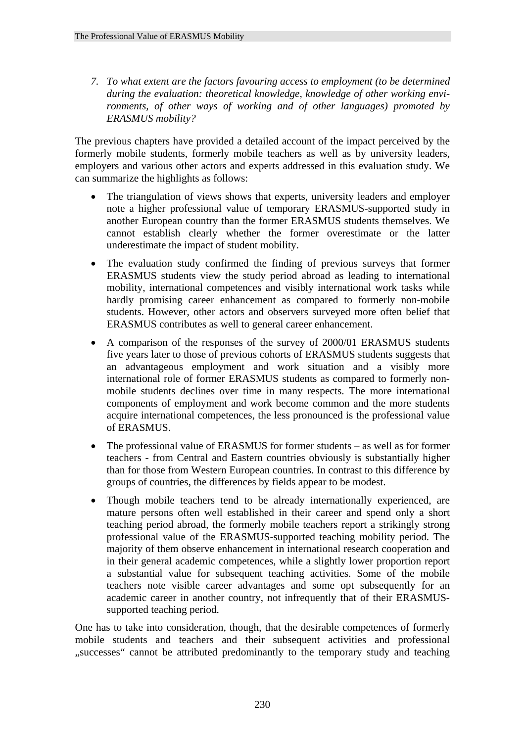*7. To what extent are the factors favouring access to employment (to be determined during the evaluation: theoretical knowledge, knowledge of other working environments, of other ways of working and of other languages) promoted by ERASMUS mobility?* 

The previous chapters have provided a detailed account of the impact perceived by the formerly mobile students, formerly mobile teachers as well as by university leaders, employers and various other actors and experts addressed in this evaluation study. We can summarize the highlights as follows:

- The triangulation of views shows that experts, university leaders and employer note a higher professional value of temporary ERASMUS-supported study in another European country than the former ERASMUS students themselves. We cannot establish clearly whether the former overestimate or the latter underestimate the impact of student mobility.
- The evaluation study confirmed the finding of previous surveys that former ERASMUS students view the study period abroad as leading to international mobility, international competences and visibly international work tasks while hardly promising career enhancement as compared to formerly non-mobile students. However, other actors and observers surveyed more often belief that ERASMUS contributes as well to general career enhancement.
- A comparison of the responses of the survey of 2000/01 ERASMUS students five years later to those of previous cohorts of ERASMUS students suggests that an advantageous employment and work situation and a visibly more international role of former ERASMUS students as compared to formerly nonmobile students declines over time in many respects. The more international components of employment and work become common and the more students acquire international competences, the less pronounced is the professional value of ERASMUS.
- The professional value of ERASMUS for former students as well as for former teachers - from Central and Eastern countries obviously is substantially higher than for those from Western European countries. In contrast to this difference by groups of countries, the differences by fields appear to be modest.
- Though mobile teachers tend to be already internationally experienced, are mature persons often well established in their career and spend only a short teaching period abroad, the formerly mobile teachers report a strikingly strong professional value of the ERASMUS-supported teaching mobility period. The majority of them observe enhancement in international research cooperation and in their general academic competences, while a slightly lower proportion report a substantial value for subsequent teaching activities. Some of the mobile teachers note visible career advantages and some opt subsequently for an academic career in another country, not infrequently that of their ERASMUSsupported teaching period.

One has to take into consideration, though, that the desirable competences of formerly mobile students and teachers and their subsequent activities and professional "successes" cannot be attributed predominantly to the temporary study and teaching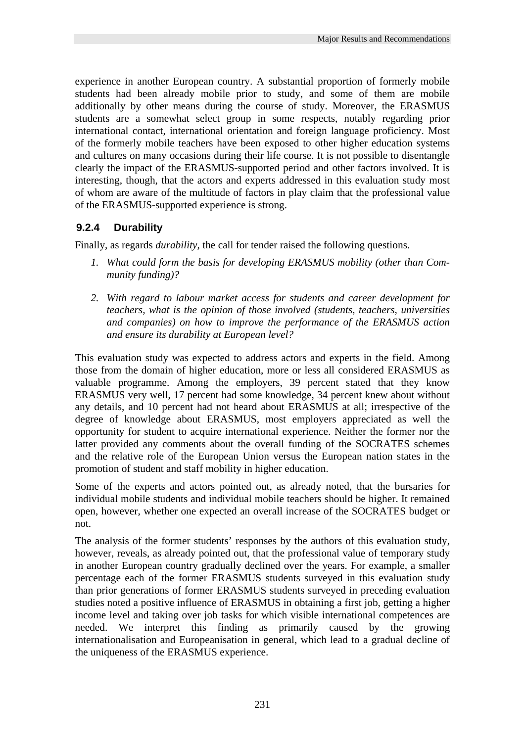experience in another European country. A substantial proportion of formerly mobile students had been already mobile prior to study, and some of them are mobile additionally by other means during the course of study. Moreover, the ERASMUS students are a somewhat select group in some respects, notably regarding prior international contact, international orientation and foreign language proficiency. Most of the formerly mobile teachers have been exposed to other higher education systems and cultures on many occasions during their life course. It is not possible to disentangle clearly the impact of the ERASMUS-supported period and other factors involved. It is interesting, though, that the actors and experts addressed in this evaluation study most of whom are aware of the multitude of factors in play claim that the professional value of the ERASMUS-supported experience is strong.

# **9.2.4 Durability**

Finally, as regards *durability*, the call for tender raised the following questions.

- *1. What could form the basis for developing ERASMUS mobility (other than Community funding)?*
- *2. With regard to labour market access for students and career development for teachers, what is the opinion of those involved (students, teachers, universities and companies) on how to improve the performance of the ERASMUS action and ensure its durability at European level?*

This evaluation study was expected to address actors and experts in the field. Among those from the domain of higher education, more or less all considered ERASMUS as valuable programme. Among the employers, 39 percent stated that they know ERASMUS very well, 17 percent had some knowledge, 34 percent knew about without any details, and 10 percent had not heard about ERASMUS at all; irrespective of the degree of knowledge about ERASMUS, most employers appreciated as well the opportunity for student to acquire international experience. Neither the former nor the latter provided any comments about the overall funding of the SOCRATES schemes and the relative role of the European Union versus the European nation states in the promotion of student and staff mobility in higher education.

Some of the experts and actors pointed out, as already noted, that the bursaries for individual mobile students and individual mobile teachers should be higher. It remained open, however, whether one expected an overall increase of the SOCRATES budget or not.

The analysis of the former students' responses by the authors of this evaluation study, however, reveals, as already pointed out, that the professional value of temporary study in another European country gradually declined over the years. For example, a smaller percentage each of the former ERASMUS students surveyed in this evaluation study than prior generations of former ERASMUS students surveyed in preceding evaluation studies noted a positive influence of ERASMUS in obtaining a first job, getting a higher income level and taking over job tasks for which visible international competences are needed. We interpret this finding as primarily caused by the growing internationalisation and Europeanisation in general, which lead to a gradual decline of the uniqueness of the ERASMUS experience.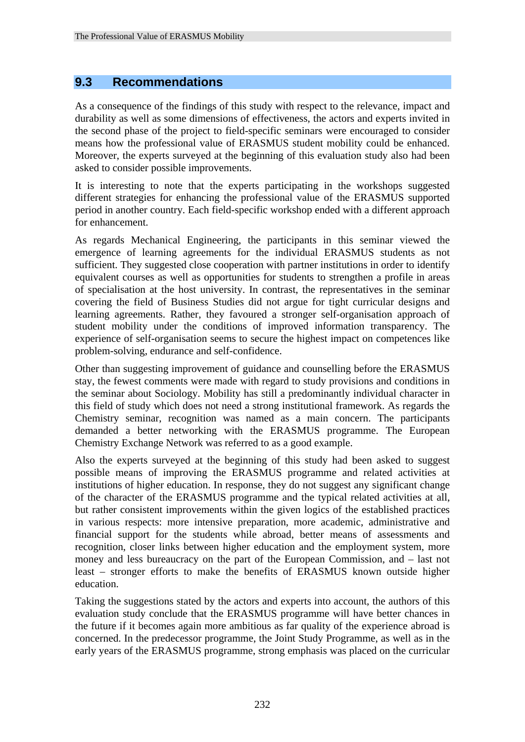# **9.3 Recommendations**

As a consequence of the findings of this study with respect to the relevance, impact and durability as well as some dimensions of effectiveness, the actors and experts invited in the second phase of the project to field-specific seminars were encouraged to consider means how the professional value of ERASMUS student mobility could be enhanced. Moreover, the experts surveyed at the beginning of this evaluation study also had been asked to consider possible improvements.

It is interesting to note that the experts participating in the workshops suggested different strategies for enhancing the professional value of the ERASMUS supported period in another country. Each field-specific workshop ended with a different approach for enhancement.

As regards Mechanical Engineering, the participants in this seminar viewed the emergence of learning agreements for the individual ERASMUS students as not sufficient. They suggested close cooperation with partner institutions in order to identify equivalent courses as well as opportunities for students to strengthen a profile in areas of specialisation at the host university. In contrast, the representatives in the seminar covering the field of Business Studies did not argue for tight curricular designs and learning agreements. Rather, they favoured a stronger self-organisation approach of student mobility under the conditions of improved information transparency. The experience of self-organisation seems to secure the highest impact on competences like problem-solving, endurance and self-confidence.

Other than suggesting improvement of guidance and counselling before the ERASMUS stay, the fewest comments were made with regard to study provisions and conditions in the seminar about Sociology. Mobility has still a predominantly individual character in this field of study which does not need a strong institutional framework. As regards the Chemistry seminar, recognition was named as a main concern. The participants demanded a better networking with the ERASMUS programme. The European Chemistry Exchange Network was referred to as a good example.

Also the experts surveyed at the beginning of this study had been asked to suggest possible means of improving the ERASMUS programme and related activities at institutions of higher education. In response, they do not suggest any significant change of the character of the ERASMUS programme and the typical related activities at all, but rather consistent improvements within the given logics of the established practices in various respects: more intensive preparation, more academic, administrative and financial support for the students while abroad, better means of assessments and recognition, closer links between higher education and the employment system, more money and less bureaucracy on the part of the European Commission, and – last not least – stronger efforts to make the benefits of ERASMUS known outside higher education.

Taking the suggestions stated by the actors and experts into account, the authors of this evaluation study conclude that the ERASMUS programme will have better chances in the future if it becomes again more ambitious as far quality of the experience abroad is concerned. In the predecessor programme, the Joint Study Programme, as well as in the early years of the ERASMUS programme, strong emphasis was placed on the curricular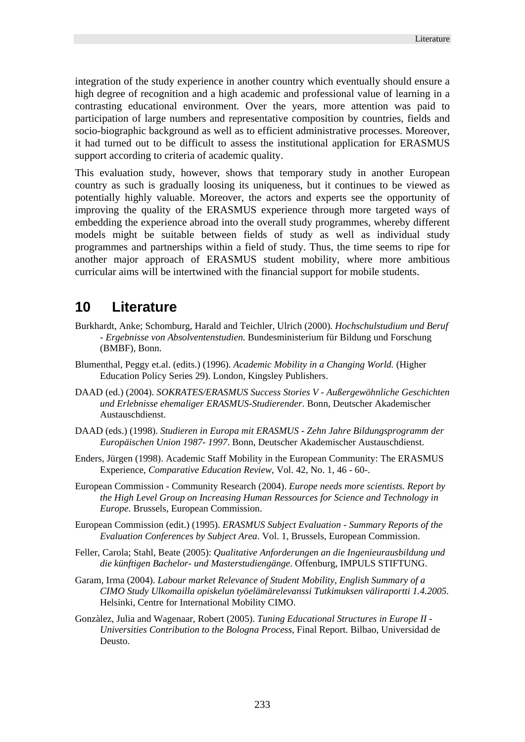integration of the study experience in another country which eventually should ensure a high degree of recognition and a high academic and professional value of learning in a contrasting educational environment. Over the years, more attention was paid to participation of large numbers and representative composition by countries, fields and socio-biographic background as well as to efficient administrative processes. Moreover, it had turned out to be difficult to assess the institutional application for ERASMUS support according to criteria of academic quality.

This evaluation study, however, shows that temporary study in another European country as such is gradually loosing its uniqueness, but it continues to be viewed as potentially highly valuable. Moreover, the actors and experts see the opportunity of improving the quality of the ERASMUS experience through more targeted ways of embedding the experience abroad into the overall study programmes, whereby different models might be suitable between fields of study as well as individual study programmes and partnerships within a field of study. Thus, the time seems to ripe for another major approach of ERASMUS student mobility, where more ambitious curricular aims will be intertwined with the financial support for mobile students.

## **10 Literature**

- Burkhardt, Anke; Schomburg, Harald and Teichler, Ulrich (2000). *Hochschulstudium und Beruf - Ergebnisse von Absolventenstudien.* Bundesministerium für Bildung und Forschung (BMBF), Bonn.
- Blumenthal, Peggy et.al. (edits.) (1996). *Academic Mobility in a Changing World.* (Higher Education Policy Series 29). London, Kingsley Publishers.
- DAAD (ed.) (2004). *SOKRATES/ERASMUS Success Stories V Außergewöhnliche Geschichten und Erlebnisse ehemaliger ERASMUS-Studierender*. Bonn, Deutscher Akademischer Austauschdienst.
- DAAD (eds.) (1998). *Studieren in Europa mit ERASMUS Zehn Jahre Bildungsprogramm der Europäischen Union 1987- 1997*. Bonn, Deutscher Akademischer Austauschdienst.
- Enders, Jürgen (1998). Academic Staff Mobility in the European Community: The ERASMUS Experience, *Comparative Education Review*, Vol. 42, No. 1, 46 - 60-.
- European Commission Community Research (2004). *Europe needs more scientists. Report by the High Level Group on Increasing Human Ressources for Science and Technology in Europe.* Brussels, European Commission.
- European Commission (edit.) (1995). *ERASMUS Subject Evaluation Summary Reports of the Evaluation Conferences by Subject Area*. Vol. 1, Brussels, European Commission.
- Feller, Carola; Stahl, Beate (2005): *Qualitative Anforderungen an die Ingenieurausbildung und die künftigen Bachelor- und Masterstudiengänge*. Offenburg, IMPULS STIFTUNG.
- Garam, Irma (2004). *Labour market Relevance of Student Mobility*, *English Summary of a CIMO Study Ulkomailla opiskelun työelämärelevanssi Tutkimuksen väliraportti 1.4.2005.* Helsinki, Centre for International Mobility CIMO.
- Gonzàlez, Julia and Wagenaar, Robert (2005). *Tuning Educational Structures in Europe II Universities Contribution to the Bologna Process*, Final Report. Bilbao, Universidad de Deusto.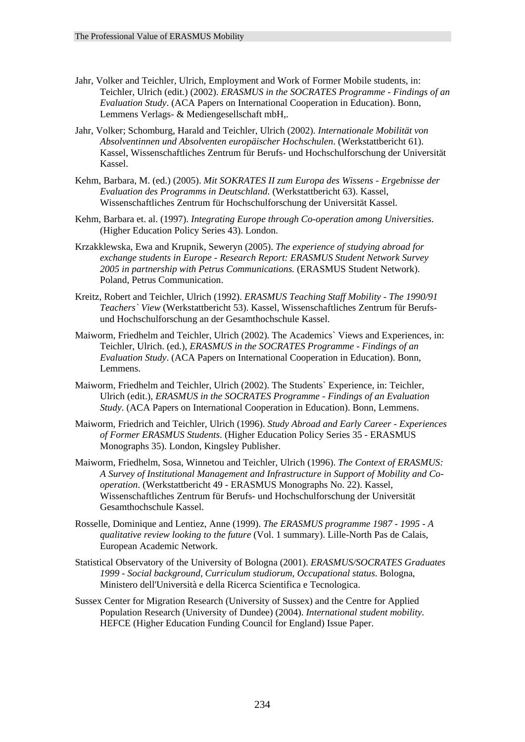- Jahr, Volker and Teichler, Ulrich, Employment and Work of Former Mobile students, in: Teichler, Ulrich (edit.) (2002). *ERASMUS in the SOCRATES Programme - Findings of an Evaluation Study*. (ACA Papers on International Cooperation in Education). Bonn, Lemmens Verlags- & Mediengesellschaft mbH,.
- Jahr, Volker; Schomburg, Harald and Teichler, Ulrich (2002). *Internationale Mobilität von Absolventinnen und Absolventen europäischer Hochschulen*. (Werkstattbericht 61). Kassel, Wissenschaftliches Zentrum für Berufs- und Hochschulforschung der Universität Kassel.
- Kehm, Barbara, M. (ed.) (2005). *Mit SOKRATES II zum Europa des Wissens Ergebnisse der Evaluation des Programms in Deutschland*. (Werkstattbericht 63). Kassel, Wissenschaftliches Zentrum für Hochschulforschung der Universität Kassel.
- Kehm, Barbara et. al. (1997). *Integrating Europe through Co-operation among Universities*. (Higher Education Policy Series 43). London.
- Krzakklewska, Ewa and Krupnik, Seweryn (2005). *The experience of studying abroad for exchange students in Europe - Research Report: ERASMUS Student Network Survey 2005 in partnership with Petrus Communications.* (ERASMUS Student Network). Poland, Petrus Communication.
- Kreitz, Robert and Teichler, Ulrich (1992). *ERASMUS Teaching Staff Mobility The 1990/91 Teachers` View* (Werkstattbericht 53). Kassel, Wissenschaftliches Zentrum für Berufsund Hochschulforschung an der Gesamthochschule Kassel.
- Maiworm, Friedhelm and Teichler, Ulrich (2002). The Academics` Views and Experiences, in: Teichler, Ulrich. (ed.), *ERASMUS in the SOCRATES Programme - Findings of an Evaluation Study*. (ACA Papers on International Cooperation in Education). Bonn, Lemmens.
- Maiworm, Friedhelm and Teichler, Ulrich (2002). The Students` Experience, in: Teichler, Ulrich (edit.), *ERASMUS in the SOCRATES Programme - Findings of an Evaluation Study*. (ACA Papers on International Cooperation in Education). Bonn, Lemmens.
- Maiworm, Friedrich and Teichler, Ulrich (1996). *Study Abroad and Early Career Experiences of Former ERASMUS Students*. (Higher Education Policy Series 35 - ERASMUS Monographs 35). London, Kingsley Publisher.
- Maiworm, Friedhelm, Sosa, Winnetou and Teichler, Ulrich (1996). *The Context of ERASMUS: A Survey of Institutional Management and Infrastructure in Support of Mobility and Cooperation*. (Werkstattbericht 49 - ERASMUS Monographs No. 22). Kassel, Wissenschaftliches Zentrum für Berufs- und Hochschulforschung der Universität Gesamthochschule Kassel.
- Rosselle, Dominique and Lentiez, Anne (1999). *The ERASMUS programme 1987 1995 A qualitative review looking to the future* (Vol. 1 summary). Lille-North Pas de Calais, European Academic Network.
- Statistical Observatory of the University of Bologna (2001). *ERASMUS/SOCRATES Graduates 1999 - Social background, Curriculum studiorum, Occupational status*. Bologna, Ministero dell'Università e della Ricerca Scientifica e Tecnologica.
- Sussex Center for Migration Research (University of Sussex) and the Centre for Applied Population Research (University of Dundee) (2004). *International student mobility*. HEFCE (Higher Education Funding Council for England) Issue Paper.